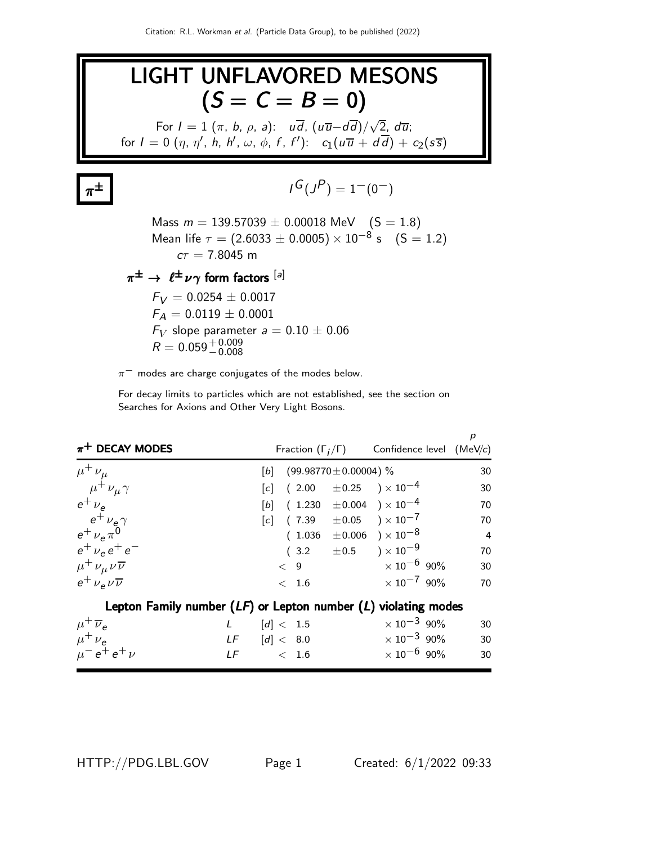

 $\pi^-$  modes are charge conjugates of the modes below.

For decay limits to particles which are not established, see the section on Searches for Axions and Other Very Light Bosons.

| $\pi^+$ DECAY MODES                                                |       |                            | Fraction $(\Gamma_i/\Gamma)$ Confidence level (MeV/c) | p              |
|--------------------------------------------------------------------|-------|----------------------------|-------------------------------------------------------|----------------|
| $\mu^+ \nu_\mu$                                                    | $[b]$ | $(99.98770 \pm 0.00004)$ % |                                                       | 30             |
| $\mu^+ \nu_\mu \gamma$                                             |       |                            | $[c]$ (2.00 $\pm$ 0.25 ) × 10 <sup>-4</sup>           | 30             |
| $e^+$ $\nu_e$                                                      |       |                            | $[b]$ (1.230 $\pm$ 0.004 ) × 10 <sup>-4</sup>         | 70             |
| $e^+$ $\nu_e \gamma$                                               |       |                            | $[c]$ (7.39 $\pm 0.05$ ) $\times 10^{-7}$             | 70             |
| $e^+ \nu_e \pi^0$                                                  |       |                            | $(1.036 \pm 0.006) \times 10^{-8}$                    | $\overline{4}$ |
| $e^+ \nu_e e^+ e^-$                                                |       |                            | $(3.2 \pm 0.5) \times 10^{-9}$                        | 70             |
| $\mu^+ \nu_\mu \nu \overline{\nu}$                                 |       | < 9                        | $\times$ 10 <sup>-6</sup> 90%                         | 30             |
| $e^{\dagger} \nu_{\rm e} \nu \overline{\nu}$                       |       | < 1.6                      | $\times$ 10 <sup>-7</sup> 90%                         | 70             |
| Lepton Family number $(LF)$ or Lepton number $(L)$ violating modes |       |                            |                                                       |                |
| $\mu^+ \overline{\nu}_e$<br>L                                      |       | [d] < 1.5                  | $\times 10^{-3}$ 90%                                  | 30             |
| $\mu^+ \nu_e$                                                      |       | $LF$ $[d] < 8.0$           | $\times$ 10 $^{-3}$ 90%                               | 30             |
| $\mu^{-} e^{+} e^{+} \nu$                                          |       | $LF \t\t < 1.6$            | $\times$ 10 $^{-6}$ 90%                               | 30             |

HTTP://PDG.LBL.GOV Page 1 Created: 6/1/2022 09:33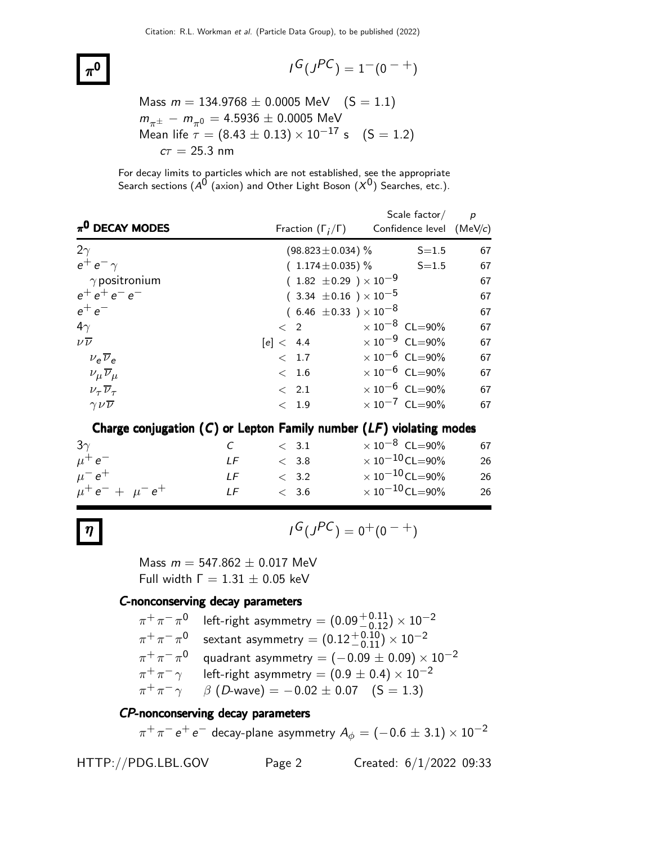$$
I^G(J^{PC}) = 1^-(0^{-+})
$$

Mass 
$$
m = 134.9768 \pm 0.0005
$$
 MeV  $(S = 1.1)$   
\n $m_{\pi^{\pm}} - m_{\pi^0} = 4.5936 \pm 0.0005$  MeV  
\nMean life  $\tau = (8.43 \pm 0.13) \times 10^{-17}$  s  $(S = 1.2)$   
\n $c\tau = 25.3$  nm

For decay limits to particles which are not established, see the appropriate Search sections ( $A^{\hat{0}}$  (axion) and Other Light Boson  $(X^{\hat{0}})$  Searches, etc.).

| $\pi^0$ DECAY MODES                  | Fraction $(\Gamma_i/\Gamma)$     | Scale $factor/$<br>Confidence level $(MeV/c)$ | $\overline{p}$ |
|--------------------------------------|----------------------------------|-----------------------------------------------|----------------|
| $2\gamma$                            |                                  | (98.823 $\pm$ 0.034) $\%$<br>$S = 1.5$        | 67             |
| $e^+e^-\gamma$                       |                                  | $(1.174 \pm 0.035)$ % S=1.5                   | 67             |
| $\gamma$ positronium                 | $(1.82 \pm 0.29) \times 10^{-9}$ |                                               | 67             |
| $e^+e^+e^-e^-$                       | $(3.34 \pm 0.16) \times 10^{-5}$ |                                               | 67             |
| $e^+e^-$                             | $(6.46 \pm 0.33) \times 10^{-8}$ |                                               | 67             |
| $4\gamma$                            | $\langle 2 \rangle$              | $\times$ 10 $^{-8}$ CL=90%                    | 67             |
| $\nu\overline{\nu}$                  | [e] < 4.4                        | $\times 10^{-9}$ CL=90%                       | 67             |
| $v_e \overline{v}_e$                 | < 1.7                            | $\times 10^{-6}$ CL=90%                       | 67             |
| $\nu_\mu \overline{\nu}_\mu$         | < 1.6                            | $\times 10^{-6}$ CL=90%                       | 67             |
| $\nu_{\tau}$ $\overline{\nu}_{\tau}$ | $\langle$ 2.1                    | $\times 10^{-6}$ CL=90%                       | 67             |
| $\gamma \nu \overline{\nu}$          | < 1.9                            | $\times 10^{-7}$ CL=90%                       | 67             |

Charge conjugation  $(C)$  or Lepton Family number  $(LF)$  violating modes

| $3\gamma$               | $C$ and $C$ | $\langle$ 3.1 | $\times$ 10 $^{-8}$ CL=90%      | 67 |
|-------------------------|-------------|---------------|---------------------------------|----|
| $\mu^+e^-$              | IF          | < 3.8         | $\times$ 10 $^{-10}$ CL $=$ 90% | 26 |
| $\mu^- e^+$             | I F         | $\langle$ 3.2 | $\times$ 10 $^{-10}$ CL=90%     | 26 |
| $\mu^+ e^- + \mu^- e^+$ | LF          | < 3.6         | $\times$ 10 $^{-10}$ CL $=$ 90% | 26 |

$$
\eta \qquad \qquad \text{if } (J^{PC}) = 0^+(0^-)
$$

Mass  $m = 547.862 \pm 0.017$  MeV Full width  $Γ = 1.31 ± 0.05$  keV

#### C-nonconserving decay parameters

| $\pi^+\pi^-\pi^0$ left-right asymmetry = $(0.09^{+0.11}_{-0.12}) \times 10^{-2}$ |
|----------------------------------------------------------------------------------|
| sextant asymmetry = $(0.12^{+0.10}_{-0.11}) \times 10^{-2}$                      |
| quadrant asymmetry = $(-0.09 \pm 0.09) \times 10^{-2}$                           |
| left-right asymmetry = $(0.9 \pm 0.4) \times 10^{-2}$                            |
| $\beta$ (D-wave) = -0.02 $\pm$ 0.07 (S = 1.3)                                    |
|                                                                                  |

### CP-nonconserving decay parameters

 $\pi^+\pi^-$  e $^+$  e $^-$  decay-plane asymmetry  $A_\phi=(-0.6\pm3.1)\times10^{-2}$ 

HTTP://PDG.LBL.GOV Page 2 Created: 6/1/2022 09:33

 $\pi^0$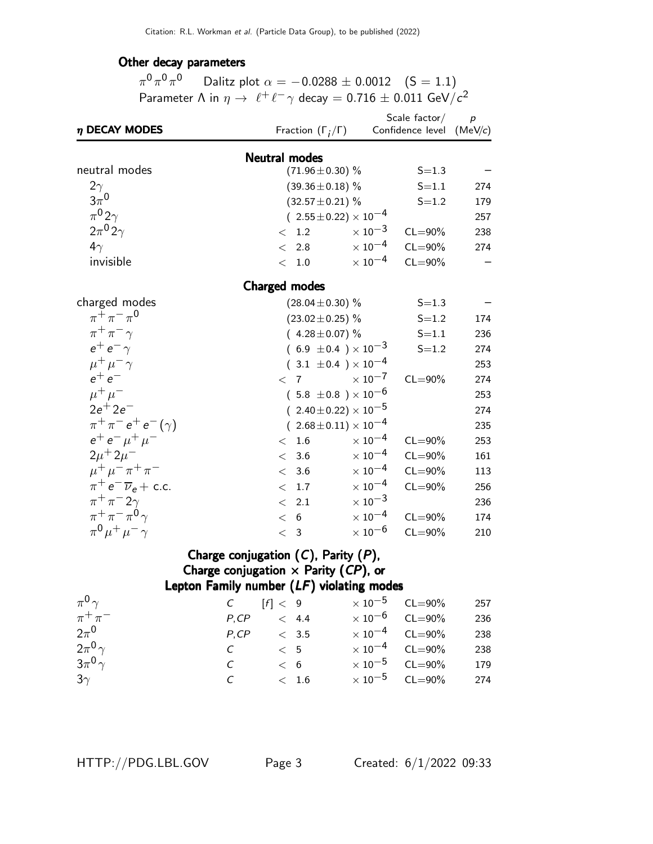### Other decay parameters

 $\pi^0\pi^0\pi^0$  Dalitz plot  $\alpha=-0.0288\pm0.0012$   $(\mathsf{S}=1.1)$ Parameter  $\Lambda$  in  $\eta \to \ell^+ \ell^- \gamma$  decay  $= 0.716 \pm 0.011$  GeV/ $c^2$ 

| $\eta$ DECAY MODES                  |       | Fraction $(\Gamma_i/\Gamma)$                |                                  | Scale factor/<br>Confidence level | $\boldsymbol{p}$<br>(MeV/c) |
|-------------------------------------|-------|---------------------------------------------|----------------------------------|-----------------------------------|-----------------------------|
|                                     |       | <b>Neutral modes</b>                        |                                  |                                   |                             |
| neutral modes                       |       | $(71.96 \pm 0.30)$ %                        |                                  | $S = 1.3$                         |                             |
| $2\gamma$                           |       | $(39.36 \pm 0.18)$ %                        |                                  | $S = 1.1$                         | 274                         |
| $3\pi^0$                            |       | $(32.57 \pm 0.21)$ %                        |                                  | $S = 1.2$                         | 179                         |
| $\pi^0 2\gamma$                     |       |                                             | $(2.55 \pm 0.22) \times 10^{-4}$ |                                   | 257                         |
| $2\pi^0 2\gamma$                    |       | < 1.2                                       | $\times\,10^{-3}$                | $CL = 90\%$                       | 238                         |
| $4\gamma$                           |       | $\langle$ 2.8                               | $\times$ $10^{-4}$               | $CL = 90\%$                       | 274                         |
| invisible                           |       | < 1.0                                       | $\times$ 10 $^{-4}$              | $CL = 90\%$                       |                             |
|                                     |       | <b>Charged modes</b>                        |                                  |                                   |                             |
| charged modes                       |       | $(28.04 \pm 0.30)$ %                        |                                  | $S = 1.3$                         |                             |
| $\pi^{+}\pi^{-}\pi^{0}$             |       | $(23.02 \pm 0.25)\%$                        |                                  | $S = 1.2$                         | 174                         |
| $\pi^+\pi^-\gamma$                  |       | $(4.28 \pm 0.07)\%$                         |                                  | $S = 1.1$                         | 236                         |
| $e^+e^-\gamma$                      |       |                                             | $(6.9 \pm 0.4) \times 10^{-3}$   | $S = 1.2$                         | 274                         |
| $\mu^+ \mu^- \gamma$                |       |                                             | $(3.1 \pm 0.4) \times 10^{-4}$   |                                   | 253                         |
| $e^+e^-$                            |       | $\langle 7$                                 | $\times$ $10^{-7}$               | $CL = 90\%$                       | 274                         |
| $\mu^+ \mu^-$                       |       |                                             | $(5.8 \pm 0.8) \times 10^{-6}$   |                                   | 253                         |
| $2e^{+}2e^{-}$                      |       |                                             | $(2.40 \pm 0.22) \times 10^{-5}$ |                                   | 274                         |
| $\pi^{+}\pi^{-}e^{+}e^{-}(\gamma)$  |       |                                             | $(2.68 \pm 0.11) \times 10^{-4}$ |                                   | 235                         |
| $e^+e^-\mu^+\mu^-$                  |       | < 1.6                                       | $\times$ 10 $^{-4}$              | $CL = 90\%$                       | 253                         |
| $2\mu + 2\mu$ <sup>-</sup>          |       | < 3.6                                       | $\times$ $10^{-4}$               | $CL = 90\%$                       | 161                         |
| $\mu^+ \mu^- \pi^+ \pi^-$           |       | 3.6<br>$\lt$                                | $\times$ $10^{-4}$               | $CL = 90\%$                       | 113                         |
| $\pi^+ e^- \overline{\nu}_e$ + c.c. |       | 1.7<br>$\lt$                                | $\times$ 10 <sup>-4</sup>        | $CL = 90\%$                       | 256                         |
| $\pi^+\pi^-2\gamma$                 |       | 2.1<br>$\lt$                                | $\times$ 10 <sup>-3</sup>        |                                   | 236                         |
| $\pi^+\pi^-\pi^0\gamma$             |       | < 6                                         | $\times$ $10^{-4}$               | $CL = 90\%$                       | 174                         |
| $\pi^{0} \mu^{+} \mu^{-} \gamma$    |       | < 3                                         | $\times$ 10 <sup>-6</sup>        | $CL = 90\%$                       | 210                         |
|                                     |       | Charge conjugation $(C)$ , Parity $(P)$ ,   |                                  |                                   |                             |
|                                     |       | Charge conjugation $\times$ Parity (CP), or |                                  |                                   |                             |
|                                     |       | Lepton Family number $(LF)$ violating modes |                                  |                                   |                             |
| $\pi^0 \gamma$                      | C     | [f] < 9                                     | $\times$ $10^{-5}$               | $CL = 90\%$                       | 257                         |
| $\pi^+\pi^-$                        | P, CP | < 4.4                                       | $\times$ 10 $^{-6}$              | $CL = 90\%$                       | 236                         |

| $\pi^+\pi^-$   | $P, CP \leq 4.4$ |         | $\times$ 10 $^{-6}$ CL=90%       | 236 |
|----------------|------------------|---------|----------------------------------|-----|
| $2\pi^0$       | P, CP            | < 3.5   | $\times 10^{-4}$ CL=90%          | 238 |
| $2\pi^0\gamma$ | $\mathcal{C}$    | $\lt$ 5 | $\times$ 10 <sup>-4</sup> CL=90% | 238 |
| $3\pi^0\gamma$ | $\mathcal{C}$    | $\lt$ 6 | $\times$ 10 <sup>-5</sup> CL=90% | 179 |
| $3\gamma$      | $\mathcal{C}$    | < 1.6   | $\times 10^{-5}$ CL=90% 274      |     |
|                |                  |         |                                  |     |

HTTP://PDG.LBL.GOV Page 3 Created: 6/1/2022 09:33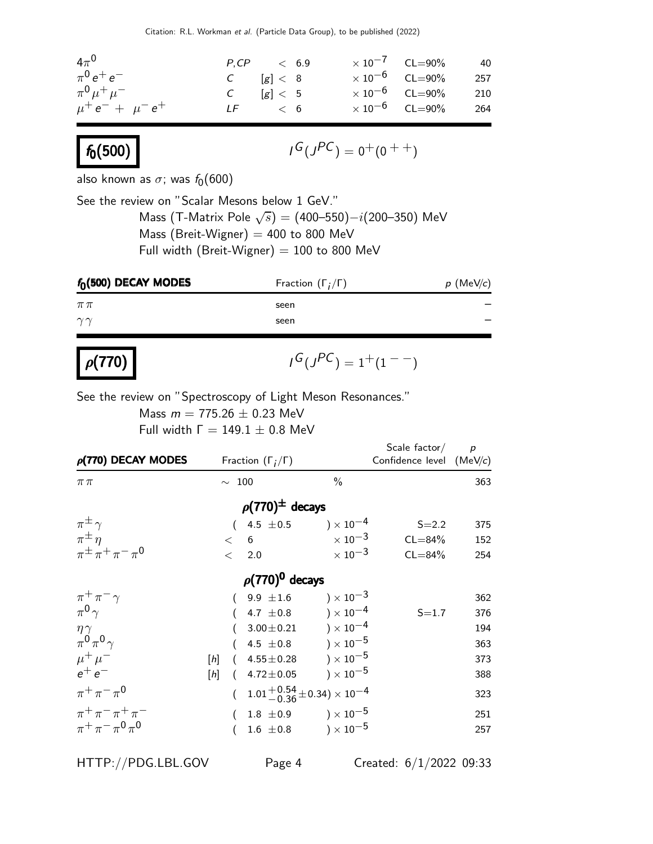Citation: R.L. Workman et al. (Particle Data Group), to be published (2022)

| $4\pi^0$                | $P,CP$ | $< 6.9$   | $< 10^{-7}$ | $CL=90\%$ | $40$  |
|-------------------------|--------|-----------|-------------|-----------|-------|
| $\pi^0 e^+ e^-$         | $C$    | $[g] < 8$ | $< 10^{-6}$ | $CL=90\%$ | $257$ |
| $\pi^0 \mu^+ \mu^-$     | $C$    | $[g] < 5$ | $< 10^{-6}$ | $CL=90\%$ | $210$ |
| $\mu^+ e^- + \mu^- e^+$ | $LF$   | $< 6$     | $< 10^{-6}$ | $CL=90\%$ | $264$ |

# $f_0(500)$

$$
I^G(J^{PC})=0^+(0^{++})
$$

also known as  $\sigma$ ; was  $f_0(600)$ 

See the review on "Scalar Mesons below 1 GeV." Mass (T-Matrix Pole  $\sqrt{s}$ ) = (400–550) $-i(200-350)$  MeV Mass (Breit-Wigner)  $=$  400 to 800 MeV Full width (Breit-Wigner)  $= 100$  to 800 MeV

| $f_0(500)$ DECAY MODES | Fraction $(\Gamma_i/\Gamma)$ | $p$ (MeV/c) |
|------------------------|------------------------------|-------------|
| $\pi\pi$               | seen                         |             |
| $\gamma\gamma$         | seen                         |             |

### $\rho(170)$  |  $\sqrt{25}$

$$
\iota^G(\jmath^{PC})=1^+(1^{--})
$$

See the review on "Spectroscopy of Light Meson Resonances."

Mass  $m = 775.26 \pm 0.23$  MeV Full width  $Γ = 149.1 ± 0.8$  MeV

| $\rho$ (770) DECAY MODES       | Fraction $(\Gamma_i/\Gamma)$              |                                             | Scale factor/ $p$<br>Confidence level (MeV/c) |     |
|--------------------------------|-------------------------------------------|---------------------------------------------|-----------------------------------------------|-----|
| $\pi\pi$                       | $\sim$ 100                                | $\frac{0}{0}$                               |                                               | 363 |
|                                | $\rho(770)^{\pm}$ decays                  |                                             |                                               |     |
| $\pi^{\pm}$                    | $(4.5 \pm 0.5) \times 10^{-4}$            |                                             | $S = 2.2$                                     | 375 |
| $\pi^{\pm}$ $\eta$             | < 6                                       | $\times$ 10 <sup>-3</sup>                   | $CL = 84\%$                                   | 152 |
| $\pi^{\pm} \pi^+ \pi^- \pi^0$  | 2.0<br>$\lt$                              | $\times$ 10 <sup>-3</sup>                   | $CL = 84%$                                    | 254 |
|                                | $\rho(770)^0$ decays                      |                                             |                                               |     |
| $\pi^+\pi^-\gamma$             | $(9.9 \pm 1.6) \times 10^{-3}$            |                                             |                                               | 362 |
| $\pi^{0}$ $\gamma$             | $(4.7 \pm 0.8) \times 10^{-4}$            |                                             | $S = 1.7$                                     | 376 |
| $\eta\gamma$                   |                                           | $3.00 \pm 0.21$ $\qquad$ $) \times 10^{-4}$ |                                               | 194 |
| $\pi^0 \pi^0 \gamma$           |                                           | $4.5 \pm 0.8$ ) $\times$ $10^{-5}$          |                                               | 363 |
| $\mu^+ \mu^-$                  | $(4.55 \pm 0.28) \times 10^{-5}$<br>$[h]$ |                                             |                                               | 373 |
| $e^+e^-$                       | $(4.72 \pm 0.05)$<br>[h]                  | ) $\times$ 10 $^{-5}$                       |                                               | 388 |
| $\pi^{+}\pi^{-}\pi^{0}$        | $(1.01 + 0.54 + 0.34) \times 10^{-4}$     |                                             |                                               | 323 |
| $\pi^{+}\pi^{-}\pi^{+}\pi^{-}$ |                                           | 1.8 $\pm 0.9$ ) $\times 10^{-5}$            |                                               | 251 |
| $\pi^+ \pi^- \pi^0 \pi^0$      | $1.6 \pm 0.8$                             | $) \times 10^{-5}$                          |                                               | 257 |

HTTP://PDG.LBL.GOV Page 4 Created: 6/1/2022 09:33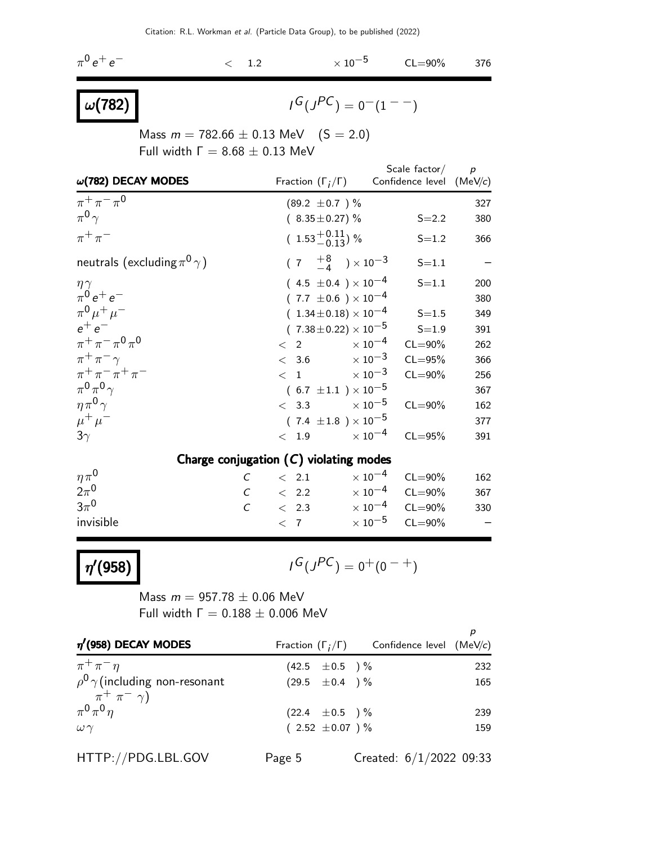$\pi^0\,e^+\,e$ −  $< 1.2$   $\times 10^{-5}$  CL=90% 376

## $\omega(782)$

$$
I^G(J^{PC})=0^-(1^{--})
$$

Mass  $m = 782.66 \pm 0.13$  MeV  $(S = 2.0)$ Full width  $Γ = 8.68 ± 0.13$  MeV

|                                          |                                                | Scale factor $/p$                       |     |
|------------------------------------------|------------------------------------------------|-----------------------------------------|-----|
| $\omega(782)$ DECAY MODES                | Fraction $(\Gamma_i/\Gamma)$                   | Confidence level (MeV/c)                |     |
| $\pi^{+}\pi^{-}\pi^{0}$                  | $(89.2 \pm 0.7)$ %                             |                                         | 327 |
| $\pi^0 \gamma$                           | $(8.35 \pm 0.27)\%$                            | $S = 2.2$                               | 380 |
| $\pi^+\pi^-$                             | $(1.53^{+0.11}_{-0.13})$ %                     | $S = 1.2$                               | 366 |
| neutrals (excluding $\pi^0 \gamma$ )     | $(7 \tfrac{+8}{-4}) \times 10^{-3}$            | $S = 1.1$                               |     |
| $\frac{\eta \gamma}{\pi^0 e^+ e^-}$      | $(4.5 \pm 0.4) \times 10^{-4}$                 | $S = 1.1$                               | 200 |
|                                          | $(7.7 \pm 0.6) \times 10^{-4}$                 |                                         | 380 |
| $\pi^{0} \mu^{+} \mu^{-}$                | $(1.34 \pm 0.18) \times 10^{-4}$               | $S = 1.5$                               | 349 |
| $-$ م $+$ م                              | $(7.38 \pm 0.22) \times 10^{-5}$               | $S = 1.9$                               | 391 |
| $\pi^+ \pi^- \pi^0 \pi^0$                | $< 2 \times 10^{-4}$                           | $CL = 90\%$                             | 262 |
| $\pi^+\pi^-\gamma$                       |                                                | $< 3.6$ $\times 10^{-3}$ CL=95%         | 366 |
| $\pi^+ \pi^- \pi^+ \pi^-$                | $<\phantom{0}1\phantom{.000000}\times 10^{-3}$ | $CL = 90\%$                             | 256 |
| $\pi^0 \pi^0 \gamma$                     | $(6.7 \pm 1.1) \times 10^{-5}$                 |                                         | 367 |
| $\eta \pi^0 \gamma$                      | $< 3.3 \times 10^{-5}$                         | $CL = 90\%$                             | 162 |
| $\mu^+ \mu^-$                            | $(7.4 \pm 1.8) \times 10^{-5}$                 |                                         | 377 |
| $3\gamma$                                | $< 1.9 \times 10^{-4}$                         | $CL = 95%$                              | 391 |
| Charge conjugation $(C)$ violating modes |                                                |                                         |     |
| $\eta \pi^0$                             | $C \quad < 2.1$                                | $\times$ 10 $^{-4}$<br>$CL = 90\%$      | 162 |
| $2\pi^0$                                 | $C \quad < 2.2$                                | $\times 10^{-4}$ CL=90%                 | 367 |
| $3\pi^0$                                 |                                                | $C \t 2.3 \t \times 10^{-4} \t CL=90\%$ | 330 |
| invisible                                |                                                | $< 7$ $\times 10^{-5}$ CL=90%           |     |

 $\eta'(958)$ 

$$
I^G(J^{PC}) = 0^+(0^{-+})
$$

Mass  $m = 957.78 \pm 0.06$  MeV Full width  $Γ = 0.188 ± 0.006$  MeV

| $\eta'$ (958) DECAY MODES                                       |                     | Fraction $(\Gamma_i/\Gamma)$ Confidence level (MeV/c) |     |
|-----------------------------------------------------------------|---------------------|-------------------------------------------------------|-----|
| $\pi^+\pi^-\eta$                                                | $(42.5 \pm 0.5)$ %  |                                                       | 232 |
| $\rho^0 \gamma$ (including non-resonant<br>$\pi^+ \pi^- \gamma$ | $(29.5 \pm 0.4)$ %  |                                                       | 165 |
| $\pi^0 \pi^0 \eta$                                              | $(22.4 \pm 0.5)$ %  |                                                       | 239 |
| $\omega \gamma$                                                 | $(2.52 \pm 0.07)$ % |                                                       | 159 |
| HTTP://PDG.LBL.GOV                                              | Page 5              | Created: $6/1/2022$ 09:33                             |     |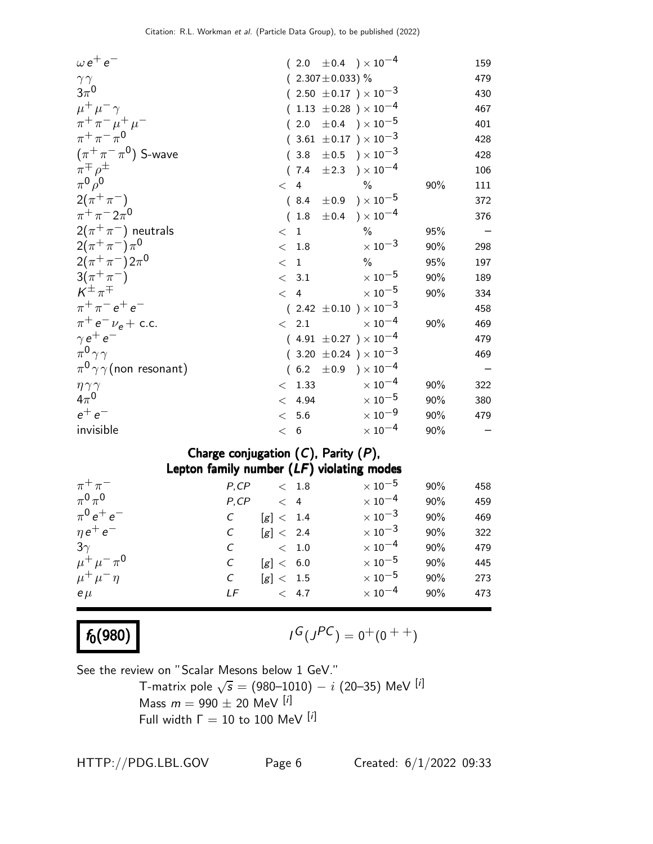| $\omega e^+e^-$                      | $(2.0 \pm 0.4) \times 10^{-4}$   |                           |     | 159                             |
|--------------------------------------|----------------------------------|---------------------------|-----|---------------------------------|
| $\gamma\, \gamma$                    | $(2.307 \pm 0.033)$ %            |                           |     | 479                             |
| $3\pi^0$                             | $(2.50 \pm 0.17) \times 10^{-3}$ |                           |     | 430                             |
| $\mu^+ \mu^- \gamma$                 | $(1.13 \pm 0.28) \times 10^{-4}$ |                           |     | 467                             |
| $\pi^+ \pi^- \mu^+ \mu^-$            | $(2.0 \pm 0.4) \times 10^{-5}$   |                           |     | 401                             |
| $\pi^{+}\pi^{-}\pi^{0}$              | $(3.61 \pm 0.17) \times 10^{-3}$ |                           |     | 428                             |
| $(\pi^+\pi^-\pi^0)$ S-wave           | $(3.8 \pm 0.5) \times 10^{-3}$   |                           |     | 428                             |
| $\pi^{\mp}\rho^{\pm}$                | $(7.4 \pm 2.3) \times 10^{-4}$   |                           |     | 106                             |
| $\pi^0 \rho^0$                       | $< 4$ %                          |                           | 90% | 111                             |
| $2(\pi^{+}\pi^{-})$                  | $(8.4 \pm 0.9) \times 10^{-5}$   |                           |     | 372                             |
| $\pi^{+}\pi^{-}2\pi^{0}$             | $(1.8 \pm 0.4) \times 10^{-4}$   |                           |     | 376                             |
| $2(\pi^+\pi^-)$ neutrals             | < 1                              | $\frac{0}{0}$             | 95% | $\hspace{0.1mm}-\hspace{0.1mm}$ |
| $2(\pi^{+}\pi^{-})\pi^{0}$           | < 1.8                            | $\times$ 10 <sup>-3</sup> | 90% | 298                             |
| $2(\pi^+\pi^-)2\pi^0$                | < 1                              | $\frac{0}{0}$             | 95% | 197                             |
| $3(\pi^{+}\pi^{-})$                  | < 3.1                            | $\times$ 10 $^{-5}$       | 90% | 189                             |
| $K^{\pm} \pi^{\mp}$                  | $\langle 4 \rangle$              | $\times$ 10 $^{-5}$       | 90% | 334                             |
| $\pi^{+}\pi^{-}e^{+}e^{-}$           | $(2.42 \pm 0.10) \times 10^{-3}$ |                           |     | 458                             |
| $\pi^+ e^- \nu_e + \text{c.c.}$      | $\langle$ 2.1                    | $\times$ $10^{-4}$        | 90% | 469                             |
| $\gamma e^+ e^-$                     | $(4.91 \pm 0.27) \times 10^{-4}$ |                           |     | 479                             |
| $\pi^0 \gamma \gamma$                | $(3.20 \pm 0.24) \times 10^{-3}$ |                           |     | 469                             |
| $\pi^0 \gamma \gamma$ (non resonant) | $(6.2 \pm 0.9) \times 10^{-4}$   |                           |     |                                 |
| $\eta\,\gamma\,\gamma$               | < 1.33                           | $\times$ $10^{-4}$        | 90% | 322                             |
| $4\pi^0$                             | < 4.94                           | $\times$ 10 $^{-5}$       | 90% | 380                             |
| $e^+e^-$                             | < 5.6                            | $\times$ 10 $^{-9}$       | 90% | 479                             |
| invisible                            | < 6                              | $\times$ $10^{-4}$        | 90% |                                 |

### Charge conjugation  $(C)$ , Parity  $(P)$ , Lepton family number (LF) violating modes

| $\pi^+\pi^-$          | P, CP         |           | < 1.8       | $\times$ 10 $^{-5}$       | 90% | 458 |
|-----------------------|---------------|-----------|-------------|---------------------------|-----|-----|
| $\pi^0\pi^0$          | P, CP         | $\lt$ 4   |             | $\times$ 10 $^{-4}$       | 90% | 459 |
| $\pi^{0} e^{+} e^{-}$ |               | [g] < 1.4 |             | $\times$ 10 <sup>-3</sup> | 90% | 469 |
| $\eta e^+ e^-$        | $\mathcal{C}$ | [g] < 2.4 |             | $\times$ 10 $^{-3}$       | 90% | 322 |
| $3\gamma$             |               |           | $\rm <~1.0$ | $\times$ 10 $^{-4}$       | 90% | 479 |
| $\mu^+ \mu^- \pi^0$   | C             | [g] < 6.0 |             | $\times$ 10 $^{-5}$       | 90% | 445 |
| $\mu^+ \mu^- \eta$    | C             | [g] < 1.5 |             | $\times$ 10 $^{-5}$       | 90% | 273 |
| $e\,\mu$              | LF            | < 4.7     |             | $\times$ 10 $^{-4}$       | 90% | 473 |

## $f_0(980)$

$$
I^G(J^{PC}) = 0^+(0^{++})
$$

See the review on "Scalar Mesons below 1 GeV." T-matrix pole  $\sqrt{s} = (980–1010) - i (20–35)$  MeV  $^{[i]}$ 

Mass  $m = 990 \pm 20$  MeV  $[*i*]$ 

Full width  $Γ = 10$  to 100 MeV [i]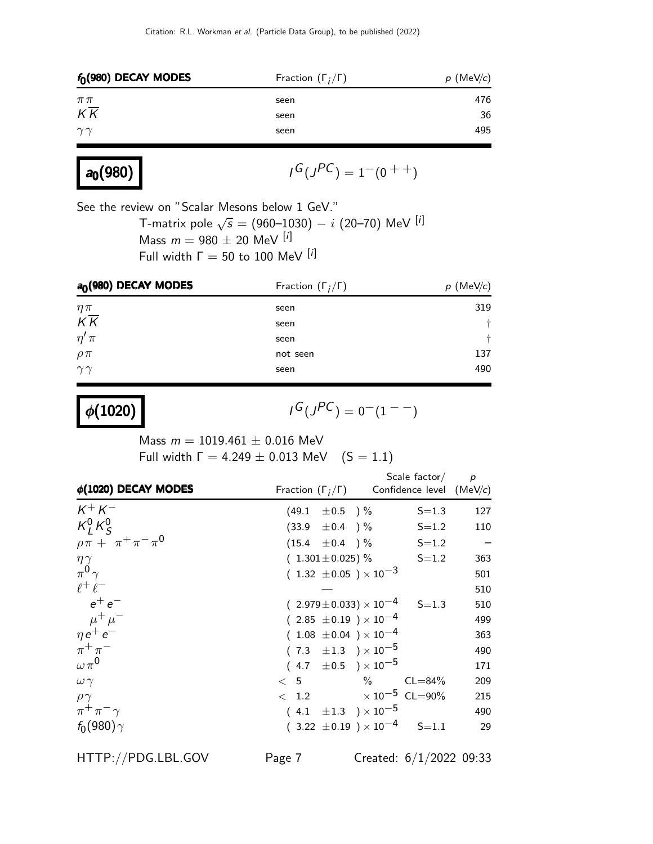| $f_0(980)$ DECAY MODES | Fraction $(\Gamma_i/\Gamma)$ | $p$ (MeV/c) |
|------------------------|------------------------------|-------------|
| $\pi\pi$               | seen                         | 476         |
| $K\overline{K}$        | seen                         | 36          |
| $\gamma\gamma$         | seen                         | 495         |

| $a_0(980)$ |  |
|------------|--|
|------------|--|

$$
I^G(J^{PC}) = 1^-(0^{++})
$$

See the review on "Scalar Mesons below 1 GeV."

T-matrix pole  $\sqrt{s}=(960–1030)-i$   $(20–70)$  MeV  $^{[i]}$ Mass  $m = 980 \pm 20$  MeV [i] Full width  $Γ = 50$  to 100 MeV [i]

| a <sub>0</sub> (980) DECAY MODES | Fraction $(\Gamma_i/\Gamma)$ | (MeV/c)<br>p |
|----------------------------------|------------------------------|--------------|
| $\eta\pi$                        | seen                         | 319          |
| $K\overline{K}$                  | seen                         |              |
| $\eta'$ $\pi$                    | seen                         |              |
| $\rho \pi$                       | not seen                     | 137          |
| $\gamma\gamma$                   | seen                         | 490          |

 $\phi(1020)$ 

$$
I^G(J^{PC})=0^-(1^{--})
$$

Mass  $m = 1019.461 \pm 0.016$  MeV Full width  $\Gamma = 4.249 \pm 0.013$  MeV  $(S = 1.1)$ 

| $\phi(1020)$ DECAY MODES       | Fraction $(\Gamma_i/\Gamma)$ Confidence level (MeV/c) |                                          | Scale factor $p$         |
|--------------------------------|-------------------------------------------------------|------------------------------------------|--------------------------|
| $K^+ K^-$                      |                                                       | $(49.1 \pm 0.5)$ % S=1.3                 | 127                      |
| $K_I^0 K_S^0$                  | $(33.9 \pm 0.4)$ %                                    |                                          | $S = 1.2$<br>110         |
| $\rho \pi + \pi^+ \pi^- \pi^0$ |                                                       | $(15.4 \pm 0.4)$ % S=1.2                 | $\overline{\phantom{0}}$ |
| $\eta \gamma$                  |                                                       | $(1.301 \pm 0.025)$ % S=1.2              | 363                      |
| $\pi^0 \gamma$                 | $(1.32 \pm 0.05) \times 10^{-3}$                      |                                          | 501                      |
| $l^+l^-$                       |                                                       |                                          | 510                      |
| $e^+e^-$                       |                                                       | $(2.979 \pm 0.033) \times 10^{-4}$ S=1.3 | 510                      |
| $\mu^+ \mu^-$                  | $(2.85 \pm 0.19) \times 10^{-4}$                      |                                          | 499                      |
| $\eta e^+ e^-$                 | $(1.08 \pm 0.04) \times 10^{-4}$                      |                                          | 363                      |
| $\pi^+\pi^-$                   | $(7.3 \pm 1.3) \times 10^{-5}$                        |                                          | 490                      |
| $\omega \pi^0$                 | $(4.7 \pm 0.5) \times 10^{-5}$                        |                                          | 171                      |
| $\omega \gamma$                | $< 5$ % CL=84%                                        |                                          | 209                      |
| $\rho\gamma$                   | $< 1.2 \times 10^{-5} \text{ CL} = 90\%$              |                                          | 215                      |
| $\pi^+\pi^-\gamma$             | $(4.1 \pm 1.3) \times 10^{-5}$                        |                                          | 490                      |
| $f_0(980)\gamma$               |                                                       | $(3.22 \pm 0.19) \times 10^{-4}$ S=1.1   | 29                       |

HTTP://PDG.LBL.GOV Page 7 Created: 6/1/2022 09:33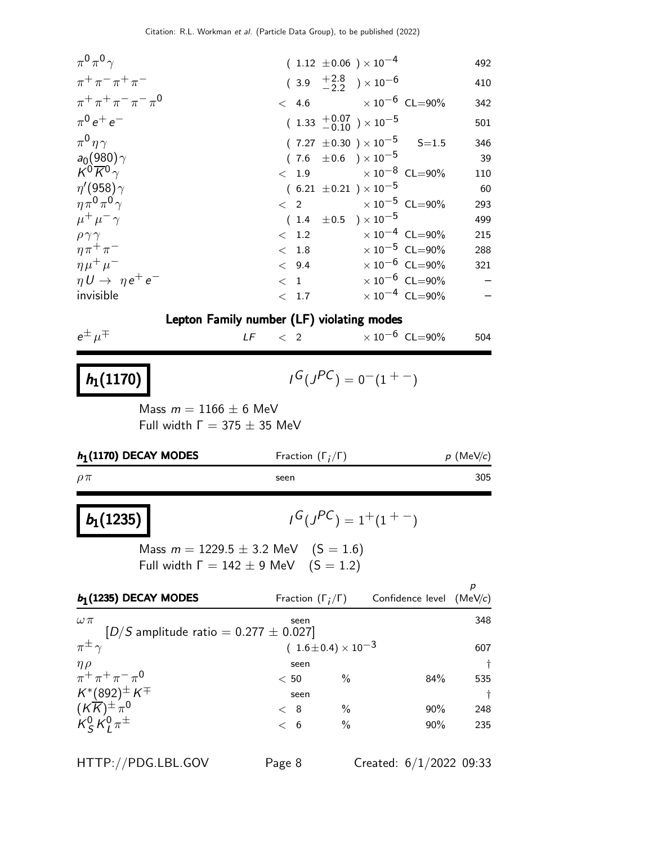| $\mid b_1(1235)\mid$                                              | Mass $m = 1229.5 + 3.2$ MeV $(5 = 1.6)$     | $I^G(J^{PC}) = 1^+(1^{+})$                                  |                     |
|-------------------------------------------------------------------|---------------------------------------------|-------------------------------------------------------------|---------------------|
| $\rho \pi$                                                        | seen                                        |                                                             | 305                 |
| $h_1(1170)$ DECAY MODES                                           | Fraction $(\Gamma_i/\Gamma)$                |                                                             | $p$ (MeV/c)         |
| Mass $m = 1166 \pm 6$ MeV<br>Full width $\Gamma = 375 \pm 35$ MeV |                                             |                                                             |                     |
| $h_1(1170)$                                                       |                                             | $I^G(J^{PC}) = 0^-(1^+)$                                    |                     |
| $e^{\pm}$ $\mu^{\mp}$                                             | $\langle$ 2<br>LF                           | $\times 10^{-6}$ CL=90%                                     | 504                 |
|                                                                   | Lepton Family number (LF) violating modes   |                                                             |                     |
| $\eta U \rightarrow \eta e^+ e^-$<br>invisible                    | < 1<br>< 1.7                                | $\times$ 10 <sup>-6</sup> CL=90%<br>$\times 10^{-4}$ CL=90% | —<br>$\overline{a}$ |
| $\eta\mu^+\mu^-$                                                  |                                             | $< 9.4 \times 10^{-6}$ CL=90%                               | 321                 |
| $\eta \pi^+ \pi^-$                                                |                                             | $<$ 1.8 $\times$ 10 <sup>-5</sup> CL=90%                    | 288                 |
| $\rho \gamma \gamma$                                              |                                             | $< 1.2$ $\times 10^{-4}$ CL=90%                             | 215                 |
| $\mu^+ \mu^- \gamma$                                              | $(1.4 \pm 0.5) \times 10^{-5}$              |                                                             | 499                 |
| $\eta \pi^0 \pi^0 \gamma$                                         | $\langle 2 \rangle$                         | $\times 10^{-5}$ CL=90%                                     | 293                 |
| $\eta$ '(958) $\gamma$                                            | $(6.21 \pm 0.21) \times 10^{-5}$            |                                                             | 60                  |
| $a_0(980)\gamma$<br>$K^0 \overline{K}{}^0 \gamma$                 | $(7.6 \pm 0.6) \times 10^{-5}$              | $<$ 1.9 $\times$ 10 $^{-8}$ CL=90%                          | 39<br>110           |
| $\pi^0 \eta \gamma$                                               | $(7.27 \pm 0.30) \times 10^{-5}$            | $S = 1.5$                                                   | 346                 |
| $\pi^{0} e^{+} e^{-}$                                             | $(1.33 \t + 0.07 \t - 0.10) \times 10^{-5}$ |                                                             | 501                 |
|                                                                   |                                             |                                                             | 342                 |
| $\pi^{+}\pi^{+}\pi^{-}\pi^{-}\pi^{0}$                             | $(3.9 \tfrac{+2.8}{-2.2}) \times 10^{-6}$   | $<$ 4.6 $\times$ 10 $^{-6}$ CL=90%                          | 410                 |
| $\pi^{+}\pi^{-}\pi^{+}\pi^{-}$                                    |                                             |                                                             |                     |
| $\pi^0 \pi^0 \gamma$                                              | $(1.12 \pm 0.06) \times 10^{-4}$            |                                                             | 492                 |

Mass  $m = 1229.5 \pm 3.2$  MeV  $(S = 1.6)$ Full width  $\Gamma = 142 \pm 9$  MeV  $(S = 1.2)$ 

| $b1$ (1235) DECAY MODES                                     | Fraction $(\Gamma_i/\Gamma)$ |                                | Confidence level $(MeV/c)$ |     |
|-------------------------------------------------------------|------------------------------|--------------------------------|----------------------------|-----|
| $\omega \pi$<br>$[D/S$ amplitude ratio = 0.277 $\pm$ 0.027] | seen                         |                                |                            | 348 |
| $\pi^{\pm}$                                                 |                              | $(1.6 \pm 0.4) \times 10^{-3}$ |                            | 607 |
| $\eta \rho$                                                 | seen                         |                                |                            | ŧ.  |
| $\pi^{+}\pi^{+}\pi^{-}\pi^{0}$                              | < 50                         | $\%$                           | 84%                        | 535 |
| $\mathcal{K}^*(892)^\pm \, \mathcal{K}^\mp$                 | seen                         |                                |                            | t.  |
| $(K\overline{K})^{\pm} \pi^0$                               | $\langle 8$                  | $\frac{0}{0}$                  | $90\%$                     | 248 |
| $K^0_s K^0_t \pi^{\pm}$                                     | < 6                          | $\frac{0}{0}$                  | $90\%$                     | 235 |

HTTP://PDG.LBL.GOV Page 8 Created: 6/1/2022 09:33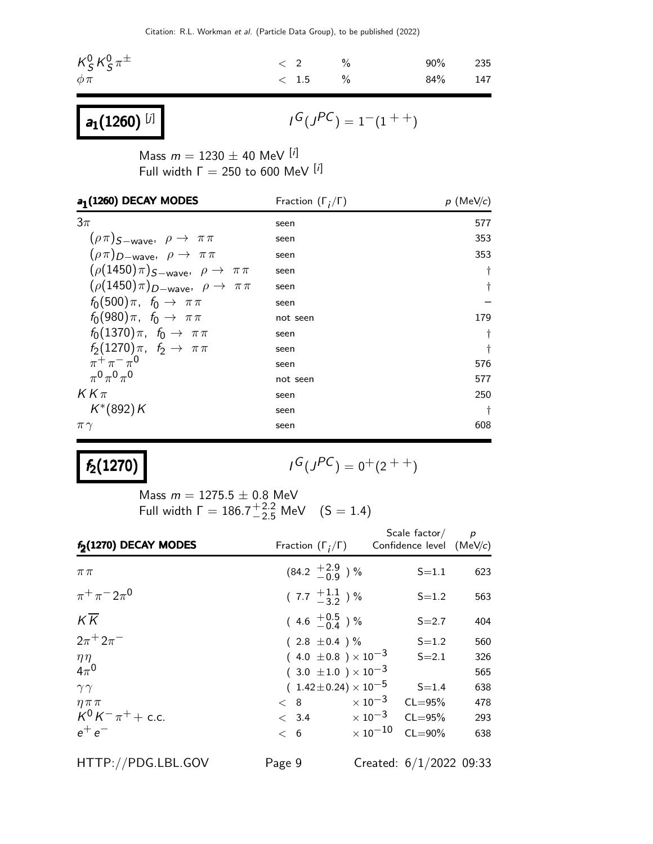| $\kappa_S^0 \kappa_S^0 \pi^\pm$ | $\langle 2 \rangle$ | $\%$ | 90% 235 |  |
|---------------------------------|---------------------|------|---------|--|
| $\phi \pi$                      | $< 1.5$ %           |      | 84% 147 |  |

 $a_1(1260)$  [j]

 $I^G(J^{PC}) = 1^-(1^{++})$ 

Mass  $m = 1230 \pm 40$  MeV  $[i]$ Full width  $\Gamma = 250$  to 600 MeV  $[i]$ 

| a <sub>1</sub> (1260) DECAY MODES                   | Fraction $(\Gamma_i/\Gamma)$ | $p$ (MeV/c) |  |  |
|-----------------------------------------------------|------------------------------|-------------|--|--|
| $3\pi$                                              | seen                         | 577         |  |  |
| $(\rho \pi)_{S-wave}, \rho \rightarrow \pi \pi$     | seen                         | 353         |  |  |
| $(\rho \pi)_{D-wave}, \rho \rightarrow \pi \pi$     | seen                         | 353         |  |  |
| $(\rho(1450)\pi)_{S-wave}, \rho \rightarrow \pi\pi$ | seen                         | $\dagger$   |  |  |
| $(\rho(1450)\pi)_{D-wave}, \rho \rightarrow \pi\pi$ | seen                         | $\dagger$   |  |  |
| $f_0(500)\pi$ , $f_0 \to \pi\pi$                    | seen                         |             |  |  |
| $f_0(980)\pi$ , $f_0 \to \pi\pi$                    | not seen                     | 179         |  |  |
| $f_0(1370)\pi$ , $f_0 \rightarrow \pi\pi$           | seen                         | Ť           |  |  |
| $f_2(1270)\pi$ , $f_2 \to \pi\pi$                   | seen                         | t           |  |  |
| $\pi^{+}\pi^{-}\pi^{0}$                             | seen                         | 576         |  |  |
| $_{\pi}0_{\pi}0_{\pi}0$                             | not seen                     | 577         |  |  |
| $KK\pi$                                             | seen                         | 250         |  |  |
| $K^*(892)K$                                         | seen                         | ŧ           |  |  |
| $\pi\gamma$                                         | seen                         | 608         |  |  |

## $f_2(1270)$

$$
I^G(J^{PC}) = 0^+(2^{++})
$$

Mass  $m = 1275.5 \pm 0.8$  MeV Full width  $\Gamma = 186.7^{+2.2}_{-2.5}$  MeV  $(S = 1.4)$ 

| f <sub>2</sub> (1270) DECAY MODES | Fraction $(\Gamma_i/\Gamma)$                   |                                  | Scale factor $/$ p<br>Confidence level (MeV/c) |     |
|-----------------------------------|------------------------------------------------|----------------------------------|------------------------------------------------|-----|
| $\pi\pi$                          | $(84.2 \tfrac{+2.9}{-0.9})$ %                  |                                  | $S = 1.1$                                      | 623 |
| $\pi^{+}\pi^{-}2\pi^{0}$          | $(7.7 \frac{+1.1}{-3.2})$ %                    |                                  | $S = 1.2$                                      | 563 |
| $K\overline{K}$                   | $(4.6 \tfrac{+0.5}{-0.4})\%$                   |                                  | $S = 2.7$                                      | 404 |
| $2\pi^{+} 2\pi^{-}$               | $(2.8 \pm 0.4) \%$                             |                                  | $S = 1.2$                                      | 560 |
| $\eta\eta$                        | $(4.0 \pm 0.8) \times 10^{-3}$                 |                                  | $S = 2.1$                                      | 326 |
| $4\pi^0$                          | $(3.0 \pm 1.0) \times 10^{-3}$                 |                                  |                                                | 565 |
| $\gamma\gamma$                    |                                                | $(1.42 \pm 0.24) \times 10^{-5}$ | $S = 1.4$                                      | 638 |
| $\eta \pi \pi$                    | < 8                                            | $\times$ 10 $^{-3}$              | $CL = 95%$                                     | 478 |
| $K^0 K^- \pi^+ + c.c.$            | $< 3.4 \times 10^{-3}$ CL=95%                  |                                  |                                                | 293 |
| $e^+e^-$                          | $<\hspace{1mm} 6 \hspace{1cm} \times 10^{-10}$ |                                  | $CL = 90\%$                                    | 638 |
| HTTP://PDG.LBL.GOV                | Page 9                                         |                                  | Created: $6/1/2022$ 09:33                      |     |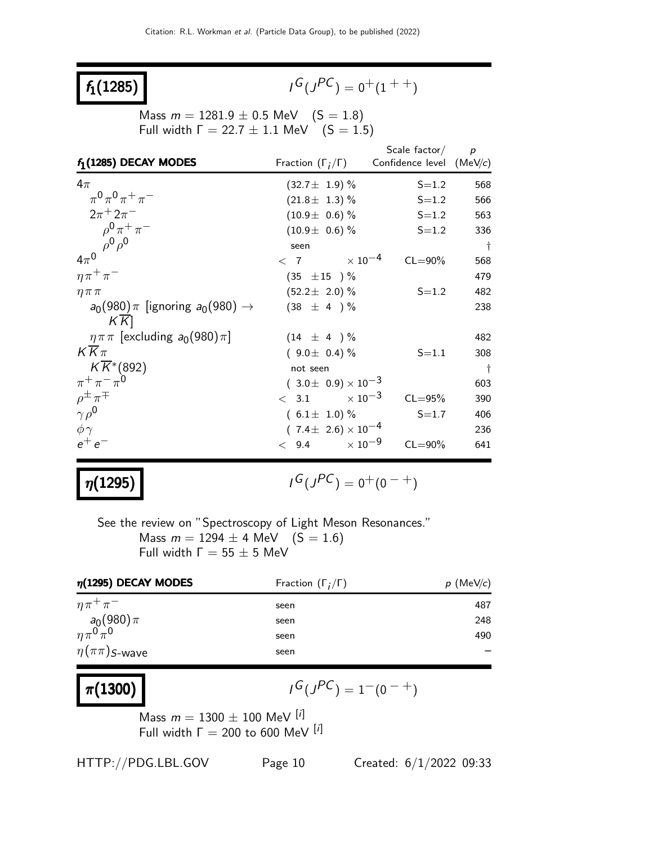## $f_1(1285)$

$$
I^G(J^{PC}) = 0^+(1^{++})
$$

Mass  $m = 1281.9 \pm 0.5$  MeV  $(S = 1.8)$ Full width  $Γ = 22.7 ± 1.1$  MeV  $(S = 1.5)$ 

|                                                |                                | Scale factor $/p$        |           |
|------------------------------------------------|--------------------------------|--------------------------|-----------|
| $f_1(1285)$ DECAY MODES                        | Fraction $(\Gamma_i/\Gamma)$   | Confidence level (MeV/c) |           |
| $4\pi$                                         | $(32.7 \pm 1.9)$ %             | $S = 1.2$                | 568       |
| $\pi^{0}\pi^{0}\pi^{+}\pi^{-}$                 | $(21.8 \pm 1.3)$ %             | $S = 1.2$                | 566       |
| $2\pi^+ 2\pi^-$                                | $(10.9 \pm 0.6)$ %             | $S = 1.2$                | 563       |
| $\rho^{0} \pi^{+} \pi^{-}$                     | $(10.9 \pm 0.6)$ %             | $S = 1.2$                | 336       |
| $\rho^0 \rho^0$                                | seen                           |                          | $\dagger$ |
| $4\pi^0$                                       | $< 7$ $\times 10^{-4}$         | $CL = 90\%$              | 568       |
| $\eta \pi^+ \pi^-$                             | $(35 \pm 15) \%$               |                          | 479       |
| $\eta \pi \pi$                                 | $(52.2 \pm 2.0)\%$             | $S = 1.2$                | 482       |
| $a_0(980)\pi$ [ignoring $a_0(980) \rightarrow$ | $(38 \pm 4) \%$                |                          | 238       |
| $K$ K                                          |                                |                          |           |
| $\eta \pi \pi$ [excluding $a_0(980) \pi$ ]     | $(14 \pm 4) \%$                |                          | 482       |
| $KK\pi$                                        | $(9.0 \pm 0.4)\%$              | $S = 1.1$                | 308       |
| $K\overline{K}$ <sup>*</sup> (892)             | not seen                       |                          | $\dagger$ |
| $\pi^{+}\pi^{-}\pi^{0}$                        | $(3.0 \pm 0.9) \times 10^{-3}$ |                          | 603       |
| $\rho^{\pm} \pi^{\mp}$                         | $< 3.1$ $\times 10^{-3}$       | $CL = 95%$               | 390       |
| $\gamma \rho^0$                                | $(6.1 \pm 1.0)\%$              | $S = 1.7$                | 406       |
| $\phi \gamma$                                  | $(7.4 \pm 2.6) \times 10^{-4}$ |                          | 236       |
| $e^+e^-$                                       | $< 9.4 \times 10^{-9}$         | $CL = 90\%$              | 641       |

## $\eta(1295)$

$$
I^G(J^{PC})=0^+(0^{\hspace{1pt}-+})
$$

See the review on "Spectroscopy of Light Meson Resonances." Mass  $m = 1294 \pm 4$  MeV  $(S = 1.6)$ Full width  $Γ = 55 ± 5$  MeV

| $\eta$ (1295) DECAY MODES            | Fraction $(\Gamma_i/\Gamma)$ | $p$ (MeV/c) |  |
|--------------------------------------|------------------------------|-------------|--|
| $\eta \pi^+ \pi^-$                   | seen                         | 487         |  |
| $\frac{a_0(980)\pi}{\eta\pi^0\pi^0}$ | seen                         | 248         |  |
|                                      | seen                         | 490         |  |
| $\eta(\pi\pi)$ S-wave                | seen                         |             |  |

### $\pi(1300)$

$$
I^G(J^{PC}) = 1^-(0^{-+})
$$

Mass  $m = 1300 \pm 100$  MeV <sup>[i]</sup> Full width  $\Gamma = 200$  to 600 MeV [i]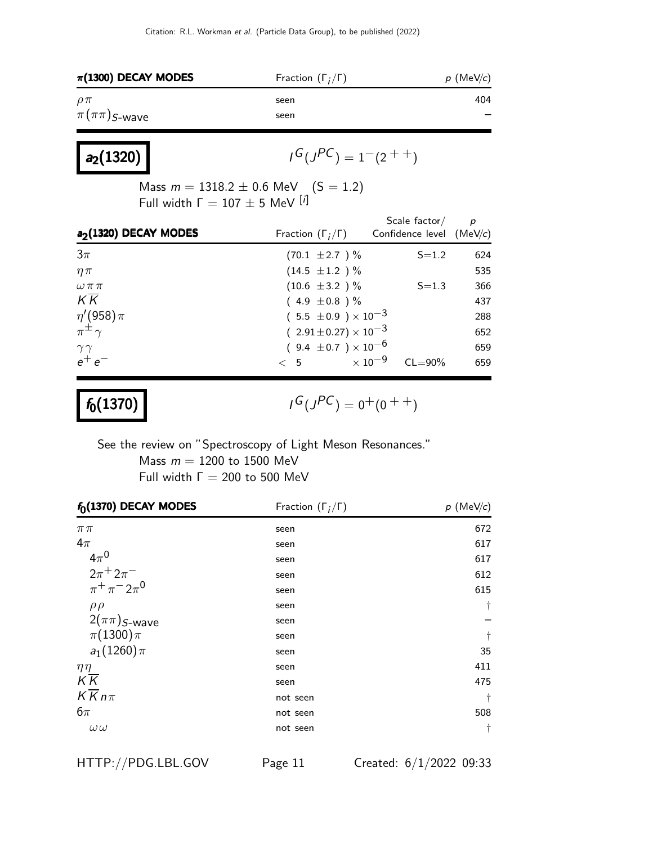| $\pi$ (1300) DECAY MODES | Fraction $(\Gamma_i/\Gamma)$ | $p$ (MeV/c) |
|--------------------------|------------------------------|-------------|
| $\rho\pi$                | seen                         | 404         |
| $\pi(\pi\pi)$ S-wave     | seen                         |             |

| $a_2(1320)$ |  |
|-------------|--|
|-------------|--|

$$
I^G(J^{PC}) = 1^-(2^{++})
$$

Mass  $m = 1318.2 \pm 0.6$  MeV (S = 1.2) Full width  $Γ = 107 ± 5$  MeV [i]

|                     | Confidence level $(MeV/c)$   |                                                                                                                             |
|---------------------|------------------------------|-----------------------------------------------------------------------------------------------------------------------------|
| $(70.1 \pm 2.7)$ %  | $S = 1.2$                    | 624                                                                                                                         |
| $(14.5 \pm 1.2) \%$ |                              | 535                                                                                                                         |
| $(10.6 \pm 3.2) \%$ | $S = 1.3$                    | 366                                                                                                                         |
| $(4.9 \pm 0.8)$ %   |                              | 437                                                                                                                         |
|                     |                              | 288                                                                                                                         |
|                     |                              | 652                                                                                                                         |
|                     |                              | 659                                                                                                                         |
| < 5                 | $CL = 90\%$                  | 659                                                                                                                         |
|                     | Fraction $(\Gamma_i/\Gamma)$ | $(5.5 \pm 0.9) \times 10^{-3}$<br>$(2.91 \pm 0.27) \times 10^{-3}$<br>$(9.4 \pm 0.7) \times 10^{-6}$<br>$\times$ 10 $^{-9}$ |

 $f_0(1370)$ 

 $G(J^{PC}) = 0^+(0^{++})$ 

See the review on "Spectroscopy of Light Meson Resonances." Mass  $m = 1200$  to 1500 MeV Full width  $\Gamma = 200$  to 500 MeV

| $f_0(1370)$ DECAY MODES  | Fraction $(\Gamma_i/\Gamma)$ | $p$ (MeV/c) |
|--------------------------|------------------------------|-------------|
| $\pi\pi$                 | seen                         | 672         |
| $4\pi$                   | seen                         | 617         |
| $4\pi^0$                 | seen                         | 617         |
| $2\pi^{+} 2\pi^{-}$      | seen                         | 612         |
| $\pi^{+}\pi^{-}2\pi^{0}$ | seen                         | 615         |
| $\rho \rho$              | seen                         | t           |
| $2(\pi\pi)$ S-wave       | seen                         |             |
| $\pi(1300)\pi$           | seen                         | $\dagger$   |
| $a_1(1260)\pi$           | seen                         | 35          |
| $\eta \eta$              | seen                         | 411         |
| $K\overline{K}$          | seen                         | 475         |
| $K\overline{K}n\pi$      | not seen                     | $\dagger$   |
| $6\pi$                   | not seen                     | 508         |
| $\omega\,\omega$         | not seen                     | $\dagger$   |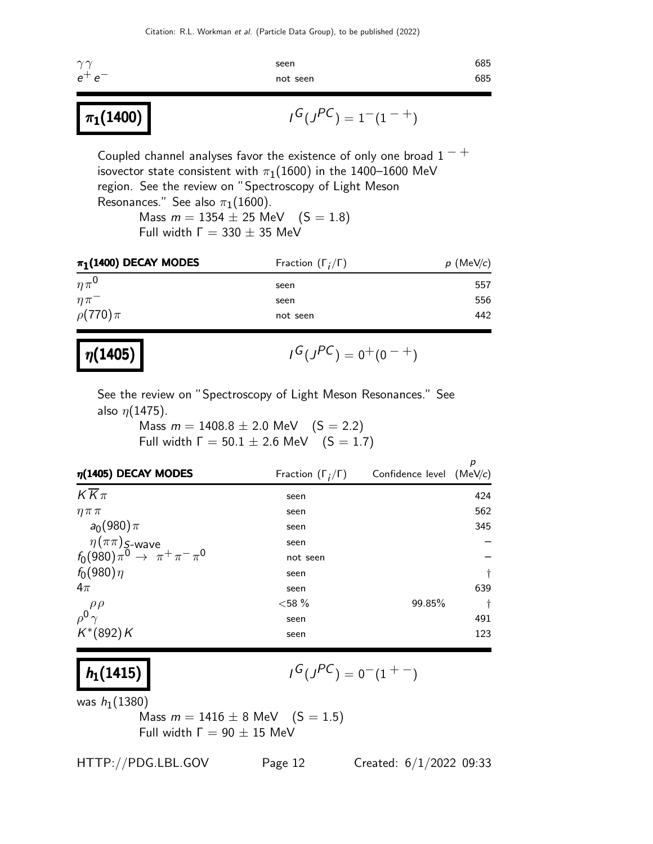| $\gamma \gamma$ | seen     | 685 |
|-----------------|----------|-----|
| $e^+e^-$        | not seen | 685 |
|                 |          |     |

$$
\mathsf{1}^G(\mathsf{1}^{PC}) = 1^-(1^{-+})
$$

Coupled channel analyses favor the existence of only one broad  $1 - +$ isovector state consistent with  $\pi_1(1600)$  in the 1400–1600 MeV region. See the review on "Spectroscopy of Light Meson Resonances." See also  $\pi_1(1600)$ . Mass  $m = 1354 \pm 25$  MeV  $(S = 1.8)$ 

Full width  $\Gamma = 330 \pm 35$  MeV

| $\pi_1(1400)$ DECAY MODES | Fraction $(\Gamma_i/\Gamma)$ | $p$ (MeV/c) |
|---------------------------|------------------------------|-------------|
| $n\pi^0$                  | seen                         | 557         |
| $\eta \pi^-$              | seen                         | 556         |
| $\rho(770)\pi$            | not seen                     | 442         |

| $\eta(1405)$ | $I^G(J^{PC}) = 0^+(0^{-+})$ |
|--------------|-----------------------------|
|--------------|-----------------------------|

See the review on "Spectroscopy of Light Meson Resonances." See also  $\eta$ (1475).

> Mass  $m = 1408.8 \pm 2.0$  MeV  $(S = 2.2)$ Full width  $\Gamma = 50.1 \pm 2.6$  MeV  $(S = 1.7)$

| $\eta(1405)$ DECAY MODES                                                         | Fraction $(\Gamma_i/\Gamma)$ | Confidence level (MeV/c) | р         |
|----------------------------------------------------------------------------------|------------------------------|--------------------------|-----------|
| $K\overline{K}\pi$                                                               | seen                         |                          | 424       |
| $\eta \pi \pi$                                                                   | seen                         |                          | 562       |
| $a_0(980)\pi$                                                                    | seen                         |                          | 345       |
| $\eta(\pi\pi)$ <sub>S-</sub> wave<br>$f_0(980)\pi^0 \rightarrow \pi^+\pi^-\pi^0$ | seen                         |                          |           |
|                                                                                  | not seen                     |                          |           |
| $f_0(980)\eta$                                                                   | seen                         |                          | $\dagger$ |
| $4\pi$                                                                           | seen                         |                          | 639       |
|                                                                                  | ${<}58%$                     | 99.85%                   | $\dagger$ |
| $\rho^0 \frac{\rho \rho}{\gamma}$                                                | seen                         |                          | 491       |
| $K^*(892)K$                                                                      | seen                         |                          | 123       |

 $h_1(1415)$ 

 $\pi_1(1400)$ 

$$
I^G(J^{PC}) = 0^-(1^{+-})
$$

was  $h_1(1380)$ 

Mass  $m = 1416 \pm 8$  MeV  $(S = 1.5)$ Full width  $Γ = 90 ± 15$  MeV

HTTP://PDG.LBL.GOV Page 12 Created: 6/1/2022 09:33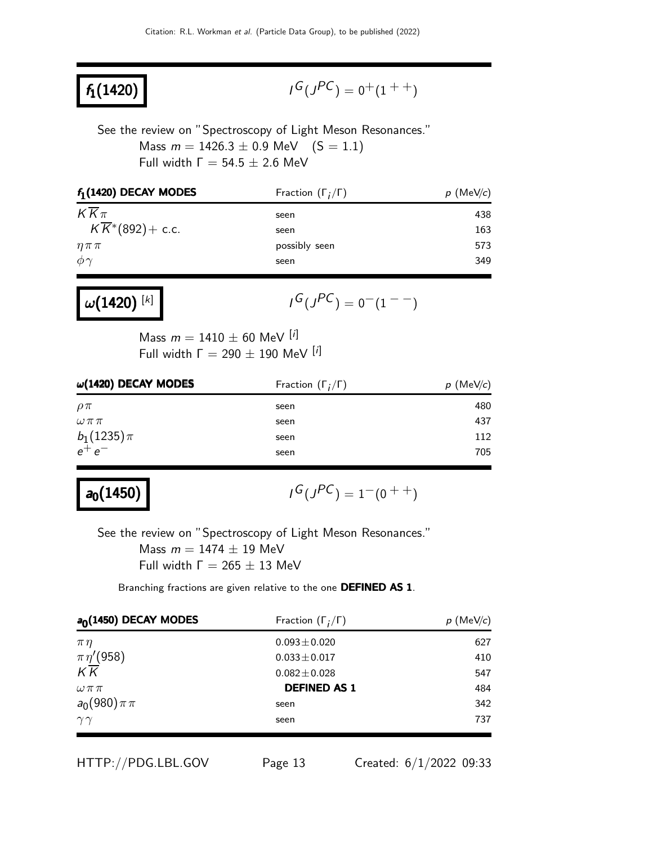## $f_1(1420)$

$$
I^G(J^{PC}) = 0^+(1^{++})
$$

See the review on "Spectroscopy of Light Meson Resonances." Mass  $m = 1426.3 \pm 0.9$  MeV  $(S = 1.1)$ Full width  $\Gamma = 54.5 \pm 2.6$  MeV

| $f_1(1420)$ DECAY MODES      | Fraction $(\Gamma_i/\Gamma)$ | $p$ (MeV/c) |
|------------------------------|------------------------------|-------------|
| $KK\pi$                      | seen                         | 438         |
| $K\overline{K}$ *(892)+ c.c. | seen                         | 163         |
| $\eta \pi \pi$               | possibly seen                | 573         |
| $\phi \gamma$                | seen                         | 349         |

 $\omega(1420)^{[k]}$ 

$$
I^G(J^{PC}) = 0^-(1^{--})
$$

Mass  $m = 1410 \pm 60$  MeV [i] Full width  $Γ = 290 ± 190$  MeV [i]

| $\omega(1420)$ DECAY MODES | Fraction $(\Gamma_i/\Gamma)$ | $p$ (MeV/c) |
|----------------------------|------------------------------|-------------|
| $\rho\pi$                  | seen                         | 480         |
| $\omega\pi\pi$             | seen                         | 437         |
| $b_1(1235)\pi$             | seen                         | 112         |
| $e^+e^-$                   | seen                         | 705         |
|                            |                              |             |

## $a_0(1450)$

 $G(J^{PC}) = 1-(0^{++})$ 

See the review on "Spectroscopy of Light Meson Resonances." Mass  $m = 1474 \pm 19$  MeV Full width  $\Gamma = 265 \pm 13$  MeV

Branching fractions are given relative to the one DEFINED AS 1.

| $a0(1450)$ DECAY MODES               | Fraction $(\Gamma_i/\Gamma)$ | $p$ (MeV/c) |
|--------------------------------------|------------------------------|-------------|
| $\pi\eta$                            | $0.093 \pm 0.020$            | 627         |
| $\frac{\pi\eta^{\prime}(958)}{K\,K}$ | $0.033 \pm 0.017$            | 410         |
|                                      | $0.082 \pm 0.028$            | 547         |
| $\omega \pi \pi$                     | <b>DEFINED AS 1</b>          | 484         |
| $a_0(980)\pi\pi$                     | seen                         | 342         |
| $\gamma\gamma$                       | seen                         | 737         |

HTTP://PDG.LBL.GOV Page 13 Created: 6/1/2022 09:33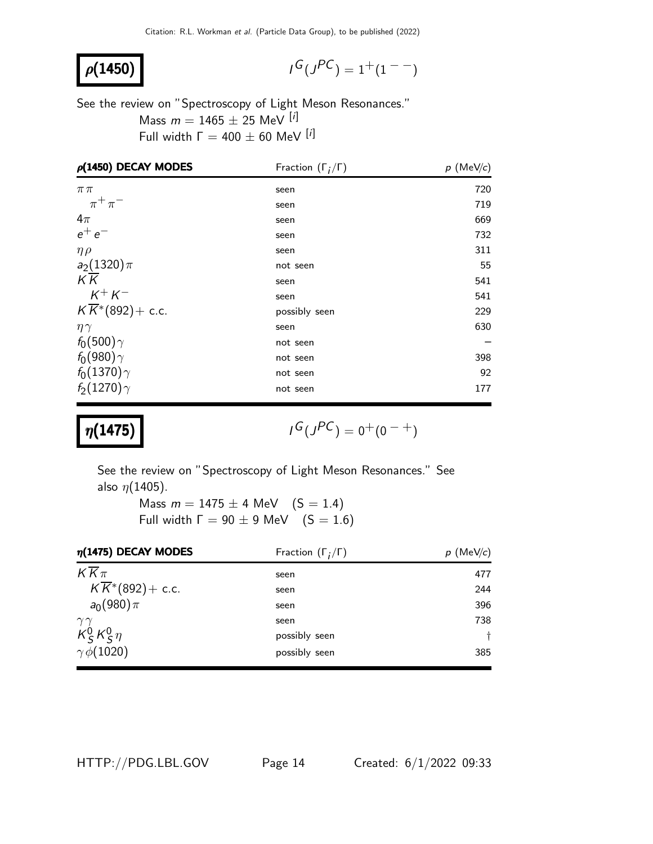## $ρ(1450)$

$$
I^G(J^{PC}) = 1^+(1^{--})
$$

See the review on "Spectroscopy of Light Meson Resonances." Mass  $m = 1465 \pm 25$  MeV [i] Full width  $Γ = 400 ± 60$  MeV [i]

| $\rho$ (1450) DECAY MODES                | Fraction $(\Gamma_i/\Gamma)$ | $p$ (MeV/c) |
|------------------------------------------|------------------------------|-------------|
| $\pi\pi$                                 | seen                         | 720         |
| $\pi^+\pi^-$                             | seen                         | 719         |
| $4\pi$                                   | seen                         | 669         |
| $e^+e^-$                                 | seen                         | 732         |
| $\eta \rho$                              | seen                         | 311         |
| $a_2(1320)\pi$                           | not seen                     | 55          |
| $K\overline{K}$                          | seen                         | 541         |
| $K^{+} K^{-}$                            | seen                         | 541         |
| $K\overline{K}$ <sup>*</sup> (892)+ c.c. | possibly seen                | 229         |
| $\eta\gamma$                             | seen                         | 630         |
| $f_0(500)\gamma$                         | not seen                     |             |
| $f_0(980)\gamma$                         | not seen                     | 398         |
| $f_0(1370)\gamma$                        | not seen                     | 92          |
| $f_2(1270)\gamma$                        | not seen                     | 177         |

### $\eta(1475)$

$$
I^G(J^{PC})=0^+(0^{\hspace{1pt}-+})
$$

See the review on "Spectroscopy of Light Meson Resonances." See also  $\eta$ (1405).

> Mass  $m = 1475 \pm 4$  MeV  $(S = 1.4)$ Full width  $\Gamma = 90 \pm 9$  MeV  $(S = 1.6)$

| $\eta$ (1475) DECAY MODES    | Fraction $(\Gamma_i/\Gamma)$ | $p$ (MeV/c) |
|------------------------------|------------------------------|-------------|
| $K\overline{K}\pi$           | seen                         | 477         |
| $K\overline{K}$ *(892)+ c.c. | seen                         | 244         |
| $a_0(980)\pi$                | seen                         | 396         |
| $\gamma\gamma$               | seen                         | 738         |
| $K_S^0 K_S^0 \eta$           | possibly seen                | $\ddagger$  |
| $\gamma \phi(1020)$          | possibly seen                | 385         |

HTTP://PDG.LBL.GOV Page 14 Created: 6/1/2022 09:33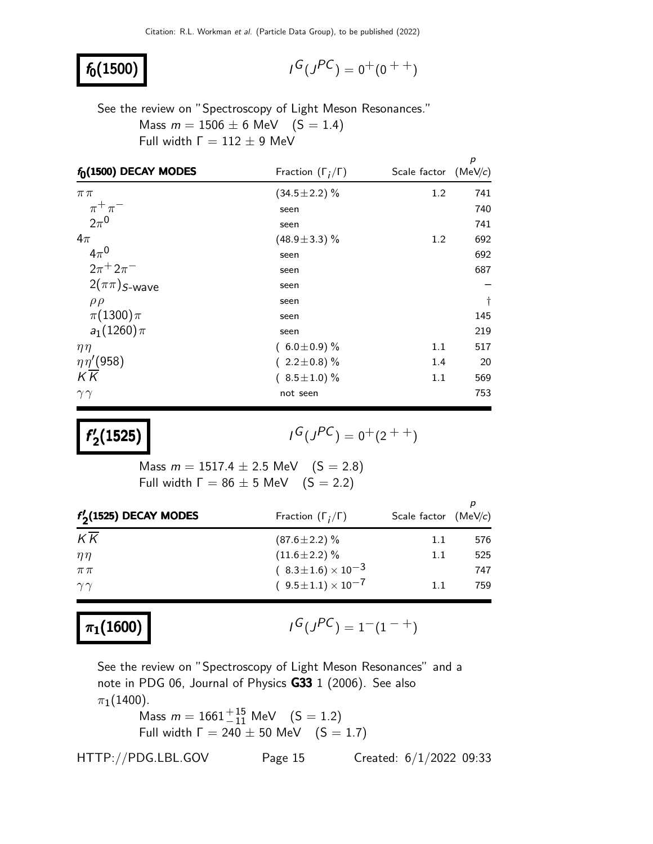### $f_0(1500)$

$$
I^G(J^{PC}) = 0^+(0^{++})
$$

See the review on "Spectroscopy of Light Meson Resonances." Mass  $m = 1506 \pm 6$  MeV  $(S = 1.4)$ Full width  $Γ = 112 ± 9$  MeV

| $f_0(1500)$ DECAY MODES  | Fraction $(\Gamma_i/\Gamma)$ | Scale factor $(MeV/c)$ | p         |
|--------------------------|------------------------------|------------------------|-----------|
| $\pi\pi$                 | $(34.5 \pm 2.2)\%$           | 1.2                    | 741       |
| $\pi^+\pi^-$             | seen                         |                        | 740       |
| $2\pi^0$                 | seen                         |                        | 741       |
| $4\pi$                   | $(48.9 \pm 3.3)\%$           | 1.2                    | 692       |
| $4\pi^0$                 | seen                         |                        | 692       |
| $2\pi + 2\pi^-$          | seen                         |                        | 687       |
| $2(\pi\pi)$ S-wave       | seen                         |                        |           |
| $\rho \rho$              | seen                         |                        | $\dagger$ |
| $\pi(1300)\pi$           | seen                         |                        | 145       |
| $a_1(1260)\pi$           | seen                         |                        | 219       |
| $\eta\eta$               | $(6.0 \pm 0.9)$ %            | 1.1                    | 517       |
| $\eta\eta^{\prime}(958)$ | $(2.2 \pm 0.8)\%$            | 1.4                    | 20        |
| $K\overline{K}$          | $(8.5 \pm 1.0)$ %            | 1.1                    | 569       |
| $\gamma\gamma$           | not seen                     |                        | 753       |

f ′  $\frac{1}{2}(1525)$  |

 $G(J^{PC}) = 0^+(2^{++})$ 

Mass  $m = 1517.4 \pm 2.5$  MeV  $(S = 2.8)$ Full width  $\Gamma = 86 \pm 5$  MeV  $(S = 2.2)$ 

| $f'_{2}(1525)$ DECAY MODES | Fraction $(\Gamma_i/\Gamma)$   | Scale factor $(MeV/c)$ |     |
|----------------------------|--------------------------------|------------------------|-----|
| K K                        | $(87.6 \pm 2.2)$ %             | 1.1                    | 576 |
| $\eta\eta$                 | $(11.6 \pm 2.2)\%$             | 1.1                    | 525 |
| $\pi\,\pi$                 | $(8.3 \pm 1.6) \times 10^{-3}$ |                        | 747 |
| $\gamma\gamma$             | $(9.5\pm1.1)\times10^{-7}$     | 11                     | 759 |

### $\pi_1(1600)$  |

$$
I^G(J^{PC}) = 1^-(1^{-+})
$$

See the review on "Spectroscopy of Light Meson Resonances" and a note in PDG 06, Journal of Physics G33 1 (2006). See also  $\pi_1(1400)$ .

Mass  $m = 1661^{+15}_{-11}$  MeV  $(S = 1.2)$ Full width  $\Gamma = 240 \pm 50$  MeV  $(S = 1.7)$ 

HTTP://PDG.LBL.GOV Page 15 Created: 6/1/2022 09:33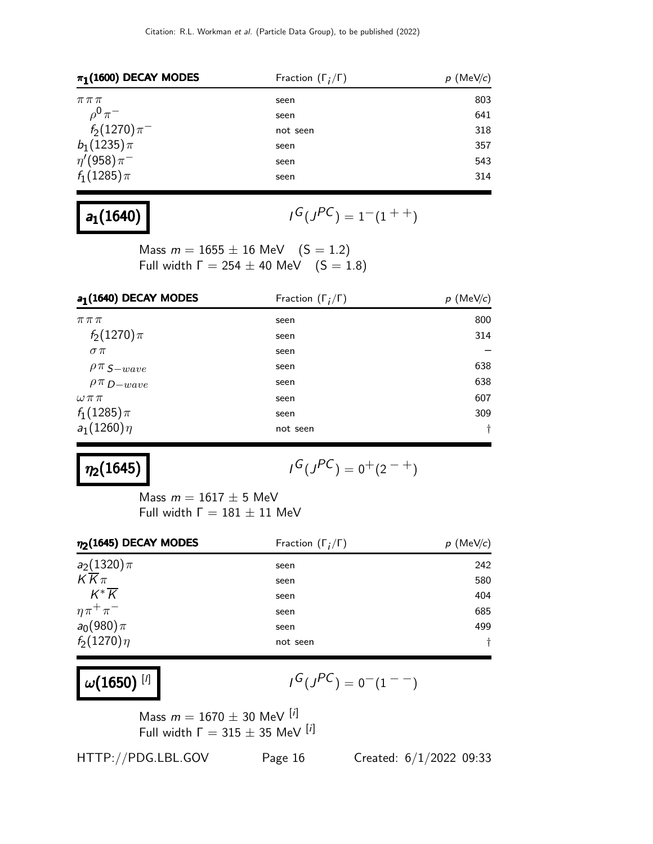| $\pi_1(1600)$ DECAY MODES     | Fraction $(\Gamma_i/\Gamma)$ | $p \text{ (MeV/c)}$ |  |
|-------------------------------|------------------------------|---------------------|--|
| $\pi\,\pi\,\pi$               | seen                         | 803                 |  |
| $\rho^{\bm 0} \, \pi^{\cdot}$ | seen                         | 641                 |  |
| $f_2(1270)\pi^-$              | not seen                     | 318                 |  |
| $b_1(1235)\pi$                | seen                         | 357                 |  |
| $\eta'(958)\pi^-$             | seen                         | 543                 |  |
| $f_1(1285)\pi$                | seen                         | 314                 |  |

# $a_1(1640)$

$$
G(J^{PC})=1^-(1^{++})
$$

Mass  $m = 1655 \pm 16$  MeV  $(S = 1.2)$ Full width  $Γ = 254 ± 40$  MeV  $(S = 1.8)$ 

| a <sub>1</sub> (1640) DECAY MODES | Fraction $(\Gamma_i/\Gamma)$ | $p \text{ (MeV/}c)$ |
|-----------------------------------|------------------------------|---------------------|
| $\pi\,\pi\,\pi$                   | seen                         | 800                 |
| $f_2(1270)\pi$                    | seen                         | 314                 |
| $\sigma \pi$                      | seen                         |                     |
| $\rho \pi$ S-wave                 | seen                         | 638                 |
| $\rho \pi_{D-wave}$               | seen                         | 638                 |
| $\omega \pi \pi$                  | seen                         | 607                 |
| $f_1(1285)\pi$                    | seen                         | 309                 |
| $a_1(1260)\eta$                   | not seen                     | t                   |

# $\eta_2(1645)$

$$
I^G(J^{PC}) = 0^+(2^{-+})
$$

Mass  $m = 1617 \pm 5$  MeV Full width  $Γ = 181 ± 11$  MeV

| $\eta_2(1645)$ DECAY MODES | Fraction $(\Gamma_i/\Gamma)$ | $p$ (MeV/c) |
|----------------------------|------------------------------|-------------|
| $a_2(1320)\pi$             | seen                         | 242         |
| $K\overline{K}\pi$         | seen                         | 580         |
| $K^*\overline{K}$          | seen                         | 404         |
| $\eta \pi^+ \pi^-$         | seen                         | 685         |
| $a_0(980)\pi$              | seen                         | 499         |
| $f_2(1270)\eta$            | not seen                     |             |

# $\omega(1650)^{[l]}$

$$
I^G(J^{PC})=0^-(1^{--})
$$

Mass  $m = 1670 \pm 30$  MeV  $[*i*]$ Full width  $Γ = 315 ± 35$  MeV [i]

HTTP://PDG.LBL.GOV Page 16 Created: 6/1/2022 09:33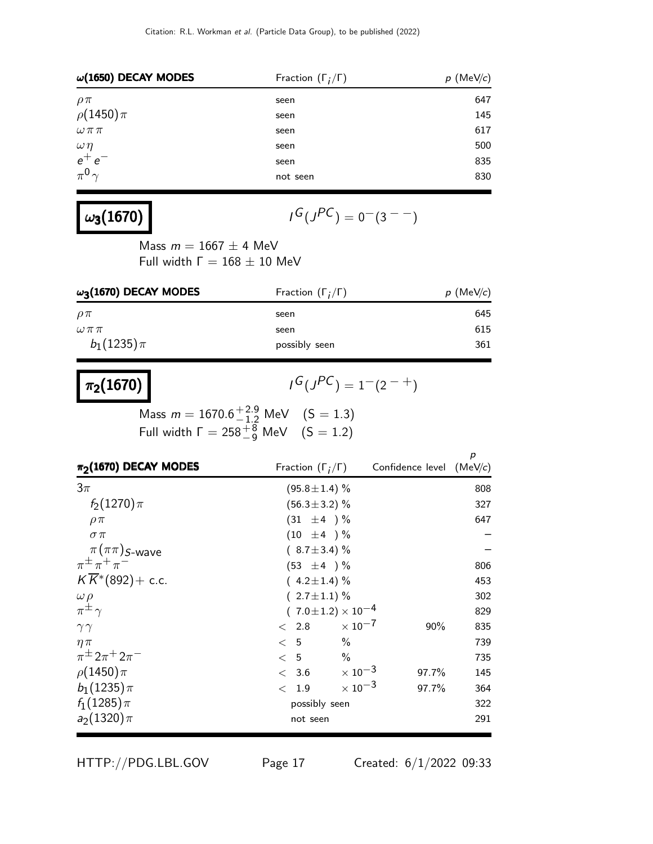| $\omega(1650)$ DECAY MODES    | Fraction $(\Gamma_i/\Gamma)$ | $p$ (MeV/c) |  |
|-------------------------------|------------------------------|-------------|--|
| $\rho\pi$                     | seen                         | 647         |  |
| $\rho(1450)\pi$               | seen                         | 145         |  |
| $\omega\,\pi\,\pi$            | seen                         | 617         |  |
| $\frac{\omega \eta}{e^+ e^-}$ | seen                         | 500         |  |
|                               | seen                         | 835         |  |
| $\pi^{0}$                     | not seen                     | 830         |  |

## $\omega_3(1670)$  |

$$
G(J^{PC})=0^-(3^{--})
$$

Mass  $m = 1667 \pm 4$  MeV Full width  $Γ = 168 ± 10$  MeV

| $\omega_3$ (1670) DECAY MODES | Fraction $(\Gamma_i/\Gamma)$ | $p$ (MeV/c) |  |
|-------------------------------|------------------------------|-------------|--|
| $\rho\pi$                     | seen                         | 645         |  |
| $\omega\pi\pi$                | seen                         | 615         |  |
| $b_1(1235)\pi$                | possibly seen                | 361         |  |

# $\boxed{\pi_2(1670)}$

 $G(J^{PC}) = 1-(2^{-+})$ 

Mass  $m = 1670.6^{+2.9}_{-1.2}$  MeV  $(S = 1.3)$ Full width  $\Gamma = 258^{+8}_{-9}$  MeV  $(S = 1.2)$ 

| $\pi_2$ (1670) DECAY MODES               | Fraction $(\Gamma_i/\Gamma)$   |                           | Confidence level (MeV/c) | р   |
|------------------------------------------|--------------------------------|---------------------------|--------------------------|-----|
| $3\pi$                                   | $(95.8 \pm 1.4)$ %             |                           |                          | 808 |
| $f_2(1270)\pi$                           | $(56.3 \pm 3.2)$ %             |                           |                          | 327 |
| $\rho \pi$                               | $(31 \pm 4) \%$                |                           |                          | 647 |
| $\sigma \pi$                             | $(10 \pm 4) \%$                |                           |                          |     |
| $\pi(\pi\pi)$ S-wave                     | $(8.7 \pm 3.4)\%$              |                           |                          |     |
| $\pi^{\pm} \pi^+ \pi^-$                  | $(53 \pm 4) \%$                |                           |                          | 806 |
| $K\overline{K}$ <sup>*</sup> (892)+ c.c. | $(4.2 \pm 1.4)$ %              |                           |                          | 453 |
| $\omega \rho$                            | $2.7 \pm 1.1$ ) %              |                           |                          | 302 |
| $\pi^{\pm}$                              | $(7.0 \pm 1.2) \times 10^{-4}$ |                           |                          | 829 |
| $\gamma\gamma$                           | $\langle$ 2.8                  | $\times$ 10 <sup>-7</sup> | 90%                      | 835 |
| $\eta \pi$                               | < 5                            | $\frac{0}{0}$             |                          | 739 |
| $\pi^{\pm} 2\pi^{+} 2\pi^{-}$            | < 5                            | $\%$                      |                          | 735 |
| $\rho(1450)\pi$                          | < 3.6                          | $\times$ 10 <sup>-3</sup> | 97.7%                    | 145 |
| $b_1(1235)\pi$                           | < 1.9                          | $\times$ 10 <sup>-3</sup> | 97.7%                    | 364 |
| $f_1(1285)\pi$                           | possibly seen                  |                           |                          | 322 |
| $a_2(1320)\pi$                           | not seen                       |                           |                          | 291 |

HTTP://PDG.LBL.GOV Page 17 Created: 6/1/2022 09:33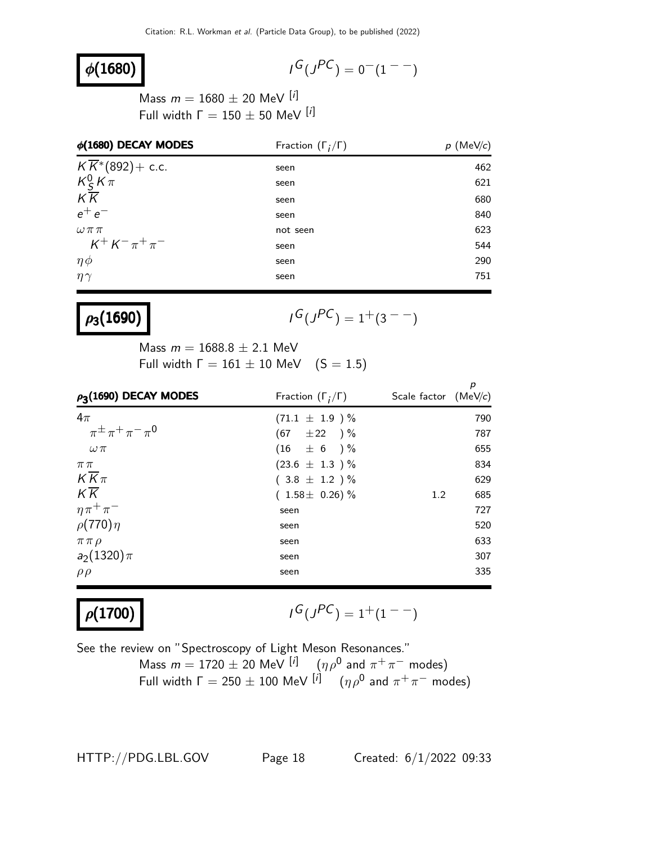## $\phi(1680)$

$$
I^G(J^{PC})=0^-(1^{--})
$$

Mass  $m = 1680 \pm 20$  MeV [i] Full width  $\Gamma = 150 \pm 50$  MeV  $[i]$ 

| $\phi(1680)$ DECAY MODES     | Fraction $(\Gamma_i/\Gamma)$ | (MeV/c)<br>р |
|------------------------------|------------------------------|--------------|
| $K\overline{K}$ *(892)+ c.c. | seen                         | 462          |
| $K^0$ $K \pi$                | seen                         | 621          |
| $K\overline{K}$              | seen                         | 680          |
| $e^+e^-$                     | seen                         | 840          |
| $\omega \pi \pi$             | not seen                     | 623          |
| $K^+ K^- \pi^+ \pi^-$        | seen                         | 544          |
| $\eta \phi$                  | seen                         | 290          |
| $\eta\gamma$                 | seen                         | 751          |

## $\rho_3(1690)$

$$
I^G(J^{PC})=1^+(3^{--})
$$

Mass  $m = 1688.8 \pm 2.1$  MeV Full width  $\Gamma = 161 \pm 10$  MeV  $(S = 1.5)$ 

| $\rho_3(1690)$ DECAY MODES    | Fraction $(\Gamma_i/\Gamma)$ | р<br>Scale factor $(MeV/c)$ |
|-------------------------------|------------------------------|-----------------------------|
| $4\pi$                        | $(71.1 \pm 1.9) \%$          | 790                         |
| $\pi^{\pm} \pi^+ \pi^- \pi^0$ | $(67 \pm 22)$ %              | 787                         |
| $\omega \pi$                  | $(16 \pm 6) \%$              | 655                         |
| $\pi\,\pi$                    | $(23.6 \pm 1.3) \%$          | 834                         |
| $K\overline{K}\pi$            | $(3.8 \pm 1.2) \%$           | 629                         |
| $K\overline{K}$               | $(1.58 \pm 0.26)\%$          | 685<br>1.2                  |
| $\eta \pi^+ \pi^-$            | seen                         | 727                         |
| $\rho(770)\eta$               | seen                         | 520                         |
| $\pi \pi \rho$                | seen                         | 633                         |
| $a_2(1320)\pi$                | seen                         | 307                         |
| $\rho \rho$                   | seen                         | 335                         |

## $\rho(1700)$

$$
I^G(J^{PC})=1^+(1^{--})
$$

See the review on "Spectroscopy of Light Meson Resonances."

Mass  $m = 1720 \pm 20$  MeV  $\left[i\right]$   $\left(n\rho^0\right)$  and  $\pi^+\pi^-$  modes) Full width  $\Gamma = 250 \pm 100$  MeV  $\left[ i \right]$   $\quad$   $(\eta \rho^0$  and  $\pi^+ \pi^-$  modes)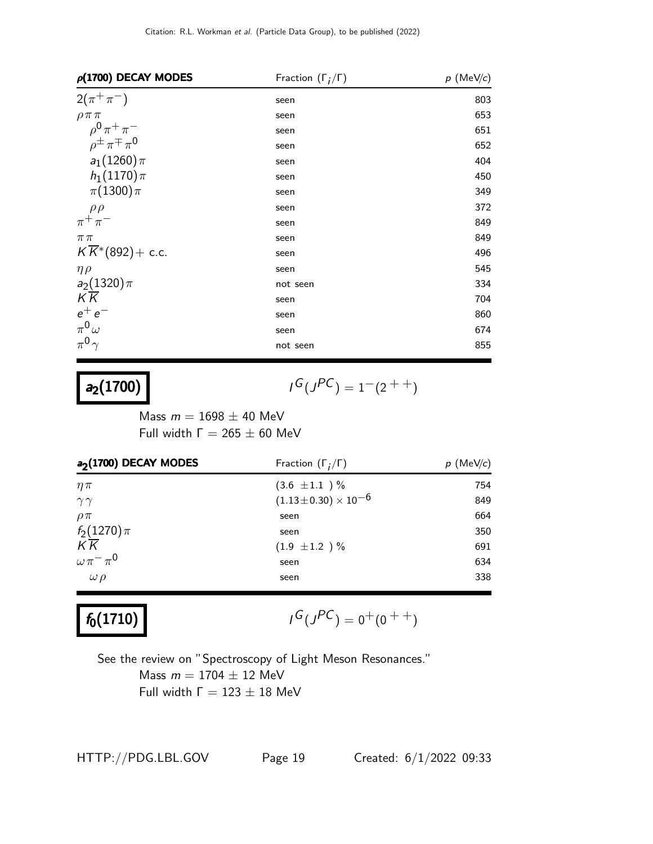| $\rho(1700)$ DECAY MODES                 | Fraction $(\Gamma_i/\Gamma)$ | $p \,$ (MeV/c) |
|------------------------------------------|------------------------------|----------------|
| $2(\pi^{+}\pi^{-})$                      | seen                         | 803            |
| $\rho \pi \pi$                           | seen                         | 653            |
| $\rho^{0} \pi^{+} \pi^{-}$               | seen                         | 651            |
| $\rho^{\pm} \pi^{\mp} \pi^{\prime}$      | seen                         | 652            |
| $a_1(1260)\pi$                           | seen                         | 404            |
| $h_1(1170)\pi$                           | seen                         | 450            |
| $\pi(1300)\pi$                           | seen                         | 349            |
| $\rho \rho$                              | seen                         | 372            |
| $\pi^+\pi^-$                             | seen                         | 849            |
| $\pi\pi$                                 | seen                         | 849            |
| $K\overline{K}$ <sup>*</sup> (892)+ c.c. | seen                         | 496            |
| $\eta \rho$                              | seen                         | 545            |
| $a_2(1320)\pi$                           | not seen                     | 334            |
| K K                                      | seen                         | 704            |
| $e^+e^-$                                 | seen                         | 860            |
| $\pi^0\omega$                            | seen                         | 674            |
| $\pi^0 \gamma$                           | not seen                     | 855            |

## $a_2(1700)$  |

$$
I^G(J^{PC}) = 1^-(2^{++})
$$

Mass  $m = 1698 \pm 40$  MeV Full width  $Γ = 265 ± 60$  MeV

| Fraction $(\Gamma_i/\Gamma)$ | $p$ (MeV/c) |
|------------------------------|-------------|
| $(3.6 \pm 1.1)$ %            | 754         |
| $(1.13\pm0.30)\times10^{-6}$ | 849         |
| seen                         | 664         |
| seen                         | 350         |
| $(1.9 \pm 1.2) \%$           | 691         |
| seen                         | 634         |
| seen                         | 338         |
|                              |             |

# $f_0(1710)$

$$
I^G(J^{PC}) = 0^+(0^{++})
$$

See the review on "Spectroscopy of Light Meson Resonances." Mass  $m = 1704 \pm 12$  MeV Full width  $Γ = 123 ± 18$  MeV

HTTP://PDG.LBL.GOV Page 19 Created: 6/1/2022 09:33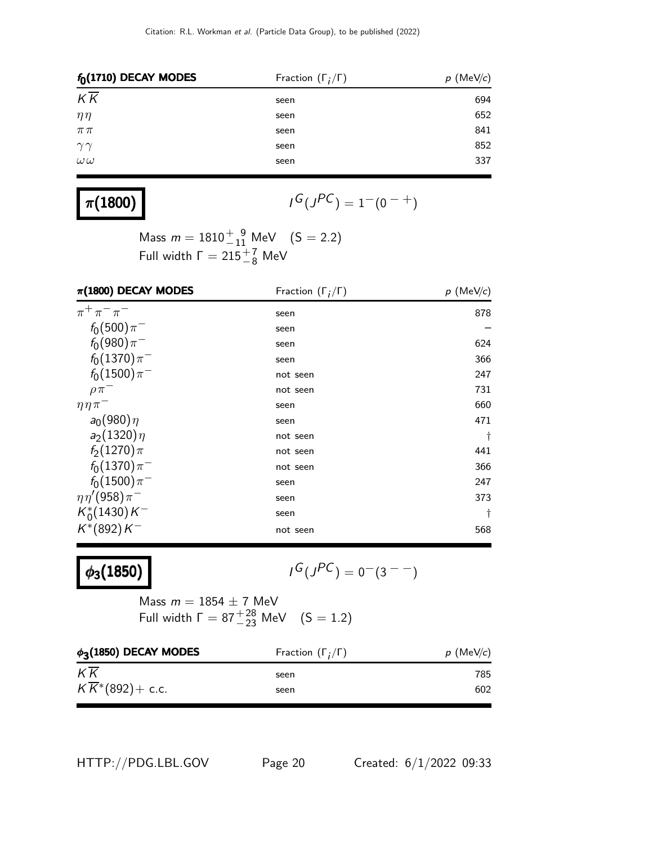| $f_0(1710)$ DECAY MODES | Fraction $(\Gamma_i/\Gamma)$ | $p$ (MeV/c) |
|-------------------------|------------------------------|-------------|
| $K\overline{K}$         | seen                         | 694         |
| $\eta\eta$              | seen                         | 652         |
| $\pi\,\pi$              | seen                         | 841         |
| $\gamma\gamma$          | seen                         | 852         |
| $\omega\,\omega$        | seen                         | 337         |
|                         |                              |             |

## $\pi(1800)$

$$
I^G(J^{PC})=1^-(0^{-+})
$$

Mass  $m = 1810^{+9}_{-11}$  MeV  $(S = 2.2)$ Full width  $\Gamma = 215 \frac{+7}{-8}$  MeV

| $\pi(1800)$ DECAY MODES  | Fraction $(\Gamma_i/\Gamma)$ | $p$ (MeV/c) |
|--------------------------|------------------------------|-------------|
| $\pi^{+}\pi^{-}\pi^{-}$  | seen                         | 878         |
| $f_0(500)\pi^-$          | seen                         |             |
| $f_0(980)\pi^-$          | seen                         | 624         |
| $f_0(1370)\pi^-$         | seen                         | 366         |
| $f_0(1500)\pi^-$         | not seen                     | 247         |
| $\rho \pi$               | not seen                     | 731         |
| $\eta \eta \pi^-$        | seen                         | 660         |
| $a_0(980)\eta$           | seen                         | 471         |
| $a_2(1320)\eta$          | not seen                     | $\dagger$   |
| $f_2(1270)\pi$           | not seen                     | 441         |
| $f_0(1370)\pi^-$         | not seen                     | 366         |
| $f_0(1500)\pi^-$         | seen                         | 247         |
| $\eta \eta' (958) \pi^-$ | seen                         | 373         |
| $K_0^*(1430)K^-$         | seen                         | t           |
| $K^*(892)K^-$            | not seen                     | 568         |

## $\phi_3(1850)$

$$
I^G(J^{PC})=0^-(3^{--})
$$

Mass  $m = 1854 \pm 7$  MeV Full width  $\Gamma = 87^{+28}_{-23}$  MeV  $(S = 1.2)$ 

| $\phi_3(1850)$ DECAY MODES   | Fraction $(\Gamma_i/\Gamma)$ | $p$ (MeV/c) |
|------------------------------|------------------------------|-------------|
| $K\overline{K}$              | seen                         | 785         |
| $K\overline{K}$ *(892)+ c.c. | seen                         | 602         |

HTTP://PDG.LBL.GOV Page 20 Created: 6/1/2022 09:33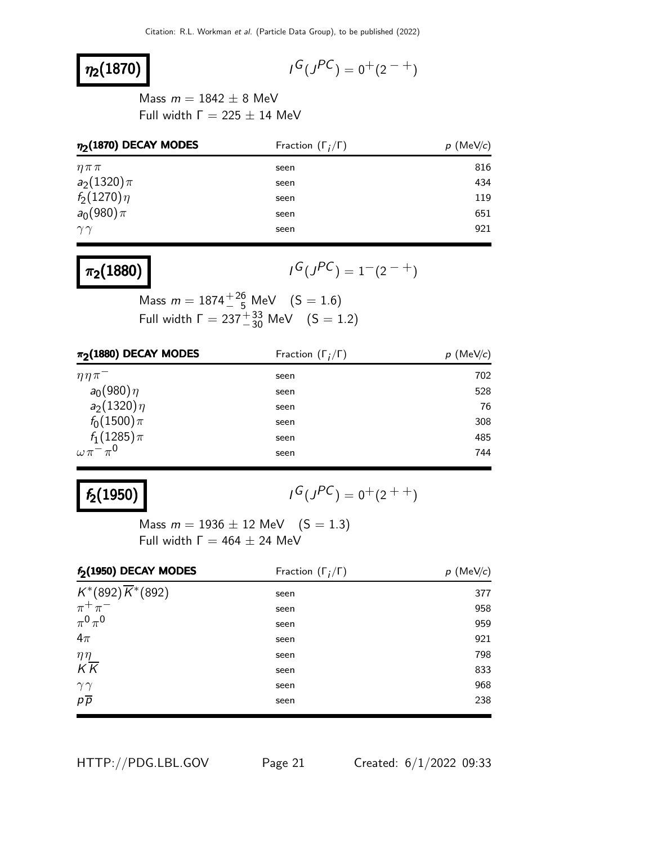## $\eta_2(1870)$

$$
I^G(J^{PC}) = 0^+(2^{-+})
$$

Mass  $m = 1842 \pm 8$  MeV Full width  $\Gamma = 225 \pm 14$  MeV

| $\eta_2(1870)$ DECAY MODES | Fraction $(\Gamma_i/\Gamma)$ | $p \text{ (MeV/}c)$ |
|----------------------------|------------------------------|---------------------|
| $\eta \pi \pi$             | seen                         | 816                 |
| $a_2(1320)\pi$             | seen                         | 434                 |
| $f_2(1270)\eta$            | seen                         | 119                 |
| $a_0(980)\pi$              | seen                         | 651                 |
| $\gamma\gamma$             | seen                         | 921                 |

## $\pi_2(1880)$

 $G(J^{PC}) = 1-(2^{-+})$ 

Mass  $m = 1874 \frac{+26}{5}$  MeV  $(S = 1.6)$ Full width  $\Gamma = 237^{+33}_{-30}$  MeV  $(S = 1.2)$ 

| $\pi_2$ (1880) DECAY MODES | Fraction $(\Gamma_i/\Gamma)$ | $p$ (MeV/c) |
|----------------------------|------------------------------|-------------|
| $\eta\eta\pi$              | seen                         | 702         |
| $a_0(980)\eta$             | seen                         | 528         |
| $a_2(1320)\eta$            | seen                         | 76          |
| $f_0(1500)\pi$             | seen                         | 308         |
| $f_1(1285)\pi$             | seen                         | 485         |
| $\omega\pi^-\pi^0$         | seen                         | 744         |

## $f_2(1950)$

 $G(J^{PC}) = 0^+(2^{++})$ 

Mass  $m = 1936 \pm 12$  MeV  $(S = 1.3)$ Full width  $\Gamma = 464 \pm 24$  MeV

| $f_2(1950)$ DECAY MODES       | Fraction $(\Gamma_i/\Gamma)$ | $p$ (MeV/c) |
|-------------------------------|------------------------------|-------------|
| $K^*(892)\overline{K}^*(892)$ | seen                         | 377         |
| $\pi^+\pi^-$                  | seen                         | 958         |
| $\pi^0\pi^0$                  | seen                         | 959         |
| $4\pi$                        | seen                         | 921         |
| $\eta\eta$                    | seen                         | 798         |
| $K\overline{K}$               | seen                         | 833         |
| $\gamma\gamma$                | seen                         | 968         |
| $p\overline{p}$               | seen                         | 238         |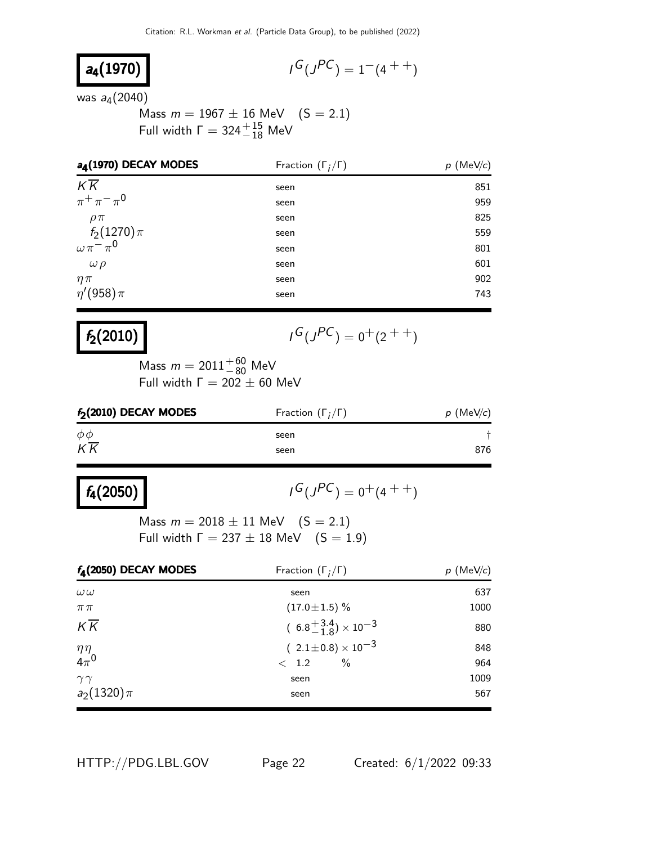$$
a_4(1970)
$$

$$
I^G(J^{PC}) = 1^-(4^{++})
$$

was *a*<sub>4</sub>(2040)

Mass  $m = 1967 \pm 16$  MeV  $(S = 2.1)$ Full width  $\Gamma = 324^{+15}_{-18}$  MeV

| a <sub>4</sub> (1970) DECAY MODES          | Fraction $(\Gamma_i/\Gamma)$ | $p \text{ (MeV/}c)$ |
|--------------------------------------------|------------------------------|---------------------|
| $K\overline{K}$                            | seen                         | 851                 |
| $\pi^{+}\pi^{-}\pi^{0}$                    | seen                         | 959                 |
| $\rho \pi$                                 | seen                         | 825                 |
|                                            | seen                         | 559                 |
| $f_2(1270)\pi$<br>$\omega \pi^{-} \pi^{0}$ | seen                         | 801                 |
| $\omega \rho$                              | seen                         | 601                 |
| $\eta \pi$                                 | seen                         | 902                 |
| $\eta'(958)\pi$                            | seen                         | 743                 |

## $f_2(2010)$

$$
I^G(J^{PC})=0^+(2^{++})
$$

Mass  $m = 2011^{+60}_{-80}$  MeV Full width  $\Gamma = 202 + 60$  MeV

| $f_2(2010)$ DECAY MODES | Fraction $(\Gamma_i/\Gamma)$ | $p$ (MeV/c) |
|-------------------------|------------------------------|-------------|
| $\phi\phi$              | seen                         |             |
| $K\overline{K}$         | seen                         | 876         |

# $f_4(2050)$

 $G(J^{PC}) = 0^+(4^{++})$ 

Mass  $m = 2018 \pm 11$  MeV  $(S = 2.1)$ Full width  $\Gamma = 237 \pm 18$  MeV  $(S = 1.9)$ 

| $f_4(2050)$ DECAY MODES    | Fraction $(\Gamma_i/\Gamma)$        | $p$ (MeV/c) |
|----------------------------|-------------------------------------|-------------|
| $\omega\omega$             | seen                                | 637         |
| $\pi\pi$                   | $(17.0 \pm 1.5)\%$                  | 1000        |
| $K\overline{K}$            | $(6.8^{+3.4}_{-1.8})\times 10^{-3}$ | 880         |
|                            | $(2.1 \pm 0.8) \times 10^{-3}$      | 848         |
| $\frac{\eta \eta}{4\pi^0}$ | $\frac{0}{0}$<br>$\langle$ 1.2      | 964         |
| $\gamma\gamma$             | seen                                | 1009        |
| $a_2(1320)\pi$             | seen                                | 567         |

HTTP://PDG.LBL.GOV Page 22 Created: 6/1/2022 09:33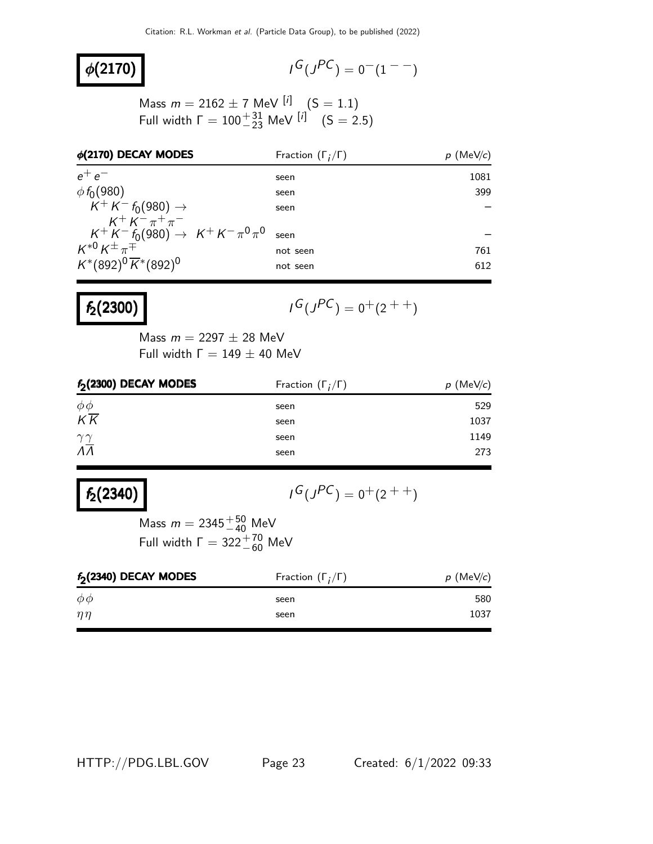### $\phi(2170)$

$$
I^G(J^{PC}) = 0^-(1^{--})
$$

Mass  $m = 2162 \pm 7$  MeV  $\binom{[i]}{[i]}$  (S = 1.1) Full width  $\Gamma = 100^{+31}_{-23}$  MeV  $[i]$   $(S = 2.5)$ 

| $\phi$ (2170) DECAY MODES                          | Fraction $(\Gamma_i/\Gamma)$ | $p$ (MeV/c) |
|----------------------------------------------------|------------------------------|-------------|
| $e^+e^-$                                           | seen                         | 1081        |
| $\phi f_0(980)$                                    | seen                         | 399         |
| $K^+ K^- f_0(980) \to$                             | seen                         |             |
| $K^+ K^- \pi^+ \pi^-$                              |                              |             |
| $K^+ K^- f_0(980) \rightarrow K^+ K^- \pi^0 \pi^0$ | seen                         |             |
| $K^{*0}K^{\pm}\pi^{\mp}$                           | not seen                     | 761         |
| $K^*(892)^0 \overline{K}^*(892)^0$                 | not seen                     | 612         |

### $f_2(2300)$

$$
I^G(J^{PC}) = 0^+(2^{++})
$$

Mass  $m = 2297 \pm 28$  MeV Full width  $Γ = 149 ± 40$  MeV

| $f2(2300)$ DECAY MODES                             | Fraction $(\Gamma_i/\Gamma)$ | $p$ (MeV/c) |
|----------------------------------------------------|------------------------------|-------------|
|                                                    | seen                         | 529         |
| $\frac{\phi \phi}{K \overline{K}}$                 | seen                         | 1037        |
| $\frac{\gamma \gamma}{\Lambda \overline{\Lambda}}$ | seen                         | 1149        |
|                                                    | seen                         | 273         |

## $f_2(2340)$

 $G(J^{PC}) = 0^+(2^{++})$ 

Mass  $m = 2345^{+50}_{-40}$  MeV Full width  $\Gamma = 322^{+70}_{-60}$  MeV

| $f_2(2340)$ DECAY MODES | Fraction $(\Gamma_i/\Gamma)$ | $p$ (MeV/c) |
|-------------------------|------------------------------|-------------|
| $\phi \phi$             | seen                         | 580         |
| $\eta\eta$              | seen                         | 1037        |

HTTP://PDG.LBL.GOV Page 23 Created: 6/1/2022 09:33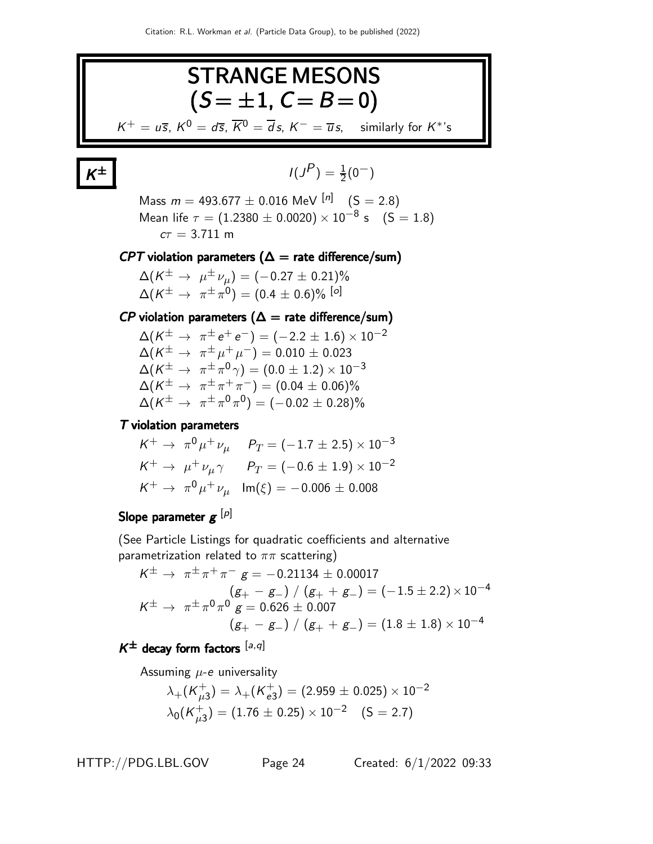

## K

$$
I(J^P) = \frac{1}{2}(0^-)
$$

Mass  $m = 493.677 \pm 0.016$  MeV  $\binom{[n]}{9}$  (S = 2.8) Mean life  $\tau = (1.2380 \pm 0.0020) \times 10^{-8}$  s  $(S = 1.8)$  $c\tau = 3.711 \text{ m}$ 

#### $CPT$  violation parameters ( $\Delta$  = rate difference/sum)

 $\Delta(K^{\pm}\rightarrow\ \mu^{\pm}\,\nu_{\mu})=(-0.27\pm0.21)\%$  $\Delta(\mathcal{K}^{\pm}\rightarrow\ \pi^{\pm}\pi^{0})=(0.4\pm0.6)\%$   $^{\left[o\right]}$ 

### $\mathcal{CP}$  violation parameters ( $\Delta$  = rate difference/sum)

 $\Delta(K^{\pm} \to \pi^{\pm} e^+ e^-) = (-2.2 \pm 1.6) \times 10^{-2}$  $\Delta(K^{\pm}\to~\pi^{\pm}\mu^+\mu^-)=0.010\pm0.023$  $\Delta(\mathcal{K}^{\pm}\rightarrow \ \pi^{\pm}\pi^{0}\gamma)=(0.0\pm1.2)\times10^{-3}$  $\Delta(K^{\pm} \to~\pi^{\pm}\pi^+\pi^-) = (0.04 \pm 0.06)\%$  $\Delta(K^{\pm} \to \pi^{\pm} \pi^0 \pi^0) = (-0.02 \pm 0.28)\%$ 

#### T violation parameters

$$
K^{+} \rightarrow \pi^{0} \mu^{+} \nu_{\mu} \qquad P_{T} = (-1.7 \pm 2.5) \times 10^{-3}
$$
  
\n
$$
K^{+} \rightarrow \mu^{+} \nu_{\mu} \gamma \qquad P_{T} = (-0.6 \pm 1.9) \times 10^{-2}
$$
  
\n
$$
K^{+} \rightarrow \pi^{0} \mu^{+} \nu_{\mu} \quad \text{Im}(\xi) = -0.006 \pm 0.008
$$

### Slope parameter  $\boldsymbol{g}^{\,[\rho]}$

(See Particle Listings for quadratic coefficients and alternative parametrization related to  $\pi\pi$  scattering)

$$
K^{\pm} \rightarrow \pi^{\pm} \pi^+ \pi^- \ g = -0.21134 \pm 0.00017
$$
  
\n
$$
(g_+ - g_-) / (g_+ + g_-) = (-1.5 \pm 2.2) \times 10^{-4}
$$
  
\n
$$
K^{\pm} \rightarrow \pi^{\pm} \pi^0 \pi^0 \ g = 0.626 \pm 0.007
$$
  
\n
$$
(g_+ - g_-) / (g_+ + g_-) = (1.8 \pm 1.8) \times 10^{-4}
$$

### $K^{\pm}$  decay form factors  $[a,q]$

Assuming  $\mu$ -e universality

$$
\lambda_{+}(\mathsf{K}_{\mu3}^{+}) = \lambda_{+}(\mathsf{K}_{e3}^{+}) = (2.959 \pm 0.025) \times 10^{-2}
$$
  

$$
\lambda_{0}(\mathsf{K}_{\mu3}^{+}) = (1.76 \pm 0.25) \times 10^{-2} \quad (S = 2.7)
$$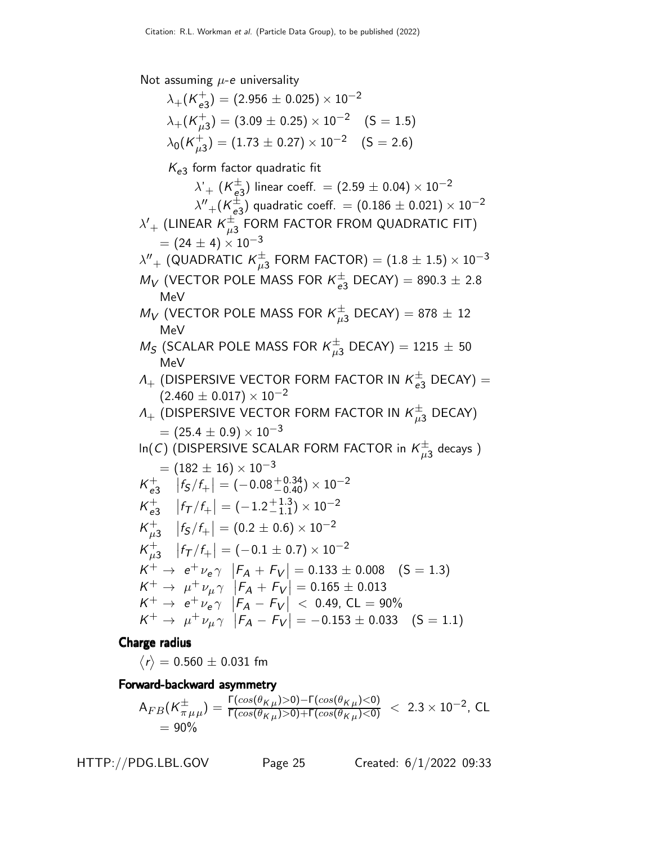Not assuming  $\mu$ -e universality

 $\lambda_+ (K_{e^2}^+)$  $_{e3}^{+})=(2.956\pm0.025)\times10^{-2}$  $\lambda_\pm(\overline{K}_{\mu_3}^+)$  $^{+}_{\mu \textrm{3}}) = (3.09 \pm 0.25) \times 10^{-2} \quad \textrm{(S = 1.5)}$  $\lambda_0$ (K $_{\mu_2}^+$  $^{+}_{\mu \text{3}}) = (1.73 \pm 0.27) \times 10^{-2} \quad \text{(S = 2.6)}$  $K_{e3}$  form factor quadratic fit  $\lambda^{\prime}{}_{+}$   $(\mathsf{K}_{\mathsf{e}3}^{\pm})$  linear coeff.  $=(2.59\pm0.04)\times10^{-2}$  $\lambda'' + (\mathsf{K}^\pm_{\mathsf{e}3})$  quadratic coeff.  $= (0.186 \pm 0.021) \times 10^{-2}$  $\lambda'+$  (LINEAR  $\kappa^{\pm}_{\mu 3}$  FORM FACTOR FROM QUADRATIC FIT)  $= (24 \pm 4) \times 10^{-3}$  $\lambda''_{\rm +}$  (QUADRATIC  $\kappa^\pm_{\mu3}$  FORM FACTOR)  $=(1.8\pm1.5)\times10^{-3}$  $M_V$  (VECTOR POLE MASS FOR  $K_{e3}^{\pm}$  DECAY) = 890.3  $\pm$  2.8 MeV  $M_V$  (VECTOR POLE MASS FOR  $K^\pm_{\mu3}$  DECAY) = 878  $\pm$  12 MeV  $M_S$  (SCALAR POLE MASS FOR  $K^\pm_{\mu3}$  DECAY) = 1215  $\pm$  50 MeV  $\Lambda_{+}$  (DISPERSIVE VECTOR FORM FACTOR IN  $\overline{\kappa}_{e3}^{\pm}$  DECAY) =  $(2.460 \pm 0.017) \times 10^{-2}$  $\Lambda_{+}$  (DISPERSIVE VECTOR FORM FACTOR IN  $\overline{\kappa}_{\mu 3}^{\pm}$  DECAY)  $=(25.4\pm0.9)\times10^{-3}$ In(C) (DISPERSIVE SCALAR FORM FACTOR in  $\mathcal{K}^{\pm}_{\mu 3}$  decays )  $= (182 \pm 16) \times 10^{-3}$  $K_{\rho}^+$  $\left|f_{\mathcal{S}}/f_{+}\right|=\left(-0.08\text{\textendash}^{+0.34}_{-0.40}\right)\times10^{-2}$  $K_{\rho}^+$  $\begin{array}{c|c} + \ e_3 & |f_7/f_+| = (-1.2 + 1.3) \end{array}$  $^{+1.3}_{-1.1}) \times 10^{-2}$  $K_{\mu}^+$  $^+_{\mu 3}$   $\big|f_{\mathsf{S}}/f_{+}\big| = (0.2 \pm 0.6) \times 10^{-2}$  $K_{\mu}^+$  $^+_{\mu 3}$   $\left|f_{\cal T}/f_+\right| = (-0.1\pm0.7)\times10^{-2}$  $K^+ \rightarrow e^+ \nu_e \gamma$   $\left| F_A + F_V \right| = 0.133 \pm 0.008$  (S = 1.3)  $K^+ \to \mu^+ \nu_\mu \gamma$   $\left| F_A + F_V \right| = 0.165 \pm 0.013$  $K^+ \to e^+ \nu_e \gamma$   $\left| F_A - F_V \right| < 0.49$ , CL = 90%  $K^+ \to \mu^+ \nu_\mu \gamma$   $|F_A - F_V| = -0.153 \pm 0.033$  (S = 1.1)

Charge radius

 $\left\langle r\right\rangle =0.560\pm0.031$  fm

Forward-backward asymmetry

$$
A_{FB}(K_{\pi\,\mu\,\mu}^{\pm}) = \frac{\Gamma(\cos(\theta_{K\,\mu})>0)-\Gamma(\cos(\theta_{K\,\mu})<0)}{\Gamma(\cos(\theta_{K\,\mu})>0)+\Gamma(\cos(\theta_{K\,\mu})<0)} < 2.3 \times 10^{-2}, \text{ CL}
$$
  
= 90%

HTTP://PDG.LBL.GOV Page 25 Created: 6/1/2022 09:33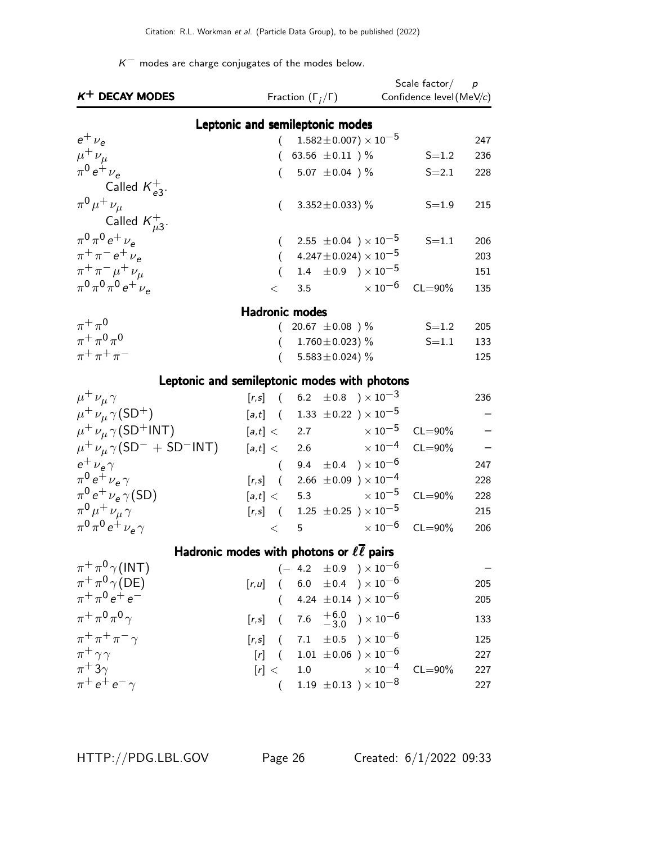$K^-$  modes are charge conjugates of the modes below.

| $K^+$ DECAY MODES                        |                       | Fraction $(\Gamma_i/\Gamma)$                                | Scale factor $/$ p<br>Confidence level (MeV/c) |     |
|------------------------------------------|-----------------------|-------------------------------------------------------------|------------------------------------------------|-----|
|                                          |                       | Leptonic and semileptonic modes                             |                                                |     |
| $e^+$ $\nu_e$                            | (                     | $1.582 \pm 0.007$ ) $\times$ $10^{-5}$                      |                                                | 247 |
| $\mu^+ \nu_\mu$                          |                       | 63.56 $\pm 0.11$ ) %                                        | $S = 1.2$                                      | 236 |
| $\pi^{0} e^{+} \nu_{e}$                  |                       | 5.07 $\pm$ 0.04 ) %                                         | $S = 2.1$                                      | 228 |
| Called $K_{e3}^+$ .                      |                       |                                                             |                                                |     |
| $\pi^{0} \mu^{+} \nu_{\mu}$              | $\left($              | 3.352 $\pm$ 0.033) %                                        | $S = 1.9$                                      | 215 |
| Called $\kappa_{\mu 3}^+$ .              |                       |                                                             |                                                |     |
| $\pi^{0} \pi^{0} e^{+} \nu_{e}$          |                       | 2.55 $\pm$ 0.04 $\mu$ $\times$ 10 <sup>-5</sup>             | $S = 1.1$                                      | 206 |
| $\pi^{+}\pi^{-}e^{+}\nu_{e}$             | $\left($              | $(4.247 \pm 0.024) \times 10^{-5}$                          |                                                | 203 |
| $\pi^+ \pi^- \mu^+ \nu_\mu$              | $\overline{(\ }$      | 1.4 $\pm 0.9$ ) $\times 10^{-5}$                            |                                                | 151 |
| $\pi^{0}\pi^{0}\pi^{0}e^{+}\nu_{e}$      |                       | 3.5 $\times 10^{-6}$                                        | $CL = 90\%$                                    |     |
|                                          | $\lt$                 |                                                             |                                                | 135 |
|                                          | <b>Hadronic modes</b> |                                                             |                                                |     |
| $\pi^+\pi^0$                             | (                     | 20.67 $\pm$ 0.08 ) %                                        | $S = 1.2$                                      | 205 |
| $\pi^{+}\pi^{0}\pi^{0}$                  |                       | 1.760 $\pm$ 0.023) %                                        | $S = 1.1$                                      | 133 |
| $\pi^{+}\pi^{+}\pi^{-}$                  |                       | 5.583 ± 0.024) $%$                                          |                                                | 125 |
|                                          |                       | Leptonic and semileptonic modes with photons                |                                                |     |
| $\mu^+ \nu_\mu \gamma$                   |                       | $[r,s]$ ( 6.2 $\pm 0.8$ ) $\times 10^{-3}$                  |                                                | 236 |
| $\mu^+ \nu_\mu \gamma(SD^+)$             |                       | $[a,t]$ ( 1.33 $\pm 0.22$ ) $\times 10^{-5}$                |                                                |     |
| $\mu^+ \nu_\mu \gamma (SD^+INT)$         | [a,t] <               | $\times$ 10 $^{-5}$<br>2.7                                  | $CL = 90\%$                                    |     |
| $\mu^+ \nu_\mu \gamma (SD^- + SD^-$ INT) |                       | $\times$ 10 $^{-4}$<br>[a,t] < 2.6                          | $CL = 90\%$                                    |     |
| $e^{\pm}$ $\nu_e \gamma$                 |                       | $(9.4 \pm 0.4) \times 10^{-6}$                              |                                                | 247 |
| $\pi^0 e^+ \nu_e \gamma$                 |                       | $[r,s]$ ( 2.66 $\pm 0.09$ ) $\times 10^{-4}$                |                                                | 228 |
| $\pi^0 e^+ \nu_e \gamma(SD)$             |                       | $[a,t] < 5.3$ $\times 10^{-5}$                              | $CL = 90\%$                                    | 228 |
| $\pi^0 \mu^+ \nu_\mu \gamma$             |                       | $[r,s]$ ( 1.25 $\pm$ 0.25 ) $\times$ 10 <sup>-5</sup>       |                                                | 215 |
| $\pi^{0} \pi^{0} e^{+} \nu_{e} \gamma$   | $\lt$                 | 5                                                           | $\times$ 10 $^{-6}$<br>$CL = 90\%$             | 206 |
|                                          |                       |                                                             |                                                |     |
|                                          |                       | Hadronic modes with photons or $\ell \overline{\ell}$ pairs |                                                |     |
| $\pi^+\pi^0\gamma(INT)$                  |                       | $(-4.2 \pm 0.9) \times 10^{-6}$                             |                                                |     |
| $\pi^+\pi^0\gamma(DE)$                   |                       | $[r,u]$ ( 6.0 $\pm$ 0.4 ) $\times$ 10 <sup>-6</sup>         |                                                | 205 |
| $\pi^+ \pi^0 e^+ e^-$                    | $\left($              | 4.24 $\pm$ 0.14 ) $\times$ 10 <sup>-6</sup>                 |                                                | 205 |
| $\pi^+ \pi^0 \pi^0 \gamma$               | $[r,s]$ (             | 7.6 $^{+6.0}_{-3.0}$ ) $\times 10^{-6}$                     |                                                | 133 |
| $\pi^+ \pi^+ \pi^- \gamma$               |                       | $[r,s]$ ( 7.1 $\pm 0.5$ ) $\times 10^{-6}$                  |                                                | 125 |
| $\pi^+ \gamma \gamma$                    | $[r]$ (               | $1.01 \pm 0.06$ ) $\times 10^{-6}$                          |                                                | 227 |
| $\pi$ <sup>+</sup> 3 $\gamma$            | [r] <                 | $1.0\,$                                                     | $\times\,10^{-4}$<br>$CL = 90\%$               | 227 |
| $\pi^+ e^+ e^- \gamma$                   | $\left($              | 1.19 $\pm 0.13$ ) $\times 10^{-8}$                          |                                                | 227 |
|                                          |                       |                                                             |                                                |     |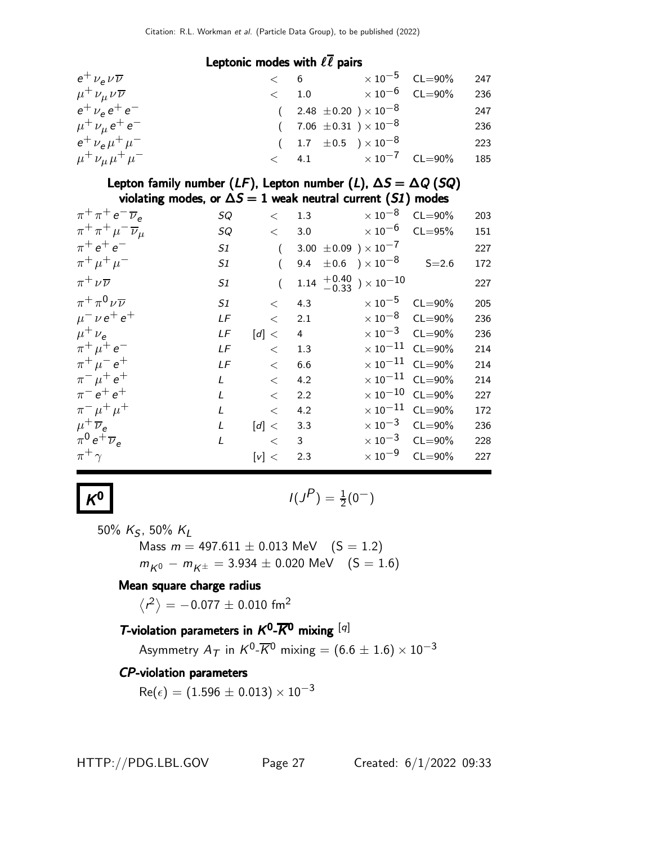#### Leptonic modes with  $\ell \bar{\ell}$  pairs

| $e^+ \nu_e \nu \overline{\nu}$     | < 6           |                                  | $\times 10^{-5}$ CL=90% 247  |     |
|------------------------------------|---------------|----------------------------------|------------------------------|-----|
| $\mu^+ \nu_\mu \nu \overline{\nu}$ | $\langle$ 1.0 |                                  | $\times\,10^{-6}$ CL=90% 236 |     |
| $e^+ \nu_e e^+ e^-$                |               | $(2.48 \pm 0.20) \times 10^{-8}$ |                              | 247 |
| $\mu^+ \nu_\mu e^+ e^-$            |               | $(7.06 \pm 0.31) \times 10^{-8}$ |                              | 236 |
| $e^+ \nu_e \mu^+ \mu^-$            |               | $(1.7 \pm 0.5) \times 10^{-8}$   |                              | 223 |
| $\mu^+ \nu_\mu \mu^+ \mu^-$        |               | $< 4.1$ $\times 10^{-7}$ CL=90%  |                              | 185 |

Lepton family number ( $LF$ ), Lepton number ( $L$ ),  $\Delta S = \Delta Q$  (SQ) violating modes, or  $\Delta S = 1$  weak neutral current (S1) modes

| $\pi^+ \pi^+ e^- \overline{\nu}_e$     | <b>SQ</b> | $\lt$                 | 1.3                                                              | $\times$ 10 $^{-8}$               | $CL = 90\%$                       | 203 |
|----------------------------------------|-----------|-----------------------|------------------------------------------------------------------|-----------------------------------|-----------------------------------|-----|
| $\pi^+ \pi^+ \mu^- \overline{\nu}_\mu$ | SQ        |                       | $< 3.0 \times 10^{-6}$                                           |                                   | $CL = 95%$                        | 151 |
| $\pi^{+} e^{+} e^{-}$                  | S1        | $\left($              | 3.00 $\pm$ 0.09 $\mathrm{)}\times10^{-7}$                        |                                   |                                   | 227 |
| $\pi^+ \mu^+ \mu^-$                    | S1        |                       | $9.4\phantom{0}\pm0.6\phantom{0})\times10^{-8}$                  |                                   | $S = 2.6$                         | 172 |
| $\pi^+ \nu \overline{\nu}$             | S1        |                       | $1.14\begin{array}{l}+0.40\\-0.33\end{array}\big)\times10^{-10}$ |                                   |                                   | 227 |
| $\pi^+\pi^0\nu\overline{\nu}$          | S1        | $\lt$                 | 4.3                                                              | $\times 10^{-5}$ CL=90%           |                                   | 205 |
| $\mu^{-} \nu e^{+} e^{+}$              | LF        | $\lt$                 | 2.1                                                              | $\times$ 10 $^{-8}$               | $CL = 90\%$                       | 236 |
| $\mu^+ \nu_{\rm e}$                    | LF        | $\lceil d \rceil < 1$ | $\overline{4}$                                                   | $\times 10^{-3}$ CL=90%           |                                   | 236 |
| $\pi^+ \mu^+ e^-$                      | LF        | $\lt$                 | 1.3                                                              |                                   | $\times$ 10 <sup>-11</sup> CL=90% | 214 |
| $\pi^{+} \mu^{-} e^{+}$                | LF        | $\lt$                 | 6.6                                                              | $\times 10^{-11}$ CL=90%          |                                   | 214 |
| $\pi^{-} \mu^{+} e^{+}$                | L         | $\,<\,$               | 4.2                                                              | $\times$ 10 <sup>-11</sup> CL=90% |                                   | 214 |
| $\pi^{-} e^{+} e^{+}$                  | L         | $\,<$                 | 2.2                                                              |                                   | $\times$ 10 $^{-10}$ CL=90%       | 227 |
| $\pi^{-} \mu^{+} \mu^{+}$              | L         | $\lt$                 | 4.2                                                              |                                   | $\times$ 10 <sup>-11</sup> CL=90% | 172 |
| $\mu^+ \overline{\nu}_e$               | L         | $\lceil d \rceil <$   | 3.3                                                              |                                   | $\times 10^{-3}$ CL=90%           | 236 |
| $\pi^0 e^+ \overline{\nu}_e$           | L         | $\lt$                 | $\overline{\mathbf{3}}$                                          |                                   | $\times 10^{-3}$ CL=90%           | 228 |
| $\pi^+$                                |           | [v] <                 | 2.3                                                              | $\times$ 10 $^{-9}$               | $CL = 90\%$                       | 227 |
|                                        |           |                       |                                                                  |                                   |                                   |     |

**0** 
$$
I(J^P) = \frac{1}{2}(0^-)
$$

50%  $K_S$ , 50%  $K_L$ 

 $K^0$ 

Mass  $m = 497.611 \pm 0.013$  MeV  $(S = 1.2)$  $m_{K^0} - m_{K^{\pm}} = 3.934 \pm 0.020$  MeV  $(S = 1.6)$ 

#### Mean square charge radius

 $\left\langle r^2\right\rangle =-0.077\pm0.010$  fm<sup>2</sup>

### T-violation parameters in  $K^0$ - $\overline{K}{}^0$  mixing  $^{[q]}$

Asymmetry  $A_{\mathcal{T}}$  in  $\mathcal{K}^0\text{-}\overline{\mathcal{K}}{}^0$  mixing  $= (6.6 \pm 1.6) \times 10^{-3}$ 

### CP-violation parameters

 $Re(\epsilon) = (1.596 \pm 0.013) \times 10^{-3}$ 

HTTP://PDG.LBL.GOV Page 27 Created: 6/1/2022 09:33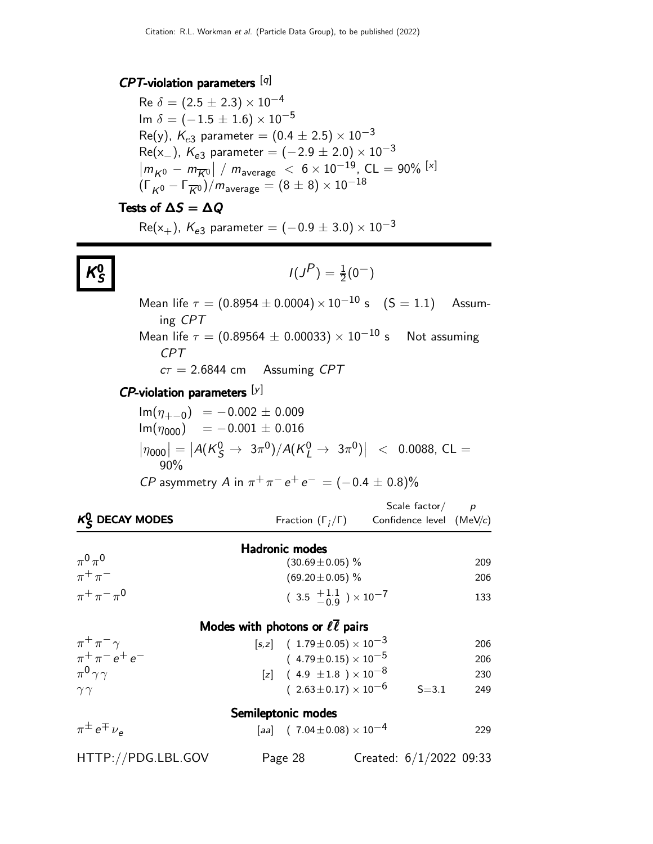#### $CPT$ -violation parameters [q]

Re  $\delta = (2.5 \pm 2.3) \times 10^{-4}$ Im  $\delta = (-1.5 \pm 1.6) \times 10^{-5}$ Re(y),  $K_{e3}$  parameter = (0.4  $\pm$  2.5)  $\times$  10<sup>-3</sup>  $Re(x_{-})$ ,  $K_{e3}$  parameter =  $(-2.9 \pm 2.0) \times 10^{-3}$  $\left| m_{K^0} - m_{\overline{K}^0} \right| / m_{\text{average}} < 6 \times 10^{-19}, \text{CL} = 90\%$  [×]  $(\Gamma_{K^0} - \Gamma_{\overline{K^0}})/m_{\text{average}} = (8 \pm 8) \times 10^{-18}$ 

#### Tests of  $\Delta S = \Delta Q$

K 0 S  $Re(x_{+})$ ,  $K_{e3}$  parameter =  $(-0.9 \pm 3.0) \times 10^{-3}$ 

$$
I(J^P) = \frac{1}{2}(0^-)
$$

Mean life  $\tau = (0.8954 \pm 0.0004) \times 10^{-10}$  s  $(S = 1.1)$  Assuming CPT Mean life  $\tau = (0.89564 \pm 0.00033) \times 10^{-10}$  s Not assuming CPT  $c\tau = 2.6844$  cm Assuming CPT

#### $\mathsf{CP}\text{-}\mathsf{violation}$  parameters  $[\mathsf{y}]$

$$
Im(\eta_{+-0}) = -0.002 \pm 0.009
$$
  
\n
$$
Im(\eta_{000}) = -0.001 \pm 0.016
$$
  
\n
$$
|\eta_{000}| = |A(K_S^0 \to 3\pi^0)/A(K_L^0 \to 3\pi^0)| < 0.0088, CL = 90%
$$
  
\n*CP* asymmetry *A* in  $\pi^+\pi^-e^+e^- = (-0.4 \pm 0.8)$ %

| $K0C$ DECAY MODES                              | Fraction $(\Gamma_i/\Gamma)$ Confidence level (MeV/c) | Scale factor $\frac{\rho}{\rho}$ |     |
|------------------------------------------------|-------------------------------------------------------|----------------------------------|-----|
|                                                |                                                       |                                  |     |
|                                                | <b>Hadronic modes</b>                                 |                                  |     |
| $\pi^0\pi^0$                                   | $(30.69 \pm 0.05)\%$                                  |                                  | 209 |
| $\pi^+\pi^-$                                   | $(69.20 \pm 0.05)$ %                                  |                                  | 206 |
| $\pi^{+}\pi^{-}\pi^{0}$                        | $(3.5 \frac{+1.1}{-0.9}) \times 10^{-7}$              |                                  | 133 |
|                                                | Modes with photons or $\ell \overline{\ell}$ pairs    |                                  |     |
| $\pi^+\pi^-\gamma$                             | $[s,z]$ ( 1.79 ± 0.05) $\times 10^{-3}$               |                                  | 206 |
| $\pi^{+}\pi^{-}$ e <sup>+</sup> e <sup>-</sup> | $(4.79 \pm 0.15) \times 10^{-5}$                      |                                  | 206 |
| $\pi^0 \gamma \gamma$                          | [z] $(4.9 \pm 1.8) \times 10^{-8}$                    |                                  | 230 |
| $\gamma\gamma$                                 | $(2.63 \pm 0.17) \times 10^{-6}$                      | $S = 3.1$                        | 249 |
|                                                | Semileptonic modes                                    |                                  |     |
| $\pi^{\pm}e^{\mp} \nu_{\rm e}$                 | [aa] $(7.04 \pm 0.08) \times 10^{-4}$                 |                                  | 229 |
| HTTP://PDG.LBL.GOV                             | Page 28                                               | Created: $6/1/2022$ 09:33        |     |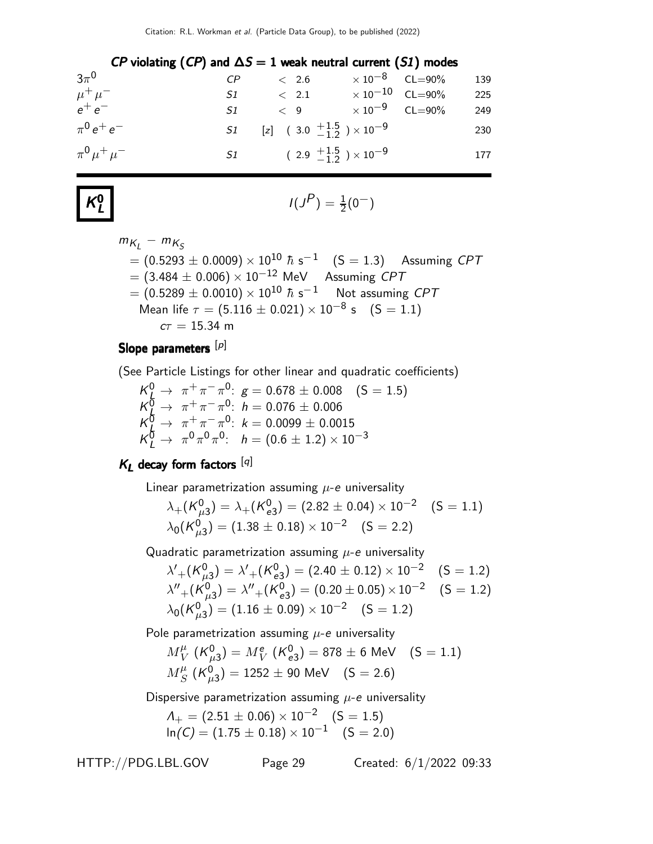| CP violating (CP) and $\Delta S = 1$ weak neutral current (S1) modes |    |                                                   |                                  |                         |     |
|----------------------------------------------------------------------|----|---------------------------------------------------|----------------------------------|-------------------------|-----|
| $3\pi^0$                                                             |    | < 2.6                                             |                                  | $\times 10^{-8}$ CL=90% | 139 |
| $\mu^+ \mu^-$                                                        | S1 | $<$ 2.1 $\times$ 10 $^{-10}$ CL=90%               |                                  |                         | 225 |
| $e^+e^-$                                                             | S1 | < 9                                               | $\times$ 10 <sup>-9</sup> CL=90% |                         | 249 |
| $\pi^{0}e^{+}e^{-}$                                                  |    | $51$ [z] $(3.0 \frac{+1.5}{-1.2}) \times 10^{-9}$ |                                  |                         | 230 |
| $\pi^{0} \mu^{+} \mu^{-}$                                            |    | S1 $(2.9 \tfrac{+1.5}{-1.2}) \times 10^{-9}$      |                                  |                         | 177 |

$$
K^0_L
$$

$$
I(J^P) = \frac{1}{2}(0^-)
$$

$$
m_{K_L} - m_{K_S}
$$
  
= (0.5293 ± 0.0009) × 10<sup>10</sup>  $\hbar$  s<sup>-1</sup> (S = 1.3) Assuming CPT  
= (3.484 ± 0.006) × 10<sup>-12</sup> MeV Assuming CPT  
= (0.5289 ± 0.0010) × 10<sup>10</sup>  $\hbar$  s<sup>-1</sup> Not assuming CPT  
Mean life  $\tau$  = (5.116 ± 0.021) × 10<sup>-8</sup> s (S = 1.1)  
 $c\tau$  = 15.34 m

### Slope parameters [p]

(See Particle Listings for other linear and quadratic coefficients)

 $K_{\frac{L}{2}}^{0} \rightarrow \pi^{+}\pi^{-}\pi^{0}$ :  $g = 0.678 \pm 0.008$  (S = 1.5)  $K^{\overline{0}}_{\overline{h}} \rightarrow \pi^+ \pi^- \pi^0$ :  $h = 0.076 \pm 0.006$  ${\cal K}^{\bar 0}_L \rightarrow \ \pi^+ \pi^- \pi^0$ :  $k=0.0099\pm 0.0015$  $K^{\bar{0}}_L \rightarrow \pi^0 \pi^0 \pi^0$ :  $h = (0.6 \pm 1.2) \times 10^{-3}$ 

### $K_L$  decay form factors [q]

Linear parametrization assuming  $\mu$ -e universality

$$
\lambda_{+}(\mathcal{K}_{\mu3}^{0}) = \lambda_{+}(\mathcal{K}_{e3}^{0}) = (2.82 \pm 0.04) \times 10^{-2} \quad (S = 1.1)
$$
  

$$
\lambda_{0}(\mathcal{K}_{\mu3}^{0}) = (1.38 \pm 0.18) \times 10^{-2} \quad (S = 2.2)
$$

Quadratic parametrization assuming  $\mu$ -e universality

$$
\lambda'_{+} (K_{\mu 3}^{0}) = \lambda'_{+} (K_{e3}^{0}) = (2.40 \pm 0.12) \times 10^{-2} \quad (S = 1.2)
$$
  
\n
$$
\lambda''_{+} (K_{\mu 3}^{0}) = \lambda''_{+} (K_{e3}^{0}) = (0.20 \pm 0.05) \times 10^{-2} \quad (S = 1.2)
$$
  
\n
$$
\lambda_{0} (K_{\mu 3}^{0}) = (1.16 \pm 0.09) \times 10^{-2} \quad (S = 1.2)
$$

Pole parametrization assuming  $\mu$ -e universality

$$
M_V^{\mu} (K_{\mu 3}^0) = M_V^e (K_{e3}^0) = 878 \pm 6 \text{ MeV} \quad (S = 1.1)
$$
  

$$
M_S^{\mu} (K_{\mu 3}^0) = 1252 \pm 90 \text{ MeV} \quad (S = 2.6)
$$

Dispersive parametrization assuming  $\mu$ -e universality

$$
A_{+} = (2.51 \pm 0.06) \times 10^{-2} \quad (S = 1.5)
$$
  
ln(C) = (1.75 \pm 0.18) \times 10^{-1} \quad (S = 2.0)

HTTP://PDG.LBL.GOV Page 29 Created: 6/1/2022 09:33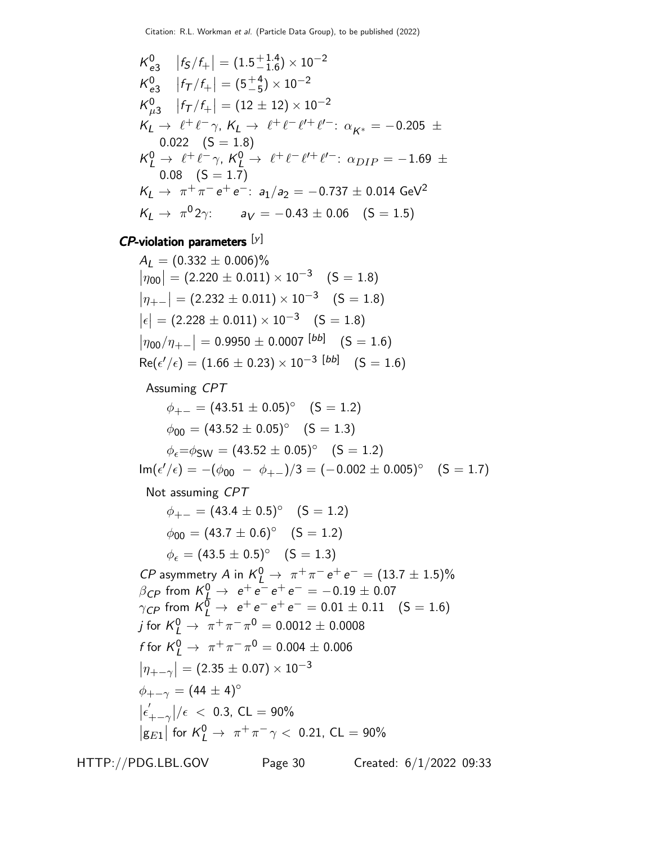$$
K_{e3}^{0} |f_{5}/f_{+}| = (1.5^{+1.4}_{-1.6}) \times 10^{-2}
$$
  
\n
$$
K_{e3}^{0} |f_{7}/f_{+}| = (5^{+4}_{-5}) \times 10^{-2}
$$
  
\n
$$
K_{\mu3}^{0} |f_{7}/f_{+}| = (12 \pm 12) \times 10^{-2}
$$
  
\n
$$
K_{L} \rightarrow \ell^{+} \ell^{-} \gamma, K_{L} \rightarrow \ell^{+} \ell^{-} \ell^{+} \ell^{+}: \alpha_{K^{*}} = -0.205 \pm 0.022 \text{ (S = 1.8)}
$$
  
\n
$$
K_{L}^{0} \rightarrow \ell^{+} \ell^{-} \gamma, K_{L}^{0} \rightarrow \ell^{+} \ell^{-} \ell^{+} \ell^{+}: \alpha_{DIP} = -1.69 \pm 0.08 \text{ (S = 1.7)}
$$
  
\n
$$
K_{L} \rightarrow \pi^{+} \pi^{-} e^{+} e^{-}: a_{1}/a_{2} = -0.737 \pm 0.014 \text{ GeV}^{2}
$$
  
\n
$$
K_{L} \rightarrow \pi^{0} 2\gamma: a_{V} = -0.43 \pm 0.06 \text{ (S = 1.5)}
$$

## $\mathsf{CP}\text{-}$ violation parameters  $[\mathsf{y}]$

$$
A_L = (0.332 \pm 0.006)\%
$$
  
\n
$$
|\eta_{00}| = (2.220 \pm 0.011) \times 10^{-3} \quad (S = 1.8)
$$
  
\n
$$
|\eta_{+-}| = (2.232 \pm 0.011) \times 10^{-3} \quad (S = 1.8)
$$
  
\n
$$
|\epsilon| = (2.228 \pm 0.011) \times 10^{-3} \quad (S = 1.8)
$$
  
\n
$$
|\eta_{00}/\eta_{+-}| = 0.9950 \pm 0.0007 \, [bb] \quad (S = 1.6)
$$
  
\n
$$
Re(\epsilon'/\epsilon) = (1.66 \pm 0.23) \times 10^{-3} \, [bb] \quad (S = 1.6)
$$

### Assuming CPT

$$
\phi_{+-} = (43.51 \pm 0.05)^{\circ} \quad (S = 1.2)
$$
  
\n
$$
\phi_{00} = (43.52 \pm 0.05)^{\circ} \quad (S = 1.3)
$$
  
\n
$$
\phi_{\epsilon} = \phi_{SW} = (43.52 \pm 0.05)^{\circ} \quad (S = 1.2)
$$
  
\n
$$
\text{Im}(\epsilon'/\epsilon) = -(\phi_{00} - \phi_{+-})/3 = (-0.002 \pm 0.005)^{\circ} \quad (S = 1.7)
$$

### Not assuming CPT

$$
\phi_{+-} = (43.4 \pm 0.5)^{\circ} \quad (S = 1.2)
$$
\n
$$
\phi_{00} = (43.7 \pm 0.6)^{\circ} \quad (S = 1.2)
$$
\n
$$
\phi_{\epsilon} = (43.5 \pm 0.5)^{\circ} \quad (S = 1.3)
$$
\n*CP* asymmetry *A* in  $K_L^0 \rightarrow \pi^+ \pi^- e^+ e^- = (13.7 \pm 1.5)\%$   
\n*BCP* from  $K_L^0 \rightarrow e^+ e^- e^+ e^- = -0.19 \pm 0.07$   
\n
$$
\gamma_{CP}
$$
 from  $K_L^0 \rightarrow e^+ e^- e^+ e^- = 0.01 \pm 0.11 \quad (S = 1.6)$   
\n*j* for  $K_L^0 \rightarrow \pi^+ \pi^- \pi^0 = 0.0012 \pm 0.0008$   
\n*f* for  $K_L^0 \rightarrow \pi^+ \pi^- \pi^0 = 0.004 \pm 0.006$   
\n
$$
|\eta_{+-\gamma}| = (2.35 \pm 0.07) \times 10^{-3}
$$
  
\n
$$
\phi_{+-\gamma} = (44 \pm 4)^{\circ}
$$
  
\n
$$
|\epsilon'_{+-\gamma}|/\epsilon \langle 0.3, CL = 90\%
$$
  
\n
$$
|g_{E1}|
$$
 for  $K_L^0 \rightarrow \pi^+ \pi^- \gamma \langle 0.21, CL = 90\%$ 

HTTP://PDG.LBL.GOV Page 30 Created: 6/1/2022 09:33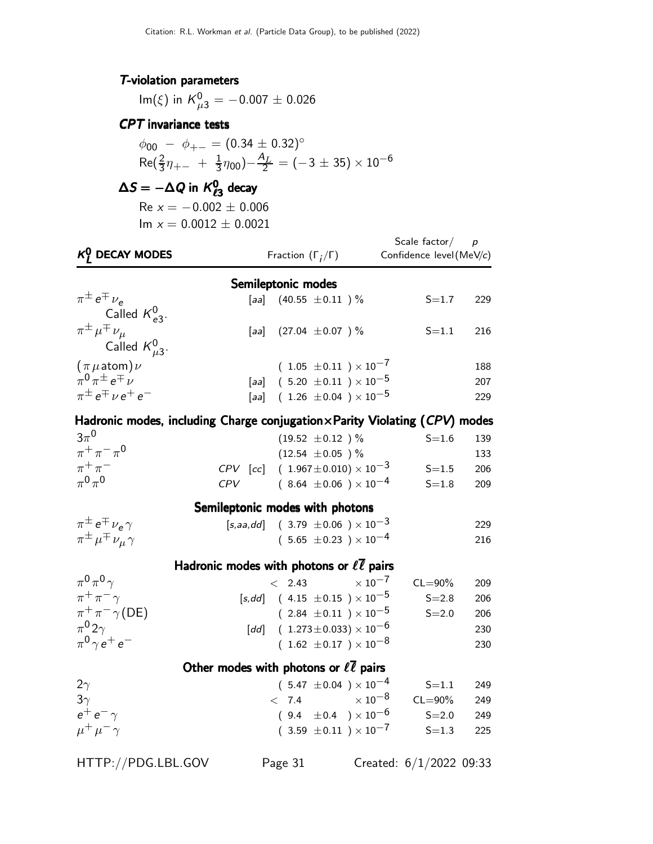#### T-violation parameters

 ${\sf Im}(\xi)$  in  ${\sf K}^0_{\mu3}=-0.007\pm0.026$ 

#### CPT invariance tests

 $\phi_{00}$  –  $\phi_{+-}$  =  $(0.34 \pm 0.32)$ °  $Re(\frac{2}{3}\eta_{+-} + \frac{1}{3})$  $(\frac{1}{3}\eta_{00})-\frac{A_L}{2}=(-3\pm35)\times10^{-6}$ 

## $\Delta S = -\Delta Q$  in  $K^0_{\ell 3}$  decay

 $Re x = -0.002 \pm 0.006$  $Im x = 0.0012 \pm 0.0021$ 

| $K_I^0$ DECAY MODES                                                                |     | Fraction $(\Gamma_i/\Gamma)$                               | Scale factor $/$ p<br>Confidence level (MeV/c) |     |  |
|------------------------------------------------------------------------------------|-----|------------------------------------------------------------|------------------------------------------------|-----|--|
|                                                                                    |     | Semileptonic modes                                         |                                                |     |  |
| $\pi^{\pm} e^{\mp} \nu_e$<br>Called $K_{e3}^0$ .                                   |     | [aa] $(40.55 \pm 0.11)$ %                                  | $S = 1.7$                                      | 229 |  |
| $\pi^{\pm}\,\mu^{\mp}\,\nu_{\mu}$<br>Called $K_{\mu 3}^0$ .                        |     | [aa] $(27.04 \pm 0.07)$ %                                  | $S = 1.1$                                      | 216 |  |
| $(\pi \mu \text{atom}) \nu$                                                        |     | $(1.05 \pm 0.11) \times 10^{-7}$                           |                                                | 188 |  |
| $\pi^0 \pi^{\pm} e^{\mp} \nu$                                                      |     | [aa] $(5.20 \pm 0.11) \times 10^{-5}$                      |                                                | 207 |  |
| $\pi^{\pm}e^{\mp}$ $\nu e^+e^-$                                                    |     | [aa] $(1.26 \pm 0.04) \times 10^{-5}$                      |                                                | 229 |  |
| Hadronic modes, including Charge conjugation $\times$ Parity Violating (CPV) modes |     |                                                            |                                                |     |  |
| $3\pi^0$                                                                           |     | $(19.52 \pm 0.12)$ %                                       | $S = 1.6$                                      | 139 |  |
| $\pi^{+}\pi^{-}\pi^{0}$                                                            |     | $(12.54 \pm 0.05)$ %                                       |                                                | 133 |  |
| $\pi^+\pi^-$                                                                       |     | $CPV$ [cc] $(1.967 \pm 0.010) \times 10^{-3}$              | $S = 1.5$                                      | 206 |  |
| $\pi^0\pi^0$                                                                       | CPV | $(8.64 \pm 0.06) \times 10^{-4}$                           | $S = 1.8$                                      | 209 |  |
|                                                                                    |     | Semileptonic modes with photons                            |                                                |     |  |
| $\pi^{\pm} e^{\mp} \nu_e \gamma$                                                   |     | [s,aa,dd] $(3.79 \pm 0.06) \times 10^{-3}$                 |                                                | 229 |  |
| $\pi^{\pm} \mu^{\mp} \nu_{\mu} \gamma$                                             |     | $(5.65 \pm 0.23) \times 10^{-4}$                           |                                                | 216 |  |
|                                                                                    |     | Hadronic modes with photons or $\ell\overline{\ell}$ pairs |                                                |     |  |
| $\pi^0 \pi^0 \gamma$                                                               |     | < 2.43                                                     | $\times$ 10 <sup>-7</sup><br>$CL = 90\%$       | 209 |  |
| $\pi^+\pi^-\gamma$                                                                 |     | $[s,dd]$ (4.15 $\pm 0.15$ ) × 10 <sup>-5</sup>             | $S = 2.8$                                      | 206 |  |
| $\pi^+\pi^-\gamma(DE)$                                                             |     | $(2.84 \pm 0.11) \times 10^{-5}$                           | $S = 2.0$                                      | 206 |  |
| $\pi^0 2\gamma$                                                                    |     | [dd] $(1.273 \pm 0.033) \times 10^{-6}$                    |                                                | 230 |  |
| $\pi^0 \gamma e^+ e^-$                                                             |     | $(1.62 \pm 0.17) \times 10^{-8}$                           |                                                | 230 |  |
| Other modes with photons or $\ell \overline{\ell}$ pairs                           |     |                                                            |                                                |     |  |
| $2\gamma$                                                                          |     | $(5.47 \pm 0.04) \times 10^{-4}$                           | $S = 1.1$                                      | 249 |  |
| $3\gamma$                                                                          |     | < 7.4                                                      | $\times\,10^{-8}$<br>$CL = 90\%$               | 249 |  |
| $e^+e^-\gamma$                                                                     |     | $(9.4 \pm 0.4) \times 10^{-6}$                             | $S = 2.0$                                      | 249 |  |
| $\mu^+ \mu^-$                                                                      |     | $(3.59 \pm 0.11) \times 10^{-7}$                           | $S = 1.3$                                      | 225 |  |
|                                                                                    |     |                                                            |                                                |     |  |

HTTP://PDG.LBL.GOV Page 31 Created: 6/1/2022 09:33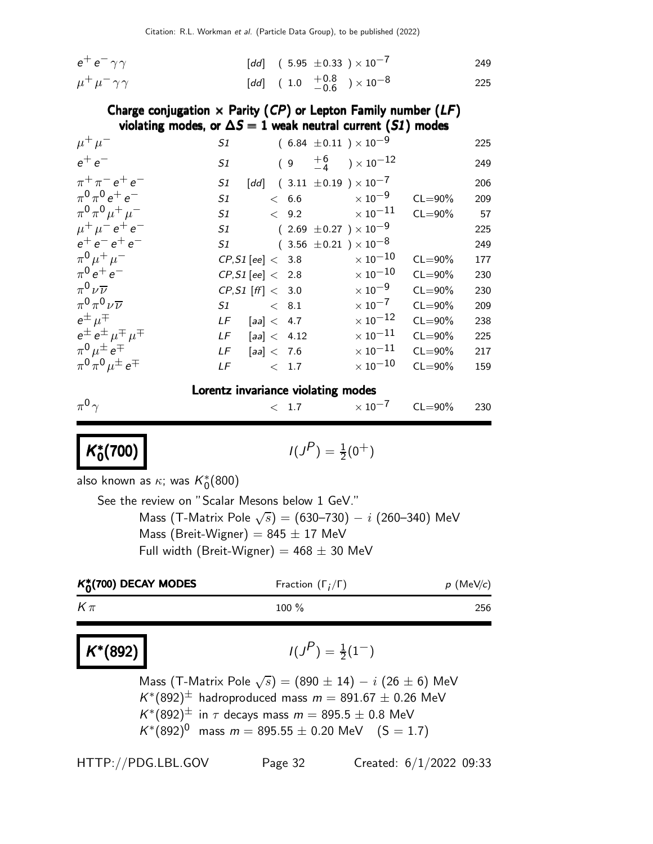| $e^+e^-\gamma\gamma$        | [dd] $(5.95 \pm 0.33) \times 10^{-7}$   | 249 |
|-----------------------------|-----------------------------------------|-----|
| $\mu^+ \mu^- \gamma \gamma$ | [dd] $(1.0 + 0.8 + 0.8) \times 10^{-8}$ | 225 |

#### Charge conjugation  $\times$  Parity (CP) or Lepton Family number (LF) violating modes, or  $\Delta S = 1$  weak neutral current (S1) modes

| $\mu^+ \mu^-$                            | S1                                    | $(6.84 \pm 0.11) \times 10^{-9}$                                                            |                      |             | 225  |
|------------------------------------------|---------------------------------------|---------------------------------------------------------------------------------------------|----------------------|-------------|------|
| $e^+e^-$                                 | S1                                    | $(\begin{array}{cc} 9 & \begin{array}{c} +6 \\ -4 \end{array} \end{array}) \times 10^{-12}$ |                      |             | 249  |
| $\pi^{+}\pi^{-}e^{+}e^{-}$               | S1                                    | [dd] $(3.11 \pm 0.19) \times 10^{-7}$                                                       |                      |             | 206  |
| $\pi^{0}\pi^{0}e^{+}e^{-}$               | S1                                    | $< 6.6$ $\times 10^{-9}$                                                                    |                      | $CL = 90\%$ | 209  |
| $\pi^{0}\pi^{0}\mu^{+}\mu^{-}$           | S1                                    | $<$ 9.2 $\times\ 10^{-11}$                                                                  |                      | $CL = 90\%$ | - 57 |
| $\mu^+ \mu^- e^+ e^-$                    | S1 $(2.69 \pm 0.27) \times 10^{-9}$   |                                                                                             |                      |             | 225  |
| $e^+e^-e^+e^-$                           | $51$ $(3.56 \pm 0.21) \times 10^{-8}$ |                                                                                             |                      |             | 249  |
| $\pi^{0} \mu^{+} \mu^{-}$                | $CP, S1$ [ee] $< 3.8$                 |                                                                                             | $\times$ 10 $^{-10}$ | $CL = 90\%$ | 177  |
| $\pi^{0} e^{+} e^{-}$                    | CP, S1 [ee] < 2.8                     |                                                                                             | $\times$ 10 $^{-10}$ | $CL = 90\%$ | 230  |
| $\pi^0\nu\overline{\nu}$                 | CP, S1 [ff] < 3.0                     |                                                                                             | $\times$ 10 $^{-9}$  | $CL = 90\%$ | 230  |
| $\pi^0 \pi^0 \nu \overline{\nu}$         | $S1 \qquad \qquad < 8.1$              |                                                                                             | $\times$ 10 $^{-7}$  | $CL = 90\%$ | 209  |
| $e^{\pm}$ $\mu^{\mp}$                    | $LF$ [aa] < 4.7                       |                                                                                             | $\times$ 10 $^{-12}$ | $CL = 90\%$ | 238  |
| $e^{\pm}e^{\pm}$ $\mu^{\mp}$ $\mu^{\mp}$ | $LF$ [aa] < 4.12                      |                                                                                             | $\times$ 10 $^{-11}$ | $CL = 90\%$ | 225  |
| $\pi^0 \mu^{\pm} e^{\mp}$                | LF $[aa] < 7.6$                       |                                                                                             | $\times$ 10 $^{-11}$ | $CL = 90\%$ | 217  |
| $\pi^{0}\pi^{0}\mu^{\pm}e^{\mp}$         | $\langle 1.7$<br>LF                   |                                                                                             | $\times$ 10 $^{-10}$ | $CL = 90\%$ | 159  |
| Lorentz invariance violating modes       |                                       |                                                                                             |                      |             |      |
| $\pi^{0}$                                |                                       | $< 1.7 \times 10^{-7}$                                                                      |                      | $CL = 90\%$ | 230  |

#### K ∗  $\binom{1}{0}$   $(1)$

$$
I(J^P) = \frac{1}{2}(0^+)
$$

also known as  $\kappa$ ; was  $\mathcal{K}^*_0(800)$ 

See the review on "Scalar Mesons below 1 GeV." Mass (T-Matrix Pole  $\sqrt{s})=(630\text{--}730)-i$  (260–340) MeV Mass (Breit-Wigner) =  $845 \pm 17$  MeV Full width (Breit-Wigner) =  $468 \pm 30$  MeV

| $K_0^*(700)$ DECAY MODES | Fraction $(\Gamma_i/\Gamma)$ | $p$ (MeV/c) |
|--------------------------|------------------------------|-------------|
| $K\pi$                   | 100 $%$                      | 256         |

## $K^*(892)$   $1(J$

## $(P) = \frac{1}{2}(1^{-})$

Mass (T-Matrix Pole  $\sqrt{s}$ ) = (890  $\pm$  14)  $-$  i (26  $\pm$  6) MeV  $\mathcal{K}^*(892)^\pm$  hadroproduced mass  $m = 891.67 \pm 0.26$  MeV  $K^{*}(892)^{\pm}$  in  $\tau$  decays mass  $m = 895.5 \pm 0.8$  MeV  $K^*(892)^0$  mass  $m = 895.55 \pm 0.20$  MeV  $(S = 1.7)$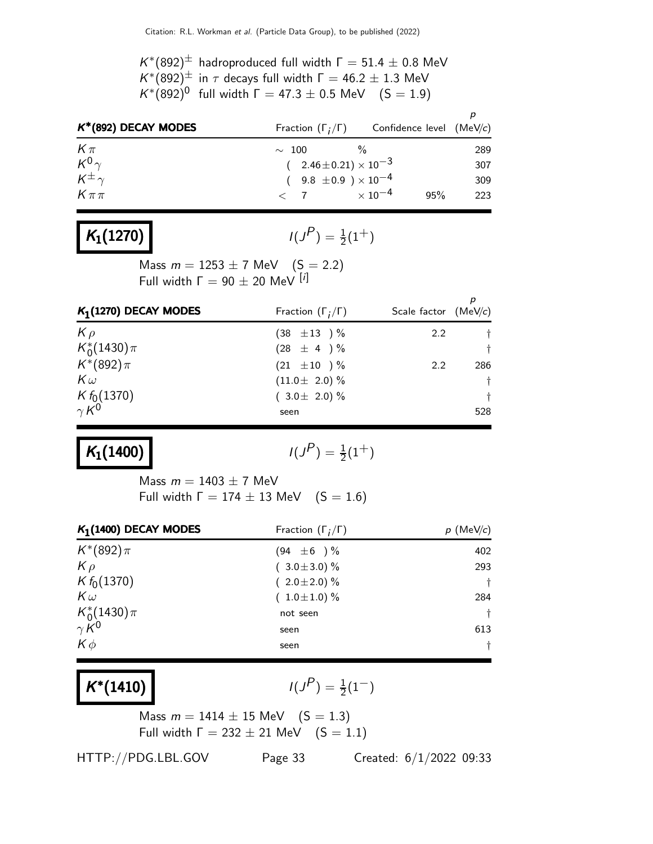$K^*(892)^\pm$  hadroproduced full width  $\Gamma = 51.4 \pm 0.8$  MeV  $K^*(892)^\pm$  in  $\tau$  decays full width  $\Gamma = 46.2 \pm 1.3$  MeV  $K^*(892)^0$  full width  $\Gamma = 47.3 \pm 0.5$  MeV  $(S = 1.9)$ 

| $K^*(892)$ DECAY MODES |                                | Fraction $(\Gamma_i/\Gamma)$ Confidence level (MeV/c) |     |
|------------------------|--------------------------------|-------------------------------------------------------|-----|
| $K\pi$                 | $\sim 100$                     |                                                       | 289 |
| $K^0\gamma$            | $(2.46\pm0.21)\times10^{-3}$   |                                                       | 307 |
| $K^{\pm}$              | $(9.8 \pm 0.9) \times 10^{-4}$ |                                                       | 309 |
| $K\pi\pi$              | $< 7 \times 10^{-4}$           | 95%                                                   | 223 |

## $K_1(1270)$

 $(P) = \frac{1}{2}(1^+)$ 

Mass  $m = 1253 \pm 7$  MeV  $(S = 2.2)$ Full width  $\Gamma = 90 \pm 20$  MeV  $[i]$ 

| $K_1(1270)$ DECAY MODES       | Fraction $(\Gamma_i/\Gamma)$ | Scale factor $(MeV/c)$ |           |
|-------------------------------|------------------------------|------------------------|-----------|
| $K \rho$                      | $(38 \pm 13) \%$             | $2.2^{\circ}$          |           |
| $K_0^*(1430)\pi$              | $(28 \pm 4) \%$              |                        | $^{+}$    |
| $K^*(892)\pi$                 | $(21 \pm 10) \%$             | $2.2^{\circ}$          | 286       |
| $K\omega$                     | $(11.0 \pm 2.0)$ %           |                        | $\dagger$ |
| $K f_0(1370)$<br>$\gamma K^0$ | $(3.0 \pm 2.0)\%$            |                        | t         |
|                               | seen                         |                        | 528       |

## $K_1(1400)$

$$
I(J^P) = \frac{1}{2}(1^+)
$$

Mass  $m = 1403 \pm 7$  MeV Full width  $\Gamma = 174 \pm 13$  MeV  $(S = 1.6)$ 

| $K_1(1400)$ DECAY MODES | Fraction $(\Gamma_i/\Gamma)$ | $p$ (MeV/c) |
|-------------------------|------------------------------|-------------|
| $K^*(892)\pi$           | $(94 \pm 6) \%$              | 402         |
| $K \rho$                | $(3.0 \pm 3.0)$ %            | 293         |
| $K f_0(1370)$           | $(2.0 \pm 2.0)$ %            | $\ddagger$  |
| $K\omega$               | $(1.0 \pm 1.0) \%$           | 284         |
| $K_0^*(1430)\pi$        | not seen                     | $\dagger$   |
| $\gamma K^0$            | seen                         | 613         |
| $K\phi$                 | seen                         | $\dagger$   |

## $K^*(1410)$   $1(J$

 $(P) = \frac{1}{2}(1^{-})$ 

Mass  $m = 1414 \pm 15$  MeV  $(S = 1.3)$ Full width  $\Gamma = 232 \pm 21$  MeV  $(S = 1.1)$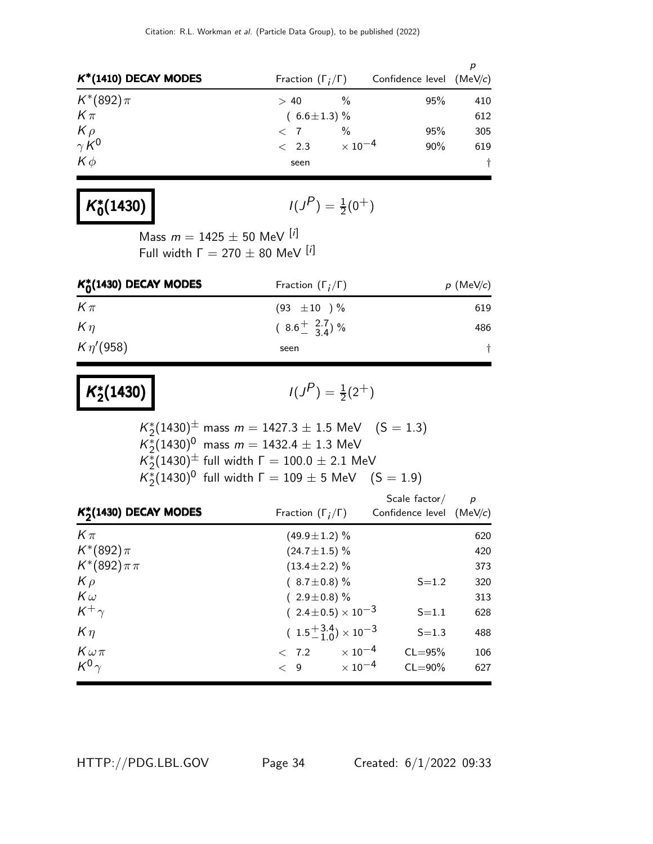| $K^*(1410)$ DECAY MODES  | Fraction $(\Gamma_i/\Gamma)$ |                     | Confidence level (MeV/c) |     |
|--------------------------|------------------------------|---------------------|--------------------------|-----|
| $K^*(892)\pi$            | > 40                         | $\%$                | 95%                      | 410 |
| $K\pi$                   | $(6.6 \pm 1.3)$ %            |                     |                          | 612 |
| $K \rho$<br>$\gamma K^0$ | $\langle$ 7                  | $\frac{0}{0}$       | 95%                      | 305 |
|                          | $\langle$ 2.3                | $\times$ 10 $^{-4}$ | $90\%$                   | 619 |
| $K\phi$                  | seen                         |                     |                          | t   |

#### K ∗  $\binom{1430}{0}$  /(J

$$
I(J^P) = \frac{1}{2}(0^+)
$$

Mass  $m = 1425 \pm 50$  MeV [i] Full width  $\Gamma = 270 \pm 80$  MeV  $[i]$ 

| $K_0^*(1430)$ DECAY MODES | Fraction $(\Gamma_i/\Gamma)$          | $p \,$ (MeV/c) |
|---------------------------|---------------------------------------|----------------|
| $K\pi$                    | $(93 \pm 10) \%$                      | 619            |
| $K\eta$                   | $(8.6 \frac{+}{-} \frac{2.7}{3.4})$ % | 486            |
| $K \eta' (958)$           | seen                                  |                |

#### K ∗  $\binom{2}{2}(1430)$   $\binom{1}{3}$

$$
I(J^P) = \frac{1}{2}(2^+)
$$

$$
K_2^*(1430)^{\pm} \text{ mass } m = 1427.3 \pm 1.5 \text{ MeV} \quad (S = 1.3)
$$
\n
$$
K_2^*(1430)^0 \text{ mass } m = 1432.4 \pm 1.3 \text{ MeV}
$$
\n
$$
K_2^*(1430)^{\pm} \text{ full width } \Gamma = 100.0 \pm 2.1 \text{ MeV}
$$
\n
$$
K_2^*(1430)^0 \text{ full width } \Gamma = 109 \pm 5 \text{ MeV} \quad (S = 1.9)
$$

| $K_{2}^{*}(1430)$ DECAY MODES | Fraction $(\Gamma_i/\Gamma)$            |                                         | $\boldsymbol{p}$<br>Confidence level $(MeV/c)$ |  |
|-------------------------------|-----------------------------------------|-----------------------------------------|------------------------------------------------|--|
| $K\pi$                        | $(49.9 \pm 1.2)$ %                      |                                         | 620                                            |  |
| $K^*(892)\pi$                 | $(24.7 \pm 1.5)$ %                      |                                         | 420                                            |  |
| $K^*(892)\pi\pi$              | $(13.4 \pm 2.2)\%$                      |                                         | 373                                            |  |
| $K \rho$                      | $(8.7 \pm 0.8)\%$                       | $S = 1.2$                               | 320                                            |  |
| $K\omega$                     | $(2.9 \pm 0.8)$ %                       |                                         | 313                                            |  |
| $K^+\gamma$                   | $(2.4 \pm 0.5) \times 10^{-3}$          | $S = 1.1$                               | 628                                            |  |
| $K\eta$                       | $(1.5\frac{+3.4}{-1.0}) \times 10^{-3}$ | $S = 1.3$                               | 488                                            |  |
| $K\omega\pi$                  | < 7.2                                   | $\times$ 10 <sup>-4</sup><br>$CL = 95%$ | 106                                            |  |
| $K^0\gamma$                   | $\lt$ 9                                 | $\times$ 10 $^{-4}$<br>$CL = 90\%$      | 627                                            |  |

HTTP://PDG.LBL.GOV Page 34 Created: 6/1/2022 09:33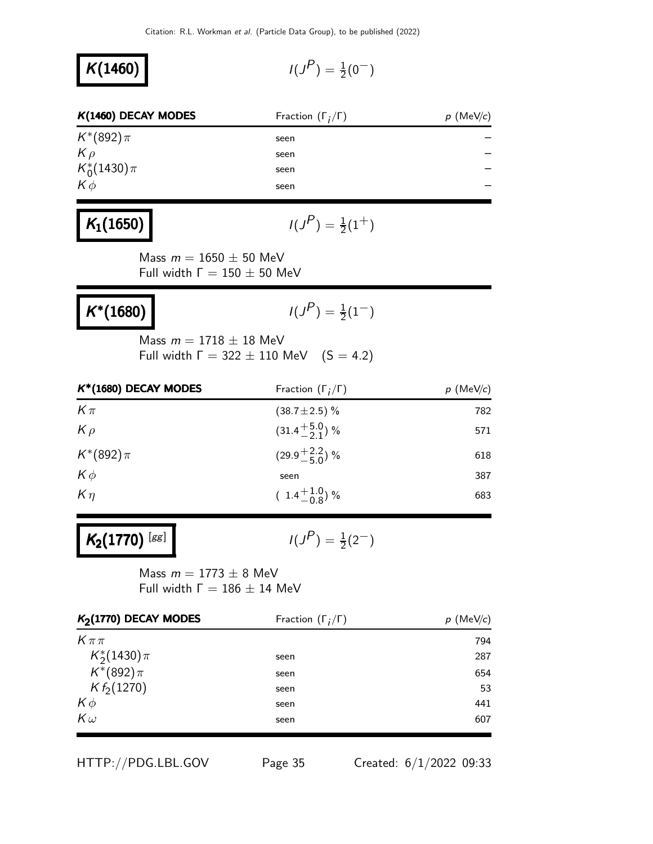| $K(1460)$ DECAY MODES | Fraction $(\Gamma_i/\Gamma)$ | $p$ (MeV/c) |
|-----------------------|------------------------------|-------------|
| $K^*(892)\pi$         | seen                         |             |
| $K \rho$              | seen                         |             |
| $K_0^*(1430)\pi$      | seen                         |             |
| $K\phi$               | seen                         |             |
|                       |                              |             |

## $K_1(1650)$

 $K(1460)$ 

$$
I(J^P) = \frac{1}{2}(1^+)
$$

Mass  $m = 1650 \pm 50$  MeV Full width  $Γ = 150 ± 50$  MeV

| $K^*(1680)$ | $I(J^P) = \frac{1}{2}(1^-)$ |
|-------------|-----------------------------|
|             | Mass $m = 1718 \pm 18$ MeV  |

Full width  $\Gamma = 322 \pm 110$  MeV  $(S = 4.2)$ 

| $K^*(1680)$ DECAY MODES | Fraction $(\Gamma_i/\Gamma)$ | $p$ (MeV/c) |
|-------------------------|------------------------------|-------------|
| $K\pi$                  | $(38.7 \pm 2.5)\%$           | 782         |
| $K \rho$                | $(31.4 + 5.0)$ %             | 571         |
| $K^*(892)\pi$           | $(29.9 + \frac{2.2}{5.0})$ % | 618         |
| $K\phi$                 | seen                         | 387         |
| $K\eta$                 | $(1.4\frac{+1.0}{0.8})\%$    | 683         |

# $K_2(1770)$  [gg]

 $I(J^P) = \frac{1}{2}(2^-)$ 

Mass  $m = 1773 \pm 8$  MeV Full width  $Γ = 186 ± 14$  MeV

| $K2(1770)$ DECAY MODES | Fraction $(\Gamma_i/\Gamma)$ | $p$ (MeV/c) |
|------------------------|------------------------------|-------------|
| $K\pi\pi$              |                              | 794         |
| $K_2^*(1430)\pi$       | seen                         | 287         |
| $K^*(892)\pi$          | seen                         | 654         |
| $K f_2(1270)$          | seen                         | 53          |
| $K\phi$                | seen                         | 441         |
| $K\omega$              | seen                         | 607         |

HTTP://PDG.LBL.GOV Page 35 Created: 6/1/2022 09:33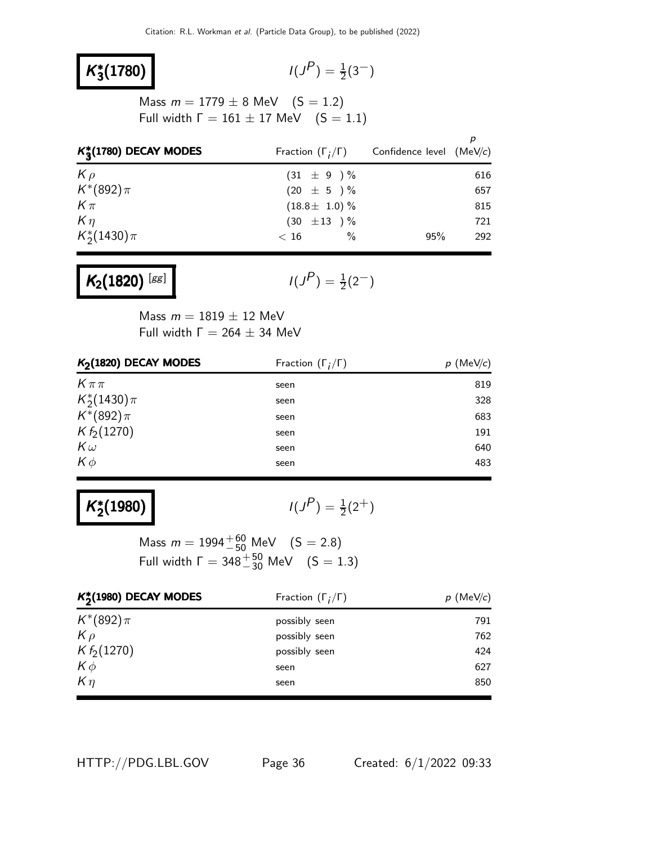#### K ∗ **3**(1780)  $\vert$   $\vert$   $\vert$

$$
I(J^P) = \frac{1}{2}(3^-)
$$

Mass  $m = 1779 \pm 8$  MeV  $(S = 1.2)$ Full width  $Γ = 161 ± 17$  MeV  $(S = 1.1)$ 

| $K_2^*(1780)$ DECAY MODES | Fraction $(\Gamma_i/\Gamma)$ | Confidence level (MeV/c) |     |
|---------------------------|------------------------------|--------------------------|-----|
| $K \rho$                  | $(31 \pm 9) \%$              |                          | 616 |
| $K^*(892)\pi$             | $(20 \pm 5) \%$              |                          | 657 |
| $K\pi$                    | $(18.8 \pm 1.0) \%$          |                          | 815 |
| $K\eta$                   | $(30 \pm 13) \%$             |                          | 721 |
| $K_2^*(1430)\pi$          | $\%$<br>< 16                 | 95%                      | 292 |

# $K_2(1820)$ <sup>[gg]</sup>

 $I(J^P) = \frac{1}{2}(2^-)$ 

Mass  $m = 1819 \pm 12$  MeV Full width  $\Gamma = 264 \pm 34$  MeV

| $K2(1820)$ DECAY MODES | Fraction $(\Gamma_i/\Gamma)$ | $p$ (MeV/c) |
|------------------------|------------------------------|-------------|
| $K\pi\pi$              | seen                         | 819         |
| $K_2^*(1430)\pi$       | seen                         | 328         |
| $K^*(892)\pi$          | seen                         | 683         |
| $K f_2(1270)$          | seen                         | 191         |
| $K\omega$              | seen                         | 640         |
| $K\phi$                | seen                         | 483         |

#### K ∗  $\binom{2}{2}(1980)$   $\binom{1}{3}(1980)$

 $P$ ) =  $\frac{1}{2}(2^{+})$ 

Mass  $m = 1994^{+60}_{-50}$  MeV  $(S = 2.8)$ Full width  $\Gamma = 348^{+50}_{-30}$  MeV  $(S = 1.3)$ 

| $K_2^*(1980)$ DECAY MODES | Fraction $(\Gamma_i/\Gamma)$ | $p$ (MeV/c) |
|---------------------------|------------------------------|-------------|
| $K^*(892)\pi$             | possibly seen                | 791         |
| $K \rho$                  | possibly seen                | 762         |
| $K f_2(1270)$             | possibly seen                | 424         |
| $K\phi$                   | seen                         | 627         |
| $K\eta$                   | seen                         | 850         |
|                           |                              |             |

HTTP://PDG.LBL.GOV Page 36 Created: 6/1/2022 09:33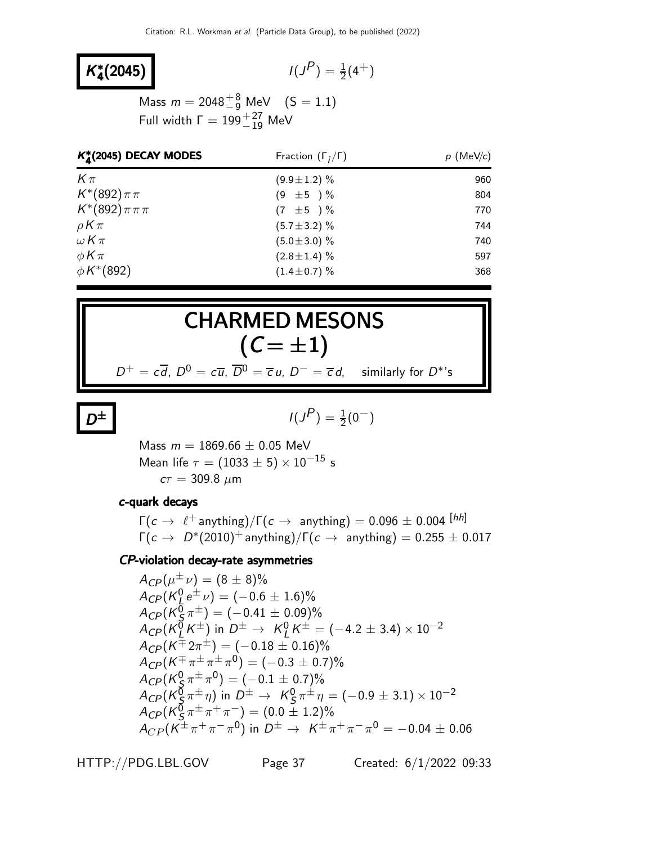#### K ∗  $\binom{*}{4}(2045)$  /(J

$$
I(J^P) = \frac{1}{2}(4^+)
$$

Mass  $m = 2048^{+8}_{-9}$  MeV  $(S = 1.1)$ Full width  $\Gamma = 199^{+27}_{-19}$  MeV

| $K_A^*(2045)$ DECAY MODES | Fraction $(\Gamma_i/\Gamma)$ | $p$ (MeV/c) |  |
|---------------------------|------------------------------|-------------|--|
| $K\pi$                    | $(9.9 \pm 1.2)$ %            | 960         |  |
| $K^*(892)\pi\pi$          | $(9 \pm 5) \%$               | 804         |  |
| $K^*(892)\pi\pi\pi$       | $(7 \pm 5) \%$               | 770         |  |
| $\rho K \pi$              | $(5.7 \pm 3.2)$ %            | 744         |  |
| $\omega K\pi$             | $(5.0 \pm 3.0)$ %            | 740         |  |
| $\phi K \pi$              | $(2.8 \pm 1.4)$ %            | 597         |  |
| $\phi K^{*}(892)$         | $(1.4 \pm 0.7)\%$            | 368         |  |

# CHARMED MESONS  $(C = \pm 1)$

 $D^+ = c\overline{d}$ ,  $D^0 = c\overline{u}$ ,  $\overline{D}^0 = \overline{c} u$ ,  $D^- = \overline{c} d$ , similarly for  $D^*$ 's

|--|

$$
\pm \qquad I(J^P) = \frac{1}{2}(0^-)
$$

Mass  $m = 1869.66 \pm 0.05$  MeV Mean life  $\tau = (1033 \pm 5) \times 10^{-15}$  s  $c\tau = 309.8 \mu m$ 

#### c-quark decays

 $\Gamma(c \to \ell^+$  anything)/ $\Gamma(c \to \text{ anything}) = 0.096 \pm 0.004$  [hh]  $\Gamma(c \to D^*(2010)^+$  anything)/ $\Gamma(c \to$  anything) = 0.255  $\pm$  0.017

#### CP-violation decay-rate asymmetries

 $A_{CP}(\mu^{\pm}\nu) = (8 \pm 8)\%$  $A_{CP}(K^0_L \, e^\pm \, \nu) = (-0.6 \pm 1.6)\%$ L  $A_{C P}(K^{\bar{0}}_{S})$  $(\frac{0}{5}\pi^{\pm}) = (-0.41 \pm 0.09)\%$  $A_{C P} (K^{\bar{0}}_L$  $L \xrightarrow{0} K^{\pm}$ ) in  $D^{\pm} \rightarrow K_{L}^{0}$  $\frac{0}{L}K^\pm = (-4.2 \pm 3.4) \times 10^{-2}$  $A_{CP}(K^{\pm 2\pi^{\pm}}) = (-0.18 \pm 0.16)\%$  $A_{CP}(K^{\mp}\pi^{\pm}\pi^{\pm}\pi^0)=(-0.3\pm0.7)\%$  $A_{C P}$ (K $_{S}^0$  $\frac{0}{\mathcal{S}}\pi^{\pm}\pi^{0}) = (-0.1\pm0.7)\%$  $A_{C P}$ (K $_{S}^{\bar{0}}$  $\frac{1}{S}\pi^{\pm}\eta)$  in  $D^{\pm}\to~{\sf K}^0_S$  $\frac{0}{\mathcal{S}}\pi^{\pm}\eta = (-0.9 \pm 3.1) \times 10^{-2}$  $A_{C P}(K^{\bar 0}_S$  $(\bar{\mathcal{S}}_S^{\bar{\mathcal{I}}} \pi^{\pm}\pi^+\pi^-) = (0.0 \pm 1.2)\%$  $A_{CP} (K^{\pm} \pi^+ \pi^- \pi^0)$  in  $D^{\pm} \to K^{\pm} \pi^+ \pi^- \pi^0 = -0.04 \pm 0.06$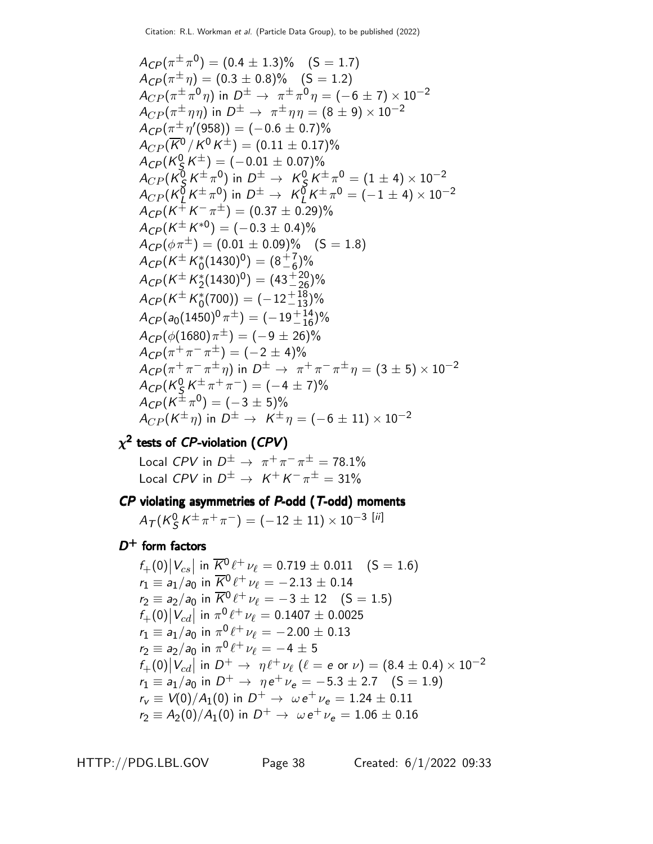$$
A_{CP}(\pi^{\pm}\pi^0) = (0.4 \pm 1.3)\% \quad (S = 1.7)
$$
  
\n
$$
A_{CP}(\pi^{\pm}\eta) = (0.3 \pm 0.8)\% \quad (S = 1.2)
$$
  
\n
$$
A_{CP}(\pi^{\pm}\pi^0\eta) \text{ in } D^{\pm} \rightarrow \pi^{\pm}\pi^0\eta = (-6 \pm 7) \times 10^{-2}
$$
  
\n
$$
A_{CP}(\pi^{\pm}\eta\eta) \text{ in } D^{\pm} \rightarrow \pi^{\pm}\eta\eta = (8 \pm 9) \times 10^{-2}
$$
  
\n
$$
A_{CP}(\pi^{\pm}\eta'(958)) = (-0.6 \pm 0.7)\%
$$
  
\n
$$
A_{CP}(\overline{K}^0/K^0K^{\pm}) = (0.11 \pm 0.17)\%
$$
  
\n
$$
A_{CP}(K_S^0K^{\pm}\pi^0) \text{ in } D^{\pm} \rightarrow K_S^0K^{\pm}\pi^0 = (1 \pm 4) \times 10^{-2}
$$
  
\n
$$
A_{CP}(K_L^0K^{\pm}\pi^0) \text{ in } D^{\pm} \rightarrow K_L^0K^{\pm}\pi^0 = (-1 \pm 4) \times 10^{-2}
$$
  
\n
$$
A_{CP}(K^{\pm}K^{\mp}\pi) \text{ in } D^{\pm} \rightarrow K_L^0K^{\pm}\pi^0 = (-1 \pm 4) \times 10^{-2}
$$
  
\n
$$
A_{CP}(K^{\pm}K^{\pm}\pi^0) = (0.37 \pm 0.29)\%
$$
  
\n
$$
A_{CP}(K^{\pm}K^{\pm}(1430)^0) = (8\frac{1}{6})\%
$$
  
\n
$$
A_{CP}(K^{\pm}K^{\pm}_{2}(1430)^0) = (43\frac{120}{26})\%
$$
  
\n
$$
A_{CP}(K^{\pm}K^{\pm}_{2}(1430)^0) = (-12\frac{113}{13})\%
$$
  
\n
$$
A_{CP}(K^{\pm}K^{\pm}_{2}(1430)^0) = (-12\frac{118}{13})\%
$$
  
\n
$$
A_{CP}(K^{\pm}\pi
$$

### $\chi^2$  tests of CP-violation (CPV)

**tests of CP-violation (CPV)**<br>Local CPV in  $D^{\pm} \rightarrow \pi^{+} \pi^{-} \pi^{\pm} = 78.1\%$ Local CPV in  $D^{\pm} \rightarrow K^{+} K^{-} \pi^{\pm} = 31\%$ 

# $\cal CP$  violating asymmetries of  $\cal P$ -odd ( $\cal T$ -odd) moments

 $A_{\mathcal{T}}(K^0_S$  $\frac{0}{S}\, {\cal K}^{\pm}\, \pi^+\, \pi^-\big) = (-\,12\,\pm\,11)\times 10^{-3}\,$   $[{\it ii}]$ 

 $D^+$  form factors

$$
f_{+}(0)|V_{cs}| \text{ in } \overline{K}^{0} \ell^{+} \nu_{\ell} = 0.719 \pm 0.011 \quad (S = 1.6)
$$
  
\n
$$
r_{1} \equiv a_{1}/a_{0} \text{ in } \overline{K}^{0} \ell^{+} \nu_{\ell} = -2.13 \pm 0.14
$$
  
\n
$$
r_{2} \equiv a_{2}/a_{0} \text{ in } \overline{K}^{0} \ell^{+} \nu_{\ell} = -3 \pm 12 \quad (S = 1.5)
$$
  
\n
$$
f_{+}(0)|V_{cd}| \text{ in } \pi^{0} \ell^{+} \nu_{\ell} = 0.1407 \pm 0.0025
$$
  
\n
$$
r_{1} \equiv a_{1}/a_{0} \text{ in } \pi^{0} \ell^{+} \nu_{\ell} = -2.00 \pm 0.13
$$
  
\n
$$
r_{2} \equiv a_{2}/a_{0} \text{ in } \pi^{0} \ell^{+} \nu_{\ell} = -4 \pm 5
$$
  
\n
$$
f_{+}(0)|V_{cd}| \text{ in } D^{+} \rightarrow \eta \ell^{+} \nu_{\ell} \quad (\ell = e \text{ or } \nu) = (8.4 \pm 0.4) \times 10^{-2}
$$
  
\n
$$
r_{1} \equiv a_{1}/a_{0} \text{ in } D^{+} \rightarrow \eta e^{+} \nu_{e} = -5.3 \pm 2.7 \quad (S = 1.9)
$$
  
\n
$$
r_{v} \equiv V(0)/A_{1}(0) \text{ in } D^{+} \rightarrow \omega e^{+} \nu_{e} = 1.24 \pm 0.11
$$
  
\n
$$
r_{2} \equiv A_{2}(0)/A_{1}(0) \text{ in } D^{+} \rightarrow \omega e^{+} \nu_{e} = 1.06 \pm 0.16
$$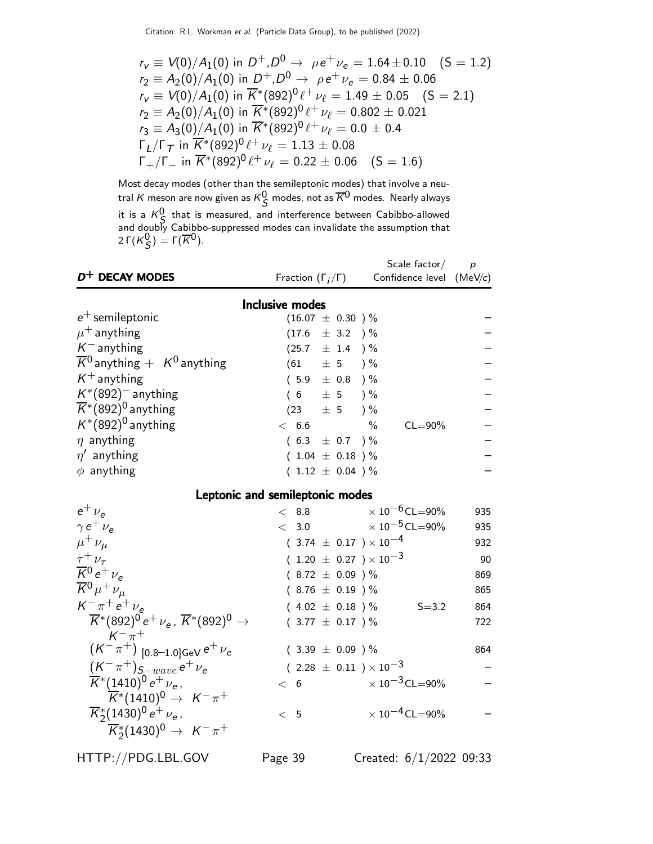$$
r_v \equiv V(0)/A_1(0) \text{ in } D^+, D^0 \rightarrow \rho e^+ \nu_e = 1.64 \pm 0.10 \quad (S = 1.2)
$$
  
\n
$$
r_2 \equiv A_2(0)/A_1(0) \text{ in } D^+, D^0 \rightarrow \rho e^+ \nu_e = 0.84 \pm 0.06
$$
  
\n
$$
r_v \equiv V(0)/A_1(0) \text{ in } \overline{K}^*(892)^0 \ell^+ \nu_\ell = 1.49 \pm 0.05 \quad (S = 2.1)
$$
  
\n
$$
r_2 \equiv A_2(0)/A_1(0) \text{ in } \overline{K}^*(892)^0 \ell^+ \nu_\ell = 0.802 \pm 0.021
$$
  
\n
$$
r_3 \equiv A_3(0)/A_1(0) \text{ in } \overline{K}^*(892)^0 \ell^+ \nu_\ell = 0.0 \pm 0.4
$$
  
\n
$$
\Gamma_L/\Gamma_T \text{ in } \overline{K}^*(892)^0 \ell^+ \nu_\ell = 1.13 \pm 0.08
$$
  
\n
$$
\Gamma_+/\Gamma_- \text{ in } \overline{K}^*(892)^0 \ell^+ \nu_\ell = 0.22 \pm 0.06 \quad (S = 1.6)
$$

Most decay modes (other than the semileptonic modes) that involve a neutral  $K$  meson are now given as  $K^0_{\mathcal{S}}$  modes, not as  $\overline{K}{}^0$  modes. Nearly always it is a  $K^0$  that is measured, and interference between Cabibbo-allowed and doubly Cabibbo-suppressed modes can invalidate the assumption that 2 Γ $(K_S^0)$  = Γ $(\overline{K}^0)$ .

| $D^+$ DECAY MODES                                                                               |                                  | Scale factor $/$                 | $\boldsymbol{p}$ |
|-------------------------------------------------------------------------------------------------|----------------------------------|----------------------------------|------------------|
|                                                                                                 | Fraction $(\Gamma_j/\Gamma)$     | Confidence level $(MeV/c)$       |                  |
|                                                                                                 | <b>Inclusive modes</b>           |                                  |                  |
| $e^+$ semileptonic                                                                              | $(16.07 \pm 0.30)$ %             |                                  |                  |
| $\mu^+$ anything                                                                                | $(17.6 \pm 3.2)$ %               |                                  |                  |
| $K^-$ anything                                                                                  | $(25.7 \pm 1.4)$ %               |                                  |                  |
| $\overline{K}{}^0$ anything $+$ K <sup>0</sup> anything                                         | $(61 \pm 5) \%$                  |                                  |                  |
| $K^+$ anything                                                                                  | $(5.9 \pm 0.8)$ %                |                                  |                  |
| $K^*(892)^-$ anything                                                                           | $(6 \pm 5) \%$                   |                                  |                  |
| $\overline{K}$ <sup>*</sup> (892) <sup>0</sup> anything                                         | $(23 \pm 5) \%$                  |                                  |                  |
| $K^*(892)^0$ anything                                                                           | $< 6.6$ %                        | $CL = 90\%$                      |                  |
| $\eta$ anything                                                                                 | $(6.3 \pm 0.7)$ %                |                                  |                  |
| $\eta'$ anything                                                                                | $(1.04 \pm 0.18) \%$             |                                  |                  |
| $\phi$ anything                                                                                 | $(1.12 \pm 0.04) \%$             |                                  |                  |
|                                                                                                 | Leptonic and semileptonic modes  |                                  |                  |
| $e^+$ $\nu_e$                                                                                   | < 8.8                            | $\times$ 10 $^{-6}$ CL=90%       | 935              |
| $\gamma e^+ \nu_e$                                                                              | < 3.0                            | $\times$ 10 $^{-5}$ CL $=$ 90%   | 935              |
| $\mu^+ \nu_\mu$                                                                                 | $(3.74 \pm 0.17) \times 10^{-4}$ |                                  | 932              |
| $\tau^+ \nu_{\tau}$                                                                             | $(1.20 \pm 0.27) \times 10^{-3}$ |                                  | 90               |
| $\overline{K}$ <sup>0</sup> $e^+$ $\nu_e$                                                       | $(8.72 \pm 0.09)$ %              |                                  | 869              |
| $\overline{K}{}^0 \mu^+ \nu_\mu$                                                                | $(8.76 \pm 0.19) \%$             |                                  | 865              |
| $K^{-} \pi^{+} e^{+} \nu_{e}$                                                                   |                                  | $(4.02 \pm 0.18)$ % S=3.2        | 864              |
| $\overline{K}^*(892)^0 e^+ \nu_e$ , $\overline{K}^*(892)^0 \rightarrow$                         | $(3.77 \pm 0.17)$ %              |                                  | 722              |
| $K^{-} \pi^{+}$<br>$(K^{-} \pi^{+})$ [0.8–1.0]GeV $e^{+} \nu_{e}$                               | $(3.39 \pm 0.09)$ %              |                                  | 864              |
| $(K^-\pi^+)_{S-wave} e^+\nu_e$                                                                  | $(2.28 \pm 0.11) \times 10^{-3}$ |                                  |                  |
| $\overline{K}^*(1410)^0 e^+ \nu_e$ ,<br>$K^*(1410)^0 \rightarrow K^-\pi^+$                      | < 6                              | $\times$ 10 $^{-3}$ CL $=$ 90%   |                  |
| $\overline{K}_{2}^{*}(1430)^{0}e^{+}\nu_{e}$<br>$\overline{K}_2^*(1430)^0 \rightarrow K^-\pi^+$ | < 5                              | $\times$ 10 <sup>-4</sup> CL=90% |                  |
| HTTP://PDG.LBL.GOV                                                                              | Page 39                          | Created: $6/1/2022$ 09:33        |                  |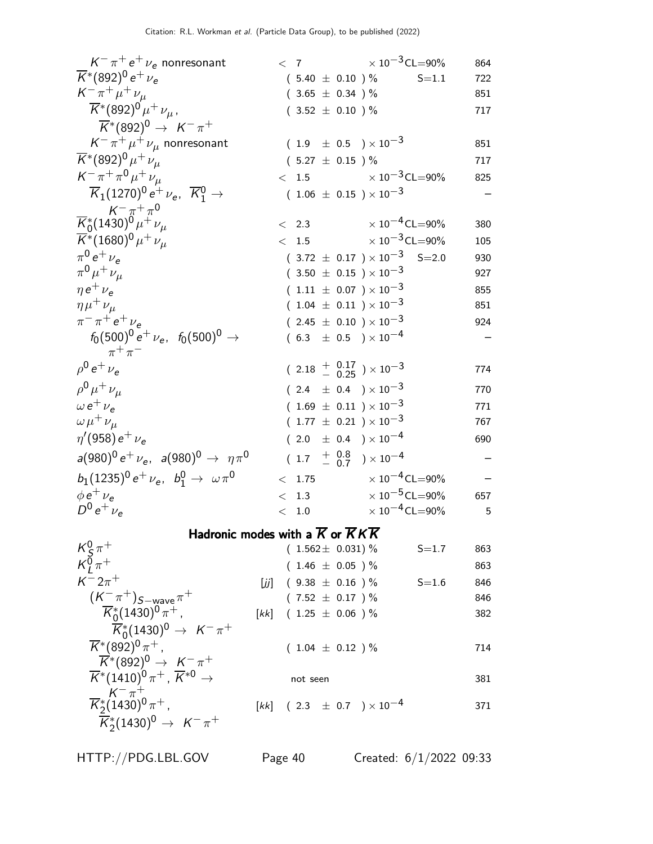| $K^-\pi^+e^+\nu_e$ nonresonant                                      |     |       |          |                             | $< 7$ $\times 10^{-3}$ CL=90%                     |           | 864 |
|---------------------------------------------------------------------|-----|-------|----------|-----------------------------|---------------------------------------------------|-----------|-----|
| $\overline{K}$ *(892) <sup>0</sup> e <sup>+</sup> $\nu_e$           |     |       |          | $(5.40 \pm 0.10) \%$        |                                                   | $S = 1.1$ | 722 |
| $K^{-} \pi^{+} \mu^{+} \nu_{\mu}$                                   |     |       |          | $(3.65 \pm 0.34)$ %         |                                                   |           | 851 |
| $\overline{K}^*(892)^0 \mu^+ \nu_\mu$ ,                             |     |       |          | $(3.52 \pm 0.10) \%$        |                                                   |           | 717 |
| $\overline{K}^*(892)^0 \rightarrow K^- \pi^+$                       |     |       |          |                             |                                                   |           |     |
| $K^-\pi^+\mu^+\nu_\mu$ nonresonant                                  |     |       |          |                             | $(1.9 \pm 0.5) \times 10^{-3}$                    |           | 851 |
| $\overline{K}^*(892)^0 \mu^+ \nu_\mu$                               |     |       |          | $(5.27 \pm 0.15)$ %         |                                                   |           | 717 |
| $K^- \pi^+ \pi^0 \mu^+ \nu_\mu$                                     |     |       |          |                             | $< 1.5$ $\times 10^{-3}$ CL=90%                   |           | 825 |
| $\overline{K}_1(1270)^0 e^+ \nu_e, \ \overline{K}_1^0 \rightarrow$  |     |       |          |                             | $(1.06 \pm 0.15) \times 10^{-3}$                  |           |     |
| $\frac{K^-\pi^+\pi^0}{K_0^*(1430)^0\mu^+\nu_\mu}$                   |     |       |          | $\langle$ 2.3               | $\times$ 10 $^{-4}$ CL $=$ 90%                    |           | 380 |
| $\overline{K}^*(1680)^0 \mu^+ \nu_\mu$                              |     |       |          | < 1.5                       | $\times$ 10 $^{-3}$ CL $=$ 90%                    |           | 105 |
| $\pi^{0} e^{+} \nu_{e}$                                             |     |       |          |                             | $(3.72 \pm 0.17) \times 10^{-3}$ S=2.0            |           | 930 |
| $\pi^{0} \mu^{+} \nu_{\mu}$                                         |     |       |          |                             | $(3.50 \pm 0.15) \times 10^{-3}$                  |           | 927 |
| $\eta e^+ \nu_e$                                                    |     |       |          |                             | $(1.11 \pm 0.07) \times 10^{-3}$                  |           | 855 |
| $\eta\mu^+\nu_\mu$                                                  |     |       |          |                             | $(1.04 \pm 0.11) \times 10^{-3}$                  |           | 851 |
| $\pi^{-}$ $\pi^{+}$ e <sup>+</sup> $\nu_{e}$                        |     |       |          |                             | $(2.45 \pm 0.10) \times 10^{-3}$                  |           | 924 |
| $f_0(500)^0 e^+ \nu_e$ , $f_0(500)^0 \rightarrow$                   |     |       |          |                             | $(6.3 \pm 0.5) \times 10^{-4}$                    |           |     |
| $\pi^+\pi^-$                                                        |     |       |          |                             |                                                   |           |     |
| $ho^0 e^+ \nu_e$                                                    |     |       |          |                             | $(2.18 + \frac{0.17}{0.25}) \times 10^{-3}$       |           | 774 |
| $\rho^{0} \mu^{+} \nu_{\mu}$                                        |     |       |          |                             | $(2.4 \pm 0.4) \times 10^{-3}$                    |           | 770 |
| $\omega e^+ \nu_e$                                                  |     |       |          |                             | $(1.69 \pm 0.11) \times 10^{-3}$                  |           | 771 |
| $\omega \mu^+ \nu_\mu$                                              |     |       |          |                             | $(1.77 \pm 0.21) \times 10^{-3}$                  |           | 767 |
| $\eta$ '(958) e <sup>+</sup> $\nu_e$                                |     |       |          |                             | $(2.0 \pm 0.4) \times 10^{-4}$                    |           | 690 |
| $a(980)^{0} e^{+} \nu_{e}$ , $a(980)^{0} \rightarrow \eta \pi^{0}$  |     |       |          |                             | $(1.7 \frac{+}{0.7}) \times 10^{-4}$              |           |     |
| $b_1(1235)^0 e^+ \nu_e$ , $b_1^0 \rightarrow \omega \pi^0$          |     | $\lt$ |          |                             | 1.75 $\times 10^{-4}$ CL=90%                      |           |     |
| $\phi e^+ \nu_e$                                                    |     | $\lt$ |          | 1.3                         | $\times$ 10 $^{-5}$ CL $=$ 90%                    |           | 657 |
| $D^0 e^+ \nu_e$                                                     |     |       |          | < 1.0                       | $\times$ 10 $^{-4}$ CL $=$ 90%                    |           | 5   |
| Hadronic modes with a $\overline{K}$ or $\overline{K}K\overline{K}$ |     |       |          |                             |                                                   |           |     |
| $\frac{K^0_S \pi^+}{K^0_I \pi^+}$                                   |     |       |          | $(1.562 \pm 0.031)$ %       |                                                   | $S = 1.7$ | 863 |
|                                                                     |     |       |          | $(1.46 \pm 0.05)$ %         |                                                   |           | 863 |
| $K^{-}2\pi^{+}$                                                     | [j] |       |          | $(9.38 \pm 0.16)$ %         |                                                   | $S = 1.6$ | 846 |
| $(K^-\pi^+)_{S-wave}\pi^+$                                          |     |       |          | $(7.52 \pm 0.17)$ %         |                                                   |           | 846 |
| $\overline{K}_{0}^{*}(1430)^{0}\pi^{+}$ ,                           |     |       |          | $[kk]$ (1.25 $\pm$ 0.06 ) % |                                                   |           | 382 |
| $\overline{K}_{0}^{*}(1430)^{0} \rightarrow K^{-} \pi^{+}$          |     |       |          |                             |                                                   |           |     |
| $\overline{K}$ *(892) <sup>0</sup> $\pi$ <sup>+</sup> ,             |     |       |          | $(1.04 \pm 0.12)$ %         |                                                   |           | 714 |
| $\overline{K}^*(892)^0 \rightarrow K^-\pi^+$                        |     |       |          |                             |                                                   |           |     |
| $\overline{K}^*(1410)^0 \pi^+$ , $\overline{K}^{*0} \rightarrow$    |     |       | not seen |                             |                                                   |           | 381 |
| $\frac{K^-\pi^+}{K_2^*(1430)^0\pi^+}$                               |     |       |          |                             | $[kk]$ (2.3 $\pm$ 0.7 ) $\times$ 10 <sup>-4</sup> |           | 371 |
| $\overline{K}_2^*(1430)^0 \rightarrow K^-\pi^+$                     |     |       |          |                             |                                                   |           |     |
|                                                                     |     |       |          |                             |                                                   |           |     |

HTTP://PDG.LBL.GOV Page 40 Created: 6/1/2022 09:33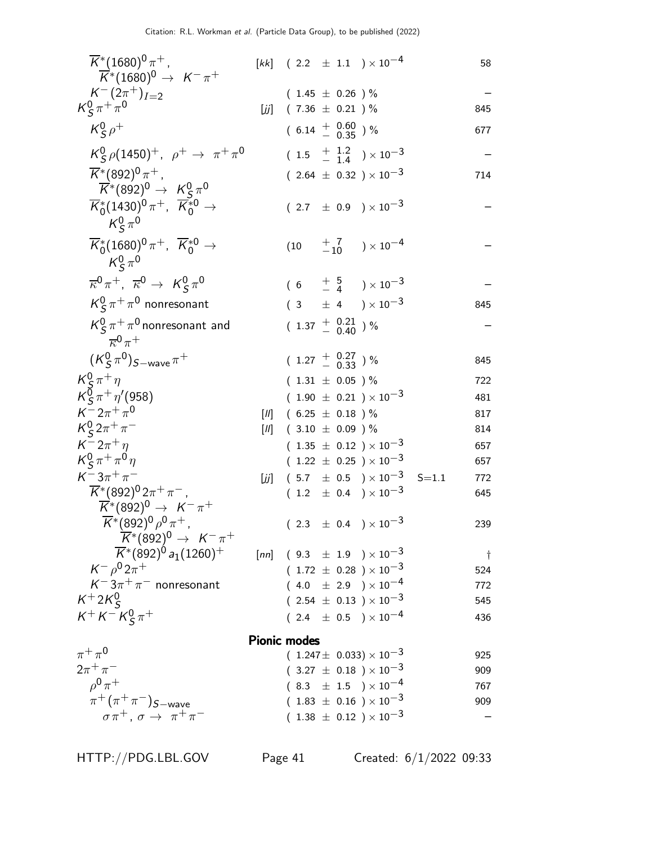| $\overline{K}$ <sup>*</sup> (1680) <sup>0</sup> $\pi$ <sup>+</sup> ,                                                         |       |                     |                                  | $[kk]$ (2.2 $\pm$ 1.1 ) × 10 <sup>-4</sup>                         |           | 58          |
|------------------------------------------------------------------------------------------------------------------------------|-------|---------------------|----------------------------------|--------------------------------------------------------------------|-----------|-------------|
| $\overline{K}^*(1680)^0 \rightarrow K^-\pi^+$                                                                                |       |                     |                                  |                                                                    |           |             |
| $K^{-}(2\pi^{+})_{I=2}$                                                                                                      |       |                     | $(1.45 \pm 0.26) \%$             |                                                                    |           |             |
| $K_S^0 \pi^+ \pi^0$                                                                                                          | [زنر] |                     | $(7.36 \pm 0.21)$ %              |                                                                    |           | 845         |
| $K_S^0 \rho^+$                                                                                                               |       |                     | $(6.14 \frac{+}{0.60})$ %        |                                                                    |           | 677         |
| $K_S^0 \rho (1450)^+$ , $\rho^+ \to \pi^+ \pi^0$                                                                             |       |                     |                                  | $(1.5 \tfrac{+1.2}{-1.4}) \times 10^{-3}$                          |           |             |
| $\overline{K}$ *(892) <sup>0</sup> $\pi$ <sup>+</sup> ,<br>$\overline{K}$ *(892) <sup>0</sup> $\rightarrow$ $K^0_S \pi^0$    |       |                     |                                  | ( 2.64 $\pm$ 0.32 ) $\times$ 10 $^{-3}$                            |           | 714         |
| $\overline{K}_{0}^{*}(1430)^{0}\pi^{+}$ , $\overline{K}_{0}^{*0}$ $\rightarrow$<br>$K^0_s \pi^0$                             |       |                     |                                  | $(2.7 \pm 0.9) \times 10^{-3}$                                     |           |             |
| $\overline{K}^*_0(1680)^0 \pi^+$ , $\overline{K}^{*0}_0 \rightarrow$<br>$K^0_s \pi^0$                                        |       |                     |                                  |                                                                    |           |             |
| $\overline{\kappa}^0 \pi^+$ , $\overline{\kappa}^0 \to K^0_S \pi^0$                                                          |       |                     |                                  | $(6 + \frac{5}{4}) \times 10^{-3}$                                 |           |             |
| $K^0_S \pi^+ \pi^0$ nonresonant                                                                                              |       |                     |                                  | $(3 \pm 4) \times 10^{-3}$                                         |           | 845         |
| $K^0$ <sub>S</sub> $\pi^+\pi^0$ nonresonant and<br>$\overline{\kappa}^0 \pi^+$                                               |       |                     | $(1.37 \pm 0.21 \atop - 0.40)$ % |                                                                    |           |             |
| $(K_{\mathsf{S}}^0 \pi^0)_{S{\rm-wave}} \pi^+$                                                                               |       |                     | $(1.27 \frac{+}{0.33})\%$        |                                                                    |           | 845         |
| $K_S^0 \pi^+ \eta$                                                                                                           |       |                     | $(1.31 \pm 0.05) \%$             |                                                                    |           | 722         |
| $K_S^0 \pi^+ \eta' (958)$                                                                                                    |       |                     |                                  | $(1.90 \pm 0.21) \times 10^{-3}$                                   |           | 481         |
| $K^- 2\pi^+ \pi^0$                                                                                                           | $[1]$ |                     | $(6.25 \pm 0.18)$ %              |                                                                    |           | 817         |
| $K_S^0 2\pi^+\pi^-$                                                                                                          | $[1]$ |                     | $(3.10 \pm 0.09)$ %              |                                                                    |           | 814         |
| $K^-2\pi^+\eta$                                                                                                              |       |                     |                                  | ( $1.35~\pm~0.12~$ ) $\times~10^{-3}$                              |           | 657         |
| $K_S^0 \pi^+ \pi^0 \eta$                                                                                                     |       |                     |                                  | $(1.22 \pm 0.25) \times 10^{-3}$                                   |           | 657         |
| $K^- 3\pi^+\pi^-$                                                                                                            | [زنر] |                     |                                  | $(5.7 \pm 0.5) \times 10^{-3}$                                     | $S = 1.1$ | 772         |
| $\overline{K}$ *(892) <sup>0</sup> 2 $\pi$ <sup>+</sup> $\pi$ <sup>-</sup> ,<br>$\overline{K}^*(892)^0 \rightarrow K^-\pi^+$ |       |                     |                                  | $(1.2 \pm 0.4) \times 10^{-3}$                                     |           | 645         |
| $\overline{K}$ *(892) <sup>0</sup> $\rho$ <sup>0</sup> $\pi$ <sup>+</sup> ,                                                  |       |                     |                                  | $(2.3 \pm 0.4) \times 10^{-3}$                                     |           | 239         |
| $\overline{K}^*(892)^0 \rightarrow K^-\pi^+$                                                                                 |       |                     |                                  |                                                                    |           |             |
| $\overline{K}$ *(892) <sup>0</sup> a <sub>1</sub> (1260) <sup>+</sup><br>$K^ \rho^0 2\pi^+$                                  |       |                     |                                  | [nn] $(9.3 \pm 1.9) \times 10^{-3}$                                |           | $\ddot{\ }$ |
| $K^-3\pi^+\pi^-$ nonresonant                                                                                                 |       |                     |                                  | $(1.72 \pm 0.28) \times 10^{-3}$                                   |           | 524         |
| $K^+2K_s^0$                                                                                                                  |       |                     |                                  | $(4.0 \pm 2.9) \times 10^{-4}$<br>$(2.54 \pm 0.13) \times 10^{-3}$ |           | 772         |
| $K^+ K^- K^0_S \pi^+$                                                                                                        |       |                     |                                  |                                                                    |           | 545         |
|                                                                                                                              |       |                     |                                  | $(2.4 \pm 0.5) \times 10^{-4}$                                     |           | 436         |
|                                                                                                                              |       | <b>Pionic modes</b> |                                  |                                                                    |           |             |
| $\pi^+\pi^0$                                                                                                                 |       |                     |                                  | $(1.247 \pm 0.033) \times 10^{-3}$                                 |           | 925         |
| $2\pi^{+}\pi^{-}$                                                                                                            |       |                     |                                  | $(~3.27~\pm~0.18~$ $)\times 10^{-3}$                               |           | 909         |
| $0^0 \pi^+$                                                                                                                  |       |                     |                                  | $(8.3 \pm 1.5) \times 10^{-4}$                                     |           | 767         |
| $\pi^+ (\pi^+ \pi^-)_{S-wave}$                                                                                               |       |                     |                                  | $(~1.83~\pm~0.16~$ $)\times 10^{-3}$                               |           | 909         |
| $\sigma \pi^+$ , $\sigma \rightarrow \pi^+ \pi^-$                                                                            |       |                     |                                  | $(1.38 \pm 0.12) \times 10^{-3}$                                   |           |             |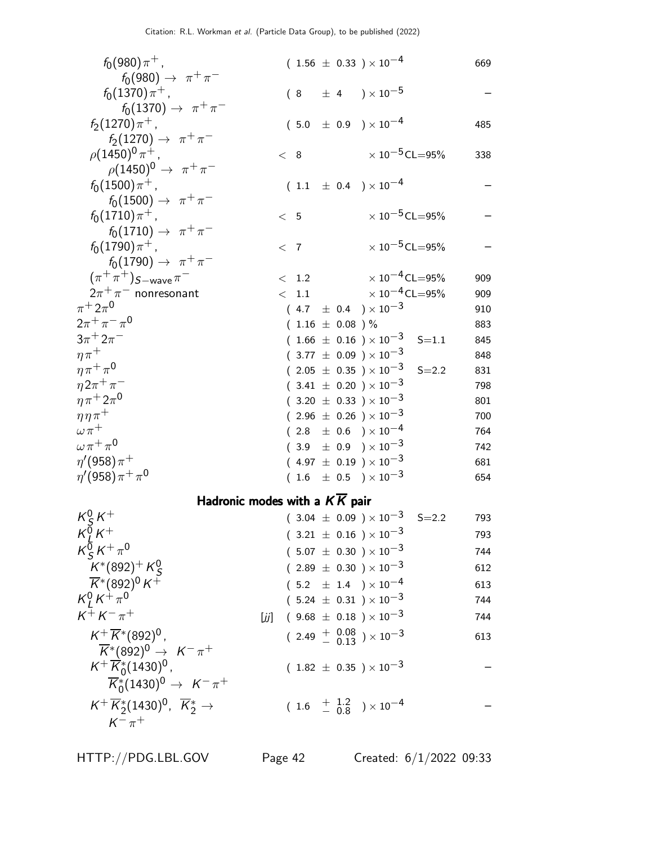| $f_0(980)\pi^+$ ,                                                                   | $(1.56 \pm 0.33) \times 10^{-4}$                                      | 669 |
|-------------------------------------------------------------------------------------|-----------------------------------------------------------------------|-----|
| $f_0(980) \to \pi^+ \pi^-$                                                          |                                                                       |     |
| $f_0(1370)\pi^+$ ,                                                                  | $(8 \pm 4) \times 10^{-5}$                                            |     |
| $f_0(1370) \to \pi^+ \pi^-$                                                         |                                                                       |     |
| $f_2(1270)\pi^+$ ,                                                                  | $(5.0 \pm 0.9) \times 10^{-4}$                                        | 485 |
| $f_2(1270) \to \pi^+\pi^-$                                                          |                                                                       |     |
| $\rho (1450)^0 \pi^+$ ,<br>$\rho(1450)^0 \to \pi^+ \pi^-$                           | $\times$ 10 <sup>-5</sup> CL=95%<br>< 8                               | 338 |
| $f_0(1500)\pi^+$ ,                                                                  | $(1.1 \pm 0.4) \times 10^{-4}$                                        |     |
| $f_0(1500) \to \pi^+\pi^-$                                                          |                                                                       |     |
| $f_0(1710)\pi^+$ ,                                                                  | $\times$ 10 <sup>-5</sup> CL=95%<br>< 5                               |     |
| $f_0(1710) \to \pi^+ \pi^-$                                                         |                                                                       |     |
| $f_0(1790)\pi^+$ ,                                                                  | $\times$ 10 <sup>-5</sup> CL=95%<br>< 7                               |     |
| $f_0(1790) \to \pi^+\pi^-$                                                          |                                                                       |     |
| $(\pi^+\pi^+)_{S-wave}\pi^-$                                                        | $\times$ 10 $^{-4}$ CL $=$ 95%<br>< 1.2                               | 909 |
| $2\pi^+\pi^-$ nonresonant                                                           | $\times$ 10 $^{-4}$ CL=95%<br>< 1.1                                   | 909 |
| $\pi^+ 2\pi^0$                                                                      | $(4.7 \pm 0.4) \times 10^{-3}$                                        | 910 |
| $2\pi^+\pi^-\pi^0$                                                                  | $(1.16 \pm 0.08)$ %                                                   | 883 |
| $3\pi^{+}2\pi^{-}$                                                                  | $(1.66 \pm 0.16) \times 10^{-3}$ S=1.1                                | 845 |
| $\eta \pi^+$                                                                        | $(3.77 \pm 0.09) \times 10^{-3}$                                      | 848 |
| $\eta \pi^+ \pi^0$                                                                  | $(2.05\ \pm\ 0.35\ ) \times 10^{-3}$<br>$S = 2.2$                     | 831 |
| $\eta 2\pi^+\pi^-$                                                                  | $(3.41 \pm 0.20) \times 10^{-3}$                                      | 798 |
| $\eta \pi^+ 2\pi^0$                                                                 | $(3.20 \pm 0.33) \times 10^{-3}$                                      | 801 |
| $\eta \eta \pi^+$                                                                   | $(2.96 \pm 0.26) \times 10^{-3}$                                      | 700 |
| $\omega \pi^+$                                                                      | $(2.8 \pm 0.6) \times 10^{-4}$                                        | 764 |
| $\omega \pi^+ \pi^0$<br>$\eta^\prime$ (958) $\pi^+$                                 | $(3.9 \pm 0.9) \times 10^{-3}$                                        | 742 |
| $\eta^\prime(958)\pi^+\pi^0$                                                        | $(4.97 \pm 0.19) \times 10^{-3}$                                      | 681 |
|                                                                                     | $(1.6 \pm 0.5) \times 10^{-3}$                                        | 654 |
|                                                                                     | Hadronic modes with a $K\overline{K}$ pair                            |     |
| $K^0_s K^+$                                                                         | $(3.04 \pm 0.09) \times 10^{-3}$ S=2.2                                | 793 |
| $K^{\breve{\text{O}}}_I K^+$                                                        | $(3.21 \pm 0.16) \times 10^{-3}$                                      | 793 |
| $K_S^0 K^+\pi^0$                                                                    | $(5.07 \pm 0.30) \times 10^{-3}$                                      | 744 |
| $K^*(892)^+ K^0_S$<br>$\overline{K}^*(892)^0 K^+$<br>$K^0_L K^+_{\pi}$ <sup>0</sup> | $(2.89 \pm 0.30) \times 10^{-3}$                                      | 612 |
|                                                                                     | $(5.2 \pm 1.4) \times 10^{-4}$                                        | 613 |
|                                                                                     | $(5.24 \pm 0.31) \times 10^{-3}$                                      | 744 |
| $K^{+} K^{-} \pi^{+}$<br>[jj]                                                       | $(9.68 \pm 0.18) \times 10^{-3}$                                      | 744 |
| $K^+\overline{K}{}^*(892)^0$ ,                                                      | $(2.49 + \begin{array}{c} 0.08 \\ - 0.13 \end{array}) \times 10^{-3}$ | 613 |
| $\overline{K}^*(892)^0 \rightarrow K^-\pi^+$                                        |                                                                       |     |
| $K^+ \overline{K}^*_0 (1430)^0$ ,                                                   | $(1.82 \pm 0.35) \times 10^{-3}$                                      |     |
| $\overline{K}^*_0(1430)^0 \rightarrow K^- \pi^+$                                    |                                                                       |     |
| $K^+ \overline{K}_2^* (1430)^0$ , $\overline{K}_2^* \rightarrow$                    | $(1.6 \frac{+1.2}{-0.8}) \times 10^{-4}$                              |     |
| $K^- \pi^+$                                                                         |                                                                       |     |
|                                                                                     |                                                                       |     |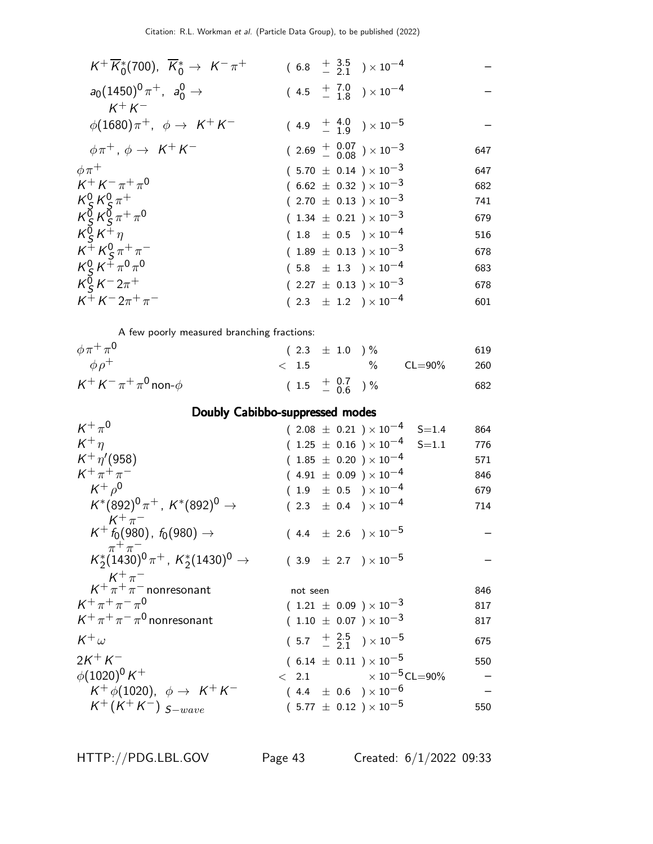| $K^+\overline{K}_0^*(700)$ , $\overline{K}_0^* \rightarrow K^-\pi^+$                                                                            | $(6.8 + \frac{3.5}{2.1}) \times 10^{-4}$    |     |
|-------------------------------------------------------------------------------------------------------------------------------------------------|---------------------------------------------|-----|
| $a_0(1450)^0 \pi^+$ , $a_0^0 \to$<br>$K^+ K^-$                                                                                                  | $(4.5 + 7.0 + 7.0) \times 10^{-4}$          |     |
| $\phi(1680)\pi^+$ , $\phi \rightarrow K^+K^-$                                                                                                   | $(4.9 + \frac{4.0}{1.9}) \times 10^{-5}$    |     |
| $\phi \pi^+$ , $\phi \rightarrow K^+ K^-$                                                                                                       | $(2.69 + \frac{0.07}{0.08}) \times 10^{-3}$ | 647 |
| $\phi\pi^+$                                                                                                                                     | $(5.70 \pm 0.14) \times 10^{-3}$            | 647 |
| $K^+ K^- \pi^+ \pi^0$                                                                                                                           | $(6.62 \pm 0.32) \times 10^{-3}$            | 682 |
|                                                                                                                                                 | $(2.70 \pm 0.13) \times 10^{-3}$            | 741 |
| $\frac{168}{108}$ $\frac{168}{108}$ $\frac{168}{108}$ $\frac{168}{108}$ $\frac{168}{108}$ $\frac{168}{108}$ $\frac{168}{108}$ $\frac{168}{108}$ | $(1.34 \pm 0.21) \times 10^{-3}$            | 679 |
| $K_S^0 K^+\eta$                                                                                                                                 | $(1.8 \pm 0.5) \times 10^{-4}$              | 516 |
| $K^{+} K^{0}_{S} \pi^{+} \pi^{-}$                                                                                                               | $(1.89 \pm 0.13) \times 10^{-3}$            | 678 |
|                                                                                                                                                 | $(5.8 \pm 1.3) \times 10^{-4}$              | 683 |
| $\frac{1}{\kappa_S^0} \frac{1}{\kappa^6 \pi^6}$<br>$\frac{1}{\kappa_S^6} \frac{1}{\kappa^6 \pi^6}$                                              | $(2.27 \pm 0.13) \times 10^{-3}$            | 678 |
| $K^{+} K^{-} 2\pi^{+} \pi^{-}$                                                                                                                  | $(2.3 \pm 1.2) \times 10^{-4}$              | 601 |
|                                                                                                                                                 |                                             |     |

A few poorly measured branching fractions:

| $\phi \pi^+ \pi^0$                | $(2.3 \pm 1.0) \%$           |                  | 619   |
|-----------------------------------|------------------------------|------------------|-------|
| $\phi \rho^+$                     |                              | $< 1.5$ % CL=90% | - 260 |
| $K^+ K^- \pi^+ \pi^0$ non- $\phi$ | $(1.5 \tfrac{+0.7}{-0.6})\%$ |                  | 682   |

### Doubly Cabibbo-suppressed modes

| $K^+\pi^0$                                                            | $(2.08 \pm 0.21) \times 10^{-4}$<br>$S = 1.4$        | 864 |
|-----------------------------------------------------------------------|------------------------------------------------------|-----|
| $K^+\eta$                                                             | $(1.25 \pm 0.16) \times 10^{-4}$ S=1.1               | 776 |
| $K^+ \eta' (958)$                                                     | $(1.85 \pm 0.20) \times 10^{-4}$                     | 571 |
| $K^+\pi^+\pi^-$                                                       | $(4.91 \pm 0.09) \times 10^{-4}$                     | 846 |
| $K^+ \rho^0$                                                          | $(1.9 \pm 0.5) \times 10^{-4}$                       | 679 |
| $K^*(892)^0 \pi^+$ , $K^*(892)^0 \rightarrow$                         | $(2.3 \pm 0.4) \times 10^{-4}$                       | 714 |
| $K^+\pi^-$<br>$K^+ f_0(980)$ , $f_0(980) \rightarrow$<br>$\pi^+\pi^-$ | $(4.4 \pm 2.6) \times 10^{-5}$                       |     |
| $K_2^*(1430)^0 \pi^+$ , $K_2^*(1430)^0 \rightarrow$                   | $(3.9 \pm 2.7) \times 10^{-5}$                       |     |
| $K^+\pi^-$<br>$K^+\pi^+\pi^-$ nonresonant                             | not seen                                             | 846 |
| $K^+\pi^+\pi^-\pi^0$                                                  | $(1.21 \pm 0.09) \times 10^{-3}$                     | 817 |
| $K^+\pi^+\pi^-\pi^0$ nonresonant                                      | $(1.10 \pm 0.07) \times 10^{-3}$                     | 817 |
| $K^+\omega$                                                           | $(5.7 \tfrac{+}{2} \tfrac{2.5}{2.1}) \times 10^{-5}$ | 675 |
| $2K^{+}K^{-}$                                                         | $(6.14 \pm 0.11) \times 10^{-5}$                     | 550 |
| $\phi(1020)^0 K^+$                                                    | $\epsilon$ 2.1 $\times 10^{-5}$ CL=90%               |     |
| $K^+\phi(1020)$ , $\phi \rightarrow K^+K^-$                           | $(4.4 \pm 0.6) \times 10^{-6}$                       |     |
| $K^{+}(K^{+}K^{-})$ $_{S-wave}$                                       | $(5.77 \pm 0.12) \times 10^{-5}$                     | 550 |
|                                                                       |                                                      |     |

HTTP://PDG.LBL.GOV Page 43 Created: 6/1/2022 09:33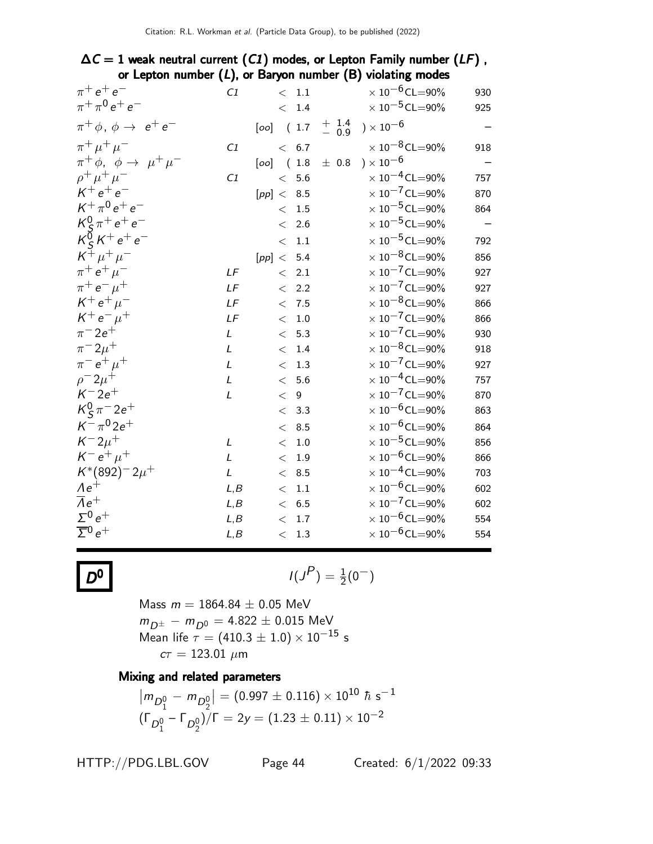### $\Delta C = 1$  weak neutral current (C1) modes, or Lepton Family number (LF), or Lepton number  $(L)$ , or Baryon number  $(B)$  violating modes

| C1            |       |         |                                                                                                                                                              | $\times$ 10 <sup>-6</sup> CL=90% | 930                                                                                                                                                                                                                                                                                                                                                                                                                                                                                                                                                                                                                                         |
|---------------|-------|---------|--------------------------------------------------------------------------------------------------------------------------------------------------------------|----------------------------------|---------------------------------------------------------------------------------------------------------------------------------------------------------------------------------------------------------------------------------------------------------------------------------------------------------------------------------------------------------------------------------------------------------------------------------------------------------------------------------------------------------------------------------------------------------------------------------------------------------------------------------------------|
|               |       | $1.4\,$ |                                                                                                                                                              | $\times$ $10^{-5}$ CL=90%        | 925                                                                                                                                                                                                                                                                                                                                                                                                                                                                                                                                                                                                                                         |
|               |       |         | $+$ 1.4<br>- 0.9                                                                                                                                             | ) $\times$ 10 $^{-6}$            |                                                                                                                                                                                                                                                                                                                                                                                                                                                                                                                                                                                                                                             |
| C1            |       |         |                                                                                                                                                              | $\times$ 10 <sup>-8</sup> CL=90% | 918                                                                                                                                                                                                                                                                                                                                                                                                                                                                                                                                                                                                                                         |
|               |       |         |                                                                                                                                                              | ) $\times$ 10 $^{-6}$            |                                                                                                                                                                                                                                                                                                                                                                                                                                                                                                                                                                                                                                             |
| C1            |       | 5.6     |                                                                                                                                                              | $\times$ 10 <sup>-4</sup> CL=90% | 757                                                                                                                                                                                                                                                                                                                                                                                                                                                                                                                                                                                                                                         |
|               |       |         |                                                                                                                                                              |                                  | 870                                                                                                                                                                                                                                                                                                                                                                                                                                                                                                                                                                                                                                         |
|               | $\lt$ | 1.5     |                                                                                                                                                              |                                  | 864                                                                                                                                                                                                                                                                                                                                                                                                                                                                                                                                                                                                                                         |
|               | $\lt$ | 2.6     |                                                                                                                                                              |                                  |                                                                                                                                                                                                                                                                                                                                                                                                                                                                                                                                                                                                                                             |
|               | $<\,$ | $1.1\,$ |                                                                                                                                                              | $\times$ 10 <sup>-5</sup> CL=90% | 792                                                                                                                                                                                                                                                                                                                                                                                                                                                                                                                                                                                                                                         |
|               |       |         |                                                                                                                                                              | $\times$ 10 <sup>-8</sup> CL=90% | 856                                                                                                                                                                                                                                                                                                                                                                                                                                                                                                                                                                                                                                         |
| LF            |       |         |                                                                                                                                                              |                                  | 927                                                                                                                                                                                                                                                                                                                                                                                                                                                                                                                                                                                                                                         |
| LF            |       | 2.2     |                                                                                                                                                              | $\times$ 10 <sup>-7</sup> CL=90% | 927                                                                                                                                                                                                                                                                                                                                                                                                                                                                                                                                                                                                                                         |
| LF            |       |         |                                                                                                                                                              | $\times$ 10 <sup>-8</sup> CL=90% | 866                                                                                                                                                                                                                                                                                                                                                                                                                                                                                                                                                                                                                                         |
| LF            |       | 1.0     |                                                                                                                                                              |                                  | 866                                                                                                                                                                                                                                                                                                                                                                                                                                                                                                                                                                                                                                         |
| L             | $\lt$ | 5.3     |                                                                                                                                                              |                                  | 930                                                                                                                                                                                                                                                                                                                                                                                                                                                                                                                                                                                                                                         |
| L             | $\lt$ | 1.4     |                                                                                                                                                              |                                  | 918                                                                                                                                                                                                                                                                                                                                                                                                                                                                                                                                                                                                                                         |
| $\mathcal{L}$ | $\lt$ | 1.3     |                                                                                                                                                              |                                  | 927                                                                                                                                                                                                                                                                                                                                                                                                                                                                                                                                                                                                                                         |
| L             |       | 5.6     |                                                                                                                                                              |                                  | 757                                                                                                                                                                                                                                                                                                                                                                                                                                                                                                                                                                                                                                         |
| L             | $\lt$ | 9       |                                                                                                                                                              |                                  | 870                                                                                                                                                                                                                                                                                                                                                                                                                                                                                                                                                                                                                                         |
|               |       | 3.3     |                                                                                                                                                              |                                  | 863                                                                                                                                                                                                                                                                                                                                                                                                                                                                                                                                                                                                                                         |
|               | $\lt$ | 8.5     |                                                                                                                                                              |                                  | 864                                                                                                                                                                                                                                                                                                                                                                                                                                                                                                                                                                                                                                         |
| L             | $\lt$ | 1.0     |                                                                                                                                                              |                                  | 856                                                                                                                                                                                                                                                                                                                                                                                                                                                                                                                                                                                                                                         |
| L             | $\,<$ | 1.9     |                                                                                                                                                              |                                  | 866                                                                                                                                                                                                                                                                                                                                                                                                                                                                                                                                                                                                                                         |
| $\mathcal{L}$ | $\lt$ | 8.5     |                                                                                                                                                              |                                  | 703                                                                                                                                                                                                                                                                                                                                                                                                                                                                                                                                                                                                                                         |
| L, B          | $\lt$ | $1.1\,$ |                                                                                                                                                              |                                  | 602                                                                                                                                                                                                                                                                                                                                                                                                                                                                                                                                                                                                                                         |
| L, B          |       |         |                                                                                                                                                              |                                  | 602                                                                                                                                                                                                                                                                                                                                                                                                                                                                                                                                                                                                                                         |
| L, B          | $\,<$ | 1.7     |                                                                                                                                                              |                                  | 554                                                                                                                                                                                                                                                                                                                                                                                                                                                                                                                                                                                                                                         |
| L, B          |       | 1.3     |                                                                                                                                                              |                                  | 554                                                                                                                                                                                                                                                                                                                                                                                                                                                                                                                                                                                                                                         |
|               |       |         | $\rm <~1.1$<br>$\lt$<br>< 6.7<br>$[oo]$ $(1.8)$<br>$\lt$<br>[pp] < 8.5<br>[pp] < 5.4<br>< 2.1<br>$\lt$<br>< 7.5<br>$\lt$<br>$\lt$<br>$\lt$<br>< 6.5<br>$\lt$ | $[oo]$ (1.7)                     | $\pm$ 0.8<br>$\times$ 10 <sup>-7</sup> CL=90%<br>$\times$ 10 <sup>-5</sup> CL=90%<br>$\times$ 10 <sup>-5</sup> CL=90%<br>$\times$ $10^{-7}$ CL=90%<br>$\times$ $10^{-7}$ CL=90%<br>$\times$ $10^{-7}$ CL=90%<br>$\times$ 10 <sup>-8</sup> CL=90%<br>$\times$ $10^{-7}$ CL=90%<br>$\times$ 10 <sup>-4</sup> CL=90%<br>$\times$ $10^{-7}$ CL=90%<br>$\times$ 10 $^{-6}$ CL=90%<br>$\times$ 10 $^{-6}$ CL=90%<br>$\times$ $10^{-5}$ CL=90%<br>$\times$ $10^{-6}$ CL=90%<br>$\times$ 10 <sup>-4</sup> CL=90%<br>$\times$ 10 <sup>-6</sup> CL=90%<br>$\times$ $10^{-7}$ CL=90%<br>$\times$ 10 $^{-6}$ CL=90%<br>$\times$ 10 <sup>-6</sup> CL=90% |

$$
D^0
$$

**0** 
$$
I(J^P) = \frac{1}{2}(0^-)
$$

Mass  $m = 1864.84 \pm 0.05$  MeV  $m_{D^\pm} - m_{D^0} = 4.822 \pm 0.015$  MeV Mean life  $\tau = (410.3 \pm 1.0) \times 10^{-15}$  s  $cτ = 123.01 \; \mu m$ 

#### Mixing and related parameters

$$
\left| m_{D_1^0} - m_{D_2^0} \right| = (0.997 \pm 0.116) \times 10^{10} \hbar \text{ s}^{-1}
$$
  

$$
(\Gamma_{D_1^0} - \Gamma_{D_2^0})/\Gamma = 2y = (1.23 \pm 0.11) \times 10^{-2}
$$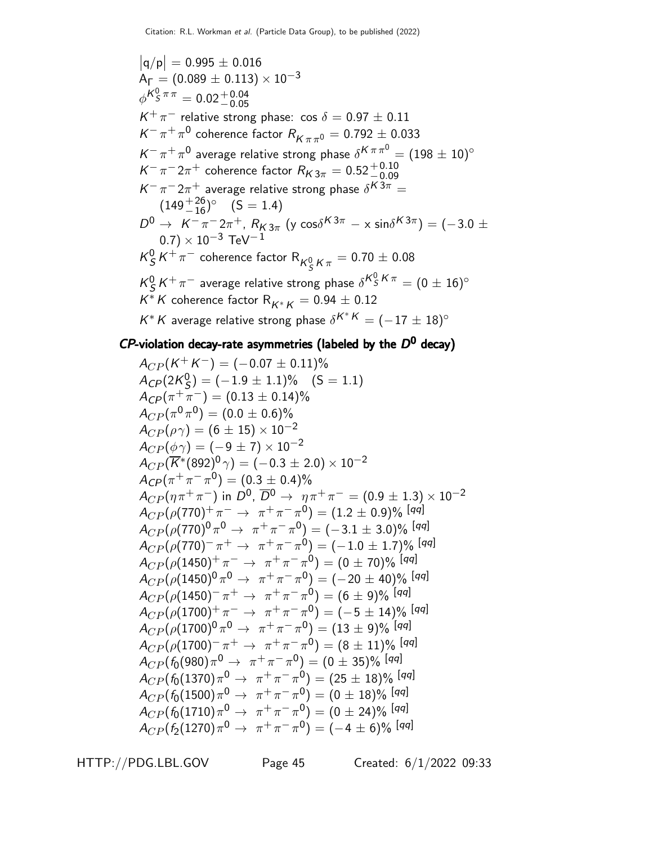$|q/p| = 0.995 \pm 0.016$  $A_{\Gamma} = (0.089 \pm 0.113) \times 10^{-3}$  $\phi^{{\cal K}^0_S\,\pi\,\pi}=0.02^{\,+\,0.04}_{\,-\,0.05}$  $K^+\pi^-$  relative strong phase: cos  $\delta = 0.97 \pm 0.11$  $\mathcal{K}^-\, \pi^+\, \pi^0$  coherence factor  $R^{\vphantom{*}}_{\mathcal{K}\, \pi\, \pi^0} = 0.792\pm0.033$  $K^-\pi^+\pi^0$  average relative strong phase  $\delta^{K}\pi\pi^0=(198\pm 10)^\circ$  $K^-\pi^-2\pi^+$  coherence factor  $R_{K3\pi} = 0.52^{+0.10}_{-0.09}$  $K^-\pi^-2\pi^+$  average relative strong phase  $\delta^{K3\pi}=$  $(149 + \frac{26}{16})^{\circ}$   $(S = 1.4)$  $D^0 \to K^-\pi^- 2\pi^+$ ,  $R_{K3\pi}$  (y cos $\delta^{K3\pi} - \times \sin \delta^{K3\pi}$ ) = (-3.0  $\pm$  $(0.7) \times 10^{-3}$  TeV<sup>-1</sup>  $K^0_S$  $\frac{0}{S}\textit{K}^+\pi^-$  coherence factor  $\textsf{R}_{\textit{K}^0_S\textit{K}\pi}=0.70\pm0.08$  $K^0_S$  $\frac{0}{S}\, {\cal K}^+\, \pi^-$  average relative strong phase  $\delta^{{\cal K}^0_S\, {\cal K}\, \pi} = (0 \pm 16)^\circ$  $\mathsf{K}^\ast\,\mathsf{K}$  coherence factor  $\mathsf{R}_{\mathsf{K}^\ast\,\mathsf{K}}=0.94\pm0.12$  $K^*K$  average relative strong phase  $\delta^{K^*K}=(-17\pm18)^\circ$ 

### $CP$ -violation decay-rate asymmetries (labeled by the  $D^0$  decay)

 $A_{CP}(K^+K^-)=(-0.07\pm0.11)\%$  $A_{C P} (2K^0_S$  $S(S) = (-1.9 \pm 1.1)\%$  (S = 1.1)  $A_{CP}(\pi^+\pi^-)=(0.13\pm0.14)\%$  $A_{CP}(\pi^0\pi^0) = (0.0\pm 0.6)\%$  $A_{CP}(\rho \gamma) = (6 \pm 15) \times 10^{-2}$  $A_{CP}(\phi \gamma) = (-9 \pm 7) \times 10^{-2}$  $A_{CP}(\overline{K}^*(892) ^0\, \gamma) = (-0.3 \pm 2.0) \times 10^{-2}$  $A_{CP}(\pi^+\pi^-\pi^0) = (0.3 \pm 0.4)\%$  $A_{CP}(\eta \pi^+ \pi^-)$  in  $D^0$ ,  $\overline{D}{}^0 \to \eta \pi^+ \pi^- = (0.9 \pm 1.3) \times 10^{-2}$  $A_{CP}(\rho(770)^+ \, \pi^- \rightarrow \ \pi^+ \, \pi^- \, \pi^0) = (1.2 \pm 0.9) \%$  [qq]  $A_{CP}(\rho(770)^{0}\pi^{0}\rightarrow\pi^{+}\pi^{-}\pi^{0})=(-3.1\pm3.0)\%$  [qq]  $A_{CP}(\rho(770)^{-}\pi^{+} \rightarrow \pi^{+}\pi^{-}\pi^{0}) = (-1.0 \pm 1.7)\%$  [qq]  $A_{CP}(\rho(1450)^+ \, \pi^- \rightarrow \ \pi^+ \, \pi^- \, \pi^0) = (0 \pm 70)\%$  [qq]  $A_{CP}(\rho(1450)^{0}\,\pi^{0}\rightarrow\ \pi^{+}\,\pi^{-}\,\pi^{0})=(-20\pm40)\%$  [qq]  $A_{CP}(\rho(1450)^{-}\,\pi^{+}\rightarrow\ \pi^{+}\,\pi^{-}\,\pi^{0})=(6\pm9)\%$  [qq]  $A_{CP}(\rho(1700)^+ \pi^- \rightarrow \pi^+ \pi^- \pi^0) = (-5 \pm 14)\%$  [qq]  $A_{CP}(\rho(1700)^{0}\,\pi^{0}\rightarrow\,\,\pi^{+}\,\pi^{-}\,\pi^{0})=(13\pm9)\%$  [qq]  $A_{CP}(\rho(1700)^{-}\pi^{+} \rightarrow \pi^{+}\pi^{-}\pi^{0}) = (8 \pm 11)\%$  [qq]  $A_{CP} (f_0(980)\pi^0\rightarrow\ \pi^+\pi^-\pi^0) = (0\pm 35)\%$  [qq]  $A_{CP} (f_0(1370)\pi^0 \rightarrow \ \pi^+ \pi^- \pi^0) = (25 \pm 18)\%$  [qq]  $A_{CP} (f_0(1500)\pi^0 \rightarrow \ \pi^+ \pi^- \pi^0) = (0 \pm 18)\%$  [qq]  $A_{CP} (f_0(1710)\pi^0 \rightarrow\ \pi^+ \pi^- \pi^0) = (0\pm 24)\%$  [qq]  $A_{CP} (f_2(1270) \pi^0 \rightarrow \pi^+ \pi^- \pi^0) = (-4 \pm 6)\%$  [qq]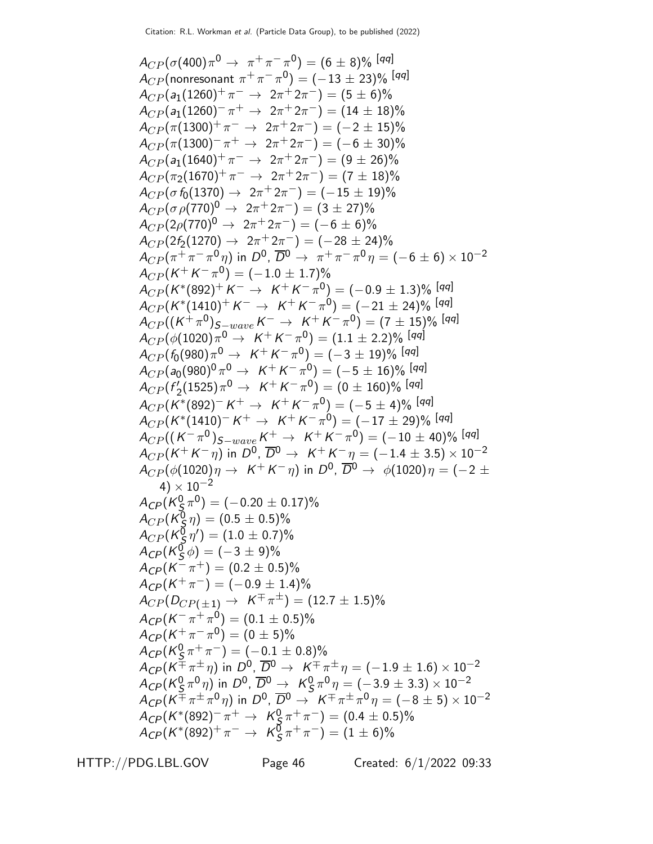$$
A_{CP}(\sigma(400)\pi^{0} \rightarrow \pi^{+}\pi^{-}\pi^{0}) = (6 \pm 8)\% \text{ [qq]}
$$
\n
$$
A_{CP}(\text{nonresonant }\pi^{+}\pi^{-}\pi^{0}) = (-13 \pm 23)\% \text{ [qq]}
$$
\n
$$
A_{CP}(\sigma_{1}(1260)^{+}\pi^{-} \rightarrow 2\pi^{+}2\pi^{-}) = (5 \pm 6)\% \text{A}_{CP}(\sigma_{1}(1260)^{-}\pi^{+} \rightarrow 2\pi^{+}2\pi^{-}) = (14 \pm 18)\% \text{A}_{CP}(\pi(1300)^{-}\pi^{-} \rightarrow 2\pi^{+}2\pi^{-}) = (-2 \pm 15)\% \text{A}_{CP}(\pi(1300)^{-}\pi^{-} \rightarrow 2\pi^{+}2\pi^{-}) = (-6 \pm 30)\% \text{A}_{CP}(\pi_{2}(1670)^{+}\pi^{-} \rightarrow 2\pi^{+}2\pi^{-}) = (7 \pm 18)\% \text{A}_{CP}(\sigma_{1}(1640)^{+}\pi^{-} \rightarrow 2\pi^{+}2\pi^{-}) = (7 \pm 18)\% \text{A}_{CP}(\sigma_{1}(700)^{0} \rightarrow 2\pi^{+}2\pi^{-}) = (7 \pm 18)\% \text{A}_{CP}(\sigma_{1}(700)^{0} \rightarrow 2\pi^{+}2\pi^{-}) = (-6 \pm 6)\% \text{A}_{CP}(\sigma_{1}(700)^{0} \rightarrow 2\pi^{+}2\pi^{-}) = (-15 \pm 19)\% \text{A}_{CP}(\sigma_{1}(700)^{0} \rightarrow 2\pi^{+}2\pi^{-}) = (-15 \pm 19)\% \text{A}_{CP}(\sigma_{1}(700)^{0} \rightarrow 2\pi^{+}2\pi^{-}) = (-15 \pm 19)\% \text{A}_{CP}(\sigma_{1}(700)^{0} \rightarrow 2\pi^{+}2\pi^{-}) = (-15 \pm 19)\% \text{[sq]}
$$
\n
$$
A_{CP}(\pi^{+}\pi^{-}\pi^{-}\eta) = (-1.0 \pm 1.7)\% \text{A}_{CP}(\pi^{+}\pi^{-}\eta) = (-1.0 \pm 1.7)\% \text{A}_{CP}(\pi^{+}\pi^{-}\eta) = (-1.1 \pm 2.2)\% \text{[sq]}
$$
\n
$$
A_{CP
$$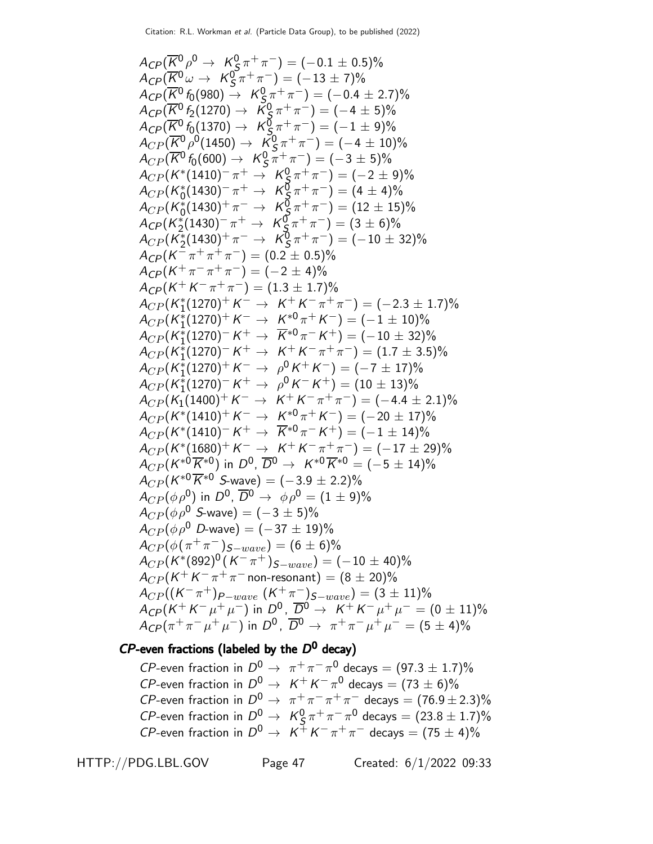$$
A_{CP}(\overline{K}^{0}\rho \rightarrow K_{S}^{0}\pi^{+}\pi^{-}) = (-0.1 \pm 0.5)\%
$$
  
\n
$$
A_{CP}(\overline{K}^{0}\omega \rightarrow K_{S}^{0}\pi^{+}\pi^{-}) = (-13 \pm 7)\%
$$
  
\n
$$
A_{CP}(\overline{K}^{0}6(980) \rightarrow K_{S}^{0}\pi^{+}\pi^{-}) = (-13 \pm 7)\%
$$
  
\n
$$
A_{CP}(\overline{K}^{0}6(1270) \rightarrow K_{S}^{0}\pi^{+}\pi^{-}) = (-4 \pm 5)\%
$$
  
\n
$$
A_{CP}(\overline{K}^{0}6(1370) \rightarrow K_{S}^{0}\pi^{+}\pi^{-}) = (-1 \pm 9)\%
$$
  
\n
$$
A_{CP}(\overline{K}^{0}6(1370) \rightarrow K_{S}^{0}\pi^{+}\pi^{-}) = (-1 \pm 9)\%
$$
  
\n
$$
A_{CP}(\overline{K}^{0}6(600) \rightarrow K_{S}^{0}\pi^{+}\pi^{-}) = (-3 \pm 5)\%
$$
  
\n
$$
A_{CP}(K_{0}^{*}(1430) \rightarrow \pi^{+} \rightarrow K_{S}^{0}\pi^{+}\pi^{-}) = (12 \pm 15)\%
$$
  
\n
$$
A_{CP}(K_{0}^{*}(1430) \rightarrow \pi^{-} \rightarrow K_{S}^{0}\pi^{+}\pi^{-}) = (12 \pm 15)\%
$$
  
\n
$$
A_{CP}(K_{0}^{*}(1430) \rightarrow \pi^{-} \rightarrow K_{S}^{0}\pi^{+}\pi^{-}) = (12 \pm 15)\%
$$
  
\n
$$
A_{CP}(K_{0}^{*}(1430) \rightarrow \pi^{-} \rightarrow K_{S}^{0}\pi^{+}\pi^{-}) = (12 \pm 15)\%
$$
  
\n
$$
A_{CP}(K_{0}^{*}(1430) \rightarrow \pi^{-} \rightarrow K_{S}^{0}\pi^{+}\pi^{-}) = (12 \pm 15)\%
$$
  
\n
$$
A_{CP}(K_{1}^{*}(1430) \rightarrow \pi^{-} \rightarrow K_{S}^{0}\pi^{+}\pi^{-}) = (12 \pm 15)\%
$$
  
\n
$$
A_{CP}(K_{1}^{*}(143
$$

### $CP$ -even fractions (labeled by the  $D^0$  decay)

CP-even fraction in  $D^0 \rightarrow \pi^+\pi^-\pi^0$  decays =  $(97.3 \pm 1.7)\%$ *CP*-even fraction in  $D^0 \rightarrow K^+ K^- \pi^0$  decays =  $(73 \pm 6)\%$ CP-even fraction in  $D^0 \rightarrow \pi^+ \pi^- \pi^+ \pi^-$  decays =  $(76.9 \pm 2.3)\%$  $CP$ -even fraction in  $D^0 \rightarrow K^0_S$  $\frac{0}{5} \pi^+ \pi^- \pi^0$  decays  $= (23.8 \pm 1.7)\%$ *CP*-even fraction in  $D^0 \rightarrow K^+ K^- \pi^+ \pi^-$  decays =  $(75 \pm 4)\%$ 

HTTP://PDG.LBL.GOV Page 47 Created: 6/1/2022 09:33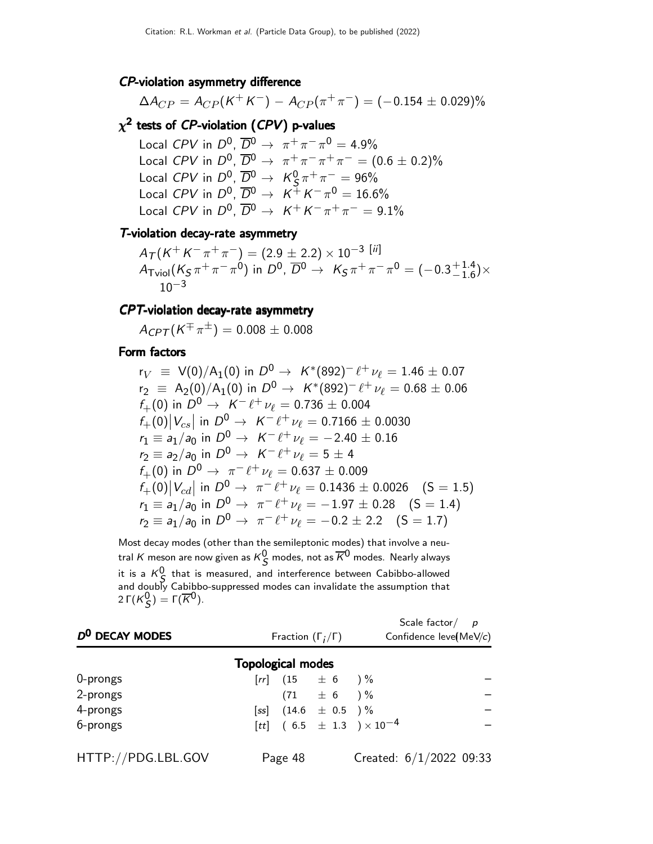#### CP-violation asymmetry difference

$$
\Delta A_{CP} = A_{CP}(K^+K^-) - A_{CP}(\pi^+\pi^-) = (-0.154 \pm 0.029)\%
$$

### $\chi^{\mathbf{2}}$  tests of  ${\it CP\text{-}violation}$  ( ${\it CPV})$  p-values

Local CPV in  $D^0$ ,  $\overline{D}^0 \rightarrow \pi^+ \pi^- \pi^0 = 4.9\%$ Local CPV in  $D^0$ ,  $\overline{D}^0 \to \pi^+ \pi^- \pi^+ \pi^- = (0.6 \pm 0.2)\%$ Local  $CPV$  in  $D^0$ ,  $\overline{D}{}^0 \rightarrow K^0_S$  $\frac{0}{5}\pi^+\pi^-\,=\,96\%$ Local CPV in  $D^0$ ,  $\overline{D}{}^0 \rightarrow K^+ K^- \pi^0 = 16.6\%$ Local CPV in  $D^0$ ,  $\overline{D}{}^0 \rightarrow K^+ K^- \pi^+ \pi^- = 9.1\%$ 

#### T-violation decay-rate asymmetry

$$
A_{\text{Tviol}}(K^{+}K^{-}\pi^{+}\pi^{-}) = (2.9 \pm 2.2) \times 10^{-3} \text{ [ii]}
$$
  
\n
$$
A_{\text{Tviol}}(K_{S}\pi^{+}\pi^{-}\pi^{0}) \text{ in } D^{0}, \overline{D}^{0} \to K_{S}\pi^{+}\pi^{-}\pi^{0} = (-0.3^{+1.4}_{-1.6}) \times 10^{-3}
$$

#### CPT-violation decay-rate asymmetry

 $A_{CPT}(K^{+}\pi^{\pm})=0.008\pm0.008$ 

#### Form factors

$$
r_V \equiv V(0)/A_1(0) \text{ in } D^0 \rightarrow K^*(892)^{-} \ell^{+} \nu_{\ell} = 1.46 \pm 0.07
$$
  
\n
$$
r_2 \equiv A_2(0)/A_1(0) \text{ in } D^0 \rightarrow K^*(892)^{-} \ell^{+} \nu_{\ell} = 0.68 \pm 0.06
$$
  
\n
$$
f_{+}(0) \text{ in } D^0 \rightarrow K^{-} \ell^{+} \nu_{\ell} = 0.736 \pm 0.004
$$
  
\n
$$
f_{+}(0)|V_{cs}| \text{ in } D^0 \rightarrow K^{-} \ell^{+} \nu_{\ell} = 0.7166 \pm 0.0030
$$
  
\n
$$
r_1 \equiv a_1/a_0 \text{ in } D^0 \rightarrow K^{-} \ell^{+} \nu_{\ell} = -2.40 \pm 0.16
$$
  
\n
$$
r_2 \equiv a_2/a_0 \text{ in } D^0 \rightarrow K^{-} \ell^{+} \nu_{\ell} = 5 \pm 4
$$
  
\n
$$
f_{+}(0) \text{ in } D^0 \rightarrow \pi^{-} \ell^{+} \nu_{\ell} = 0.637 \pm 0.009
$$
  
\n
$$
f_{+}(0)|V_{cd}| \text{ in } D^0 \rightarrow \pi^{-} \ell^{+} \nu_{\ell} = 0.1436 \pm 0.0026 \quad (S = 1.5)
$$
  
\n
$$
r_1 \equiv a_1/a_0 \text{ in } D^0 \rightarrow \pi^{-} \ell^{+} \nu_{\ell} = -1.97 \pm 0.28 \quad (S = 1.4)
$$
  
\n
$$
r_2 \equiv a_1/a_0 \text{ in } D^0 \rightarrow \pi^{-} \ell^{+} \nu_{\ell} = -0.2 \pm 2.2 \quad (S = 1.7)
$$

Most decay modes (other than the semileptonic modes) that involve a neutral  $K$  meson are now given as  $K^0_S$  modes, not as  $\overline{K}{}^0$  modes. Nearly always it is a  $K^0_S$  that is measured, and interference between Cabibbo-allowed and doubly Cabibbo-suppressed modes can invalidate the assumption that 2 Γ $(K_S^0) = \Gamma(\overline{K}^0)$ .

| D <sup>0</sup> DECAY MODES | Fraction $(\Gamma_i/\Gamma)$ |         |                         |                                     | Scale factor $p$<br>Confidence leve(MeV/c) |  |
|----------------------------|------------------------------|---------|-------------------------|-------------------------------------|--------------------------------------------|--|
|                            | <b>Topological modes</b>     |         |                         |                                     |                                            |  |
| 0-prongs                   |                              |         | $[rr]$ (15 $\pm$ 6 ) %  |                                     |                                            |  |
| 2-prongs                   |                              |         | $(71 + 6)$ %            |                                     |                                            |  |
| 4-prongs                   |                              |         | [ss] $(14.6 \pm 0.5)$ % |                                     |                                            |  |
| 6-prongs                   |                              |         |                         | [tt] $(6.5 \pm 1.3) \times 10^{-4}$ |                                            |  |
| HTTP://PDG.LBL.GOV         |                              | Page 48 |                         |                                     | Created: $6/1/2022$ 09:33                  |  |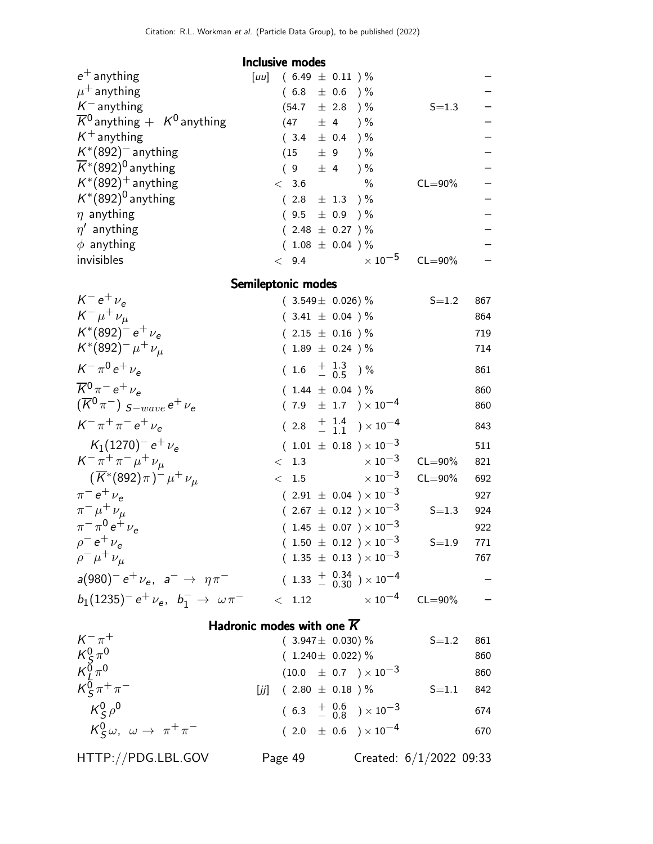#### Inclusive modes

| $(6.49 \pm 0.11)$ %<br> uu   |             |
|------------------------------|-------------|
| $(6.8 \pm 0.6)$ %            |             |
| $(54.7 \pm 2.8)$ %           | $S = 1.3$   |
| (47)<br>± 4<br>$\frac{9}{6}$ |             |
| $(3.4 \pm 0.4)$ %            |             |
| $(15 \pm 9) \%$              |             |
| $(9 \pm 4) \%$               |             |
| $\%$<br>< 3.6                | $CL = 90\%$ |
| $(2.8 \pm 1.3) \%$           |             |
| $(9.5 \pm 0.9)$ %            |             |
| $(2.48 \pm 0.27) \%$         |             |
| $(1.08 \pm 0.04) \%$         |             |
| $\times$ 10 $^{-5}$<br>< 9.4 | $CL = 90\%$ |
|                              |             |

Semileptonic modes

| $K^- e^+ \nu_e$                                            | $(3.549 \pm 0.026)\%$                     | $S = 1.2$   | 867 |
|------------------------------------------------------------|-------------------------------------------|-------------|-----|
| $K^- \mu^+ \nu_\mu$                                        | $(3.41 \pm 0.04)$ %                       |             | 864 |
| $K^*(892)^- e^+ \nu_e$                                     | $(2.15 \pm 0.16) \%$                      |             | 719 |
| $K^*(892)^-\mu^+\nu_\mu$                                   | $(1.89 \pm 0.24) \%$                      |             | 714 |
| $K^{-} \pi^{0} e^{+} \nu_{e}$                              | $(1.6 \tfrac{+1.3}{-0.5})\%$              |             | 861 |
| $\overline{K}^0 \pi^- e^+ \nu_e$                           | $(1.44 \pm 0.04) \%$                      |             | 860 |
| $(\overline{K}^0 \pi^-)$ $_{\mathcal{S}-wave}$ $e^+ \nu_e$ | $(7.9 \pm 1.7) \times 10^{-4}$            |             | 860 |
| $K^{-} \pi^{+} \pi^{-} e^{+} \nu_{e}$                      | $(2.8 + \frac{1.4}{1.1}) \times 10^{-4}$  |             | 843 |
| $K_1(1270)^- e^+ \nu_e$                                    | $(1.01 \pm 0.18) \times 10^{-3}$          |             | 511 |
| $K^- \pi^+ \pi^- \mu^+ \nu_\mu$                            | $\times$ 10 $^{-3}$<br>< 1.3              | $CL = 90\%$ | 821 |
| $(\,\overline{K}{}^*(892)\pi)^-\mu^+\,\nu_\mu$             | $< 1.5 \times 10^{-3}$                    | $CL = 90\%$ | 692 |
| $\pi^{-} e^{+} \nu_{e}$                                    | $(2.91 \pm 0.04) \times 10^{-3}$          |             | 927 |
| $\pi^{-} \mu^{+} \nu_{\mu}$                                | $(2.67 \pm 0.12) \times 10^{-3}$          | $S = 1.3$   | 924 |
| $\pi^{-} \pi^{0} e^{+} \nu_{e}$                            | $(1.45 \pm 0.07) \times 10^{-3}$          |             | 922 |
| $\rho^- e^+ \nu_e$                                         | $(1.50 \pm 0.12) \times 10^{-3}$          | $S = 1.9$   | 771 |
| $\rho^- \mu^+ \nu_\mu$                                     | $(1.35 \pm 0.13) \times 10^{-3}$          |             | 767 |
| $a(980)^- e^+ \nu_e$ , $a^- \rightarrow \eta \pi^-$        | $(1.33 + 0.34 \over 0.30) \times 10^{-4}$ |             |     |
| $b_1(1235)^- e^+ \nu_e, b_1^- \rightarrow \omega \pi^-$    | $\times$ 10 $^{-4}$<br>< 1.12             | $CL = 90\%$ |     |

### Hadronic modes with one  $\overline{K}$

| $K^{-} \pi^{+}$                                       | $(3.947 \pm 0.030)$ %    |                                          | $S = 1.2$ | 861 |
|-------------------------------------------------------|--------------------------|------------------------------------------|-----------|-----|
|                                                       | $(1.240 \pm 0.022)\%$    |                                          |           | 860 |
| $K_S^0 \pi^0$<br>$K_L^0 \pi^0$<br>$K_S^0 \pi^+ \pi^-$ |                          | $(10.0 \pm 0.7) \times 10^{-3}$          |           | 860 |
|                                                       | [jj] $(2.80 \pm 0.18)$ % |                                          | $S = 1.1$ | 842 |
| $K_{\rm c}^0\rho^0$                                   |                          | $(6.3 + \frac{0.6}{0.8}) \times 10^{-3}$ |           | 674 |
| $K^0_S\omega$ , $\omega \rightarrow \pi^+\pi^-$       |                          | $(2.0 \pm 0.6) \times 10^{-4}$           |           | 670 |
|                                                       |                          |                                          |           |     |

HTTP://PDG.LBL.GOV Page 49 Created: 6/1/2022 09:33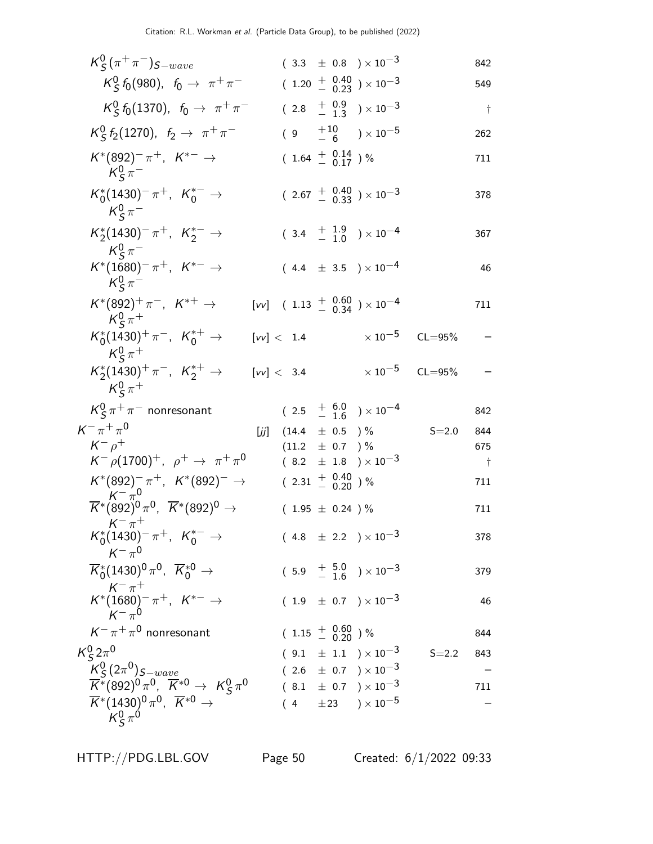| $K_S^0(\pi^+\pi^-)_{S-wave}$                                                        |            |                             |  | $(3.3 \pm 0.8) \times 10^{-3}$                                          |            | 842        |
|-------------------------------------------------------------------------------------|------------|-----------------------------|--|-------------------------------------------------------------------------|------------|------------|
| $K_S^0$ $f_0$ (980), $f_0 \to \pi^+ \pi^-$                                          |            |                             |  | $(1.20 + 0.40 + 0.23) \times 10^{-3}$                                   |            | 549        |
| $K_S^0$ $f_0$ (1370), $f_0 \to \pi^+ \pi^-$                                         |            |                             |  | $(2.8 + 0.9 + 1.3) \times 10^{-3}$                                      |            | $\dagger$  |
| $K_S^0 f_2(1270), f_2 \to \pi^+ \pi^-$                                              |            |                             |  | $(9 +10 \over -6) \times 10^{-5}$                                       |            | 262        |
| $K^*(892)^-\pi^+, K^{*-}\to$<br>$K^0_S \pi^-$                                       |            | $(1.64 \frac{+}{-} 0.14) %$ |  |                                                                         |            | 711        |
| $K_0^*(1430)^{-} \pi^+$ , $K_0^{*-} \to$<br>$K^0_S \pi^-$                           |            |                             |  | $(2.67 + \begin{array}{c} 0.40 \\ - 0.33 \end{array}) \times 10^{-3}$   |            | 378        |
| $K_2^*(1430)^-\pi^+$ , $K_2^{*-}$ $\rightarrow$<br>$K^0_s \pi^-$                    |            |                             |  | $(3.4 + \frac{1.9}{-1.0}) \times 10^{-4}$                               |            | 367        |
| $K^*(1680)^{-} \pi^+$ , $K^{*-} \to$<br>$K^0_s \pi^-$                               |            |                             |  | $(4.4 \pm 3.5) \times 10^{-4}$                                          |            | 46         |
| $K^*(892)^+ \pi^-$ , $K^{*+} \to$<br>$K^0_s \pi^+$                                  |            |                             |  | [vv] $(1.13 + \begin{matrix} 0.60 \\ 0.34 \end{matrix}) \times 10^{-4}$ |            | 711        |
| $K_0^*(1430)^+\pi^-$ , $K_0^{*+}\to$<br>$K^0_s \pi^+$                               | [vv] < 1.4 |                             |  | $\times$ 10 $^{-5}$                                                     | $CL = 95%$ |            |
| $K_2^*(1430)^+\pi^-$ , $K_2^{*+} \rightarrow$<br>$K^0_s \pi^+$                      | [vv] < 3.4 |                             |  | $\times$ 10 $^{-5}$                                                     | $CL = 95%$ |            |
| $K_S^0 \pi^+ \pi^-$ nonresonant                                                     |            |                             |  | $(2.5 + 6.0 + 16) \times 10^{-4}$                                       |            | 842        |
| $K^{-} \pi^{+} \pi^{0}$                                                             | [زز]       | $(14.4 \pm 0.5)$ %          |  |                                                                         | $S = 2.0$  | 844        |
| $K^ \rho^+$                                                                         |            | $(11.2 \pm 0.7)$ %          |  |                                                                         |            | 675        |
| $K^- \rho (1700)^+$ , $\rho^+ \to \pi^+ \pi^0$                                      |            |                             |  | $(8.2 \pm 1.8) \times 10^{-3}$                                          |            | $\ddagger$ |
| $K^*(892)^-\pi^+$ , $K^*(892)^-\to$<br>$K^{-} \pi^{0}$                              |            | $(2.31 + 0.40)$ %           |  |                                                                         |            | 711        |
| $\overline{K}^*$ (892) <sup>0</sup> $\pi^0$ , $\overline{K}^*(892)^0 \to$           |            | $(1.95 \pm 0.24) \%$        |  |                                                                         |            | 711        |
| $K^{-}$ $\pi^{+}$<br>$K_0^*(1430)^{-} \pi^+$ , $K_0^{*-} \to$<br>$K^{-} \pi^{0}$    |            |                             |  | $(4.8 \pm 2.2) \times 10^{-3}$                                          |            | 378        |
| $\overline{K}_{0}^{*}(1430)^{0}\pi^{0}$ , $\overline{K}_{0}^{*0}$ $\rightarrow$     |            |                             |  | $(5.9 + \frac{5.0}{1.6}) \times 10^{-3}$                                |            | 379        |
| $K^{-} \pi^{+}$<br>$K^{*}(1680)^{-} \pi^{+}$ , $K^{*-} \to$<br>$K^-\pi^0$           |            |                             |  | $(1.9 \pm 0.7) \times 10^{-3}$                                          |            | 46         |
| $K^-\pi^+\pi^0$ nonresonant                                                         |            | $(1.15 \frac{+}{0.20})\%$   |  |                                                                         |            | 844        |
| $K_S^0 2\pi^0$                                                                      |            |                             |  | $(9.1 \pm 1.1) \times 10^{-3}$                                          | $S = 2.2$  | 843        |
|                                                                                     |            |                             |  | $(2.6 \pm 0.7) \times 10^{-3}$                                          |            |            |
| $\frac{K_S^0}{K^*(892)^0 \pi^0}$ , $K^{*0} \rightarrow K_S^0 \pi^0$                 |            |                             |  | $(8.1 \pm 0.7) \times 10^{-3}$                                          |            | 711        |
| $\overline{K}^*(1430)^0 \pi^0$ , $\overline{K}^{*0}$ $\rightarrow$<br>$K_S^0 \pi^0$ |            |                             |  | $(4 \pm 23) \times 10^{-5}$                                             |            |            |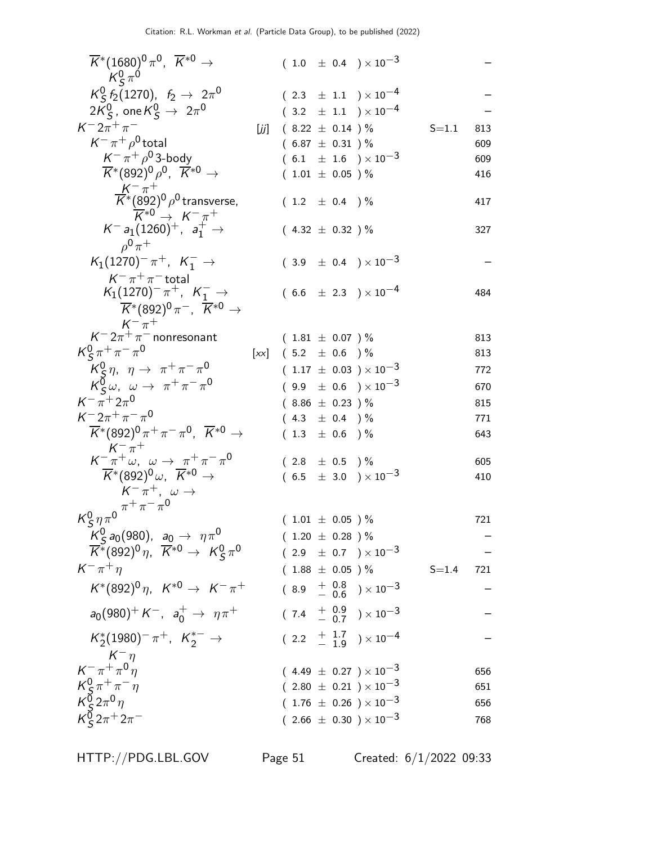| $\overline{K}{}^*(1680)^0 \pi^0$ , $\overline{K}{}^{*0} \to$<br>$K^0_S \pi^0$                                          |     |                          |  | $(1.0 \pm 0.4) \times 10^{-3}$                                   |           |     |
|------------------------------------------------------------------------------------------------------------------------|-----|--------------------------|--|------------------------------------------------------------------|-----------|-----|
| $K_S^0$ $f_2$ (1270), $f_2 \to 2\pi^0$                                                                                 |     |                          |  | $(2.3 \pm 1.1) \times 10^{-4}$                                   |           |     |
| $2K_{\mathcal{S}}^0$ , one $K_{\mathcal{S}}^0 \rightarrow 2\pi^0$                                                      |     |                          |  | $(3.2 \pm 1.1) \times 10^{-4}$                                   |           |     |
| $K^{-}2\pi^{+}\pi^{-}$                                                                                                 | [j] | $(8.22 \pm 0.14)$ %      |  |                                                                  | $S = 1.1$ | 813 |
| $K^-\pi^+\rho^0$ total                                                                                                 |     | $(6.87 \pm 0.31)$ %      |  |                                                                  |           | 609 |
| $K^-\pi^+\rho^0$ 3-body                                                                                                |     |                          |  | $(6.1 \pm 1.6) \times 10^{-3}$                                   |           | 609 |
| $\overline{K}^*(892)^0 \rho^0$ , $\overline{K}^{*0}$ $\rightarrow$                                                     |     | $(1.01 \pm 0.05)$ %      |  |                                                                  |           | 416 |
| $\frac{K^-\pi^+}{K^*(892)^0\rho^0}$ transverse,                                                                        |     |                          |  |                                                                  |           |     |
| $\overline{K}^{*0} \rightarrow K^{-} \pi^{+}$                                                                          |     | $(1.2 \pm 0.4)$ %        |  |                                                                  |           | 417 |
| $K^- a_1 (1260)^+$ , $a_1^+ \rightarrow$<br>$ho^0 \pi^+$                                                               |     | $(4.32 \pm 0.32)$ %      |  |                                                                  |           | 327 |
| $K_1(1270)^{-} \pi^{+}$ , $K_1^{-}$ $\rightarrow$<br>$K^-\pi^+\pi^-$ total                                             |     |                          |  | $(3.9 \pm 0.4) \times 10^{-3}$                                   |           |     |
| $K_1(1270)^{-} \pi^{+}$ , $K_1^{-}$ $\rightarrow$<br>$\overline{K}^*(892)^0 \pi^-$ , $\overline{K}^{*0}$ $\rightarrow$ |     |                          |  | $(6.6 \pm 2.3) \times 10^{-4}$                                   |           | 484 |
| $K^- \pi^+$                                                                                                            |     |                          |  |                                                                  |           |     |
| $K^- 2\pi^+\pi^-$ nonresonant                                                                                          |     | $(1.81 \pm 0.07)$ %      |  |                                                                  |           | 813 |
| $K_S^0 \pi^+ \pi^- \pi^0$                                                                                              |     | $[xx]$ (5.2 $\pm$ 0.6 )% |  |                                                                  |           | 813 |
| $K_S^0 \eta$ , $\eta \to \pi^+ \pi^- \pi^0$                                                                            |     |                          |  | $(1.17 \pm 0.03) \times 10^{-3}$                                 |           | 772 |
| $K^0_S \omega$ , $\omega \to \pi^+ \pi^- \pi^0$                                                                        |     |                          |  | $(9.9 \pm 0.6) \times 10^{-3}$                                   |           | 670 |
| $K^{-} \pi^{+} 2 \pi^{0}$                                                                                              |     | $(8.86 \pm 0.23)$ %      |  |                                                                  |           | 815 |
| $K^- 2\pi^+ \pi^- \pi^0$                                                                                               |     | $(4.3 \pm 0.4)$ %        |  |                                                                  |           | 771 |
| $\overline{K}^*(892)^0 \pi^+ \pi^- \pi^0$ , $\overline{K}^{*0} \rightarrow$<br>$K^{-}$ $\pi^{+}$                       |     | $(1.3 \pm 0.6)$ %        |  |                                                                  |           | 643 |
| $K^-\pi^+\omega$ , $\omega \to \pi^+\pi^-\pi^0$                                                                        |     | $(2.8 \pm 0.5)$ %        |  |                                                                  |           | 605 |
| $\overline{K}^*(892)^0\omega$ , $\overline{K}^{*0}$ $\rightarrow$                                                      |     |                          |  | $(6.5 \pm 3.0) \times 10^{-3}$                                   |           | 410 |
| $K^-\pi^+$ , $\omega \rightarrow$                                                                                      |     |                          |  |                                                                  |           |     |
| $K_S^0 \eta \pi^0 \frac{\pi^+ \pi^- \pi^0}{\pi^+ \pi^-}$                                                               |     | $(1.01 \pm 0.05)$ %      |  |                                                                  |           | 721 |
| $K_S^0$ a <sub>0</sub> (980), a <sub>0</sub> $\rightarrow \eta \pi^0$                                                  |     | $(1.20 \pm 0.28)$ %      |  |                                                                  |           |     |
| $\overline{K}^*(892)^0 \eta$ , $\overline{K}^{*0} \rightarrow K^0_S \pi^0$                                             |     |                          |  | $(2.9 \pm 0.7) \times 10^{-3}$                                   |           |     |
| $K^-\pi^+\eta$                                                                                                         |     | $(1.88 \pm 0.05)$ %      |  |                                                                  | $S = 1.4$ | 721 |
| $K^*(892)^0 \eta$ , $K^{*0} \to K^- \pi^+$                                                                             |     |                          |  |                                                                  |           |     |
|                                                                                                                        |     |                          |  | $(8.9 + \begin{matrix} 0.8 \\ -0.6 \end{matrix}) \times 10^{-3}$ |           |     |
| $a_0(980)^+ K^-$ , $a_0^+ \rightarrow \eta \pi^+$                                                                      |     |                          |  | $(7.4 \frac{+}{-} \frac{0.9}{0.7}) \times 10^{-3}$               |           |     |
| $K_2^*(1980)^-\pi^+$ , $K_2^{*-} \to$                                                                                  |     |                          |  | $(2.2 + \frac{1.7}{1.9}) \times 10^{-4}$                         |           |     |
| $K^{-} \pi^{+\pi^{0} \eta}_{\pi^{0} \eta}$                                                                             |     |                          |  | $(4.49 \pm 0.27) \times 10^{-3}$                                 |           | 656 |
|                                                                                                                        |     |                          |  | $(2.80 \pm 0.21) \times 10^{-3}$                                 |           | 651 |
| $\frac{K_S^0 \pi^+ \pi^- \eta}{K_S^0 2 \pi^0 \eta}$                                                                    |     |                          |  | $(1.76 \pm 0.26) \times 10^{-3}$                                 |           | 656 |
| $K_S^{\bar{0}} 2\pi^+ 2\pi^-$                                                                                          |     |                          |  | $(2.66 \pm 0.30) \times 10^{-3}$                                 |           | 768 |

HTTP://PDG.LBL.GOV Page 51 Created: 6/1/2022 09:33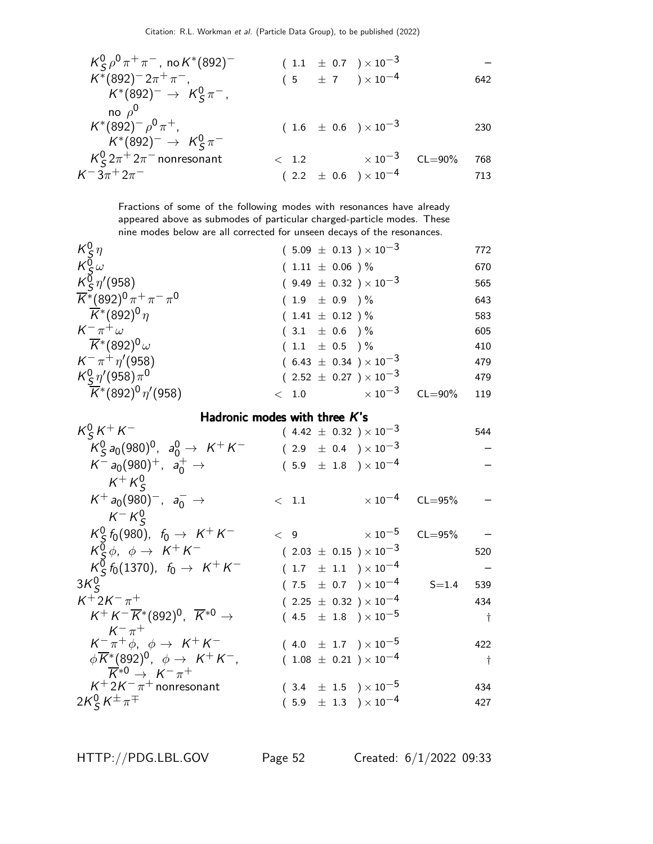$$
K_S^0 \rho^0 \pi^+ \pi^-, \text{ no } K^*(892)^- \qquad (1.1 \pm 0.7) \times 10^{-3} \qquad -
$$
  
\n
$$
K^*(892)^- 2\pi^+ \pi^-, \qquad (5 \pm 7) \times 10^{-4} \qquad 642
$$
  
\n
$$
K^*(892)^- \rightarrow K_S^0 \pi^-, \qquad (1.6 \pm 0.6) \times 10^{-3} \qquad 230
$$
  
\n
$$
K^*(892)^- \rightarrow K_S^0 \pi^- \qquad (1.6 \pm 0.6) \times 10^{-3} \qquad 230
$$
  
\n
$$
K_S^0 2\pi^+ 2\pi^- \text{ nonresonant} \qquad < 1.2 \qquad \times 10^{-3} \qquad \text{CL=90\%} \qquad 768
$$
  
\n
$$
K^- 3\pi^+ 2\pi^- \qquad (2.2 \pm 0.6) \times 10^{-4} \qquad 713
$$

Fractions of some of the following modes with resonances have already appeared above as submodes of particular charged-particle modes. These nine modes below are all corrected for unseen decays of the resonances.

|         |                     |                                                                                                                                                                                                                                                              | 772         |
|---------|---------------------|--------------------------------------------------------------------------------------------------------------------------------------------------------------------------------------------------------------------------------------------------------------|-------------|
|         |                     |                                                                                                                                                                                                                                                              | 670         |
|         |                     |                                                                                                                                                                                                                                                              | 565         |
|         |                     |                                                                                                                                                                                                                                                              | 643         |
|         |                     |                                                                                                                                                                                                                                                              | 583         |
|         |                     |                                                                                                                                                                                                                                                              | 605         |
|         |                     |                                                                                                                                                                                                                                                              | 410         |
|         |                     |                                                                                                                                                                                                                                                              | 479         |
|         |                     |                                                                                                                                                                                                                                                              | 479         |
| $<$ 1.0 | $\times$ 10 $^{-3}$ |                                                                                                                                                                                                                                                              | 119         |
|         |                     | $(5.09 \pm 0.13) \times 10^{-3}$<br>$(1.11 \pm 0.06) \%$<br>$(9.49 \pm 0.32) \times 10^{-3}$<br>$(1.9 \pm 0.9)$ %<br>$(1.41 \pm 0.12) \%$<br>$(3.1 \pm 0.6) \%$<br>$(1.1 \pm 0.5)$ %<br>$(6.43 \pm 0.34) \times 10^{-3}$<br>$(2.52 \pm 0.27) \times 10^{-3}$ | $CL = 90\%$ |

#### Hadronic modes with three K's

| $K_S^0 K^+ K^-$                                                               | $(4.42 \pm 0.32) \times 10^{-3}$ |                     |                         | 544       |
|-------------------------------------------------------------------------------|----------------------------------|---------------------|-------------------------|-----------|
| $K_S^0$ $a_0$ (980) <sup>0</sup> , $a_0^0 \rightarrow K^+ K^-$                | $(2.9 \pm 0.4) \times 10^{-3}$   |                     |                         |           |
| $K^- a_0(980)^+$ , $a_0^+ \rightarrow$                                        | $(5.9 \pm 1.8) \times 10^{-4}$   |                     |                         |           |
| $K^+ K^0_S$                                                                   |                                  |                     |                         |           |
| $K^+ a_0(980)^-, a_0^- \rightarrow$                                           | $\langle$ 1.1                    |                     | $\times 10^{-4}$ CL=95% |           |
| $K^- K^0_S$                                                                   |                                  |                     |                         |           |
| $K_S^0$ $f_0(980)$ , $f_0 \to K^+ K^-$                                        | $\lt$ 9                          | $\times$ 10 $^{-5}$ | $CL = 95%$              |           |
| $K^0_S \phi$ , $\phi \rightarrow K^+ K^-$                                     | $(2.03 \pm 0.15) \times 10^{-3}$ |                     |                         | 520       |
| $K_S^0$ $f_0$ (1370), $f_0 \to K^+ K^-$                                       | $(1.7 \pm 1.1) \times 10^{-4}$   |                     |                         |           |
| $3K_c^0$                                                                      | $(7.5 \pm 0.7) \times 10^{-4}$   |                     | $S = 1.4$               | 539       |
| $K^{+}2K^{-}\pi^{+}$                                                          | $(2.25 \pm 0.32) \times 10^{-4}$ |                     |                         | 434       |
| $K^+ K^- \overline{K}^*(892)^0$ , $\overline{K}^{*0}$ $\rightarrow$           | $(4.5 \pm 1.8) \times 10^{-5}$   |                     |                         | $\dagger$ |
| $K^{-}$ $\pi^{+}$                                                             |                                  |                     |                         |           |
| $K^-\pi^+\phi$ , $\phi \rightarrow K^+K^-$                                    | $(4.0 \pm 1.7) \times 10^{-5}$   |                     |                         | 422       |
| $\phi \overline{K}^*(892)^0$ , $\phi \rightarrow K^+K^-$ ,                    | $(1.08 \pm 0.21) \times 10^{-4}$ |                     |                         | $\dagger$ |
| $\overline{K}^{*0} \rightarrow K^{-} \pi^{+}$<br>$K^+ 2K^- \pi^+$ nonresonant | $(3.4 \pm 1.5) \times 10^{-5}$   |                     |                         | 434       |
|                                                                               |                                  |                     |                         |           |
| $2K_S^0 K^{\pm} \pi^{\mp}$                                                    | $(5.9 \pm 1.3) \times 10^{-4}$   |                     |                         | 427       |

HTTP://PDG.LBL.GOV Page 52 Created: 6/1/2022 09:33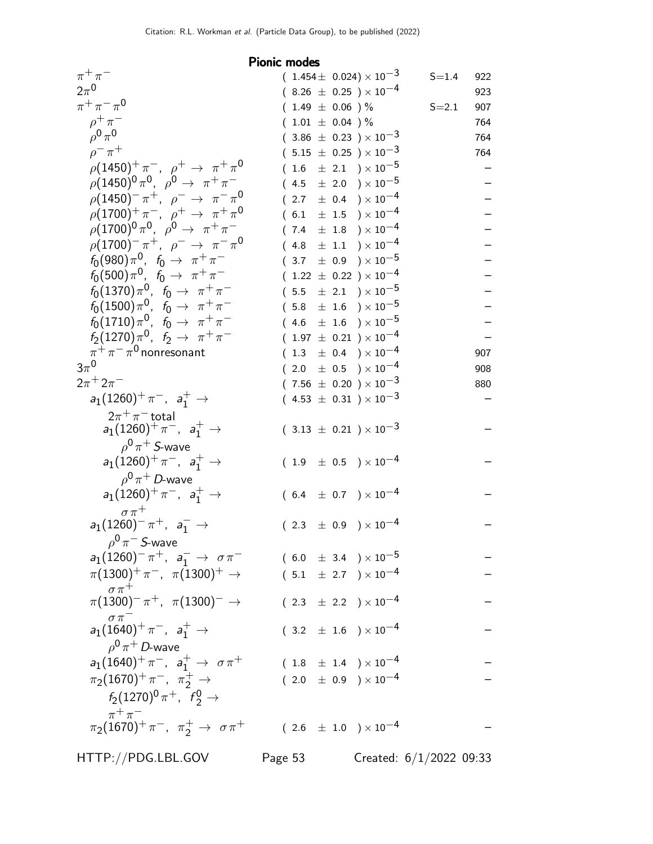#### Pionic modes  $\pi^+\pi$  $(1.454 \pm 0.024) \times 10^{-3}$  S=1.4 922<br>  $(8.26 \pm 0.25) \times 10^{-4}$  923  $2\pi^0$  $(8.26 \pm 0.25) \times 10^{-4}$  923<br>  $(1.49 \pm 0.06) \%$  S=2.1 907  $\pi^+ \pi^- \pi^0$  $(1.49 \pm 0.06) \%$  S=2.1 907<br> $(1.01 + 0.04) \%$  764  $\rho^+\pi$  $(1.01 \pm 0.04) \%$  $\rho^{\mathbf{0}}\,\pi^{\mathbf{0}}$  $(3.86 \pm 0.23) \times 10^{-3}$  764  $\rho^+ \pi$  $(5.15 \pm 0.25) \times 10^{-3}$  764  $\rho(1450)^{+}\pi^{-}$ ,  $\rho^{+} \to \pi^{+}\pi^{0}$  $(1.6 \pm 2.1) \times 10^{-5}$  –  $\rho (1450)^{0} \pi^{0}, \;\; \rho^{0} \rightarrow \;\; \pi^{+} \pi$  $(4.5 \pm 2.0) \times 10^{-5}$  $\rho(1450)^{-} \pi^{+}, \rho^{-} \to \pi^{-} \pi^{0}$  $(2.7 \pm 0.4) \times 10^{-4}$  $\rho(1700)^+ \pi^-$ ,  $\rho^+ \to \pi^+ \pi^0$  $(6.1 \pm 1.5) \times 10^{-4}$  $\rho (1700)^{0} \pi^{0}, \rho^{0} \to \pi^{+} \pi$  $(7.4 \pm 1.8) \times 10^{-4}$  $\rho(1700)^{-} \pi^{+}, \rho^{-} \to \pi^{-} \pi^{0}$  $(4.8 \pm 1.1) \times 10^{-4}$  $f_0(980)\pi^0$ ,  $f_0 \to \pi^+\pi^ (3.7 \pm 0.9) \times 10^{-5}$  $f_0(500)\pi^0$ ,  $f_0 \to \pi^+ \pi^ (1.22 \pm 0.22) \times 10^{-4}$  $f_0(1370)\pi^0$ ,  $f_0 \to \pi^+\pi^ (5.5 \pm 2.1) \times 10^{-5}$  $f_0(1500)\pi^0$ ,  $f_0 \to \pi^+\pi^ (5.8 \pm 1.6) \times 10^{-5}$  $f_0(1710)\pi^0$ ,  $f_0 \to \pi^+ \pi^ (4.6 \pm 1.6) \times 10^{-5}$  $f_2(1270)\pi^0$ ,  $f_2 \to \pi^+\pi^ (1.97 \pm 0.21) \times 10^{-4}$  –<br>  $(1.3 \pm 0.4) \times 10^{-4}$  907  $\pi^+ \pi^- \pi$  $(1.3 \pm 0.4) \times 10^{-4}$  $3\pi^0$  $(2.0 \pm 0.5) \times 10^{-4}$  908  $2\pi$ <sup>+</sup>  $2\pi$  $(7.56 \pm 0.20) \times 10^{-3}$  880  $a_1(1260)^+ \pi^-$ ,  $a_1^+$   $\to$  $2\pi^+\pi^-$ total  $(4.53 \pm 0.31) \times 10^{-3}$  $a_1(1260)^+\pi^-$ ,  $a_1^+$  →  $\rho^{\bm 0}\pi^+$  S-wave  $(3.13 \pm 0.21) \times 10^{-3}$  $a_1(1260)^+ \pi^-$ ,  $a_1^+$  →  $\rho^{\bm{0}}\pi^+$  D-wave  $(1.9 \pm 0.5) \times 10^{-4}$  $a_1(1260)^+ \pi^-$ ,  $a_1^+$   $\rightarrow$  $\sigma \pi^+$  $(6.4 \pm 0.7) \times 10^{-4}$  $a_1(1260)^- \pi^+$ ,  $a_1^-$  →  $\rho^{\bm 0} \pi^-$  S-wave  $(2.3 \pm 0.9) \times 10^{-4}$  $a_1(1260)^{-} \pi^{+}$ ,  $a_1^{-}$  $(6.0 \pm 3.4) \times 10^{-5}$  $\pi(1300)^+\, \pi^-$ ,  $\pi(1300)^+$   $\to$  $\sigma \pi^+$  $(5.1 \pm 2.7) \times 10^{-4}$  $\pi(1300)^-\pi^+$ ,  $\pi(1300)^-\to$  $\sigma \pi^ (2.3 \pm 2.2) \times 10^{-4}$  $a_1(1640)^+ \pi^-$ ,  $a_1^+$  →  $\rho^{\bm{0}}\pi^+$  D-wave  $(3.2 \pm 1.6) \times 10^{-4}$  $a_1(1640)^+ \pi^-$ ,  $a_1^+$  $(1.8 \pm 1.4) \times 10^{-4}$  $\pi_2(1670)^+ \pi^-, \pi_2^+ \to$  $f_2(1270)^0 \pi^+$ ,  $f_2^0 \to$  $\pi^+\pi^ (2.0 \pm 0.9) \times 10^{-4}$  $\pi_2(1670)^+ \, \pi^-$ ,  $\pi_2^+ \rightarrow \sigma \, \pi^+$  ( 2.6  $\pm$  1.0 )  $\times\,10^{-4}$  –

HTTP://PDG.LBL.GOV Page 53 Created: 6/1/2022 09:33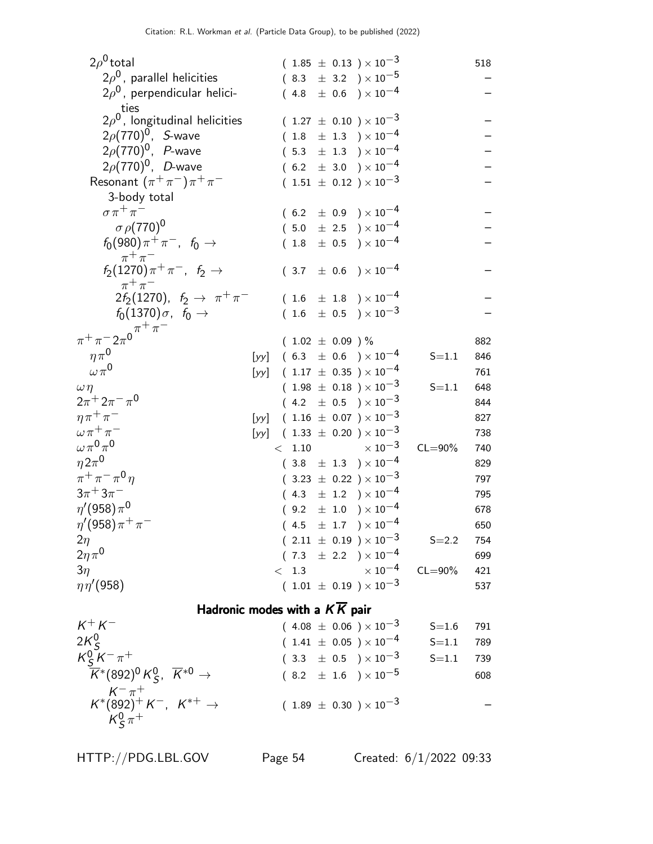| $2\rho^0$ total                                                                                                                                                                                                            |      |  |                     |  |  | $(1.85 \pm 0.13) \times 10^{-3}$      |             | 518        |
|----------------------------------------------------------------------------------------------------------------------------------------------------------------------------------------------------------------------------|------|--|---------------------|--|--|---------------------------------------|-------------|------------|
| $2\rho^0$ , parallel helicities                                                                                                                                                                                            |      |  |                     |  |  | $(8.3 \pm 3.2) \times 10^{-5}$        |             |            |
| $2\rho^0$ , perpendicular helici-<br>ties                                                                                                                                                                                  |      |  |                     |  |  | $(4.8 \pm 0.6) \times 10^{-4}$        |             |            |
| $2\rho^0$ , longitudinal helicities                                                                                                                                                                                        |      |  |                     |  |  | $(1.27 \pm 0.10) \times 10^{-3}$      |             |            |
| $2\rho(770)^{0}$ , <i>S</i> -wave                                                                                                                                                                                          |      |  |                     |  |  | $(1.8 \pm 1.3) \times 10^{-4}$        |             |            |
| $2\rho(770)^{0}$ , <i>P</i> -wave                                                                                                                                                                                          |      |  |                     |  |  | $(5.3 \pm 1.3) \times 10^{-4}$        |             |            |
| $2\rho(770)^{0}$ , <i>D</i> -wave                                                                                                                                                                                          |      |  |                     |  |  | $(6.2 \pm 3.0) \times 10^{-4}$        |             |            |
| Resonant $(\pi^+\pi^-)\pi^+\pi^-$                                                                                                                                                                                          |      |  |                     |  |  | $(1.51 \pm 0.12) \times 10^{-3}$      |             |            |
| 3-body total                                                                                                                                                                                                               |      |  |                     |  |  |                                       |             |            |
| $\sigma \pi^+ \pi^-$                                                                                                                                                                                                       |      |  |                     |  |  | $(6.2 \pm 0.9) \times 10^{-4}$        |             |            |
| $\sigma$ $\rho$ (770) <sup>0</sup>                                                                                                                                                                                         |      |  |                     |  |  | $(5.0 \pm 2.5) \times 10^{-4}$        |             |            |
| $f_0(980)\pi^+\pi^-$ , $f_0 \to$                                                                                                                                                                                           |      |  |                     |  |  | $(1.8 \pm 0.5) \times 10^{-4}$        |             |            |
| $\pi^+\pi^-$                                                                                                                                                                                                               |      |  |                     |  |  |                                       |             |            |
| $f_2(1270)\pi^+\pi^-$ , $f_2 \to$                                                                                                                                                                                          |      |  |                     |  |  | $(3.7 \pm 0.6) \times 10^{-4}$        |             |            |
| $\pi^+\pi^-$                                                                                                                                                                                                               |      |  |                     |  |  |                                       |             |            |
| $2f_2(1270)$ , $f_2 \to \pi^+\pi^-$                                                                                                                                                                                        |      |  |                     |  |  | $(1.6 \pm 1.8) \times 10^{-4}$        |             |            |
| $f_0(1370)\sigma$ , $f_0 \rightarrow$                                                                                                                                                                                      |      |  |                     |  |  | $(1.6 \pm 0.5) \times 10^{-3}$        |             |            |
| $\pi^+ \pi^- 2\pi^0 \pi^+ \pi^-$                                                                                                                                                                                           |      |  |                     |  |  |                                       |             |            |
| $\eta \pi^0$                                                                                                                                                                                                               |      |  | $(1.02 \pm 0.09)$ % |  |  | [yy] $(6.3 \pm 0.6) \times 10^{-4}$   | $S = 1.1$   | 882<br>846 |
| $\omega \pi^0$                                                                                                                                                                                                             |      |  |                     |  |  | [yy] $(1.17 \pm 0.35) \times 10^{-4}$ |             | 761        |
| $\omega\eta$                                                                                                                                                                                                               |      |  |                     |  |  | $(1.98 \pm 0.18) \times 10^{-3}$      | $S = 1.1$   | 648        |
| $2\pi^+ 2\pi^- \pi^0$                                                                                                                                                                                                      |      |  |                     |  |  | $(4.2 \pm 0.5) \times 10^{-3}$        |             | 844        |
| $\eta \pi^+ \pi^-$                                                                                                                                                                                                         | [yy] |  |                     |  |  | $(1.16 \pm 0.07) \times 10^{-3}$      |             | 827        |
| $\omega \pi^+ \pi^-$                                                                                                                                                                                                       | [yy] |  |                     |  |  | $(1.33 \pm 0.20) \times 10^{-3}$      |             | 738        |
| $\omega\pi^{0}\pi^{0}$                                                                                                                                                                                                     |      |  | < 1.10              |  |  | $\times$ 10 <sup>-3</sup>             | $CL = 90\%$ | 740        |
| $\eta 2\pi^0$                                                                                                                                                                                                              |      |  |                     |  |  | $(3.8 \pm 1.3) \times 10^{-4}$        |             | 829        |
| $\pi^{+}\pi^{-}\pi^{0}\eta$                                                                                                                                                                                                |      |  |                     |  |  | $(3.23 \pm 0.22) \times 10^{-3}$      |             | 797        |
| $3\pi + 3\pi^-$                                                                                                                                                                                                            |      |  |                     |  |  | $(4.3 \pm 1.2) \times 10^{-4}$        |             | 795        |
| $\eta'(958)\pi^{0}$                                                                                                                                                                                                        |      |  |                     |  |  | $(9.2 \pm 1.0) \times 10^{-4}$        |             | 678        |
| $\eta'(958)\pi^{+}\pi^{-}$                                                                                                                                                                                                 |      |  |                     |  |  | $(4.5 \pm 1.7) \times 10^{-4}$        |             | 650        |
| $2\eta$                                                                                                                                                                                                                    |      |  |                     |  |  | $(2.11 \pm 0.19) \times 10^{-3}$      | $S = 2.2$   | 754        |
| $2\eta\pi^0$                                                                                                                                                                                                               |      |  |                     |  |  | $(7.3 \pm 2.2) \times 10^{-4}$        |             | 699        |
| $3\eta$                                                                                                                                                                                                                    |      |  | < 1.3               |  |  | $\times$ 10 $^{-4}$                   | $CL = 90\%$ | 421        |
| $\eta\eta' (958)$                                                                                                                                                                                                          |      |  |                     |  |  | $(1.01 \pm 0.19) \times 10^{-3}$      |             | 537        |
| Hadronic modes with a $K\overline{K}$ pair                                                                                                                                                                                 |      |  |                     |  |  |                                       |             |            |
| $K^+ K^-$                                                                                                                                                                                                                  |      |  |                     |  |  | $(4.08 \pm 0.06) \times 10^{-3}$      | $S = 1.6$   | 791        |
| $2K_{\mathcal{S}}^0$                                                                                                                                                                                                       |      |  |                     |  |  | $(1.41 \pm 0.05) \times 10^{-4}$      | $S = 1.1$   | 789        |
|                                                                                                                                                                                                                            |      |  |                     |  |  | $(3.3 \pm 0.5) \times 10^{-3}$        | $S = 1.1$   | 739        |
| $\begin{array}{r} \displaystyle \mathcal{K}^0_S \ \displaystyle \overline{\mathcal{K}}^-\pi^+ \ \displaystyle \overline{\mathcal{K}}^*(892)^0 \, \mathcal{K}^0_S, \ \ \overline{\mathcal{K}}^{*0} \rightarrow \end{array}$ |      |  |                     |  |  | $(8.2 \pm 1.6) \times 10^{-5}$        |             | 608        |
| $\begin{array}{c} {\cal K}^-\pi^+\\ {\cal K}^*(892)^+{\cal K}^-, ~~{\cal K}^{*+}\rightarrow \end{array}$                                                                                                                   |      |  |                     |  |  |                                       |             |            |
|                                                                                                                                                                                                                            |      |  |                     |  |  | $(1.89 \pm 0.30) \times 10^{-3}$      |             |            |
| $K^0_s \pi^+$                                                                                                                                                                                                              |      |  |                     |  |  |                                       |             |            |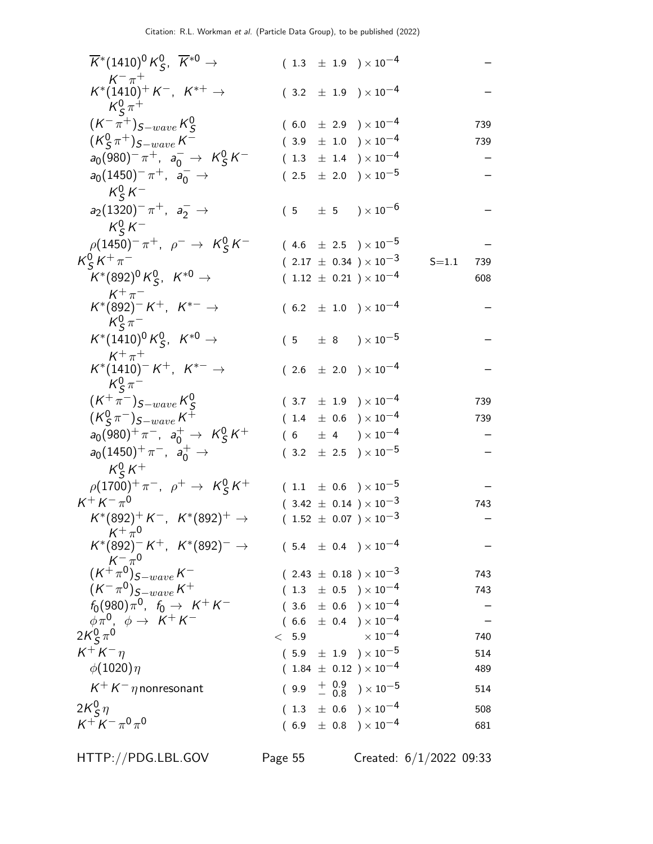| $\overline{K}^*(1410)^0 K^0_S$ , $\overline{K}^{*0}$ $\rightarrow$       |       | $(1.3 \pm 1.9) \times 10^{-4}$                                         |                  |
|--------------------------------------------------------------------------|-------|------------------------------------------------------------------------|------------------|
| $K^- \pi^+$<br>$K^*(1410)^+ K^-$ , $K^{*+} \rightarrow$<br>$K^0_s \pi^+$ |       | $(3.2 \pm 1.9) \times 10^{-4}$                                         |                  |
| $(K^-\pi^+)_{S-wave}\,K^0_S$                                             |       | $(6.0 \pm 2.9) \times 10^{-4}$                                         | 739              |
| $(K_S^0 \pi^+)_{S-wave} K^-$                                             |       | $(3.9 \pm 1.0) \times 10^{-4}$                                         | 739              |
| $a_0(980)^-\pi^+$ , $a_0^ \rightarrow$ $K^0_S K^-$                       |       | $(1.3 \pm 1.4) \times 10^{-4}$                                         |                  |
| $a_0(1450)^- \pi^+$ , $a_0^ \rightarrow$<br>$K^0_S K^-$                  |       | $(2.5 \pm 2.0) \times 10^{-5}$                                         |                  |
| $a_2(1320)^{-} \pi^{+}$ , $a_2^{-} \rightarrow$<br>$K_S^0 K^-$           |       | $(5 \pm 5) \times 10^{-6}$                                             |                  |
| $\rho(1450)^{-} \pi^{+}$ , $\rho^{-} \to K^{0}_{S} K^{-}$                |       | $(4.6 \pm 2.5) \times 10^{-5}$                                         |                  |
| $K_S^0 K^+ \pi^-$                                                        |       | $(2.17 \pm 0.34) \times 10^{-3}$                                       | $S = 1.1$<br>739 |
| $K^*(892)^0 K^0_S$ , $K^{*0}$ $\rightarrow$                              |       | $(1.12 \pm 0.21) \times 10^{-4}$                                       | 608              |
| $K^+\pi^-$<br>$K^*(892)^- K^+$ , $K^{*-}$ $\rightarrow$<br>$K_S^0 \pi^-$ |       | $(6.2 \pm 1.0) \times 10^{-4}$                                         |                  |
| $K^*(1410)^0 K^0_S$ , $K^{*0} \rightarrow$<br>$K^+\pi^+$                 |       | $(5 \pm 8) \times 10^{-5}$                                             |                  |
| $K^*(1410)^- K^+$ , $K^{*-} \to$<br>$K^0_S \pi^-$                        |       | $(2.6 \pm 2.0) \times 10^{-4}$                                         |                  |
| $(K^{+}\pi^{-})_{S-wave}K_{S}^{0}$                                       |       | $(3.7 \pm 1.9) \times 10^{-4}$                                         | 739              |
| $(K_S^0 \pi^-)_{S-wave} K^+$                                             |       | $(1.4 \pm 0.6) \times 10^{-4}$                                         | 739              |
| $a_0(980)^+ \pi^-$ , $a_0^+ \to K_S^0 K^+$                               |       | $(6 \pm 4) \times 10^{-4}$                                             |                  |
| $a_0(1450)^+ \pi^-$ , $a_0^+ \to$<br>$K^0_s K^+$                         |       | $(3.2 \pm 2.5) \times 10^{-5}$                                         |                  |
| $\rho(1700)^{+}\pi^{-}$ , $\rho^{+} \to K^{0}_{S}K^{+}$                  |       | $(1.1 \pm 0.6) \times 10^{-5}$                                         |                  |
| $K^+ K^- \pi^0$                                                          |       | $(3.42 \pm 0.14) \times 10^{-3}$                                       | 743              |
| $K^*(892)^+ K^-$ , $K^*(892)^+$ $\rightarrow$<br>$K^+\pi^0$              |       | $(1.52 \pm 0.07) \times 10^{-3}$                                       |                  |
| $K^*(892)^- K^+$ , $K^*(892)^ \rightarrow$                               |       | $(\phantom{-}5.4\phantom{0}\pm\phantom{0}0.4\phantom{0})\times10^{-4}$ |                  |
| $(\overset{\circ}{K^{+}}\overset{\sim}{\pi}{}^0)_{S-wave}\,K^{-}$        |       | $(2.43 \pm 0.18) \times 10^{-3}$                                       | 743              |
| $(K^-\pi^0)_{S-wave}K^+$                                                 |       | $(1.3 \pm 0.5) \times 10^{-4}$                                         | 743              |
| $f_0(980)\pi^0$ , $f_0 \to K^+K^-$                                       |       | $(3.6 \pm 0.6) \times 10^{-4}$                                         |                  |
| $\phi \pi^0$ , $\phi \rightarrow K^+ K^-$                                |       | $(6.6 \pm 0.4) \times 10^{-4}$                                         |                  |
| $2K_S^0 \pi^0$                                                           | < 5.9 | $\times$ 10 $^{-4}$                                                    | 740              |
| $K^+ K^- \eta$                                                           |       | $(5.9 \pm 1.9) \times 10^{-5}$                                         | 514              |
| $\phi(1020)\eta$                                                         |       | $(1.84 \pm 0.12) \times 10^{-4}$                                       | 489              |
| $K^+ K^- \eta$ nonresonant                                               |       | $(9.9 + \begin{array}{cc} 0.9 \\ - 0.8 \end{array}) \times 10^{-5}$    | 514              |
| $2K_S^0 \eta$                                                            |       | $(1.3 \pm 0.6) \times 10^{-4}$                                         | 508              |
| $K^+ K^- \pi^0 \pi^0$                                                    |       | $(6.9 \pm 0.8) \times 10^{-4}$                                         | 681              |

HTTP://PDG.LBL.GOV Page 55 Created: 6/1/2022 09:33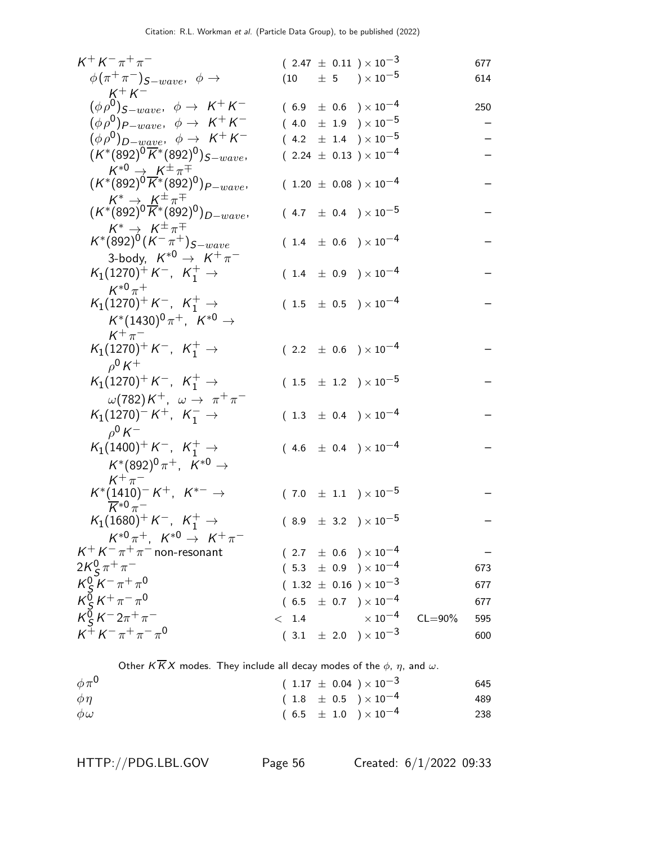| $K^+ K^- \pi^+ \pi^-$                                                                               |       | $(2.47 \pm 0.11) \times 10^{-3}$                                 |             | 677 |
|-----------------------------------------------------------------------------------------------------|-------|------------------------------------------------------------------|-------------|-----|
| $\phi(\pi^+\pi^-)_{S-wave}, \phi \rightarrow$                                                       |       | $(10 \t\pm 5 \t)\times 10^{-5}$                                  |             | 614 |
| $K^+ K^-$                                                                                           |       |                                                                  |             |     |
| $(\phi \rho^0)_{S-wave}, \phi \rightarrow K^+ K^-$                                                  |       | $(6.9 \pm 0.6) \times 10^{-4}$                                   |             | 250 |
| $(\phi \rho^0)_{P-wave}, \phi \rightarrow K^+ K^-$                                                  |       | $(4.0 \pm 1.9) \times 10^{-5}$                                   |             |     |
| $(\phi \rho^0)_{D-wave}, \phi \rightarrow K^+ K^-$                                                  |       | $(4.2 \pm 1.4) \times 10^{-5}$                                   |             |     |
| $(K^*(892)^0\overline{K}^*(892)^0)_{S-wave},$                                                       |       | $(2.24 \pm 0.13) \times 10^{-4}$                                 |             |     |
| $K^{*0} \rightarrow K^{\pm} \pi^{\mp}$<br>$(K^{*}(892)^{0} K^{*}(892)^{0})_{P-wave}$                |       |                                                                  |             |     |
|                                                                                                     |       | $(1.20 \pm 0.08) \times 10^{-4}$                                 |             |     |
| $\begin{array}{c} K^*\to K^{\pm}\pi^{\mp}\ (K^*(892)^0\overline{K^*(892)^0})_{D-wave}, \end{array}$ |       |                                                                  |             |     |
|                                                                                                     |       | $(4.7 \pm 0.4) \times 10^{-5}$                                   |             |     |
| $K^* \rightarrow K^{\pm} \pi^{\mp}$                                                                 |       |                                                                  |             |     |
| $K^*(892)^0(K^-\pi^+)_{S-wave}$                                                                     |       | $(1.4 \pm 0.6) \times 10^{-4}$                                   |             |     |
| 3-body, $K^{*0} \rightarrow K^+\pi^-$                                                               |       |                                                                  |             |     |
| $K_1(1270)^+ K^-$ , $K_1^+ \rightarrow$                                                             |       | $(1.4 \pm 0.9) \times 10^{-4}$                                   |             |     |
| $K^{*0}\pi^+$                                                                                       |       |                                                                  |             |     |
| $K_1(1270)^+ K^-$ , $K_1^+ \rightarrow$                                                             |       | $(1.5 \pm 0.5) \times 10^{-4}$                                   |             |     |
| $K^*(1430)^0 \pi^+$ , $K^{*0}$ $\rightarrow$                                                        |       |                                                                  |             |     |
| $K^+\pi^-$                                                                                          |       |                                                                  |             |     |
| $K_1(1270)^+ K^-$ , $K_1^+ \rightarrow$                                                             |       | $(2.2 \pm 0.6) \times 10^{-4}$                                   |             |     |
| $\rho^0 K^+$                                                                                        |       |                                                                  |             |     |
| $K_1(1270)^+ K^-$ , $K_1^+ \rightarrow$                                                             |       | $(1.5 \pm 1.2) \times 10^{-5}$                                   |             |     |
| $\omega(782)K^+$ , $\omega \rightarrow \pi^+\pi^-$                                                  |       |                                                                  |             |     |
| $K_1(1270)^- K^+$ , $K_1^ \rightarrow$                                                              |       | $(1.3 \pm 0.4) \times 10^{-4}$                                   |             |     |
| $\rho^0 K^-$                                                                                        |       |                                                                  |             |     |
| $K_1(1400)^+ K^-$ , $K_1^+ \rightarrow$                                                             |       | $(4.6 \pm 0.4) \times 10^{-4}$                                   |             |     |
| $K^*(892)^0 \pi^+, K^{*0} \to$                                                                      |       |                                                                  |             |     |
| $K^+\pi^-$                                                                                          |       |                                                                  |             |     |
| $\mathsf{K}^*(1410)^- \mathsf{K}^+$ , $\mathsf{K}^{*-} \rightarrow$                                 |       | $(7.0 \pm 1.1) \times 10^{-5}$                                   |             |     |
| $\overline{K}^{*0}\pi^-$<br>$K_1(1680)^+ K^-$ , $K_1^+ \rightarrow$                                 |       |                                                                  |             |     |
| $K^{*0}\pi^+$ , $K^{*0} \to K^+\pi^-$                                                               |       | $(8.9 \pm 3.2) \times 10^{-5}$                                   |             |     |
| $K^+ K^- \pi^+ \pi^-$ non-resonant                                                                  |       |                                                                  |             |     |
| $2K_S^0 \pi^+ \pi^-$                                                                                |       | $(2.7 \pm 0.6) \times 10^{-4}$<br>$(5.3 \pm 0.9) \times 10^{-4}$ |             |     |
|                                                                                                     |       |                                                                  |             | 673 |
| $K_S^0 K^- \pi^+ \pi^0$                                                                             |       | $(1.32 \pm 0.16) \times 10^{-3}$                                 |             | 677 |
| $K_S^0 K^+ \pi^- \pi^0$                                                                             |       | $(6.5 \pm 0.7) \times 10^{-4}$                                   |             | 677 |
| $K_S^0 K^- 2\pi^+\pi^-$                                                                             | < 1.4 | $\times$ 10 $^{-4}$                                              | $CL = 90\%$ | 595 |
| $K^+ K^- \pi^+ \pi^- \pi^0$                                                                         |       | $(3.1 \pm 2.0) \times 10^{-3}$                                   |             | 600 |

Other  $K \overline{K} X$  modes. They include all decay modes of the  $\phi$ ,  $\eta$ , and  $\omega$ .

| $\phi \pi^0$ | $(1.17 \pm 0.04) \times 10^{-3}$ | 645 |
|--------------|----------------------------------|-----|
| $\phi\eta$   | $(1.8~\pm~0.5~)\times10^{-4}$    | 489 |
| $\phi\omega$ | $(6.5 \pm 1.0) \times 10^{-4}$   | 238 |

HTTP://PDG.LBL.GOV Page 56 Created: 6/1/2022 09:33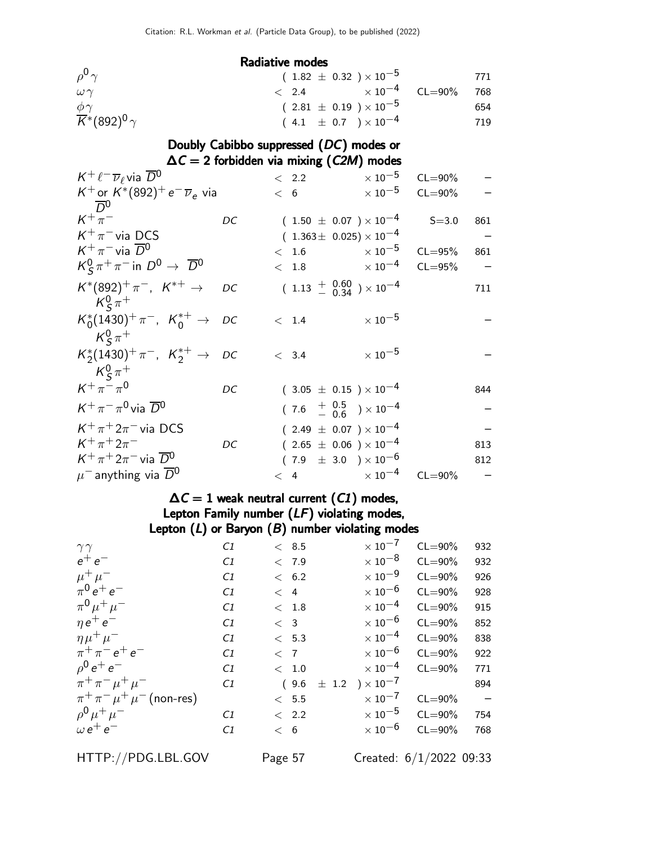| $\rho^0 \gamma$                             | $(1.82 \pm 0.32) \times 10^{-5}$ |                            | 771 |
|---------------------------------------------|----------------------------------|----------------------------|-----|
| $\omega\gamma$                              | $\langle 2.4 \rangle$            | $\times$ 10 $^{-4}$ CL=90% | 768 |
| $\phi\gamma$                                | $(2.81 \pm 0.19) \times 10^{-5}$ |                            | 654 |
| $\overline{K}$ *(892) <sup>0</sup> $\gamma$ | $(4.1 \pm 0.7) \times 10^{-4}$   |                            | 719 |

Doubly Cabibbo suppressed (DC) modes or

 $\Delta C = 2$  forbidden via mixing (C2M) modes

| $K^+ \ell^- \overline{\nu}_\ell$ via $\overline{D}{}^0$   |    | < 2.2 | $\times$ 10 $^{-5}$                       | $CL = 90\%$ |     |
|-----------------------------------------------------------|----|-------|-------------------------------------------|-------------|-----|
| K <sup>+</sup> or $K^*(892)^+e^ \overline{\nu}_e$ via     |    | < 6   | $\times$ 10 <sup>-5</sup>                 | $CL = 90\%$ |     |
| $\overline{D}{}^0$                                        |    |       |                                           |             |     |
| $K^+\pi^-$                                                | DC |       | $(1.50 \pm 0.07) \times 10^{-4}$          | $S = 3.0$   | 861 |
| $K^+\pi^-$ via DCS                                        |    |       | $(1.363 \pm 0.025) \times 10^{-4}$        |             |     |
| $K^+\pi^-$ via $\overline{D}{}^0$                         |    | 1.6   | $\times$ 10 <sup>-5</sup>                 | $CL = 95%$  | 861 |
| $K^0_S \pi^+ \pi^-$ in $D^0 \rightarrow \overline{D}{}^0$ |    | < 1.8 | $\times$ 10 <sup>-4</sup>                 | $CL = 95%$  |     |
| $K^*(892)^+\pi^-$ , $K^{*+}\to$<br>$K_{\rm s}^0 \pi^+$    | DC |       | $(1.13 + 0.60 \n- 0.34) \times 10^{-4}$   |             | 711 |
| $K_0^*(1430)^+\pi^-$ , $K_0^{*+}\to DC$                   |    | < 1.4 | $\times\,10^{-5}$                         |             |     |
| $K^0_s \pi^+$                                             |    |       |                                           |             |     |
| $K_2^*(1430)^+\pi^-$ , $K_2^{*+}$ $\rightarrow$ DC        |    | < 3.4 | $\times$ $10^{-5}$                        |             |     |
| $K^0_s \pi^+$                                             |    |       |                                           |             |     |
| $K^+\pi^-\pi^0$                                           | DC |       | $(3.05 \pm 0.15) \times 10^{-4}$          |             | 844 |
| $K^+\pi^-\pi^0$ via $\overline{D}{}^0$                    |    |       | $(7.6 \tfrac{+0.5}{-0.6}) \times 10^{-4}$ |             |     |
| $K^+\pi^+2\pi^-$ via DCS                                  |    |       | $(2.49 \pm 0.07) \times 10^{-4}$          |             |     |
| $K^+\pi^+2\pi^-$                                          | DC |       | $(2.65 \pm 0.06) \times 10^{-4}$          |             | 813 |
| $K^+\pi^+2\pi^-$ via $\overline{D}{}^0$                   |    |       | $(7.9 \pm 3.0) \times 10^{-6}$            |             | 812 |
| $\mu^-$ anything via $\overline{D}{}^0$                   |    | < 4   | $\times$ 10 <sup>-4</sup>                 | $CL = 90\%$ |     |

#### $\Delta\mathcal{C}=1$  weak neutral current  $(\mathcal{C}1)$  modes, Lepton Family number (LF) violating modes,

|                                  |    |               | Lepton $(L)$ or Baryon $(B)$ number violating modes |             |                          |
|----------------------------------|----|---------------|-----------------------------------------------------|-------------|--------------------------|
| $\gamma\gamma$                   | C1 | < 8.5         | $\times$ 10 <sup>-7</sup>                           | $CL = 90\%$ | 932                      |
| $e^+e^-$                         | C1 | < 7.9         | $\times$ 10 $^{-8}$                                 | $CL = 90\%$ | 932                      |
| $\mu^+ \mu^-$                    | C1 | < 6.2         | $\times$ 10 $^{-9}$                                 | $CL = 90\%$ | 926                      |
| $\pi^{0} e^{+} e^{-}$            | C1 | < 4           | $\times$ 10 $^{-6}$                                 | $CL = 90\%$ | 928                      |
| $\pi^{0} \mu^{+} \mu^{-}$        | C1 | < 1.8         | $\times$ 10 $^{-4}$                                 | $CL = 90\%$ | 915                      |
| $\eta e^+ e^-$                   | C1 | < 3           | $\times$ 10 $^{-6}$                                 | $CL = 90\%$ | 852                      |
| $\eta \mu^+ \mu^-$               | C1 | < 5.3         | $\times$ 10 $^{-4}$                                 | $CL = 90\%$ | 838                      |
| $\pi^{+}\pi^{-}e^{+}e^{-}$       | C1 | < 7           | $\times$ 10 $^{-6}$                                 | $CL = 90\%$ | 922                      |
| $\rho^0 e^+ e^-$                 | C1 | < 1.0         | $\times$ 10 $^{-4}$                                 | $CL = 90\%$ | 771                      |
| $\pi^+ \pi^- \mu^+ \mu^-$        | C1 | (9.6)         | $\pm$ 1.2 $\rightarrow$ $\times$ 10 <sup>-7</sup>   |             | 894                      |
| $\pi^+\pi^-\mu^+\mu^-$ (non-res) |    | $~<~$ 5.5 $~$ | $\times$ 10 $^{-7}$                                 | $CL = 90\%$ | $\overline{\phantom{a}}$ |
| $ho^0 \mu^+ \mu^-$               | C1 | $\langle$ 2.2 | $\times$ 10 $^{-5}$                                 | $CL = 90\%$ | 754                      |
| $\omega e^+e^-$                  | C1 | < 6           | $\times$ 10 $^{-6}$                                 | $CL = 90\%$ | 768                      |
|                                  |    |               |                                                     |             |                          |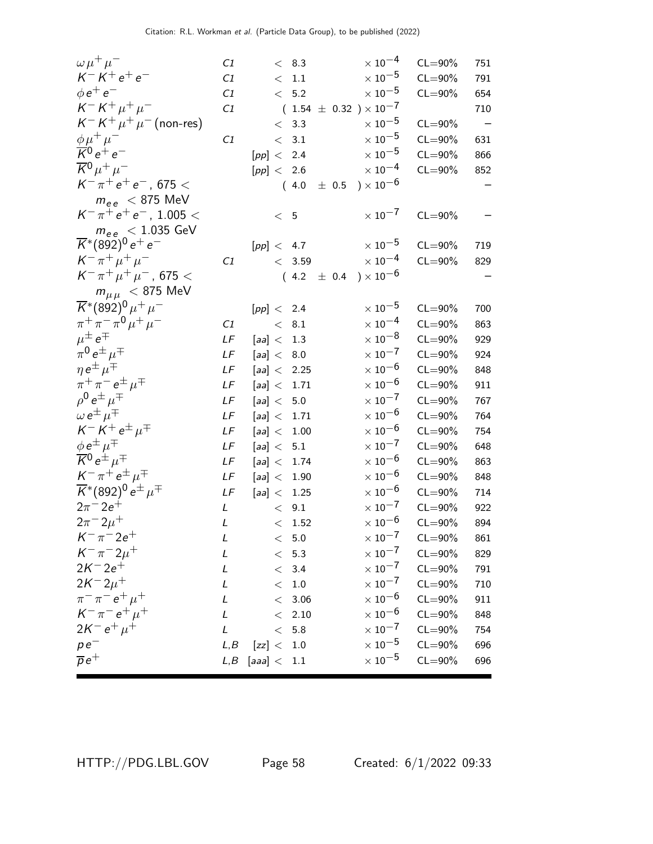| $\omega \mu^+ \mu^-$                                                     | C <sub>1</sub> |                     | < 8.3             |  | $\times$ $10^{-4}$              | $CL = 90\%$ | 751 |
|--------------------------------------------------------------------------|----------------|---------------------|-------------------|--|---------------------------------|-------------|-----|
| $K^- K^+ e^+ e^-$                                                        | C1             |                     | $\rm <~1.1$       |  | $\times$ 10 $^{-5}$             | $CL = 90\%$ | 791 |
| $\phi e^+ e^-$                                                           | C1             |                     | < 5.2             |  | $\times$ $10^{-5}$              | $CL = 90\%$ | 654 |
| $K^- K^+ \mu^+ \mu^-$                                                    | C1             |                     |                   |  | $(1.54~\pm~0.32~)\times10^{-7}$ |             | 710 |
| $K^- K^+ \mu^+ \mu^-$ (non-res)                                          |                |                     | < 3.3             |  | $\times$ 10 $^{-5}$             | $CL = 90\%$ |     |
| $\phi \mu^+ \mu^-$                                                       | C1             |                     | < 3.1             |  | $\times$ 10 $^{-5}$             | $CL = 90\%$ | 631 |
| $\overline{K}{}^0 e^+ e^-$                                               |                | [pp] < 2.4          |                   |  | $\times$ $10^{-5}$              | $CL = 90\%$ | 866 |
| $\overline{K}{}^0\mu^+\mu^-$                                             |                | [pp] < 2.6          |                   |  | $\times$ $10^{-4}$              | $CL = 90\%$ | 852 |
| $K^-\pi^+e^+e^-$ , 675 <                                                 |                |                     |                   |  | $(4.0 \pm 0.5) \times 10^{-6}$  |             |     |
| $m_{ee}$ < 875 MeV                                                       |                |                     |                   |  |                                 |             |     |
| $K^-\pi^+e^+e^-$ , 1.005 <                                               |                | < 5                 |                   |  | $\times$ 10 $^{-7}$             | $CL = 90\%$ |     |
| $m_{ee}$ < 1.035 GeV                                                     |                |                     |                   |  |                                 |             |     |
| $\overline{\mathsf{K}}^*(892)^0$ e <sup>+</sup> e <sup>-</sup>           |                | [pp] < 4.7          |                   |  | $\times$ 10 $^{-5}$             | $CL = 90\%$ | 719 |
| $K^{-} \pi^{+} \mu^{+} \mu^{-}$                                          | C <sub>1</sub> |                     | < 3.59            |  | $\times$ 10 <sup>-4</sup>       | $CL = 90\%$ | 829 |
| $K^{-} \pi^{+} \mu^{+} \mu^{-}$ , 675 <                                  |                |                     |                   |  | $(4.2 \pm 0.4) \times 10^{-6}$  |             |     |
| $m_{\mu\mu}$ < 875 MeV                                                   |                |                     |                   |  |                                 |             |     |
| $\overline{K}$ *(892) <sup>0</sup> $\mu$ <sup>+</sup> $\mu$ <sup>-</sup> |                | [pp] < 2.4          |                   |  | $\times$ 10 $^{-5}$             | $CL = 90\%$ | 700 |
| $\pi^+ \pi^- \pi^0 \mu^+ \mu^-$                                          | C1             |                     | < 8.1             |  | $\times$ 10 $^{-4}$             | $CL = 90\%$ | 863 |
| $\mu^{\pm} e^{\mp}$                                                      | LF             | [aa] < 1.3          |                   |  | $\times\,10^{-8}$               | $CL = 90\%$ | 929 |
| $\pi^0 e^{\pm} \mu^{\mp}$                                                | $L\sqrt{F}$    | $[aa]< 8.0$         |                   |  | $\times$ 10 $^{-7}$             | $CL = 90\%$ | 924 |
| $\eta e^{\pm} \mu^{\mp}$                                                 | LF             | [aa] < 2.25         |                   |  | $\times\,10^{-6}$               | $CL = 90\%$ | 848 |
| $\pi^+\pi^-e^{\pm}\mu^{\mp}$                                             | LF             | [aa] < 1.71         |                   |  | $\times$ 10 $^{-6}$             | $CL = 90\%$ | 911 |
| $\rho^0 e^{\pm} \mu^{\mp}$                                               | LF             | [aa] $< 5.0$        |                   |  | $\times$ 10 $^{-7}$             | $CL = 90\%$ | 767 |
| $\omega e^{\pm} \mu^{\mp}$                                               | LF             | [aa] < 1.71         |                   |  | $\times$ 10 $^{-6}$             | $CL = 90\%$ | 764 |
| $K^- K^+ e^{\pm} \mu^{\mp}$                                              | $L\sqrt{F}$    | [aa] < 1.00         |                   |  | $\times$ 10 $^{-6}$             | $CL = 90\%$ | 754 |
| $\phi e^{\pm} \mu^{\mp}$                                                 | LF             | [aa] $< 5.1$        |                   |  | $\times$ 10 <sup>-7</sup>       | $CL = 90\%$ | 648 |
| $\overline{\mathcal{K}}{}^0 e^{\pm} \mu^{\mp}$                           | LF             | [aa] < 1.74         |                   |  | $\times$ 10 $^{-6}$             | $CL = 90\%$ | 863 |
| $K^-\pi^+e^{\pm}\mu^{\mp}$                                               | $L\digamma$    | [aa] < 1.90         |                   |  | $\times$ 10 $^{-6}$             | $CL = 90\%$ | 848 |
| $\overline{K}^*(892)^0 e^{\pm} \mu^{\mp}$                                | LF             | [aa] < 1.25         |                   |  | $\times$ 10 $^{-6}$             | $CL = 90\%$ | 714 |
| $2\pi^{-} 2e^{+}$                                                        | $\mathcal{L}$  |                     | < 9.1             |  | $\times$ 10 $^{-7}$             | $CL = 90\%$ | 922 |
| $2\pi^{-}2\mu^{+}$                                                       | L              |                     | $\rm <~1.52$      |  | $\times$ 10 $^{-6}$             | $CL = 90\%$ | 894 |
| $K^{-} \pi^{-} 2e^{+}$                                                   | L              |                     | < 5.0             |  | $\times$ 10 $^{-7}$             | $CL = 90\%$ | 861 |
| $K^{-} \pi^{-} 2 \mu^{+}$                                                | L              |                     | $< 5.3$           |  | $\times$ 10 $^{-7}$             | $CL = 90\%$ | 829 |
| $2K^- 2e^+$                                                              | L              |                     | < 3.4             |  | $\times$ 10 $^{-7}$             | $CL = 90\%$ | 791 |
| $2K^{-}2\mu^{+}$                                                         | L              |                     | $<\phantom{0}1.0$ |  | $\times$ 10 $^{-7}$             | $CL = 90\%$ | 710 |
| $\pi^{-} \pi^{-} e^{+} \mu^{+}$                                          | L              |                     | $< 3.06$          |  | $\times$ 10 <sup>-6</sup>       | $CL = 90\%$ | 911 |
| $K^{-} \pi^{-} e^{+} \mu^{+}$                                            | L              | $\lt$               | 2.10              |  | $\times$ $10^{-6}$              | $CL = 90\%$ | 848 |
| $2K^- e^+ \mu^+$                                                         | L              | $\lt$               | 5.8               |  | $\times$ 10 $^{-7}$             | $CL = 90\%$ | 754 |
| $pe^-$                                                                   | L, B           | [zz] <              | 1.0               |  | $\times$ 10 $^{-5}$             | $CL = 90\%$ | 696 |
| $\overline{p}e^+$                                                        |                | $L,B$ [aaa] $< 1.1$ |                   |  | $\times$ 10 $^{-5}$             | $CL = 90\%$ | 696 |
|                                                                          |                |                     |                   |  |                                 |             |     |

HTTP://PDG.LBL.GOV Page 58 Created: 6/1/2022 09:33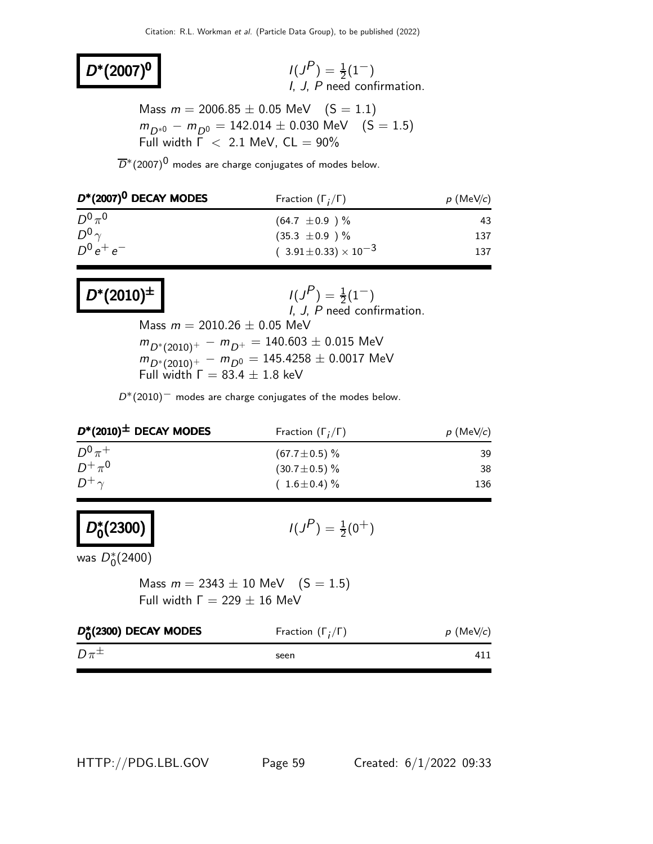# $D^*(2007)^0$  /(J

 $\binom{P}{1} = \frac{1}{2}(1^{-})$ I, J, P need confirmation.

Mass  $m = 2006.85 \pm 0.05$  MeV  $(S = 1.1)$  $m_{D*0} - m_{D^0} = 142.014 \pm 0.030$  MeV (S = 1.5) Full width  $\overline{\Gamma}$  < 2.1 MeV, CL = 90%

 $\overline{D}$ <sup>\*</sup>(2007)<sup>0</sup> modes are charge conjugates of modes below.

| $D^*(2007)^0$ DECAY MODES | Fraction $(\Gamma_i/\Gamma)$     | $p$ (MeV/c) |  |
|---------------------------|----------------------------------|-------------|--|
| $D^{0} \pi^{0}$           | $(64.7 \pm 0.9)$ %               | 43          |  |
| $D^0$                     | $(35.3 \pm 0.9)$ %               | 137         |  |
| $D^0 e^+ e^-$             | $(3.91 \pm 0.33) \times 10^{-3}$ | 137         |  |

#### $D^*(2010)^{\pm}$  |  $1(J)$  $(P) = \frac{1}{2}(1^{-})$ I, J, P need confirmation. Mass  $m = 2010.26 \pm 0.05$  MeV  $m_{D^*(2010)^+} - m_{D^+} = 140.603 \pm 0.015$  MeV  $m_{D^* (2010)^+} - m_{D^0} = 145.4258 \pm 0.0017$  MeV Full width  $Γ = 83.4 ± 1.8$  keV

 $D*(2010)^-$  modes are charge conjugates of the modes below.

| $D^*(2010)^{\pm}$ DECAY MODES | Fraction $(\Gamma_i/\Gamma)$ | $p$ (MeV/c) |  |
|-------------------------------|------------------------------|-------------|--|
| $D^0 \pi^+$                   | $(67.7 \pm 0.5)$ %           | 39          |  |
| $D^+\pi^0$                    | $(30.7 \pm 0.5)\%$           | 38          |  |
| $D^+\gamma$                   | $(1.6 \pm 0.4)\%$            | 136         |  |

#### D\*∼  $\binom{*}{0}$ (2300)

 $(P) = \frac{1}{2}(0^+)$ 

was  $D_0^*(2400)$ 

Mass  $m = 2343 \pm 10$  MeV  $(S = 1.5)$ Full width  $Γ = 229 + 16$  MeV

| $D_{0}^{*}(2300)$ DECAY MODES | Fraction $(\Gamma_i/\Gamma)$ | $p$ (MeV/c) |
|-------------------------------|------------------------------|-------------|
| $D\pi^{\pm}$                  | seen                         |             |

HTTP://PDG.LBL.GOV Page 59 Created: 6/1/2022 09:33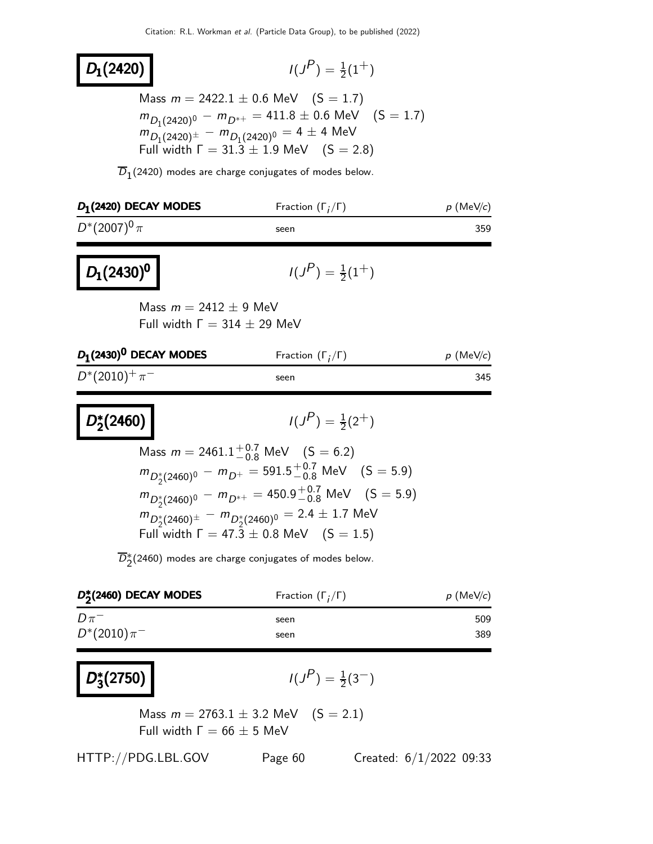## $D_1(2420)$

$$
I(J^P) = \frac{1}{2}(1^+)
$$

Mass  $m = 2422.1 \pm 0.6$  MeV  $(S = 1.7)$  $m_{D_1(2420)^0} - m_{D^{*+}} = 411.8 \pm 0.6 \text{ MeV} \quad (\text{S} = 1.7)$  $m_{D_1(2420)^{\pm}} - m_{D_1(2420)^0} = 4 \pm 4$  MeV Full width  $\Gamma = 31.3 \pm 1.9$  MeV  $(S = 2.8)$ 

 $D_1(2420)$  modes are charge conjugates of modes below.

| $D_1(2420)$ DECAY MODES                                           | Fraction $(\Gamma_i/\Gamma)$    | $p$ (MeV/c) |  |
|-------------------------------------------------------------------|---------------------------------|-------------|--|
| $D^*(2007)^0 \pi$                                                 | seen                            | 359         |  |
| $D_1(2430)^0$                                                     | $I(J^{P}) = \frac{1}{2}(1^{+})$ |             |  |
| Mass $m = 2412 \pm 9$ MeV<br>Full width $\Gamma = 314 \pm 29$ MeV |                                 |             |  |

| $p \,$ (MeV/c)<br>Fraction $(\Gamma_i/\Gamma)$ |
|------------------------------------------------|
| 345                                            |
|                                                |

D<sup>\*</sup>  $\binom{2}{2}$ (2460)

$$
I(J^P) = \frac{1}{2}(2^+)
$$

Mass 
$$
m = 2461.1^{+0.7}_{-0.8}
$$
 MeV  $(S = 6.2)$   
\n $m_{D_2^*(2460)^0} - m_{D_1^*} = 591.5^{+0.7}_{-0.8}$  MeV  $(S = 5.9)$   
\n $m_{D_2^*(2460)^0} - m_{D_{2+}^*} = 450.9^{+0.7}_{-0.8}$  MeV  $(S = 5.9)$   
\n $m_{D_2^*(2460)^{\pm}} - m_{D_2^*(2460)^0} = 2.4 \pm 1.7$  MeV  
\nFull width  $\Gamma = 47.3 \pm 0.8$  MeV  $(S = 1.5)$ 

 $\overline{D}_2^*(2460)$  modes are charge conjugates of modes below.

| $D_{2}^{*}(2460)$ DECAY MODES | Fraction $(\Gamma_i/\Gamma)$ | $p$ (MeV/c) |
|-------------------------------|------------------------------|-------------|
| $D\pi^-$                      | seen                         | 509         |
| $D^*(2010)\pi^-$              | seen                         | 389         |

#### D<sup>∗</sup>  $\frac{1}{3}(2750)$   $(1)$

$$
I(J^P) = \frac{1}{2}(3^-)
$$

 $)$ 

Mass  $m = 2763.1 \pm 3.2$  MeV  $(S = 2.1)$ Full width  $Γ = 66 ± 5$  MeV

HTTP://PDG.LBL.GOV Page 60 Created: 6/1/2022 09:33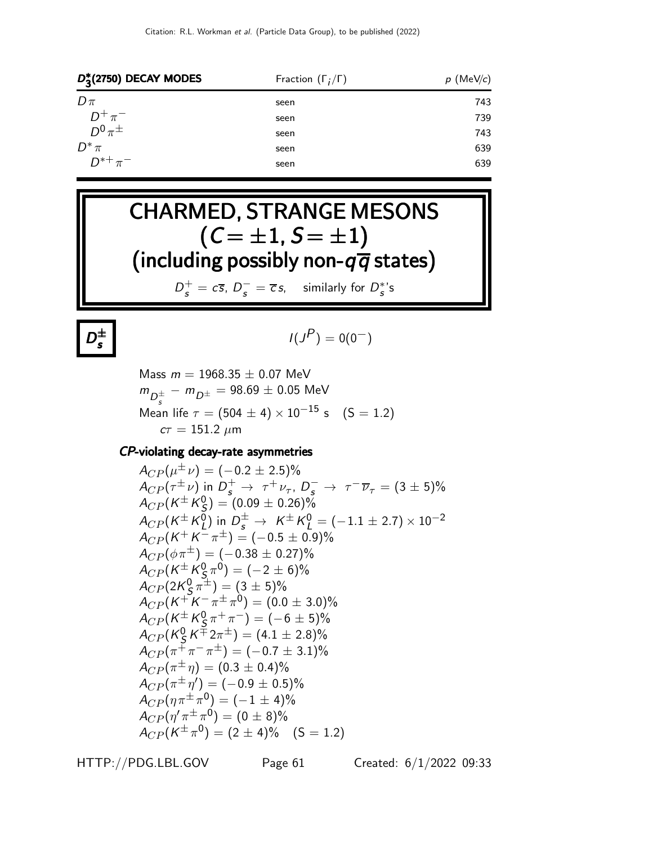| $D_2^*(2750)$ DECAY MODES | Fraction $(\Gamma_i/\Gamma)$ | $p$ (MeV/c) |  |
|---------------------------|------------------------------|-------------|--|
| $D\pi$                    | seen                         | 743         |  |
| $D^+\pi^-$                | seen                         | 739         |  |
| $D^0 \pi^{\pm}$           | seen                         | 743         |  |
| $D^*\pi$                  | seen                         | 639         |  |
| $D^{*+}\pi^-$             | seen                         | 639         |  |
|                           |                              |             |  |





$$
I(J^P)=0(0^-)
$$

Mass  $m = 1968.35 \pm 0.07$  MeV  $m_{D_c^{\pm}}^{\phantom{\pm}}-m_{D^{\pm}}^{\phantom{\pm}}=98.69\pm0.05$  MeV Mean life  $\tau = (504 \pm 4) \times 10^{-15}$  s  $(S = 1.2)$  $c\tau = 151.2 \ \mu m$ 

#### CP-violating decay-rate asymmetries

 $A_{CP}(\mu^{\pm}\,\nu)=(-0.2\pm 2.5)\%$  $A_{CP}(\tau^{\pm} \nu)$  in  $D_s^+ \to \tau^+ \nu_{\tau}$ ,  $D_s^- \to \tau^- \overline{\nu}_{\tau} = (3 \pm 5)\%$  $A_{CP} (K^\pm K_S^0$  $S_{\rm S}^{0}$ ) = (0.09  $\pm$  0.26)%  $A_{CP} (K^\pm K^0_L$  $L^{0}$ ) in  $D_{s}^{\pm}$  →  $K^{\pm}K_{L}^{0}$  = (-1.1 ± 2.7) × 10<sup>-2</sup>  $A_{CP}(K^+K^-\pi^\pm)=(-0.5\pm0.9)\%$  $A_{CP}(\phi \pi^{\pm}) = (-0.38 \pm 0.27)\%$  $A_{CP}(\mathsf{K}^{\pm}\mathsf{K}_{\mathsf{S}}^{\mathsf{0}}$  $\Gamma^0_{\!S_\mu} \pi^0) = (-2 \pm 6)\%$  $A_{CP} (2K^0_S$  $\left(\frac{0}{5}\pi^{\pm}\right) = (3 \pm 5)\%$  $A_{CP}(K^+K^-\pi^\pm\pi^0)=(0.0\pm 3.0)\%$  $A_{CP} (K^{\pm} K^0_S$  $(\frac{0}{5} \pi^+ \pi^-) = (-6 \pm 5)\%$  $A_{CP}$ (K $_{\cal S}^0$  $\frac{6}{5}K^{\pm}2\pi^{\pm}$  =  $(4.1 \pm 2.8)\%$  $A_{CP}(\pi^{\mp}\pi^{-}\pi^{\pm})=(-0.7\pm3.1)\%$  $A_{CP}(\pi^{\pm}\eta) = (0.3\pm0.4)\%$  $A_{CP}(\pi^{\pm}\,\eta') = (-0.9\pm 0.5)\%$  $A_{CP}(\eta \, \pi^{\pm} \, \pi^{\textsf{0}}) = (-1 \pm 4)\%$  $A_{CP}(\eta^{\prime}\pi^{\pm}\pi^{0}) = (0\pm8)\%$  $A_{CP}(K^{\pm}\pi^{0}) = (2 \pm 4)\%$  (S = 1.2)

HTTP://PDG.LBL.GOV Page 61 Created: 6/1/2022 09:33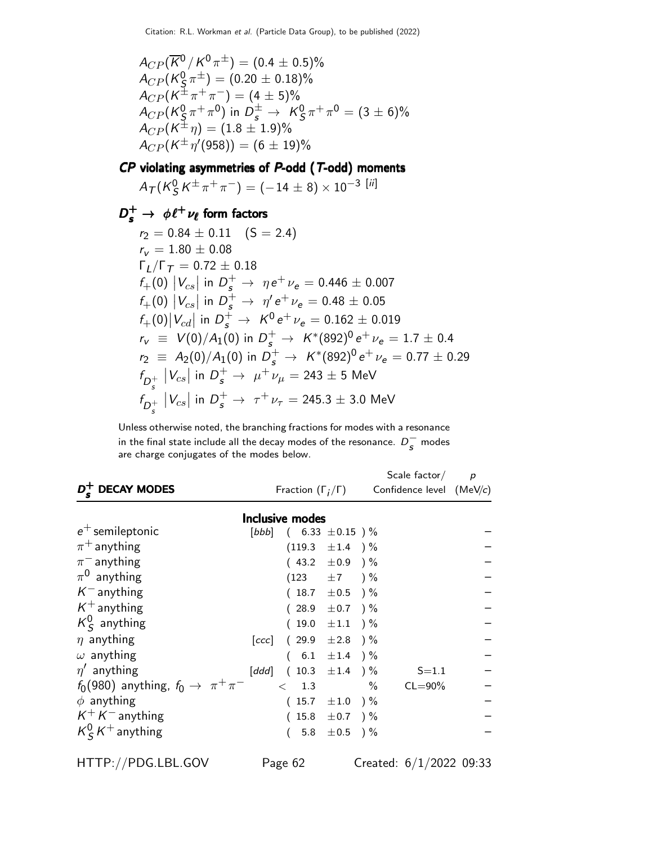$A_{CP}(\overline{K}^0/K^0 \pi^{\pm}) = (0.4 \pm 0.5)\%$  $A_{CP}$ (K $^0_S$  $(\c{S}\,\pi^\pm)=(0.20\pm 0.18)\%$  $A_{CP}(K^{\pm}\pi^{+}\pi^{-}) = (4 \pm 5)\%$  $A_{CP}$ (K $_{\cal S}^0$  $\frac{0}{\mathsf{S}}\pi^+\pi^0)$  in  $D_s^\pm\to~\mathsf{K}^0_\mathsf{S}$  $\frac{0}{\mathcal{S}}\pi^+\pi^0 = (3\pm6)\%$  $A_{CP} (K^{\pm}\eta) = (1.8 \pm 1.9)\%$  $A_{CP}(K^{\pm}\eta^{\prime}(958)) = (6 \pm 19)\%$ 

 $CP$  violating asymmetries of  $P$ -odd ( $T$ -odd) moments

 $A_{\mathcal{T}}(\mathcal{K}^0_S$  $\frac{0}{S}\, {\cal K}^{\pm}\, \pi^+\, \pi^-\big) = (-\,14\,\pm\,8)\times 10^{-3}\,$   $[{\rm\it ii}]$ 

## $D_s^+ \rightarrow \phi \ell^+ \nu_{\ell}$  form factors

$$
r_2 = 0.84 \pm 0.11 \quad (S = 2.4)
$$
  
\n
$$
r_v = 1.80 \pm 0.08
$$
  
\n
$$
\Gamma_L/\Gamma_T = 0.72 \pm 0.18
$$
  
\n
$$
f_+(0) |V_{cs}| \text{ in } D_s^+ \rightarrow \eta e^+ \nu_e = 0.446 \pm 0.007
$$
  
\n
$$
f_+(0) |V_{cs}| \text{ in } D_s^+ \rightarrow \eta' e^+ \nu_e = 0.48 \pm 0.05
$$
  
\n
$$
f_+(0) |V_{cd}| \text{ in } D_s^+ \rightarrow K^0 e^+ \nu_e = 0.162 \pm 0.019
$$
  
\n
$$
r_v \equiv V(0)/A_1(0) \text{ in } D_s^+ \rightarrow K^*(892)^0 e^+ \nu_e = 1.7 \pm 0.4
$$
  
\n
$$
r_2 \equiv A_2(0)/A_1(0) \text{ in } D_s^+ \rightarrow K^*(892)^0 e^+ \nu_e = 0.77 \pm 0.29
$$
  
\n
$$
f_{D_s^+} |V_{cs}| \text{ in } D_s^+ \rightarrow \mu^+ \nu_\mu = 243 \pm 5 \text{ MeV}
$$
  
\n
$$
f_{D_s^+} |V_{cs}| \text{ in } D_s^+ \rightarrow \tau^+ \nu_\tau = 245.3 \pm 3.0 \text{ MeV}
$$

Unless otherwise noted, the branching fractions for modes with a resonance in the final state include all the decay modes of the resonance.  $D_s^-$  modes are charge conjugates of the modes below.

| <b>DECAY MODES</b>                                |       | Fraction $(\Gamma_i/\Gamma)$       |                   |      | Scale $factor/$<br>Confidence level $(MeV/c)$ | $\overline{p}$ |
|---------------------------------------------------|-------|------------------------------------|-------------------|------|-----------------------------------------------|----------------|
|                                                   |       | Inclusive modes                    |                   |      |                                               |                |
| $e^+$ semileptonic                                |       | [ <i>bbb</i> ] $(6.33 \pm 0.15)$ % |                   |      |                                               |                |
| $\pi^+$ anything                                  |       | $(119.3 \pm 1.4)$ %                |                   |      |                                               |                |
| $\pi^-$ anything                                  |       | $(43.2 \pm 0.9)$ %                 |                   |      |                                               |                |
| $\pi^0$ anything                                  |       | $(123 + 7)$ %                      |                   |      |                                               |                |
| $K^-$ anything                                    |       | $(18.7 \pm 0.5)$ %                 |                   |      |                                               |                |
| $K^+$ anything                                    |       | $(28.9 \pm 0.7)$ %                 |                   |      |                                               |                |
| $K^0_S$ anything                                  |       | $(19.0 \pm 1.1)$ %                 |                   |      |                                               |                |
| $\eta$ anything                                   | [ccc] | $(29.9 \pm 2.8)$ %                 |                   |      |                                               |                |
| $\omega$ anything                                 |       | $(6.1 \pm 1.4)$ %                  |                   |      |                                               |                |
| $\eta'$ anything                                  | [ddd] | $(10.3 \pm 1.4)$ %                 |                   |      | $S = 1.1$                                     |                |
| $f_0(980)$ anything, $f_0 \rightarrow \pi^+\pi^-$ |       | < 1.3                              |                   | $\%$ | $CL = 90\%$                                   |                |
| $\phi$ anything                                   |       | $(15.7 \pm 1.0)$ %                 |                   |      |                                               |                |
| $K^+ K^-$ anything                                |       | $(15.8 \pm 0.7)$ %                 |                   |      |                                               |                |
| $K_S^0 K^+$ anything                              |       |                                    | 5.8 $\pm 0.5$ ) % |      |                                               |                |

HTTP://PDG.LBL.GOV Page 62 Created: 6/1/2022 09:33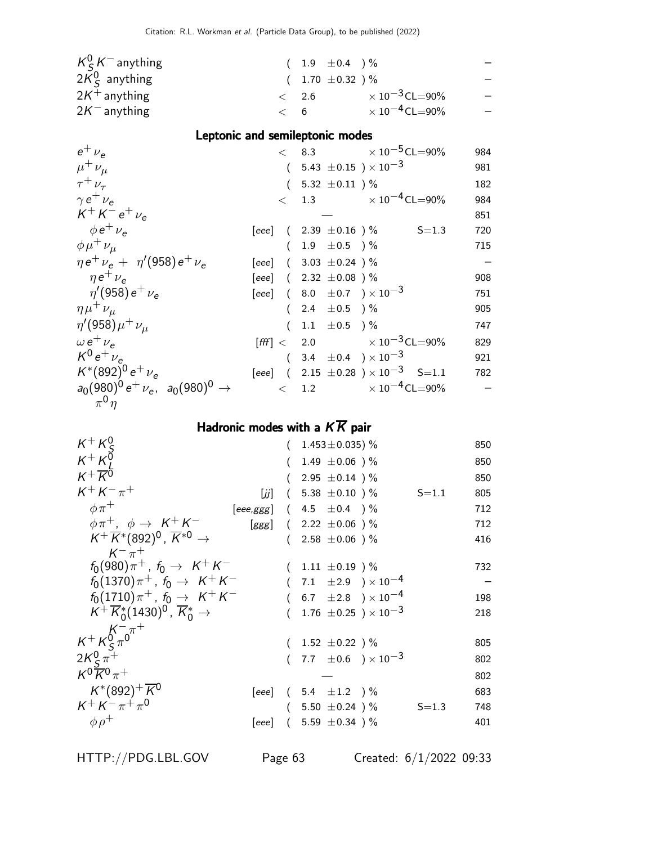|  | $\times$ 10 $^{-3}$ CL=90%       |                                          |
|--|----------------------------------|------------------------------------------|
|  | $\times$ 10 <sup>-4</sup> CL=90% |                                          |
|  | $\lt$ 2.6<br>< 6                 | $(1.9 \pm 0.4)$ %<br>$(1.70 \pm 0.32)$ % |

### Leptonic and semileptonic modes

| $e^+$ $\nu_e$                                     |                                                  | $< 8.3 \times 10^{-5}$ CL=90%                          | 984 |
|---------------------------------------------------|--------------------------------------------------|--------------------------------------------------------|-----|
| $\mu^+ \nu_\mu$                                   | $(5.43 \pm 0.15) \times 10^{-3}$                 |                                                        | 981 |
| $\tau^+ \nu_\tau$                                 | $(5.32 \pm 0.11) \%$                             |                                                        | 182 |
| $\gamma e^+ \nu_e$                                |                                                  | $\epsilon$ 1.3 $\times 10^{-4}$ CL=90%                 | 984 |
| $K^{+} K^{-} e^{+} \nu_{e}$                       |                                                  |                                                        | 851 |
| $\phi e^+ \nu_e$                                  |                                                  | [eee] $(2.39 \pm 0.16) \%$ S=1.3                       | 720 |
| $\phi \mu^+ \nu_\mu$                              | $(1.9 \pm 0.5)$ %                                |                                                        | 715 |
| $\eta e^+ \nu_e + \eta'(958) e^+ \nu_e$           | [eee] $(3.03 \pm 0.24)$ %                        |                                                        |     |
| $\eta e^+ \nu_e$                                  | [eee] $(2.32 \pm 0.08)$ %                        |                                                        | 908 |
| $\eta'(958) e^+ \nu_e$                            | [eee] (8.0 $\pm$ 0.7 ) $\times$ 10 <sup>-3</sup> |                                                        | 751 |
| $\eta\mu^+\nu_\mu$                                | $(2.4 \pm 0.5)$ %                                |                                                        | 905 |
| $\eta'(958)\mu^{+}\nu_{\mu}$                      | $(1.1 \pm 0.5)$ %                                |                                                        | 747 |
| $\omega e^+ \nu_{\rm e}$                          |                                                  | $[{\text{fff}}] < 2.0 \times 10^{-3} \text{CL} = 90\%$ | 829 |
| $K^0 e^+ \nu_e$                                   | $(3.4 \pm 0.4) \times 10^{-3}$                   |                                                        | 921 |
| $K^*(892)^0 e^+ \nu_e$                            |                                                  | [eee] $(2.15 \pm 0.28) \times 10^{-3}$ S=1.1           | 782 |
| $a_0(980)^0 e^+ \nu_e$ , $a_0(980)^0 \rightarrow$ |                                                  | $\langle 1.2 \times 10^{-4} \text{CL} = 90\%$          |     |
| $\pi^0 \eta$                                      |                                                  |                                                        |     |

## Hadronic modes with a  $K\overline{K}$  pair

| $K^+ K^0_c$                                                      | $(1.453 \pm 0.035)$ %                       |           | 850 |
|------------------------------------------------------------------|---------------------------------------------|-----------|-----|
| $K^+ K^{\sigma}$                                                 | $(1.49 \pm 0.06) \%$                        |           | 850 |
| $K^+\overline{K^0}$                                              | $(2.95 \pm 0.14)$ %                         |           | 850 |
| $K^{+} K^{-} \pi^{+}$<br>[زز]                                    | $(5.38 \pm 0.10) \%$                        | $S = 1.1$ | 805 |
| $\phi \pi^+$                                                     | [eee,ggg] $(4.5 \pm 0.4)$ %                 |           | 712 |
| $\phi \pi^+$ , $\phi \rightarrow K^+ K^-$                        | [ggg] $(2.22 \pm 0.06)$ %                   |           | 712 |
| $K^+\overline{K}^*(892)^0$ , $\overline{K}^{*0}$ $\rightarrow$   | $(2.58 \pm 0.06)$ %                         |           | 416 |
| $K^{-} \pi^{+}$                                                  |                                             |           |     |
| $f_0(980)\pi^+$ , $f_0 \to K^+K^-$                               | $(1.11 \pm 0.19)$ %                         |           | 732 |
| $f_0(1370)\pi^+$ , $f_0 \to K^+K^-$                              | 7.1 $\pm 2.9$ $\times 10^{-4}$              |           |     |
| $f_0(1710)\pi^+$ , $f_0 \to K^+K^-$                              | $(6.7 \pm 2.8) \times 10^{-4}$              |           | 198 |
| $K^+ \overline{K}^*_0 (1430)^0$ , $\overline{K}^*_0 \rightarrow$ | 1.76 $\pm$ 0.25 ) $\times$ 10 <sup>-3</sup> |           | 218 |
|                                                                  |                                             |           |     |
| $K^{+} K^{0}_{\varsigma} \pi^{0}$                                | $(1.52 \pm 0.22)$ %                         |           | 805 |
| $2K_{\rm c}^{0} \pi^{+}$                                         | $(7.7 \pm 0.6) \times 10^{-3}$              |           | 802 |
| $K^0 \overline{K}{}^0 \pi^+$                                     |                                             |           | 802 |
| $K^*(892)^+$ K <sup>0</sup>                                      | [eee] $(5.4 \pm 1.2)$ %                     |           | 683 |
| $K^+ K^- \pi^+ \pi^0$                                            | $(5.50 \pm 0.24)$ %                         | $S = 1.3$ | 748 |
| $\phi \rho^+$                                                    | [eee] $(5.59 \pm 0.34)$ %                   |           | 401 |
|                                                                  |                                             |           |     |

HTTP://PDG.LBL.GOV Page 63 Created: 6/1/2022 09:33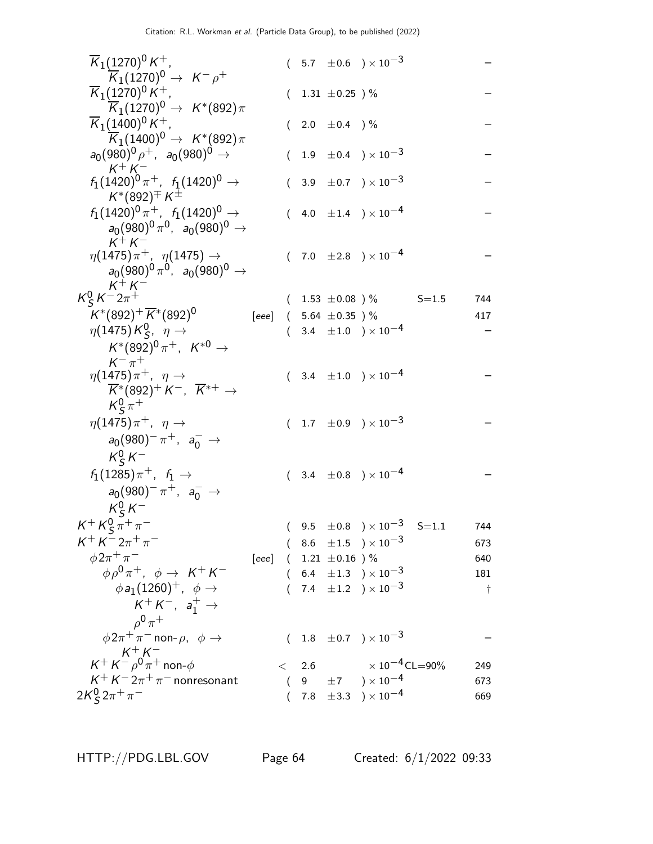| $\overline{K}_1(1270)^0 K^+$ ,                                                                                  |       |   |     |                           | $(5.7 \pm 0.6) \times 10^{-3}$                  |           |     |
|-----------------------------------------------------------------------------------------------------------------|-------|---|-----|---------------------------|-------------------------------------------------|-----------|-----|
| $\overline{K}_1(1270)^0 \rightarrow K^- \rho^+$<br>$\overline{K}_1(1270)^0 K^+$ ,                               |       |   |     | $(1.31 \pm 0.25)$ %       |                                                 |           |     |
| $\overline{\mathcal{K}}_1(1270)^0\rightarrow\;\mathcal{K}^*(892)\pi$                                            |       |   |     |                           |                                                 |           |     |
| $\overline{K}_1(1400)^0 K^+$ ,                                                                                  |       |   |     | 2.0 $\pm$ 0.4 $)$ %       |                                                 |           |     |
| $\overline{\mathsf{K}}_1(1400)^0\rightarrow\;\mathsf{K}^*(892)\pi$                                              |       |   |     |                           |                                                 |           |     |
| $a_0(980)^0 \rho^+$ , $a_0(980)^0 \rightarrow$<br>$K^+ K^-$                                                     |       |   |     |                           | $(1.9 \pm 0.4) \times 10^{-3}$                  |           |     |
| $f_1(1420)^0 \pi^+$ , $f_1(1420)^0 \rightarrow$<br>$K^*(892)^{\pm} K^{\pm}$                                     |       |   |     |                           | $(3.9 \pm 0.7) \times 10^{-3}$                  |           |     |
| $f_1(1420)^0 \pi^+$ , $f_1(1420)^0 \rightarrow$<br>$a_0(980)^0 \pi^0$ , $a_0(980)^0 \rightarrow$                |       |   |     |                           | $(4.0 \pm 1.4) \times 10^{-4}$                  |           |     |
| $K^+ K^-$<br>$\eta(1475)\pi^+$ , $\eta(1475) \to$<br>$a_0(980)^0 \pi^0$ , $a_0(980)^0 \to$                      |       |   |     |                           | $(7.0 \pm 2.8) \times 10^{-4}$                  |           |     |
| $K^+ K^-$<br>$K_S^0 K^- 2\pi^+$                                                                                 |       |   |     |                           | $(1.53 \pm 0.08) \%$                            | $S = 1.5$ | 744 |
| $K^*(892)^+\overline{K}^*(892)^0$                                                                               | [eee] |   |     | $(5.64 \pm 0.35)$ %       |                                                 |           | 417 |
| $\eta(1475)K_S^0$ , $\eta \rightarrow$                                                                          |       |   |     |                           | $(3.4 \pm 1.0) \times 10^{-4}$                  |           |     |
| $K^*(892)^0 \pi^+, K^{*0} \to$<br>$K^{-} \pi^{+}$                                                               |       |   |     |                           |                                                 |           |     |
| $\eta(1475)\pi^+$ , $\eta \rightarrow$<br>$K^*(892)^+ K^-$ , $\overline{K}^{*+}$ $\rightarrow$<br>$K^0_S \pi^+$ |       |   |     |                           | $(3.4 \pm 1.0) \times 10^{-4}$                  |           |     |
| $\eta(1475)\pi^+$ , $\eta \rightarrow$                                                                          |       |   |     |                           | $(1.7 \pm 0.9) \times 10^{-3}$                  |           |     |
| $a_0(980)^- \pi^+$ , $a_0^ \rightarrow$<br>$K_S^0 K^-$                                                          |       |   |     |                           |                                                 |           |     |
| $f_1(1285)\pi^+$ , $f_1 \to$                                                                                    |       |   |     |                           | $(3.4 \pm 0.8) \times 10^{-4}$                  |           |     |
| $a_0(980)^- \pi^+$ , $a_0^ \rightarrow$<br>$K_S^0 K^-$                                                          |       |   |     |                           |                                                 |           |     |
| $K^{+} K^{0}_{S} \pi^{+} \pi^{-}$                                                                               |       |   |     |                           | $(9.5 \pm 0.8) \times 10^{-3}$ S=1.1 744        |           |     |
| $K^{+} K^{-} 2\pi^{+} \pi^{-}$                                                                                  |       |   |     |                           | $(8.6 \pm 1.5) \times 10^{-3}$                  |           | 673 |
| $\phi 2\pi^+\pi^-$                                                                                              |       |   |     | [eee] $(1.21 \pm 0.16)$ % |                                                 |           | 640 |
| $\phi \rho^0 \pi^+$ , $\phi \rightarrow K^+ K^-$                                                                |       |   |     |                           | $(6.4 \pm 1.3) \times 10^{-3}$                  |           | 181 |
| $\phi a_1(1260)^+$ , $\phi \rightarrow$                                                                         |       |   |     |                           | $(7.4 \pm 1.2) \times 10^{-3}$                  |           | t   |
| $K^+ K^-$ , $a_1^+ \rightarrow$                                                                                 |       |   |     |                           |                                                 |           |     |
| $0^0 \pi^+$<br>$\phi 2\pi^+\pi^-$ non- $\rho$ , $\phi \rightarrow$                                              |       |   |     |                           | $(1.8 \pm 0.7) \times 10^{-3}$                  |           |     |
| $\mathsf{K}^+\mathsf{K}^-\overset{\mathsf{K}^+}{\rho^0}\overset{\mathsf{K}^-}{\pi^+}$ non- $\phi$               |       | < | 2.6 |                           | $\times$ 10 $^{-4}$ CL $=$ 90%                  |           | 249 |
| $K^+ K^- 2\pi^+\pi^-$ nonresonant                                                                               |       |   |     |                           | $(9 \pm 7) \times 10^{-4}$                      |           | 673 |
| $2K_{\mathsf{S}}^{0} 2\pi^{+} \pi^{-}$                                                                          |       |   |     |                           | $7.8\phantom{0}\pm3.3\phantom{0})\times10^{-4}$ |           | 669 |
|                                                                                                                 |       |   |     |                           |                                                 |           |     |

HTTP://PDG.LBL.GOV Page 64 Created: 6/1/2022 09:33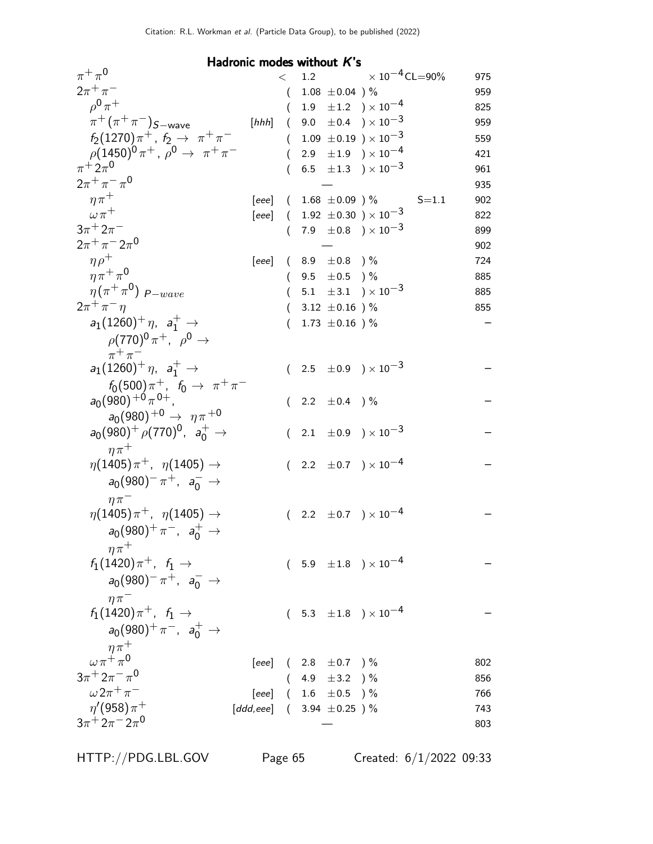Hadronic modes without K's  $\pi^+\pi$  $<$  1.2  $\times 10^{-4}$ CL=90% 975<br>( 1.08  $\pm$ 0.04 )% 959  $2\pi^+\pi$  $(1.08 \pm 0.04)$  %  $\rho^{\bm 0} \pi$  $(1.9 \pm 1.2) \times 10^{-4}$  825<br>  $(9.0 \pm 0.4) \times 10^{-3}$  959  $\pi^+(\pi^+\pi$  $[hhh]$  ( 9.0  $\pm$  0.4 ) $\times$   $10^{-3}$  959<br>(  $1.09 + 0.19$  )  $\times$   $10^{-3}$  559  $f_2(1270)\pi^+$ ,  $f_2 \to \pi^+ \pi^ (1.09 \pm 0.19) \times 10^{-3}$  $\rho (1450)^0 \pi^+$ ,  $\rho^0 \to \pi^+ \pi^ (2.9 \pm 1.9) \times 10^{-4}$  421  $\pi^+2\pi^0$  $(6.5 \pm 1.3) \times 10^{-3}$  961  $2\pi^{+}\pi^{-}\pi$  $\sim$  0  $\sim$  935  $\eta \pi^+$  [eee] (  $1.68 \pm 0.09$  ) % S=1.1 902<br>  $\omega \pi^+$  [eee] (  $1.92 \pm 0.30$  )  $\times 10^{-3}$  822  $[eee]$  ( 1.92  $\pm$  0.30 ) × 10<sup>-3</sup> 822  $3\pi^+2\pi$  $(7.9 \pm 0.8) \times 10^{-3}$  899  $2\pi^+\pi^-2\pi$ 0  $-$  902  $\eta \rho^+$  [eee] ( 8.9  $\pm$  0.8 ) % 724  $\eta\pi^+\pi^0$  $(9.5 \pm 0.5)$  % 885  $\eta$  (  $\pi^+\pi^0$  $(5.1 \pm 3.1) \times 10^{-3}$  885<br>  $(3.12 \pm 0.16)$ % 855  $2\pi^+\pi$  $(3.12 \pm 0.16)$  %  $a_1(1260)^+ \eta$ ,  $a_1^+ \rightarrow$  $\rho(770)^0 \, \pi^+$ ,  $\rho^0 \rightarrow$  $\pi^+ \pi^ (1.73 \pm 0.16)$  %  $a_1(1260)^+ \eta$ ,  $a_1^+ \rightarrow$  $f_0(500)\pi^+$ ,  $f_0 \to \pi^+\pi^ (2.5 \pm 0.9) \times 10^{-3}$  $a_0(980)^{+0} \pi^{0+}$  $a_0(980)^{+0} \rightarrow \eta \pi^{+0}$  $(2.2 \pm 0.4)$  %  $a_0(980)^+$   $\rho(770)^0$ ,  $a_0^+$   $\rightarrow$  $n\pi$ <sup>+</sup>  $(\phantom{-}2.1\phantom{0}\pm0.9\phantom{0})\times10^{-3}$  $\eta(1405)\,\pi^+$ ,  $\eta(1405)\to$  $a_0(980)^- \pi^+$ ,  $a_0^ \to$  $n\pi^ (2.2 \pm 0.7) \times 10^{-4}$  $\eta(1405)\,\pi^+,\;\; \eta(1405)\rightarrow$  $a_0(980)^+ \pi^-$ ,  $a_0^+ \to$  $n\pi$ <sup>+</sup>  $(2.2 \pm 0.7) \times 10^{-4}$  $f_1(1420)\pi^+$ ,  $f_1 \rightarrow$  $a_0(980)^- \pi^+$ ,  $a_0^ \to$  $n\pi^ ($  5.9  $\pm 1.8$   $)\times 10^{-4}$  $f_1(1420)\pi^+$ ,  $f_1 \to$  $a_0(980)^+ \pi^-$ ,  $a_0^+ \to$  $n\pi$ <sup>+</sup>  $(5.3 \pm 1.8) \times 10^{-4}$  $\omega\pi^+\pi^0$  $[eee]$  ( 2.8  $\pm 0.7$  ) % 802  $3\pi^{+} 2\pi^{-} \pi^{0}$  $(4.9 \pm 3.2) \%$  856  $\omega 2\pi^+\pi$  $[eee]$  ( 1.6  $\pm 0.5$  ) % 766  $\eta^\prime(958)\pi$  $[ddd, eee]$   $( 3.94 \pm 0.25 ) \%$  743  $3\pi + 2\pi - 2\pi$  $\sim$  803

HTTP://PDG.LBL.GOV Page 65 Created: 6/1/2022 09:33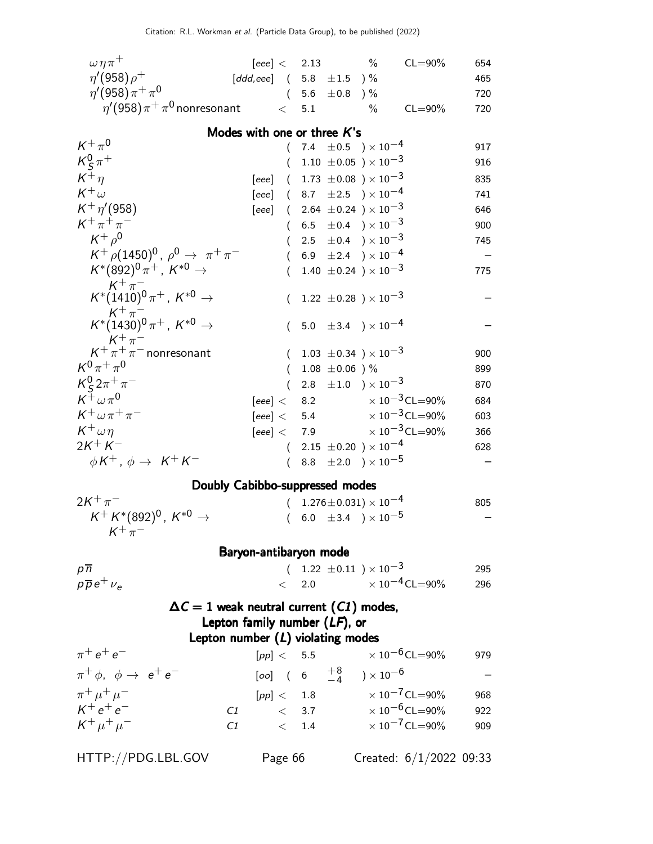| $\omega \eta \pi^+$                                                                             | $[eee] < 2.13$ %                                |       |                                                       |      | $CL = 90\%$                          | 654 |  |
|-------------------------------------------------------------------------------------------------|-------------------------------------------------|-------|-------------------------------------------------------|------|--------------------------------------|-----|--|
| $\eta'(958)\rho^+$                                                                              | [ddd,eee] $(5.8 \pm 1.5) \%$                    |       |                                                       |      |                                      | 465 |  |
| $\eta'(958)\pi^{+}\pi^{0}$                                                                      |                                                 |       | $(5.6 \pm 0.8)$ %                                     |      |                                      | 720 |  |
| $\eta^\prime$ (958) $\pi^+\pi^0$ nonresonant                                                    | $\lt$                                           | 5.1   |                                                       | $\%$ | $CL = 90\%$                          | 720 |  |
|                                                                                                 | Modes with one or three K's                     |       |                                                       |      |                                      |     |  |
| $K^+\pi^0$                                                                                      |                                                 |       | 7.4 $\pm 0.5$ ) $\times 10^{-4}$                      |      |                                      | 917 |  |
| $K_S^0 \pi^+$                                                                                   |                                                 |       | 1.10 $\pm$ 0.05 $) \times 10^{-3}$                    |      |                                      | 916 |  |
| $K^+\eta$                                                                                       | [eee]                                           |       | $(1.73 \pm 0.08) \times 10^{-3}$                      |      |                                      | 835 |  |
| $K^+\omega$                                                                                     | [eee] $(8.7 \pm 2.5) \times 10^{-4}$            |       |                                                       |      |                                      | 741 |  |
| $K^+ \eta' (958)$                                                                               | [eee]                                           |       | $(2.64 \pm 0.24) \times 10^{-3}$                      |      |                                      | 646 |  |
| $K^+ \pi^+ \pi^-$                                                                               | $\left($                                        |       | 6.5 $\pm$ 0.4 $\rightarrow$ $\times$ 10 <sup>-3</sup> |      |                                      | 900 |  |
| $K^+ \rho^0$                                                                                    | $\left($                                        |       | 2.5 $\pm$ 0.4 $\rightarrow$ $\times$ 10 <sup>-3</sup> |      |                                      | 745 |  |
| $K^+$ $\rho$ (1450) <sup>0</sup> , $\rho$ <sup>0</sup> $\rightarrow \pi^+ \pi^-$                |                                                 |       | 6.9 $\pm 2.4$ ) $\times 10^{-4}$                      |      |                                      |     |  |
| $K^*(892)^0 \pi^+$ , $K^{*0}$ $\rightarrow$                                                     | (                                               |       | 1.40 $\pm$ 0.24 ) $\times$ 10 <sup>-3</sup>           |      |                                      | 775 |  |
| $K^+\pi^-$<br>$K^*(1410)^0\pi^+$ , $K^{*0} \rightarrow$                                         |                                                 |       | 1.22 $\pm$ 0.28 $) \times 10^{-3}$                    |      |                                      |     |  |
| $\mathit{K}^+\pi^-$<br>$\mathit{K}^*(1430)^0\pi^+$ , $\mathit{K}^{*0}\rightarrow$<br>$K^+\pi^-$ |                                                 |       | 5.0 $\pm$ 3.4 $\rightarrow$ $\times$ 10 <sup>-4</sup> |      |                                      |     |  |
| $K^+\pi^+\pi^-$ nonresonant                                                                     | $\left($                                        |       | 1.03 $\pm$ 0.34 $\mu$ $\times$ 10 <sup>-3</sup>       |      |                                      | 900 |  |
| $K^{0}\pi^{+}\pi^{0}$                                                                           | $\left($                                        |       | 1.08 $\pm$ 0.06 ) %                                   |      |                                      | 899 |  |
| $K_S^0 2\pi^+\pi^-$                                                                             | $\left($                                        |       | 2.8 $\pm 1.0$ ) $\times 10^{-3}$                      |      |                                      | 870 |  |
| $K^+\omega\pi^0$                                                                                | [eee] < 8.2                                     |       |                                                       |      | $\times$ 10 $^{-3}$ CL $=$ 90%       | 684 |  |
| $K^+\omega\pi^+\pi^-$                                                                           | [eee] < 5.4                                     |       |                                                       |      | $\times$ 10 <sup>-3</sup> CL=90%     | 603 |  |
| $K^+\omega\eta$                                                                                 | [eee] < 7.9                                     |       |                                                       |      | $\times$ 10 $^{-3}$ CL=90%           | 366 |  |
| $2K^{+}K^{-}$                                                                                   |                                                 |       | $(2.15 \pm 0.20) \times 10^{-4}$                      |      |                                      | 628 |  |
| $\phi K^+$ , $\phi \rightarrow K^+ K^-$                                                         | $\left($                                        |       | 8.8 $\pm 2.0$ ) $\times 10^{-5}$                      |      |                                      |     |  |
|                                                                                                 | Doubly Cabibbo-suppressed modes                 |       |                                                       |      |                                      |     |  |
| $2K^{+}\pi^{-}$                                                                                 | $\left($                                        |       | $1.276 \pm 0.031 \times 10^{-4}$                      |      |                                      | 805 |  |
| $K^+ K^*(892)^0$ , $K^{*0} \rightarrow$<br>$K^+\pi^-$                                           | $\left($                                        |       | 6.0 $\pm$ 3.4 $\rightarrow$ $\times$ 10 <sup>-5</sup> |      |                                      |     |  |
|                                                                                                 | Baryon-antibaryon mode                          |       |                                                       |      |                                      |     |  |
| $p\overline{n}$                                                                                 |                                                 |       | $(1.22 \pm 0.11) \times 10^{-3}$                      |      |                                      | 295 |  |
| $p\overline{p}e^{+}\nu_{e}$                                                                     |                                                 |       |                                                       |      | $< 2.0 \times 10^{-4}$ CL=90%        | 296 |  |
|                                                                                                 |                                                 |       |                                                       |      |                                      |     |  |
|                                                                                                 | $\Delta C = 1$ weak neutral current (C1) modes, |       |                                                       |      |                                      |     |  |
|                                                                                                 | Lepton family number $(LF)$ , or                |       |                                                       |      |                                      |     |  |
|                                                                                                 | Lepton number $(L)$ violating modes             |       |                                                       |      |                                      |     |  |
| $\pi^+ e^+ e^-$                                                                                 |                                                 |       |                                                       |      | $[pp] < 5.5$ $\times 10^{-6}$ CL=90% | 979 |  |
| $\pi^+ \phi$ , $\phi \rightarrow e^+ e^-$                                                       |                                                 |       | $[oo]$ ( 6 $+8$ ) $\times 10^{-6}$                    |      |                                      |     |  |
| $\pi^+ \mu^+ \mu^-$                                                                             |                                                 |       |                                                       |      | $[pp] < 1.8$ $\times 10^{-7}$ CL=90% | 968 |  |
| $K^+e^+e^-$                                                                                     | C1                                              |       |                                                       |      | $< 3.7 \times 10^{-6}$ CL=90%        | 922 |  |
| $K^+ \mu^+ \mu^-$                                                                               | C1                                              | < 1.4 |                                                       |      | $\times$ 10 <sup>-7</sup> CL=90%     | 909 |  |
| HTTP://PDG.LBL.GOV                                                                              | Page 66                                         |       |                                                       |      | Created: $6/1/2022$ 09:33            |     |  |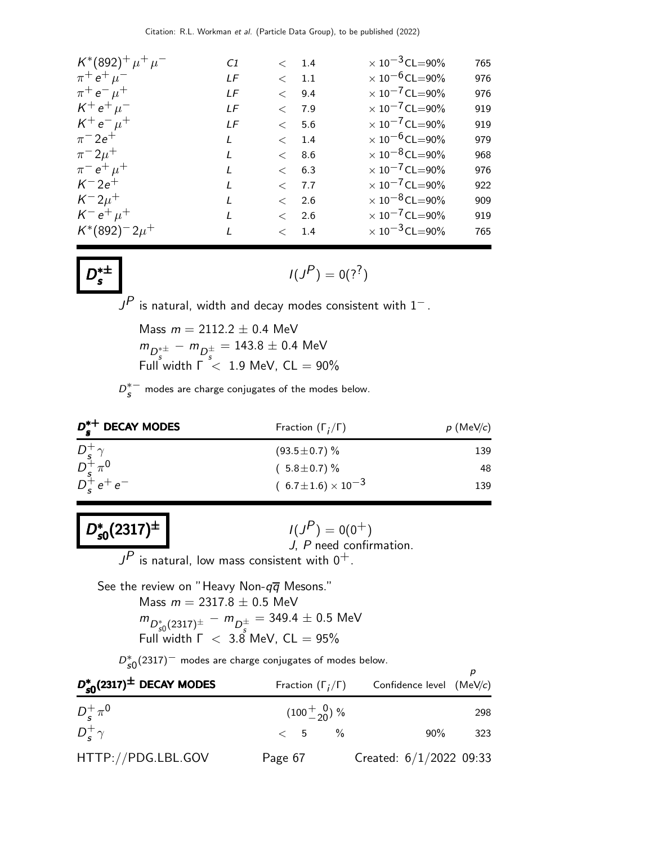| $K^*(892)^+ \mu^+ \mu^-$ | C1            |               | < 1.4 | $\times$ 10 <sup>-3</sup> CL=90% | 765 |
|--------------------------|---------------|---------------|-------|----------------------------------|-----|
| $\pi^+ e^+ \mu^-$        | LF            | $\langle 1.1$ |       | $\times$ 10 <sup>-6</sup> CL=90% | 976 |
| $\pi^+ e^- \mu^+$        | LF            | < 9.4         |       | $\times$ 10 <sup>-7</sup> CL=90% | 976 |
| $K^+ e^+ \mu^-$          | LF            | $<$ 7.9       |       | $\times$ 10 <sup>-7</sup> CL=90% | 919 |
| $K^+e^- \mu^+$           | LF            |               | < 5.6 | $\times$ 10 <sup>-7</sup> CL=90% | 919 |
| $\pi^{-} 2e^{+}$         | L             |               | < 1.4 | $\times$ 10 <sup>-6</sup> CL=90% | 979 |
| $\pi^{-} 2\mu^{+}$       | L             |               | < 8.6 | $\times$ 10 <sup>-8</sup> CL=90% | 968 |
| $\pi^- e^+ \mu^+$        | L             |               | < 6.3 | $\times$ 10 <sup>-7</sup> CL=90% | 976 |
| $K^- 2e^+$               | $\mathbf{I}$  | < 7.7         |       | $\times$ 10 <sup>-7</sup> CL=90% | 922 |
| $K^- 2\mu^+$             | $\mathcal{L}$ |               | < 2.6 | $\times$ 10 <sup>-8</sup> CL=90% | 909 |
| $K^- e^+ \mu^+$          | L             |               | < 2.6 | $\times$ 10 <sup>-7</sup> CL=90% | 919 |
| $K^*(892)^-2\mu^+$       | $\mathbf{I}$  | $<$ 1.4       |       | $\times$ 10 <sup>-3</sup> CL=90% | 765 |

 $D^*^{\pm}$ s

D ∗

 $I(J^P) = 0(2^?)$ 

 ${\color{black} J^P}$  is natural, width and decay modes consistent with  $1^-$  .

Mass  $m = 2112.2 \pm 0.4$  MeV  $m_{D_s^{*\pm}} - m_{D_s^{\pm}} = 143.8 \pm 0.4$  MeV Full width  $\Gamma$   $<$  1.9 MeV, CL  $=$  90%

 $D_{S}^{*-}$  modes are charge conjugates of the modes below.

| $D_{c}^{*+}$ DECAY MODES                           | Fraction $(\Gamma_i/\Gamma)$   | $p$ (MeV/c) |
|----------------------------------------------------|--------------------------------|-------------|
|                                                    | $(93.5 \pm 0.7)\%$             | 139         |
|                                                    | $(5.8 \pm 0.7)\%$              | 48          |
| $D_s^+ \gamma$<br>$D_s^+ \pi^0$<br>$D_s^+ e^+ e^-$ | $(6.7 \pm 1.6) \times 10^{-3}$ | 139         |

 $v_{\rm s0}^{\ast}(2317)^{\pm}$  $_{\rm s0}^{\ast}(2317)^{\pm}$  $s_{\rm s0}(2317)^{\pm}$   $1(J_0)$  $I(J^P) = 0(0^+)$ J, P need confirmation.  $J^{\textstyle P}$  is natural, low mass consistent with  $0^+$ .

See the review on "Heavy Non- $q\overline{q}$  Mesons." Mass  $m = 2317.8 \pm 0.5$  MeV  $m_{D_{s0}^{\dagger}(2317)^{\pm}} - m_{D_{s}^{\pm}} = 349.4 \pm 0.5$  MeV Full width  $\Gamma$  < 3.8 MeV,  $CL = 95\%$ 

 $D_{s0}^{*}(2317)^{-}$  modes are charge conjugates of modes below.

| $D_{\text{c}0}^*(2317)$ <sup><math>\pm</math></sup> DECAY MODES | Fraction $(\Gamma_i/\Gamma)$ | Confidence level (MeV/c)  |     |
|-----------------------------------------------------------------|------------------------------|---------------------------|-----|
| $D_{c}^{+}\pi^{0}$                                              | $(100^{+}_{-20})$ %          |                           | 298 |
| $D_{\epsilon}^{+}\gamma$                                        | $< 5 \frac{9}{6}$            | $90\%$                    | 323 |
| HTTP://PDG.LBL.GOV                                              | Page 67                      | Created: $6/1/2022$ 09:33 |     |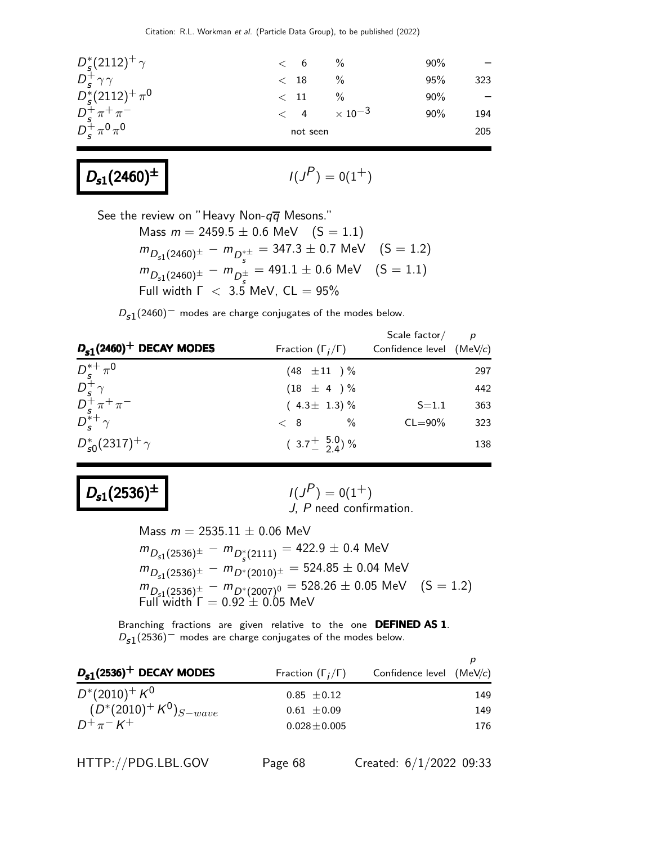| $D_{s}^{*}(2112)^{+}\gamma$            | < 6 %                |               | 90% |     |
|----------------------------------------|----------------------|---------------|-----|-----|
| $D_{\rm s}^+\gamma\gamma$              | $<$ 18               |               | 95% | 323 |
| $D_s^*(2112)^+\pi^0$                   | $<$ 11               | $\frac{0}{0}$ | 90% |     |
| $D_s^+\pi^+\pi^-$<br>$D_s^+\pi^0\pi^0$ | $< 4 \times 10^{-3}$ |               | 90% | 194 |
|                                        | not seen             |               |     | 205 |
|                                        |                      |               |     |     |

# $D_{s1}(2460)^{\pm}$

$$
I(J^P)=0(1^+)
$$

See the review on "Heavy Non- $q\overline{q}$  Mesons."

Mass  $m = 2459.5 \pm 0.6$  MeV  $(S = 1.1)$  $m_{D_{s1}(2460)^{\pm}} - m_{D_{s}^{*\pm}} = 347.3 \pm 0.7 \,\, \text{MeV} \quad \, (\text{S} = 1.2)$  $m_{D_{s1}(2460)^{\pm}} - m_{D_{s}^{\pm}} = 491.1 \pm 0.6 \,\, \text{MeV} \quad \, (\text{S} = 1.1)$ Full width  $\Gamma$  < 3.5 MeV, CL = 95%

 $D_{\bf s1}(2460)^+$  modes are charge conjugates of the modes below.

| $D_{s1}(2460)^+$ DECAY MODES                                                                                                   | Fraction $(\Gamma_i/\Gamma)$          | Scale factor/<br>Confidence level $(MeV/c)$ | $\overline{D}$ |
|--------------------------------------------------------------------------------------------------------------------------------|---------------------------------------|---------------------------------------------|----------------|
| $\begin{array}{l} \displaystyle D_s^{*+}\,\pi^0\\ \displaystyle D_s^+\,\gamma\\ \displaystyle D_s^+\,\pi^+\,\pi^- \end{array}$ | $(48 \pm 11)^{\frac{0}{2}}$           |                                             | 297            |
|                                                                                                                                | $(18 \pm 4) \%$                       |                                             | 442            |
|                                                                                                                                | $(4.3 \pm 1.3)$ %                     | $S = 1.1$                                   | 363            |
| $D_{\epsilon}^{*+}\gamma$                                                                                                      | $\%$<br>$\langle 8 \rangle$           | $CL = 90\%$                                 | 323            |
| $D_{s0}^*(2317)^+ \gamma$                                                                                                      | $(3.7 \frac{+}{2} 5.0 \frac{0}{4})$ % |                                             | 138            |

# $D_{s1}(2536)^{\pm}$

 $I(J^P) = 0(1^+)$ J, P need confirmation.

Mass  $m = 2535.11 \pm 0.06$  MeV  $m_{D_{s1}(2536)^{\pm}} - m_{D_{s}^{*}(2111)} = 422.9 \pm 0.4$  MeV  $m_{D_{s1}(2536)^{\pm}}~-~m_{D^*(2010)^{\pm}}=524.85\pm0.04~\text{MeV}$  $m_{D_{s^1}(2536)^{\pm}} - m_{D^*(2007)^0} = 528.26 \pm 0.05$  MeV  $(S = 1.2)$ Full width  $\Gamma = 0.92 \pm 0.05$  MeV

Branching fractions are given relative to the one DEFINED AS 1.  $D_{\bf s1}(2536)^-$  modes are charge conjugates of the modes below.

| $D_{s1}(2536)^+$ DECAY MODES | Fraction $(\Gamma_i/\Gamma)$ | Confidence level $(MeV/c)$ |     |
|------------------------------|------------------------------|----------------------------|-----|
| $D^*(2010)^+ K^0$            | $0.85 \pm 0.12$              |                            | 149 |
| $(D^*(2010)^+ K^0)_{S-wave}$ | $0.61 \pm 0.09$              |                            | 149 |
| $D^+\pi^- K^+$               | $0.028 \pm 0.005$            |                            | 176 |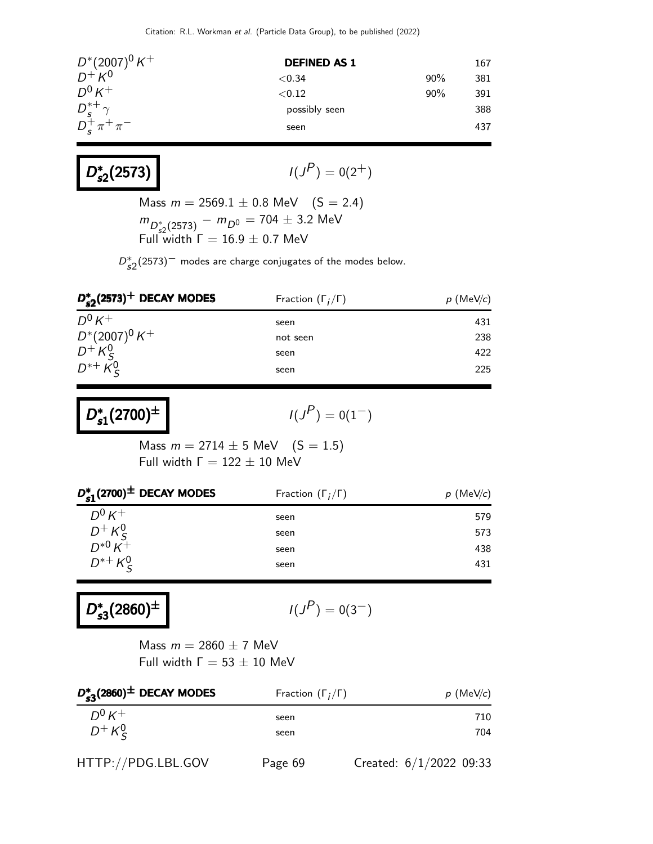| $D^*(2007)^0 K^+$         | <b>DEFINED AS 1</b> |     | 167 |
|---------------------------|---------------------|-----|-----|
| $D^+ K^0$                 | ${<}0.34$           | 90% | 381 |
| $D^0 K^+$                 | ${<}0.12$           | 90% | 391 |
| $D_{s}^{*+}\gamma$        | possibly seen       |     | 388 |
| $D_{s}^{+}\pi^{+}\pi^{-}$ | seen                |     | 437 |

$$
I(J^P) = 0(2^+)
$$

Mass  $m = 2569.1 \pm 0.8$  MeV  $(S = 2.4)$  $m_{D_{s2}^*(2573)} - m_{D^0} = 704 \pm 3.2$  MeV Full width  $\Gamma = 16.9 \pm 0.7$  MeV

 $D_{s2}^*(2573)^-$  modes are charge conjugates of the modes below.

| $D_{\epsilon 2}^*(2573)^+$ DECAY MODES | Fraction $(\Gamma_i/\Gamma)$ | $p$ (MeV/c) |
|----------------------------------------|------------------------------|-------------|
| $D^0 K^+$                              | seen                         | 431         |
| $D^*(2007)^0 K^+$                      | not seen                     | 238         |
| $D^{+}K_S^0$<br>$D^{*+}K_S^0$          | seen                         | 422         |
|                                        | seen                         | 225         |

D ∗  $D_{s1}^{*}(2700)^{\pm}$  |  $1(J)$ 

D<sup>∗</sup>

$$
I(J^P)=0(1^-)
$$

Mass  $m = 2714 \pm 5$  MeV  $(S = 1.5)$ Full width  $Γ = 122 ± 10$  MeV

| $D_{c1}^*(2700)^{\pm}$ DECAY MODES  | Fraction $(\Gamma_i/\Gamma)$ | $p$ (MeV/c) |
|-------------------------------------|------------------------------|-------------|
| $D^0 K^+$                           | seen                         | 579         |
| $D^{+} K^{0}_{S}$<br>$D^{*0} K^{+}$ | seen                         | 573         |
|                                     | seen                         | 438         |
| $D^{*+} K_{S}^{0}$                  | seen                         | 431         |
|                                     |                              |             |

D<sup>∗</sup>  $D_{s3}^*(2860)^{\pm}$  $s_3^*(2860)^{\pm}$   $1(J_3)$ 

$$
I(J^P)=0(3^-)
$$

Mass  $m = 2860 \pm 7$  MeV Full width  $Γ = 53 ± 10$  MeV

| $D_{\epsilon 3}^*(2860)^{\pm}$ DECAY MODES | Fraction $(\Gamma_i/\Gamma)$ | $p$ (MeV/c)             |
|--------------------------------------------|------------------------------|-------------------------|
| $D^0 K^+$                                  | seen                         | 710                     |
| $D^+ K^0_S$                                | seen                         | 704                     |
| HTTP://PDG.LBL.GOV                         | Page 69                      | Created: 6/1/2022 09:33 |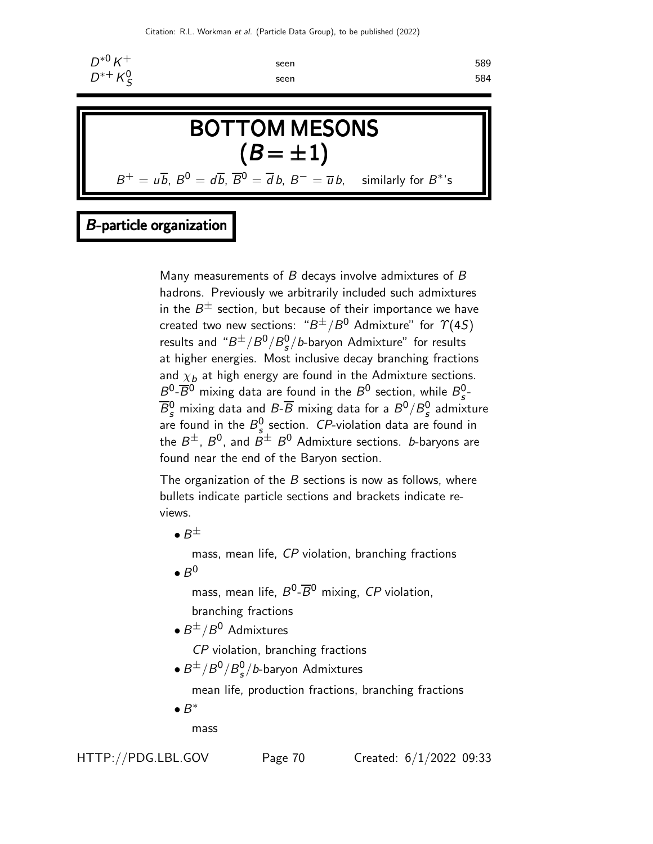

### B-particle organization

Many measurements of  $B$  decays involve admixtures of  $B$ hadrons. Previously we arbitrarily included such admixtures in the  $B^\pm$  section, but because of their importance we have created two new sections: " $B^\pm/B^0$  Admixture" for  $\varUpsilon(4S)$ results and " $B^{\pm}/B^0/B_s^0$  $\frac{0}{s}/b$ -baryon Admixture" for results at higher energies. Most inclusive decay branching fractions and  $\chi_b$  at high energy are found in the Admixture sections.  $B^0$ - $\overline{B}{}^0$  mixing data are found in the  $B^0$  section, while  $B^0_s$ s -  $\overline{B^0_s}$  mixing data and  $B\text{-}\overline{B}$  mixing data for a  $B^0/B^0_s$ <sup>u</sup> admixture are found in the  $B_s^0$  $S^0$  section. *CP*-violation data are found in the  $B^\pm$ ,  $B^0$ , and  $\bar{B}^\pm$   $B^0$  Admixture sections.  $b$ -baryons are found near the end of the Baryon section.

The organization of the  $B$  sections is now as follows, where bullets indicate particle sections and brackets indicate reviews.

 $\bullet$   $B^{\pm}$ 

mass, mean life, CP violation, branching fractions

 $\bullet$   $B^0$ 

mass, mean life,  $B^0$ - $\overline{B}{}^0$  mixing, CP violation, branching fractions

 $\bullet$   $B^{\pm}/B^0$  Admixtures

CP violation, branching fractions

 $\bullet$   $B^{\pm}/B^0/B_s^0$  $\frac{0}{s}/b$ -baryon Admixtures

mean life, production fractions, branching fractions

 $\bullet$   $B^*$ 

mass

HTTP://PDG.LBL.GOV Page 70 Created: 6/1/2022 09:33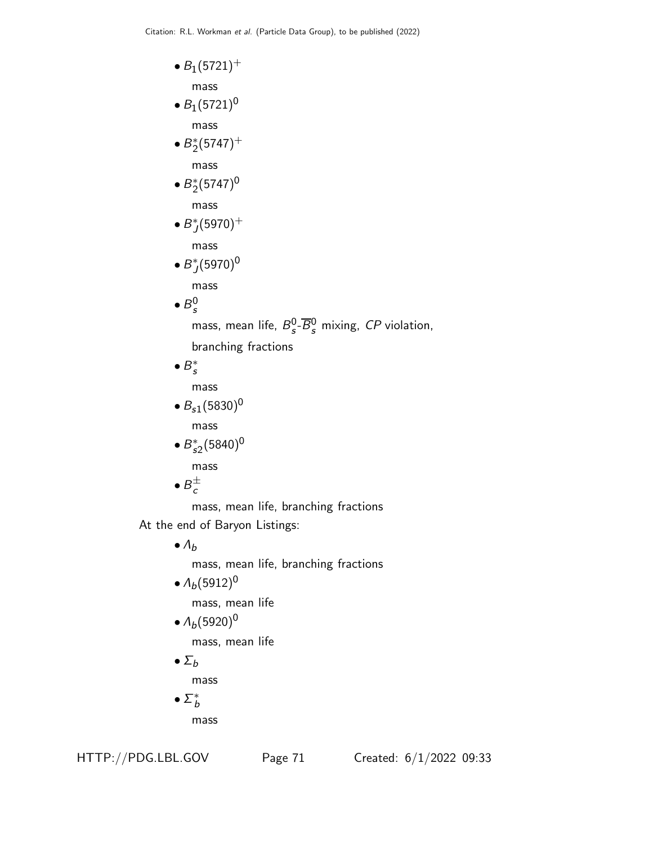•  $B_1(5721)^+$ 

mass

- $B_1(5721)^0$ mass
- $\bullet B_2^*(5747)^+$

mass

 $\bullet B_2^*(5747)^0$ 

mass

 $\bullet$   $B_J^*(5970)^+$ 

mass

 $\bullet B_J^*(5970)^0$ 

mass

 $\bullet$   $B_s^0$ s

mass, mean life,  $B_s^0$  $\frac{0}{s}$ - $\overline{B}_{s}^{0}$  mixing, CP violation,

branching fractions

 $\bullet$   $B_s^*$ 

mass

•  $B_{s1}(5830)^{0}$ 

mass

•  $B_{s2}^*(5840)^0$ mass

 $\bullet$   $B_c^{\pm}$ 

mass, mean life, branching fractions

At the end of Baryon Listings:

 $\bullet$   $\Lambda_b$ mass, mean life, branching fractions

•  $\Lambda_b(5912)^0$ 

mass, mean life

•  $\Lambda_b(5920)^0$ 

mass, mean life

 $\bullet$   $\Sigma_b$ 

mass

 $\bullet$   $\Sigma^*_b$ 

mass

HTTP://PDG.LBL.GOV Page 71 Created: 6/1/2022 09:33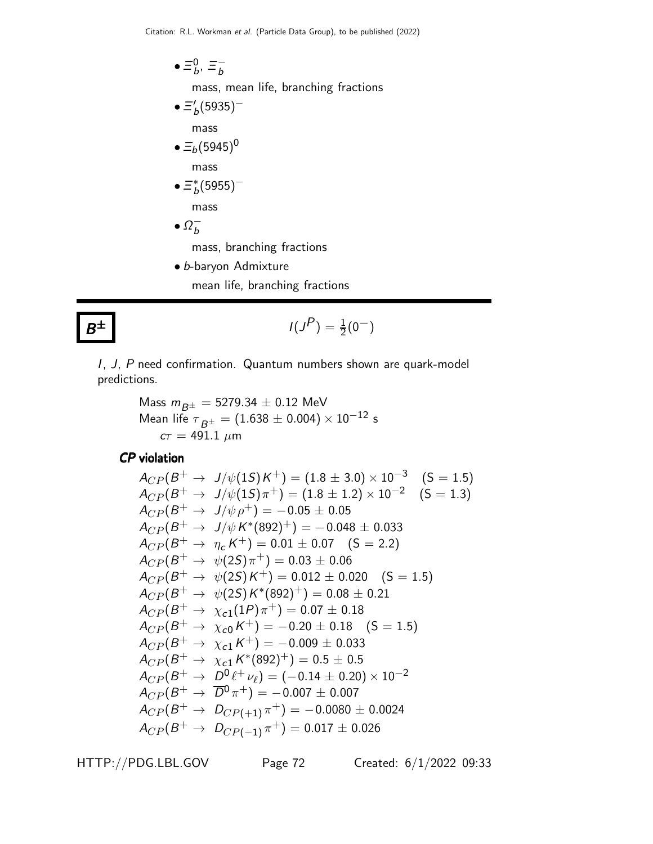$\bullet \equiv^0_b$  $_b^0, \equiv_b^$ mass, mean life, branching fractions  $\bullet \equiv'_{b} (5935)^$ mass

\n- $$
\Xi_b(5945)^0
$$
 mass
\n- $\Xi_b^*(5955)^-$
\n

mass

 $\bullet$   $\Omega_b^-$ 

mass, branching fractions

• b-baryon Admixture mean life, branching fractions

# $B^\pm$

$$
I(J^P) = \frac{1}{2}(0^-)
$$

I, J, P need confirmation. Quantum numbers shown are quark-model predictions.

Mass 
$$
m_{B^{\pm}} = 5279.34 \pm 0.12
$$
 MeV  
Mean life  $\tau_{B^{\pm}} = (1.638 \pm 0.004) \times 10^{-12}$  s  
 $c\tau = 491.1 \ \mu m$ 

CP violation

$$
A_{CP}(B^+ \to J/\psi(1S)K^+) = (1.8 \pm 3.0) \times 10^{-3} \quad (S = 1.5)
$$
  
\n
$$
A_{CP}(B^+ \to J/\psi(1S)\pi^+) = (1.8 \pm 1.2) \times 10^{-2} \quad (S = 1.3)
$$
  
\n
$$
A_{CP}(B^+ \to J/\psi \rho^+) = -0.05 \pm 0.05
$$
  
\n
$$
A_{CP}(B^+ \to J/\psi K^*(892)^+) = -0.048 \pm 0.033
$$
  
\n
$$
A_{CP}(B^+ \to \eta_c K^+) = 0.01 \pm 0.07 \quad (S = 2.2)
$$
  
\n
$$
A_{CP}(B^+ \to \psi(2S)\pi^+) = 0.03 \pm 0.06
$$
  
\n
$$
A_{CP}(B^+ \to \psi(2S)K^+) = 0.012 \pm 0.020 \quad (S = 1.5)
$$
  
\n
$$
A_{CP}(B^+ \to \psi(2S)K^*(892)^+) = 0.08 \pm 0.21
$$
  
\n
$$
A_{CP}(B^+ \to \chi_{c1}(1P)\pi^+) = 0.07 \pm 0.18
$$
  
\n
$$
A_{CP}(B^+ \to \chi_{c1}(K^+) = -0.20 \pm 0.18 \quad (S = 1.5)
$$
  
\n
$$
A_{CP}(B^+ \to \chi_{c1} K^+) = -0.009 \pm 0.033
$$
  
\n
$$
A_{CP}(B^+ \to \chi_{c1} K^*(892)^+) = 0.5 \pm 0.5
$$
  
\n
$$
A_{CP}(B^+ \to D^0 \ell^+ \nu_\ell) = (-0.14 \pm 0.20) \times 10^{-2}
$$
  
\n
$$
A_{CP}(B^+ \to \overline{D}^0 \pi^+) = -0.007 \pm 0.007
$$
  
\n
$$
A_{CP}(B^+ \to D_{CP(+1)} \pi^+) = 0.017 \pm 0.026
$$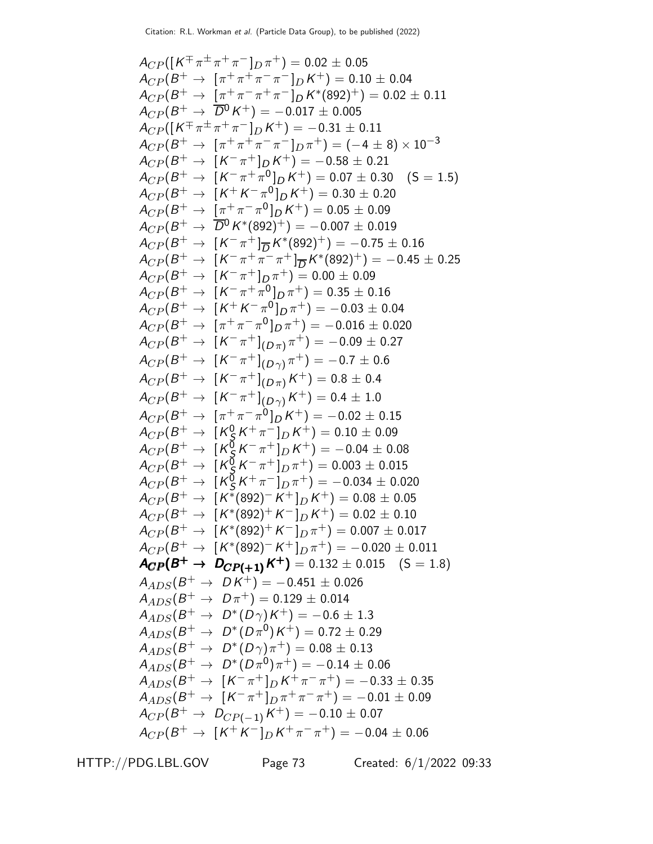ACP ([K ∓ π ± π <sup>+</sup> π <sup>−</sup> ]<sup>D</sup> π <sup>+</sup>) = 0.<sup>02</sup> <sup>±</sup> <sup>0</sup>.<sup>05</sup> ACP (B <sup>+</sup> <sup>→</sup> [<sup>π</sup> <sup>+</sup> π <sup>+</sup> π − π <sup>−</sup> ]<sup>D</sup> K <sup>+</sup>) = 0.<sup>10</sup> <sup>±</sup> <sup>0</sup>.<sup>04</sup> ACP (B <sup>+</sup> <sup>→</sup> [<sup>π</sup> <sup>+</sup> π − π <sup>+</sup> π − ]D K ∗ (892)+) = 0.<sup>02</sup> <sup>±</sup> <sup>0</sup>.<sup>11</sup> ACP (B <sup>+</sup> <sup>→</sup> <sup>D</sup> <sup>0</sup>K <sup>+</sup>) = <sup>−</sup>0.<sup>017</sup> <sup>±</sup> <sup>0</sup>.<sup>005</sup> ACP ([K ∓ π ± π <sup>+</sup> π <sup>−</sup> ]<sup>D</sup> K <sup>+</sup>) = <sup>−</sup>0.<sup>31</sup> <sup>±</sup> <sup>0</sup>.<sup>11</sup> ACP (B <sup>+</sup> <sup>→</sup> [<sup>π</sup> <sup>+</sup> π <sup>+</sup> π − π <sup>−</sup> ]<sup>D</sup> π <sup>+</sup>) = (−<sup>4</sup> <sup>±</sup> 8) <sup>×</sup> <sup>10</sup>−<sup>3</sup> ACP (B <sup>+</sup> <sup>→</sup> [<sup>K</sup> − π <sup>+</sup> ]<sup>D</sup> K <sup>+</sup>) = <sup>−</sup>0.<sup>58</sup> <sup>±</sup> <sup>0</sup>.<sup>21</sup> ACP (B <sup>+</sup> <sup>→</sup> [<sup>K</sup> − π <sup>+</sup> π 0 ]<sup>D</sup> K <sup>+</sup>) = 0.<sup>07</sup> <sup>±</sup> <sup>0</sup>.30 (S = 1.5) ACP (B <sup>+</sup> <sup>→</sup> [<sup>K</sup> <sup>+</sup> K − π 0 ]D K <sup>+</sup>) = 0.<sup>30</sup> <sup>±</sup> <sup>0</sup>.<sup>20</sup> ACP (B <sup>+</sup> <sup>→</sup> [<sup>π</sup> <sup>+</sup> π − π 0 ]D K <sup>+</sup>) = 0.<sup>05</sup> <sup>±</sup> <sup>0</sup>.<sup>09</sup> ACP (B <sup>+</sup> <sup>→</sup> <sup>D</sup> <sup>0</sup>K ∗ (892)+) = <sup>−</sup>0.<sup>007</sup> <sup>±</sup> <sup>0</sup>.<sup>019</sup> ACP (B <sup>+</sup> <sup>→</sup> [<sup>K</sup> − π <sup>+</sup> ]<sup>D</sup> K ∗ (892)+) = <sup>−</sup>0.<sup>75</sup> <sup>±</sup> <sup>0</sup>.<sup>16</sup> ACP (B <sup>+</sup> <sup>→</sup> [<sup>K</sup> − π <sup>+</sup> π − π <sup>+</sup> ]<sup>D</sup> K ∗ (892)+) = <sup>−</sup>0.<sup>45</sup> <sup>±</sup> <sup>0</sup>.<sup>25</sup> ACP (B <sup>+</sup> <sup>→</sup> [<sup>K</sup> − π <sup>+</sup> ]<sup>D</sup> π <sup>+</sup>) = 0.<sup>00</sup> <sup>±</sup> <sup>0</sup>.<sup>09</sup> ACP (B <sup>+</sup> <sup>→</sup> [<sup>K</sup> − π <sup>+</sup> π 0 ]D π <sup>+</sup>) = 0.<sup>35</sup> <sup>±</sup> <sup>0</sup>.<sup>16</sup> ACP (B <sup>+</sup> <sup>→</sup> [<sup>K</sup> <sup>+</sup> K − π 0 ]D π <sup>+</sup>) = <sup>−</sup>0.<sup>03</sup> <sup>±</sup> <sup>0</sup>.<sup>04</sup> ACP (B <sup>+</sup> <sup>→</sup> [<sup>π</sup> <sup>+</sup> π − π 0 ]D π <sup>+</sup>) = <sup>−</sup>0.<sup>016</sup> <sup>±</sup> <sup>0</sup>.<sup>020</sup> ACP (B <sup>+</sup> <sup>→</sup> [<sup>K</sup> − π + ] (<sup>D</sup> <sup>π</sup>) π <sup>+</sup>) = <sup>−</sup>0.<sup>09</sup> <sup>±</sup> <sup>0</sup>.<sup>27</sup> ACP (B <sup>+</sup> <sup>→</sup> [<sup>K</sup> − π + ] (<sup>D</sup> <sup>γ</sup>) π <sup>+</sup>) = <sup>−</sup>0.<sup>7</sup> <sup>±</sup> <sup>0</sup>.<sup>6</sup> ACP (B <sup>+</sup> <sup>→</sup> [<sup>K</sup> − π + ] (<sup>D</sup> <sup>π</sup>)K <sup>+</sup>) = 0.<sup>8</sup> <sup>±</sup> <sup>0</sup>.<sup>4</sup> ACP (B <sup>+</sup> <sup>→</sup> [<sup>K</sup> − π + ] (<sup>D</sup> <sup>γ</sup>)K <sup>+</sup>) = 0.<sup>4</sup> <sup>±</sup> <sup>1</sup>.<sup>0</sup> ACP (B <sup>+</sup> <sup>→</sup> [<sup>π</sup> <sup>+</sup> π − π 0 ]D K <sup>+</sup>) = <sup>−</sup>0.<sup>02</sup> <sup>±</sup> <sup>0</sup>.<sup>15</sup> ACP (B <sup>+</sup> <sup>→</sup> [<sup>K</sup> 0 S K <sup>+</sup> π <sup>−</sup> ]<sup>D</sup> K <sup>+</sup>) = 0.<sup>10</sup> <sup>±</sup> <sup>0</sup>.<sup>09</sup> ACP (B <sup>+</sup> <sup>→</sup> [<sup>K</sup> 0 S K − π <sup>+</sup> ]<sup>D</sup> K <sup>+</sup>) = <sup>−</sup>0.<sup>04</sup> <sup>±</sup> <sup>0</sup>.<sup>08</sup> ACP (B <sup>+</sup> <sup>→</sup> [<sup>K</sup> 0 S K − π <sup>+</sup> ]<sup>D</sup> π <sup>+</sup>) = 0.<sup>003</sup> <sup>±</sup> <sup>0</sup>.<sup>015</sup> ACP (B <sup>+</sup> <sup>→</sup> [<sup>K</sup> 0 S K <sup>+</sup> π <sup>−</sup> ]<sup>D</sup> π <sup>+</sup>) = <sup>−</sup>0.<sup>034</sup> <sup>±</sup> <sup>0</sup>.<sup>020</sup> ACP (B <sup>+</sup> <sup>→</sup> [<sup>K</sup> ∗ (892)− K <sup>+</sup> ]<sup>D</sup> K <sup>+</sup>) = 0.<sup>08</sup> <sup>±</sup> <sup>0</sup>.<sup>05</sup> ACP (B <sup>+</sup> <sup>→</sup> [<sup>K</sup> ∗ (892)<sup>+</sup> K <sup>−</sup> ]<sup>D</sup> K <sup>+</sup>) = 0.<sup>02</sup> <sup>±</sup> <sup>0</sup>.<sup>10</sup> ACP (B <sup>+</sup> <sup>→</sup> [<sup>K</sup> ∗ (892)<sup>+</sup> K <sup>−</sup> ]<sup>D</sup> π <sup>+</sup>) = 0.<sup>007</sup> <sup>±</sup> <sup>0</sup>.<sup>017</sup> ACP (B <sup>+</sup> <sup>→</sup> [<sup>K</sup> ∗ (892)− K <sup>+</sup> ]<sup>D</sup> π <sup>+</sup>) = <sup>−</sup>0.<sup>020</sup> <sup>±</sup> <sup>0</sup>.<sup>011</sup> ACP (B <sup>+</sup> <sup>→</sup> <sup>D</sup>CP(+ 1)<sup>K</sup> <sup>+</sup> ACP(B ) <sup>+</sup> <sup>→</sup> <sup>D</sup>CP(+ 1)<sup>K</sup> <sup>+</sup> ACP(B <sup>+</sup> D ) CP(+ 1)K ACP(B )<sup>+</sup> DCP(+ 1)K )= 0.132 ± 0.015 (S = 1.8) AADS(B <sup>+</sup> <sup>→</sup> D K <sup>+</sup>) = <sup>−</sup>0.<sup>451</sup> <sup>±</sup> <sup>0</sup>.<sup>026</sup> AADS(B <sup>+</sup> <sup>→</sup> <sup>D</sup> <sup>π</sup> <sup>+</sup>) = 0.<sup>129</sup> <sup>±</sup> <sup>0</sup>.<sup>014</sup> AADS(B <sup>+</sup> <sup>→</sup> <sup>D</sup> ∗ (D γ)K <sup>+</sup>) = <sup>−</sup>0.<sup>6</sup> <sup>±</sup> <sup>1</sup>.<sup>3</sup> AADS(B <sup>+</sup> <sup>→</sup> <sup>D</sup> ∗ (D π 0 )K <sup>+</sup>) = 0.<sup>72</sup> <sup>±</sup> <sup>0</sup>.<sup>29</sup> AADS(B <sup>+</sup> <sup>→</sup> <sup>D</sup> ∗ (D γ)π <sup>+</sup>) = 0.<sup>08</sup> <sup>±</sup> <sup>0</sup>.<sup>13</sup> AADS(B <sup>+</sup> <sup>→</sup> <sup>D</sup> ∗ (D π 0 )π <sup>+</sup>) = <sup>−</sup>0.<sup>14</sup> <sup>±</sup> <sup>0</sup>.<sup>06</sup> AADS(B <sup>+</sup> <sup>→</sup> [<sup>K</sup> − π <sup>+</sup> ]<sup>D</sup> K <sup>+</sup> π − π <sup>+</sup>) = <sup>−</sup>0.<sup>33</sup> <sup>±</sup> <sup>0</sup>.<sup>35</sup> AADS(B <sup>+</sup> <sup>→</sup> [<sup>K</sup> − π <sup>+</sup> ]<sup>D</sup> π <sup>+</sup> π − π <sup>+</sup>) = <sup>−</sup>0.<sup>01</sup> <sup>±</sup> <sup>0</sup>.<sup>09</sup> ACP (B <sup>+</sup> <sup>→</sup> <sup>D</sup>CP(−1)<sup>K</sup> <sup>+</sup>) = <sup>−</sup>0.<sup>10</sup> <sup>±</sup> <sup>0</sup>.<sup>07</sup> ACP (B <sup>+</sup> <sup>→</sup> [<sup>K</sup> <sup>+</sup> K <sup>−</sup> ]<sup>D</sup> K <sup>+</sup> π − π <sup>+</sup>) = <sup>−</sup>0.<sup>04</sup> <sup>±</sup> <sup>0</sup>.<sup>06</sup>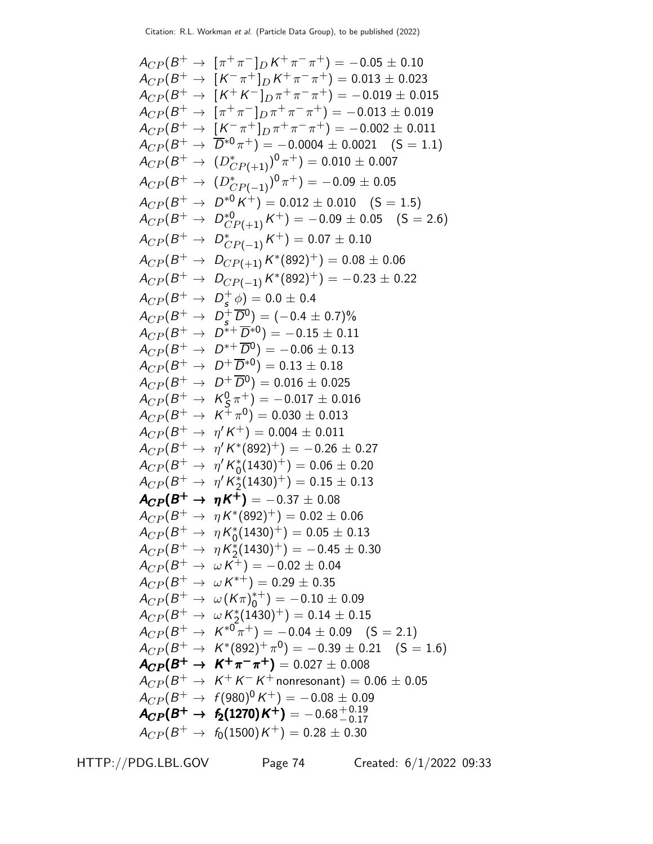$$
A_{CP}(B^+ \rightarrow [\pi^+\pi^-]_D K^+ \pi^- \pi^+) = -0.05 \pm 0.10
$$
  
\n
$$
A_{CP}(B^+ \rightarrow [K^-\pi^+]_D K^+\pi^-\pi^+) = 0.013 \pm 0.023
$$
  
\n
$$
A_{CP}(B^+ \rightarrow [K^+K^-]_D \pi^+\pi^-\pi^+) = -0.019 \pm 0.015
$$
  
\n
$$
A_{CP}(B^+ \rightarrow [\pi^+\pi^-]_D \pi^+\pi^-\pi^+) = -0.002 \pm 0.011
$$
  
\n
$$
A_{CP}(B^+ \rightarrow [K^-\pi^+]_D \pi^+ \pi^-\pi^+) = -0.002 \pm 0.011
$$
  
\n
$$
A_{CP}(B^+ \rightarrow [D^0 \sigma^+]_D^0 - 0.004 \pm 0.0021 (S = 1.1)
$$
  
\n
$$
A_{CP}(B^+ \rightarrow [D^0 \sigma^+]) = 0.010 \pm 0.007
$$
  
\n
$$
A_{CP}(B^+ \rightarrow D^{\ast 0} \sigma^+) = 0.012 \pm 0.010 (S = 1.5)
$$
  
\n
$$
A_{CP}(B^+ \rightarrow D^{\ast 0} \sigma^+) = 0.012 \pm 0.010 (S = 1.5)
$$
  
\n
$$
A_{CP}(B^+ \rightarrow D^{\ast 0} \sigma^0)
$$
  
\n
$$
A_{CP}(B^+ \rightarrow D^{\ast 0} \sigma^0) = 0.07 \pm 0.10
$$
  
\n
$$
A_{CP}(B^+ \rightarrow D^{\ast 0} \sigma^0) = -0.05 \pm 0.16
$$
  
\n
$$
A_{CP}(B^+ \rightarrow D^{\ast 0} \sigma^0) = -0.05 \pm 0.11
$$
  
\n
$$
A_{CP}(B^+ \rightarrow D^{\ast 0} \sigma^0) = -0.05 \pm 0.13
$$
  
\n
$$
A_{CP}(B^+ \rightarrow D^{\ast 0} \sigma^0) = -0.05 \pm 0.13
$$
  
\n
$$
A_{CP}(B^+ \rightarrow D^{\
$$

HTTP://PDG.LBL.GOV Page 74 Created: 6/1/2022 09:33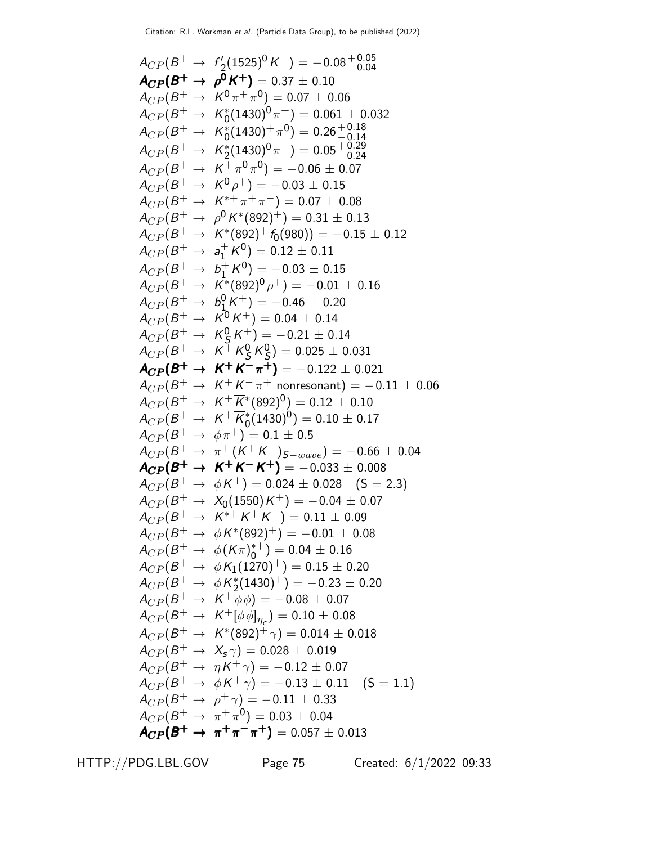$A_{CP}(B^+ \rightarrow f_2'(1525)^0 K^+) = -0.08^{+0.05}_{-0.04}$  $A_{CP}(B^+ \rightarrow \rho^0 K^+) = 0.37 \pm 0.10$  $A_{CP} (B^+ \rightarrow K^0 \pi^+ \pi^0) = 0.07 \pm 0.06$  $A_{CP}(B^+ \rightarrow~\textit{K}_{0}^{*}(1430)^{0}\pi^{+})=0.061\pm0.032$  $A_{CP} (B^+ \rightarrow~ \textit{K}_{0}^{*}(1430)^+ \pi^{0}) = 0.26 ^{+0.18}_{-0.14}$  $-0.14$  $A_{CP}(B^+ \rightarrow K_2^*(1430)^0 \pi^+) = 0.05^{+0.29}_{-0.24}$  $A_{CP}(B^+ \rightarrow K^+ \pi^0 \pi^0) = -0.06 \pm 0.07$  $A_{CP} (B^+ \rightarrow~ \mathit{K}^0 \rho^+) = -0.03 \pm 0.15$  $A_{CP}(B^+ \rightarrow K^{*+} \pi^+ \pi^-) = 0.07 \pm 0.08$  $A_{CP} (B^+ \rightarrow \ \rho^0 \, K^{*}(892)^+) = 0.31 \pm 0.13$  $A_{CP}(B^+ \rightarrow K^*(892)^+ f_0(980)) = -0.15 \pm 0.12$  $A_{CP}(B^+ \rightarrow \; a_1^+)$  $_1^+$  K  $^0)$   $= 0.12 \pm 0.11$  $A_{CP}(B^+ \rightarrow \ b_1^+)$  $_1^+$  K  $^0)$   $=-0.03\pm0.15$  $A_{CP} (B^+ \rightarrow \; \bar{K^*}(892)^0 \rho^+) = -0.01 \pm 0.16$  $A_{CP}(B^+ \rightarrow b_1^0)$  $\frac{1}{10}(K^+) = -0.46 \pm 0.20$  $A_{CP}(B^+ \rightarrow~\overline{\cal K}^0{\cal K}^+) = 0.04 \pm 0.14$  $A_{CP}(B^+ \rightarrow K_S^0)$  $S(S^+K^+) = -0.21 \pm 0.14$  $A_{CP}(B^+ \rightarrow K^+ K^0_S$  $^0_S$ K $^0_S$  $S_{\rm S}^{0}$ ) = 0.025  $\pm$  0.031  $A_{CP}(B^+ \to K^+ K^- \pi^+) = -0.122 \pm 0.021$  $A_{CP}(B^+ \rightarrow K^+ K^- \pi^+$  nonresonant)  $= -0.11 \pm 0.06$  $A_{CP}(B^+ \rightarrow K^+ \overline{K}^*(892)^0) = 0.12 \pm 0.10$  $A_{CP}(B^+ \rightarrow~\textit{K}^+ \overline{\textit{K}}_{0}^*(1430)^{0}) = 0.10 \pm 0.17$  $A_{CP}(B^+ \rightarrow \ \phi \pi^+) = 0.1 \pm 0.5$  $A_{CP}(B^+ \rightarrow \pi^+(K^+K^-)_{S-wave}) = -0.66 \pm 0.04$  $A_{CP}(B^+ \to K^+K^-K^+) = -0.033 \pm 0.008$  $A_{CP}(B^+ \rightarrow \phi K^+) = 0.024 \pm 0.028 \quad (S = 2.3)$  $A_{CP}(B^+ \rightarrow~\textit{X}_{0} (1550) \,\mathit{K}^+)= -\,0.04 \pm 0.07$  $A_{CP} (B^+ \rightarrow~\mathcal{K}^{*+} \mathcal{K}^+ \mathcal{K}^-) = 0.11 \pm 0.09$  $A_{CP} (B^+ \rightarrow \,\, \phi K^{*}(892)^+) = -0.01 \pm 0.08$  $A_{CP} (B^+ \rightarrow \ \phi(K \pi)_0^{*+}) = 0.04 \pm 0.16$  $A_{CP} (B^+ \rightarrow \,\, \phi K_1(1270)^+) = 0.15 \pm 0.20$  $A_{CP}(B^+ \rightarrow \,\, \phi \, K_2^*(1430)^+) = -0.23 \pm 0.20$  $A_{CP}(B^+ \rightarrow~K^+ \overline{\phi} \phi) = -0.08 \pm 0.07$  $A_{CP} (B^+ \rightarrow~\textit{K}^+[\phi \, \phi]_{\eta_{\textit{c}}}) = 0.10 \pm 0.08$  $A_{CP} (B^+ \rightarrow~\mathcal{K}^*(892)^+ \gamma) = 0.014 \pm 0.018$  $A_{CP} (B^+ \rightarrow \ X_{\mathsf{s}} \, \gamma) = 0.028 \pm 0.019$  $A_{CP} (B^+ \rightarrow \ \eta \, \mathcal{K}^+ \, \gamma) = -\,0.12 \,\pm\, 0.07$  $A_{CP}(B^+ \rightarrow \phi K^+ \gamma) = -0.13 \pm 0.11 \quad (\textsf{S} = 1.1)$  $A_{CP}(B^+ \to \rho^+ \gamma) = -0.11 \pm 0.33$  $A_{CP}(B^+ \rightarrow \pi^+ \pi^0) = 0.03 \pm 0.04$  $A_{CP}(B^+ \rightarrow \pi^+ \pi^- \pi^+) = 0.057 \pm 0.013$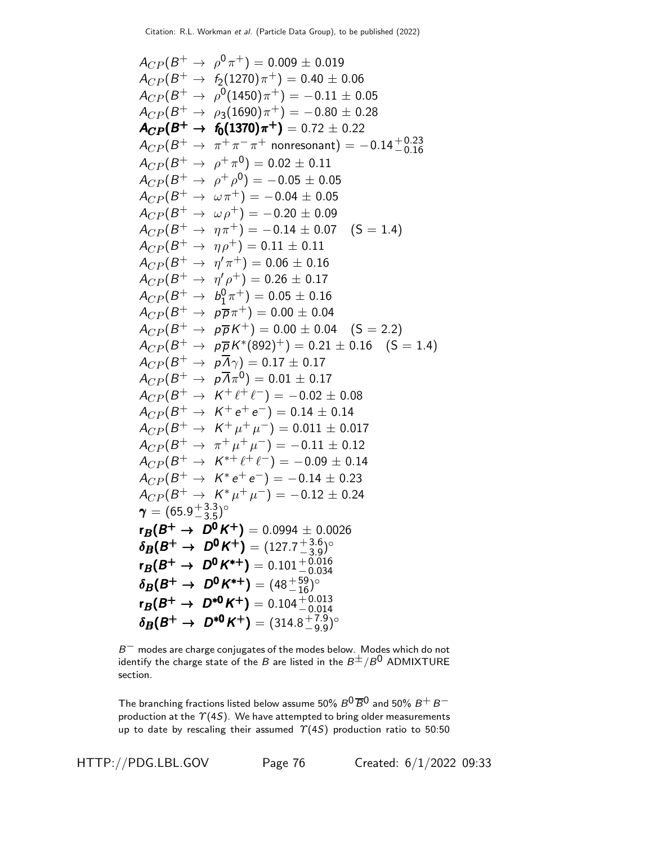$$
A_{CP}(B^+ \rightarrow \rho^0 \pi^+) = 0.009 \pm 0.019
$$
  
\n
$$
A_{CP}(B^+ \rightarrow \rho^0 (1450) \pi^+) = 0.40 \pm 0.06
$$
  
\n
$$
A_{CP}(B^+ \rightarrow \rho^0 (1450) \pi^+) = -0.11 \pm 0.05
$$
  
\n
$$
A_{CP}(B^+ \rightarrow \rho^0 (1450) \pi^+) = -0.80 \pm 0.28
$$
  
\n
$$
A_{CP}(B^+ \rightarrow \rho^0 (1370) \pi^+) = 0.72 \pm 0.22
$$
  
\n
$$
A_{CP}(B^+ \rightarrow \pi^+ \pi^- \pi^+ \text{ nonresonant}) = -0.14^{+0.23}_{-0.16}
$$
  
\n
$$
A_{CP}(B^+ \rightarrow \rho^+ \rho^0) = -0.05 \pm 0.05
$$
  
\n
$$
A_{CP}(B^+ \rightarrow \omega \pi^+) = -0.04 \pm 0.05
$$
  
\n
$$
A_{CP}(B^+ \rightarrow \omega \rho^+) = -0.20 \pm 0.09
$$
  
\n
$$
A_{CP}(B^+ \rightarrow \eta \pi^+) = -0.14 \pm 0.07
$$
 (S = 1.4)  
\n
$$
A_{CP}(B^+ \rightarrow \eta \rho^+) = 0.11 \pm 0.11
$$
  
\n
$$
A_{CP}(B^+ \rightarrow \eta \rho^+) = 0.06 \pm 0.16
$$
  
\n
$$
A_{CP}(B^+ \rightarrow \rho^0 \pi^+) = 0.00 \pm 0.04
$$
  
\n
$$
A_{CP}(B^+ \rightarrow \rho \overline{\rho} \pi^+) = 0.00 \pm 0.04
$$
 (S = 2.2)  
\n
$$
A_{CP}(B^+ \rightarrow \rho \overline{\rho} \pi^+) = 0.00 \pm 0.04
$$
 (S = 2.2)  
\n
$$
A_{CP}(B^+ \rightarrow \rho \overline{\rho} \pi^+) = 0.00 \pm 0.04
$$
 (S = 2.2)  
\n
$$
A_{CP}(B^+ \rightarrow \
$$

 $B^-\,$  modes are charge conjugates of the modes below. Modes which do not identify the charge state of the B are listed in the  $B^{\pm}/B^0$  ADMIXTURE section.

The branching fractions listed below assume 50%  $B^0\overline{B}^0$  and 50%  $B^+$   $B^$ production at the  $\Upsilon(4S)$ . We have attempted to bring older measurements up to date by rescaling their assumed  $\Upsilon(4S)$  production ratio to 50:50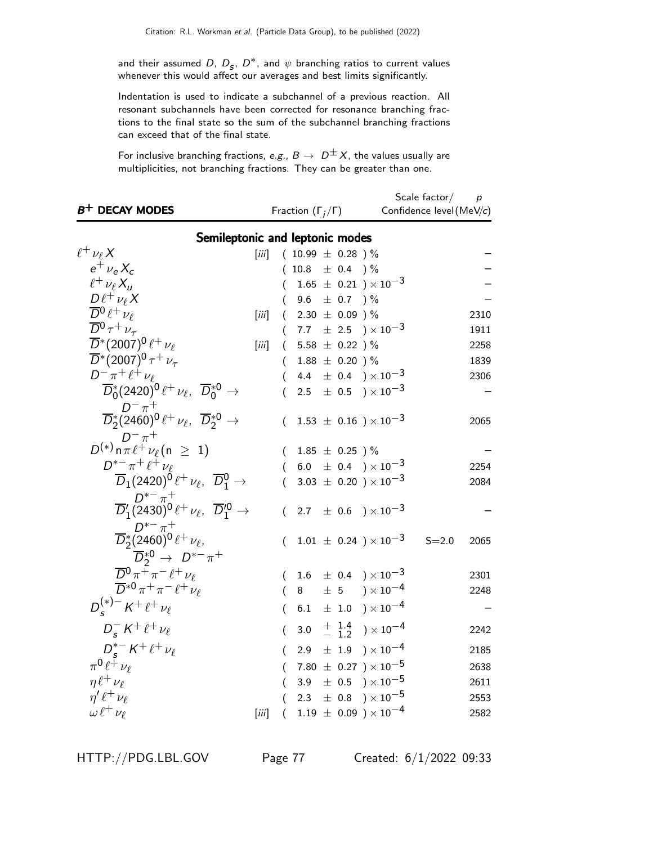and their assumed D,  $D_s$ ,  $D^*$ , and  $\psi$  branching ratios to current values whenever this would affect our averages and best limits significantly.

Indentation is used to indicate a subchannel of a previous reaction. All resonant subchannels have been corrected for resonance branching fractions to the final state so the sum of the subchannel branching fractions can exceed that of the final state.

For inclusive branching fractions, e.g.,  $B \to D^{\pm}X$ , the values usually are multiplicities, not branching fractions. They can be greater than one.

| $B^+$ DECAY MODES                                                                                         |          | Fraction $(\Gamma_i/\Gamma)$ |  |                                                                  | Scale factor/<br>Confidence level (MeV/c) | $\boldsymbol{p}$ |
|-----------------------------------------------------------------------------------------------------------|----------|------------------------------|--|------------------------------------------------------------------|-------------------------------------------|------------------|
| Semileptonic and leptonic modes                                                                           |          |                              |  |                                                                  |                                           |                  |
| $\ell^+ \nu_\ell X$<br>$\left[\ddot{iii}\right]$                                                          |          | $(10.99 \pm 0.28)$ %         |  |                                                                  |                                           |                  |
| $e^{\pm} \nu_{\rm e} X_c$                                                                                 |          | $(10.8 \pm 0.4)$ %           |  |                                                                  |                                           |                  |
| $\ell^+ \nu_\ell X_u$                                                                                     | (        |                              |  | $1.65 \pm 0.21$ ) $\times 10^{-3}$                               |                                           |                  |
| $D\ell^+\nu_\ell X$                                                                                       |          | 9.6 $\pm$ 0.7 ) %            |  |                                                                  |                                           |                  |
| $\overline{D}^0\ell^+\nu_\ell$<br>[iii]                                                                   |          | $(2.30 \pm 0.09)$ %          |  |                                                                  |                                           | 2310             |
| $\overline{D}{}^0\tau^+\nu_\tau$                                                                          | $\left($ |                              |  | 7.7 $\pm$ 2.5 $\times 10^{-3}$                                   |                                           | 1911             |
| $\overline{D}^*(2007)^0 \ell^+ \nu_\ell$<br>$\left[\ddot{m}\right]$                                       |          | $(5.58 \pm 0.22)$ %          |  |                                                                  |                                           | 2258             |
| $\overline{D}^*(2007)^0 \tau^+ \nu_\tau$                                                                  |          | $(1.88 \pm 0.20)$ %          |  |                                                                  |                                           | 1839             |
| $D^- \pi^+ \ell^+ \nu_\ell$                                                                               | (        |                              |  | 4.4 $\pm$ 0.4 $) \times 10^{-3}$                                 |                                           | 2306             |
| $\overline{D}_0^*(2420)^0 \ell^+ \nu_\ell$ , $\overline{D}_0^{*0}$ $\rightarrow$                          |          |                              |  | 2.5 $\pm$ 0.5 $\times$ 10 <sup>-3</sup>                          |                                           |                  |
|                                                                                                           |          |                              |  |                                                                  |                                           |                  |
| $\overline{D}_2^*(2460)^0 \ell^+ \nu_\ell, \ \overline{D}_2^{*0} \rightarrow$                             | (        |                              |  | $1.53~\pm~0.16~$ ) $\times\,10^{-3}$                             |                                           | 2065             |
| $D^{(-)}_{n} n^{+}_{\pi}$<br>$D^{(+)}_{n} n^{+}_{\pi} \nu_{\ell} (n \geq 1)$                              |          |                              |  |                                                                  |                                           |                  |
|                                                                                                           |          | $1.85~\pm~0.25$ ) $\%$       |  |                                                                  |                                           |                  |
| $D^{*-}\pi^+\ell^+\nu_{\ell}$                                                                             |          |                              |  | $(6.0 \pm 0.4) \times 10^{-3}$                                   |                                           | 2254             |
| $\overline{D}_1(2420)^0 \ell^+ \nu_\ell, \ \overline{D}^0_1 \rightarrow$                                  | (        |                              |  | 3.03 $\pm$ 0.20 ) $\times$ 10 <sup>-3</sup>                      |                                           | 2084             |
| $\overline{D}_1^{\prime} (2430)^0 \ell^+ \nu_{\ell} , \ \ \overline{D}_1^{\prime 0} \rightarrow$          |          |                              |  |                                                                  |                                           |                  |
|                                                                                                           |          |                              |  | $(2.7 \pm 0.6) \times 10^{-3}$                                   |                                           |                  |
| $D_2^{*-} \pi^+$<br>$\overline{D}_2^*(2460)^0 \ell^+ \nu_{\ell}$                                          |          |                              |  |                                                                  |                                           |                  |
|                                                                                                           | (        |                              |  | $1.01 \pm 0.24$ ) $\times 10^{-3}$                               | $S = 2.0$                                 | 2065             |
| $\overline{D}_{2}^{*0} \rightarrow D^{*-} \pi^{+}$ $\overline{D}^{0} \pi^{+} \pi^{-} \ell^{+} \nu_{\ell}$ |          |                              |  |                                                                  |                                           |                  |
|                                                                                                           |          |                              |  | $1.6 \pm 0.4$ ) $\times 10^{-3}$                                 |                                           | 2301             |
| $\overline{D}^{*0}\pi^+\pi^-\ell^+\nu_\ell$                                                               |          | 8                            |  | $\pm$ 5 $\rightarrow$ $\times$ 10 <sup>-4</sup>                  |                                           | 2248             |
| $D_{s}^{(*)-} K^{+} \ell^{+} \nu_{\ell}$                                                                  |          |                              |  | 6.1 $\pm$ 1.0 $) \times 10^{-4}$                                 |                                           |                  |
| $D_{s}^- K^+ \ell^+ \nu_{\ell}$                                                                           | (        | 3.0                          |  | $\begin{array}{c} + 1.4 \\ - 1.2 \end{array}$ ) $\times 10^{-4}$ |                                           | 2242             |
| $D_{\circ}^{*-} K^{+} \ell^{+} \nu_{\ell}$                                                                |          |                              |  | $2.9 \pm 1.9$ $) \times 10^{-4}$                                 |                                           | 2185             |
| $\pi^0 \ell^+ \nu_\ell$                                                                                   | (        |                              |  | 7.80 $\pm$ 0.27 $) \times 10^{-5}$                               |                                           | 2638             |
| $\eta \ell^+ \nu_\ell$                                                                                    | (        |                              |  | 3.9 $\pm$ 0.5 $\right) \times 10^{-5}$                           |                                           | 2611             |
| $\eta' \ell^+ \nu_\ell$                                                                                   |          | 2.3                          |  | $\pm$ 0.8 $\$ \times 10^{-5}                                     |                                           | 2553             |
| $\omega \ell^+ \nu_\ell$<br>[iii]                                                                         | $\left($ |                              |  | $1.19 \pm 0.09$ ) $\times 10^{-4}$                               |                                           | 2582             |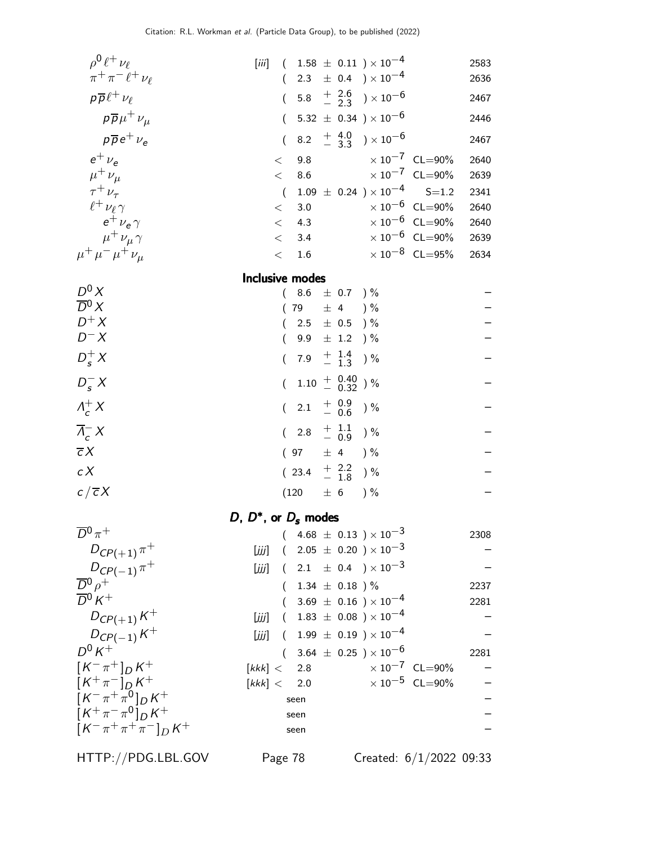| $\rho^0 \ell^+ \nu_\ell$        | [iii]                             |                                                          |                                         | $(1.58 \pm 0.11) \times 10^{-4}$                     |                                          | 2583 |
|---------------------------------|-----------------------------------|----------------------------------------------------------|-----------------------------------------|------------------------------------------------------|------------------------------------------|------|
| $\pi^+\pi^-\ell^+\nu_\ell$      |                                   | $\left($                                                 |                                         | 2.3 $\pm$ 0.4 $\rightarrow$ 10 <sup>-4</sup>         |                                          | 2636 |
| $p\overline{p}\ell^+\nu_\ell$   |                                   | $\overline{(\ }$                                         |                                         | 5.8 $\frac{+}{-}$ $\frac{2.6}{2.3}$ $\times 10^{-6}$ |                                          | 2467 |
| $p\overline{p}\mu^+\nu_\mu$     |                                   | $\left($                                                 |                                         | 5.32 $\pm$ 0.34 $) \times 10^{-6}$                   |                                          | 2446 |
| $p\overline{p}e^{+}\nu_{e}$     |                                   | $\overline{(\ }$                                         |                                         | 8.2 $+4.0$ $\times 10^{-6}$                          |                                          | 2467 |
| $e^+$ $\nu_e$                   | $<\,$                             |                                                          |                                         | 9.8 $\times 10^{-7}$ CL=90%                          |                                          | 2640 |
| $\mu^+ \nu_\mu$                 | $\lt$                             | 8.6                                                      |                                         |                                                      | $\times 10^{-7}$ CL=90%                  | 2639 |
| $\tau^+ \nu_\tau$               |                                   | $\overline{(\ }$                                         |                                         |                                                      | $1.09 \pm 0.24$ $) \times 10^{-4}$ S=1.2 | 2341 |
| $\ell^+\nu_\ell\gamma$          | $\lt$                             | 3.0                                                      |                                         |                                                      | $\times$ 10 $^{-6}$ CL=90%               | 2640 |
| $e^+$ $\nu_e \gamma$            | $\,<\,$                           | 4.3                                                      |                                         |                                                      | $\times$ 10 $^{-6}$ CL=90%               | 2640 |
| $\mu^+ \nu_\mu \gamma$          | $\lt$                             | 3.4                                                      |                                         |                                                      | $\times$ 10 <sup>-6</sup> CL=90%         | 2639 |
| $\mu^+ \mu^- \mu^+ \nu_\mu$     | $\lt$                             | 1.6                                                      |                                         |                                                      | $\times$ 10 <sup>-8</sup> CL=95%         | 2634 |
|                                 | Inclusive modes                   |                                                          |                                         |                                                      |                                          |      |
| $D^0 X$<br>$\overline{D}{}^0 X$ |                                   |                                                          | 8.6 $\pm$ 0.7 ) %                       |                                                      |                                          |      |
| $D^+X$                          |                                   | 79 $\pm$ 4 $\frac{1}{6}$<br>$\left($                     |                                         |                                                      |                                          |      |
| $D^- X$                         |                                   |                                                          | 2.5 $\pm$ 0.5 $\frac{1}{2}$             |                                                      |                                          |      |
|                                 |                                   | $\left($                                                 | 9.9 $\pm$ 1.2 ) %                       |                                                      |                                          |      |
| $D_s^+ X$                       |                                   | $\overline{(\ }$                                         | 7.9 $\frac{+}{-}$ $\frac{1.4}{1.3}$ ) % |                                                      |                                          |      |
| $D_s^- X$                       |                                   | $\overline{(\ }$                                         | $1.10^{+ 0.40}_{- 0.32}$ )%             |                                                      |                                          |      |
| $\Lambda_c^+ X$                 |                                   | $2.1 \quad {+\;\; 0.9 \atop - \;\; 0.6}$ ) %<br>$\left($ |                                         |                                                      |                                          |      |
| $\overline{\Lambda}_{c}^{-} X$  |                                   | $\overline{(\ }$                                         | 2.8 $\frac{+}{-}$ $\frac{1.1}{0.9}$ ) % |                                                      |                                          |      |
| $\overline{c}X$                 |                                   | $(97 \pm 4) \%$                                          |                                         |                                                      |                                          |      |
| c X                             |                                   | $(23.4 + \frac{2.2}{1.8})\%$                             |                                         |                                                      |                                          |      |
| $c/\overline{c}X$               |                                   | $(120 \pm 6$                                             |                                         | $)$ %                                                |                                          |      |
|                                 | D, $D^*$ , or $D_s$ modes         |                                                          |                                         |                                                      |                                          |      |
| $\overline{D}{}^0\pi^+$         |                                   |                                                          |                                         | $4.68 \pm 0.13$ ) $\times 10^{-3}$                   |                                          | 2308 |
| $D_{CP(+1)} \pi^+$              |                                   |                                                          |                                         | [ <i>iii</i> ] $(2.05 \pm 0.20) \times 10^{-3}$      |                                          |      |
| $D_{CP(-1)} \pi^+$              | [ززز]                             |                                                          |                                         | $(2.1 \pm 0.4) \times 10^{-3}$                       |                                          |      |
| $\overline{D}{}^0 \rho^+$       |                                   |                                                          | 1.34 $\pm$ 0.18 ) %                     |                                                      |                                          | 2237 |
| $\overline{D}{}^0 K^+$          |                                   |                                                          |                                         | $(3.69 \pm 0.16) \times 10^{-4}$                     |                                          | 2281 |
| $D_{CP(+1)}K^{+}$               | [ززز]                             |                                                          |                                         | $(1.83 \pm 0.08) \times 10^{-4}$                     |                                          |      |
| $D_{C P(-1)} K^{+}$             | [زنزل]                            |                                                          |                                         | $(1.99 \pm 0.19) \times 10^{-4}$                     |                                          |      |
| $D^0 K^+$                       |                                   |                                                          |                                         | $(3.64 \pm 0.25) \times 10^{-6}$                     |                                          | 2281 |
| $[K^-\pi^+]_D K^+$              | $\left\lceil kkk\right\rceil <\,$ | 2.8                                                      |                                         |                                                      | $\times 10^{-7}$ CL=90%                  |      |
| $[K^+\pi^-]_D K^+$              | $\left\lceil kkk\right\rceil <\,$ | $2.0$                                                    |                                         |                                                      | $\times 10^{-5}$ CL=90%                  |      |
| $[K^-\pi^+\pi^0]_D K^+$         |                                   | seen                                                     |                                         |                                                      |                                          |      |
| $[K^+\pi^-\pi^0]_D^K K^+$       |                                   | seen                                                     |                                         |                                                      |                                          |      |
| $[K^-\pi^+\pi^+\pi^-]_D K^+$    |                                   | seen                                                     |                                         |                                                      |                                          |      |

HTTP://PDG.LBL.GOV Page 78 Created: 6/1/2022 09:33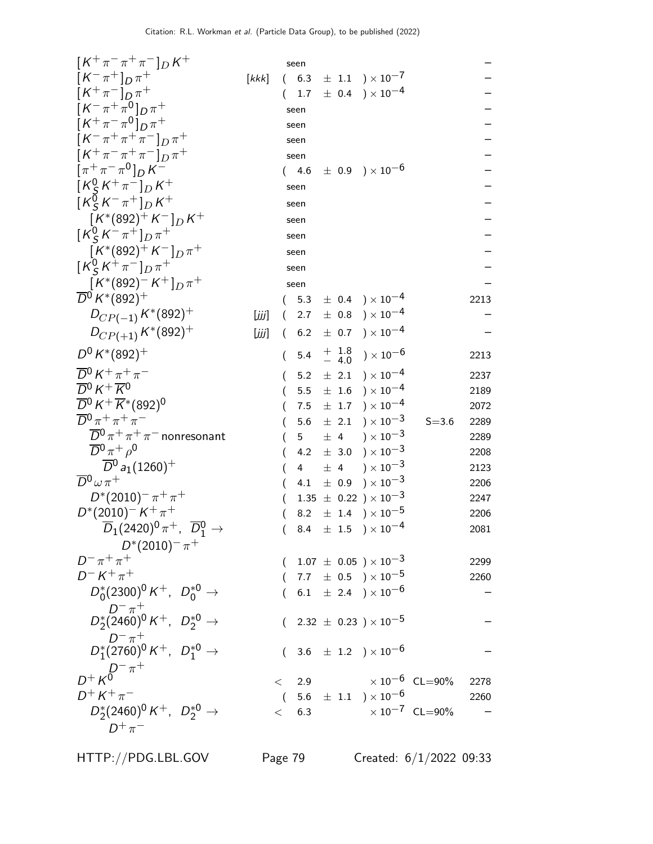| $[K^+\pi^-\pi^+\pi^-]_D K^+$                                                               |       |          | seen            |         |                                                                            |                                 |      |
|--------------------------------------------------------------------------------------------|-------|----------|-----------------|---------|----------------------------------------------------------------------------|---------------------------------|------|
| $[K^{-}\pi^{+}]_{D}\pi^{+}$                                                                | [kkk] |          | (6.3)           |         | $\pm$ 1.1 $\rightarrow$ $\times$ 10 <sup>-7</sup>                          |                                 |      |
| $[K^{+}\pi^{-}]_{D}\pi^{+}$                                                                |       |          |                 |         | $1.7 \pm 0.4$ ) $\times 10^{-4}$                                           |                                 |      |
| $[K^-\pi^+\pi^0]_{D}\pi^+$                                                                 |       |          | seen            |         |                                                                            |                                 |      |
| $[K^+\pi^-\pi^0]_{D}\pi^+$                                                                 |       |          | seen            |         |                                                                            |                                 |      |
| $[K^-\pi^+\pi^+\pi^-]_{D}\pi^+$                                                            |       |          | seen            |         |                                                                            |                                 |      |
| $[K^+\pi^-\pi^+\pi^-]_{D}\pi^+$                                                            |       |          | seen            |         |                                                                            |                                 |      |
| $[\pi^{+}\pi^{-}\pi^{0}]_{D}K^{-}$                                                         |       |          | (4.6)           |         | $\pm$ 0.9 $\mathrm{)}\times10^{-6}$                                        |                                 |      |
| $[K_S^0 K^+\pi^-]_D K^+$                                                                   |       |          | seen            |         |                                                                            |                                 |      |
| $\left[K_S^0 K^- \pi^+\right]_D K^+$                                                       |       |          | seen            |         |                                                                            |                                 |      |
| $[K^*(892)^+ K^-]_D K^+$                                                                   |       |          | seen            |         |                                                                            |                                 |      |
| $[K_S^0 K^- \pi^+]_D \pi^+$                                                                |       |          | seen            |         |                                                                            |                                 |      |
| $[K^*(892)^+K^-]_D\pi^+$                                                                   |       |          | seen            |         |                                                                            |                                 |      |
| $\left[ K_S^0 K^+ \pi^- \right]_{D} \pi^+$                                                 |       |          | seen            |         |                                                                            |                                 |      |
| $[K^*(892)^-K^+]_{D} \pi^+$                                                                |       |          | seen            |         |                                                                            |                                 |      |
| $\overline{D}{}^0 K^*(892)^+$                                                              |       |          | 5.3             |         | $\pm$ 0.4 ) $\times$ 10 <sup>-4</sup>                                      |                                 | 2213 |
| $D_{CP(-1)} K^*(892)^+$                                                                    | [ززز] | $\left($ | 2.7             |         | $\pm$ 0.8 $\mathrm{)}\times10^{-4}$                                        |                                 |      |
| $D_{CP(+1)} K^*(892)^+$                                                                    | [iii] | $\left($ | 6.2             |         | $\pm$ 0.7 ) $\times$ 10 <sup>-4</sup>                                      |                                 |      |
| $D^0 K^*(892)^+$                                                                           |       | $\left($ | 5.4             |         | $\begin{array}{cc} +& 1.8\ -& 4.0 \end{array}$ ) $\times$ 10 <sup>-6</sup> |                                 | 2213 |
| $\overline{D}{}^0 K^+ \pi^+ \pi^-$                                                         |       |          | 5.2             |         | $\pm$ 2.1 $) \times 10^{-4}$                                               |                                 | 2237 |
| $\overline{D}^0 K^+ \overline{K}^0$                                                        |       |          |                 |         | $5.5 \pm 1.6$ $) \times 10^{-4}$                                           |                                 | 2189 |
| $\overline{D}{}^0 K^+ \overline{K}{}^*(892)^0$                                             |       |          |                 |         | 7.5 $\pm$ 1.7 $) \times 10^{-4}$                                           |                                 | 2072 |
| $\overline{D}{}^0\pi^+\pi^+\pi^-$                                                          |       |          | 5.6             |         | $\pm$ 2.1 ) $\times 10^{-3}$                                               | $S = 3.6$                       | 2289 |
| $\overline{D}{}^0 \pi^+ \pi^+ \pi^-$ nonresonant                                           |       |          |                 |         | $5 \pm 4$ $\times 10^{-3}$                                                 |                                 | 2289 |
| $\overline{D}{}^0 \pi^+ \rho^0$                                                            |       |          | 4.2             |         | $\pm$ 3.0 $\rightarrow$ $\times 10^{-3}$                                   |                                 | 2208 |
| $\overline{D}{}^0$ a <sub>1</sub> (1260) <sup>+</sup>                                      |       |          | $4\overline{ }$ | $\pm$ 4 | ) $\times$ 10 $^{-3}$                                                      |                                 | 2123 |
| $\overline{D}{}^0\omega \pi^+$                                                             |       |          | 4.1             |         | $\pm$ 0.9 $\mathrm{)}\times10^{-3}$                                        |                                 | 2206 |
| $D^{*}(2010)^{-} \pi^{+} \pi^{+}$                                                          |       |          |                 |         | $1.35 \pm 0.22$ ) × $10^{-3}$                                              |                                 | 2247 |
| $D^*(2010)^{-} K^+\pi^+$                                                                   |       |          |                 |         | 8.2 $\pm$ 1.4 $\rightarrow$ $\times 10^{-5}$                               |                                 | 2206 |
| $\overline{D}_1(2420)^0 \, \pi^+, \ \overline{D}{}^0_1 \rightarrow$                        |       |          |                 |         | 8.4 $\pm$ 1.5 $\rightarrow$ 10 <sup>-4</sup>                               |                                 | 2081 |
| $D^*(2010)^{-} \pi^+$                                                                      |       |          |                 |         |                                                                            |                                 |      |
| $D^- \pi^+ \pi^+$                                                                          |       |          |                 |         | $(1.07 \pm 0.05) \times 10^{-3}$                                           |                                 | 2299 |
| $D^- K^+ \pi^+$                                                                            |       |          |                 |         | $(7.7 \pm 0.5) \times 10^{-5}$                                             |                                 | 2260 |
| $D_0^*(2300)^0 K^+$ , $D_0^{*0} \to$                                                       |       |          |                 |         | $(6.1 \pm 2.4) \times 10^{-6}$                                             |                                 |      |
| $D^{-}{}_{0}^{+}$<br>$D_{2}^{*}(2460)^{0} K^{+}$ , $D_{2}^{*0}$ $\rightarrow$              |       |          |                 |         | $2.32~\pm~0.23~)\times10^{-5}$                                             |                                 |      |
| $\begin{array}{ccc} D^-\pi^+ & D^+_{1}(2760)^0 \, K^+ & D^{*0}_{1}\rightarrow \end{array}$ |       |          |                 |         | $(3.6 \pm 1.2) \times 10^{-6}$                                             |                                 |      |
| $D^{+} K^{D^{-} \pi^{+}}$                                                                  |       |          |                 |         |                                                                            | $\times 10^{-6}$ CL=90%         | 2278 |
| $D^{+} K^{+} \pi^{-}$                                                                      |       |          | $\langle$ 2.9   |         | $(5.6 \pm 1.1) \times 10^{-6}$                                             |                                 | 2260 |
| $D_2^*(2460)^0 K^+$ , $D_2^{*0} \rightarrow$                                               |       |          |                 |         |                                                                            | $< 6.3$ $\times 10^{-7}$ CL=90% |      |
| $D^+\pi^-$                                                                                 |       |          |                 |         |                                                                            |                                 |      |
| HTTP://PDG.LBL.GOV                                                                         |       | Page 79  |                 |         |                                                                            | Created: $6/1/2022$ 09:33       |      |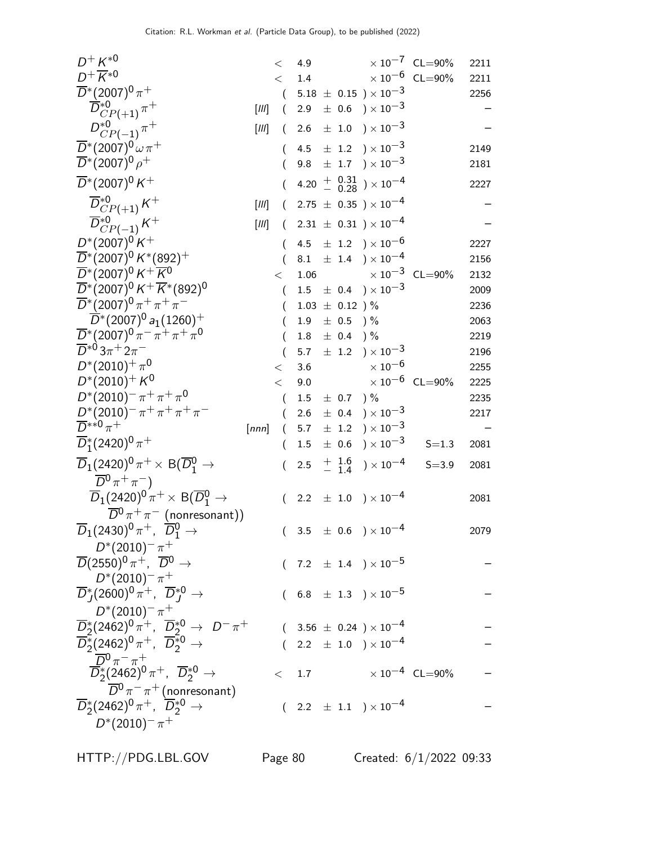| $D^{+} K^{*0}$                                                                                          |         | $\,<\,$        | 4.9     |                    |                                                                               | $\times 10^{-7}$ CL=90%          | 2211 |
|---------------------------------------------------------------------------------------------------------|---------|----------------|---------|--------------------|-------------------------------------------------------------------------------|----------------------------------|------|
| $D^+\overline{K}{}^{*0}$                                                                                |         | $\lt$          | 1.4     |                    |                                                                               | $\times\,10^{-6}$ CL=90%         | 2211 |
| $\overline{D}^*(2007)^0 \pi^+$                                                                          |         |                |         |                    | $5.18 \pm 0.15$ $) \times 10^{-3}$                                            |                                  | 2256 |
| $\overline{D}_{CP(+1)}^{*0}$ $\pi^+$                                                                    | $[III]$ | (              | 2.9     |                    | $\pm$ 0.6 $\mathrm{)}\times10^{-3}$                                           |                                  |      |
| $D_{CP(-1)}^{*0} \pi^+$                                                                                 | $[III]$ | (              | 2.6     |                    | $\pm$ 1.0 $\rightarrow$ $\times 10^{-3}$                                      |                                  |      |
| $\overline{D}^*(2007)^0 \omega \pi^+$                                                                   |         |                |         |                    | 4.5 $\pm$ 1.2 $) \times 10^{-3}$                                              |                                  | 2149 |
| $\overline{D}^*(2007)^0 \rho^+$                                                                         |         |                | 9.8     |                    | $\pm$ 1.7 $\rightarrow$ $\times$ 10 <sup>-3</sup>                             |                                  | 2181 |
| $\overline{D}$ *(2007) <sup>0</sup> K <sup>+</sup>                                                      |         |                |         |                    | 4.20 $+$ $\begin{array}{c} 0.31 \\ - 0.28 \end{array}$ ) $\times 10^{-4}$     |                                  | 2227 |
| $\overline{D}^{*0}_{CP(+1)}K^+$                                                                         | $[III]$ | $\left($       |         |                    | $2.75 \pm 0.35$ ) × $10^{-4}$                                                 |                                  |      |
| $\overline{D}^{*0}_{CP(-1)}K^+$                                                                         | $[III]$ |                |         |                    | $2.31 \pm 0.31$ ) $\times 10^{-4}$                                            |                                  |      |
| $D^*(2007)^0 K^+$                                                                                       |         | €              |         |                    | 4.5 $\pm$ 1.2 $) \times 10^{-6}$                                              |                                  | 2227 |
| $\overline{D}^*(2007)^0 K^*(892)^+$                                                                     |         |                |         |                    | 8.1 $\pm$ 1.4 $) \times 10^{-4}$                                              |                                  | 2156 |
| $\overline{D}^*(2007)^0$ K <sup>+</sup> $\overline{K}^0$                                                |         | $\lt$          | 1.06    |                    |                                                                               | $\times$ $10^{-3}$ $\,$ CL=90%   | 2132 |
| $\overline{D}^*(2007)^0$ K <sup>+</sup> $\overline{K}^*(892)^0$                                         |         | $\left($       |         |                    | $1.5 \pm 0.4$ $) \times 10^{-3}$                                              |                                  | 2009 |
| $\overline{D}^*(2007)^0 \pi^+ \pi^+ \pi^-$                                                              |         |                |         | $1.03 \pm 0.12$ )% |                                                                               |                                  | 2236 |
| $\overline{D}^*(2007)^0 a_1(1260)^+$                                                                    |         |                | 1.9     | $\pm$ 0.5 ) %      |                                                                               |                                  | 2063 |
| $\overline{D}^*(2007)^0 \pi^- \pi^+ \pi^+ \pi^0$                                                        |         |                | $1.8\,$ | $\pm$ 0.4 ) %      |                                                                               |                                  | 2219 |
| $\overline{D}^{*0}3\pi$ <sup>+</sup> 2 $\pi$ <sup>-</sup>                                               |         |                | 5.7     |                    | $\pm$ 1.2 $) \times 10^{-3}$                                                  |                                  | 2196 |
| $D^*(2010)^+ \pi^0$                                                                                     |         | $\,<\,$        | 3.6     |                    | $\times$ 10 $^{-6}$                                                           |                                  | 2255 |
| $D^*(2010)^+ K^0$                                                                                       |         | $\lt$          | 9.0     |                    |                                                                               | $\times 10^{-6}$ CL=90%          | 2225 |
| $D^*(2010)^{-} \pi^+ \pi^+ \pi^0$                                                                       |         | $\overline{(}$ | 1.5     | $\pm$ 0.7 ) %      |                                                                               |                                  | 2235 |
| $D^*(2010)^{-} \pi^+ \pi^+ \pi^+ \pi^-$                                                                 |         |                | 2.6     |                    | $\pm$ 0.4 ) $\times$ 10 <sup>-3</sup>                                         |                                  | 2217 |
| $\overline{D}^{**0}\pi^+$                                                                               | [nnn]   |                | 5.7     |                    | $\pm$ 1.2 $\rightarrow$ $\times$ 10 <sup>-3</sup>                             |                                  |      |
| $\overline{D}_1^*(2420)^0 \pi^+$                                                                        |         |                | 1.5     |                    | $\pm$ 0.6 ) $\times$ 10 <sup>-3</sup>                                         | $S = 1.3$                        | 2081 |
| $\overline{D}_1(2420)^0 \pi^+ \times B(\overline{D}^0_1 \rightarrow$                                    |         |                | 2.5     | $+$ 1.6<br>- 1.4   | ) $\times$ 10 $^{-4}$                                                         | $S = 3.9$                        | 2081 |
| $\overline{D}{}^0\pi^+\pi^-)$                                                                           |         |                |         |                    |                                                                               |                                  |      |
| $\overline{D}_1(2420)^0 \pi^+ \times B(\overline{D}^0_1 \rightarrow$                                    |         | $\left($       |         |                    | 2.2 $\pm$ 1.0 $) \times 10^{-4}$                                              |                                  | 2081 |
| $\overline{D}{}^0 \pi^+ \pi^-$ (nonresonant))                                                           |         |                |         |                    |                                                                               |                                  |      |
| $\overline{D}_1(2430)^0 \pi^+$ , $\overline{D}_1^0 \rightarrow$                                         |         |                |         |                    | $( \phantom{0}3.5 \phantom{0} \pm \phantom{0}0.6 \phantom{0}) \times 10^{-4}$ |                                  | 2079 |
| $D^{*}(2010)^{-} \pi^{+}$                                                                               |         |                |         |                    |                                                                               |                                  |      |
| $\overline{D}(2550)^{0} \pi^{+}$ , $\overline{D}^{0} \to$                                               |         |                |         |                    | $(7.2 \pm 1.4) \times 10^{-5}$                                                |                                  |      |
| $D^{*}(2010)^{-} \pi^{+}$                                                                               |         |                |         |                    |                                                                               |                                  |      |
| $\overline{D}^*_{I}(2600)^0 \pi^+$ , $\overline{D}^{*0}_{I} \rightarrow$                                |         |                |         |                    | $(6.8 \pm 1.3) \times 10^{-5}$                                                |                                  |      |
| $D^{*}(2010)^{-} \pi^{+}$                                                                               |         |                |         |                    |                                                                               |                                  |      |
| $\overline{D}_2^*(2462)^0 \pi^+, \ \overline{D}_2^{*0} \to D^- \pi^+$                                   |         |                |         |                    | $(3.56 \pm 0.24) \times 10^{-4}$                                              |                                  |      |
| $\overline{D}_2^*(2462)^0 \pi^+$ , $\overline{D}_2^{*0}$ $\rightarrow$                                  |         |                |         |                    | 2.2 $\pm$ 1.0 $) \times 10^{-4}$                                              |                                  |      |
| $\overline{D}{}^0 \pi^- \pi^+$                                                                          |         |                |         |                    |                                                                               |                                  |      |
| $\overline{D}_2^*(2462)^0 \pi^+$ , $\overline{D}_2^{*0}$ $\rightarrow$                                  |         | $\lt$          | 1.7     |                    |                                                                               | $\times$ 10 <sup>-4</sup> CL=90% |      |
| $\overline{D}^0 \pi^- \pi^+$ (nonresonant)<br>$\overline{D}_2^*(2462)^0 \pi^+, \overline{D}_2^{*0} \to$ |         |                |         |                    |                                                                               |                                  |      |
|                                                                                                         |         |                |         |                    | $(2.2 \pm 1.1) \times 10^{-4}$                                                |                                  |      |
| $D^{*}(2010)^{-} \pi^{+}$                                                                               |         |                |         |                    |                                                                               |                                  |      |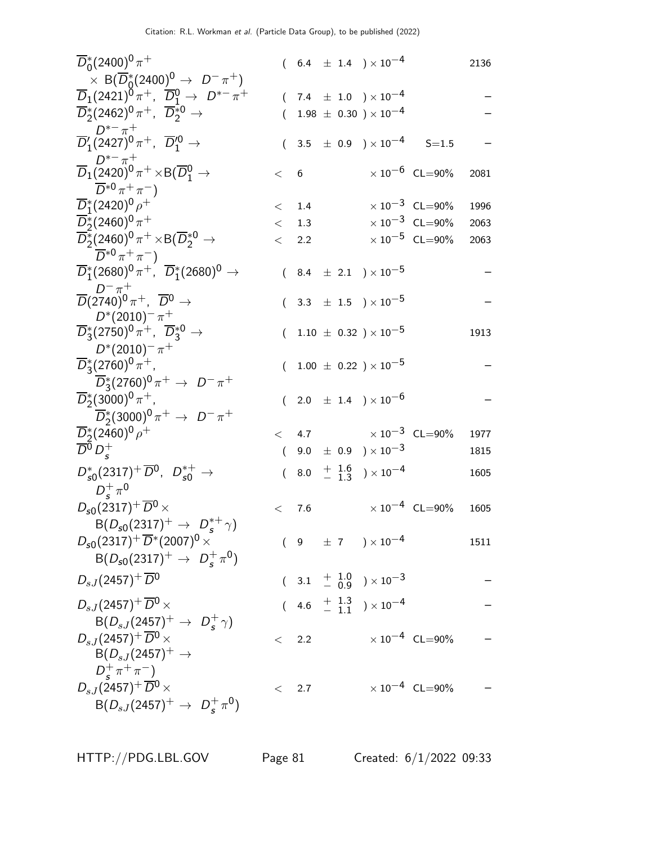| $\overline{D}_0^*(2400)^0 \pi^+$                                                                                  |          |           |  | $(6.4 \pm 1.4) \times 10^{-4}$            |                                  | 2136 |
|-------------------------------------------------------------------------------------------------------------------|----------|-----------|--|-------------------------------------------|----------------------------------|------|
| $\times$ B( $\overline{D}_0^*(2400)^0 \rightarrow D^-\pi^+)$                                                      |          |           |  |                                           |                                  |      |
| $\overline{D}_1(2421)^0 \pi^+$ , $\overline{D}_1^0 \to D^{*-} \pi^+$                                              |          |           |  | $(7.4 \pm 1.0) \times 10^{-4}$            |                                  |      |
| $\overline{D}_2^*(2462)^0 \pi^+$ , $\overline{D}_2^{*0}$ $\rightarrow$                                            | (        |           |  | $1.98 \pm 0.30$ ) $\times 10^{-4}$        |                                  |      |
| $D^{*-} \pi^+$<br>$\overline{D}'_1(2427)^0 \pi^+$ , $\overline{D}'^0_1 \rightarrow$                               |          |           |  | $(3.5 \pm 0.9) \times 10^{-4}$ S=1.5      |                                  |      |
| $\overline{D}_1(\overline{2420})^0 \pi^+ \!\times\! {\rm B}(\overline{D}_1^0\to$<br>$\overline{D}^{*0}\pi^+\pi^-$ | < 6      |           |  |                                           | $\times 10^{-6}$ CL=90%          | 2081 |
| $\overline{D}_1^*(2420)^0 \rho^+$                                                                                 |          | $<$ 1.4   |  |                                           | $\times 10^{-3}$ CL=90%          | 1996 |
| $\overline{D}_2^*(2460)^0 \pi^+$                                                                                  |          | $\lt$ 1.3 |  |                                           | $\times 10^{-3}$ CL=90%          | 2063 |
| $\overline{D_2^*}(2460)^0 \pi^+ \times B(\overline{D}_2^{*0} \rightarrow$                                         |          | < 2.2     |  |                                           | $\times$ 10 <sup>-5</sup> CL=90% | 2063 |
| $\overline{D}^{*0}\pi^+\pi^-$                                                                                     |          |           |  |                                           |                                  |      |
| $\overline{D}_1^*(2680)^0\,\pi^+$ , $\overline{D}_1^*(2680)^0\to$                                                 |          |           |  | $(8.4 \pm 2.1) \times 10^{-5}$            |                                  |      |
| $\overline{D}$ $(\overline{2740})^0 \pi^+$ , $\overline{D}{}^0 \rightarrow$                                       | (        |           |  | $3.3$ $\pm$ $1.5$ $)\times 10^{-5}$       |                                  |      |
| $D^{*}(2010)^{-} \pi^{+}$<br>$\overline{D}_3^*(2750)^0 \pi^+$ , $\overline{D}_3^{*0}$ $\rightarrow$               | €        |           |  | $1.10 \pm 0.32$ ) $\times 10^{-5}$        |                                  | 1913 |
| $D^{*}(2010)^{-} \pi^{+}$                                                                                         |          |           |  |                                           |                                  |      |
| $\overline{D}_3^*(2760)^0 \pi^+$ ,                                                                                | (        |           |  | $1.00 \pm 0.22$ ) $\times 10^{-5}$        |                                  |      |
| $\overline{D}_3^*(2760)^0 \pi^+ \to D^- \pi^+$                                                                    |          |           |  |                                           |                                  |      |
| $\overline{D}_2^*(3000)^0 \pi^+,$                                                                                 |          |           |  | $(2.0 \pm 1.4) \times 10^{-6}$            |                                  |      |
| $\overline{D}_2^*(3000)^0 \pi^+ \to D^- \pi^+$                                                                    |          |           |  |                                           |                                  |      |
| $\overline{D}_2^*(2460)^0 \rho^+$                                                                                 |          |           |  | $< 4.7 \times 10^{-3} \text{ CL} = 90\%$  |                                  | 1977 |
| $\overline{D}{}^0 D^+_s$                                                                                          | $\left($ |           |  | 9.0 $\pm$ 0.9 $) \times 10^{-3}$          |                                  | 1815 |
| $D_{s0}^*(2317)^+ \overline{D}^0$ , $D_{s0}^{*+} \rightarrow$                                                     |          |           |  | $(8.0 + \frac{1.6}{1.3}) \times 10^{-4}$  |                                  | 1605 |
| $D_s^+\pi^0$<br>$D_{s0}(2317)^{+} \overline{D}{}^{0} \times$                                                      |          |           |  |                                           |                                  |      |
|                                                                                                                   | $\lt$    | 7.6       |  |                                           | $\times$ 10 <sup>-4</sup> CL=90% | 1605 |
| $B(D_{s0}(2317)^{+} \rightarrow D_{s}^{*+}\gamma)$<br>$D_{s0}(2317)^{+}\overline{D}^{*}(2007)^{0}$ ×              |          |           |  | $(9 \pm 7) \times 10^{-4}$                |                                  |      |
|                                                                                                                   |          |           |  |                                           |                                  | 1511 |
| $B(D_{s0}(2317)^{+} \rightarrow D_{s}^{+} \pi^{0})$                                                               |          |           |  |                                           |                                  |      |
| $D_{sJ}(2457)^{+}$ $\overline{D}{}^{0}$                                                                           |          |           |  | $(3.1 + \frac{1.0}{0.9}) \times 10^{-3}$  |                                  |      |
| $D_{sJ}(2457)^+\overline{D}{}^0\times$                                                                            |          |           |  | $(4.6 \tfrac{+1.3}{-1.1}) \times 10^{-4}$ |                                  |      |
| $B(D_{sJ}(2457)^{+} \to D_{s}^{+}\gamma)$                                                                         |          |           |  |                                           |                                  |      |
| $D_{s,J}(2457)^{+} \overline{D}{}^{0} \times$                                                                     |          | < 2.2     |  |                                           | $\times 10^{-4}$ CL=90%          |      |
| $B(D_{sJ}(2457)^+\rightarrow$                                                                                     |          |           |  |                                           |                                  |      |
| $D_{\epsilon}^{+} \pi^{+} \pi^{-}$                                                                                |          |           |  |                                           |                                  |      |
| $D_{sJ}(2457)^+\overline{D}{}^0\times$                                                                            | $\lt$    | 2.7       |  |                                           | $\times 10^{-4}$ CL=90%          |      |
| $B(D_{sJ}(2457)^+ \rightarrow D_s^+\pi^0)$                                                                        |          |           |  |                                           |                                  |      |

HTTP://PDG.LBL.GOV Page 81 Created: 6/1/2022 09:33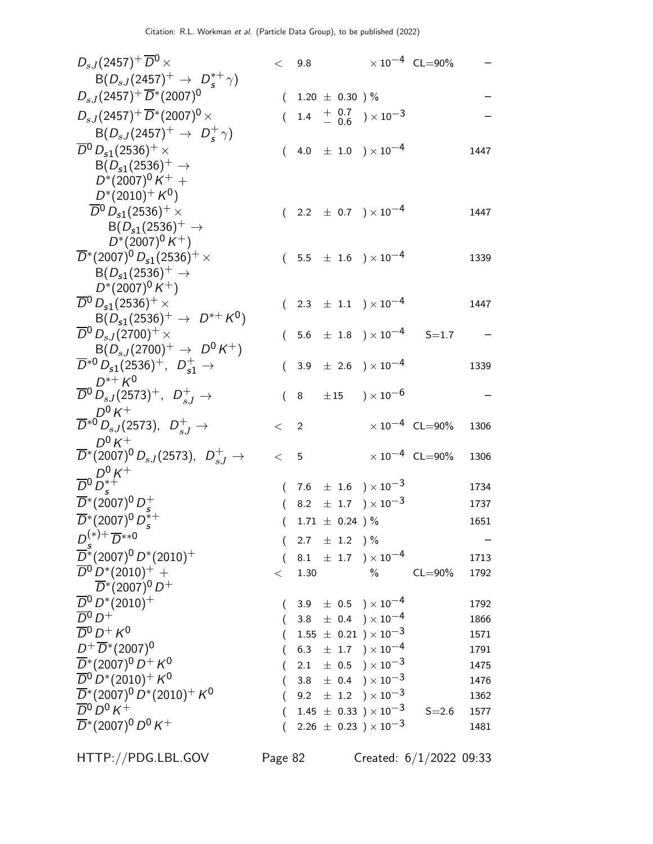| $D_{sJ}(2457)^+\overline{D}{}^0\times$                                                                    |          | < 9.8 |                    |                                              | $\times 10^{-4}$ CL=90%          |      |
|-----------------------------------------------------------------------------------------------------------|----------|-------|--------------------|----------------------------------------------|----------------------------------|------|
| $B(D_{sJ}(2457)^{+} \rightarrow D_{s}^{*+}\gamma)$                                                        |          |       |                    |                                              |                                  |      |
| $D_{sJ}(2457)^{+}\overline{D}^{*}(2007)^{0}$                                                              | $\left($ |       | $1.20 \pm 0.30$ )% |                                              |                                  |      |
| $D_{sJ}(2457)^{+}\overline{D}^{*}(2007)^{0}\times$                                                        | $\left($ |       |                    | 1.4 $+$ 0.7 $\rightarrow$ 10 <sup>-3</sup>   |                                  |      |
| $B(D_{sJ}(2457)^{+} \to D_{s}^{+}\gamma)$                                                                 |          |       |                    |                                              |                                  |      |
| $\overline{D}{}^0$ $D_{s1}(2536)^+$ $\times$                                                              |          |       |                    | $(4.0 \pm 1.0) \times 10^{-4}$               |                                  | 1447 |
| $B(D_{s1}(2536)^+ \rightarrow$                                                                            |          |       |                    |                                              |                                  |      |
| $D^*(2007)^0 K^+ +$                                                                                       |          |       |                    |                                              |                                  |      |
| $D^*(2010)^+ K^0$                                                                                         |          |       |                    |                                              |                                  |      |
| $\overline{D}{}^0 D_{s1}(2536)^+$ ×                                                                       |          |       |                    | $(2.2 \pm 0.7) \times 10^{-4}$               |                                  | 1447 |
| $B(D_{s1}(2536)^+ \rightarrow$                                                                            |          |       |                    |                                              |                                  |      |
| $D^*(2007)^0 K^+$                                                                                         |          |       |                    |                                              |                                  |      |
| $\overline{D}^*(2007)^0 D_{s1}(2536)^+$ $\times$                                                          |          |       |                    | $(5.5 \pm 1.6) \times 10^{-4}$               |                                  | 1339 |
| $B(D_{s1}(2536)^+ \rightarrow$                                                                            |          |       |                    |                                              |                                  |      |
| $D^*(2007)^0 K^+)$<br>$\overline{D}{}^0\, D_{\mathsf{s}1}(2536)^+\,\times$                                |          |       |                    |                                              |                                  |      |
| $B(D_{s1}(2536)^+\rightarrow D^{*+}K^0)$                                                                  |          |       |                    | $(2.3 \pm 1.1) \times 10^{-4}$               |                                  | 1447 |
| $\overline{D}{}^0$ $D_{s,I}(2700)^+$ $\times$                                                             |          |       |                    | $(5.6 \pm 1.8) \times 10^{-4}$ S=1.7         |                                  |      |
| $B(D_{sJ}(2700)^+ \to D^0 K^+)$                                                                           |          |       |                    |                                              |                                  |      |
| $\overline{D}^{*0} D_{s1}(2536)^{+}$ , $D_{s1}^{+} \rightarrow$                                           | (        |       |                    | 3.9 $\pm$ 2.6 $\right) \times 10^{-4}$       |                                  | 1339 |
| $D^{*+} K^0$                                                                                              |          |       |                    |                                              |                                  |      |
| $\overline{D}{}^0\, D_{sJ}(2573)^+$ , $D_{sJ}^+ \rightarrow$                                              |          |       |                    | $(8 \pm 15) \times 10^{-6}$                  |                                  |      |
| $D^0 K^+$                                                                                                 |          |       |                    |                                              |                                  |      |
| $\overline{D}^{*0} D_{sJ}$ (2573), $D_{sJ}^+ \rightarrow$                                                 | $\lt$ 2  |       |                    |                                              | $\times$ 10 <sup>-4</sup> CL=90% | 1306 |
| $D^0 K^+$                                                                                                 |          |       |                    |                                              |                                  |      |
| $\overline{D}{}^*(2007)^0\, D_{sJ}(2573),\ \ D_{sJ}^+\rightarrow$                                         | < 5      |       |                    |                                              | $\times 10^{-4}$ CL=90%          | 1306 |
| $D^0 D_s^8 + D^0 K^+$                                                                                     |          |       |                    |                                              |                                  |      |
|                                                                                                           |          |       |                    | $(7.6 \pm 1.6) \times 10^{-3}$               |                                  | 1734 |
| $\overline{D}^*(2007)^0 D_s^+$                                                                            |          |       |                    | 8.2 $\pm$ 1.7 $) \times 10^{-3}$             |                                  | 1737 |
| $\overline{D}^*(2007)^0 D_s^{*+}$                                                                         | €        |       | $1.71 \pm 0.24$ )% |                                              |                                  | 1651 |
| $D^{(*)+} \overline{D}^{**0}$                                                                             |          |       | 2.7 $\pm$ 1.2 ) %  |                                              |                                  |      |
| $\overline{D}$ *(2007) <sup>0</sup> $D$ *(2010) <sup>+</sup>                                              |          |       |                    | 8.1 $\pm$ 1.7 $\right) \times 10^{-4}$       |                                  | 1713 |
| $\overline{D}{}^0 D^* (2010)^+$ +                                                                         | $\,<\,$  | 1.30  |                    | $\%$                                         | $CL = 90\%$                      | 1792 |
| $\overline{D}^*(2007)^0 D^+$                                                                              |          |       |                    |                                              |                                  |      |
| $\overline{D}{}^0 D^* (2010)^+$                                                                           | €        |       |                    | $3.9 \pm 0.5$ $) \times 10^{-4}$             |                                  | 1792 |
| $\overline{D}{}^0 D^+$                                                                                    |          |       |                    | 3.8 $\pm$ 0.4 $\rightarrow$ $\times 10^{-4}$ |                                  | 1866 |
| $\overline{D}{}^0 D^+ K^0$                                                                                |          |       |                    | $1.55 \pm 0.21$ $) \times 10^{-3}$           |                                  | 1571 |
| $D^{+}\overline{D}^{*}(2007)^{0}$                                                                         |          |       |                    | 6.3 $\pm$ 1.7 $\right) \times 10^{-4}$       |                                  | 1791 |
| $\overline{D}^*(2007)^0 D^+ K^0$                                                                          |          |       |                    | 2.1 $\pm$ 0.5 $\right) \times 10^{-3}$       |                                  | 1475 |
| $\overline{D}{}^0\,D^*(2010)^+\,K^0$                                                                      |          |       |                    | 3.8 $\pm$ 0.4 $\right) \times 10^{-3}$       |                                  | 1476 |
| $\overline{D}$ *(2007) <sup>0</sup> $D$ *(2010) <sup>+</sup> K <sup>0</sup><br>$\overline{D}{}^0 D^0 K^+$ |          |       |                    | 9.2 $\pm$ 1.2 $\right) \times 10^{-3}$       |                                  | 1362 |
| $\overline{D}^*(2007)^0 D^0 K^+$                                                                          |          |       |                    | $1.45 \pm 0.33$ $)\times 10^{-3}$            | $S = 2.6$                        | 1577 |
|                                                                                                           |          |       |                    | $2.26 \pm 0.23$ ) $\times 10^{-3}$           |                                  | 1481 |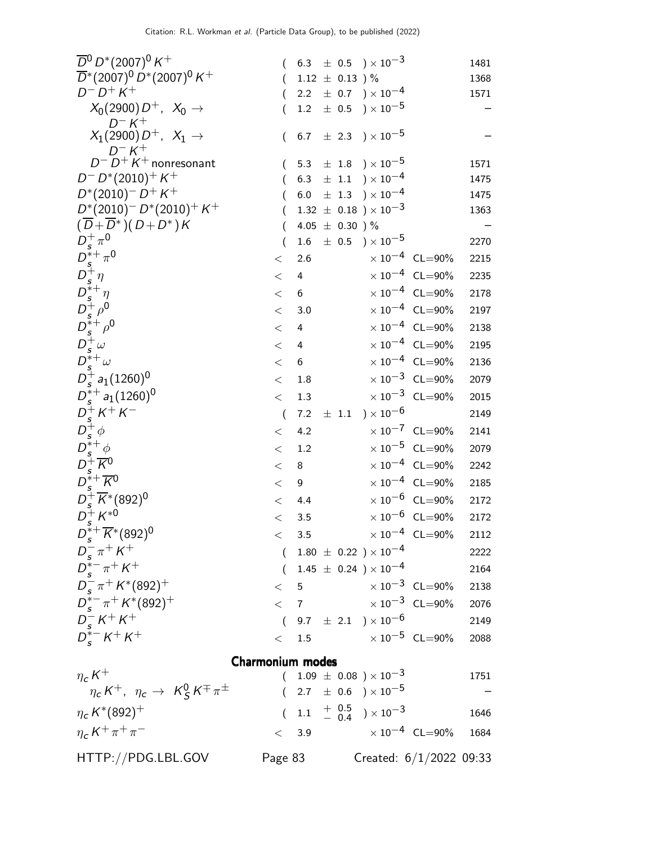| $\overline{D}{}^0\,D^*(2007)^0\,K^+$                                                                                                                         |                         |                  |           | 6.3 $\pm$ 0.5 $\times$ 10 <sup>-3</sup>   |                                  | 1481 |
|--------------------------------------------------------------------------------------------------------------------------------------------------------------|-------------------------|------------------|-----------|-------------------------------------------|----------------------------------|------|
| $\overline{D}^*(2007)^0 D^*(2007)^0 K^+$                                                                                                                     |                         |                  |           | $1.12 \pm 0.13$ )%                        |                                  | 1368 |
| $D^{-} D^{+} K^{+}$                                                                                                                                          |                         | 2.2              |           | $\pm$ 0.7 ) $\times$ 10 $^{-4}$           |                                  | 1571 |
| $X_0(2900) D^+$ , $X_0 \to$<br>$D^- K^+$                                                                                                                     |                         | 1.2              |           | $\pm$ 0.5 $\mathrm{)}\times10^{-5}$       |                                  |      |
| $X_1(2900) D^+$ , $X_1 \to$<br>$D^- K^+$                                                                                                                     | $\left($                | 6.7              |           | $\pm$ 2.3 ) $\times 10^{-5}$              |                                  |      |
| $D^- D^+ K^+$ nonresonant                                                                                                                                    |                         | 5.3              |           | $\pm$ 1.8 $\$ x 10^{-5}                   |                                  | 1571 |
| $D^- D^*(2010)^+ K^+$                                                                                                                                        |                         | 6.3              |           | $\pm$ 1.1 $)\times 10^{-4}$               |                                  | 1475 |
| $D^*(2010)^- D^+ K^+$                                                                                                                                        |                         |                  |           | 6.0 $\pm$ 1.3 $) \times 10^{-4}$          |                                  | 1475 |
| $D^*(2010)^- D^*(2010)^+ K^+$                                                                                                                                |                         |                  |           | 1.32 $\pm$ 0.18 $) \times 10^{-3}$        |                                  | 1363 |
| $(\overline{D} + \overline{D}^*) (D + D^*) K$                                                                                                                |                         |                  |           | 4.05 $\pm$ 0.30 ) %                       |                                  |      |
|                                                                                                                                                              | (                       | 1.6              |           | $\pm$ 0.5 $\mathrm{)}\times10^{-5}$       |                                  | 2270 |
| $\begin{array}{l} D_s^+\pi^0\\ D_s^{*+}\pi^0\\ D_s^{+}\eta\\ D_s^{*+}\eta\\ D_s^{*+}\rho^0\\ D_s^{*+}\omega\\ D_s^{*+}\omega\\ D_s^{*+}\omega\\ \end{array}$ | $<\,$                   | 2.6              |           |                                           | $\times 10^{-4}$ CL=90%          | 2215 |
|                                                                                                                                                              | $<\,$                   | 4                |           |                                           | $\times 10^{-4}$ CL=90%          | 2235 |
|                                                                                                                                                              | $<\,$                   | 6                |           |                                           | $\times 10^{-4}$ CL=90%          | 2178 |
|                                                                                                                                                              | $<\,$                   | 3.0              |           |                                           | $\times 10^{-4}$ CL=90%          | 2197 |
|                                                                                                                                                              | $<\,$                   | 4                |           |                                           | $\times 10^{-4}$ CL=90%          | 2138 |
|                                                                                                                                                              | $<\,$                   | 4                |           |                                           | $\times 10^{-4}$ CL=90%          | 2195 |
|                                                                                                                                                              | $<\,$                   | $\boldsymbol{6}$ |           |                                           | $\times 10^{-4}$ CL=90%          | 2136 |
| $D_s^+ a_1(1260)^0$                                                                                                                                          | $\,<$                   | 1.8              |           |                                           | $\times 10^{-3}$ CL=90%          | 2079 |
| $D_s^{*+}$ a <sub>1</sub> (1260) <sup>0</sup>                                                                                                                | $<\,$                   | 1.3              |           |                                           | $\times 10^{-3}$ CL=90%          | 2015 |
| $D_s^+ K^+ K^-$<br>$D_s^+ K^+ K^-$<br>$D_s^+ \phi$<br>$D_s^+ K^0$<br>$D_s^+ K^* (892)^0$<br>$D_s^+ K^{*0}$<br>$D_s^+ K^{*0}$                                 | $\overline{(}$          | 7.2              | $\pm$ 1.1 | ) $\times$ 10 $^{-6}$                     |                                  | 2149 |
|                                                                                                                                                              | $<\,$                   | 4.2              |           |                                           | $\times 10^{-7}$ CL=90%          | 2141 |
|                                                                                                                                                              | $<\,$                   | 1.2              |           |                                           | $\times 10^{-5}$ CL=90%          | 2079 |
|                                                                                                                                                              | $<\,$                   | 8                |           |                                           | $\times 10^{-4}$ CL=90%          | 2242 |
|                                                                                                                                                              | $<\,$                   | 9                |           |                                           | $\times 10^{-4}$ CL=90%          | 2185 |
|                                                                                                                                                              | $<\,$                   | 4.4              |           |                                           | $\times 10^{-6}$ CL=90%          | 2172 |
|                                                                                                                                                              | $<\,$                   | 3.5              |           |                                           | $\times$ $10^{-6}$ $\,$ CL=90%   | 2172 |
| $D_{s}^{\tilde{*}+}\overline{K}{}^{*}(892)^{0}$                                                                                                              |                         | 3.5              |           |                                           | $\times 10^{-4}$ CL=90% 2112     |      |
| $D_{s}^{-} \pi^{+} K^{+}$                                                                                                                                    |                         |                  |           | $(1.80 \pm 0.22) \times 10^{-4}$          |                                  | 2222 |
| $D_{s}^{*-} \pi^{+} K^{+}$                                                                                                                                   |                         |                  |           | $(1.45 \pm 0.24) \times 10^{-4}$          |                                  | 2164 |
| $D_{s}^{-} \pi^{+} K^{*}(892)^{+}$                                                                                                                           |                         | < 5              |           |                                           | $\times$ 10 $^{-3}$ CL=90%       | 2138 |
| $D_{s}^{*-} \pi^{+} K^{*}(892)^{+}$                                                                                                                          |                         |                  |           |                                           | $< 7$ $\times 10^{-3}$ CL=90%    | 2076 |
|                                                                                                                                                              |                         |                  |           | $(9.7 \pm 2.1) \times 10^{-6}$            |                                  | 2149 |
| $\begin{array}{c} D_s^- K^+ K^+ \\ D_s^{*-} K^+ K^+ \end{array}$                                                                                             | $\lt$                   |                  |           |                                           | 1.5 $\times 10^{-5}$ CL=90%      | 2088 |
|                                                                                                                                                              |                         |                  |           |                                           |                                  |      |
|                                                                                                                                                              | <b>Charmonium modes</b> |                  |           |                                           |                                  |      |
| $\eta_c K^+$                                                                                                                                                 | $\left($                |                  |           | $1.09 \pm 0.08$ ) × $10^{-3}$             |                                  | 1751 |
| $\eta_c K^+$ , $\eta_c \to K_S^0 K^\mp \pi^\pm$                                                                                                              | $\left($                |                  |           | 2.7 $\pm$ 0.6 $\right) \times 10^{-5}$    |                                  |      |
| $\eta_c K^*(892)^+$                                                                                                                                          |                         |                  |           | $(1.1 \tfrac{+0.5}{-0.4}) \times 10^{-3}$ |                                  | 1646 |
| $\eta_c K^+\pi^+\pi^-$                                                                                                                                       | $\lt$                   | 3.9              |           |                                           | $\times$ 10 <sup>-4</sup> CL=90% | 1684 |
| HTTP://PDG.LBL.GOV                                                                                                                                           | Page 83                 |                  |           |                                           | Created: $6/1/2022$ 09:33        |      |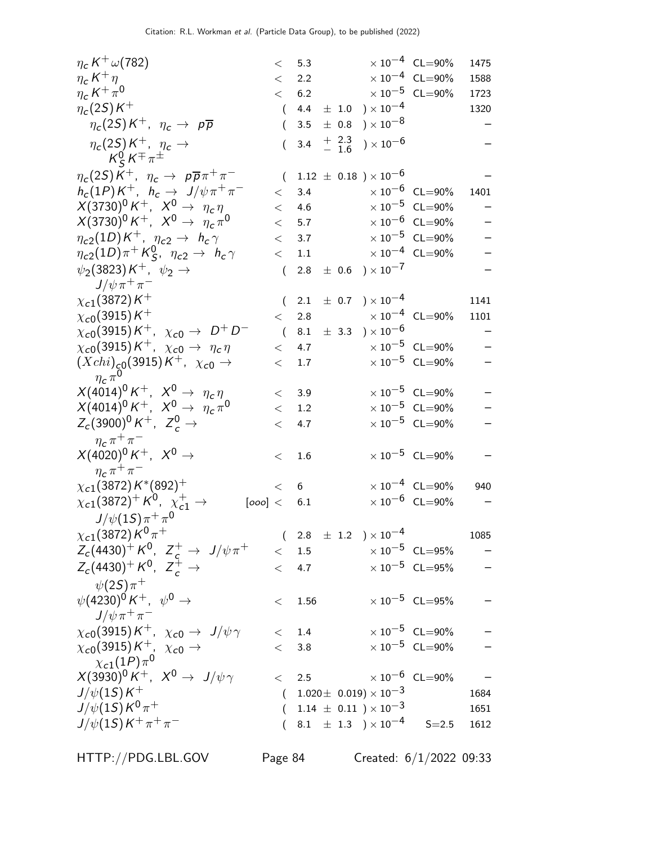| $\eta_c K^+ \omega(782)$                                        |          | < 5.3     |                      |                                     | $\times 10^{-4}$ CL=90%                                                    | 1475 |
|-----------------------------------------------------------------|----------|-----------|----------------------|-------------------------------------|----------------------------------------------------------------------------|------|
| $\eta_c K^+ \eta$                                               |          | $\lt$ 2.2 |                      |                                     | $\times$ 10 <sup>-4</sup> CL=90%                                           | 1588 |
| $\eta_c K^+\pi^0$                                               |          | < 6.2     |                      |                                     | $\times$ 10 <sup>-5</sup> CL=90%                                           | 1723 |
| $\eta_c(2S)K^+$                                                 |          |           |                      | $(4.4 \pm 1.0) \times 10^{-4}$      |                                                                            | 1320 |
| $\eta_c(2S)K^+$ , $\eta_c \rightarrow p\overline{p}$            | $\left($ | 3.5       |                      | $\pm$ 0.8 $\mathrm{)}\times10^{-8}$ |                                                                            |      |
| $\eta_c(2S)K^+$ , $\eta_c \rightarrow$<br>$K_S^0 K^\mp \pi^\pm$ | $\left($ |           | 3.4 $+$ 2.3<br>- 1.6 | ) $\times$ 10 <sup>-6</sup>         |                                                                            |      |
| $\eta_c(2S)K^+$ , $\eta_c \to p\overline{p}\pi^+\pi^-$          |          |           |                      | $(1.12 \pm 0.18) \times 10^{-6}$    |                                                                            |      |
| $h_c(1P)K^+$ , $h_c \rightarrow J/\psi \pi^+ \pi^-$             | $\lt$    | 3.4       |                      |                                     | $\times$ 10 $^{-6}$ CL=90%                                                 | 1401 |
| $X(3730)^0 K^+$ , $X^0 \to \eta_c \eta$                         | $\lt$    | 4.6       |                      |                                     | $\times 10^{-5}$ CL=90%                                                    |      |
| $X(3730)^0 K^+$ , $X^0 \to \eta_c \pi^0$                        | $\lt$    | 5.7       |                      |                                     | $\times 10^{-6}$ CL=90%                                                    |      |
| $\eta_{c2}(1D)K^+$ , $\eta_{c2} \rightarrow h_c \gamma$         | $\lt$    | 3.7       |                      |                                     | $\times$ 10 <sup>-5</sup> CL=90%                                           |      |
| $\eta_{c2}(1D)\pi^+K^0_S$ , $\eta_{c2} \rightarrow h_c \gamma$  | $\lt$    | 1.1       |                      |                                     | $\times 10^{-4}$ CL=90%                                                    |      |
| $\psi_2(3823)K^+$ , $\psi_2 \rightarrow$                        | $\left($ |           |                      | $2.8 \pm 0.6$ $) \times 10^{-7}$    |                                                                            |      |
| $J/\psi \pi^+ \pi^-$                                            |          |           |                      |                                     |                                                                            |      |
| $\chi_{c1}(3872)K^+$                                            |          |           |                      | $(2.1 \pm 0.7) \times 10^{-4}$      |                                                                            | 1141 |
| $\chi_{c0}(3915)K^+$                                            | $\lt$    |           |                      |                                     | 2.8 $\times 10^{-4}$ CL=90%                                                | 1101 |
| $\chi_{c0}(3915)K^+$ , $\chi_{c0} \to D^+D^-$                   | $\left($ |           |                      | 8.1 $\pm$ 3.3 $) \times 10^{-6}$    |                                                                            |      |
| $\chi_{c0}(3915)K^+$ , $\chi_{c0} \rightarrow \eta_c \eta$      | $\lt$    | 4.7       |                      |                                     | $\times$ 10 $^{-5}$ CL=90%                                                 |      |
| $(Xchi)_{c0}(3915)K^{+}$ , $\chi_{c0} \to$                      | $\lt$    | 1.7       |                      |                                     | $\times 10^{-5}$ CL=90%                                                    | -    |
| $\eta_c\pi^0$                                                   |          |           |                      |                                     |                                                                            |      |
| $X(4014)^0 K^+$ , $X^0 \to \eta_c \eta$                         |          | < 3.9     |                      |                                     | $\times 10^{-5}$ CL=90%                                                    |      |
| $X(4014)^0 K^+$ , $X^0 \rightarrow \eta_c \pi^0$                | $\lt$    | 1.2       |                      |                                     | $\times$ 10 <sup>-5</sup> CL=90%                                           |      |
| $Z_c(3900)^0 K^+$ , $Z_c^0 \to$                                 | $\lt$    | 4.7       |                      |                                     | $\times$ 10 <sup>-5</sup> CL=90%                                           |      |
| $\eta_c \pi^+ \pi^-$                                            |          |           |                      |                                     |                                                                            |      |
| $X(4020)^{0} K^{+}$ , $X^{0} \rightarrow$                       | $\lt$    | $1.6\,$   |                      |                                     | $\times 10^{-5}$ CL=90%                                                    |      |
| $\eta_c \pi^+ \pi^-$                                            |          |           |                      |                                     |                                                                            |      |
| $\chi_{c1}(3872) K^{*}(892)^{+}$                                |          | < 6       |                      |                                     | $\times$ 10 <sup>-4</sup> CL=90%                                           | 940  |
| $\chi_{c1}(3872)^+ K^0$ , $\chi_{c1}^+$ $\to$<br>[000] < 6.1    |          |           |                      |                                     | $\times$ 10 <sup>-6</sup> CL=90%                                           |      |
| $J/\psi(1S)\pi^{+}\pi^{0}$                                      |          |           |                      |                                     |                                                                            |      |
| $\chi_{c1}($ 3872) K $^0$ $\pi^+$                               |          |           |                      |                                     | $\left(\begin{array}{ccc} 2.8 & \pm\ 1.2 \end{array}\right)\times 10^{-4}$ | 1085 |
| $Z_c(4430)^+ K^0$ , $Z_c^+ \rightarrow J/\psi \pi^+$            |          | $<$ 1.5   |                      |                                     | $\times 10^{-5}$ CL=95%                                                    |      |
| $Z_c(4430)^+ K^0$ , $Z_c^+ \rightarrow$                         | $\lt$    | 4.7       |                      |                                     | $\times$ $10^{-5}$ $\,$ CL=95%                                             |      |
| $\psi(2S)\pi^+$                                                 |          |           |                      |                                     |                                                                            |      |
| $\psi(4230)^0 K^+$ , $\psi^0 \to$                               | $\lt$    | 1.56      |                      |                                     | $\times 10^{-5}$ CL=95%                                                    |      |
| $J/\psi \pi^+ \pi^-$                                            |          |           |                      |                                     |                                                                            |      |
| $\chi_{c0}(3915)K^+$ , $\chi_{c0} \rightarrow J/\psi \gamma$    |          | $<$ 1.4   |                      |                                     | $\times$ 10 <sup>-5</sup> CL=90%                                           |      |
| $\chi_{c0}(3915)K^+$ , $\chi_{c0} \rightarrow$                  | $\lt$    | 3.8       |                      |                                     | $\times$ 10 $^{-5}$ CL=90%                                                 |      |
| $\chi_{c1}(1P)\pi^0$                                            |          |           |                      |                                     |                                                                            |      |
| $X(3930)^0 K^+$ , $X^0 \rightarrow J/\psi \gamma$               | $\lt$    |           |                      |                                     | 2.5 $\times 10^{-6}$ CL=90%                                                |      |
| $J/\psi(1S)K^+$                                                 | $\left($ |           |                      | $1.020 \pm 0.019 \times 10^{-3}$    |                                                                            | 1684 |
| $J/\psi(1S)K^0\pi^+$                                            |          |           |                      | $(1.14 \pm 0.11) \times 10^{-3}$    |                                                                            | 1651 |
| $J/\psi(1S)K^+\pi^+\pi^-$                                       |          |           |                      |                                     | $(8.1 \pm 1.3) \times 10^{-4}$ S=2.5                                       | 1612 |
|                                                                 |          |           |                      |                                     |                                                                            |      |

HTTP://PDG.LBL.GOV Page 84 Created: 6/1/2022 09:33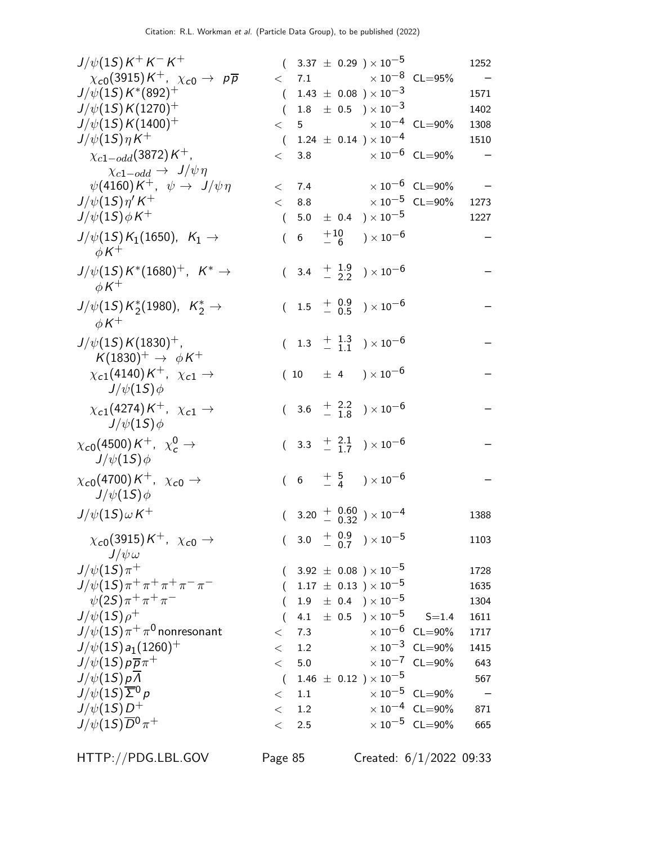| $J/\psi(1S)K^+K^-K^+$                                              |          |                     |  | $(3.37 \pm 0.29) \times 10^{-5}$                                      |                                | 1252 |
|--------------------------------------------------------------------|----------|---------------------|--|-----------------------------------------------------------------------|--------------------------------|------|
| $\chi_{c0}(3915)K^+$ , $\chi_{c0}\to p\overline{p}$                |          |                     |  | $<$ 7.1 $\times 10^{-8}$ CL=95%                                       |                                |      |
| $J/\psi(1S) K^*(892)^+$                                            | $\left($ |                     |  | $1.43 \pm 0.08$ ) $\times 10^{-3}$                                    |                                | 1571 |
| $J/\psi(1S) K(1270)^+$                                             | $\left($ |                     |  | $1.8 \pm 0.5$ $\times 10^{-3}$                                        |                                | 1402 |
| $J/\psi(15)K(1400)^+$                                              | $\lt$    |                     |  | 5 $\times 10^{-4}$ CL=90%                                             |                                | 1308 |
| $J/\psi(1S)\eta K^+$                                               |          |                     |  | $(1.24 \pm 0.14) \times 10^{-4}$                                      |                                | 1510 |
| $\chi_{c1-odd}(3872)K^{+}$ ,                                       |          |                     |  | $< 3.8$ $\times 10^{-6}$ CL=90%                                       |                                |      |
| $\chi_{c1-odd} \rightarrow J/\psi \eta$                            |          |                     |  |                                                                       |                                |      |
| $\psi(4160)K^+$ , $\psi \rightarrow J/\psi \eta$                   |          |                     |  | $<$ 7.4 $\times 10^{-6}$ CL=90%                                       |                                |      |
| $J/\psi(1S)\eta' K^+$                                              | $\lt$    |                     |  | 8.8 $\times 10^{-5}$ CL=90%                                           |                                | 1273 |
| $J/\psi(1S)\phi K^+$                                               |          |                     |  | $(5.0 \pm 0.4) \times 10^{-5}$                                        |                                | 1227 |
| $J/\psi(1S) K_1(1650)$ , $K_1 \to$<br>$\phi K^+$                   |          | $(6 + 10$<br>$-6$   |  | $) \times 10^{-6}$                                                    |                                |      |
| $J/\psi(1S) K^*(1680)^+$ , $K^* \to$<br>$\phi K^+$                 |          |                     |  | $(3.4 + \frac{1.9}{2.2}) \times 10^{-6}$                              |                                |      |
| $J/\psi(1S) K^*_{2}(1980)$ , $K^*_{2} \rightarrow$<br>$\phi K^+$   |          |                     |  | $(1.5 \frac{+}{-} \frac{0.9}{0.5}) \times 10^{-6}$                    |                                |      |
| $J/\psi(15)K(1830)^{+}$ ,<br>$K(1830)^+$ $\rightarrow \phi K^+$    |          |                     |  | $(1.3 \frac{+1.3}{-1.1}) \times 10^{-6}$                              |                                |      |
| $\chi_{c1}(4140)K^+$ , $\chi_{c1} \rightarrow$<br>$J/\psi(1S)\phi$ |          |                     |  | $(10 \pm 4) \times 10^{-6}$                                           |                                |      |
| $\chi_{c1}(4274)K^+$ , $\chi_{c1} \rightarrow$<br>$J/\psi(1S)\phi$ |          |                     |  | $(3.6 \tfrac{+}{-} \tfrac{2.2}{1.8}) \times 10^{-6}$                  |                                |      |
| $\chi_{c0}(4500)K^+$ , $\chi_c^0 \rightarrow$<br>$J/\psi(1S)\phi$  |          |                     |  | $(3.3 \tfrac{+}{-} \tfrac{2.1}{1.7}) \times 10^{-6}$                  |                                |      |
| $\chi_{c0}(4700)K^+$ , $\chi_{c0} \rightarrow$<br>$J/\psi(1S)\phi$ |          |                     |  | $(6 + \frac{5}{4}) \times 10^{-6}$                                    |                                |      |
| $J/\psi(15)\omega K^+$                                             |          |                     |  | $(3.20 + \begin{array}{c} 0.60 \\ - 0.32 \end{array}) \times 10^{-4}$ |                                | 1388 |
| $\chi_{c0}(3915)K^+$ , $\chi_{c0} \rightarrow$<br>$J/\psi \omega$  |          | $(3.0 + 0.9 - 0.7)$ |  | $) \times 10^{-5}$                                                    |                                | 1103 |
| $J/\psi(1S)\pi^+$                                                  |          |                     |  | $3.92~\pm~0.08$ $)\times 10^{-5}$                                     |                                | 1728 |
| $J/\psi(1S)\pi^+\pi^+\pi^+\pi^-\pi^-$                              |          |                     |  | $1.17 \pm 0.13$ ) $\times 10^{-5}$                                    |                                | 1635 |
| $\psi(2S)\pi^+\pi^+\pi^-$                                          |          |                     |  | $1.9 \pm 0.4$ $) \times 10^{-5}$                                      |                                | 1304 |
| $J/\psi(1S)\rho^+$                                                 |          |                     |  | 4.1 $\pm$ 0.5 $\right) \times 10^{-5}$                                | $S = 1.4$                      | 1611 |
| $J/\psi(1S)\pi^+\pi^0$ nonresonant                                 | $\,<\,$  | 7.3                 |  |                                                                       | $\times 10^{-6}$ CL=90%        | 1717 |
| $J/\psi(1S) a_1(1260)^+$                                           | $\,<\,$  | 1.2                 |  |                                                                       | $\times 10^{-3}$ CL=90%        | 1415 |
| $J/\psi(1S) p \overline{p} \pi^+$                                  | $\lt$    | 5.0                 |  |                                                                       | $\times 10^{-7}$ CL=90%        | 643  |
| $J/\psi(1S)p\overline{\Lambda}$                                    | $\left($ |                     |  | $1.46 \pm 0.12$ ) × $10^{-5}$                                         |                                | 567  |
| $J/\psi(1S)\overline{\Sigma}^0 p$                                  | $\,<\,$  | 1.1                 |  |                                                                       | $\times 10^{-5}$ CL=90%        |      |
| $J/\psi(15)D^+$                                                    | $\,<\,$  | 1.2                 |  |                                                                       | $\times 10^{-4}$ CL=90%        | 871  |
| $J/\psi(1S)\overline{D}{}^0\pi^+$                                  | $\lt$    | 2.5                 |  |                                                                       | $\times$ $10^{-5}$ $\,$ CL=90% | 665  |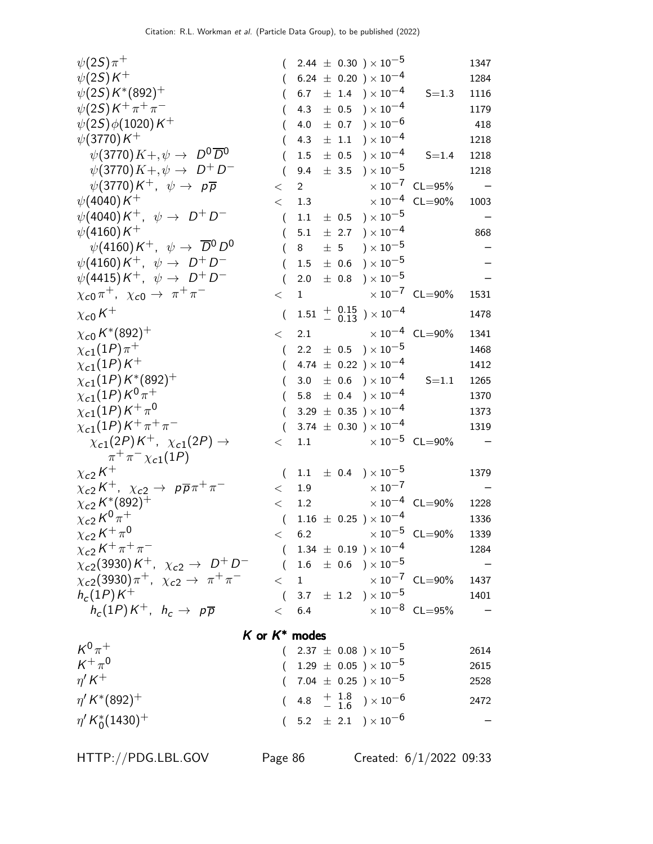| $\psi(2S)\pi^+$                                                               |                  |                |         | $2.44 \pm 0.30$ ) $\times 10^{-5}$                |                                 | 1347 |
|-------------------------------------------------------------------------------|------------------|----------------|---------|---------------------------------------------------|---------------------------------|------|
| $\psi(2S)K^+$                                                                 |                  |                |         | $(6.24 \pm 0.20) \times 10^{-4}$                  |                                 | 1284 |
| $\psi(2S)K^*(892)^+$                                                          |                  | 6.7            |         | $\pm$ 1.4 $\rightarrow$ $\times 10^{-4}$          | $S = 1.3$                       | 1116 |
| $\psi(2S)K^{+}\pi^{+}\pi^{-}$                                                 |                  | 4.3            |         | $\pm$ 0.5 $\$ \times 10^{-4}                      |                                 | 1179 |
| $\psi(2S)\phi(1020)K^+$                                                       |                  | 4.0            |         | $\pm$ 0.7 ) $\times$ 10 <sup>-6</sup>             |                                 | 418  |
| $\psi(3770)K^+$                                                               |                  | 4.3            |         | $\pm$ 1.1 $\rightarrow$ $\times$ 10 <sup>-4</sup> |                                 | 1218 |
| $\psi(3770)K + \psi \rightarrow D^0\overline{D}^0$                            |                  | 1.5            |         | $\pm$ 0.5 $\mathrm{)}\times10^{-4}$               | $S = 1.4$                       | 1218 |
| $\psi$ (3770) $K + , \psi \rightarrow D^+ D^-$                                |                  | 9.4            |         | $\pm$ 3.5 $\rightarrow$ $\times$ 10 <sup>-5</sup> |                                 | 1218 |
| $\psi(3770)K^+$ , $\psi \rightarrow p\overline{p}$                            | $\,<\,$          | $\overline{2}$ |         |                                                   | $\times 10^{-7}$ CL=95%         |      |
| $\psi(4040)K^+$                                                               | $\lt$            | 1.3            |         |                                                   | $\times 10^{-4}$ CL=90%         | 1003 |
| $\psi(4040)K^+$ , $\psi \rightarrow D^+D^-$                                   | $\overline{(}$   | 1.1            |         | $\pm$ 0.5 $\rightarrow$ $\times 10^{-5}$          |                                 |      |
| $\psi(4160)K^+$                                                               | (                | 5.1            |         | $\pm$ 2.7 ) $\times 10^{-4}$                      |                                 | 868  |
| $\psi(4160)K^+$ , $\psi \rightarrow \overline{D}{}^0D^0$                      |                  | 8              | $\pm$ 5 | ) $\times$ $10^{-5}$                              |                                 |      |
| $\psi(4160)K^+$ , $\psi \rightarrow D^+D^-$                                   |                  | 1.5            |         | $\pm$ 0.6 $\$ x 10^{-5}                           |                                 |      |
| $\psi(4415)K^+$ , $\psi \rightarrow D^+D^-$                                   |                  | 2.0            |         | $\pm$ 0.8 ) $\times$ 10 <sup>-5</sup>             |                                 |      |
| $\chi_{c0}\pi^+$ , $\chi_{c0}\to \pi^+\pi^-$                                  | $\lt$            | $\mathbf{1}$   |         | $\times$ 10 <sup>-7</sup> CL=90%                  |                                 | 1531 |
| $\chi_{\rm c0}\,K^+$                                                          | $\overline{(\ }$ |                |         | $1.51$ + $0.15$ $) \times 10^{-4}$                |                                 | 1478 |
| $\chi_{c0}\,K^*(892)^+$                                                       | $\lt$            | 2.1            |         | $\times$ 10 <sup>-4</sup> CL=90%                  |                                 | 1341 |
| $\chi_{c1}(1P)\pi^{+}$                                                        | $\left($         |                |         | 2.2 $\pm$ 0.5 $\right) \times 10^{-5}$            |                                 | 1468 |
| $\chi_{c1}(1P)K^+$                                                            | $\left($         |                |         | 4.74 $\pm$ 0.22 $) \times 10^{-4}$                |                                 | 1412 |
| $\chi_{c1}(1P)\,{\rm K}^*(892)^+$                                             |                  | 3.0            |         | $\pm$ 0.6 ) $\times$ 10 <sup>-4</sup>             | $S = 1.1$                       | 1265 |
| $\chi_{c1}(1P)K^0\overset{.}{\pi}{}^+$                                        |                  | 5.8            |         | $\pm$ 0.4 ) $\times$ 10 <sup>-4</sup>             |                                 | 1370 |
| $\chi_{c1}(1P)\,K^+\,\pi^0$                                                   | $\left($         |                |         | $3.29 \pm 0.35$ ) × 10 <sup>-4</sup>              |                                 | 1373 |
| $\chi_{c1}(1P)K^+\pi^+\pi^-$                                                  | (                |                |         | 3.74 $\pm$ 0.30 $) \times 10^{-4}$                |                                 | 1319 |
| $\chi_{c1}(2P)K^+$ , $\chi_{c1}(2P) \rightarrow$                              | $\,<\,$          | 1.1            |         |                                                   | $\times 10^{-5}$ CL=90%         |      |
| $\pi^{+}\pi^{-}\chi_{c1}(1P)$                                                 |                  |                |         |                                                   |                                 |      |
| $\chi_{c2}\,K^+$                                                              | $\left($         |                |         | 1.1 $\pm$ 0.4 $\rightarrow$ 10 <sup>-5</sup>      |                                 | 1379 |
| $\chi_{c2}K^+$ , $\chi_{c2} \to p\overline{p}\pi^+\pi^-$                      | $\lt$            | 1.9            |         | $\times$ 10 <sup>-7</sup>                         |                                 |      |
| $\chi_{c2} K^{*}(892)$ <sup>T</sup>                                           | $\lt$            | 1.2            |         |                                                   | $\times 10^{-4}$ CL=90%         | 1228 |
| $\chi_{c2}\,K^0\,\pi^+$                                                       | $\left($         |                |         | $1.16 \pm 0.25$ ) $\times 10^{-4}$                |                                 | 1336 |
| $\chi_{c2}\,K^+\,\pi^0$                                                       |                  |                |         |                                                   | $< 6.2$ $\times 10^{-5}$ CL=90% | 1339 |
| $\chi_{c2}\,K^+\,\pi^+\,\pi^-$                                                |                  |                |         | $(1.34 \pm 0.19) \times 10^{-4}$                  |                                 | 1284 |
| $\chi_{c2}(3930)K^+$ , $\chi_{c2} \to D^+D^-$ (1.6 ± 0.6 ) × 10 <sup>-5</sup> |                  |                |         |                                                   |                                 |      |
| $\chi_{c2}(3930)\pi^+$ , $\chi_{c2} \to \pi^+\pi^-$                           |                  |                |         | $<$ 1 $\times 10^{-7}$ CL=90%                     |                                 | 1437 |
| $h_c(1P)K^+$                                                                  |                  |                |         | $(3.7 \pm 1.2) \times 10^{-5}$                    |                                 | 1401 |
| $h_c(1P)K^+$ , $h_c\to~\rho\overline{\rho}$                                   |                  |                |         | $< 6.4 \times 10^{-8} \text{ CL} = 95\%$          |                                 |      |
| K or $K^*$ modes                                                              |                  |                |         |                                                   |                                 |      |
| $K^0\pi^+$                                                                    |                  |                |         | $(2.37 \pm 0.08) \times 10^{-5}$                  |                                 | 2614 |
| $K^+\pi^0$                                                                    |                  |                |         | $(1.29 \pm 0.05) \times 10^{-5}$                  |                                 | 2615 |
| $\eta^{\prime} K^+$                                                           |                  |                |         | $(7.04 \pm 0.25) \times 10^{-5}$                  |                                 | 2528 |
| $\eta^{\prime} K^{*}(892)^{+}$                                                |                  |                |         | $(4.8 + \frac{1.8}{1.6}) \times 10^{-6}$          |                                 | 2472 |
| $\eta' K_0^*(1430)^+$                                                         |                  |                |         | $(5.2 \pm 2.1) \times 10^{-6}$                    |                                 |      |
|                                                                               |                  |                |         |                                                   |                                 |      |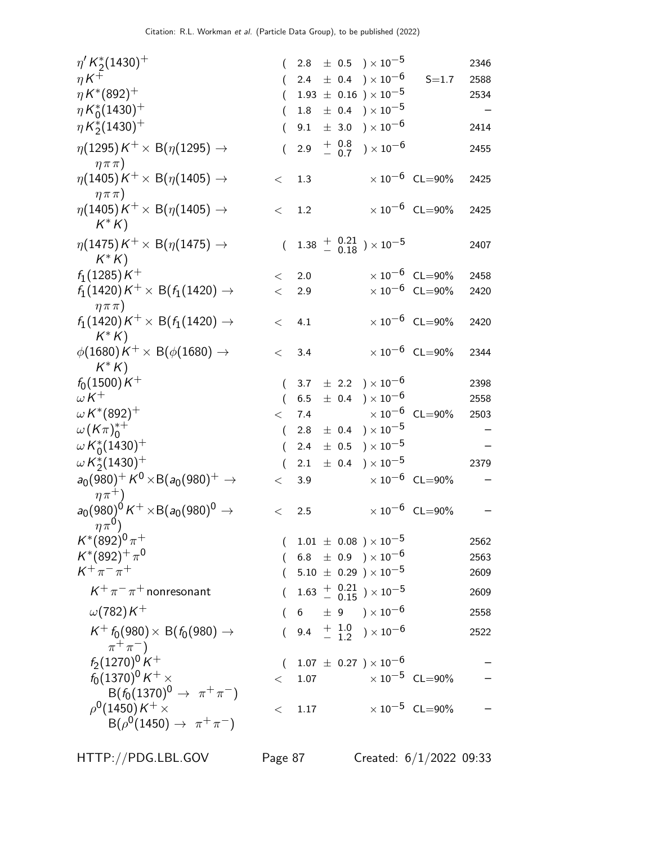| $\eta^{\prime} K_2^*(1430)^+$                                              |          | 2.8                                                         |                    | $\pm$ 0.5 $\mathrm{)}\times10^{-5}$                                       |                       |                                  | 2346 |
|----------------------------------------------------------------------------|----------|-------------------------------------------------------------|--------------------|---------------------------------------------------------------------------|-----------------------|----------------------------------|------|
| $\eta K^+$                                                                 |          | 2.4                                                         |                    | $\pm$ 0.4 ) $\times$ 10 <sup>-6</sup>                                     |                       | $S = 1.7$                        | 2588 |
| $\eta K^{*}(892)^{+}$                                                      |          |                                                             |                    | $1.93 \pm 0.16$ ) $\times 10^{-5}$                                        |                       |                                  | 2534 |
| $\eta K_0^*(1430)^+$                                                       |          | $1.8\,$                                                     |                    | $\pm$ 0.4 ) $\times$ 10 <sup>-5</sup>                                     |                       |                                  |      |
| $\eta K_2^*(1430)^+$                                                       |          | 9.1                                                         | $\pm$ 3.0          |                                                                           | $) \times 10^{-6}$    |                                  | 2414 |
| $\eta(1295)K^+\times B(\eta(1295)\rightarrow$<br>$\eta \pi \pi$ )          |          | 2.9                                                         | $+ 0.8$<br>$- 0.7$ |                                                                           | ) $\times$ 10 $^{-6}$ |                                  | 2455 |
| $\eta(1405)\,$ K $^+\times$ B( $\eta(1405)\rightarrow$<br>$\eta \pi \pi$ ) | $\lt$    | 1.3                                                         |                    |                                                                           |                       | $\times$ 10 <sup>-6</sup> CL=90% | 2425 |
| $\eta(1405)K^+\times B(\eta(1405) \rightarrow$<br>$K^*K$                   | $\lt$    | 1.2                                                         |                    |                                                                           |                       | $\times 10^{-6}$ CL=90%          | 2425 |
| $\eta(1475)K^+\times B(\eta(1475)\rightarrow$<br>$K^* K$                   | $\left($ |                                                             |                    | $1.38 \begin{array}{c} + & 0.21 \\ - & 0.18 \end{array}$ $\times 10^{-5}$ |                       |                                  | 2407 |
| $f_1(1285)K^+$                                                             | $\lt$    | 2.0                                                         |                    |                                                                           |                       | $\times$ 10 $^{-6}$ CL=90%       | 2458 |
| $f_1(1420)K^+\times$ B $(f_1(1420)\rightarrow$<br>$\eta \pi \pi$ )         | $\lt$    | 2.9                                                         |                    |                                                                           |                       | $\times$ 10 $^{-6}$ CL=90%       | 2420 |
| $f_1(1420)K^+\times B(f_1(1420)\rightarrow$<br>$K^* K$                     | $\lt$    | 4.1                                                         |                    |                                                                           |                       | $\times$ 10 $^{-6}$ CL=90%       | 2420 |
| $\phi(1680)K^+\times B(\phi(1680)\rightarrow$<br>$K^* K$                   | $\lt$    | 3.4                                                         |                    |                                                                           |                       | $\times$ 10 $^{-6}$ CL=90%       | 2344 |
| $f_0(1500)K^+$                                                             | (        |                                                             |                    | 3.7 $\pm$ 2.2 $) \times 10^{-6}$                                          |                       |                                  | 2398 |
| $\omega K^+$                                                               | $\left($ | 6.5                                                         |                    | $\pm$ 0.4 ) $\times$ 10 <sup>-6</sup>                                     |                       |                                  | 2558 |
| $\omega$ K*(892) <sup>+</sup>                                              | $\lt$    | 7.4                                                         |                    |                                                                           |                       | $\times$ 10 <sup>-6</sup> CL=90% | 2503 |
| $\omega(K\pi)_{0}^{*+}$                                                    | $\left($ | 2.8                                                         |                    | $\pm$ 0.4 ) $\times$ 10 <sup>-5</sup>                                     |                       |                                  |      |
| $\omega K_0^*(1430)^+$                                                     | (        | 2.4                                                         | $\pm$ 0.5          |                                                                           | $) \times 10^{-5}$    |                                  |      |
| $\omega K_{2}^{*}(1430)^{+}$                                               |          | 2.1                                                         | $\pm$ 0.4          |                                                                           | $) \times 10^{-5}$    |                                  | 2379 |
| $a_0(980)^+ K^0 \times B(a_0(980)^+ \rightarrow$                           | $\lt$    | 3.9                                                         |                    |                                                                           |                       | $\times 10^{-6}$ CL=90%          |      |
| $\eta \pi^+$ )                                                             |          |                                                             |                    |                                                                           |                       |                                  |      |
| $a_0(980)^0 K^+ \times B(a_0(980)^0 \rightarrow$<br>$\eta \pi^0$ )         | $\,<\,$  | 2.5                                                         |                    |                                                                           |                       | $\times 10^{-6}$ CL=90%          |      |
| $K^*(892)^0 \pi^+$                                                         |          | $(1.01 \pm 0.08) \times 10^{-5}$                            |                    |                                                                           |                       |                                  | 2562 |
| $K^*(892)^+\pi^0$                                                          |          | $(6.8 \pm 0.9) \times 10^{-6}$                              |                    |                                                                           |                       |                                  | 2563 |
| $K^+\pi^-\pi^+$                                                            |          | $(5.10 \pm 0.29) \times 10^{-5}$                            |                    |                                                                           |                       |                                  | 2609 |
| $K^+\pi^-\pi^+$ nonresonant                                                |          |                                                             |                    | $1.63 + 0.21 \over 0.15$ ) × 10 <sup>-5</sup>                             |                       |                                  | 2609 |
| $\omega(782)K^+$                                                           |          | $6\phantom{.0} \pm\phantom{0}9\phantom{.0} )\times 10^{-6}$ |                    |                                                                           |                       |                                  | 2558 |
| $K^+ f_0(980) \times B(f_0(980) \rightarrow$<br>$\pi^+\pi^-$               |          | 9.4 $\frac{+}{-}$ $\frac{1.0}{1.2}$ $\times 10^{-6}$        |                    |                                                                           |                       |                                  | 2522 |
| $f_2(1270)^0 K^+$                                                          |          | $(1.07 \pm 0.27) \times 10^{-6}$                            |                    |                                                                           |                       |                                  |      |
| $f_0(1370)^0$ K $^+$ $\times$                                              | $\lt$    | 1.07                                                        |                    |                                                                           |                       | $\times$ 10 $^{-5}~$ CL $=$ 90%  |      |
| $B(f_0(1370)^0 \to \pi^+\pi^-)$                                            |          |                                                             |                    |                                                                           |                       |                                  |      |
| $\rho^0$ (1450) K $^+$ $\times$                                            | $\,<\,$  | 1.17                                                        |                    |                                                                           |                       | $\times$ 10 $^{-5}$ CL=90%       |      |
| $B(\rho^0(1450) \to \pi^+\pi^-)$                                           |          |                                                             |                    |                                                                           |                       |                                  |      |

HTTP://PDG.LBL.GOV Page 87 Created: 6/1/2022 09:33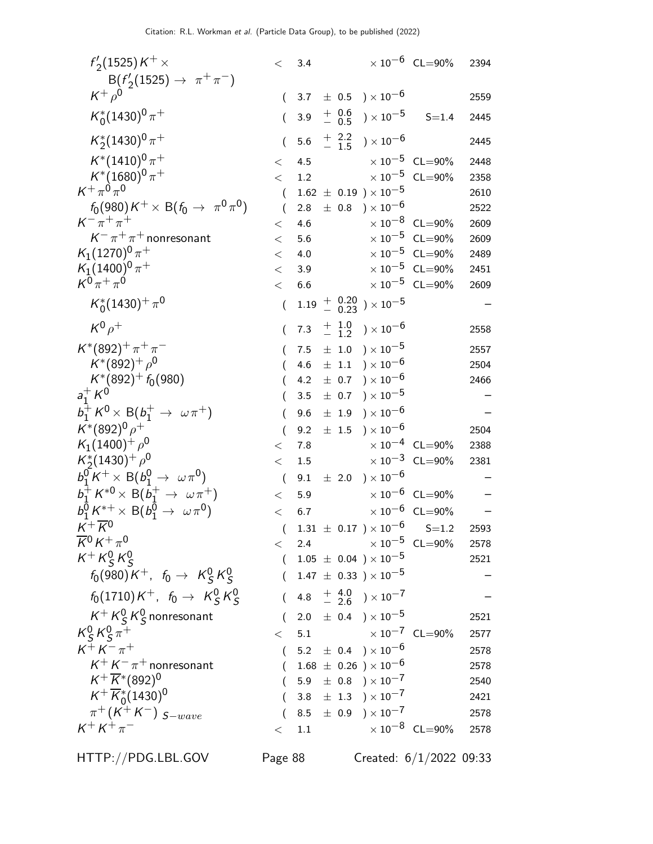| $f'_{2}(1525)K^{+}\times$                       | $\lt$            | 3.4     |                  |                                                                                 | $\times 10^{-6}$ CL=90%          | 2394 |
|-------------------------------------------------|------------------|---------|------------------|---------------------------------------------------------------------------------|----------------------------------|------|
| $B(f'_2(1525) \to \pi^+\pi^-)$                  |                  |         |                  |                                                                                 |                                  |      |
| $K^+\rho^0$                                     | €                | 3.7     |                  | $\pm$ 0.5 $\mathrm{)}\times10^{-6}$                                             |                                  | 2559 |
| $K_0^*(1430)^0 \pi^+$                           | $\left($         | 3.9     | $+ 0.6$<br>- 0.5 | ) $\times$ 10 $^{-5}$                                                           | $S = 1.4$                        | 2445 |
| $K_2^*(1430)^0 \pi^+$                           | (                | 5.6     | $+2.2$<br>- 1.5  | ) $\times$ 10 $^{-6}$                                                           |                                  | 2445 |
| $K^*(1410)^0 \pi^+$                             | $\lt$            | 4.5     |                  |                                                                                 | $\times 10^{-5}$ CL=90%          | 2448 |
| $K^*(1680)^0 \pi^+$                             | $\lt$            | 1.2     |                  |                                                                                 | $\times$ $10^{-5}$ $\,$ CL=90%   | 2358 |
| $K^+\pi^0\pi^0$                                 | $\left($         |         |                  | $1.62 \pm 0.19$ ) $\times 10^{-5}$                                              |                                  | 2610 |
| $f_0(980)K^+\times {\rm B} (f_0\to \pi^0\pi^0)$ |                  | $2.8\,$ |                  | $\pm$ 0.8 ) $\times$ 10 <sup>-6</sup>                                           |                                  | 2522 |
| $K^{-} \pi^{+} \pi^{+}$                         | $\,<\,$          | 4.6     |                  |                                                                                 | $\times$ 10 <sup>-8</sup> CL=90% | 2609 |
| $K^-\pi^+\pi^+$ nonresonant                     | $<\,$            | 5.6     |                  |                                                                                 | $\times 10^{-5}$ CL=90%          | 2609 |
| $K_1(1270)^0 \pi^+$                             | $\,<\,$          | 4.0     |                  |                                                                                 | $\times 10^{-5}$ CL=90%          | 2489 |
| $K_1(1400)^0 \pi^+$                             | $\,<\,$          | 3.9     |                  |                                                                                 | $\times 10^{-5}$ CL=90%          | 2451 |
| $K^{0}\pi^{+}\pi^{0}$                           | $\,<$            | 6.6     |                  |                                                                                 | $\times$ 10 <sup>-5</sup> CL=90% | 2609 |
| $K_0^*(1430)^+\pi^0$                            | $\overline{(\ }$ |         |                  | $1.19 + 0.20$ $) \times 10^{-5}$                                                |                                  |      |
| $K^0\rho^+$                                     |                  | 7.3     |                  | $^{+\hspace{+0.4em}1.0}_{-\hspace{+0.4em}1.2}$ $\hspace{1em}$ $)\times 10^{-6}$ |                                  | 2558 |
| $K^*(892)^+\pi^+\pi^-$                          |                  | 7.5     | $\pm$ 1.0        | ) $\times$ 10 $^{-5}$                                                           |                                  | 2557 |
| $K^*(892)^+$ $\rho^0$                           |                  | 4.6     | $\pm$ 1.1        | ) $\times$ $10^{-6}$                                                            |                                  | 2504 |
| $K^*(892)^+ f_0(980)$                           |                  | 4.2     | $\pm$ 0.7        | ) $\times$ 10 $^{-6}$                                                           |                                  | 2466 |
| $a_1^+ K^0$                                     |                  | 3.5     | $\pm$ 0.7        | ) $\times$ 10 $^{-5}$                                                           |                                  |      |
| $b_1^+ K^0 \times B(b_1^+ \to \omega \pi^+)$    |                  | 9.6     | $\pm$ 1.9        | ) $\times$ 10 <sup>-6</sup>                                                     |                                  |      |
| $K^*(892)^0 \rho^+$                             | (                | 9.2     | $\pm$ 1.5        | ) $\times$ 10 $^{-6}$                                                           |                                  | 2504 |
| $K_1(1400)^+$ $\rho^0$                          | $\,<\,$          | 7.8     |                  |                                                                                 | $\times 10^{-4}$ CL=90%          | 2388 |
| $K_2^*(1430)^+$ $\rho^0$                        | $\lt$            | 1.5     |                  |                                                                                 | $\times$ 10 <sup>-3</sup> CL=90% | 2381 |
| $b_1^0 K^+ \times B(b_1^0 \to \omega \pi^0)$    | $\left($         | 9.1     | $\pm$ 2.0        | $)\times10^{-6}$                                                                |                                  |      |
| $b_1^+ K^{*0} \times B(b_1^+ \to \omega \pi^+)$ | $\,<\,$          | 5.9     |                  |                                                                                 | $\times 10^{-6}$ CL=90%          |      |
| $b_1^0 K^{*+} \times B(b_1^0 \to \omega \pi^0)$ | $\lt$            | 6.7     |                  |                                                                                 | $\times$ $10^{-6}$ $\,$ CL=90%   |      |
| $K^+\overline{K}{}^0$                           |                  |         |                  | $1.31 \pm 0.17$ $) \times 10^{-6}$ S=1.2                                        |                                  | 2593 |
| $\overline{K}{}^0 K^+\pi^0$                     | $\lt$            | 2.4     |                  | $\times$ 10 $^{-5}$ CL=90%                                                      |                                  | 2578 |
| $K^+ K^0_S K^0_S$                               | $\left($         |         |                  | $1.05 \pm 0.04$ $)\times 10^{-5}$                                               |                                  | 2521 |
| $f_0(980)K^+$ , $f_0 \to K^0_S K^0_S$           |                  |         |                  | $1.47 \pm 0.33$ ) $\times 10^{-5}$                                              |                                  |      |
| $f_0(1710)K^+$ , $f_0 \to K^0_S K^0_S$          |                  |         |                  | 4.8 $\frac{+}{-}$ 4.0 $\rightarrow$ 10 <sup>-7</sup>                            |                                  |      |
| $K^+ K^0_S K^0_S$ nonresonant                   | (                |         |                  | 2.0 $\pm$ 0.4 $) \times 10^{-5}$                                                |                                  | 2521 |
| $K_S^0 K_S^0 \pi^+$                             | $\lt$            | 5.1     |                  | $\times$ 10 $^{-7}$ CL=90%                                                      |                                  | 2577 |
| $K^{+} K^{-} \pi^{+}$                           | $\left($         |         |                  | $5.2 \pm 0.4$ $) \times 10^{-6}$                                                |                                  | 2578 |
| $K^+ K^- \pi^+$ nonresonant                     |                  |         |                  | $(1.68 \pm 0.26) \times 10^{-6}$                                                |                                  | 2578 |
| $K^+ \overline{K}{}^*(892)^0$                   |                  |         |                  | $5.9 \pm 0.8$ $) \times 10^{-7}$                                                |                                  | 2540 |
| $K^+ \overline{K}^*_{0}(1430)^0$                |                  |         |                  | 3.8 $\pm$ 1.3 $\rightarrow$ 10 <sup>-7</sup>                                    |                                  | 2421 |
| $\pi^+ (K^+ K^-)$ $_{S-wave}$                   |                  |         |                  | 8.5 $\pm$ 0.9 $) \times 10^{-7}$                                                |                                  | 2578 |
| $K^+ K^+ \pi^-$                                 | $\,<\,$          | 1.1     |                  |                                                                                 | $\times 10^{-8}$ CL=90%          | 2578 |
|                                                 |                  |         |                  |                                                                                 |                                  |      |

HTTP://PDG.LBL.GOV Page 88 Created: 6/1/2022 09:33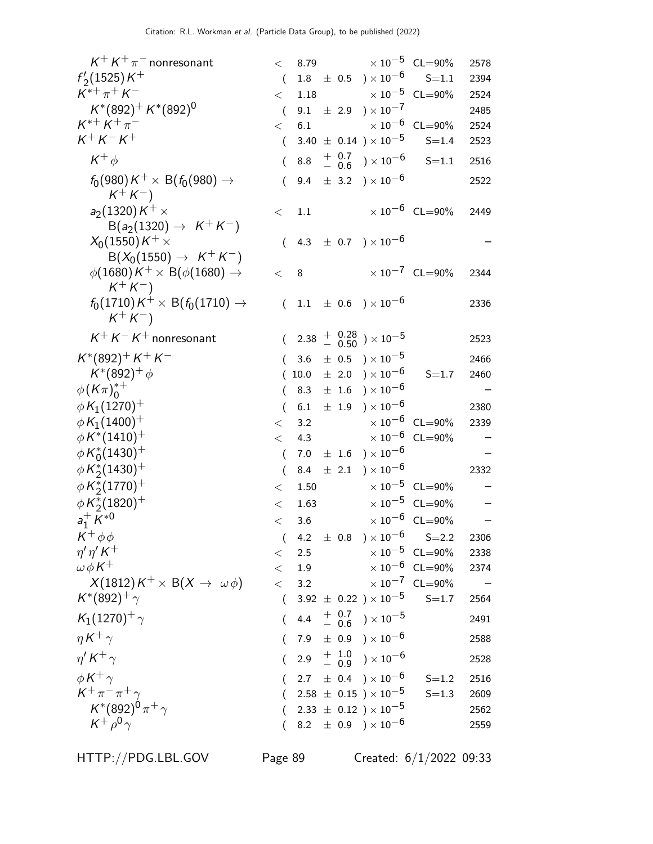| $K^+ K^+ \pi^-$ nonresonant                                             | $\lt$            |         |           | 8.79 $\times 10^{-5}$ CL=90%                                                       |                                  | 2578 |
|-------------------------------------------------------------------------|------------------|---------|-----------|------------------------------------------------------------------------------------|----------------------------------|------|
| $f'_{2}(1525)K^{+}$                                                     | $\left($         |         |           | $1.8 \pm 0.5$ $) \times 10^{-6}$                                                   | $S = 1.1$                        | 2394 |
| $K^{*+}\pi^+K^-$                                                        | $\lt$            | 1.18    |           | $\times$ 10 <sup>-5</sup> CL=90%                                                   |                                  | 2524 |
| $K^*(892)^+ K^*(892)^0$                                                 | $\left($         |         |           | 9.1 $\pm$ 2.9 $) \times 10^{-7}$                                                   |                                  | 2485 |
| $K^{*+} K^+ \pi^-$                                                      | $\lt$            | 6.1     |           | $\times$ 10 $^{-6}$ CL=90%                                                         |                                  | 2524 |
| $K^{+} K^{-} K^{+}$                                                     | $\left($         |         |           | $3.40 \pm 0.14$ ) $\times 10^{-5}$                                                 | $S = 1.4$                        | 2523 |
| $K^+\phi$                                                               |                  | 8.8     |           | $^{+\hspace{1mm}0.7}_{-\hspace{1mm}0.6}\hspace{1mm}$ ) $\times\hspace{1mm}10^{-6}$ | $S = 1.1$                        | 2516 |
| $f_0(980)K^+\times \mathsf{B}(f_0(980)\to$<br>$K^+ K^-$                 | $\left($         | 9.4     |           | $\pm$ 3.2 ) $\times$ 10 <sup>-6</sup>                                              |                                  | 2522 |
| $a_2(1320)K^+\times$<br>$B(a_2(1320) \to K^+K^-)$                       | $\lt$            | 1.1     |           |                                                                                    | $\times 10^{-6}$ CL=90%          | 2449 |
| $X_0(1550)K^+\times$<br>$B(X_0(1550) \to K^+K^-)$                       | $\left($         |         |           | 4.3 $\pm$ 0.7 $) \times 10^{-6}$                                                   |                                  |      |
| $\phi(1680)K^+\times \ {\sf B}(\phi(1680)\to$<br>$K^+K^-$               | $\,<$            | 8       |           |                                                                                    | $\times 10^{-7}$ CL=90%          | 2344 |
| $f_0(1710)K^+\times\,\operatorname{\sf B}(f_0(1710)\to$<br>$K^{+}K^{-}$ | $\left($         |         |           | $1.1 \pm 0.6$ $) \times 10^{-6}$                                                   |                                  | 2336 |
| $K^+ K^- K^+$ nonresonant                                               |                  |         |           | $(2.38 + \frac{0.28}{0.50}) \times 10^{-5}$                                        |                                  | 2523 |
| $K^*(892)^+ K^+ K^-$                                                    |                  | 3.6     |           | $\pm$ 0.5 $\mathrm{)}\times10^{-5}$                                                |                                  | 2466 |
| $K^*(892)^+ \phi$                                                       |                  | 10.0    |           | $\pm$ 2.0 ) $\times$ 10 <sup>-6</sup>                                              | $S = 1.7$                        | 2460 |
| $\phi(K\pi)_{0}^{*+}$                                                   | $\left($         | 8.3     |           | $\pm$ 1.6 ) $\times$ 10 $^{-6}$                                                    |                                  |      |
| $\phi K_1(1270)^+$                                                      | $\overline{(\ }$ | 6.1     |           | $\pm$ 1.9 $\rightarrow$ $\times 10^{-6}$                                           |                                  | 2380 |
| $\phi K_1(1400)^+$                                                      | $\,<\,$          | 3.2     |           |                                                                                    | $\times 10^{-6}$ CL=90%          | 2339 |
| $\phi K^{*}(1410)^{+}$                                                  | $\lt$            | 4.3     |           |                                                                                    | $\times 10^{-6}$ CL=90%          |      |
| $\phi\,K_0^*(1430)^+$                                                   | $\left($         | 7.0     |           | $\pm$ 1.6 $\mathrm{)}\times10^{-6}$                                                |                                  |      |
| $\phi K_2^*(1430)^+$                                                    | $\left($         | 8.4     | $\pm$ 2.1 | $)\times10^{-6}$                                                                   |                                  | 2332 |
| $\phi K_2^*(1770)^+$                                                    | $\,<\,$          | 1.50    |           |                                                                                    | $\times 10^{-5}$ CL=90%          | —    |
| $\phi K_2^*(1820)^+$                                                    | $\lt$            | 1.63    |           |                                                                                    | $\times 10^{-5}$ CL=90%          |      |
| $a_1^+ K^{*0}$                                                          | $\lt$            | 3.6     |           |                                                                                    | $\times$ 10 <sup>-6</sup> CL=90% |      |
| $K^+\phi\phi$                                                           | $\left($         |         |           | 4.2 $\pm$ 0.8 $) \times 10^{-6}$ S=2.2                                             |                                  | 2306 |
| $\eta' \eta' K^+$                                                       | $\lt$            | 2.5     |           | $\times$ 10 $^{-5}~$ CL=90%                                                        |                                  | 2338 |
| $\omega \phi K^+$                                                       | $\,<\,$          | $1.9\,$ |           |                                                                                    | $\times 10^{-6}$ CL=90%          | 2374 |
| $X(1812)K^+\times B(X\to \omega\phi)$                                   | $\lt$            | 3.2     |           |                                                                                    | $\times 10^{-7}$ CL=90%          |      |
| $K^*(892)^+$ $\gamma$                                                   | $\left($         |         |           | 3.92 $\pm$ 0.22 $) \times 10^{-5}$                                                 | $S = 1.7$                        | 2564 |
| $K_1(1270)^+$ $\gamma$                                                  | $\left($         |         |           | 4.4 $+$ 0.7 $\rightarrow$ 10 <sup>-5</sup>                                         |                                  | 2491 |
| $\eta K^+ \gamma$                                                       |                  |         |           | 7.9 $\pm$ 0.9 $) \times 10^{-6}$                                                   |                                  | 2588 |
| $\eta' K^+ \gamma$                                                      |                  |         |           | 2.9 $\frac{+}{-}$ $\frac{1.0}{0.9}$ $\times 10^{-6}$                               |                                  | 2528 |
| $\phi K^+ \gamma$                                                       |                  |         |           | $2.7 \pm 0.4$ $) \times 10^{-6}$                                                   | $S = 1.2$                        | 2516 |
| $K^+\pi^-\pi^+\gamma$                                                   |                  |         |           | $2.58 \pm 0.15$ ) $\times 10^{-5}$                                                 | $S = 1.3$                        | 2609 |
| $K^{*}(892)^{0}\pi^{+}\gamma$                                           |                  |         |           | $2.33 \pm 0.12$ ) $\times 10^{-5}$                                                 |                                  | 2562 |
| $K^+\rho^0\gamma$                                                       |                  |         |           | 8.2 $\pm$ 0.9 $) \times 10^{-6}$                                                   |                                  | 2559 |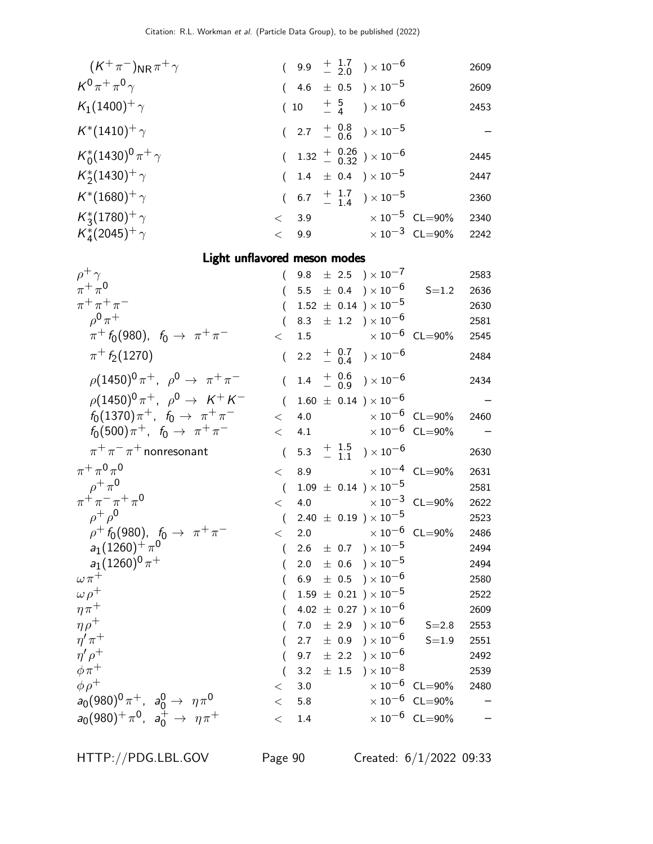| $(K^+\pi^-)_{\rm NR}\pi^+\gamma$                                 |                  |     |           | $(9.9 \tfrac{+1.7}{-2.0}) \times 10^{-6}$                                  |                         | 2609         |
|------------------------------------------------------------------|------------------|-----|-----------|----------------------------------------------------------------------------|-------------------------|--------------|
| $K^0\pi^+\pi^0\gamma$                                            |                  |     |           | 4.6 $\pm$ 0.5 $\times$ 10 <sup>-5</sup>                                    |                         | 2609         |
| $K_1(1400)^+$ $\gamma$                                           |                  | (10 |           | $\begin{array}{cc} +&5\ & -&4 \end{array}$ $)\times10^{-6}$                |                         | 2453         |
| $K^*(1410)^+$ $\gamma$                                           |                  |     |           | $(2.7 + \frac{0.8}{0.6}) \times 10^{-5}$                                   |                         |              |
| $K_0^*(1430)^0 \pi^+ \gamma$                                     |                  |     |           | 1.32 $+$ 0.26 $\rightarrow$ 10 <sup>-6</sup>                               |                         | 2445         |
| $K_2^*(1430)^+$ $\gamma$                                         | $\left($         |     |           | $1.4 \pm 0.4$ ) $\times 10^{-5}$                                           |                         | 2447         |
| $K^*(1680)^+$ $\gamma$                                           | $\left($         |     |           | 6.7 $\frac{+}{-}$ $\frac{1.7}{1.4}$ $\times 10^{-5}$                       |                         | 2360         |
| $K_3^*(1780)^+$ $\gamma$                                         | $\lt$            | 3.9 |           | $\times$ 10 $^{-5}~$ CL=90%                                                |                         | 2340         |
| $K_{4}^{*}(2045)^{+}\gamma$                                      | $\lt$            | 9.9 |           |                                                                            | $\times 10^{-3}$ CL=90% | 2242         |
| Light unflavored meson modes                                     |                  |     |           |                                                                            |                         |              |
| $\rho^+\gamma$                                                   |                  | 9.8 |           | $\pm$ 2.5 $\rm) \times 10^{-7}$                                            |                         | 2583         |
| $\pi^+\pi^0$                                                     |                  |     |           | 5.5 $\pm$ 0.4 $) \times 10^{-6}$                                           | $S = 1.2$               | 2636         |
| $\pi^{+}\pi^{+}\pi^{-}$                                          |                  |     |           | $1.52 \pm 0.14$ ) × $10^{-5}$                                              |                         | 2630         |
| $\rho^{0} \pi^{+}$                                               |                  |     |           | 8.3 $\pm$ 1.2 $) \times 10^{-6}$                                           |                         | 2581         |
| $\pi^+$ $f_0(980)$ , $f_0 \to \pi^+ \pi^-$                       | $\lt$            | 1.5 |           | $\times$ 10 $^{-6}$ CL=90%                                                 |                         | 2545         |
| $\pi^+ f_2(1270)$                                                | $\left($         |     |           | 2.2 $+$ 0.7 $\rightarrow$ 10 <sup>-6</sup>                                 |                         | 2484         |
| $\rho (1450)^0 \pi^+$ , $\rho^0 \to \pi^+ \pi^-$                 | $\overline{(\ }$ |     |           | $1.4 \quad {+\;\; 0.6 \atop - \;\; 0.9} \quad )\times 10^{-6}$             |                         | 2434         |
| $\rho (1450)^0 \pi^+$ , $\rho^0 \to K^+ K^-$                     | $\left($         |     |           | $1.60 \pm 0.14$ ) $\times 10^{-6}$                                         |                         |              |
| $f_0(1370)\pi^+$ , $f_0 \to \pi^+\pi^-$                          | $\lt$            | 4.0 |           | $\times$ 10 $^{-6}$ CL=90%                                                 |                         | 2460         |
| $f_0(500)\pi^+$ , $f_0 \to \pi^+\pi^-$                           | $\lt$            | 4.1 |           | $\times$ 10 $^{-6}$ CL=90%                                                 |                         |              |
| $\pi^+\pi^-\pi^+$ nonresonant                                    | $\overline{(\ }$ |     |           | 5.3 $\frac{+}{-}$ $\frac{1.5}{1.1}$ $\times 10^{-6}$                       |                         | 2630         |
| $\pi^+\,\pi^0\,\pi^0$                                            | $\lt$            | 8.9 |           |                                                                            | $\times 10^{-4}$ CL=90% | 2631         |
| $\rho^+\pi^0$                                                    | $\left($         |     |           | $1.09 \pm 0.14$ ) × $10^{-5}$                                              |                         | 2581         |
| $\pi^+ \pi^- \pi^+ \pi^0$                                        | $\lt$            | 4.0 |           | $\times$ 10 <sup>-3</sup> CL=90%                                           |                         | 2622         |
| $\rho^+ \rho^0$                                                  | $\left($         |     |           | $2.40 \pm 0.19$ ) $\times 10^{-5}$                                         |                         | 2523         |
| $\rho^+ \, f_0(980), \; \; f_0 \, \rightarrow \; \pi^+ \, \pi^-$ | $\lt$            |     |           | 2.0 $\times 10^{-6}$ CL=90%                                                |                         | 2486         |
| $a_1(1260)^{+}\pi^0$<br>$a_1(1260)^0 \pi^+$                      |                  |     |           | $2.6 \pm 0.7$ $) \times 10^{-5}$                                           |                         | 2494         |
| $\omega \pi^+$                                                   |                  |     |           | $2.0 \pm 0.6$ $) \times 10^{-5}$<br>6.9 $\pm$ 0.5 $\right) \times 10^{-6}$ |                         | 2494<br>2580 |
| $\omega \rho^+$                                                  |                  |     |           | $1.59 \pm 0.21$ ) $\times 10^{-5}$                                         |                         | 2522         |
| $\eta\pi^+$                                                      |                  |     |           | $4.02 \pm 0.27$ ) $\times 10^{-6}$                                         |                         | 2609         |
| $\eta \rho^+$                                                    |                  | 7.0 |           | $\pm$ 2.9 ) $\times 10^{-6}$                                               | $S = 2.8$               | 2553         |
| $\eta^\prime\,\pi^+$                                             |                  | 2.7 | $\pm$ 0.9 | ) $\times$ $10^{-6}$                                                       | $S = 1.9$               | 2551         |
| $\eta' \rho^+$                                                   |                  | 9.7 |           | $\pm$ 2.2 $\rightarrow \times 10^{-6}$                                     |                         | 2492         |
| $\phi \pi^+$                                                     |                  | 3.2 | $\pm$ 1.5 | $)\times10^{-8}$                                                           |                         | 2539         |
| $\phi \rho^+$                                                    | $\,<\,$          | 3.0 |           |                                                                            | $\times 10^{-6}$ CL=90% | 2480         |
| $a_0(980)^0 \pi^+$ , $a_0^0 \to \eta \pi^0$                      | $\,<\,$          | 5.8 |           |                                                                            | $\times 10^{-6}$ CL=90% |              |
| $a_0(980)^+\pi^0$ , $a_0^+ \rightarrow \eta \pi^+$               | $<\,$            | 1.4 |           |                                                                            | $\times 10^{-6}$ CL=90% |              |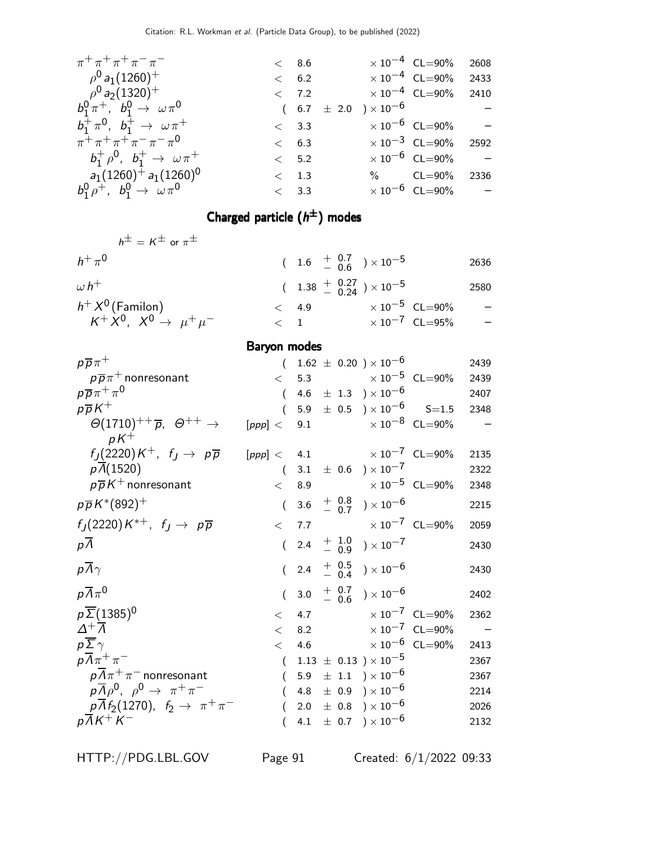| $\pi^+ \pi^+ \pi^+ \pi^- \pi^-$               |               | $<\phantom{00}8.6$ |                                       | $\times$ 10 <sup>-4</sup> CL=90% | 2608 |
|-----------------------------------------------|---------------|--------------------|---------------------------------------|----------------------------------|------|
| $\rho^{0}$ a <sub>1</sub> (1260) <sup>+</sup> |               | $<\phantom{0}6.2$  | $\times$ 10 <sup>-4</sup> CL=90%      |                                  | 2433 |
| $\rho^{0}$ a <sub>2</sub> (1320) <sup>+</sup> |               | $<\phantom{0}7.2$  | $\times$ 10 <sup>-4</sup> CL=90% 2410 |                                  |      |
| $b_1^0 \pi^+$ , $b_1^0 \to \omega \pi^0$      |               |                    | $(6.7 \pm 2.0) \times 10^{-6}$ -      |                                  |      |
| $b_1^+\pi^0$ , $b_1^+\to \omega\pi^+$         |               | < 3.3              |                                       | $\times 10^{-6}$ CL=90% -        |      |
| $\pi^+ \pi^+ \pi^+ \pi^- \pi^- \pi^0$         |               | $\lt$ 6.3          |                                       | $\times 10^{-3}$ CL=90% 2592     |      |
| $b_1^+ \rho^0$ , $b_1^+ \to \omega \pi^+$     |               | < 5.2              |                                       | $\times 10^{-6}$ CL=90% -        |      |
| $a_1(1260)^+ a_1(1260)^0$                     | $\langle$ 1.3 |                    |                                       | % CL=90% 2336                    |      |
| $b_1^0 \rho^+$ , $b_1^0 \to \omega \pi^0$     |               | < 3.3              |                                       | $\times 10^{-6}$ CL=90% –        |      |
|                                               |               |                    |                                       |                                  |      |

#### Charged particle  $(h^{\pm})$  modes

| $h^{\pm} = K^{\pm}$ or $\pi^{\pm}$            |                                                    |                         |      |
|-----------------------------------------------|----------------------------------------------------|-------------------------|------|
| $h^+ \pi^0$                                   | $(1.6 \frac{+}{-} \frac{0.7}{0.6}) \times 10^{-5}$ |                         | 2636 |
| $\omega h^+$                                  | $(1.38 \frac{+}{0.24}) \times 10^{-5}$             |                         | 2580 |
| $h^+X^0$ (Familon)                            | $\lt$ 4.9                                          | $\times 10^{-5}$ CL=90% |      |
| $K^+\dot{X}^0$ , $X^0 \rightarrow \mu^+\mu^-$ | $\lt$ 1                                            | $\times 10^{-7}$ CL=95% |      |

## Baryon modes

| $p\overline{p}\pi^+$                                                       |                                       |  | $(1.62 \pm 0.20) \times 10^{-6}$                                   |                                                      | 2439   |
|----------------------------------------------------------------------------|---------------------------------------|--|--------------------------------------------------------------------|------------------------------------------------------|--------|
| $p\overline{p}\pi$ <sup>+</sup> nonresonant                                |                                       |  |                                                                    | $<$ 5.3 $\times 10^{-5}$ CL=90% 2439                 |        |
| $p\overline{p}\pi^+\pi^0$                                                  | $\left($                              |  | 4.6 $\pm$ 1.3 $) \times 10^{-6}$                                   |                                                      | 2407   |
| $p\overline{p}K^+$                                                         | $\left($                              |  |                                                                    | 5.9 $\pm$ 0.5 $\mathrm{)} \times 10^{-6}$ S=1.5 2348 |        |
| $\Theta(1710)^{++}$ $\overline{p}$ , $\Theta^{++}$ $\rightarrow$<br>$pK^+$ | $[ppp] < 9.1$ $\times 10^{-8}$ CL=90% |  |                                                                    |                                                      |        |
| $f_J(2220)K^+$ , $f_J \rightarrow p\overline{p}$                           | $[ppp] < 4.1$ $\times 10^{-7}$ CL=90% |  |                                                                    |                                                      | 2135   |
| $p\overline{\Lambda}(1520)$                                                |                                       |  | $(3.1 \pm 0.6) \times 10^{-7}$                                     |                                                      | 2322   |
| $p\overline{p}K^+$ nonresonant                                             |                                       |  | $< 8.9$ $\times 10^{-5}$ CL=90%                                    |                                                      | 2348   |
| $p\overline{p}K^{*}(892)^{+}$                                              | $\left($                              |  | 3.6 $+$ 0.8 $\rightarrow$ 10 <sup>-6</sup>                         |                                                      | 2215   |
| $f_J(2220)K^{*+}$ , $f_J \rightarrow p\overline{p}$                        | $\lt$                                 |  | 7.7 $\times 10^{-7}$ CL=90%                                        |                                                      | 2059   |
| $p\Lambda$                                                                 |                                       |  | $(2.4 + \frac{1.0}{0.9}) \times 10^{-7}$                           |                                                      | 2430   |
| $p\overline{\Lambda}\gamma$                                                |                                       |  | $(2.4 + \frac{0.5}{0.4}) \times 10^{-6}$                           |                                                      | 2430   |
| $p\overline{\Lambda}\pi^0$                                                 |                                       |  | $(3.0 + \begin{array}{cc} 0.7 \\ -0.6 \end{array}) \times 10^{-6}$ |                                                      | 2402   |
| $p\overline{\Sigma}$ (1385) <sup>0</sup>                                   |                                       |  | $< 4.7 \times 10^{-7} \text{ CL} = 90\%$                           |                                                      | 2362   |
| $\Delta^+ \overline{\Lambda}$                                              |                                       |  | $< 8.2$ $\times 10^{-7}$ CL=90%                                    |                                                      | $\sim$ |
| $p\overline{\Sigma}\gamma$                                                 | $\lt$                                 |  | 4.6 $\times 10^{-6}$ CL=90%                                        |                                                      | 2413   |
| $p\overline{\Lambda}\pi^+\pi^-$                                            |                                       |  | $(1.13 \pm 0.13) \times 10^{-5}$                                   |                                                      | 2367   |
| $\rho\overline{\Lambda}\pi^+\pi^-$ nonresonant                             | $\left($                              |  | 5.9 $\pm$ 1.1 $) \times 10^{-6}$                                   |                                                      | 2367   |
| $\rho \overline{\Lambda} \rho^0$ , $\rho^0 \rightarrow \pi^+ \pi^-$        |                                       |  | 4.8 $\pm$ 0.9 $) \times 10^{-6}$                                   |                                                      | 2214   |
| $p\overline{\Lambda}f_2(1270)$ , $f_2 \rightarrow \pi^+\pi^-$              |                                       |  | 2.0 $\pm$ 0.8 $) \times 10^{-6}$                                   |                                                      | 2026   |
| $p\overline{\Lambda}K^{+}K^{-}$                                            |                                       |  | 4.1 $\pm$ 0.7 $) \times 10^{-6}$                                   |                                                      | 2132   |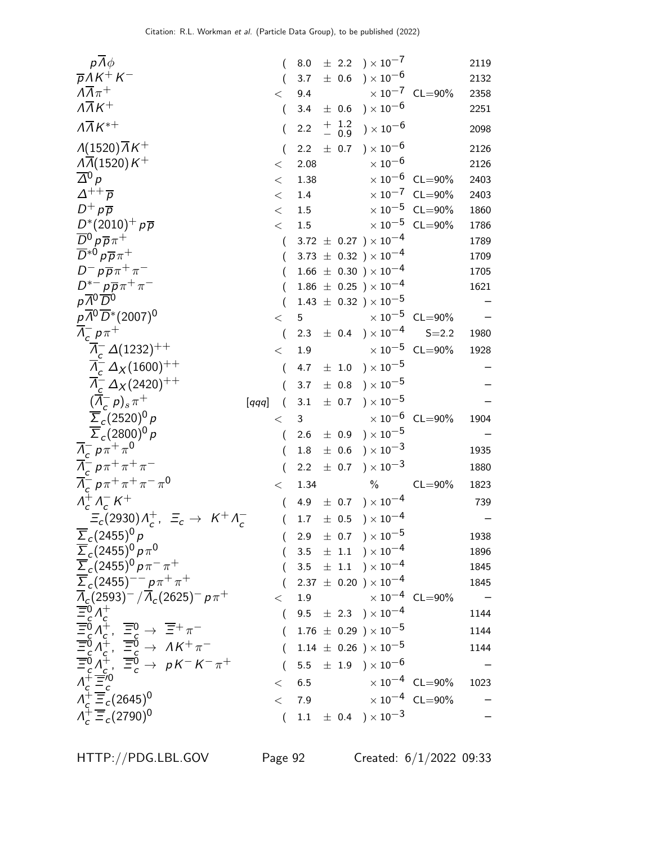| $p \Lambda \phi$                                                                                                                                                                                                                                                                                                                                                                                                                                                  |                | 8.0     |                   | $\pm$ 2.2 ) $\times 10^{-7}$                 |                                  | 2119 |
|-------------------------------------------------------------------------------------------------------------------------------------------------------------------------------------------------------------------------------------------------------------------------------------------------------------------------------------------------------------------------------------------------------------------------------------------------------------------|----------------|---------|-------------------|----------------------------------------------|----------------------------------|------|
| $\overline{p}AK^+K^-$                                                                                                                                                                                                                                                                                                                                                                                                                                             |                | 3.7     | $\pm$ 0.6         | $)\times10^{-6}$                             |                                  | 2132 |
| $\Lambda \overline{\Lambda} \pi^+$                                                                                                                                                                                                                                                                                                                                                                                                                                | $\,<\,$        | 9.4     |                   |                                              | $\times 10^{-7}$ CL=90%          | 2358 |
| $\overline{\Lambda\Lambda K^+}$                                                                                                                                                                                                                                                                                                                                                                                                                                   | $\overline{(}$ | 3.4     |                   | $\pm$ 0.6 $\mathrm{)}\times10^{-6}$          |                                  | 2251 |
| $\overline{\Lambda K^{*+}}$                                                                                                                                                                                                                                                                                                                                                                                                                                       | (              | 2.2     | $^+$ 1.2<br>- 0.9 | ) $\times$ 10 $^{-6}$                        |                                  | 2098 |
| $\lambda(1520)\overline{\Lambda}K^+$                                                                                                                                                                                                                                                                                                                                                                                                                              | $\overline{(}$ | $2.2\,$ |                   | $\pm$ 0.7 ) $\times$ 10 <sup>-6</sup>        |                                  | 2126 |
| $\Lambda$ $(1520)$ K <sup>+</sup>                                                                                                                                                                                                                                                                                                                                                                                                                                 | $\,<\,$        | 2.08    |                   | $\times$ 10 <sup>-6</sup>                    |                                  | 2126 |
| $\overline{\Delta}{}^0$ p                                                                                                                                                                                                                                                                                                                                                                                                                                         | $\,<\,$        | 1.38    |                   | $\times$ 10 $^{-6}$                          | $CL = 90\%$                      | 2403 |
| $\varDelta^{++}\overline{\rho}$                                                                                                                                                                                                                                                                                                                                                                                                                                   | $<\,$          | $1.4\,$ |                   |                                              | $\times 10^{-7}$ CL=90%          | 2403 |
| $D^+ p \overline{p}$                                                                                                                                                                                                                                                                                                                                                                                                                                              | $\,<\,$        | 1.5     |                   |                                              | $\times 10^{-5}$ CL=90%          | 1860 |
| $D^*(2010)^+ p\overline{p}$                                                                                                                                                                                                                                                                                                                                                                                                                                       | $\,<\,$        | 1.5     |                   |                                              | $\times$ 10 <sup>-5</sup> CL=90% | 1786 |
| $\overline{D}{}^0 p \overline{p} \pi^+$                                                                                                                                                                                                                                                                                                                                                                                                                           | (              |         |                   | 3.72 $\pm$ 0.27 $) \times 10^{-4}$           |                                  | 1789 |
| $\overline{D}^{*0} p \overline{p} \pi^+$                                                                                                                                                                                                                                                                                                                                                                                                                          | (              |         |                   | 3.73 $\pm$ 0.32 $) \times 10^{-4}$           |                                  | 1709 |
| $D^- p \overline{p} \pi^+ \pi^-$                                                                                                                                                                                                                                                                                                                                                                                                                                  | (              |         |                   | $1.66 \pm 0.30$ ) $\times 10^{-4}$           |                                  | 1705 |
| $D^{*-} p \overline{p} \pi^+ \pi^-$                                                                                                                                                                                                                                                                                                                                                                                                                               |                |         |                   | $1.86 \pm 0.25$ ) × $10^{-4}$                |                                  | 1621 |
| $p\overline{A^0}\overline{D^0}$                                                                                                                                                                                                                                                                                                                                                                                                                                   |                |         |                   | $1.43 \pm 0.32$ ) × $10^{-5}$                |                                  |      |
| $p\overline{A}^0\overline{D}{}^*(2007)^0$                                                                                                                                                                                                                                                                                                                                                                                                                         | $\lt$          | 5       |                   |                                              | $\times 10^{-5}$ CL=90%          |      |
| $\overline{\Lambda}_c^- p \pi^+$                                                                                                                                                                                                                                                                                                                                                                                                                                  | $\overline{(}$ | 2.3     |                   | $\pm$ 0.4 ) $\times$ 10 <sup>-4</sup>        | $S = 2.2$                        | 1980 |
| $\overline{\Lambda}_c^- \Delta(1232)^{++}$                                                                                                                                                                                                                                                                                                                                                                                                                        | $\,<\,$        | 1.9     |                   |                                              | $\times 10^{-5}$ CL=90%          | 1928 |
| $\overline{\Lambda}_c^- \Delta_X (1600)^{++}$                                                                                                                                                                                                                                                                                                                                                                                                                     | (              | 4.7     |                   | $\pm$ 1.0 $\mathrm{)}\times10^{-5}$          |                                  |      |
| $\Lambda_c^- \Delta_X (2420)^{++}$                                                                                                                                                                                                                                                                                                                                                                                                                                |                | 3.7     |                   | $\pm$ 0.8 ) $\times$ 10 <sup>-5</sup>        |                                  |      |
| $(\Lambda_c^- p)_s \pi^+$<br>[qqq]                                                                                                                                                                                                                                                                                                                                                                                                                                | (              | 3.1     | $\pm$ 0.7         | $)\times10^{-5}$                             |                                  |      |
| $\overline{\Sigma}_c(2520)^0 p$                                                                                                                                                                                                                                                                                                                                                                                                                                   | $\lt$          | 3       |                   |                                              | $\times 10^{-6}$ CL=90%          | 1904 |
| $\overline{\Sigma}_c(2800)^0 p$                                                                                                                                                                                                                                                                                                                                                                                                                                   | $\overline{(}$ | 2.6     |                   | $\pm$ 0.9 $\mathrm{)}\times10^{-5}$          |                                  |      |
| $\Lambda_c^- p \pi^+ \pi^0$                                                                                                                                                                                                                                                                                                                                                                                                                                       | (              | 1.8     | $\pm$ 0.6         | $) \times 10^{-3}$                           |                                  | 1935 |
| $\overline{\Lambda}_{c}^{-} p \pi^{+} \pi^{+} \pi^{-}$                                                                                                                                                                                                                                                                                                                                                                                                            | (              | 2.2     | $\pm$ 0.7         | $) \times 10^{-3}$                           |                                  | 1880 |
| $\overline{\Lambda}_{c}^{-} p \pi^{+} \pi^{+} \pi^{-} \pi^{0}$                                                                                                                                                                                                                                                                                                                                                                                                    | $\,<\,$        | 1.34    |                   | $\%$                                         | $CL = 90\%$                      | 1823 |
| $\Lambda_c^+ \Lambda_c^- K^+$                                                                                                                                                                                                                                                                                                                                                                                                                                     | $\left($       | 4.9     |                   | $\pm$ 0.7 ) $\times$ 10 $^{-4}$              |                                  | 739  |
| $\Xi_c(2930)\Lambda_c^+$ , $\Xi_c \to K^+\Lambda_c^-$                                                                                                                                                                                                                                                                                                                                                                                                             | $\overline{(}$ | 1.7     | $\pm$ 0.5         | $)\times10^{-4}$                             |                                  |      |
| $\overline{\Sigma}_c(2455)^0 p$                                                                                                                                                                                                                                                                                                                                                                                                                                   |                |         |                   | 2.9 $\pm$ 0.7 $) \times 10^{-5}$             |                                  | 1938 |
| $\frac{\overline{\Sigma}_c (2455)^0 p \pi^0}{\overline{\Sigma}_c (2455)^0 p \pi^- \pi^+}$                                                                                                                                                                                                                                                                                                                                                                         |                |         |                   | $3.5 \pm 1.1$ $) \times 10^{-4}$             |                                  | 1896 |
|                                                                                                                                                                                                                                                                                                                                                                                                                                                                   |                |         |                   | 3.5 $\pm$ 1.1 $) \times 10^{-4}$             |                                  | 1845 |
| $\overline{\Sigma}_c (2455)^{--} p \pi^+ \pi^+$                                                                                                                                                                                                                                                                                                                                                                                                                   |                |         |                   | $2.37 \pm 0.20$ ) $\times 10^{-4}$           |                                  | 1845 |
|                                                                                                                                                                                                                                                                                                                                                                                                                                                                   | $\lt$          | 1.9     |                   | $\times$ 10 $^{-4}~$ CL $=$ 90%              |                                  |      |
|                                                                                                                                                                                                                                                                                                                                                                                                                                                                   | $\left($       |         |                   | 9.5 $\pm$ 2.3 $) \times 10^{-4}$             |                                  | 1144 |
| $\frac{\sum_{c} (2433)}{\prod_{c} (2593)^{-}} / \frac{p_{\pi} \cdot \pi}{\prod_{c} (2625)^{-}} p_{\pi} + \frac{\overline{=}0}{\overline{=}0} \Lambda_{c}^{+}$<br>$\overline{=}0 \Lambda_{c}^{+}$ , $\overline{=}0 \rightarrow \overline{=} + \pi^{-}$<br>$\overline{=}0 \Lambda_{c}^{+}$ , $\overline{=}0 \rightarrow \Lambda K^{+} \pi^{-}$<br>$\overline{=}0 \Lambda_{c}^{+}$ , $\overline{=}0 \rightarrow \rho K^{-} K^{-} \pi^{+}$<br>$\Lambda_{c}^{+} \over$ | $\left($       |         |                   | $1.76 \pm 0.29$ ) $\times 10^{-5}$           |                                  | 1144 |
|                                                                                                                                                                                                                                                                                                                                                                                                                                                                   | $\left($       |         |                   | $1.14 \pm 0.26$ ) × $10^{-5}$                |                                  | 1144 |
|                                                                                                                                                                                                                                                                                                                                                                                                                                                                   |                |         |                   | 5.5 $\pm$ 1.9 $) \times 10^{-6}$             |                                  |      |
|                                                                                                                                                                                                                                                                                                                                                                                                                                                                   | $\lt$          | 6.5     |                   | $\times$ 10 $^{-4}~$ CL $=$ 90%              |                                  | 1023 |
|                                                                                                                                                                                                                                                                                                                                                                                                                                                                   | $\lt$          | 7.9     |                   |                                              | $\times$ 10 <sup>-4</sup> CL=90% |      |
| $\Lambda_c^+ \overline{\Xi}_c (2790)^0$                                                                                                                                                                                                                                                                                                                                                                                                                           | $\left($       |         |                   | 1.1 $\pm$ 0.4 $\rightarrow$ 10 <sup>-3</sup> |                                  |      |
|                                                                                                                                                                                                                                                                                                                                                                                                                                                                   |                |         |                   |                                              |                                  |      |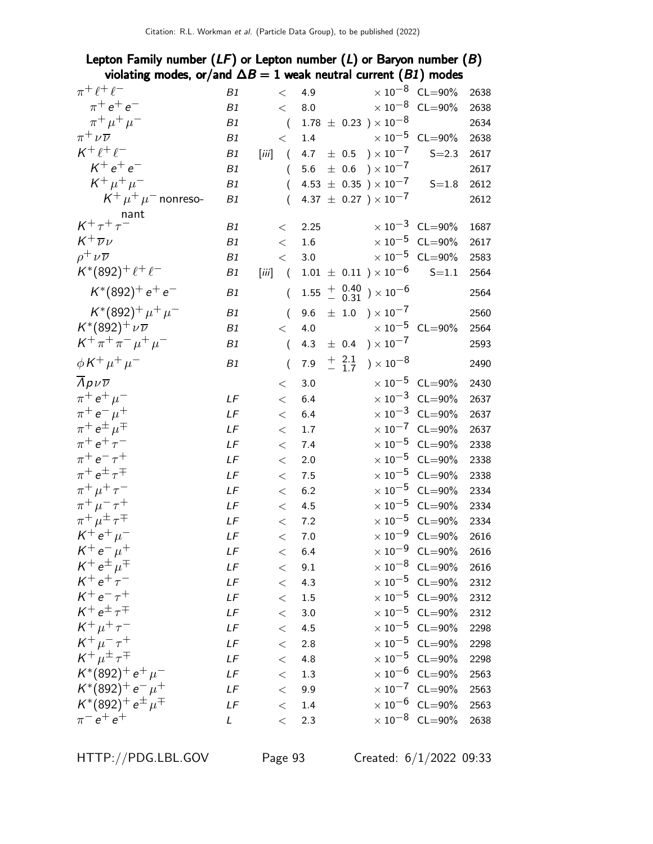### Lepton Family number  $(LF)$  or Lepton number  $(L)$  or Baryon number  $(B)$ violating modes, or/and  $\Delta B = 1$  weak neutral current (B1) modes

| $\pi^+ \ell^+ \ell^-$                 | B1          | $\lt$               | 4.9                                         |                                               | $\times 10^{-8}$ CL=90%          | 2638 |
|---------------------------------------|-------------|---------------------|---------------------------------------------|-----------------------------------------------|----------------------------------|------|
| $\pi^+ e^+ e^-$                       | B1          | $\lt$               | $8.0\,$                                     |                                               | $\times\,10^{-8}$ CL=90%         | 2638 |
| $\pi^+ \mu^+ \mu^-$                   | B1          | $\overline{(}$      | $1.78 \pm 0.23$ ) $\times 10^{-8}$          |                                               |                                  | 2634 |
| $\pi^+ \nu \overline{\nu}$            | B1          | $\lt$               | 1.4                                         |                                               | $\times 10^{-5}$ CL=90%          | 2638 |
| $K^+ \ell^+ \ell^-$                   | B1          | $\sqrt{ }$<br>[iii] | 4.7 $\pm$ 0.5 $\right) \times 10^{-7}$      |                                               | $S = 2.3$                        | 2617 |
| $K^+e^+e^-$                           | B1          | $\overline{(}$      | 5.6                                         | $\pm$ 0.6 $\mathrm{)}\times10^{-7}$           |                                  | 2617 |
| $K^+ \mu^+ \mu^-$                     | B1          | $\left($            | 4.53 $\pm$ 0.35 $\times 10^{-7}$            |                                               | $S = 1.8$                        | 2612 |
| $K^+ \mu^+ \mu^-$ nonreso-            | B1          | $\left($            | 4.37 $\pm$ 0.27 ) $\times$ 10 <sup>-7</sup> |                                               |                                  | 2612 |
| nant                                  |             |                     |                                             |                                               |                                  |      |
| $K^+\tau^+\tau^-$                     | B1          | $\lt$               | 2.25                                        |                                               | $\times 10^{-3}$ CL=90%          | 1687 |
| $K^+\overline{\nu}\nu$                | ${\it B1}$  | $\,<\,$             | 1.6                                         |                                               | $\times 10^{-5}$ CL=90%          | 2617 |
| $\rho^+ \nu \overline{\nu}$           | B1          | $\,<\,$             | 3.0                                         |                                               | $\times 10^{-5}$ CL=90%          | 2583 |
| $K^*(892)^+ \ell^+ \ell^-$            | B1          | [iii]<br>$\sqrt{ }$ | $1.01 \pm 0.11$ ) $\times 10^{-6}$          |                                               | $S = 1.1$                        | 2564 |
| $K^*(892)^+ e^+ e^-$                  | B1          | $\left($            | $1.55\,$                                    | $^{+}_{-}$ $^{0.40}_{-0.31}$ $)\times10^{-6}$ |                                  | 2564 |
| $K^*(892)^+ \mu^+ \mu^-$              | B1          | $\left($            | 9.6                                         | $\pm$ 1.0 $) \times 10^{-7}$                  |                                  | 2560 |
| $K^*(892)^+\nu\overline{\nu}$         | B1          | $\,<\,$             | 4.0                                         |                                               | $\times 10^{-5}$ CL=90%          | 2564 |
| $K^+ \pi^+ \pi^- \mu^+ \mu^-$         | B1          | $\left($            | $\pm$ 0.4<br>4.3                            | ) $\times$ 10 $^{-7}$                         |                                  | 2593 |
| $\phi K^+ \mu^+ \mu^-$                | B1          | $\overline{(\ }$    | $+2.1$<br>- 1.7<br>$7.9$                    | ) $\times$ 10 <sup>-8</sup>                   |                                  | 2490 |
| $\Lambda$ p $\nu\overline{\nu}$       |             | $<\,$               | 3.0                                         |                                               | $\times 10^{-5}$ CL=90%          | 2430 |
| $\pi^+ e^+ \mu^-$                     | LF          | $<\,$               | 6.4                                         |                                               | $\times$ 10 <sup>-3</sup> CL=90% | 2637 |
| $\pi^+ e^- \mu^+$                     | LF          | $\lt$               | 6.4                                         |                                               | $\times$ 10 <sup>-3</sup> CL=90% | 2637 |
| $\pi^+ e^{\pm} \mu^{\mp}$             | LF          | $<\,$               | 1.7                                         |                                               | $\times$ 10 <sup>-7</sup> CL=90% | 2637 |
| $\pi^{+} e^{+} \tau^{-}$              | LF          | $\,<$               | 7.4                                         |                                               | $\times$ 10 <sup>-5</sup> CL=90% | 2338 |
| $\pi^+ e^- \tau^+$                    | LF          | $\,<$               | 2.0                                         |                                               | $\times 10^{-5}$ CL=90%          | 2338 |
| $\pi^+ e^{\pm} \tau^{\mp}$            | LF          | $<\,$               | 7.5                                         |                                               | $\times$ 10 <sup>-5</sup> CL=90% | 2338 |
| $\pi^+\mu^+\tau^-$                    | LF          | $<\,$               | 6.2                                         |                                               | $\times$ 10 <sup>-5</sup> CL=90% | 2334 |
| $\pi^{+}\mu^{-}\tau^{+}$              | LF          | $<\,$               | 4.5                                         |                                               | $\times$ 10 <sup>-5</sup> CL=90% | 2334 |
| $\pi^+ \mu^{\pm} \tau^{\mp}$          | LF          | $\,<$               | 7.2                                         |                                               | $\times$ 10 <sup>-5</sup> CL=90% | 2334 |
| $K^+ e^+ \mu^-$                       | $L\digamma$ | $\,<$               | 7.0                                         |                                               | $\times 10^{-9}$ CL=90%          | 2616 |
| $K^+ e^- \mu^+$                       | LF          | $<\,$               | $6.4$                                       |                                               | $\times$ 10 <sup>-9</sup> CL=90% | 2616 |
| $K^+ e^{\pm} \mu^{\mp}$               | LF          | $\,<\,$             | 9.1                                         |                                               | $\times$ 10 <sup>-8</sup> CL=90% | 2616 |
| $K^+e^+\tau^-$                        | LF          | $\,<\,$             | 4.3                                         |                                               | $\times$ 10 <sup>-5</sup> CL=90% | 2312 |
| $K^+e^-\tau^+$                        | LF          | $\lt$               | 1.5                                         |                                               | $\times$ 10 <sup>-5</sup> CL=90% | 2312 |
| $K^+e^{\pm} \tau^{\mp}$               | LF          | $\lt$               | 3.0                                         |                                               | $\times$ 10 <sup>-5</sup> CL=90% | 2312 |
| $K^+ \mu^+ \tau^-$                    | LF          | $\,<$               | 4.5                                         |                                               | $\times$ 10 <sup>-5</sup> CL=90% | 2298 |
| $K^+ \mu^- \tau^+$                    | LF          | $\lt$               | $2.8\,$                                     |                                               | $\times$ 10 <sup>-5</sup> CL=90% | 2298 |
| $K^+\mu^{\pm}\tau^{\mp}$              | $L\digamma$ | $\,<$               | 4.8                                         |                                               | $\times$ 10 <sup>-5</sup> CL=90% | 2298 |
| $K^*(892)^+ e^+ \mu^-$                | LF          | $<\,$               | $1.3\,$                                     |                                               | $\times$ 10 <sup>-6</sup> CL=90% | 2563 |
| $K^*(892)^+e^- \mu^+$                 | LF          | $\lt$               | 9.9                                         |                                               | $\times$ 10 <sup>-7</sup> CL=90% | 2563 |
| $K^*(892)^+ e^{\pm} \mu^{\mp}$        | LF          | $\,<\,$             | 1.4                                         |                                               | $\times$ 10 <sup>-6</sup> CL=90% | 2563 |
| $\pi^-$ e <sup>+</sup> e <sup>+</sup> | L           | $\lt$               | 2.3                                         |                                               | $\times$ 10 <sup>-8</sup> CL=90% | 2638 |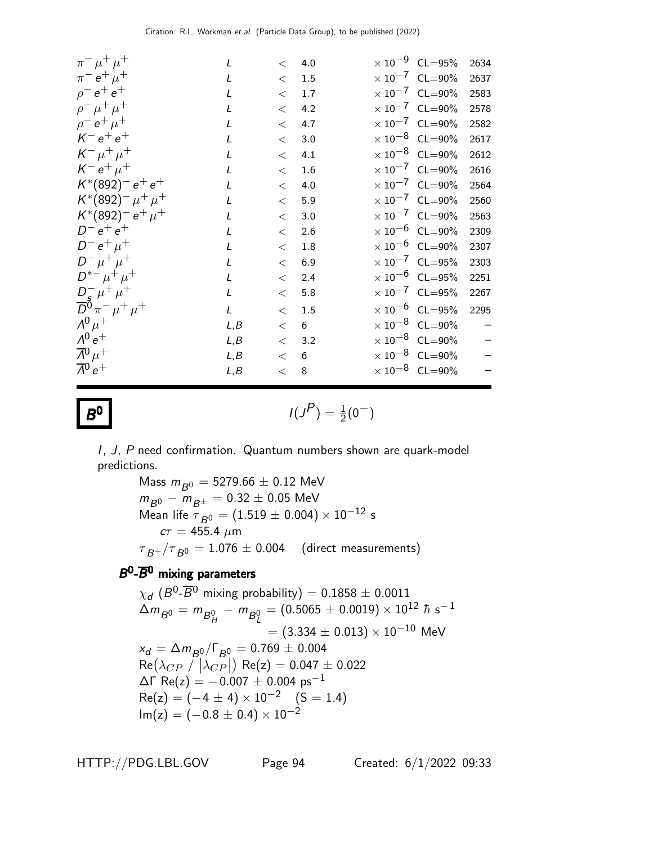| $\pi^{-} \mu^{+} \mu^{+}$                       | L            | $\lt$   | 4.0     | $\times$ 10 <sup>-9</sup> CL=95% | 2634 |
|-------------------------------------------------|--------------|---------|---------|----------------------------------|------|
| $\pi^- e^+ \mu^+$                               | L            | $\lt$   | 1.5     | $\times 10^{-7}$ CL=90%          | 2637 |
| $\rho^- e^+ e^+$                                | $\mathbf{I}$ | $\,<\,$ | 1.7     | $\times 10^{-7}$ CL=90%          | 2583 |
| $\rho^- \mu^+ \mu^+$                            | L            | $\lt$   | 4.2     | $\times 10^{-7}$ CL=90%          | 2578 |
| $\rho^- e^+ \mu^+$                              | $\mathbf{I}$ | $\lt$   | 4.7     | $\times 10^{-7}$ CL=90%          | 2582 |
| $K^- e^+ e^+$                                   | $\mathbf{I}$ | $\lt$   | 3.0     | $\times$ 10 <sup>-8</sup> CL=90% | 2617 |
| $K^- \mu^+ \mu^+$                               | L            | $\lt$   | 4.1     | $\times 10^{-8}$ CL=90%          | 2612 |
| $K^- e^+ \mu^+$                                 | L            | $\lt$   | 1.6     | $\times 10^{-7}$ CL=90%          | 2616 |
| $K^*(892)^- e^+ e^+$                            | L            | $\lt$   | 4.0     | $\times 10^{-7}$ CL=90%          | 2564 |
| $K^*(892)^- \mu^+ \mu^+$                        | $\mathbf{I}$ | $\lt$   | 5.9     | $\times 10^{-7}$ CL=90%          | 2560 |
| $K^*(892)^- e^+ \mu^+$                          | L            | $\lt$   | 3.0     | $\times 10^{-7}$ CL=90%          | 2563 |
| $D^ \rm e^+$ $\rm e^+$                          | L            | $\,<\,$ | 2.6     | $\times$ 10 <sup>-6</sup> CL=90% | 2309 |
| $D^- e^+ \mu^+$                                 | L            | $\,<\,$ | $1.8\,$ | $\times$ 10 <sup>-6</sup> CL=90% | 2307 |
| $D^{-} \mu^{+} \mu^{+}$                         | L            | $\lt$   | 6.9     | $\times$ 10 <sup>-7</sup> CL=95% | 2303 |
| $D^{*-}\mu^+\mu^+$                              | L            | $\lt$   | 2.4     | $\times 10^{-6}$ CL=95%          | 2251 |
| $rac{D_5^- \mu^+ \mu^+}{D^0 \pi^- \mu^+ \mu^+}$ | L            | $\,<\,$ | 5.8     | $\times 10^{-7}$ CL=95%          | 2267 |
|                                                 | L            | $\lt$   | 1.5     | $\times$ 10 $^{-6}$ CL=95%       | 2295 |
| $\Lambda^{0}$ $\mu^{+}$                         | L, B         | $\,<\,$ | 6       | $\times$ 10 <sup>-8</sup> CL=90% |      |
| $\Lambda^{0}e^{+}$                              | L, B         | $\lt$   | 3.2     | $\times$ 10 <sup>-8</sup> CL=90% |      |
| $\overline{\Lambda}{}^0\mu^+$                   | L, B         | $\lt$   | 6       | $\times 10^{-8}$ CL=90%          |      |
| $\overline{\Lambda}{}^0 e^+$                    | L, B         | $\,<$   | 8       | $\times$ 10 $^{-8}$ CL=90%       |      |
|                                                 |              |         |         |                                  |      |

 $B^0$ 

**0** 
$$
I(J^P) = \frac{1}{2}(0^-)
$$

I, J, P need confirmation. Quantum numbers shown are quark-model predictions.

> Mass  $m_{B^0} = 5279.66 \pm 0.12$  MeV  $m_{B^0} - m_{B^{\pm}} = 0.32 \pm 0.05$  MeV Mean life  $T_{B^0} = (1.519 \pm 0.004) \times 10^{-12}$  s  $c\tau = 455.4 \; \mu m$  $\tau_{B^+}/\tau_{B^0} = 1.076 \pm 0.004$  (direct measurements)

# $B^0$ - $\overline{B}{}^0$  mixing parameters

 $\chi_d$   $(B^0\text{-}\overline{B^0}$  mixing probability)  $=0.1858\pm0.0011$  $\Delta m_{B^0} = m_{B^0_H} - m_{B^0_L} = (0.5065 \pm 0.0019) \times 10^{12}~\hbar~\hbox{s}^{-1}$  $= (3.334 \pm 0.013) \times 10^{-10}$  MeV  $x_d = \Delta m_{B^0} / \Gamma_{B^0} = 0.769 \pm 0.004$  $Re(\lambda_{CP} / |\lambda_{CP}|)$  Re(z) = 0.047  $\pm$  0.022  $\Delta\Gamma$  Re(z) = -0.007 ± 0.004 ps<sup>-1</sup>  $Re(z) = (-4 \pm 4) \times 10^{-2}$  (S = 1.4)  $Im(z) = (-0.8 \pm 0.4) \times 10^{-2}$ 

HTTP://PDG.LBL.GOV Page 94 Created: 6/1/2022 09:33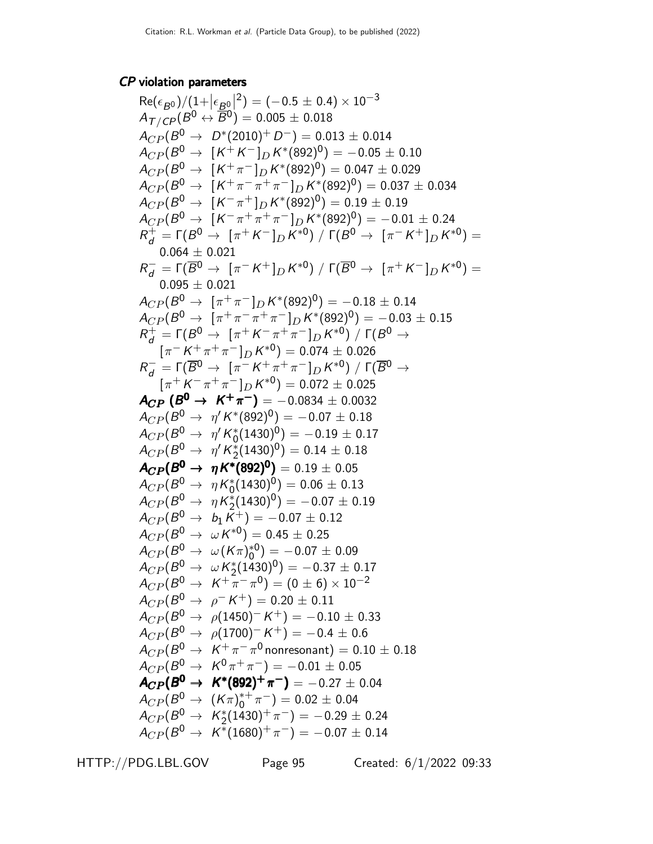# CP violation parameters

$$
Re(\epsilon_{B0})/(1+|\epsilon_{B0}|^2) = (-0.5 \pm 0.4) \times 10^{-3}
$$
\n
$$
A_{\Gamma/CP}(B^0 \leftrightarrow \overline{B}^0) = 0.005 \pm 0.018
$$
\n
$$
A_{CP}(B^0 \rightarrow D^*(2010)^+ D^-) = 0.013 \pm 0.014
$$
\n
$$
A_{CP}(B^0 \rightarrow [K^+ \pi^-]_{D} K^*(892)^0) = -0.05 \pm 0.10
$$
\n
$$
A_{CP}(B^0 \rightarrow [K^+ \pi^-]_{D} K^*(892)^0) = 0.047 \pm 0.029
$$
\n
$$
A_{CP}(B^0 \rightarrow [K^+ \pi^+ \pi^+ \pi^-]_{D} K^*(892)^0) = 0.19 \pm 0.19
$$
\n
$$
A_{CP}(B^0 \rightarrow [K^+ \pi^+ \pi^+ \pi^-]_{D} K^*(892)^0) = 0.19 \pm 0.19
$$
\n
$$
A_{CP}(B^0 \rightarrow [K^+ \pi^+ \pi^+ \pi^-]_{D} K^*(892)^0) = -0.10 \pm 0.24
$$
\n
$$
R_d^+ = \Gamma(B^0 \rightarrow [\pi^+ K^+]_{D} K^*(92)^0) = 0.19 \pm 0.19
$$
\n
$$
0.064 \pm 0.021
$$
\n
$$
R_d^- = \Gamma(\overline{B^0} \rightarrow [\pi^- K^+]_{D} K^*(92)^0) = -0.18 \pm 0.14
$$
\n
$$
A_{CP}(B^0 \rightarrow [\pi^+ \pi^- \pi^-]_{D} K^*(922)^0) = -0.18 \pm 0.15
$$
\n
$$
R_d^+ = \Gamma(B^0 \rightarrow [\pi^+ \pi^- \pi^-]_{D} K^*(922)^0) = -0.03 \pm 0.15
$$
\n
$$
R_d^+ = \Gamma(B^0 \rightarrow [\pi^+ \pi^- \pi^-]_{D} K^*(922)^0) = -0.03 \pm 0.15
$$
\n
$$
R_d^- = \Gamma(\overline{B^0} \rightarrow [\pi^+ \pi^+ \pi^-]_{D
$$

HTTP://PDG.LBL.GOV Page 95 Created: 6/1/2022 09:33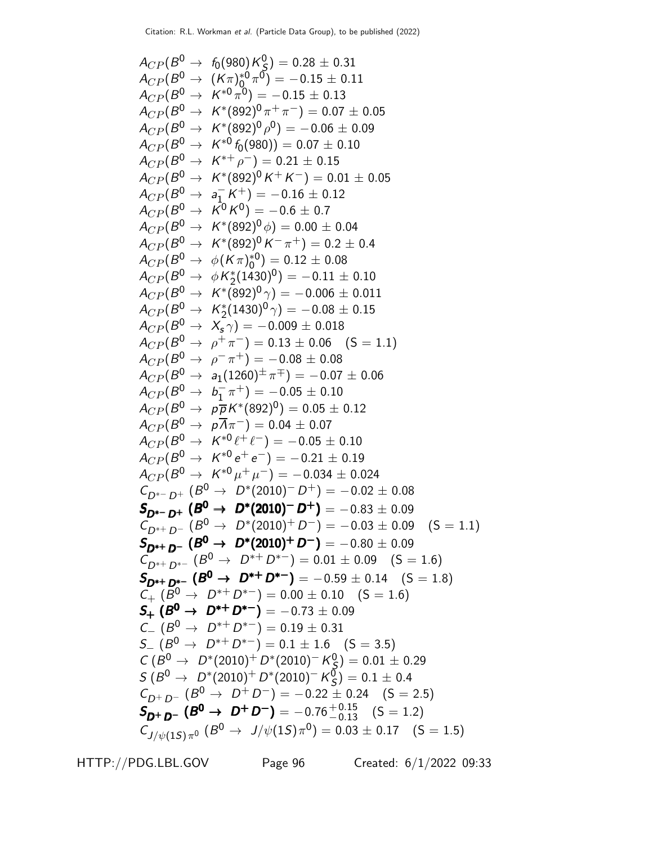$$
A_{CP}(B^0 \rightarrow f_0(980)K_9^0) = 0.28 \pm 0.31
$$
  
\n
$$
A_{CP}(B^0 \rightarrow (K\pi)_0^{*0} \pi^0) = -0.15 \pm 0.11
$$
  
\n
$$
A_{CP}(B^0 \rightarrow K^{*0} \pi^0) = -0.15 \pm 0.13
$$
  
\n
$$
A_{CP}(B^0 \rightarrow K^{*0} \times 892)^0 \pi^+ \pi^-) = 0.07 \pm 0.05
$$
  
\n
$$
A_{CP}(B^0 \rightarrow K^{*0} \times 892)^0 \rho^0) = -0.06 \pm 0.09
$$
  
\n
$$
A_{CP}(B^0 \rightarrow K^{*0} \times 892)^0 \rho^0) = -0.06 \pm 0.09
$$
  
\n
$$
A_{CP}(B^0 \rightarrow K^{*0} \times 892)^0 \rho^0) = -0.05 \pm 0.7
$$
  
\n
$$
A_{CP}(B^0 \rightarrow K^{*0} \times 892)^0 \rho^0) = 0.01 \pm 0.05
$$
  
\n
$$
A_{CP}(B^0 \rightarrow K^{*0} \times 892)^0 \rho^0) = 0.02 \pm 0.4
$$
  
\n
$$
A_{CP}(B^0 \rightarrow K^{*0} \times 892)^0 \rho^0) = 0.02 \pm 0.4
$$
  
\n
$$
A_{CP}(B^0 \rightarrow K^{*0} \times 892)^0 \rho^0) = 0.02 \pm 0.4
$$
  
\n
$$
A_{CP}(B^0 \rightarrow K^{*0} \times 892)^0 \rho^0) = 0.01 \pm 0.10
$$
  
\n
$$
A_{CP}(B^0 \rightarrow K^{*0} \times 892)^0 \rho^0) = -0.006 \pm 0.011
$$
  
\n
$$
A_{CP}(B^0 \rightarrow K^{*0} \times 892)^0 \gamma^0) = -0.008 \pm 0.15
$$
  
\n
$$
A_{CP}(B^0 \rightarrow K^{*0} \times 892)^0 \gamma^0) = -0.008 \pm 0.11
$$
<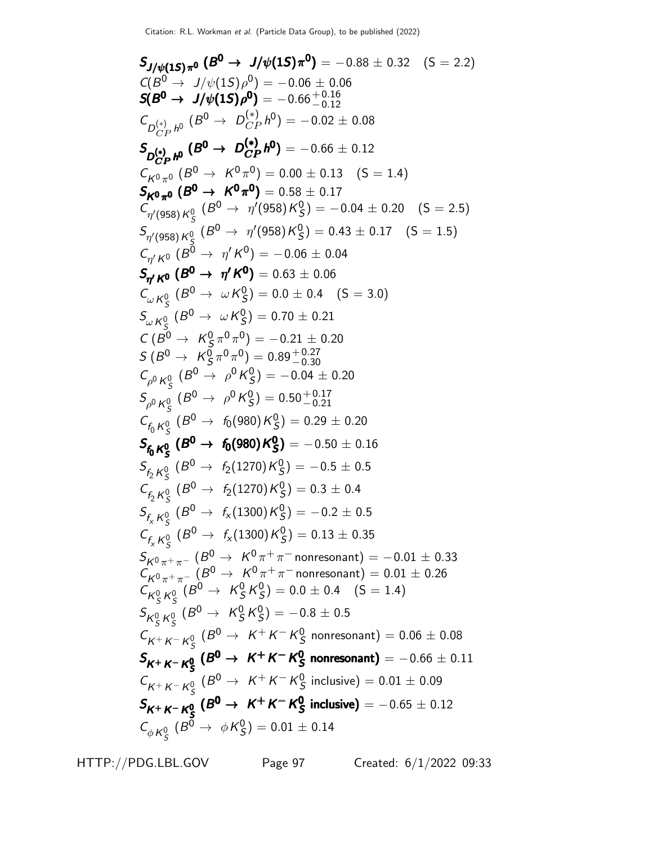SJ/ψ(1S)π<sup>0</sup> (B <sup>0</sup> <sup>→</sup> <sup>J</sup>/ψ(1S)<sup>π</sup> <sup>0</sup> ) <sup>J</sup>/ψ(1S)π<sup>0</sup> <sup>0</sup> <sup>→</sup><sup>0</sup> <sup>S</sup> <sup>J</sup>/ψ(1S)π(<sup>B</sup> <sup>0</sup> J/ψ(1S)<sup>0</sup> ) J/ψ(1S)π<sup>0</sup> <sup>0</sup> = −0.88 ± 0.32 (S = 2.2) C(B <sup>0</sup> <sup>→</sup> <sup>J</sup>/ψ(1S)<sup>ρ</sup> 0 ) = −0.06 ± 0.06 S(B <sup>0</sup> <sup>→</sup> <sup>J</sup>/ψ(1S)<sup>ρ</sup> <sup>0</sup> S(B ) <sup>0</sup> <sup>→</sup> <sup>J</sup>/ψ(1S)<sup>ρ</sup> <sup>0</sup> S( ) <sup>0</sup><sup>→</sup> <sup>J</sup>(1S)<sup>ρ</sup> <sup>0</sup> <sup>S</sup>()0<sup>→</sup> <sup>J</sup>(1S)<sup>ρ</sup> 0 ) <sup>=</sup> <sup>−</sup>0.66+ 0.<sup>16</sup> −0.12 C D (∗) CP h 0 (B <sup>0</sup> <sup>→</sup> <sup>D</sup> (∗) CP h 0 ) = −0.02 ± 0.08 S D (∗) CP h 0 (B <sup>0</sup> <sup>→</sup> <sup>D</sup> (∗) CP h <sup>0</sup> S ) D <sup>∗</sup>CP <sup>h</sup> 0 (B <sup>0</sup><sup>→</sup> <sup>D</sup> (∗) CP h <sup>0</sup>S ) D (∗) CP <sup>0</sup> (→ D (∗) CP <sup>h</sup><sup>0</sup> <sup>S</sup> ) D <sup>∗</sup>CP <sup>0</sup> (→ D (∗) CP <sup>h</sup><sup>0</sup> ) = −0.66 ± 0.12 CK<sup>0</sup> <sup>π</sup><sup>0</sup> (B <sup>0</sup> <sup>→</sup> <sup>K</sup> 0 π 0 ) = 0.00 ± 0.13 (S = 1.4) SK<sup>0</sup> <sup>π</sup><sup>0</sup> (B <sup>0</sup> <sup>→</sup> <sup>K</sup> 0 π <sup>0</sup> <sup>S</sup> ) <sup>K</sup><sup>0</sup> <sup>π</sup><sup>0</sup> (<sup>B</sup> → K π <sup>S</sup> ) <sup>K</sup><sup>0</sup> <sup>π</sup><sup>0</sup> (<sup>0</sup> <sup>π</sup><sup>0</sup> <sup>S</sup> )K<sup>0</sup> <sup>π</sup><sup>0</sup> ( <sup>π</sup> )= 0.58 ± 0.17 C η ′(958)K<sup>0</sup> S (B <sup>0</sup> <sup>→</sup> <sup>η</sup> ′ (958)K 0 S ) = −0.04 ± 0.20 (S = 2.5) S η ′(958)K<sup>0</sup> S (B <sup>0</sup> <sup>→</sup> <sup>η</sup> ′ (958)K 0 S ) = 0.43 ± 0.17 (S = 1.5) Cη ′ <sup>K</sup><sup>0</sup> (B <sup>0</sup> <sup>→</sup> <sup>η</sup> ′K 0 ) = −0.06 ± 0.04 Sη ′ <sup>K</sup><sup>0</sup> (B <sup>0</sup> <sup>→</sup> <sup>η</sup> ′K <sup>0</sup> S ) <sup>η</sup> <sup>K</sup><sup>0</sup> (B <sup>0</sup> <sup>→</sup> <sup>η</sup> ′K <sup>0</sup> S ) η ′K(B <sup>0</sup> <sup>→</sup> ′<sup>K</sup> S ) <sup>η</sup>K(B <sup>0</sup> <sup>→</sup> ′<sup>K</sup> ) = 0.63 ± 0.06 C<sup>ω</sup> <sup>K</sup><sup>0</sup> S (B <sup>0</sup> <sup>→</sup> <sup>ω</sup><sup>K</sup> 0 S ) = 0.0 ± 0.4 (S = 3.0) S<sup>ω</sup> <sup>K</sup><sup>0</sup> S (B <sup>0</sup> <sup>→</sup> <sup>ω</sup><sup>K</sup> 0 S ) = 0.70 ± 0.21 C (B <sup>0</sup> <sup>→</sup> <sup>K</sup> 0 S π 0 π 0 ) = −0.21 ± 0.20 S (B <sup>0</sup> <sup>→</sup> <sup>K</sup> 0 S π 0π 0 ) = 0.89+ 0.<sup>27</sup> −0.30 C ρ <sup>0</sup> K<sup>0</sup> S (B <sup>0</sup> <sup>→</sup> <sup>ρ</sup> <sup>0</sup>K 0 S ) = −0.04 ± 0.20 S ρ <sup>0</sup> K<sup>0</sup> S (B <sup>0</sup> <sup>→</sup> <sup>ρ</sup> <sup>0</sup>K 0 S ) = 0.50+ 0.<sup>17</sup> −0.21 <sup>C</sup>f<sup>0</sup> <sup>K</sup><sup>0</sup> S (B <sup>0</sup> <sup>→</sup> <sup>f</sup>0(980)<sup>K</sup> 0 S ) = 0.29 ± 0.20 <sup>S</sup>f<sup>0</sup> <sup>K</sup><sup>0</sup> S (B <sup>0</sup> <sup>→</sup> <sup>f</sup>0(980)<sup>K</sup> 0 S S ) f<sup>0</sup> K<sup>S</sup> (B <sup>0</sup><sup>→</sup> <sup>f</sup>0(980)<sup>K</sup> 0S S ) <sup>f</sup><sup>0</sup> <sup>0</sup> S (B <sup>0</sup> f0(980)K<sup>0</sup> <sup>S</sup><sup>S</sup> )f<sup>0</sup> <sup>S</sup> (B <sup>0</sup>f0(980)K0S) <sup>=</sup> <sup>−</sup>0.<sup>50</sup> <sup>±</sup> <sup>0</sup>.<sup>16</sup> S <sup>f</sup><sup>2</sup> <sup>K</sup><sup>0</sup> S (B <sup>0</sup> <sup>→</sup> <sup>f</sup>2(1270)<sup>K</sup> 0 S ) = −0.5 ± 0.5 <sup>C</sup>f<sup>2</sup> <sup>K</sup><sup>0</sup> S (B <sup>0</sup> <sup>→</sup> <sup>f</sup>2(1270)<sup>K</sup> 0 S ) = 0.3 ± 0.4 <sup>S</sup>f<sup>x</sup> <sup>K</sup><sup>0</sup> S (B <sup>0</sup> <sup>→</sup> <sup>f</sup><sup>x</sup> (1300)K 0 S ) = −0.2 ± 0.5 <sup>C</sup>f<sup>x</sup> <sup>K</sup><sup>0</sup> S (B <sup>0</sup> <sup>→</sup> <sup>f</sup><sup>x</sup> (1300)K 0 S ) = 0.13 ± 0.35 SK<sup>0</sup> <sup>π</sup><sup>+</sup> <sup>π</sup><sup>−</sup> (B <sup>0</sup> <sup>→</sup> <sup>K</sup> 0 π <sup>+</sup> π <sup>−</sup> nonresonant) = −0.01 ± 0.33 CK<sup>0</sup> <sup>π</sup><sup>+</sup> <sup>π</sup><sup>−</sup> (B <sup>0</sup> <sup>→</sup> <sup>K</sup> 0 π <sup>+</sup> π <sup>−</sup> nonresonant) = 0.01 ± 0.26 CK<sup>0</sup> S K0 S (B <sup>0</sup> <sup>→</sup> <sup>K</sup> 0 S K 0 S ) = 0.0 ± 0.4 (S = 1.4) SK<sup>0</sup> S K<sup>0</sup> S (B <sup>0</sup> <sup>→</sup> <sup>K</sup> 0 S K 0 S ) = −0.8 ± 0.5 CK<sup>+</sup> <sup>K</sup><sup>−</sup> <sup>K</sup><sup>0</sup> S (B <sup>0</sup> <sup>→</sup> <sup>K</sup> <sup>+</sup> K − K 0 S nonresonant) = 0.06 ± 0.08 SK<sup>+</sup> <sup>K</sup><sup>−</sup> <sup>K</sup><sup>0</sup> S (B <sup>0</sup> <sup>→</sup> <sup>K</sup> <sup>+</sup> K − K 0 S S nonresonant) KK−K<sup>0</sup> S (B <sup>0</sup> <sup>→</sup> <sup>K</sup> <sup>+</sup> K − K 0 <sup>S</sup>S nonresonant) <sup>K</sup><sup>+</sup> <sup>K</sup><sup>−</sup> <sup>K</sup><sup>0</sup> S (B <sup>0</sup> <sup>→</sup> <sup>K</sup> K− K S S KK−K<sup>0</sup> S (B <sup>0</sup> <sup>→</sup> <sup>K</sup> K− K <sup>S</sup>= −0.66 ± 0.11 CK<sup>+</sup> <sup>K</sup><sup>−</sup> <sup>K</sup><sup>0</sup> S (B <sup>0</sup> <sup>→</sup> <sup>K</sup> <sup>+</sup> K − K 0 S inclusive) = 0.01 ± 0.09 SK<sup>+</sup> <sup>K</sup><sup>−</sup> <sup>K</sup><sup>0</sup> S (B <sup>0</sup> <sup>→</sup> <sup>K</sup> <sup>+</sup> K − K 0 S S inclusive) KK−K<sup>0</sup> S (B <sup>0</sup> <sup>→</sup> <sup>K</sup> <sup>+</sup> K − K 0 <sup>S</sup>S inclusive) <sup>K</sup><sup>+</sup> <sup>K</sup><sup>−</sup> <sup>K</sup><sup>0</sup> S (B <sup>0</sup> <sup>→</sup> <sup>K</sup> K− K S S inclusive) KK−K<sup>0</sup> S (B <sup>0</sup> <sup>→</sup> <sup>K</sup> K− K <sup>S</sup>inclusive) = −0.65 ± 0.12 CφK<sup>0</sup> S (B <sup>0</sup> <sup>→</sup> <sup>φ</sup><sup>K</sup> 0 S ) = 0.01 ± 0.14

HTTP://PDG.LBL.GOV Page 97 Created: 6/1/2022 09:33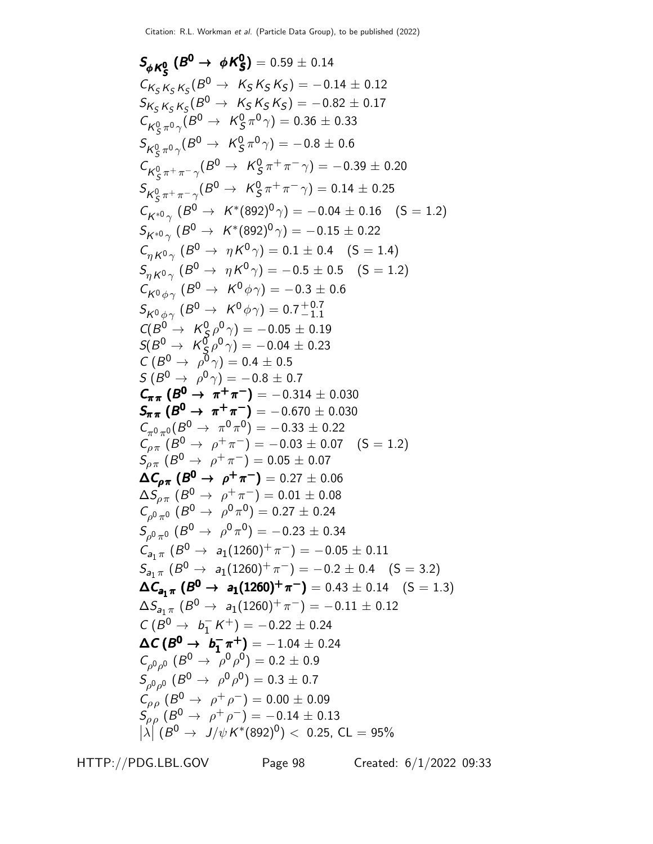$$
S_{\phi}K_{S}^{o} (B^{0} \rightarrow \phi K_{S}^{o}) = 0.59 \pm 0.14
$$
  
\n
$$
C_{K_{S}K_{S}K_{S}}(B^{0} \rightarrow K_{S}K_{S}K_{S}) = -0.14 \pm 0.12
$$
  
\n
$$
S_{K_{S}K_{S}K_{S}}(B^{0} \rightarrow K_{S}K_{S}K_{S}) = -0.82 \pm 0.17
$$
  
\n
$$
C_{K_{S}^{0} \pi^{0}}(B^{0} \rightarrow K_{S}^{0} \pi^{0} \gamma) = 0.36 \pm 0.33
$$
  
\n
$$
S_{K_{S}^{0} \pi^{0}}(B^{0} \rightarrow K_{S}^{0} \pi^{0} \gamma) = -0.8 \pm 0.6
$$
  
\n
$$
C_{K_{S}^{0} \pi^{+} \pi^{-}}(B^{0} \rightarrow K_{S}^{0} \pi^{+} \pi^{-} \gamma) = -0.39 \pm 0.20
$$
  
\n
$$
S_{K_{S}^{0} \pi^{+} \pi^{-}}(B^{0} \rightarrow K_{S}^{0} \pi^{+} \pi^{-} \gamma) = 0.14 \pm 0.25
$$
  
\n
$$
C_{K^{*0} \gamma} (B^{0} \rightarrow K^{*}(892)^{0} \gamma) = -0.04 \pm 0.16 \text{ (S = 1.2)}
$$
  
\n
$$
S_{K^{*0} \gamma} (B^{0} \rightarrow K^{*}(892)^{0} \gamma) = -0.15 \pm 0.22
$$
  
\n
$$
C_{K^{0} \phi \gamma} (B^{0} \rightarrow R^{0} \gamma) = 0.1 \pm 0.4 \text{ (S = 1.4)}
$$
  
\n
$$
S_{K^{0} \phi \gamma} (B^{0} \rightarrow R^{0} \gamma) = -0.5 \pm 0.5 \text{ (S = 1.2)}
$$
  
\n
$$
S_{K^{0} \phi \gamma} (B^{0} \rightarrow K^{0} \phi \gamma) = -0.4 \pm 0.5
$$
  
\n
$$
S_{K^{0} \phi \gamma} (B^{0} \rightarrow K^{0} \phi \gamma) = -0.4 \pm 0.5
$$
  
\n

HTTP://PDG.LBL.GOV Page 98 Created: 6/1/2022 09:33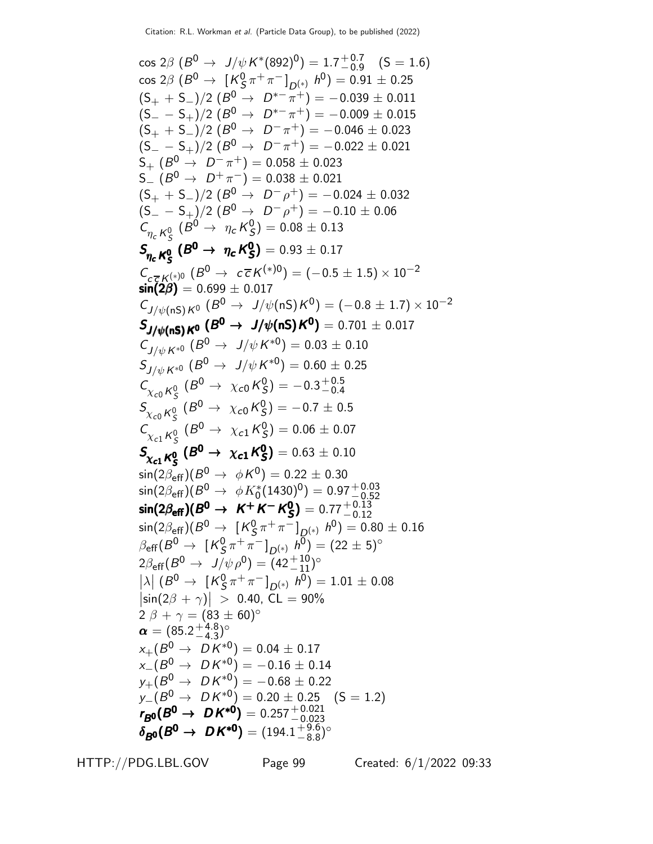cos 2β (B <sup>0</sup> <sup>→</sup> <sup>J</sup>/ψ<sup>K</sup> ∗ (892)<sup>0</sup> ) = 1.7 + 0.7 −0.9 (S = 1.6) cos 2β (B <sup>0</sup> <sup>→</sup> [<sup>K</sup> 0 S π <sup>+</sup> π <sup>−</sup> ]D(∗) h 0 ) = 0.91 ± 0.25 (S<sup>+</sup> + S−)/2 (B <sup>0</sup> <sup>→</sup> <sup>D</sup> ∗− π <sup>+</sup>) = <sup>−</sup>0.<sup>039</sup> <sup>±</sup> <sup>0</sup>.<sup>011</sup> (S<sup>−</sup> − S+)/2 (B <sup>0</sup> <sup>→</sup> <sup>D</sup> ∗− π <sup>+</sup>) = <sup>−</sup>0.<sup>009</sup> <sup>±</sup> <sup>0</sup>.<sup>015</sup> (S<sup>+</sup> + S−)/2 (B <sup>0</sup> <sup>→</sup> <sup>D</sup> − π <sup>+</sup>) = <sup>−</sup>0.<sup>046</sup> <sup>±</sup> <sup>0</sup>.<sup>023</sup> (S<sup>−</sup> − S+)/2 (B <sup>0</sup> <sup>→</sup> <sup>D</sup> − π <sup>+</sup>) = <sup>−</sup>0.<sup>022</sup> <sup>±</sup> <sup>0</sup>.<sup>021</sup> S<sup>+</sup> (B <sup>0</sup> <sup>→</sup> <sup>D</sup> − π <sup>+</sup>) = 0.<sup>058</sup> <sup>±</sup> <sup>0</sup>.<sup>023</sup> S<sup>−</sup> (B <sup>0</sup> <sup>→</sup> <sup>D</sup> <sup>+</sup> π <sup>−</sup>) = 0.038 ± 0.021 (S<sup>+</sup> + S−)/2 (B <sup>0</sup> <sup>→</sup> <sup>D</sup> − ρ <sup>+</sup>) = <sup>−</sup>0.<sup>024</sup> <sup>±</sup> <sup>0</sup>.<sup>032</sup> (S<sup>−</sup> − S+)/2 (B <sup>0</sup> <sup>→</sup> <sup>D</sup> − ρ <sup>+</sup>) = <sup>−</sup>0.<sup>10</sup> <sup>±</sup> <sup>0</sup>.<sup>06</sup> C <sup>η</sup><sup>c</sup> <sup>K</sup><sup>0</sup> S (B <sup>0</sup> <sup>→</sup> <sup>η</sup><sup>c</sup> <sup>K</sup> 0 S ) = 0.08 ± 0.13 S <sup>η</sup><sup>c</sup> <sup>K</sup><sup>0</sup> S (B <sup>0</sup> <sup>→</sup> <sup>η</sup><sup>c</sup> <sup>K</sup> 0 S ) <sup>η</sup><sup>c</sup> <sup>K</sup>0→<sup>c</sup> <sup>0</sup><sup>S</sup> <sup>S</sup> <sup>η</sup><sup>c</sup> <sup>K</sup><sup>0</sup> S(<sup>B</sup> <sup>0</sup> <sup>c</sup> K S ) <sup>η</sup><sup>c</sup> <sup>K</sup>0<sup>c</sup> <sup>S</sup> = 0.93 ± 0.17 C<sup>c</sup> c K(∗)0 (B <sup>0</sup> <sup>→</sup> <sup>c</sup> c K(∗)0) = (−0.<sup>5</sup> <sup>±</sup> <sup>1</sup>.5) <sup>×</sup> <sup>10</sup>−<sup>2</sup> sin(2β) = 0.699 ± 0.017 CJ/ψ(nS)K<sup>0</sup> (B <sup>0</sup> <sup>→</sup> <sup>J</sup>/ψ(nS)<sup>K</sup> 0 ) = (−0.<sup>8</sup> <sup>±</sup> <sup>1</sup>.7) <sup>×</sup> <sup>10</sup>−<sup>2</sup> SJ/ψ(nS)K<sup>0</sup> (B <sup>0</sup> <sup>→</sup> <sup>J</sup>/ψ(nS)<sup>K</sup> <sup>0</sup> ) <sup>J</sup>/ψ(nS)K<sup>0</sup> <sup>0</sup> <sup>0</sup> <sup>S</sup> <sup>J</sup>/ψ(nS)0<sup>→</sup> <sup>J</sup>/ψ(nS)K<sup>0</sup> ) J/ψ(nS)<sup>00</sup> = 0.701 ± 0.017 CJ/ψ <sup>K</sup>∗<sup>0</sup> (B <sup>0</sup> <sup>→</sup> <sup>J</sup>/ψ<sup>K</sup> ∗0 ) = 0.03 ± 0.10 SJ/ψ <sup>K</sup>∗<sup>0</sup> (B <sup>0</sup> <sup>→</sup> <sup>J</sup>/ψ<sup>K</sup> ∗0 ) = 0.60 ± 0.25 C <sup>χ</sup>c<sup>0</sup> <sup>K</sup><sup>0</sup> S (B <sup>0</sup> <sup>→</sup> <sup>χ</sup>c0<sup>K</sup> 0 S ) = −0.3 + 0.5 −0.4 S <sup>χ</sup>c<sup>0</sup> <sup>K</sup><sup>0</sup> S (B <sup>0</sup> <sup>→</sup> <sup>χ</sup>c0<sup>K</sup> 0 S ) = −0.7 ± 0.5 C <sup>χ</sup>c<sup>1</sup> <sup>K</sup><sup>0</sup> S (B <sup>0</sup> <sup>→</sup> <sup>χ</sup>c1<sup>K</sup> 0 S ) = 0.06 ± 0.07 S <sup>χ</sup>c<sup>1</sup> <sup>K</sup><sup>0</sup> S (B <sup>0</sup> <sup>→</sup> <sup>χ</sup>c1<sup>K</sup> 0 S <sup>S</sup> ) <sup>χ</sup>c<sup>1</sup> <sup>K</sup><sup>S</sup> (B <sup>0</sup><sup>→</sup> <sup>χ</sup>c1<sup>K</sup> 0S S ) <sup>χ</sup>cK<sup>0</sup> S(<sup>B</sup> <sup>0</sup> <sup>→</sup> <sup>χ</sup>c<sup>0</sup> S <sup>S</sup> ) <sup>χ</sup>cKS(<sup>B</sup> <sup>0</sup><sup>→</sup> <sup>χ</sup>c0<sup>S</sup> ) = 0.63 ± 0.10 sin(2βeff)(B <sup>0</sup> <sup>→</sup> <sup>φ</sup><sup>K</sup> 0 ) = 0.22 ± 0.30 sin(2βeff)(B <sup>0</sup> <sup>→</sup> φK<sup>∗</sup> 0 (1430)<sup>0</sup> ) = 0.97+ 0.<sup>03</sup> −0.52 sin(2βeff)(B <sup>0</sup> <sup>→</sup> <sup>K</sup> <sup>+</sup> K − K 0 S sin(2βeff)(B ) <sup>0</sup><sup>→</sup> <sup>K</sup> <sup>+</sup>K −K <sup>0</sup>Ssin(2<sup>β</sup> ) eff)(<sup>B</sup> <sup>0</sup> <sup>→</sup> <sup>K</sup> K− K S sin(2βeff)(B ) <sup>0</sup><sup>→</sup> <sup>K</sup> K−K <sup>S</sup>) = 0.77+ 0.<sup>13</sup> −0.12 sin(2βeff)(B <sup>0</sup> <sup>→</sup> [<sup>K</sup> 0 S π <sup>+</sup> π <sup>−</sup> ]D(∗) h 0 ) = 0.80 ± 0.16 βeff(B <sup>0</sup> <sup>→</sup> [<sup>K</sup> 0 S π <sup>+</sup> π <sup>−</sup> ]D(∗) h 0 ) = (22 ± 5)◦ 2βeff(B <sup>0</sup> <sup>→</sup> <sup>J</sup>/ψ ρ<sup>0</sup> ) = (42+ 10 <sup>−</sup>11) ◦ λ  (<sup>B</sup> <sup>0</sup> <sup>→</sup> [<sup>K</sup> 0 S π <sup>+</sup> π <sup>−</sup> ]D(∗) h 0 ) = 1.01 ± 0.08 sin(2<sup>β</sup> <sup>+</sup> <sup>γ</sup>) <sup>&</sup>gt; <sup>0</sup>.40, CL = 90% 2 β + γ = (83 ± 60)◦ α = (85.2 + 4.8 −4.3 ) ◦ x+(B <sup>0</sup> <sup>→</sup> D K∗<sup>0</sup> ) = 0.04 ± 0.17 x−(B <sup>0</sup> <sup>→</sup> D K∗<sup>0</sup> ) = −0.16 ± 0.14 y+(B <sup>0</sup> <sup>→</sup> D K∗<sup>0</sup> ) = −0.68 ± 0.22 y−(B <sup>0</sup> <sup>→</sup> D K∗<sup>0</sup> ) = 0.20 ± 0.25 (S = 1.2) rB<sup>0</sup> (B <sup>0</sup> <sup>→</sup> D K∗<sup>0</sup> ) <sup>B</sup>0→∗<sup>0</sup> <sup>r</sup> <sup>B</sup>(<sup>→</sup> D K) <sup>B</sup>→= 0.257+ 0.<sup>021</sup> −0.023 δB<sup>0</sup> (B <sup>0</sup> <sup>→</sup> D K∗<sup>0</sup> <sup>δ</sup> ) <sup>B</sup><sup>0</sup> (<sup>B</sup> <sup>0</sup> <sup>→</sup> D K∗<sup>0</sup> δ ) <sup>B</sup><sup>0</sup> (B <sup>0</sup> D K∗<sup>0</sup> <sup>δ</sup>) <sup>B</sup><sup>0</sup> (<sup>B</sup> <sup>0</sup> D K∗<sup>0</sup> ) = (194.1 + 9.6 −8.8 ) ◦

HTTP://PDG.LBL.GOV Page 99 Created: 6/1/2022 09:33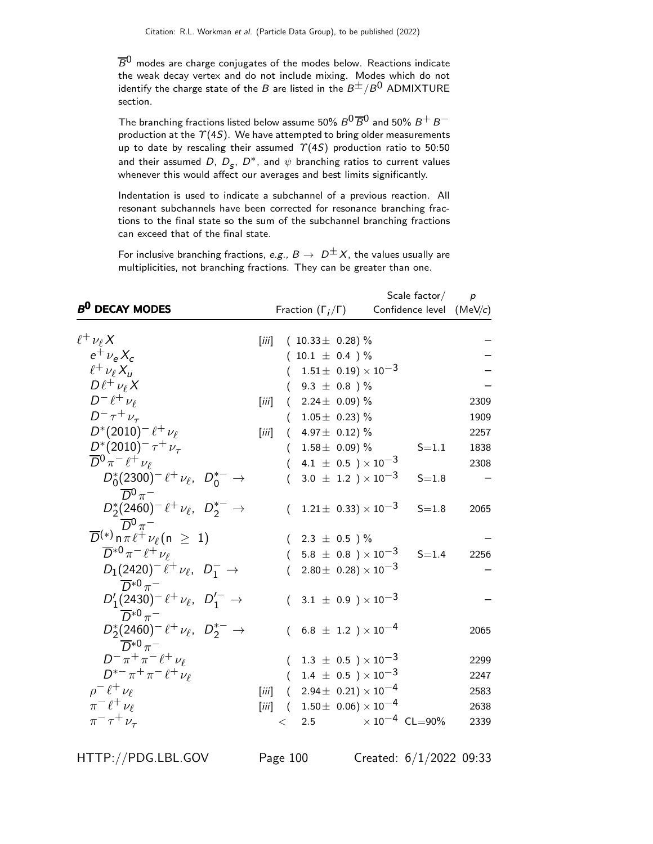$\overline B^0$  modes are charge conjugates of the modes below. Reactions indicate the weak decay vertex and do not include mixing. Modes which do not identify the charge state of the B are listed in the  $B^{\pm}/B^0$  ADMIXTURE section.

The branching fractions listed below assume 50%  $B^0\overline{B}{}^0$  and 50%  $B^+$   $B^$ production at the  $\Upsilon(4S)$ . We have attempted to bring older measurements up to date by rescaling their assumed  $\Upsilon(4S)$  production ratio to 50:50 and their assumed D,  $D_s$ ,  $D^*$ , and  $\psi$  branching ratios to current values whenever this would affect our averages and best limits significantly.

Indentation is used to indicate a subchannel of a previous reaction. All resonant subchannels have been corrected for resonance branching fractions to the final state so the sum of the subchannel branching fractions can exceed that of the final state.

For inclusive branching fractions, e.g.,  $B \to D^{\pm}X$ , the values usually are multiplicities, not branching fractions. They can be greater than one.

|                                                               |                         |       |                                                              | Scale $factor/$          |      |
|---------------------------------------------------------------|-------------------------|-------|--------------------------------------------------------------|--------------------------|------|
| <b>B<sup>0</sup> DECAY MODES</b>                              |                         |       | Fraction $(\Gamma_i/\Gamma)$                                 | Confidence level (MeV/c) |      |
| $\ell^+ \nu_\ell X$                                           | $\left[\ddot{m}\right]$ |       | $(10.33 \pm 0.28)\%$                                         |                          |      |
| $e^{\dagger} \nu_{\rm e} X_c$                                 |                         |       | $10.1 \pm 0.4$ )%                                            |                          |      |
| $\ell^+ \nu_\ell X$                                           |                         |       | $1.51\pm 0.19 \times 10^{-3}$                                |                          |      |
| $D\ell^+\nu_\ell X$                                           |                         |       | $9.3 \pm 0.8$ )%                                             |                          |      |
| $D^-\ell^+\nu_\ell$                                           | [iii]                   |       | 2.24 $\pm$ 0.09) %                                           |                          | 2309 |
| $D^{-} \tau^{+} \nu_{\tau}$                                   |                         |       | $1.05\pm 0.23)$ %                                            |                          | 1909 |
| $D^*(2010)^- \ell^+ \nu_\ell$                                 | $\left[\ddot{m}\right]$ | (     | 4.97 $\pm$ 0.12) $\%$                                        |                          | 2257 |
| $D^{*}(2010)^{-} \tau^{+} \nu_{\tau}$                         |                         |       | $1.58 \pm 0.09$ ) %                                          | $S = 1.1$                | 1838 |
| $\overline{D}{}^0 \pi^- \ell^+ \nu_\ell$                      |                         |       | 4.1 $\pm$ 0.5 ) $\times$ 10 <sup>-3</sup>                    |                          | 2308 |
| $D_0^*(2300)^- \ell^+ \nu_{\ell}$ , $D_0^{*-} \rightarrow$    |                         |       | 3.0 $\pm$ 1.2 ) $\times$ 10 <sup>-3</sup>                    | $S = 1.8$                |      |
| $\overline{D}{}^0\pi^-$                                       |                         |       |                                                              |                          |      |
| $D_2^*(2460)^- \ell^+ \nu_\ell$ , $D_2^{*-} \rightarrow$      |                         |       | $1.21 \pm 0.33) \times 10^{-3}$                              | $S = 1.8$                | 2065 |
| $\overline{D}{}^0 \pi^-$                                      |                         |       |                                                              |                          |      |
| $\overline{D}^{(*)}$ n $\pi \ell^+ \nu_\ell$ (n $\geq 1$ )    |                         |       | 2.3 $\pm$ 0.5 ) $\%$                                         |                          |      |
| $\overline{D}^{*0}\pi^{-}\ell^{+}\nu_{\ell}$                  |                         |       | 5.8 $\pm$ 0.8 $\times$ 10 $^{-3}$                            | $S = 1.4$                | 2256 |
| $D_1(2420)^- \ell^+ \nu_{\ell}$ , $D_1^- \rightarrow$         |                         |       | $2.80 \pm 0.28 \times 10^{-3}$                               |                          |      |
| $\overline{D}^{*0}\pi^-$                                      |                         |       |                                                              |                          |      |
| $D'_1(2430)^- \ell^+ \nu_{\ell}$ , $D'^-_{1} \rightarrow$     |                         |       | $(3.1 \pm 0.9) \times 10^{-3}$                               |                          |      |
| $\overline{D}^{*0}\pi^-$                                      |                         |       |                                                              |                          |      |
| $D_2^*(2460)^- \ell^+ \nu_\ell, D_2^{*-} \rightarrow$         |                         |       | $(6.8 \pm 1.2) \times 10^{-4}$                               |                          | 2065 |
| $\overline{D}^{*0}\pi^-$<br>$D^- \pi^+ \pi^- \ell^+ \nu_\ell$ |                         |       |                                                              |                          |      |
| $D^{*-}\pi^+\pi^- \ell^+\nu_{\ell}$                           |                         |       | $(1.3 \pm 0.5) \times 10^{-3}$                               |                          | 2299 |
|                                                               |                         |       | $1.4 \pm 0.5$ ) × $10^{-3}$                                  |                          | 2247 |
| $\rho^- \ell^+ \nu_\ell$<br>$\pi^{-} \ell^{+} \nu_{\ell}$     | [iii]                   | (     | $2.94 \pm 0.21 \times 10^{-4}$                               |                          | 2583 |
| $\pi^{-}$ $\tau^{+}$ $\nu_{\tau}$                             | $\left[\ddot{m}\right]$ |       | $(1.50\pm 0.06)\times 10^{-4}$<br>$\times$ 10 $^{-4}$ CL=90% |                          | 2638 |
|                                                               |                         | $\lt$ | 2.5                                                          |                          | 2339 |

HTTP://PDG.LBL.GOV Page 100 Created: 6/1/2022 09:33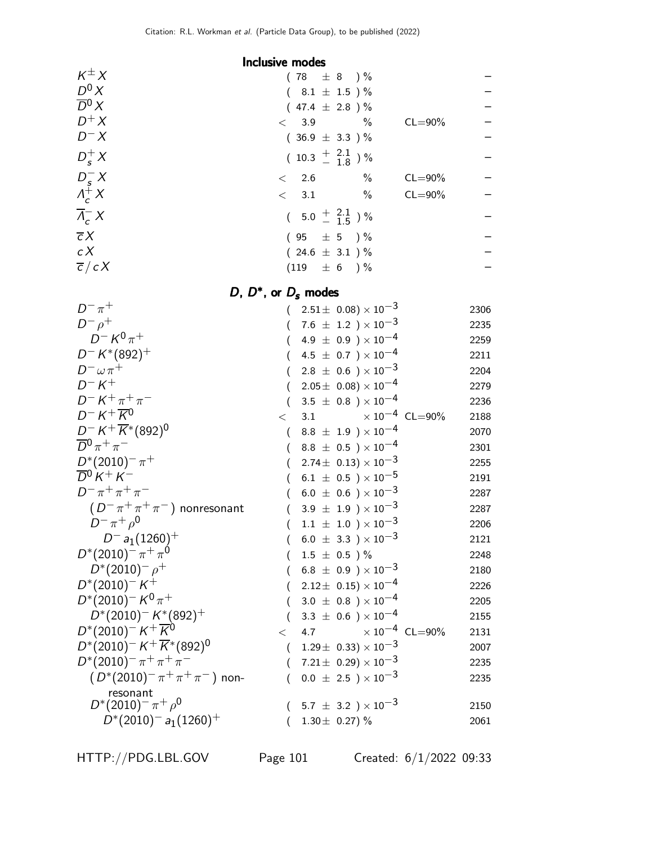## Inclusive modes

| $K^{\pm}X$                     | $(78 \pm 8) \%$                        |             |  |
|--------------------------------|----------------------------------------|-------------|--|
| $D^0 X$                        | $(8.1 \pm 1.5) \%$                     |             |  |
| $\overline{D}{}^0 X$           | $(47.4 \pm 2.8) \%$                    |             |  |
| $D^+X$                         | $< 3.9$ %                              | $CL = 90\%$ |  |
| $D^- X$                        | $(36.9 \pm 3.3)$ %                     |             |  |
| $D_s^+ X$                      | $(10.3 \frac{+}{-} \frac{2.1}{1.8})$ % |             |  |
|                                | $\%$<br>$\lt$ 2.6                      | $CL = 90\%$ |  |
| $D_s^- X$<br>$\Lambda_c^+ X$   | $\%$<br>$\langle$ 3.1                  | $CL = 90\%$ |  |
| $\overline{\Lambda}_{c}^{-} X$ | $(5.0 \pm \frac{2.1}{1.5})\%$          |             |  |
| $\overline{c}X$                | $(95 \pm 5) \%$                        |             |  |
| c X                            | $(24.6 \pm 3.1)$ %                     |             |  |
| $\overline{c}/cX$              | $(119 \pm 6) \%$                       |             |  |
|                                |                                        |             |  |

## D,  $D^*$ , or  $D_s$  modes

| $D^{-} \pi^{+}$                                  |          | $(2.51 \pm 0.08) \times 10^{-3}$        | 2306 |
|--------------------------------------------------|----------|-----------------------------------------|------|
| $D^ \rho^+$                                      |          | $(7.6 \pm 1.2) \times 10^{-3}$          | 2235 |
| $D^- K^0 \pi^+$                                  |          | $(4.9 \pm 0.9) \times 10^{-4}$          | 2259 |
| $D^- K^*(892)^+$                                 |          | 4.5 $\pm$ 0.7 $) \times 10^{-4}$        | 2211 |
| $D^- \omega \pi^+$                               |          | $2.8 \pm 0.6$ ) $\times 10^{-3}$        | 2204 |
| $D-K^+$                                          |          | $2.05 \pm 0.08 \times 10^{-4}$          | 2279 |
| $D^- K^+ \pi^+ \pi^-$                            |          | $3.5 \pm 0.8$ ) $\times 10^{-4}$        | 2236 |
| $D^- K^+ \overline{K}{}^0$                       | $\lt$    | $\times$ 10 <sup>-4</sup> CL=90%<br>3.1 | 2188 |
| $D^- K^+ \overline{K}{}^*(892)^0$                | (        | $8.8 \pm 1.9$ ) $\times 10^{-4}$        | 2070 |
| $\overline{D}{}^0 \pi^+ \pi^-$                   |          | $(8.8 \pm 0.5) \times 10^{-4}$          | 2301 |
| $D^{*}(2010)^{-} \pi^{+}$                        |          | $2.74\pm\ 0.13)\times 10^{-3}$          | 2255 |
| $\overline{D}{}^0 K^+ K^-$                       |          | 6.1 $\pm$ 0.5 $\times$ 10 <sup>-5</sup> | 2191 |
| $D^- \pi^+ \pi^+ \pi^-$                          |          | $6.0 \pm 0.6$ ) $\times 10^{-3}$        | 2287 |
| $(D^{-}\pi^{+}\pi^{+}\pi^{-})$ nonresonant       |          | $3.9 \pm 1.9$ ) $\times 10^{-3}$        | 2287 |
| $D^{-} \pi^{+} \rho^{0}$                         |          | $1.1 \pm 1.0$ ) $\times 10^{-3}$        | 2206 |
| $D^-$ a <sub>1</sub> (1260) <sup>+</sup>         |          | $6.0 \pm 3.3$ ) × $10^{-3}$             | 2121 |
| $D^{*}(2010)^{-} \pi^{+} \pi^{0}$                |          | $1.5 \pm 0.5$ )%                        | 2248 |
| $D^*(2010)^ \rho^+$                              |          | $6.8~\pm~0.9~\rm )\times 10^{-3}$       | 2180 |
| $D^*(2010)^{-}K^+$                               |          | $2.12 \pm 0.15 \times 10^{-4}$          | 2226 |
| $D^*(2010)^- K^0 \pi^+$                          |          | $3.0~\pm~0.8~$ ) $\times~10^{-4}$       | 2205 |
| $D^*(2010)^- K^*(892)^+$                         |          | 3.3 $\pm$ 0.6 $\times$ 10 <sup>-4</sup> | 2155 |
| $D^*(2010)^{-} K^+ \overline{K}{}^{0}$           | $\lt$    | 4.7 $\times 10^{-4}$ CL=90%             | 2131 |
| $D^*(2010)^- K^+ \overline{K}{}^*(892)^0$        | $\left($ | $1.29\pm~0.33)\times10^{-3}$            | 2007 |
| $D^{*}(2010)^{-} \pi^{+} \pi^{+} \pi^{-}$        |          | $(7.21 \pm 0.29) \times 10^{-3}$        | 2235 |
| $(D^*(2010)^{-} \pi^{+} \pi^{+} \pi^{-})$ non-   |          | $0.0 \pm 2.5$ ) $\times 10^{-3}$        | 2235 |
| resonant                                         |          |                                         |      |
| $D^{*}(2010)^{-} \pi^{+} \rho^{0}$               |          | $(5.7 \pm 3.2) \times 10^{-3}$          | 2150 |
| $D^*(2010)^-$ a <sub>1</sub> (1260) <sup>+</sup> |          | 1.30 $\pm$ 0.27) %                      | 2061 |

HTTP://PDG.LBL.GOV Page 101 Created: 6/1/2022 09:33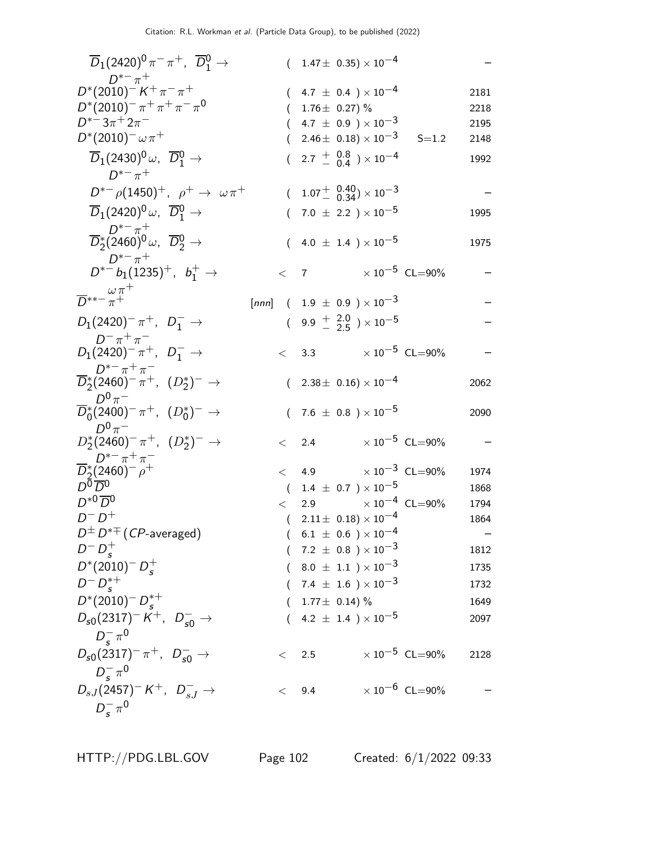| $\overline{D}_1(2420)^0 \pi^- \pi^+$ , $\overline{D}_1^0 \rightarrow$                                                                                                                                                                  |       |         |           | $(1.47\pm 0.35)\times 10^{-4}$                                                                                                                                                                           |                                          |                                      |
|----------------------------------------------------------------------------------------------------------------------------------------------------------------------------------------------------------------------------------------|-------|---------|-----------|----------------------------------------------------------------------------------------------------------------------------------------------------------------------------------------------------------|------------------------------------------|--------------------------------------|
| $D^{*-} \pi^+$<br>$D^*(2010)^{-} K^{+} \pi^{-} \pi^{+}$<br>$D^*(2010)^{-} \pi^+ \pi^+ \pi^- \pi^0$<br>$D^{*-}3\pi^+2\pi^-$<br>$D^{*}(2010)^{-} \omega \pi^{+}$<br>$\overline{D}_1(2430)^0\,\omega, \;\; \overline{D}{}^0_1\rightarrow$ |       |         |           | $(4.7 \pm 0.4) \times 10^{-4}$<br>1.76 $\pm$ 0.27) %<br>4.7 $\pm$ 0.9 $\times$ 10 <sup>-3</sup><br>$(2.46\pm 0.18) \times 10^{-3}$<br>$(2.7 + \begin{array}{c} 0.8 \\ - 0.4 \end{array}) \times 10^{-4}$ | $S = 1.2$                                | 2181<br>2218<br>2195<br>2148<br>1992 |
| $D^{*-} \pi^+$<br>$D^{*-} \rho (1450)^+$ , $\rho^+ \to \omega \pi^+$                                                                                                                                                                   |       |         |           | $(1.07 \frac{+}{0.34}) \times 10^{-3}$                                                                                                                                                                   |                                          |                                      |
| $\overline{D}_1(2420)^0 \omega$ , $\overline{D}_1^0 \rightarrow$                                                                                                                                                                       |       |         |           | $(7.0 \pm 2.2) \times 10^{-5}$                                                                                                                                                                           |                                          | 1995                                 |
| $\overline{D}^{*-}_2\pi^+_{(2460)^0\omega, \ \overline{D}^0_2} \rightarrow$                                                                                                                                                            |       |         |           | 4.0 $\pm$ 1.4 $) \times 10^{-5}$                                                                                                                                                                         |                                          | 1975                                 |
| $D^{*-} \pi^+$<br>$D^{*-}b_1(1235)^+$ , $b_1^+ \rightarrow$                                                                                                                                                                            |       | $\lt$ 7 |           |                                                                                                                                                                                                          | $\times$ 10 $^{-5}~$ CL $=$ 90%          |                                      |
| $\overline{D}^{**-\frac{\omega\pi^+}{\pi^+}}$                                                                                                                                                                                          | [nnn] |         |           | $(1.9 \pm 0.9) \times 10^{-3}$                                                                                                                                                                           |                                          |                                      |
|                                                                                                                                                                                                                                        |       |         |           |                                                                                                                                                                                                          |                                          |                                      |
| $D_1(2420)^{-} \pi^{+}$ , $D_1^{-}$ $\rightarrow$                                                                                                                                                                                      |       |         |           | $(9.9 \frac{+}{0.25}) \times 10^{-5}$                                                                                                                                                                    |                                          |                                      |
| $D^{-} \pi^{+} \pi^{-}$<br>$D_1(2420)^{-} \pi^{+}$ , $D_1^{-} \to$                                                                                                                                                                     |       |         |           |                                                                                                                                                                                                          | $< 3.3 \times 10^{-5}$ CL=90%            |                                      |
| $D^{*-}\pi^+\pi^-$<br>$\overline{D}_2^*(2460)^{-} \pi^+, (D_2^*)^{-} \to$                                                                                                                                                              |       |         |           | $(2.38 \pm 0.16) \times 10^{-4}$                                                                                                                                                                         |                                          | 2062                                 |
| $D^0\pi^-$<br>$\overline{D}_0^*(2400)^{-} \pi^+$ , $(D_0^*)^{-} \to$                                                                                                                                                                   |       |         |           | $(7.6 \pm 0.8) \times 10^{-5}$                                                                                                                                                                           |                                          | 2090                                 |
| $D^0\pi^-$<br>$D_{2}^{*}(2460)^{-} \pi^{+}$ , $(D_{2}^{*})^{-} \rightarrow$                                                                                                                                                            |       |         | $\lt$ 2.4 |                                                                                                                                                                                                          | $\times$ 10 $^{-5}$ CL=90%               |                                      |
| $D^{*-}\pi^+\pi^-$<br>$\overline{D}_2^*(2460)^ \rho^+$                                                                                                                                                                                 |       |         |           |                                                                                                                                                                                                          | $< 4.9 \times 10^{-3} \text{ CL} = 90\%$ | 1974                                 |
| $D^{\overline{0}}\overline{D}{}^0$                                                                                                                                                                                                     |       |         |           | $(1.4 \pm 0.7) \times 10^{-5}$                                                                                                                                                                           |                                          | 1868                                 |
| $D^{*0} \overline{D}{}^0$                                                                                                                                                                                                              |       | $\lt$   |           |                                                                                                                                                                                                          | 2.9 $\times 10^{-4}$ CL=90%              | 1794                                 |
| $D^-D^+$                                                                                                                                                                                                                               |       |         |           | $(2.11 \pm 0.18) \times 10^{-4}$                                                                                                                                                                         |                                          | 1864                                 |
| $D^{\pm} D^{*\mp}$ ( <i>CP</i> -averaged)                                                                                                                                                                                              |       |         |           | $6.1 \pm 0.6$ ) $\times 10^{-4}$                                                                                                                                                                         |                                          |                                      |
| $D^{-} D_{s}^{+}$                                                                                                                                                                                                                      |       |         |           | $(7.2 \pm 0.8) \times 10^{-3}$                                                                                                                                                                           |                                          | 1812                                 |
| $D^*(2010)^- D_s^+$                                                                                                                                                                                                                    |       |         |           | $(8.0 \pm 1.1) \times 10^{-3}$                                                                                                                                                                           |                                          | 1735                                 |
| $D^{-} D_{c}^{*+}$                                                                                                                                                                                                                     |       |         |           | $7.4~\pm~1.6~$ ) $\times\,10^{-3}$                                                                                                                                                                       |                                          | 1732                                 |
| $D^*(2010)^- D_s^{*+}$                                                                                                                                                                                                                 |       |         |           | $1.77 \pm 0.14$ ) %                                                                                                                                                                                      |                                          | 1649                                 |
| $D_{s0}(2317)^{-} K^{+}$ , $D_{s0}^{-}$ $\rightarrow$                                                                                                                                                                                  |       |         |           | $(4.2 \pm 1.4) \times 10^{-5}$                                                                                                                                                                           |                                          | 2097                                 |
| $D_{\rm s}^-\pi^0$                                                                                                                                                                                                                     |       |         |           |                                                                                                                                                                                                          |                                          |                                      |
| $D_{s0}(2317)^{-} \pi^{+}$ , $D_{s0}^{-}$ $\rightarrow$                                                                                                                                                                                |       |         | $\lt$ 2.5 |                                                                                                                                                                                                          | $\times 10^{-5}$ CL=90%                  | 2128                                 |
| $D_{\rm s}^-\pi^0$<br>$D_{sJ}(2457)^{-}K^{+}$ , $D_{s,I}^{-}$ $\rightarrow$                                                                                                                                                            |       | $\lt$   | 9.4       |                                                                                                                                                                                                          | $\times 10^{-6}$ CL=90%                  |                                      |
| $D_{\rm s}^{-} \pi^{0}$                                                                                                                                                                                                                |       |         |           |                                                                                                                                                                                                          |                                          |                                      |

HTTP://PDG.LBL.GOV Page 102 Created: 6/1/2022 09:33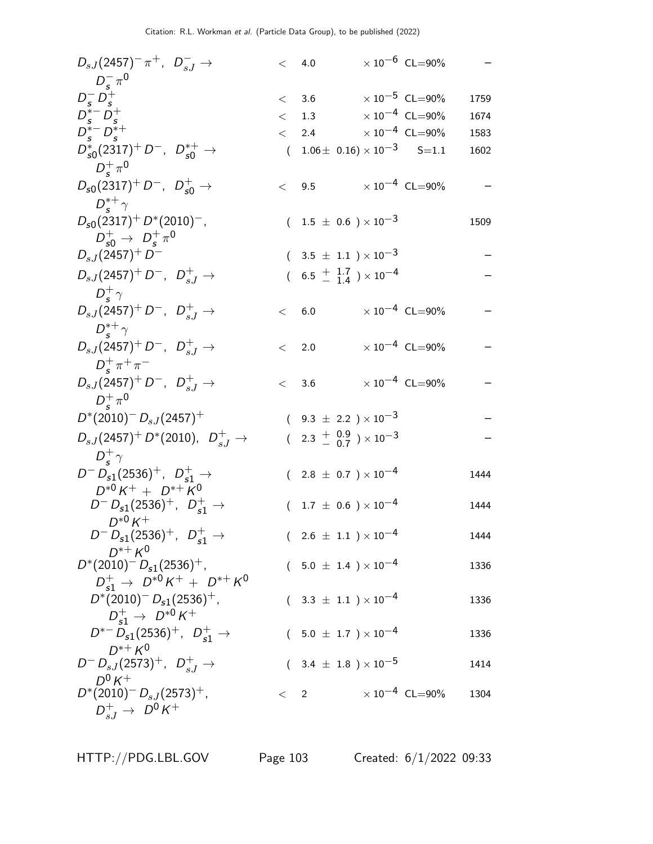| $D_{sJ}(2457)^{-} \pi^{+}$ , $D_{sJ}^{-}$ $\rightarrow$            | < 4.0   |                                                    |                                 | $\times$ $10^{-6}\,$ CL=90%      |      |
|--------------------------------------------------------------------|---------|----------------------------------------------------|---------------------------------|----------------------------------|------|
| $D_s^- \pi^0$                                                      |         |                                                    |                                 |                                  |      |
| $D_s^- D_s^+$                                                      |         | $< 3.6 \times 10^{-5} \text{ CL} = 90\%$           |                                 |                                  | 1759 |
| $D_{s}^{*-} D_{s}^{+}$                                             |         | $<$ 1.3                                            | $\times$ 10 $^{-4}~$ CL=90%     |                                  | 1674 |
| $D_s^{*-} D_s^{*+}$                                                |         | $<$ 2.4 $\times 10^{-4}$ CL=90%                    |                                 |                                  | 1583 |
| $D_{s0}^*(2317)^+ D^-$ , $D_{s0}^{*+} \rightarrow$                 |         | $(1.06 \pm 0.16) \times 10^{-3}$ S=1.1             |                                 |                                  | 1602 |
| $D_{\rm c}^+\pi^0$                                                 |         |                                                    |                                 |                                  |      |
| $D_{s0}(2317)^+ D^-$ , $D_{s0}^+ \rightarrow$                      |         | < 9.5                                              | $\times$ 10 $^{-4}~$ CL $=$ 90% |                                  |      |
| $D_{c}^{*+}\gamma$                                                 |         |                                                    |                                 |                                  |      |
| $D_{s0}(2317)^{+} D^{*}(2010)^{-}$ ,                               |         | $(1.5 \pm 0.6) \times 10^{-3}$                     |                                 |                                  | 1509 |
| $D_{s0}^{+} \to D_{s}^{+} \pi^{0}$                                 |         |                                                    |                                 |                                  |      |
| $D_{sJ}(2457)^+D^-$                                                |         | $(3.5 \pm 1.1) \times 10^{-3}$                     |                                 |                                  |      |
| $D_{sJ}(2457)^+ D^-$ , $D_{sJ}^+ \to$                              |         | $(6.5 \frac{+}{-} \frac{1.7}{1.4}) \times 10^{-4}$ |                                 |                                  |      |
| $D_{\rm c}^{+}\gamma$                                              |         |                                                    |                                 |                                  |      |
| $D_{sJ}(2457)^+ D^-$ , $D_{sJ}^+ \rightarrow$                      | < 6.0   |                                                    | $\times$ 10 $^{-4}~$ CL $=$ 90% |                                  |      |
| $D_{c}^{*+}\gamma$                                                 |         |                                                    |                                 |                                  |      |
| $D_{sJ}(2457)^+ D^-$ , $D_{sJ}^+ \to$                              | < 2.0   |                                                    |                                 | $\times$ 10 <sup>-4</sup> CL=90% |      |
| $D_{\rm s}^{+} \pi^{+} \pi^{-}$                                    |         |                                                    |                                 |                                  |      |
| $D_{sJ}(2457)^+ D^-$ , $D_{sJ}^+ \to$                              | < 3.6   |                                                    |                                 | $\times$ 10 <sup>-4</sup> CL=90% |      |
| $D_{\rm c}^+\pi^0$                                                 |         |                                                    |                                 |                                  |      |
| $D^*(2010)^{-} D_{sJ}(2457)^{+}$                                   |         | $(9.3 \pm 2.2) \times 10^{-3}$                     |                                 |                                  |      |
| $D_{sJ}(2457)^+ D^{*}(2010)$ , $D_{sJ}^+ \rightarrow$              |         | $(2.3 \frac{+}{0.9}) \times 10^{-3}$               |                                 |                                  |      |
| $D_{\varsigma}^{+}\gamma$                                          |         |                                                    |                                 |                                  |      |
| $D^{-} D_{s1}(2536)^{+}$ , $D_{s1}^{+} \rightarrow$                |         | $(2.8 \pm 0.7) \times 10^{-4}$                     |                                 |                                  | 1444 |
| $D^{*0}K^+ + D^{*+}K^0$                                            |         |                                                    |                                 |                                  |      |
| $D^{-} D_{s1}(2536)^{+}$ , $D_{s1}^{+} \rightarrow$<br>$D^{*0}K^+$ |         | $(1.7 \pm 0.6) \times 10^{-4}$                     |                                 |                                  | 1444 |
| $D^{-} D_{s1}(2536)^{+}$ , $D_{s1}^{+} \rightarrow$                |         | $(2.6 \pm 1.1) \times 10^{-4}$                     |                                 |                                  | 1444 |
| $D^{*+} K^0$                                                       |         |                                                    |                                 |                                  |      |
| $D^*(2010)^{-} D_{s1}(2536)^{+}$ ,                                 |         | $(5.0 \pm 1.4) \times 10^{-4}$                     |                                 |                                  | 1336 |
| $D_{s1}^+$ $\rightarrow$ $D^{*0}K^+$ + $D^{*+}K^0$                 |         |                                                    |                                 |                                  |      |
| $D^*(2010)^{-} D_{s1}(2536)^{+}$ ,                                 |         | $(3.3 \pm 1.1) \times 10^{-4}$                     |                                 |                                  | 1336 |
| $D_{s1}^+$ $\rightarrow$ $D^{*0}$ K <sup>+</sup>                   |         |                                                    |                                 |                                  |      |
| $D^{*-} D_{s1}(2536)^+$ , $D_{s1}^+$ $\rightarrow$<br>$D^{*+} K^0$ |         | $(5.0 \pm 1.7) \times 10^{-4}$                     |                                 |                                  | 1336 |
| $D^{-} D_{sJ}(2573)^{+}$ , $D_{sJ}^{+} \rightarrow$                |         | $(3.4 \pm 1.8) \times 10^{-5}$                     |                                 |                                  | 1414 |
| $D^0 K^+$                                                          |         |                                                    |                                 |                                  |      |
| $D^*(2010)^{-} D_{sJ}(2573)^{+}$ ,                                 | $\lt$ 2 |                                                    |                                 | $\times$ 10 <sup>-4</sup> CL=90% | 1304 |
| $D_{s,I}^{+} \to D^{0}K^{+}$                                       |         |                                                    |                                 |                                  |      |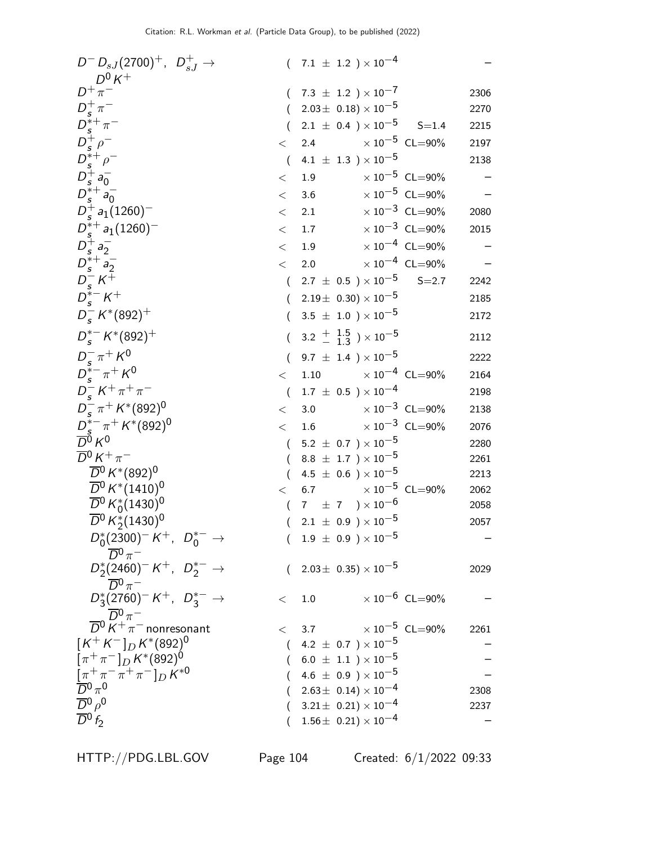| $D^{-} D_{sJ}(2700)^{+}$ , $D_{sJ}^{+} \rightarrow$<br>$D^0 K^+$                                                     |                  | $(7.1 \pm 1.2) \times 10^{-4}$                                     |                                  |      |
|----------------------------------------------------------------------------------------------------------------------|------------------|--------------------------------------------------------------------|----------------------------------|------|
| $D^+\pi^-$                                                                                                           |                  | 7.3 $\pm$ 1.2 $) \times 10^{-7}$                                   |                                  | 2306 |
|                                                                                                                      | $\left($         | $2.03\pm$ 0.18) $\times$ $10^{-5}$                                 |                                  | 2270 |
| $D_s^+\pi^-$<br>$D_s^{*+}\rho^-$<br>$D_s^{*+}\rho^-$<br>$D_s^{*+}\rho^-$<br>$D_s^{*+}\rho_0^-$<br>$D_s^{*+}\rho_0^-$ | $\overline{(\ }$ | 2.1 $\pm$ 0.4 ) $\times$ 10 <sup>-5</sup> S=1.4                    |                                  | 2215 |
|                                                                                                                      | $\lt$            | $\times$ 10 $^{-5}$ CL=90%<br>2.4                                  |                                  | 2197 |
|                                                                                                                      | $\left($         | 4.1 $\pm$ 1.3 $) \times 10^{-5}$                                   |                                  | 2138 |
|                                                                                                                      | $\,<$            | $\times$ 10 $^{-5}$ CL=90%<br>1.9                                  |                                  |      |
|                                                                                                                      | $<\,$            | 3.6                                                                | $\times 10^{-5}$ CL=90%          |      |
| $D_s^+ a_1(1260)^-$                                                                                                  | $<\,$            | 2.1                                                                | $\times 10^{-3}$ CL=90%          | 2080 |
| $D_s^{*+} a_1(1260)^-$                                                                                               | $<\,$            | 1.7                                                                | $\times 10^{-3}$ CL=90%          | 2015 |
| $D_s^+ a_2^-$                                                                                                        | $\lt$            | 1.9                                                                | $\times 10^{-4}$ CL=90%          |      |
|                                                                                                                      | $\lt$            | 2.0                                                                | $\times 10^{-4}$ CL=90%          |      |
|                                                                                                                      | $\left($         | 2.7 $\pm$ 0.5 $\times10^{-5}$                                      | $S = 2.7$                        | 2242 |
| $D_{s}^{*+}A_{2}^{-}$<br>$D_{s}^{-}K^{+}$<br>$D_{s}^{*-}K^{+}$                                                       | $\left($         | $2.19\pm 0.30 \times 10^{-5}$                                      |                                  | 2185 |
| $D_s^- K^*(892)^+$                                                                                                   | $\left($         | $3.5 \pm 1.0$ ) × 10 <sup>-5</sup>                                 |                                  | 2172 |
| $D_s^{*-} K^{*}(892)^+$                                                                                              |                  | 3.2 $\frac{+}{-}$ $\frac{1.5}{1.3}$ $\times 10^{-5}$               |                                  | 2112 |
| $D_s^- \pi^+ K^0$                                                                                                    | $\left($         | 9.7 $\pm$ 1.4 $) \times 10^{-5}$                                   |                                  | 2222 |
| $D_s^{*-} \pi^+ K^0$                                                                                                 | $\lt$            | $\times$ 10 $^{-4}~$ CL $=$ 90%<br>1.10                            |                                  | 2164 |
| $D_s^- K^+ \pi^+ \pi^-$                                                                                              |                  | $(1.7 \pm 0.5) \times 10^{-4}$                                     |                                  | 2198 |
| $D_{s}^{-} \pi^{+} K^{*}(892)^{0}$                                                                                   | $\lt$            | $3.0\,$                                                            | $\times 10^{-3}$ CL=90%          | 2138 |
|                                                                                                                      | $\lt$            | 1.6                                                                | $\times$ 10 <sup>-3</sup> CL=90% | 2076 |
| $\frac{D_{s}^{*-}\pi^{+}}{D^0}K^0$ K <sup>0</sup>                                                                    |                  | $(5.2 \pm 0.7) \times 10^{-5}$                                     |                                  | 2280 |
| $\overline{D}{}^0 K^+\pi^-$                                                                                          | $\left($         | 8.8 $\pm$ 1.7 ) $\times$ 10 <sup>-5</sup>                          |                                  | 2261 |
| $\overline{D}{}^0 K^{*}(892)^{0}$                                                                                    | $\overline{(\ }$ | 4.5 $\pm$ 0.6 ) $\times$ 10 <sup>-5</sup>                          |                                  | 2213 |
| $\overline{D}{}^0$ K <sup>*</sup> (1410) <sup>0</sup>                                                                | $\lt$            | $\times$ 10 $^{-5}$ CL=90%<br>6.7                                  |                                  | 2062 |
| $\overline{D}{}^0 K_0^*(1430)^0$                                                                                     | $\left($         | 7 $\pm$ 7 $\right) \times 10^{-6}$                                 |                                  | 2058 |
| $\overline{D}{}^0 K_2^*(1430)^0$                                                                                     | $\left($         | $2.1 \pm 0.9$ ) $\times 10^{-5}$                                   |                                  | 2057 |
| $D_0^*(2300)^- K^+$ , $D_0^{*-}$ $\rightarrow$<br>$\overline{D}{}^0\pi^-$                                            |                  | $(1.9 \pm 0.9) \times 10^{-5}$                                     |                                  |      |
| $D_2^*(2460)^- K^+$ , $D_2^{*-} \rightarrow$                                                                         |                  | $2.03\pm$ 0.35) $\times$ $10^{-5}$                                 |                                  | 2029 |
| $\overline{D}{}^0 \pi^-$                                                                                             |                  |                                                                    |                                  |      |
| $D_3^*(2760)^- K^+$ , $D_3^{*-} \rightarrow$                                                                         | $\lt$            | $\times$ 10 $^{-6}$ CL=90%<br>1.0                                  |                                  |      |
| $\overline{D}{}^0 \pi^-$<br>$\overline{D}{}^0 K^+ \pi^-$ nonresonant                                                 |                  | $< 3.7 \times 10^{-5} \text{ CL} = 90\%$                           |                                  | 2261 |
| $[K^+K^-]_D K^*(892)^0$                                                                                              | (                | 4.2 $\pm$ 0.7 $)\times10^{-5}$                                     |                                  |      |
| $[\pi^+\pi^-]_D K^*(892)^0$                                                                                          |                  | $6.0~\pm~1.1~$ ) $\times\,10^{-5}$                                 |                                  |      |
| $\frac{\pi^+ \pi^- \pi^+ \pi^-}{D} \kappa^{*0}$<br>$\overline{D}{}^0 \pi^0$                                          |                  | $4.6~\pm~0.9~$ ) $\times\,10^{-5}$                                 |                                  |      |
| $\overline{D}{}^0 \rho^0$                                                                                            |                  | $2.63\pm\ 0.14) \times 10^{-4}$                                    |                                  | 2308 |
| $\overline{D}{}^0f_2$                                                                                                | (                | $(3.21 \pm 0.21) \times 10^{-4}$<br>$1.56\pm\ 0.21)\times 10^{-4}$ |                                  | 2237 |
|                                                                                                                      |                  |                                                                    |                                  |      |

HTTP://PDG.LBL.GOV Page 104 Created: 6/1/2022 09:33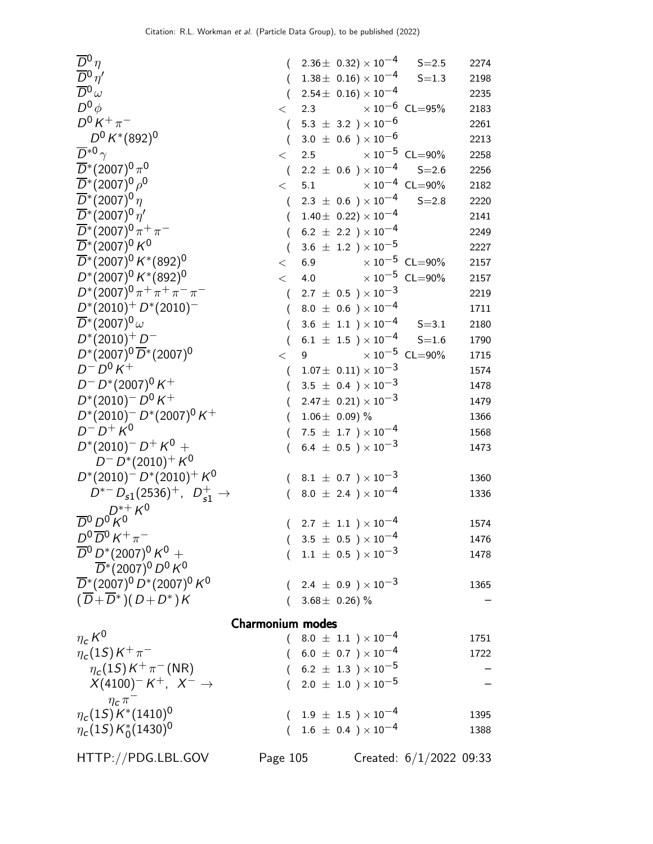| $\overline{D}{}^0\eta$                                                      |                         |   | $(2.36 \pm 0.32) \times 10^{-4}$ S=2.5     |                           | 2274 |
|-----------------------------------------------------------------------------|-------------------------|---|--------------------------------------------|---------------------------|------|
| $\overline{D}{}^0\eta'$                                                     |                         |   | $(1.38\pm 0.16)\times 10^{-4}$             | $S = 1.3$                 | 2198 |
| $\overline{D}{}^0\omega$                                                    |                         |   | $(2.54 \pm 0.16) \times 10^{-4}$           |                           | 2235 |
| $D^0\phi$                                                                   | $\lt$                   |   | 2.3 $\times 10^{-6}$ CL=95%                |                           | 2183 |
| $D^0 K^+ \pi^-$                                                             | $\left($                |   | 5.3 $\pm$ 3.2 $) \times 10^{-6}$           |                           | 2261 |
| $D^0 K^*(892)^0$                                                            | $\left($                |   | 3.0 $\pm$ 0.6 ) $\times$ 10 <sup>-6</sup>  |                           | 2213 |
| $\overline{D}^{*0}$ $\gamma$                                                | $\lt$                   |   | 2.5 $\times 10^{-5}$ CL=90%                |                           | 2258 |
| $\overline{D}$ *(2007) <sup>0</sup> $\pi$ <sup>0</sup>                      |                         |   | $2.2 \pm 0.6$ $) \times 10^{-4}$ S=2.6     |                           | 2256 |
| $\overline{D}^*(2007)^0 \rho^0$                                             | $\lt$                   |   | 5.1 $\times 10^{-4}$ CL=90%                |                           | 2182 |
| $\overline{D}^*(2007)^0 \eta$                                               | $\left($                |   | 2.3 $\pm$ 0.6 $\times$ 10 <sup>-4</sup>    | $S = 2.8$                 | 2220 |
| $\bar{D}^*(2007)^0 \eta'$                                                   | €                       |   | $1.40 \pm 0.22 \times 10^{-4}$             |                           | 2141 |
| $\overline{D}^*(2007)^0 \pi^+ \pi^-$                                        |                         |   | $(6.2 \pm 2.2) \times 10^{-4}$             |                           | 2249 |
| $\overline{D}$ *(2007) <sup>0</sup> K <sup>0</sup>                          |                         |   | 3.6 $\pm$ 1.2 ) $\times$ 10 <sup>-5</sup>  |                           | 2227 |
| $\overline{D}^*(2007)^0 K^*(892)^0$                                         | $\lt$                   |   | 6.9 $\times 10^{-5}$ CL=90%                |                           | 2157 |
| $D^*(2007)^0 K^*(892)^0$                                                    | $\lt$                   |   | 4.0 $\times 10^{-5}$ CL=90%                |                           | 2157 |
| $D^*(2007)^0 \pi^+ \pi^+ \pi^- \pi^-$                                       | $\left($                |   | 2.7 $\pm$ 0.5 $\times 10^{-3}$             |                           | 2219 |
| $D^*(2010)^+ D^*(2010)^-$                                                   | $\left($                |   | $8.0 \pm 0.6$ ) $\times 10^{-4}$           |                           | 1711 |
| $\overline{D}^*(2007)^0\,\omega$                                            |                         |   | $3.6 \pm 1.1$ ) $\times 10^{-4}$           | $S = 3.1$                 | 2180 |
| $D^*(2010)^+D^-$                                                            | $\overline{(\ }$        |   | $6.1~\pm~1.5~$ ) $\times~10^{-4}$          | $S = 1.6$                 | 1790 |
| $D^*(2007)^0 \overline{D}^*(2007)^0$                                        | $\lt$                   | 9 | $\times$ 10 $^{-5}$ CL=90%                 |                           | 1715 |
| $D^{-}D^{0}K^{+}$                                                           | $\left($                |   | $1.07\pm\ 0.11)\times 10^{-3}$             |                           | 1574 |
| $D^- D^{*}(2007)^0 K^+$                                                     |                         |   | $(3.5 \pm 0.4) \times 10^{-3}$             |                           | 1478 |
| $D^*(2010)^- D^0 K^+$                                                       | (                       |   | 2.47 $\pm$ 0.21) $\times$ 10 <sup>-3</sup> |                           | 1479 |
| $D^*(2010)^- D^*(2007)^0 K^+$                                               | $\left($                |   | $1.06 \pm 0.09$ ) %                        |                           | 1366 |
| $D^{-} D^{+} K^{0}$                                                         | $\left($                |   | 7.5 $\pm$ 1.7 $) \times 10^{-4}$           |                           | 1568 |
| $D^*(2010)^{-} D^{+} K^0 +$                                                 | $\left($                |   | 6.4 $\pm$ 0.5 $) \times 10^{-3}$           |                           | 1473 |
| $D^- D^*(2010)^+ K^0$                                                       |                         |   |                                            |                           |      |
| $D^*(2010)^- D^*(2010)^+ K^0$                                               |                         |   | $(8.1 \pm 0.7) \times 10^{-3}$             |                           | 1360 |
| $D^{*-} D_{s1}(2536)^+$ , $D_{s1}^+$ $\rightarrow$                          |                         |   | 8.0 $\pm$ 2.4 ) $\times$ 10 <sup>-4</sup>  |                           | 1336 |
| $D^{*+} K^0$                                                                |                         |   |                                            |                           |      |
| $\overline{D}{}^0 D^0 K^0$                                                  | €                       |   | $2.7~\pm~1.1~$ $)\times10^{-4}$            |                           | 1574 |
| $D^{0}\overline{D}{}^{0}K^{+}\pi^{-}$                                       |                         |   | $(3.5 \pm 0.5) \times 10^{-4}$             |                           | 1476 |
| $\overline{D}{}^0 D^* (2007)^0 K^0 +$                                       |                         |   | $1.1 \pm 0.5$ ) $\times 10^{-3}$           |                           | 1478 |
| $\overline{D}$ *(2007) <sup>0</sup> $D^0$ K <sup>0</sup>                    |                         |   |                                            |                           |      |
| $\overline{D}$ *(2007) <sup>0</sup> $D$ *(2007) <sup>0</sup> K <sup>0</sup> |                         |   | 2.4 $\pm$ 0.9 $) \times 10^{-3}$           |                           | 1365 |
| $(\overline{D} + \overline{D}^*) (D + D^*) K$                               | (                       |   | 3.68 $\pm$ 0.26) %                         |                           |      |
|                                                                             | <b>Charmonium modes</b> |   |                                            |                           |      |
| $\eta_c K^0$                                                                |                         |   | $(8.0 \pm 1.1) \times 10^{-4}$             |                           | 1751 |
| $\eta_c(1S)K^+\pi^-$                                                        |                         |   | $(6.0 \pm 0.7) \times 10^{-4}$             |                           | 1722 |
| $\eta_c(1S)K^+\pi^-(NR)$                                                    |                         |   | $(6.2 \pm 1.3) \times 10^{-5}$             |                           |      |
| $X(4100)^- K^+$ , $X^- \rightarrow$                                         |                         |   | $(2.0 \pm 1.0) \times 10^{-5}$             |                           |      |
| $\eta_c \pi^-$                                                              |                         |   |                                            |                           |      |
| $\eta_c(1S)K^*(1410)^0$                                                     |                         |   | $1.9~\pm~1.5~$ $)\times10^{-4}$            |                           | 1395 |
| $\eta_c(15) K_0^*(1430)^0$                                                  | €                       |   | $1.6 \pm 0.4$ ) $\times 10^{-4}$           |                           | 1388 |
|                                                                             |                         |   |                                            |                           |      |
| HTTP://PDG.LBL.GOV                                                          | Page 105                |   |                                            | Created: $6/1/2022$ 09:33 |      |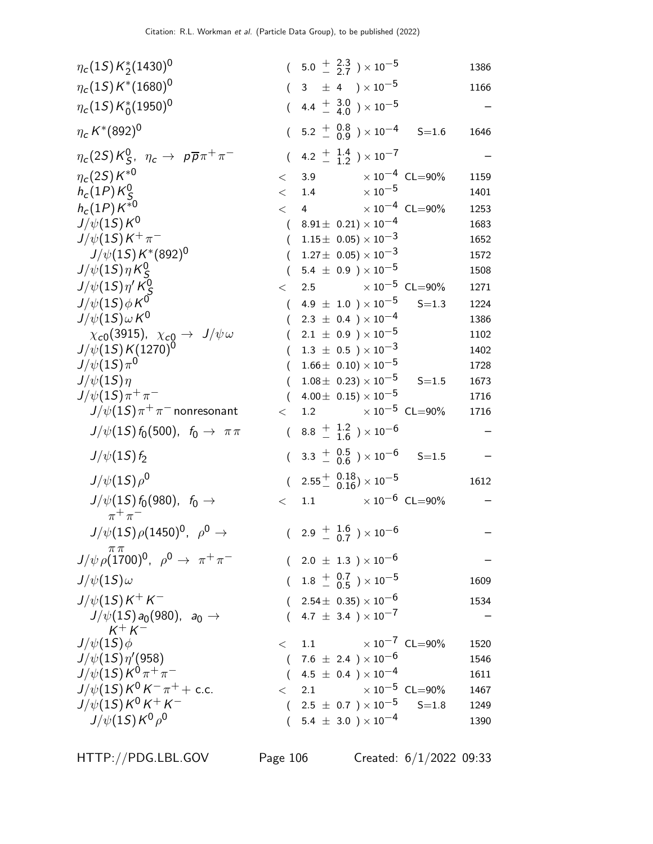| $\eta_c(1S) K^*_2(1430)^0$                                    |          |         | $(5.0 \frac{+}{2} \frac{2.3}{27}) \times 10^{-5}$    |           | 1386 |
|---------------------------------------------------------------|----------|---------|------------------------------------------------------|-----------|------|
| $\eta_c(15) K^*(1680)^0$                                      |          |         | $(3 \pm 4) \times 10^{-5}$                           |           | 1166 |
| $\eta_c(1S) K_0^*(1950)^0$                                    |          |         | $(4.4 \frac{+}{-} \frac{3.0}{4.0}) \times 10^{-5}$   |           |      |
| $\eta_c K^*(892)^0$                                           |          |         | $(5.2 \frac{+}{0.9}) \times 10^{-4}$ S=1.6           |           | 1646 |
| $\eta_c(2S)K_S^0$ , $\eta_c \to p\overline{p}\pi^+\pi^-$      | $\left($ |         | 4.2 $\frac{+}{-}$ $\frac{1.4}{1.2}$ $\times 10^{-7}$ |           |      |
| $\eta_c(2S)K^{*0}$                                            | $\lt$    |         | 3.9 $\times 10^{-4}$ CL=90%                          |           | 1159 |
| $h_c(1P)K_S^0$                                                |          | $<$ 1.4 | $\times$ $10^{-5}$                                   |           | 1401 |
| $h_c(1P) K^{*0}$                                              |          |         | $< 4$ $\times 10^{-4}$ CL=90%                        |           | 1253 |
| $J/\psi(1S)K^0$                                               |          |         | $(8.91 \pm 0.21) \times 10^{-4}$                     |           | 1683 |
| $J/\psi(1S)K^{+}\pi^{-}$                                      |          |         | $(1.15 \pm 0.05) \times 10^{-3}$                     |           | 1652 |
| $J/\psi(1S)K^*(892)^0$                                        |          |         | $(1.27 \pm 0.05) \times 10^{-3}$                     |           | 1572 |
| $J/\psi(1S)\eta K_S^0$                                        |          |         | $(5.4 \pm 0.9) \times 10^{-5}$                       |           | 1508 |
| $J/\psi(1S)\eta^{\prime}K_S^0$                                | $\lt$    |         | 2.5 $\times 10^{-5}$ CL=90%                          |           | 1271 |
| $J/\psi(1S)\phi K^0$                                          |          |         | $(4.9 \pm 1.0) \times 10^{-5}$                       | $S = 1.3$ | 1224 |
| $J/\psi(1S)\omega K^0$                                        | $\left($ |         | $2.3 \pm 0.4$ ) $\times 10^{-4}$                     |           | 1386 |
| $\chi_{c0}(3915)$ , $\chi_{c0} \to J/\psi \omega$             |          |         | $(2.1 \pm 0.9) \times 10^{-5}$                       |           | 1102 |
| $J/\psi(1S) K(1270)^{0}$                                      |          |         | $(1.3 \pm 0.5) \times 10^{-3}$                       |           | 1402 |
| $J/\psi(1S)\pi^0$                                             | $\left($ |         | $1.66 \pm 0.10 \times 10^{-5}$                       |           | 1728 |
| $J/\psi(1S)\eta$                                              | $\left($ |         | $1.08 \pm 0.23 \times 10^{-5}$                       | $S = 1.5$ | 1673 |
| $J/\psi(15)\pi^{+}\pi^{-}$                                    |          |         | $(4.00 \pm 0.15) \times 10^{-5}$                     |           | 1716 |
| $J/\psi(1S)\pi^+\pi^-$ nonresonant                            | $\lt$    |         | 1.2 $\times 10^{-5}$ CL=90%                          |           | 1716 |
| $J/\psi(1S) f_0(500)$ , $f_0 \to \pi \pi$                     |          |         | $(8.8 \frac{+}{-} \frac{1.2}{1.6}) \times 10^{-6}$   |           |      |
| $J/\psi(1S) f_2$                                              |          |         | $(3.3 \frac{+}{0.5}) \times 10^{-6}$ S=1.5           |           |      |
| $J/\psi(1S)\rho^0$                                            |          |         | $(2.55 \frac{+}{0.16}) \times 10^{-5}$               |           | 1612 |
| $J/\psi(1S) f_0(980)$ , $f_0 \to$<br>$\pi^+\pi^-$             | $\lt$    |         | 1.1 $\times 10^{-6}$ CL=90%                          |           |      |
| $J/\psi(1S)\rho(1450)^{0}$ , $\rho^{0} \rightarrow$           |          |         | $(2.9 + \frac{1.6}{0.7}) \times 10^{-6}$             |           |      |
| $\pi\pi$<br>$J/\psi \rho (1700)^0$ , $\rho^0 \to \pi^+ \pi^-$ |          |         | $(2.0 \pm 1.3) \times 10^{-6}$                       |           |      |
| $J/\psi(1S)\omega$                                            |          |         | $(1.8 \frac{+}{-} 0.7) \times 10^{-5}$               |           | 1609 |
| $J/\psi(1S)K^{+}K^{-}$                                        |          |         | $(2.54 \pm 0.35) \times 10^{-6}$                     |           | 1534 |
| $J/\psi(1S) a_0(980)$ , $a_0 \rightarrow$<br>$K^{+} K^{-}$    | $\left($ |         | 4.7 $\pm$ 3.4 $\times$ 10 <sup>-7</sup>              |           |      |
| $J/\psi(1S)\phi$                                              |          |         | $< 1.1 \times 10^{-7}$ CL=90%                        |           | 1520 |
| $J/\psi(1S)\eta'(958)$                                        |          |         | $(7.6 \pm 2.4) \times 10^{-6}$                       |           | 1546 |
| $J/\psi(1S)K^0\pi^+\pi^-$                                     |          |         | $(4.5 \pm 0.4) \times 10^{-4}$                       |           | 1611 |
| $J/\psi(1S)K^0 K^-\pi^+ +$ c.c.                               |          |         | $<$ 2.1 $\times 10^{-5}$ CL=90%                      |           | 1467 |
| $J/\psi(1S)K^0K^+K^-$                                         |          |         | $(2.5 \pm 0.7) \times 10^{-5}$                       | $S = 1.8$ | 1249 |
| $J/\psi(1S)K^{0}\rho^{0}$                                     |          |         | $(5.4 \pm 3.0) \times 10^{-4}$                       |           | 1390 |
|                                                               |          |         |                                                      |           |      |

HTTP://PDG.LBL.GOV Page 106 Created: 6/1/2022 09:33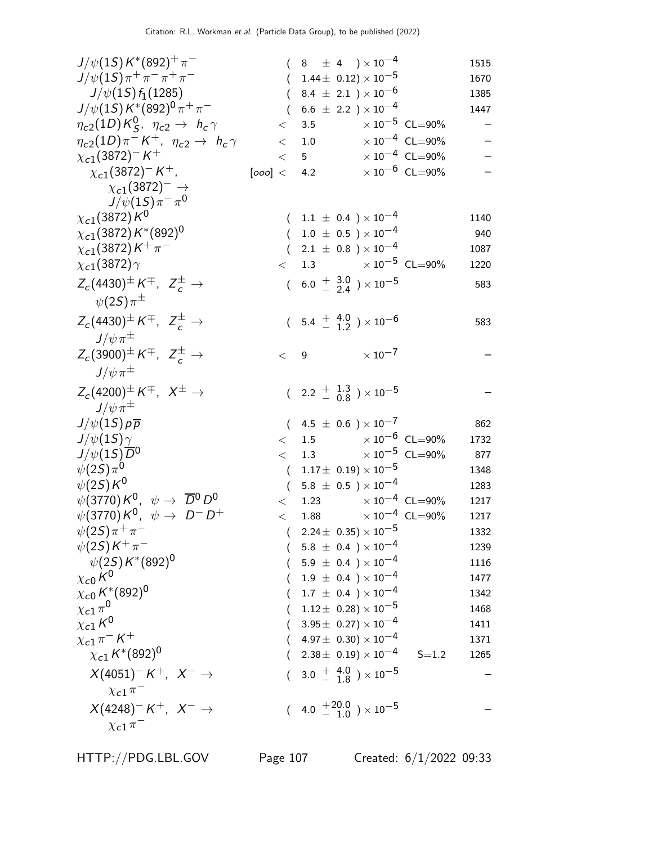| $J/\psi(1S) K^*(892)^{+} \pi^-$                               |                     | $(8 \pm 4) \times 10^{-4}$                                       |                     |                                  | 1515         |
|---------------------------------------------------------------|---------------------|------------------------------------------------------------------|---------------------|----------------------------------|--------------|
| $J/\psi(1S)\pi^+\pi^-\pi^+\pi^-$                              |                     | $(1.44 \pm 0.12) \times 10^{-5}$                                 |                     |                                  | 1670         |
| $J/\psi(1S) f_1(1285)$                                        |                     | 8.4 $\pm$ 2.1 $) \times 10^{-6}$                                 |                     |                                  | 1385         |
| $J/\psi(1S) K^{*}(892)^{0} \pi^{+} \pi^{-}$                   | $\left($            | $6.6 \pm 2.2$ ) $\times 10^{-4}$                                 |                     |                                  | 1447         |
| $\eta_{c2}(1D)K_S^0$ , $\eta_{c2} \rightarrow h_c \gamma$     | $\lt$               | $\times$ 10 $^{-5}$ CL=90%<br>3.5                                |                     |                                  |              |
| $\eta_{c2}(1D)\pi^- K^+$ , $\eta_{c2} \rightarrow h_c \gamma$ | $\lt$               | 1.0                                                              |                     | $\times$ 10 <sup>-4</sup> CL=90% |              |
| $\chi_{c1}(3872)^- K^+$                                       | $\lt$               | $5^{\circ}$                                                      |                     | $\times 10^{-4}$ CL=90%          |              |
| $\chi_{c1}(3872)^{-} K^{+}$ ,                                 |                     | [000] < 4.2                                                      |                     | $\times 10^{-6}$ CL=90%          |              |
| $\chi_{c1}(3872)^-\rightarrow$                                |                     |                                                                  |                     |                                  |              |
| $J/\psi(1S)\pi^{-}\pi^{0}$                                    |                     |                                                                  |                     |                                  |              |
| $\chi_{c1}(3872) K^0$                                         |                     | $(1.1 \pm 0.4) \times 10^{-4}$                                   |                     |                                  | 1140         |
| $\chi_{c1}(3872) K^{*}(892)^{0}$                              |                     | $(1.0 \pm 0.5) \times 10^{-4}$                                   |                     |                                  | 940          |
| $\chi_{c1}(3872)K^{+}\pi^{-}$                                 |                     | $(2.1 \pm 0.8) \times 10^{-4}$                                   |                     |                                  | 1087         |
| $\chi_{c1}(3872)\gamma$                                       | $\lt$               | 1.3 $\times 10^{-5}$ CL=90%                                      |                     |                                  | 1220         |
| $Z_c(4430)^{\pm} K^{\mp}$ , $Z_c^{\pm} \rightarrow$           |                     | $(6.0 + \frac{3.0}{2.4}) \times 10^{-5}$                         |                     |                                  | 583          |
| $\psi(2S)\pi^{\pm}$                                           |                     |                                                                  |                     |                                  |              |
| $Z_c(4430)^{\pm} K^{\mp}$ , $Z_c^{\pm} \rightarrow$           |                     | $(5.4 \frac{+}{-} 4.0 \over 1.2) \times 10^{-6}$                 |                     |                                  | 583          |
| $J/\psi\pi^{\pm}$                                             |                     |                                                                  |                     |                                  |              |
| $Z_c(3900)^{\pm} K^{\mp}$ , $Z_c^{\pm} \rightarrow$           | $\lt$ 9             |                                                                  | $\times$ 10 $^{-7}$ |                                  |              |
| $J/\psi\pi^{\pm}$                                             |                     |                                                                  |                     |                                  |              |
|                                                               |                     |                                                                  |                     |                                  |              |
| $Z_c(4200)^{\pm} K^{\mp}$ , $X^{\pm} \rightarrow$             |                     | $(2.2 \frac{+}{-} 1.3 \over 0.8) \times 10^{-5}$                 |                     |                                  |              |
| $J/\psi \pi^{\pm}$                                            |                     |                                                                  |                     |                                  |              |
| $J/\psi(1S) p\overline{p}$                                    |                     | $(4.5 \pm 0.6) \times 10^{-7}$                                   |                     |                                  | 862          |
| $J/\psi(1S)\gamma$                                            | $\lt$               | 1.5 $\times 10^{-6}$ CL=90%                                      |                     |                                  | 1732         |
| $J/\psi(15)\overline{D}^0$<br>$\psi(2S)\pi^0$                 | $\lt$               | 1.3 $\times 10^{-5}$ CL=90%                                      |                     |                                  | 877          |
| $\psi(2S)K^0$                                                 | $\left($            | $1.17\pm\ 0.19) \times 10^{-5}$                                  |                     |                                  | 1348         |
| $\psi(3770)K^0$ , $\psi \rightarrow \overline{D}{}^0 D^0$     | $\sqrt{2}$<br>$\lt$ | $5.8 \pm 0.5$ ) $\times 10^{-4}$<br>1.23 $\times 10^{-4}$ CL=90% |                     |                                  | 1283<br>1217 |
| $\psi$ (3770) $K^0$ , $\psi \rightarrow D^- D^+$              | $\lt$               | 1.88 $\times 10^{-4}$ CL=90%                                     |                     |                                  | 1217         |
| $\psi(2S)\pi^{+}\pi^{-}$                                      |                     | $(2.24 \pm 0.35) \times 10^{-5}$                                 |                     |                                  | 1332         |
| $\psi(2S)K^{+}\pi^{-}$                                        |                     | 5.8 $\pm$ 0.4 $) \times 10^{-4}$                                 |                     |                                  | 1239         |
| $\psi(25)K^*(892)^0$                                          |                     | $5.9 \pm 0.4$ ) $\times 10^{-4}$                                 |                     |                                  | 1116         |
| $\chi_{c0}K^0$                                                |                     | $1.9 \pm 0.4$ ) $\times 10^{-4}$                                 |                     |                                  | 1477         |
| $\chi_{c0}\,K^*(892)^0$                                       |                     | $1.7 \pm 0.4$ ) $\times 10^{-4}$                                 |                     |                                  | 1342         |
| $\chi_{c1}\pi^0$                                              |                     | $1.12 \pm 0.28 \times 10^{-5}$                                   |                     |                                  | 1468         |
| $\chi_{c1}K^0$                                                |                     | $(3.95\pm 0.27)\times 10^{-4}$                                   |                     |                                  | 1411         |
| $\chi_{c1}\pi^{-}K^{+}$                                       |                     | $4.97 \pm 0.30 \times 10^{-4}$                                   |                     |                                  | 1371         |
| $\chi_{c1} K^{*}(892)^{0}$                                    |                     | $2.38\pm 0.19 \times 10^{-4}$                                    |                     | $S = 1.2$                        | 1265         |
| $X(4051)^-K^+$ , $X^- \rightarrow$                            |                     | 3.0 $\frac{+}{-}$ 4.0 $\rightarrow$ 10 <sup>-5</sup>             |                     |                                  |              |
| $\chi_{c1} \pi^-$                                             |                     |                                                                  |                     |                                  |              |
| $X(4248)^- K^+$ , $X^- \rightarrow$                           |                     | $(4.0 + {}^{20.0}_{-1.0}) \times 10^{-5}$                        |                     |                                  |              |
|                                                               |                     |                                                                  |                     |                                  |              |
| $\chi_{c1} \pi$                                               |                     |                                                                  |                     |                                  |              |

HTTP://PDG.LBL.GOV Page 107 Created: 6/1/2022 09:33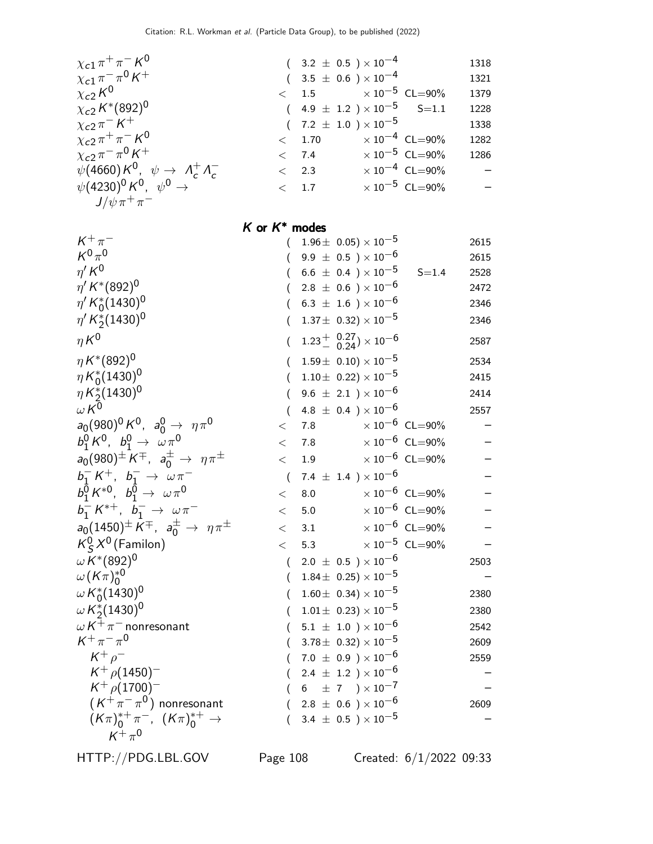| $\chi_{c1} \pi^+ \pi^- K^0$                       |
|---------------------------------------------------|
| $\chi_{c1} \pi^- \pi^0 K^+$                       |
| $\chi_{c2}K^0$                                    |
| $\chi_{c2} K^{*}(892)^{0}$                        |
| $\chi_{c2}\pi^{-}K^{+}$                           |
| $\chi_{c2} \pi^+ \pi^- K^0$                       |
| $\chi_{c2}\pi^{-}\pi^{0}K^{+}$                    |
| $\psi(4660) K^0$ , $\psi \rightarrow A_c^+ A_c^-$ |
| $\psi(4230)^0 K^0$ , $\psi^0 \rightarrow$         |
| $J/\psi\pi^+\pi^-$                                |

| $+_{\pi^-}$ K <sup>0</sup>                                 | $(3.2 \pm 0.5) \times 10^{-4}$           |                                  | 1318                     |
|------------------------------------------------------------|------------------------------------------|----------------------------------|--------------------------|
| $^{-}$ $\pi^0$ K $^+$                                      | $(3.5 \pm 0.6) \times 10^{-4}$           |                                  | 1321                     |
| $\overline{0}$                                             | $< 1.5 \times 10^{-5} \text{ CL} = 90\%$ |                                  | 1379                     |
| $*(892)^0$                                                 | $(4.9 \pm 1.2) \times 10^{-5}$ S=1.1     |                                  | 1228                     |
| $-k$ +                                                     | $(7.2 \pm 1.0) \times 10^{-5}$           |                                  | 1338                     |
| $^+ \pi^-$ K <sup>0</sup>                                  | < 1.70                                   | $\times$ 10 <sup>-4</sup> CL=90% | 1282                     |
| $\overline{\phantom{a}}$ $\pi^0$ K <sup>+</sup>            | $< 7.4 \times 10^{-5}$ CL=90%            |                                  | 1286                     |
| $\phi(0) K^0$ , $\psi \rightarrow A_c^+ A_c^-$             | $\langle$ 2.3                            | $\times 10^{-4}$ CL=90%          | $\overline{\phantom{0}}$ |
| $(60)^0$ K <sup>O</sup> , $\psi^0 \rightarrow \frac{1}{2}$ | $\langle$ 1.7                            | $\times 10^{-5}$ CL=90%          | $\overline{\phantom{0}}$ |
|                                                            |                                          |                                  |                          |

#### $K$  or  $K^*$  modes

| $K^+\pi^-$                                                         | $\left($         |     | $1.96\pm~0.05)\times10^{-5}$                    |                                  | 2615 |
|--------------------------------------------------------------------|------------------|-----|-------------------------------------------------|----------------------------------|------|
| $K^0\pi^0$                                                         |                  |     | $(9.9 \pm 0.5) \times 10^{-6}$                  |                                  | 2615 |
| $\eta^{\prime} K^0$                                                |                  |     | $6.6~\pm~0.4~$ ) $\times\,10^{-5}$              | $S = 1.4$                        | 2528 |
| $\eta^{\prime} K^{*}(892)^{0}$                                     |                  |     | $2.8~\pm~0.6~$ ) $\times\,10^{-6}$              |                                  | 2472 |
| $\eta' K_0^*(1430)^0$                                              |                  |     | $($ 6.3 $\pm$ 1.6 $)\times10^{-6}$              |                                  | 2346 |
| $\eta' K_2^*(1430)^0$                                              | (                |     | $1.37\pm 0.32 \times 10^{-5}$                   |                                  | 2346 |
| $\eta K^0$                                                         | (                |     | $1.23^{+}_{-}$ $^{0.27}_{0.24}) \times 10^{-6}$ |                                  | 2587 |
| $\eta K^{*}(892)^{0}$                                              | (                |     | $1.59\pm 0.10 \times 10^{-5}$                   |                                  | 2534 |
| $\eta K_0^*(1430)^0$                                               | (                |     | $1.10\pm~0.22)\times10^{-5}$                    |                                  | 2415 |
| $\eta K_2^*(1430)^0$                                               | $\overline{(\ }$ |     | 9.6 $\pm$ 2.1 ) $\times$ 10 <sup>-6</sup>       |                                  | 2414 |
| $\omega K^{\bar{0}}$                                               |                  |     | 4.8 $\pm$ 0.4 ) $\times$ 10 <sup>-6</sup>       |                                  | 2557 |
| $a_0(980)^0 K^0$ , $a_0^0 \rightarrow \eta \pi^0$                  | $\lt$            | 7.8 |                                                 | $\times$ 10 <sup>-6</sup> CL=90% |      |
| $b_1^0 K^0$ , $b_1^0 \to \omega \pi^0$                             | $\lt$            | 7.8 |                                                 | $\times 10^{-6}$ CL=90%          |      |
| $a_0(980)^{\pm} K^{\mp}$ , $a_0^{\pm} \to \eta \pi^{\pm}$          | $\lt$            | 1.9 |                                                 | $\times$ $10^{-6}\,$ CL=90%      |      |
| $b_1^- K^+$ , $b_1^- \to \omega \pi^-$                             | $\overline{(}$   |     | 7.4 $\pm$ 1.4 $) \times 10^{-6}$                |                                  |      |
| $b_1^{\overline{0}} K^{*0}, b_1^{\overline{0}} \to \omega \pi^0$   | $\,<\,$          | 8.0 |                                                 | $\times 10^{-6}$ CL=90%          |      |
| $b_1^- K^{*+}, b_1^- \to \omega \pi^-$                             | $\lt$            | 5.0 |                                                 | $\times 10^{-6}$ CL=90%          |      |
| $a_0(1450)^{\pm} K^{\mp}$ , $a_0^{\pm} \rightarrow \eta \pi^{\pm}$ | $\lt$            | 3.1 |                                                 | $\times$ $10^{-6}\,$ CL=90%      |      |
| $K_S^0 X^0$ (Familon)                                              | $\lt$            | 5.3 |                                                 | $\times$ $10^{-5}\,$ CL=90%      |      |
| $\omega K^{*}(892)^{0}$                                            | $\left($         |     | 2.0 $\pm$ 0.5 $)\times10^{-6}$                  |                                  | 2503 |
| $\omega(K\pi)_0^{*0}$                                              | $\left($         |     | $1.84\pm\;$ 0.25) $\times\;10^{-5}$             |                                  |      |
| $\omega K_0^*(1430)^0$                                             | (                |     | $1.60 \pm 0.34 \times 10^{-5}$                  |                                  | 2380 |
| $\omega K_2^*(1430)^0$                                             | (                |     | $1.01 \pm 0.23 \times 10^{-5}$                  |                                  | 2380 |
| $\omega K^+\pi^-$ nonresonant                                      |                  |     | $(5.1 \pm 1.0) \times 10^{-6}$                  |                                  | 2542 |
| $K^+\pi^-\pi^0$                                                    |                  |     | $3.78\pm 0.32 \times 10^{-5}$                   |                                  | 2609 |
| $K^+ \rho^-$                                                       | $\left($         |     | $7.0~\pm~0.9~$ $)\times10^{-6}$                 |                                  | 2559 |
| $K^+$ $\rho$ (1450) <sup>-1</sup>                                  | $\left($         |     | $2.4 \pm 1.2$ ) $\times 10^{-6}$                |                                  |      |
| $K^+$ $\rho$ (1700) <sup>-</sup>                                   |                  |     | 6 $\pm$ 7 $) \times 10^{-7}$                    |                                  |      |
| $(K^+\pi^-\pi^0)$ nonresonant                                      |                  |     | $(2.8 \pm 0.6) \times 10^{-6}$                  |                                  | 2609 |
| $(K\pi)_0^{*+}\pi^-$ , $(K\pi)_0^{*+}$ $\to$                       | $\left($         |     | 3.4 $\pm$ 0.5 $\times$ 10 <sup>-5</sup>         |                                  |      |
| $K^+\pi^0$                                                         |                  |     |                                                 |                                  |      |

HTTP://PDG.LBL.GOV Page 108 Created: 6/1/2022 09:33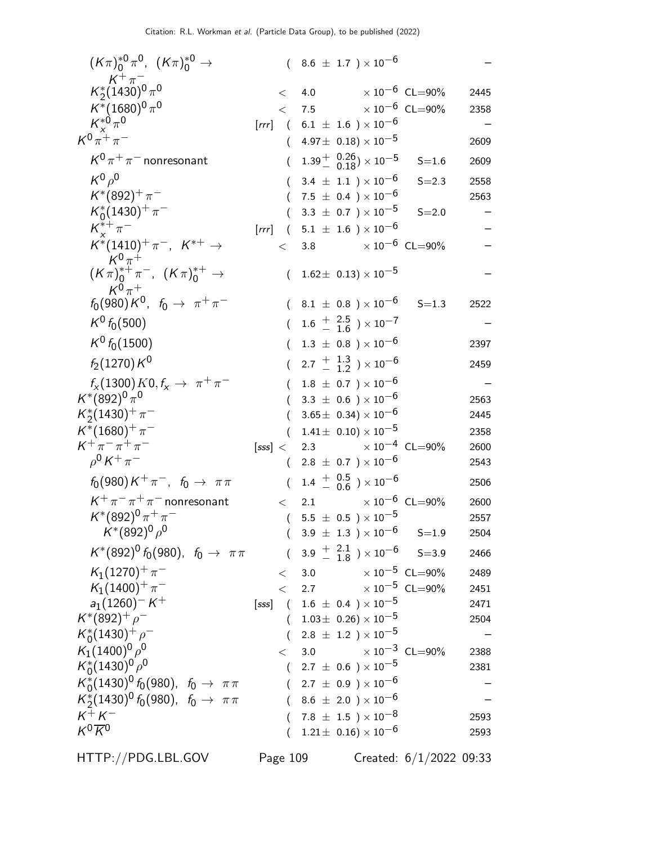| $(K\pi)^{*0}_{0}\pi^{0}$ , $(K\pi)^{*0}_{0} \to$                   |          | $(8.6 \pm 1.7) \times 10^{-6}$                                           |                            |      |
|--------------------------------------------------------------------|----------|--------------------------------------------------------------------------|----------------------------|------|
| $\kappa^+_{2} \pi^-$<br>$\kappa^*_{2}$ (1430) <sup>0</sup> $\pi^0$ | $\lt$    | 4.0                                                                      | $\times$ 10 $^{-6}$ CL=90% | 2445 |
| $K^*(1680)^0 \pi^0$                                                |          | $<$ 7.5 $\times 10^{-6}$ CL=90%                                          |                            | 2358 |
| $K_{x}^{*0}\pi^{0}$                                                |          | [rrr] $(6.1 \pm 1.6) \times 10^{-6}$                                     |                            |      |
| $K^{0}\pi^{+}\pi^{-}$                                              | (        | $4.97\pm 0.18 \times 10^{-5}$                                            |                            | 2609 |
| $K^0 \pi^+ \pi^-$ nonresonant                                      |          | $1.39^{+}$ $\frac{0.26}{0.18}$ $\times 10^{-5}$                          | $S = 1.6$                  | 2609 |
| $K^0\rho^0$                                                        |          | 3.4 $\pm$ 1.1 $) \times 10^{-6}$                                         | $S = 2.3$                  | 2558 |
| $K^*(892)^+\pi^-$                                                  |          | 7.5 $\pm$ 0.4 $) \times 10^{-6}$                                         |                            | 2563 |
| $K_0^*(1430)^+\pi^-$                                               |          | 3.3 $\pm$ 0.7 $\times$ 10 <sup>-5</sup>                                  | $S = 2.0$                  |      |
| $K^{*+}_{\nu} \pi^-$                                               |          | [rrr] $(5.1 \pm 1.6) \times 10^{-6}$                                     |                            |      |
| $K^*(1410)^+\pi^-$ , $K^{*+}\to$<br>$K^0\pi^+$                     | $\lt$    | $\times$ 10 $^{-6}$ CL=90%<br>3.8                                        |                            |      |
| $(K \pi)^{*+}_{0} \pi^{-}$ , $(K \pi)^{*+}_{0} \to$<br>$K^0\pi^+$  |          | $(1.62 \pm 0.13) \times 10^{-5}$                                         |                            |      |
| $f_0(980)K^0$ , $f_0 \to \pi^+\pi^-$                               |          | $8.1~\pm~0.8~$ ) $\times\,10^{-6}$                                       | $S = 1.3$                  | 2522 |
| $K^0 f_0(500)$                                                     |          | $(1.6 \frac{+}{-} 1.6^{2.5}) \times 10^{-7}$                             |                            |      |
| $K^0 f_0(1500)$                                                    | $\left($ | $1.3~\pm~0.8~$ $)\times10^{-6}$                                          |                            | 2397 |
| $f_2(1270)K^0$                                                     |          | $(2.7 \frac{+}{-} \frac{1.3}{1.2}) \times 10^{-6}$                       |                            | 2459 |
| $f_{\rm x}(1300) K0, f_{\rm x} \rightarrow \pi^+ \pi^-$            |          | $1.8 \pm 0.7$ ) $\times 10^{-6}$                                         |                            |      |
| $K^*(892)^0 \pi^0$                                                 |          | $3.3 \pm 0.6$ ) $\times 10^{-6}$                                         |                            | 2563 |
| $K_2^*(1430)^+\pi^-$                                               |          | $3.65 \pm 0.34 \times 10^{-6}$                                           |                            | 2445 |
| $K^*(1680)^+ \pi^-$                                                |          | $1.41 \pm 0.10 \times 10^{-5}$                                           |                            | 2358 |
| $K^+\pi^-\pi^+\pi^-$                                               |          | $[sss] < 2.3$ $\times 10^{-4}$ CL=90%                                    |                            | 2600 |
| $\rho^0 K^+ \pi^-$                                                 |          | $2.8 \pm 0.7$ ) $\times 10^{-6}$                                         |                            | 2543 |
| $f_0(980)K^+\pi^-$ , $f_0 \to \pi\pi$                              |          | $1.4 \begin{array}{l} + & 0.5 \\ - & 0.6 \end{array}$ $\times 10^{-6}$   |                            | 2506 |
| $K^+\pi^-\pi^+\pi^-$ nonresonant                                   | $\lt$    | $\times$ 10 $^{-6}\,$ CL $=$ 90%<br>2.1                                  |                            | 2600 |
| $K^*(892)^0 \pi^+ \pi^-$                                           | $\left($ | 5.5 $\pm$ 0.5 $\times$ 10 <sup>-5</sup>                                  |                            | 2557 |
| $\mathcal{K}^{*}(892)^{0}\rho^{0}$                                 |          | $3.9 \pm 1.3$ $\times 10^{-6}$ S=1.9                                     |                            | 2504 |
| $K^*(892)^0 f_0(980)$ , $f_0 \to \pi \pi$                          |          | $(3.9 \pm 2.1 \atop - 1.8) \times 10^{-6}$ S=3.9                         |                            | 2466 |
| $K_1(1270)^+\pi^-$                                                 | $\lt$    | $\times$ 10 $^{-5}$ CL=90%<br>3.0                                        |                            | 2489 |
| $K_1(1400)^{+}\pi^-$                                               |          | $<$ 2.7 $\times 10^{-5}$ CL=90%                                          |                            | 2451 |
| $a_1(1260)^-K^+$<br>$K^*(892)^+$ $\rho^-$                          |          | [sss] $(1.6 \pm 0.4) \times 10^{-5}$<br>$(1.03 \pm 0.26) \times 10^{-5}$ |                            | 2471 |
| $K_0^*(1430)^+$ $\rho^-$                                           |          | 2.8 $\pm$ 1.2 $)\times$ 10 $^{-5}$                                       |                            | 2504 |
| $K_1(1400)^0 \rho^0$                                               | $\lt$    | $\times$ 10 <sup>-3</sup> CL=90%<br>$3.0\,$                              |                            | 2388 |
| $K_0^*(1430)^0 \rho^0$                                             | $\left($ | 2.7 $\pm$ 0.6 $\times$ 10 <sup>-5</sup>                                  |                            | 2381 |
| $K_0^*(1430)^0 f_0(980)$ , $f_0 \to \pi \pi$                       |          | $(2.7 \pm 0.9) \times 10^{-6}$                                           |                            |      |
| $K_2^*(1430)^0 f_0(980)$ , $f_0 \to \pi \pi$                       |          | $(8.6 \pm 2.0) \times 10^{-6}$                                           |                            |      |
| $K^+ K^-$                                                          |          | $7.8~\pm~1.5~$ ) $\times\,10^{-8}$                                       |                            | 2593 |
| $K^0 \overline{K}{}^0$                                             |          | $1.21 \pm 0.16 \times 10^{-6}$                                           |                            | 2593 |
|                                                                    |          |                                                                          |                            |      |

HTTP://PDG.LBL.GOV Page 109 Created: 6/1/2022 09:33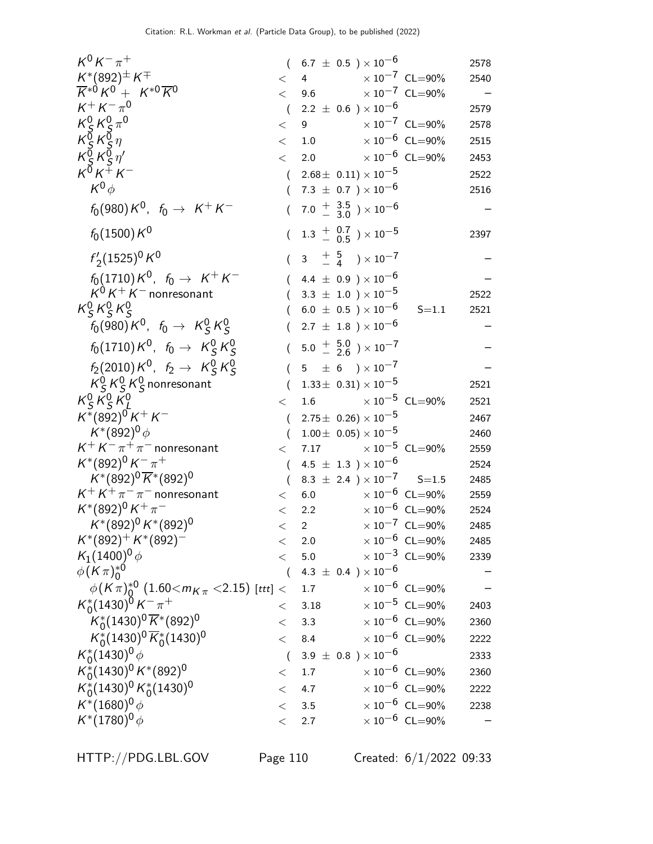| $K^0 K^- \pi^+$                                                      | $\left($         | $6.7~\pm~0.5~$ ) $\times\,10^{-6}$                                |                                  | 2578 |
|----------------------------------------------------------------------|------------------|-------------------------------------------------------------------|----------------------------------|------|
| $K^{*}(892)^{\pm} K^{\mp}$                                           | $\lt$            | 4                                                                 | $\times$ 10 <sup>-7</sup> CL=90% | 2540 |
| $\overline{K}^{*0}K^{0} + K^{*0}\overline{K}^{0}$                    | $\lt$            | 9.6 $\times 10^{-7}$ CL=90%                                       |                                  |      |
| $K^+ K^- \pi^0$                                                      | $\overline{(\ }$ | 2.2 $\pm$ 0.6 $\times$ 10 $^{-6}$                                 |                                  | 2579 |
| $K_S^0 K_S^0 \pi^0$                                                  | $\lt$            | 9 $\times 10^{-7}$ CL=90%                                         |                                  | 2578 |
| $\begin{array}{c} K_S^3 K_S^3 \eta \\ K_S^0 K_S^0 \eta' \end{array}$ | $\lt$            | 1.0 $\times 10^{-6}$ CL=90%                                       |                                  | 2515 |
|                                                                      | $\lt$            | 2.0                                                               | $\times$ 10 $^{-6}$ CL=90%       | 2453 |
| $K^{\breve{\mathrm{O}}} K^{\breve{+}} K^-$                           | $\overline{(\ }$ | $2.68 \pm 0.11 \times 10^{-5}$                                    |                                  | 2522 |
| $K^0\phi$                                                            | $\left($         | 7.3 $\pm$ 0.7 $\times$ 10 <sup>-6</sup>                           |                                  | 2516 |
| $f_0(980)K^0$ , $f_0 \to K^+K^-$                                     | $\left($         | 7.0 $\frac{+}{-}$ 3.5 $\rightarrow$ 10 <sup>-6</sup>              |                                  |      |
| $f_0(1500) K^0$                                                      |                  | $(1.3 \frac{+}{-} 0.7) \times 10^{-5}$                            |                                  | 2397 |
| $f'_2(1525)^0 K^0$                                                   | $\overline{(\ }$ | $3\quad \frac{+}{-}\quad \frac{5}{4}$ ) $\times$ 10 <sup>-7</sup> |                                  |      |
| $f_0(1710)K^0$ , $f_0 \to K^+K^-$                                    |                  | 4.4 $\pm$ 0.9 ) $\times$ 10 <sup>-6</sup>                         |                                  |      |
| $K^0 K^+ K^-$ nonresonant                                            |                  | 3.3 $\pm$ 1.0 $\times$ 10 $^{-5}$                                 |                                  | 2522 |
| $K_S^0 K_S^0 K_S^0$                                                  |                  | $6.0~\pm~0.5~$ ) $\times\,10^{-6}$                                | $S = 1.1$                        | 2521 |
| $f_0(980)K^0$ , $f_0 \to K^0_S K^0_S$                                |                  | $2.7 \pm 1.8$ ) $\times 10^{-6}$                                  |                                  |      |
| $f_0(1710)K^0$ , $f_0 \to K_S^0 K_S^0$                               |                  | $5.0 \div 5.0$ $\times 10^{-7}$                                   |                                  |      |
| $f_2(2010) K^0$ , $f_2 \rightarrow K_S^0 K_S^0$                      | $\left($         | $5 \pm 6$ $) \times 10^{-7}$                                      |                                  |      |
| $K_S^0 K_S^0 K_S^0$ nonresonant                                      | $\overline{(\ }$ | $1.33\pm 0.31 \times 10^{-5}$                                     |                                  | 2521 |
| $K_S^0 K_S^0 K_I^0$                                                  | $\lt$            | 1.6                                                               | $\times$ 10 $^{-5}$ CL=90%       | 2521 |
| $K^*(892)^0 K^+ K^-$                                                 | $\overline{(\ }$ | $2.75 \pm 0.26 \times 10^{-5}$                                    |                                  | 2467 |
| $K^*(892)^0 \phi$                                                    | $\left($         | $1.00\pm 0.05 \times 10^{-5}$                                     |                                  | 2460 |
| $K^+ K^- \pi^+ \pi^-$ nonresonant                                    | $\lt$            | 7.17 $\times 10^{-5}$ CL=90%                                      |                                  | 2559 |
| $K^*(892)^0 K^- \pi^+$                                               | $\left($         | $4.5 \pm 1.3$ ) $\times 10^{-6}$                                  |                                  | 2524 |
| $K^*(892)^0 \overline{K}^*(892)^0$                                   | $\left($         | $8.3 \pm 2.4$ $\times 10^{-7}$ S=1.5                              |                                  | 2485 |
| $K^+ K^+ \pi^- \pi^-$ nonresonant                                    | $\lt$            | $6.0\,$                                                           | $\times$ 10 $^{-6}$ CL=90%       | 2559 |
| $K^*(892)^0 K^+\pi^-$                                                | $\lt$            | 2.2 $\times 10^{-6}$ CL=90%                                       |                                  | 2524 |
| $K^*(892)^0 K^*(892)^0$                                              | $\lt$            | 2 $\times 10^{-7}$ CL=90%                                         |                                  | 2485 |
| $K^*(892)^+ K^*(892)^-$                                              | $\lt$            | 2.0                                                               | $\times 10^{-6}$ CL=90%          | 2485 |
| $K_1(1400)^0 \phi$                                                   | $\lt$            | 5.0                                                               | $\times\,10^{-3}$ CL=90%         | 2339 |
| $\phi(K\pi)_{0}^{*0}$                                                | $\sqrt{2}$       | 4.3 $\pm$ 0.4 $) \times 10^{-6}$                                  |                                  |      |
| $\phi$ (K $\pi$ ) <sup>*0</sup> (1.60 $<$ m $_K$ $<$ 2.15) [ttt] $<$ |                  | 1.7                                                               | $\times 10^{-6}$ CL=90%          |      |
| $K_0^*(1430)^{\bar{0}}K^{-}\pi^+$                                    | $\lt$            | 3.18                                                              | $\times$ 10 <sup>-5</sup> CL=90% | 2403 |
| $K_0^*(1430)^0 \overline{K}^*(892)^0$                                |                  | $<$ 3.3 $\times 10^{-6}$ CL=90%                                   |                                  | 2360 |
| $K_0^*(1430)^0 \overline{K}_0^*(1430)^0$                             | $\lt$            | 8.4                                                               | $\times\,10^{-6}$ CL=90%         | 2222 |
| $K_0^*(1430)^0 \phi$                                                 | $\left($         | 3.9 $\pm$ 0.8 $) \times 10^{-6}$                                  |                                  | 2333 |
| $K_0^*(1430)^0 K^*(892)^0$                                           | $\lt$            | 1.7                                                               | $\times 10^{-6}$ CL=90%          | 2360 |
| $K_0^*(1430)^0 K_0^*(1430)^0$                                        | $\lt$            | 4.7                                                               | $\times 10^{-6}$ CL=90%          | 2222 |
| $K^*(1680)^0 \phi$                                                   |                  | < 3.5                                                             | $\times 10^{-6}$ CL=90%          | 2238 |
| $K^*(1780)^0 \phi$                                                   | $\lt$            | 2.7                                                               | $\times$ $10^{-6}\,$ CL=90%      |      |
|                                                                      |                  |                                                                   |                                  |      |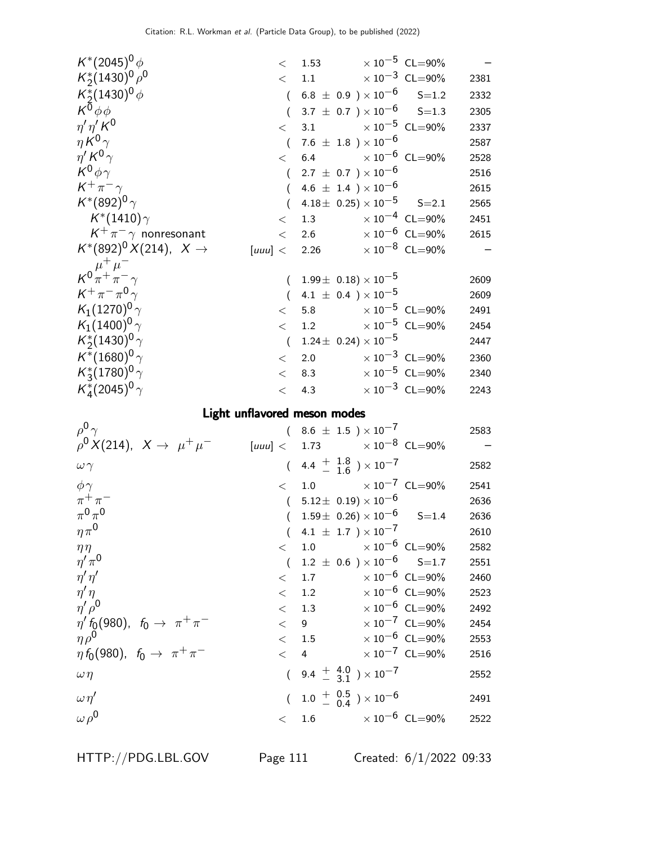| $K^*(2045)^0 \phi$                                                                             |            | $<$ 1.53 $\times 10^{-5}$ CL=90%                |                                  |                                  |              |
|------------------------------------------------------------------------------------------------|------------|-------------------------------------------------|----------------------------------|----------------------------------|--------------|
| $K_2^*(1430)^0 \rho^0$                                                                         | $\lt$      | 1.1 $\times 10^{-3}$ CL=90%                     |                                  |                                  | 2381         |
| $K_2^*(1430)^0 \phi$                                                                           | $\left($   | $6.8~\pm~0.9~$ ) $\times~10^{-6}$               |                                  | $S = 1.2$                        | 2332         |
| $K^0\phi\phi$                                                                                  | $\left($   | $3.7 \pm 0.7$ $) \times 10^{-6}$ S=1.3          |                                  |                                  | 2305         |
| $\eta' \eta' K^0$                                                                              | $\lt$      | 3.1                                             |                                  | $\times 10^{-5}$ CL=90%          | 2337         |
| $\eta K^0 \gamma$                                                                              | $\left($   | $7.6~\pm~1.8~$ ) $\times\,10^{-6}$              |                                  |                                  | 2587         |
| $\eta^{\prime} K^{0} \gamma$                                                                   | $\lt$      | 6.4                                             | $\times$ 10 $^{-6}$ CL=90%       |                                  | 2528         |
| $K^0 \phi \gamma$                                                                              | $\left($   | 2.7 $\pm$ 0.7 $\times$ 10 <sup>-6</sup>         |                                  |                                  | 2516         |
| $K^+\pi^-\gamma$                                                                               | $\left($   | 4.6 $\pm$ 1.4 ) $\times$ 10 <sup>-6</sup>       |                                  |                                  | 2615         |
| $K^{*}(892)^{0}\gamma$                                                                         | $\left($   | $4.18 \pm 0.25 \times 10^{-5}$ S=2.1            |                                  |                                  | 2565         |
| $\mathcal{K}^*(1410)\gamma$                                                                    | $\lt$      | 1.3 $\times 10^{-4}$ CL=90%                     |                                  |                                  | 2451         |
| $K^+\pi^-\gamma$ nonresonant                                                                   | $\lt$      | 2.6 $\times 10^{-6}$ CL=90%                     |                                  |                                  | 2615         |
| $K^*(892)^0 X(214), X \to$                                                                     |            | $[uuu] < 2.26$ $\times 10^{-8}$ CL=90%          |                                  |                                  |              |
| $\kappa^0 \frac{\mu^+ \mu^-}{\pi^+ \pi^- \gamma}$                                              |            |                                                 |                                  |                                  |              |
|                                                                                                |            | $1.99\pm 0.18 \times 10^{-5}$                   |                                  |                                  | 2609         |
| $K^+\pi^-\pi^0\gamma$                                                                          | $\left($   | 4.1 $\pm$ 0.4 $) \times 10^{-5}$                |                                  |                                  | 2609         |
| $K_1(1270)^0 \gamma$                                                                           | $\lt$      | 5.8 $\times 10^{-5}$ CL=90%                     |                                  |                                  | 2491         |
| $K_1(1400)^0\gamma$                                                                            | $\lt$      | 1.2                                             |                                  | $\times$ $10^{-5}\,$ CL=90%      | 2454         |
| $K_2^*(1430)^0 \gamma$                                                                         | $\sqrt{ }$ | $1.24 \pm 0.24 \times 10^{-5}$                  |                                  |                                  | 2447         |
| $K^*(1680)^0 \gamma$                                                                           | $\,<\,$    | 2.0 $\times 10^{-3}$ CL=90%                     |                                  |                                  | 2360         |
| $K_3^*(1780)^0 \gamma$                                                                         | $\lt$      | 8.3                                             | $\times$ 10 $^{-5}~$ CL=90%      |                                  | 2340         |
| $K_4^*(2045)^0 \gamma$                                                                         | $\,<$      | 4.3 $\times 10^{-3}$ CL=90%                     |                                  |                                  | 2243         |
|                                                                                                |            |                                                 |                                  |                                  |              |
|                                                                                                |            | Light unflavored meson modes                    |                                  |                                  |              |
| $\rho^0 \gamma$                                                                                |            | $(8.6 \pm 1.5) \times 10^{-7}$                  |                                  |                                  | 2583         |
| $ho^0 X(214), X \to \mu^+ \mu^-$                                                               | [uuu] <    | 1.73 $\times 10^{-8}$ CL=90%                    |                                  |                                  |              |
| $\omega \gamma$                                                                                |            | $(4.4 + \frac{1.8}{1.6}) \times 10^{-7}$        |                                  |                                  | 2582         |
|                                                                                                |            |                                                 |                                  |                                  |              |
| $\phi \gamma$                                                                                  | $\lt$      | 1.0 $\times 10^{-7}$ CL=90%                     |                                  |                                  | 2541         |
| $\pi^+\pi^-$                                                                                   |            | $(5.12 \pm 0.19) \times 10^{-6}$                |                                  |                                  | 2636         |
| $\pi^0\pi^0$                                                                                   | $\left($   | $1.59\pm$ 0.26) $\times$ 10 <sup>-6</sup> S=1.4 |                                  |                                  | 2636<br>2610 |
| $\eta\pi^0$                                                                                    |            | $(4.1 \pm 1.7) \times 10^{-7}$<br>$<$ 1.0       |                                  | $\times 10^{-6}$ CL=90%          | 2582         |
| $\eta\eta$                                                                                     | $\sqrt{ }$ |                                                 |                                  |                                  | 2551         |
| $\eta' \pi^0$                                                                                  | $\lt$      | $1.2 \pm 0.6$ $)\times 10^{-6}$ S=1.7<br>1.7    | $\times$ 10 $^{-6}$ CL=90%       |                                  | 2460         |
| $\eta' \eta'$                                                                                  | $\lt$      | 1.2                                             |                                  | $\times 10^{-6}$ CL=90%          | 2523         |
| $\eta'\eta$<br>$\eta' \rho^0$                                                                  |            | < 1.3                                           |                                  | $\times$ 10 <sup>-6</sup> CL=90% | 2492         |
|                                                                                                |            | < 9                                             |                                  | $\times$ 10 <sup>-7</sup> CL=90% | 2454         |
| $\eta' f_{Q}(980)$ , $f_{0} \to \pi^{+} \pi^{-}$<br>$\eta \rho^0$                              |            | < 1.5                                           | $\times$ 10 $^{-6}$ CL=90%       |                                  | 2553         |
|                                                                                                | $\lt$ 4    |                                                 | $\times$ 10 <sup>-7</sup> CL=90% |                                  | 2516         |
| $\eta \rho^3$<br>$\eta \, f_0(980), \;\; f_0 \rightarrow \;\; \pi^+ \, \pi^-$<br>$\omega \eta$ |            | $(9.4 + 4.0) \times 10^{-7}$                    |                                  |                                  | 2552         |
| $\omega \eta'$                                                                                 |            | $(1.0 \frac{+}{0.5}) \times 10^{-6}$            |                                  |                                  | 2491         |

HTTP://PDG.LBL.GOV Page 111 Created: 6/1/2022 09:33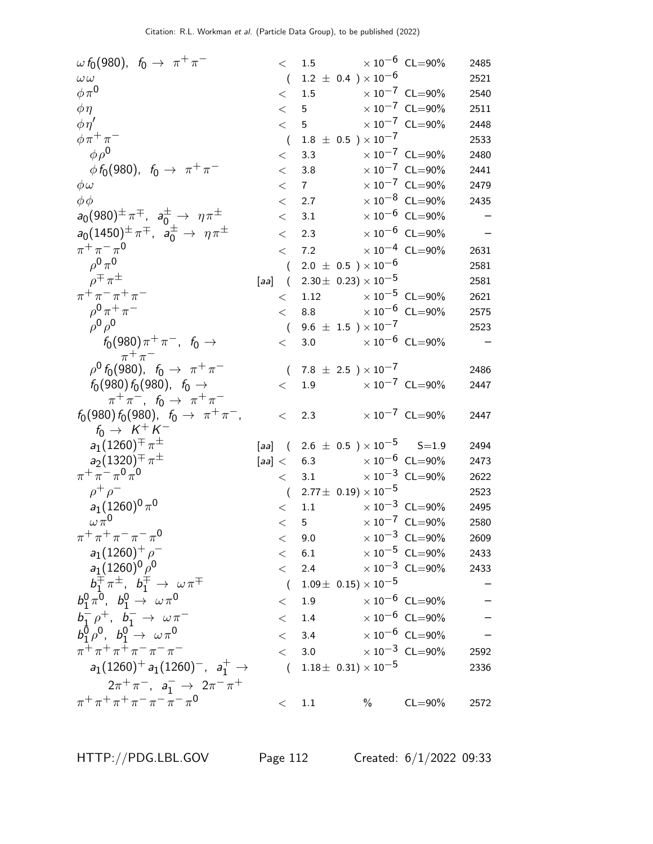| $\omega f_0(980)$ , $f_0 \to \pi^+ \pi^-$                                               | $\lt$            | 1.5 $\times 10^{-6}$ CL=90%               |      |                                  | 2485 |
|-----------------------------------------------------------------------------------------|------------------|-------------------------------------------|------|----------------------------------|------|
| $\omega\omega$                                                                          | $\overline{(\ }$ | $1.2 \pm 0.4$ ) $\times 10^{-6}$          |      |                                  | 2521 |
| $\phi \pi^0$                                                                            | $\lt$            | 1.5 $\times 10^{-7}$ CL=90%               |      |                                  | 2540 |
| $\phi\eta$                                                                              |                  | < 5                                       |      | $\times 10^{-7}$ CL=90%          | 2511 |
| $\phi \eta'$                                                                            | < 5              |                                           |      | $\times$ $10^{-7}$ $\,$ CL=90%   | 2448 |
| $\phi \pi^+ \pi^-$                                                                      | $\left($         | $1.8 \pm 0.5$ ) $\times 10^{-7}$          |      |                                  | 2533 |
| $\phi \rho^0$                                                                           | $\,<\,$          | 3.3                                       |      | $\times 10^{-7}$ CL=90%          | 2480 |
| $\phi f_0(980)$ , $f_0 \to \pi^+ \pi^-$                                                 | $\,<\,$          | 3.8                                       |      | $\times 10^{-7}$ CL=90%          | 2441 |
| $\phi\omega$                                                                            | $\lt$            | $7 \quad \text{ }$                        |      | $\times 10^{-7}$ CL=90%          | 2479 |
| $\phi\phi$                                                                              | $\lt$            | 2.7                                       |      | $\times$ $10^{-8}\,$ CL=90%      | 2435 |
| $a_0(980)^{\pm} \pi^{\mp}$ , $a_0^{\pm} \to \eta \pi^{\pm}$                             | $\,<\,$          | 3.1                                       |      | $\times 10^{-6}$ CL=90%          |      |
| $a_0(1450)^{\pm} \pi^{\mp}$ , $a_0^{\pm} \to \eta \pi^{\pm}$                            |                  |                                           |      | $\times$ 10 <sup>-6</sup> CL=90% |      |
|                                                                                         | $\lt$            | 2.3                                       |      |                                  |      |
| $\pi^{+}\pi^{-}\pi^{0}$                                                                 | $\lt$            | 7.2                                       |      | $\times$ $10^{-4}$ $\,$ CL=90%   | 2631 |
| $\rho^{0} \pi^{0}$                                                                      | $\left($         | $2.0 \pm 0.5$ ) $\times 10^{-6}$          |      |                                  | 2581 |
| $\rho^{\mp} \pi^{\pm}$                                                                  |                  | [aa] $(2.30 \pm 0.23) \times 10^{-5}$     |      |                                  | 2581 |
| $\pi^{+}\pi^{-}\pi^{+}\pi^{-}$                                                          | $\lt$            | 1.12                                      |      | $\times 10^{-5}$ CL=90%          | 2621 |
| $\rho^{0} \pi^{+} \pi^{-}$                                                              | $\lt$            | 8.8                                       |      | $\times\,10^{-6}$ CL=90%         | 2575 |
| $\rho^0 \rho^0$                                                                         | $\left($         | 9.6 $\pm$ 1.5 $\times$ 10 <sup>-7</sup>   |      |                                  | 2523 |
| $f_0(980)\pi^+\pi^-$ , $f_0 \to$                                                        | $\lt$            | 3.0 $\times 10^{-6}$ CL=90%               |      |                                  |      |
| $\pi^+\pi^-$<br>$\rho^0 f_0(980)$ , $f_0 \to \pi^+ \pi^-$                               |                  | $(7.8 \pm 2.5) \times 10^{-7}$            |      |                                  | 2486 |
| $f_0(980) f_0(980)$ , $f_0 \rightarrow$                                                 | $\lt$            | 1.9                                       |      | $\times$ 10 <sup>-7</sup> CL=90% | 2447 |
| $\pi^+ \pi^-$ , $f_0 \to \pi^+ \pi^-$                                                   |                  |                                           |      |                                  |      |
| $f_0(980) f_0(980)$ , $f_0 \rightarrow \pi^+ \pi^-$ ,                                   | $\lt$            | 2.3                                       |      | $\times 10^{-7}$ CL=90%          | 2447 |
| $f_0 \rightarrow K^+ K^-$                                                               |                  |                                           |      |                                  |      |
| $a_1(1260)^{\pm} \pi^{\pm}$                                                             |                  | [aa] $(2.6 \pm 0.5) \times 10^{-5}$ S=1.9 |      |                                  | 2494 |
| $a_2(1320)^{\mp} \pi^{\pm}$                                                             |                  | $[aa] < 6.3$ $\times 10^{-6}$ CL=90%      |      |                                  | 2473 |
| $\pi^+ \pi^- \pi^0 \pi^0$                                                               | $\lt$            | 3.1                                       |      | $\times$ $10^{-3}$ $\,$ CL=90%   | 2622 |
| $\rho^+ \rho^-$                                                                         |                  | $(2.77 \pm 0.19) \times 10^{-5}$          |      |                                  | 2523 |
| $a_1(1260)^0 \pi^0$                                                                     | $\lt$            | 1.1 $\times 10^{-3}$ CL=90%               |      |                                  | 2495 |
| $\omega \pi^0$                                                                          | $\lt$            | $5^{\circ}$                               |      | $\times$ 10 <sup>-7</sup> CL=90% | 2580 |
| $\pi^{+}\pi^{+}\pi^{-}\pi^{-}\pi^{0}$                                                   | $\lt$            | 9.0                                       |      | $\times 10^{-3}$ CL=90%          | 2609 |
| $a_1(1260)^+$ $\rho^-$                                                                  |                  | < 6.1                                     |      | $\times$ $10^{-5}\,$ CL=90%      | 2433 |
| $a_1(1260)^0\rho^0$                                                                     |                  | $\lt$ 2.4                                 |      | $\times$ 10 <sup>-3</sup> CL=90% | 2433 |
| $b_1^\mp \pi^\pm$ , $b_1^\mp \rightarrow \omega \pi^\mp$                                |                  | $(1.09\pm\ 0.15)\times 10^{-5}$           |      |                                  |      |
| $b_1^0 \pi^0$ , $b_1^0 \to \omega \pi^0$                                                | $\lt$            | 1.9                                       |      | $\times$ 10 $^{-6}$ CL=90%       |      |
|                                                                                         |                  | $<$ 1.4 $\times 10^{-6}$ CL=90%           |      |                                  |      |
| $b_1^- \rho^+$ , $b_1^- \to \omega \pi^-$<br>$b_1^0 \rho^0$ , $b_1^0 \to \omega \pi^0$  |                  | < 3.4                                     |      | $\times$ 10 $^{-6}$ CL=90%       |      |
| $\pi^+ \pi^+ \pi^+ \pi^- \pi^- \pi^-$                                                   |                  |                                           |      |                                  |      |
|                                                                                         |                  | $< 3.0 \times 10^{-3} \text{ CL} = 90\%$  |      |                                  | 2592 |
| $a_1(1260)^+ a_1(1260)^-, a_1^+ \rightarrow$                                            |                  | $(1.18\pm\ 0.31)\times 10^{-5}$           |      |                                  | 2336 |
| $2\pi^+\pi^-$ , $a_1^ \to$ $2\pi^-\pi^+$<br>$\pi^+ \pi^+ \pi^+ \pi^- \pi^- \pi^- \pi^0$ |                  |                                           |      |                                  |      |
|                                                                                         |                  | $<$ 1.1                                   | $\%$ | $CL = 90\%$                      | 2572 |

HTTP://PDG.LBL.GOV Page 112 Created: 6/1/2022 09:33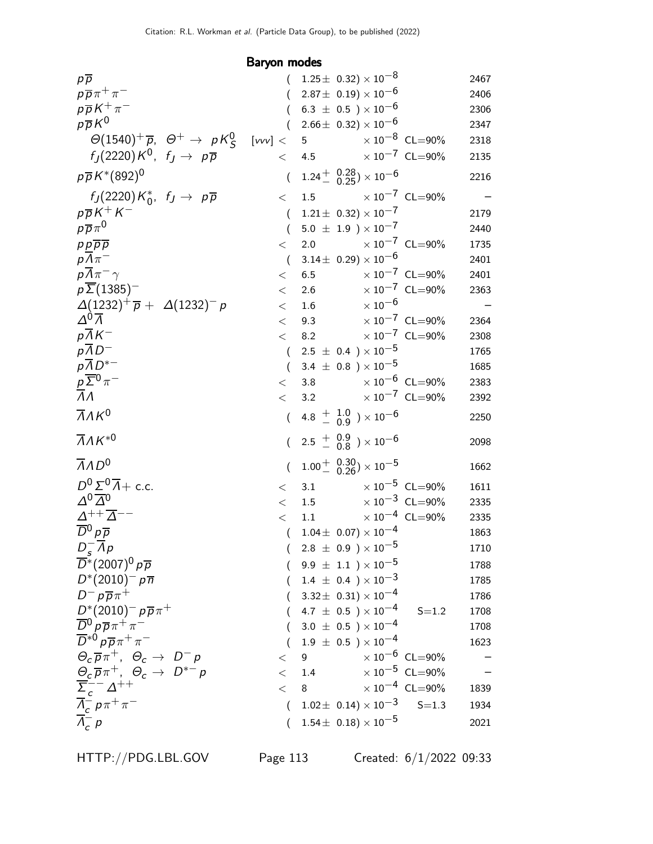Baryon modes

| $p\overline{p}$                                                             |                  |                | $1.25 \pm 0.32 \times 10^{-8}$                           |                                  | 2467 |
|-----------------------------------------------------------------------------|------------------|----------------|----------------------------------------------------------|----------------------------------|------|
| $p\overline{p}\pi^+\pi^-$                                                   |                  |                | $2.87\pm\ 0.19) \times 10^{-6}$                          |                                  | 2406 |
| $p\overline{p}K^+\pi^-$                                                     |                  |                | 6.3 $\pm$ 0.5 ) $\times$ 10 <sup>-6</sup>                |                                  | 2306 |
| $p\overline{p}K^0$                                                          |                  |                | $2.66 \pm 0.32 \times 10^{-6}$                           |                                  | 2347 |
| $\Theta(1540)^+\overline{p}$ , $\Theta^+$ $\rightarrow$ $pK^0_S$            | [vv] <           | 5 <sup>1</sup> | $\times$ 10 $^{-8}\,$ CL $=$ 90%                         |                                  | 2318 |
| $f_I(2220)K^0$ , $f_J \rightarrow p\overline{p}$                            | $\lt$            | 4.5            | $\times$ 10 $^{-7}~$ CL $=$ 90%                          |                                  | 2135 |
| $p\overline{p}K^*(892)^0$                                                   | $\overline{(}$   |                | $1.24 + {0.28 \choose 0.25} \times 10^{-6}$              |                                  | 2216 |
| $f_J(2220)K_0^*$ , $f_J \rightarrow p\overline{p}$                          | $\lt$            | 1.5            | $\times$ 10 $^{-7}$ CL=90%                               |                                  |      |
| $p\overline{p}K^+K^-$                                                       | $\overline{(}$   |                | $1.21 \pm 0.32 \times 10^{-7}$                           |                                  | 2179 |
| $p\overline{p}\pi^0$                                                        | $\overline{(}$   |                | $5.0 \pm 1.9$ ) $\times 10^{-7}$                         |                                  | 2440 |
| $p p \overline{p} \overline{p}$                                             | $\lt$            | 2.0            |                                                          | $\times 10^{-7}$ CL=90%          | 1735 |
| $p\Lambda\pi^-$                                                             | $\overline{ }$   |                | $3.14\pm 0.29 \times 10^{-6}$                            |                                  | 2401 |
| $p\overline{\Lambda}\pi^{-}\gamma$                                          | $\lt$            | 6.5            |                                                          | $\times 10^{-7}$ CL=90%          | 2401 |
| $p\overline{\Sigma}$ (1385) <sup>-1</sup>                                   | $\lt$            | 2.6            |                                                          | $\times$ $10^{-7}$ $\,$ CL=90%   | 2363 |
| $\Delta(1232)^+\overline{p} + \Delta(1232)^- p$                             | $\lt$            | 1.6            | $\times$ 10 $^{-6}$                                      |                                  |      |
| $\Delta^0\overline{\Lambda}$                                                | $\lt$            | 9.3            |                                                          | $\times 10^{-7}$ CL=90%          | 2364 |
| $p\overline{\Lambda K^{-}}$                                                 | $\lt$            | 8.2            |                                                          | $\times$ $10^{-7}$ $\,$ CL=90%   | 2308 |
| $p\overline{AD}^-$                                                          | $\left($         |                | $2.5 \pm 0.4$ ) $\times 10^{-5}$                         |                                  | 1765 |
| $p\overline{A}D^{*-}$                                                       | $\left($         |                | 3.4 $\pm$ 0.8 ) $\times$ 10 <sup>-5</sup>                |                                  | 1685 |
| $\frac{\rho}{\Lambda} \frac{\overline{\Sigma}^0}{\Lambda} \pi^-$            | $\lt$            | 3.8            |                                                          | $\times 10^{-6}$ CL=90%          | 2383 |
|                                                                             | $\lt$            | 3.2            |                                                          | $\times 10^{-7}$ CL=90%          | 2392 |
| $\overline{\Lambda}$ $\Lambda$ K <sup>0</sup>                               |                  |                | $(4.8 \frac{+}{-} \frac{1.0}{0.9}) \times 10^{-6}$       |                                  | 2250 |
| $\overline{\Lambda}$ AK <sup>*0</sup>                                       |                  |                | $(2.5 \frac{+}{-} 0.9 \overline{) \times 10^{-6}}$       |                                  | 2098 |
| $\overline{A}AD^0$                                                          | $\overline{(\ }$ |                | $1.00^{+}$ $^{0.30}_{-0.26}$ ) $\times$ 10 <sup>-5</sup> |                                  | 1662 |
| $D^0 \Sigma^0 \overline{\Lambda}$ + c.c.                                    | $\lt$            | 3.1            |                                                          | $\times 10^{-5}$ CL=90%          | 1611 |
| $\Delta^{0}\overline{\Delta}^{0}$                                           | $\lt$            | 1.5            |                                                          | $\times$ 10 <sup>-3</sup> CL=90% | 2335 |
| $\varDelta ^{++}\overline{\varDelta }^{--}$                                 | $\lt$            | 1.1            |                                                          | $\times$ 10 <sup>-4</sup> CL=90% | 2335 |
| $\overline{D}{}^0 \rho \overline{\rho}$                                     | $\overline{(}$   |                | $1.04 \pm 0.07 \times 10^{-4}$                           |                                  | 1863 |
| $D_s^ Ap$                                                                   | $\sqrt{2}$       |                | $2.8 \pm 0.9$ ) $\times 10^{-5}$                         |                                  | 1710 |
| $\overline{D}^*(2007)^0 p \overline{p}$                                     |                  |                | $9.9 \;\pm\; 1.1\;\; )\times 10^{-5}$                    |                                  | 1788 |
| $D^{*}(2010)^{-} p \overline{n}$                                            |                  |                | $(1.4 \pm 0.4) \times 10^{-3}$                           |                                  | 1785 |
| $D^- p \overline{p} \pi^+$                                                  |                  |                | $(3.32\pm 0.31)\times 10^{-4}$                           |                                  | 1786 |
| $D^{*}(2010)^{-} p \overline{p} \pi^{+}$                                    |                  |                | 4.7 $\pm$ 0.5 $)\times10^{-4}$                           | $S = 1.2$                        | 1708 |
| $\overline{D}{}^0 \rho \overline{\rho} \pi^+ \pi^-$                         |                  |                | $3.0 \pm 0.5$ ) $\times 10^{-4}$                         |                                  | 1708 |
| $\overline{D}^{*0} p \overline{p} \pi^+ \pi^-$                              |                  |                | $1.9 \pm 0.5$ ) $\times 10^{-4}$                         |                                  | 1623 |
| $\Theta_c \overline{p} \pi^+$ , $\Theta_c \rightarrow D^- p$                | $\lt$            | 9              |                                                          | $\times 10^{-6}$ CL=90%          |      |
| $\frac{\Theta_c}{\rho} \overline{\rho} \pi^+, \ \Theta_c \to \ D^{*-} \rho$ | $\lt$            | 1.4            |                                                          | $\times 10^{-5}$ CL=90%          |      |
| $\overline{\Sigma}_c^{--} \Delta^{++}$                                      | $\lt$            | 8              |                                                          | $\times 10^{-4}$ CL=90%          | 1839 |
| $\frac{\overline{\Lambda}_c^c}{\overline{\Lambda}_c^c} p \pi^+ \pi^-$       | $\overline{(}$   |                | $1.02 \pm 0.14 \times 10^{-3}$ S=1.3                     |                                  | 1934 |
|                                                                             | $\left($         |                | $1.54 \pm 0.18 \times 10^{-5}$                           |                                  | 2021 |

HTTP://PDG.LBL.GOV Page 113 Created: 6/1/2022 09:33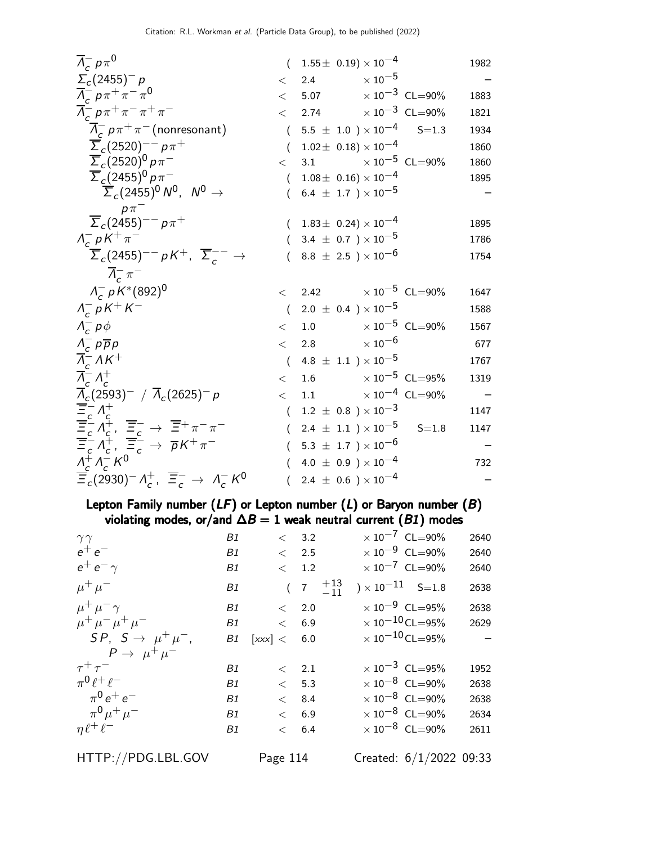| $\overline{\Lambda}_c^- p \pi^0$                                                                                                                                                                                                                                                                                                                                                                                                                                                                                                                   | $(1.55 \pm 0.19) \times 10^{-4}$<br>1982                |
|----------------------------------------------------------------------------------------------------------------------------------------------------------------------------------------------------------------------------------------------------------------------------------------------------------------------------------------------------------------------------------------------------------------------------------------------------------------------------------------------------------------------------------------------------|---------------------------------------------------------|
| $\Sigma_c(2455)^- p$<br>$\lt$                                                                                                                                                                                                                                                                                                                                                                                                                                                                                                                      | $\times$ 10 $^{-5}$<br>2.4                              |
| $\overline{\Lambda}_{c}^{-} p \pi^{+} \pi^{-} \pi^{0}$                                                                                                                                                                                                                                                                                                                                                                                                                                                                                             | $< 5.07 \times 10^{-3} \text{ CL} = 90\%$<br>1883       |
| $\overline{\Lambda}_{c}^{-} p \pi^{+} \pi^{-} \pi^{+} \pi^{-}$<br>$\lt$                                                                                                                                                                                                                                                                                                                                                                                                                                                                            | 2.74 $\times 10^{-3}$ CL=90%<br>1821                    |
| $\overline{\Lambda}_c^- p \pi^+ \pi^-$ (nonresonant)                                                                                                                                                                                                                                                                                                                                                                                                                                                                                               | $(5.5 \pm 1.0) \times 10^{-4}$<br>$S = 1.3$<br>1934     |
| $\overline{\Sigma}_c (2520)^{--} p \pi^+$<br>$\overline{(\ }$                                                                                                                                                                                                                                                                                                                                                                                                                                                                                      | $1.02 \pm 0.18 \times 10^{-4}$<br>1860                  |
| $\overline{\Sigma}_c(2520)^0 p \pi^-$<br>$\lt$                                                                                                                                                                                                                                                                                                                                                                                                                                                                                                     | 3.1 $\times 10^{-5}$ CL=90%<br>1860                     |
| $\overline{\Sigma}_c(2455)^0 p \pi^-$                                                                                                                                                                                                                                                                                                                                                                                                                                                                                                              | $1.08\pm\ 0.16) \times 10^{-4}$<br>$\left($<br>1895     |
| $\overline{\Sigma}_c(2455)^0 N^0$ , $N^0 \rightarrow$                                                                                                                                                                                                                                                                                                                                                                                                                                                                                              | $(6.4 \pm 1.7) \times 10^{-5}$                          |
| $p\pi^-$                                                                                                                                                                                                                                                                                                                                                                                                                                                                                                                                           |                                                         |
| $\overline{\Sigma}_c (2455)^{--} p \pi^+$                                                                                                                                                                                                                                                                                                                                                                                                                                                                                                          | $(1.83 \pm 0.24) \times 10^{-4}$<br>1895                |
| $\Lambda_c^- p K^+ \pi^-$                                                                                                                                                                                                                                                                                                                                                                                                                                                                                                                          | $(3.4 \pm 0.7) \times 10^{-5}$<br>1786                  |
| $\overline{\Sigma}_c(2455)^{--}$ pK <sup>+</sup> , $\overline{\Sigma}_c^{--}$ $\rightarrow$                                                                                                                                                                                                                                                                                                                                                                                                                                                        | $8.8 \pm 2.5$ ) $\times 10^{-6}$<br>1754                |
| $\Lambda_c^- \pi^-$                                                                                                                                                                                                                                                                                                                                                                                                                                                                                                                                |                                                         |
| $\Lambda_c^- p K^*(892)^0$                                                                                                                                                                                                                                                                                                                                                                                                                                                                                                                         | $\langle 2.42 \times 10^{-5} \text{ CL} = 90\%$<br>1647 |
| $\Lambda_{c}^{-} p K^{+} K^{-}$                                                                                                                                                                                                                                                                                                                                                                                                                                                                                                                    | $(2.0 \pm 0.4) \times 10^{-5}$<br>1588                  |
| $\Lambda_{c}^{-} p \phi$                                                                                                                                                                                                                                                                                                                                                                                                                                                                                                                           | $<$ 1.0 $\times 10^{-5}$ CL=90%<br>1567                 |
| $\Lambda_{c}^{-}$ p $\overline{p}$ p<br>$\lt$                                                                                                                                                                                                                                                                                                                                                                                                                                                                                                      | 2.8 $\times 10^{-6}$<br>677                             |
| $\overline{\Lambda}_{c}^{-} \Lambda K^{+}$                                                                                                                                                                                                                                                                                                                                                                                                                                                                                                         | $4.8~\pm~1.1~$ ) $\times\,10^{-5}$<br>$\left($<br>1767  |
| $\overline{\Lambda}_{c}^{-} \Lambda_{c}^{+}$<br>$\lt$                                                                                                                                                                                                                                                                                                                                                                                                                                                                                              | 1.6 $\times 10^{-5}$ CL=95%<br>1319                     |
|                                                                                                                                                                                                                                                                                                                                                                                                                                                                                                                                                    | $<$ 1.1 $\times 10^{-4}$ CL=90%                         |
|                                                                                                                                                                                                                                                                                                                                                                                                                                                                                                                                                    | $1.2~\pm~0.8~$ $)\times10^{-3}$<br>$\left($<br>1147     |
| $\frac{\overline{\Lambda}_c(2593)^{-}}{\overline{\Xi}_c^{-}} \overline{\Lambda}_c^{+} \\ \frac{\overline{\Xi}_c^{-}}{\overline{\Xi}_c^{-}} \Lambda_c^{+} \\ \frac{\overline{\Xi}_c^{-}}{\overline{\Xi}_c^{-}} \Lambda_c^{+}, \frac{\overline{\Xi}_c^{-}}{\overline{\Xi}_c^{-}} \rightarrow \frac{\overline{\Xi}_c^{+}}{\overline{\rho}} \overline{\kappa}^{+} \pi^{-} \\ \frac{\Lambda_c^{+}}{\Lambda_c^{-}} \overline{\Lambda}_c^{-} \overline{\kappa}^{0} \\ \frac{\Lambda_c^{+}}{\Lambda_c^{-}} \overline{\Lambda}_c^{-} \overline{\kappa}^{0}$ | $(2.4 \pm 1.1) \times 10^{-5}$ S=1.8<br>1147            |
|                                                                                                                                                                                                                                                                                                                                                                                                                                                                                                                                                    | $(5.3 \pm 1.7) \times 10^{-6}$                          |
|                                                                                                                                                                                                                                                                                                                                                                                                                                                                                                                                                    |                                                         |
|                                                                                                                                                                                                                                                                                                                                                                                                                                                                                                                                                    | 4.0 $\pm$ 0.9 $) \times 10^{-4}$<br>732<br>(            |

Lepton Family number  $(LF)$  or Lepton number  $(L)$  or Baryon number  $(B)$ violating modes, or/and  $\Delta B = 1$  weak neutral current (B1) modes

| $\gamma\gamma$                   | Β1        |             | < 3.2         |                                                      | $\times 10^{-7}$ CL=90%           | 2640                            |
|----------------------------------|-----------|-------------|---------------|------------------------------------------------------|-----------------------------------|---------------------------------|
| $e^+e^-$                         | B1        |             | < 2.5         |                                                      | $\times 10^{-9}$ CL=90%           | 2640                            |
| $e^+e^-\gamma$                   | B1        |             | $\langle$ 1.2 |                                                      | $\times 10^{-7}$ CL=90%           | 2640                            |
| $\mu^+ \mu^-$                    | B1        |             |               | $\begin{pmatrix} 7 & +13 \\ -11 & -11 \end{pmatrix}$ | $\chi$ 10 <sup>-11</sup> S=1.8    | 2638                            |
| $\mu^+ \mu^- \gamma$             | B1        |             | $\langle$ 2.0 |                                                      | $\times 10^{-9}$ CL=95%           | 2638                            |
| $\mu^+ \mu^- \mu^+ \mu^-$        | B1        |             | $\langle 6.9$ |                                                      | $\times$ 10 <sup>-10</sup> CL=95% | 2629                            |
| $SP, S \rightarrow \mu^+ \mu^-,$ | B1        | [xxx] < 6.0 |               |                                                      | $\times$ 10 <sup>-10</sup> CL=95% | $\hspace{0.1mm}-\hspace{0.1mm}$ |
| $P \rightarrow \mu^+ \mu^-$      |           |             |               |                                                      |                                   |                                 |
| $\tau^+\tau^-$                   | B1        |             | $\langle$ 2.1 |                                                      | $\times 10^{-3}$ CL=95%           | 1952                            |
| $\pi^0 \ell^+ \ell^-$            | <b>B1</b> |             | $\lt$ 5.3     |                                                      | $\times$ 10 <sup>-8</sup> CL=90%  | 2638                            |
| $\pi^{0} e^{+} e^{-}$            | <b>B1</b> |             | $<$ 8.4       |                                                      | $\times$ 10 $^{-8}$ CL=90%        | 2638                            |
| $\pi^{0} \mu^{+} \mu^{-}$        | <b>B1</b> |             | < 6.9         |                                                      | $\times$ 10 <sup>-8</sup> CL=90%  | 2634                            |
| $\eta \ell^+ \ell^-$             | B1        |             | $<$ 6.4       |                                                      | $\times$ 10 <sup>-8</sup> CL=90%  | 2611                            |
|                                  |           |             |               |                                                      |                                   |                                 |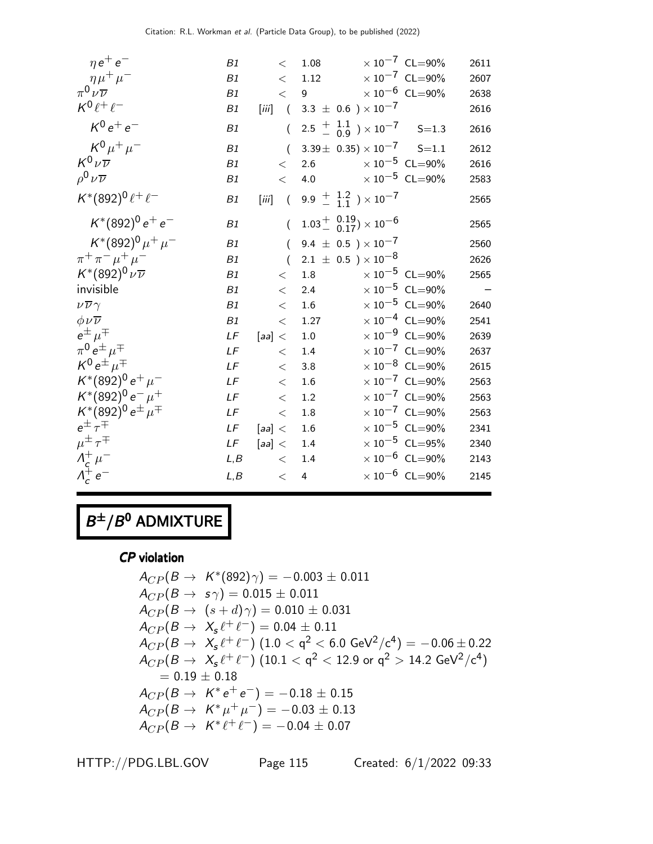| $\eta e^+ e^-$                  | B1   | $\lt$                                     | 1.08                                                      | $\times 10^{-7}$ CL=90%          | 2611 |
|---------------------------------|------|-------------------------------------------|-----------------------------------------------------------|----------------------------------|------|
| $\eta\mu^+\mu^-$                | B1   | $\,<\,$                                   | 1.12                                                      | $\times 10^{-7}$ CL=90%          | 2607 |
| $\pi^0\nu\overline{\nu}$        | B1   | $\lt$                                     | 9                                                         | $\times$ 10 <sup>-6</sup> CL=90% | 2638 |
| $K^0\ell^+\ell^-$               | B1   | $\left[\ddot{m}\right]$<br>$\overline{a}$ | 3.3 $\pm$ 0.6 $) \times 10^{-7}$                          |                                  | 2616 |
| $K^0 e^+ e^-$                   | B1   | $\overline{(\ }$                          | $2.5 \frac{+}{-}$ $\frac{1.1}{0.9}$ $\times 10^{-7}$      | $S = 1.3$                        | 2616 |
| $K^{0}\mu^{+}\mu^{-}$           | B1   | $\overline{(\ }$                          | $3.39\pm$ 0.35) $\times$ 10 <sup>-7</sup>                 | $S = 1.1$                        | 2612 |
| $K^0\nu\overline{\nu}$          | B1   | $\lt$                                     | 2.6                                                       | $\times$ 10 $^{-5}$ CL=90%       | 2616 |
| $\rho^0 \nu \overline{\nu}$     | B1   | $\lt$                                     | 4.0                                                       | $\times$ 10 <sup>-5</sup> CL=90% | 2583 |
| $K^*(892)^0 \ell^+ \ell^-$      | B1   | [iii]                                     | $(9.9 \frac{+}{0.11}) \times 10^{-7}$                     |                                  | 2565 |
| $K^*(892)^0 e^+ e^-$            | B1   | $\overline{(\ }$                          | $1.03^{+}_{-}$ $^{0.19}_{0.17}$ $\times$ 10 <sup>-6</sup> |                                  | 2565 |
| $K^*(892)^0 \mu^+ \mu^-$        | B1   | $\overline{(\ }$                          | 9.4 $\pm$ 0.5 $\times$ 10 <sup>-7</sup>                   |                                  | 2560 |
| $\pi^+ \pi^- \mu^+ \mu^-$       | B1   | $\left($                                  | $2.1 \pm 0.5$ ) $\times 10^{-8}$                          |                                  | 2626 |
| $K^*(892)^0 \nu \overline{\nu}$ | B1   | $\lt$                                     | 1.8                                                       | $\times 10^{-5}$ CL=90%          | 2565 |
| invisible                       | B1   | $\lt$                                     | 2.4                                                       | $\times$ 10 <sup>-5</sup> CL=90% |      |
| $\nu\overline{\nu}\gamma$       | B1   | $\lt$                                     | 1.6                                                       | $\times$ 10 <sup>-5</sup> CL=90% | 2640 |
| $\phi \nu \overline{\nu}$       | B1   | $\lt$                                     | 1.27                                                      | $\times$ 10 <sup>-4</sup> CL=90% | 2541 |
| $e^{\pm}$ $\mu^{\mp}$           | LF   | [aa] <                                    | $1.0\,$                                                   | $\times$ 10 <sup>-9</sup> CL=90% | 2639 |
| $\pi^0 e^{\pm} \mu^{\mp}$       | LF   | $\lt$                                     | 1.4                                                       | $\times$ 10 <sup>-7</sup> CL=90% | 2637 |
| $K^0 e^{\pm} \mu^{\mp}$         | LF   | $\lt$                                     | 3.8                                                       | $\times$ 10 <sup>-8</sup> CL=90% | 2615 |
| $K^*(892)^0 e^+ \mu^-$          | LF   | $\,<\,$                                   | 1.6                                                       | $\times$ $10^{-7}$ CL=90%        | 2563 |
| $K^*(892)^0 e^- \mu^+$          | LF   | $\lt$                                     | 1.2                                                       | $\times$ 10 <sup>-7</sup> CL=90% | 2563 |
| $K^*(892)^0 e^{\pm} \mu^{\mp}$  | LF   | $\lt$                                     | $1.8\,$                                                   | $\times$ 10 <sup>-7</sup> CL=90% | 2563 |
| $e^{\pm} \tau^{\mp}$            | LF   | [aa] <                                    | $1.6\,$                                                   | $\times$ 10 <sup>-5</sup> CL=90% | 2341 |
| $\mu^{\pm} \tau^{\mp}$          | LF   | [aa] <                                    | 1.4                                                       | $\times$ 10 <sup>-5</sup> CL=95% | 2340 |
| $\Lambda_c^+\mu^-$              | L, B | $\lt$                                     | 1.4                                                       | $\times$ 10 <sup>-6</sup> CL=90% | 2143 |
| $\Lambda_c^+ e^-$               | L, B | $\,<$                                     | $\overline{4}$                                            | $\times$ 10 <sup>-6</sup> CL=90% | 2145 |

## $B^{\pm}/B^0$  ADMIXTURE

CP violation

$$
A_{CP}(B \to K^*(892)\gamma) = -0.003 \pm 0.011
$$
  
\n
$$
A_{CP}(B \to s\gamma) = 0.015 \pm 0.011
$$
  
\n
$$
A_{CP}(B \to (s+d)\gamma) = 0.010 \pm 0.031
$$
  
\n
$$
A_{CP}(B \to X_s \ell^+ \ell^-) = 0.04 \pm 0.11
$$
  
\n
$$
A_{CP}(B \to X_s \ell^+ \ell^-) (1.0 < q^2 < 6.0 \text{ GeV}^2/\text{c}^4) = -0.06 \pm 0.22
$$
  
\n
$$
A_{CP}(B \to X_s \ell^+ \ell^-) (10.1 < q^2 < 12.9 \text{ or } q^2 > 14.2 \text{ GeV}^2/\text{c}^4)
$$
  
\n= 0.19 ± 0.18  
\n
$$
A_{CP}(B \to K^* e^+ e^-) = -0.18 \pm 0.15
$$
  
\n
$$
A_{CP}(B \to K^* \mu^+ \mu^-) = -0.03 \pm 0.13
$$
  
\n
$$
A_{CP}(B \to K^* \ell^+ \ell^-) = -0.04 \pm 0.07
$$

HTTP://PDG.LBL.GOV Page 115 Created: 6/1/2022 09:33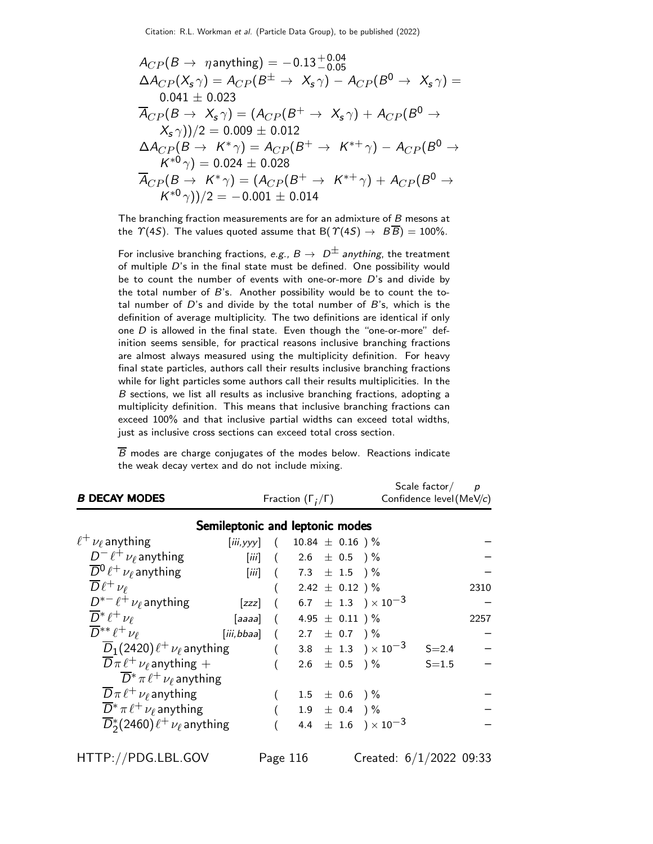Citation: R.L. Workman et al. (Particle Data Group), to be published (2022)

$$
A_{CP}(B \rightarrow \eta \text{anything}) = -0.13^{+0.04}_{-0.05}
$$
  
\n
$$
\Delta A_{CP}(X_s \gamma) = A_{CP}(B^{\pm} \rightarrow X_s \gamma) - A_{CP}(B^0 \rightarrow X_s \gamma) =
$$
  
\n0.041 ± 0.023  
\n
$$
\overline{A}_{CP}(B \rightarrow X_s \gamma) = (A_{CP}(B^+ \rightarrow X_s \gamma) + A_{CP}(B^0 \rightarrow X_s \gamma))/2 = 0.009 \pm 0.012
$$
  
\n
$$
\Delta A_{CP}(B \rightarrow K^* \gamma) = A_{CP}(B^+ \rightarrow K^{*+} \gamma) - A_{CP}(B^0 \rightarrow K^{*0} \gamma) = 0.024 \pm 0.028
$$
  
\n
$$
\overline{A}_{CP}(B \rightarrow K^* \gamma) = (A_{CP}(B^+ \rightarrow K^{*+} \gamma) + A_{CP}(B^0 \rightarrow K^{*0} \gamma))/2 = -0.001 \pm 0.014
$$

The branching fraction measurements are for an admixture of B mesons at the  $\Upsilon(4S)$ . The values quoted assume that B( $\Upsilon(4S) \rightarrow B\overline{B}$ ) = 100%.

For inclusive branching fractions, e.g.,  $B \to D^{\pm}$  anything, the treatment of multiple D's in the final state must be defined. One possibility would be to count the number of events with one-or-more  $D$ 's and divide by the total number of  $B$ 's. Another possibility would be to count the total number of  $D$ 's and divide by the total number of  $B$ 's, which is the definition of average multiplicity. The two definitions are identical if only one  $D$  is allowed in the final state. Even though the "one-or-more" definition seems sensible, for practical reasons inclusive branching fractions are almost always measured using the multiplicity definition. For heavy final state particles, authors call their results inclusive branching fractions while for light particles some authors call their results multiplicities. In the B sections, we list all results as inclusive branching fractions, adopting a multiplicity definition. This means that inclusive branching fractions can exceed 100% and that inclusive partial widths can exceed total widths, just as inclusive cross sections can exceed total cross section.

 $\overline{B}$  modes are charge conjugates of the modes below. Reactions indicate the weak decay vertex and do not include mixing.

| <b>B DECAY MODES</b>                            | Fraction $(\Gamma_i/\Gamma)$           |                  |                                  |  |                   | Scale factor/<br>Confidence level (MeV/c) | $\overline{p}$ |      |
|-------------------------------------------------|----------------------------------------|------------------|----------------------------------|--|-------------------|-------------------------------------------|----------------|------|
|                                                 | Semileptonic and leptonic modes        |                  |                                  |  |                   |                                           |                |      |
| $\ell^+ \nu_\ell$ anything                      | [iii, yyy] $(10.84 \pm 0.16)$ %        |                  |                                  |  |                   |                                           |                |      |
| $D^- \ell^+ \nu_\ell$ anything                  |                                        |                  | [ <i>iii</i> ] $(2.6 \pm 0.5)$ % |  |                   |                                           |                |      |
| $\overline{D}{}^0\ell^+\nu_\ell$ anything       |                                        |                  | [iii] $(7.3 \pm 1.5)$ %          |  |                   |                                           |                |      |
| $\overline{D}\ell^+\nu_\ell$                    |                                        |                  | $($ 2.42 $\pm$ 0.12 $)$ %        |  |                   |                                           |                | 2310 |
| $D^{*-}\ell^+\nu_\ell$ anything                 | [zzz]                                  |                  |                                  |  |                   | $(6.7 \pm 1.3) \times 10^{-3}$            |                |      |
| $\overline{D}^*\ell^+\nu_\ell$                  | [aaaa] $(4.95 \pm 0.11)^{\frac{0}{2}}$ |                  |                                  |  |                   |                                           |                | 2257 |
| $\overline{D}^{**}\ell^+\nu_\ell$               | [iii, bbaa] $(2.7 \pm 0.7)$ %          |                  |                                  |  |                   |                                           |                |      |
| $\overline{D}_1(2420)\ell^+\nu_\ell$ anything   |                                        | $\left($         |                                  |  |                   | 3.8 $\pm$ 1.3 $) \times 10^{-3}$          | $S = 2.4$      |      |
| $\overline{D}\pi \ell^+ \nu_\ell$ anything +    |                                        | $\overline{(\ }$ |                                  |  |                   | $2.6 \pm 0.5$ ) %                         | $S = 1.5$      |      |
| $\overline{D}^* \pi \ell^+ \nu_\ell$ anything   |                                        |                  |                                  |  |                   |                                           |                |      |
| $\overline{D}\pi \ell^+ \nu_\ell$ anything      |                                        |                  | $1.5$ $\pm$ 0.6 $)\%$            |  |                   |                                           |                |      |
| $\overline{D}^* \pi \ell^+ \nu_\ell$ anything   |                                        |                  |                                  |  | $1.9 \pm 0.4$ ) % |                                           |                |      |
| $\overline{D}_2^*(2460)\ell^+\nu_\ell$ anything |                                        |                  |                                  |  |                   | 4.4 $\pm$ 1.6 $) \times 10^{-3}$          |                |      |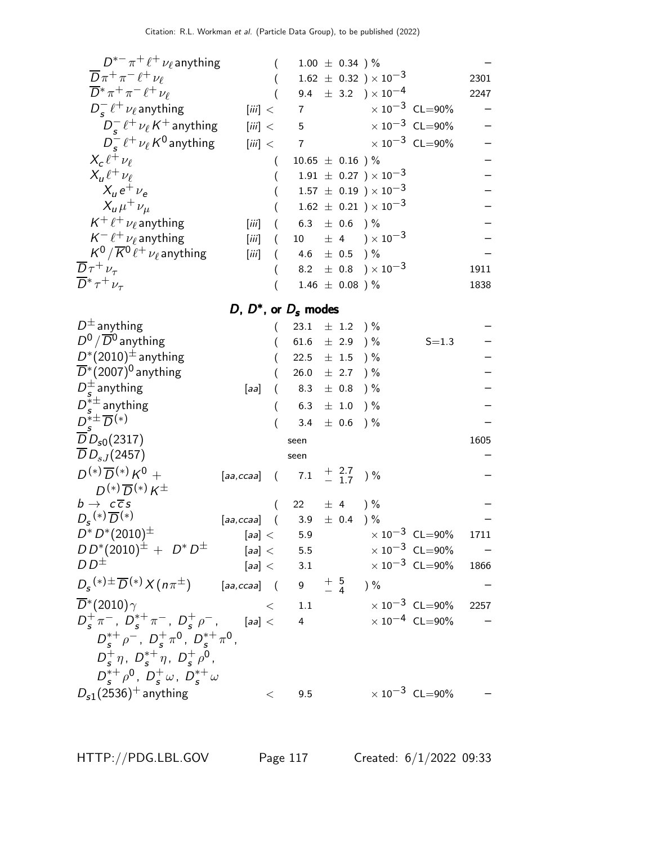| $D^{*-}\pi^+\ell^+\nu_\ell$ anything                                                                                         |                                       |                  |                              | $1.00 \pm 0.34$ )% |                                    |                                  |      |
|------------------------------------------------------------------------------------------------------------------------------|---------------------------------------|------------------|------------------------------|--------------------|------------------------------------|----------------------------------|------|
| $\overline{D}\pi^+\pi^-\ell^+\nu_\ell$                                                                                       |                                       |                  |                              |                    | $1.62 \pm 0.32$ ) $\times 10^{-3}$ |                                  | 2301 |
| $\overline{D}^* \pi^+ \pi^- \ell^+ \nu_\ell$                                                                                 |                                       |                  |                              |                    | 9.4 $\pm$ 3.2 $) \times 10^{-4}$   |                                  | 2247 |
| $D_s^- \ell^+ \nu_\ell$ anything                                                                                             | [iii] <                               |                  | $\overline{7}$               |                    |                                    | $\times 10^{-3}$ CL=90%          |      |
| $D_{s}^{-} \ell^{+} \nu_{\ell} K^{+}$ anything                                                                               | [iii] <                               |                  | 5                            |                    |                                    | $\times 10^{-3}$ CL=90%          |      |
| $D_{\epsilon}^{-} \ell^{+} \nu_{\ell} K^{0}$ anything                                                                        | [iii] <                               |                  | $\overline{7}$               |                    |                                    | $\times 10^{-3}$ CL=90%          |      |
| $X_c \ell^+ \nu_\ell$                                                                                                        |                                       |                  | $10.65 \pm 0.16$ )%          |                    |                                    |                                  |      |
| $X_{\mu} \ell^+ \nu_{\ell}$                                                                                                  |                                       |                  |                              |                    | $1.91 \pm 0.27$ ) $\times 10^{-3}$ |                                  |      |
| $X_{\mu}e^+\nu_{\rho}$                                                                                                       |                                       |                  |                              |                    | $1.57 \pm 0.19$ ) $\times 10^{-3}$ |                                  |      |
| $X_{\mu}\mu^{+}\nu_{\mu}$                                                                                                    |                                       |                  |                              |                    | $1.62 \pm 0.21$ ) $\times 10^{-3}$ |                                  |      |
| $K^+ \ell^+ \nu_{\ell}$ anything                                                                                             | [iii]                                 |                  | $6.3$ $\pm$ $0.6$ $)\%$      |                    |                                    |                                  |      |
| $K^- \ell^+ \nu_\ell$ anything                                                                                               | [iii]                                 |                  |                              |                    | 10 $\pm$ 4 $\sqrt{10^{-3}}$        |                                  |      |
| $K^0/\overline{K}{}^0\ell^+\nu_\ell$ anything                                                                                | [iii]                                 | $\overline{(\ }$ | 4.6 $\pm$ 0.5 $\frac{1}{2}$  |                    |                                    |                                  |      |
| $\overline{D}\tau^+\nu_\tau$                                                                                                 |                                       |                  |                              |                    | 8.2 $\pm$ 0.8 $) \times 10^{-3}$   |                                  | 1911 |
| $\overline{D}^* \tau^+ \nu_\tau$                                                                                             |                                       |                  |                              | $1.46 \pm 0.08$ )% |                                    |                                  | 1838 |
|                                                                                                                              |                                       |                  | D, $D^*$ , or $D_s$ modes    |                    |                                    |                                  |      |
| $D^{\pm}$ anything                                                                                                           |                                       |                  | 23.1 $\pm$ 1.2 $\frac{1}{6}$ |                    |                                    |                                  |      |
| $D^0/\overline{D}{}^0$ anything                                                                                              |                                       |                  | 61.6 $\pm$ 2.9 ) %           |                    |                                    | $S = 1.3$                        |      |
| $D^*(2010)^{\pm}$ anything                                                                                                   |                                       |                  | 22.5 $\pm$ 1.5 $\frac{1}{2}$ |                    |                                    |                                  |      |
| $\overline{D}^*(2007)^0$ anything                                                                                            |                                       |                  | $26.0 \pm 2.7$ ) %           |                    |                                    |                                  |      |
| $D_s^{\pm}$ anything                                                                                                         | [aa]                                  | €                | $8.3$ $\pm$ $0.8$ $)\,\%$    |                    |                                    |                                  |      |
| $D_{\epsilon}^{*\pm}$ anything                                                                                               |                                       |                  | $6.3$ $\pm$ $1.0$ $)\,\%$    |                    |                                    |                                  |      |
| $D_{s}^{* \pm} \overline{D}^{(*)}$                                                                                           |                                       |                  |                              | 3.4 $\pm$ 0.6 ) %  |                                    |                                  |      |
| $\overline{D}D_{s0}(2317)$                                                                                                   |                                       |                  | seen                         |                    |                                    |                                  | 1605 |
| $\overline{D}D_{sJ}(2457)$                                                                                                   |                                       |                  | seen                         |                    |                                    |                                  |      |
| $D^{(*)}\overline{D}^{(*)}K^0 +$                                                                                             | [aa,ccaa] $(7.1 + \frac{2.7}{1.7})\%$ |                  |                              |                    |                                    |                                  |      |
| $D^{(*)}\overline{D}^{(*)}K^{\pm}$                                                                                           |                                       |                  |                              |                    |                                    |                                  |      |
| $b \rightarrow c \overline{c} s$                                                                                             |                                       | $\left($         | 22 $\pm$ 4 $\frac{1}{6}$     |                    |                                    |                                  |      |
| $D_{\rm s}$ <sup>(*)</sup> $\overline{D}$ <sup>(*)</sup>                                                                     | [aa,ccaa] $(3.9 \pm 0.4)$ %           |                  |                              |                    |                                    |                                  |      |
| $D^* \, D^*(2010)^\pm$                                                                                                       | [aa] <                                |                  | 5.9                          |                    |                                    | $\times$ 10 <sup>-3</sup> CL=90% | 1711 |
| $DD^*(2010)^{\pm} + D^*D^{\pm}$                                                                                              |                                       |                  | [aa] < 5.5                   |                    |                                    | $\times 10^{-3}$ CL=90%          |      |
| D D $\pm$                                                                                                                    |                                       |                  | [aa] < 3.1                   |                    |                                    | $\times$ 10 <sup>-3</sup> CL=90% | 1866 |
| $D_{\mathcal{\mathcal{S}}}$ $^{(*)}\pm\overline{D}$ $^{(*)}\overline{X}$ $(n\pi^{\pm})$ [aa,ccaa] ( $9$ $\pm\frac{5}{4}$ ) % |                                       |                  |                              |                    |                                    |                                  |      |
| $\overline{D}^*(2010)\gamma$                                                                                                 |                                       |                  | $<$ 1.1                      |                    |                                    | $\times$ 10 $^{-3}$ CL=90%       | 2257 |
| $D_{\rm s}^+\pi^-$ , $D_{\rm s}^{*+}\pi^-$ , $D_{\rm s}^+\rho^-$ , [aa] $<$                                                  |                                       |                  | 4                            |                    |                                    | $\times$ 10 <sup>-4</sup> CL=90% |      |
| $D_{s}^{*+} \rho^{-}$ , $D_{s}^{+} \pi^{0}$ , $D_{s}^{*+} \pi^{0}$ ,                                                         |                                       |                  |                              |                    |                                    |                                  |      |
| $D_s^+ \eta$ , $D_s^{*+} \eta$ , $D_s^+ \rho^0$ ,                                                                            |                                       |                  |                              |                    |                                    |                                  |      |
| $D_{s}^{*+}\rho^{0}$ , $D_{s}^{+}\omega$ , $D_{s}^{*+}\omega$                                                                |                                       |                  |                              |                    |                                    |                                  |      |
| $D_{s1}(2536)^+$ anything                                                                                                    |                                       | $\,<\,$          | 9.5                          |                    |                                    | $\times 10^{-3}$ CL=90%          |      |
|                                                                                                                              |                                       |                  |                              |                    |                                    |                                  |      |

HTTP://PDG.LBL.GOV Page 117 Created: 6/1/2022 09:33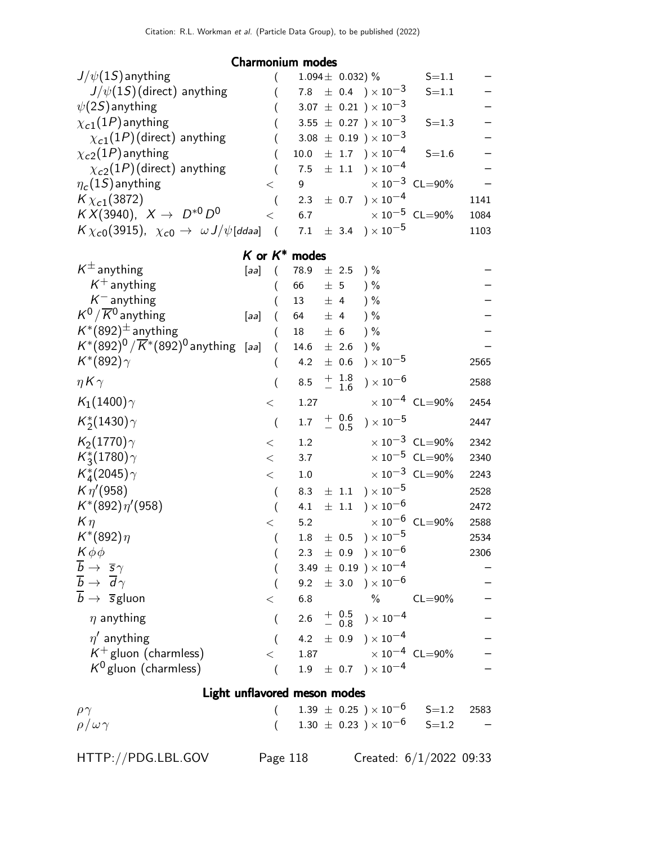### Charmonium modes

| $J/\psi(1S)$ anything                                                   |                              |                |         | $1.094 \pm 0.032$ ) % |                                                                            | $S = 1.1$                              |      |
|-------------------------------------------------------------------------|------------------------------|----------------|---------|-----------------------|----------------------------------------------------------------------------|----------------------------------------|------|
| $J/\psi(1S)$ (direct) anything                                          |                              |                |         |                       | 7.8 $\pm$ 0.4 $\right) \times 10^{-3}$                                     | $S = 1.1$                              |      |
| $\psi(2S)$ anything                                                     |                              |                |         |                       | $3.07 \pm 0.21$ ) $\times 10^{-3}$                                         |                                        |      |
| $\chi_{c1}(1P)$ anything                                                |                              |                |         |                       | 3.55 $\pm$ 0.27 $) \times 10^{-3}$                                         | $S = 1.3$                              |      |
| $\chi_{c1}(1P)$ (direct) anything                                       |                              |                |         |                       | $3.08 \pm 0.19$ ) $\times 10^{-3}$                                         |                                        |      |
| $\chi_{c2}(1P)$ anything                                                |                              | 10.0           |         |                       | $\pm$ 1.7 $\rightarrow$ $\times$ 10 <sup>-4</sup>                          | $S = 1.6$                              |      |
| $\chi_{c2}(1P)$ (direct) anything                                       |                              | 7.5            |         |                       | $\pm$ 1.1 $\times$ 10 <sup>-4</sup>                                        |                                        |      |
| $\eta_c(1S)$ anything                                                   | $\,<\,$                      | 9              |         |                       |                                                                            | $\times 10^{-3}$ CL=90%                |      |
| $K\chi_{c1}(3872)$                                                      | $\overline{(}$               | 2.3            |         |                       | $\pm$ 0.7 ) $\times$ 10 $^{-4}$                                            |                                        | 1141 |
| $KX(3940), X \to D^{*0}D^0$                                             | $\lt$                        | 6.7            |         |                       |                                                                            | $\times 10^{-5}$ CL=90%                | 1084 |
| $K\chi_{c0}(3915)$ , $\chi_{c0} \to \omega J/\psi$ [ddaa]               | $\sqrt{ }$                   | 7.1            |         |                       | $\pm$ 3.4 $)\times10^{-5}$                                                 |                                        | 1103 |
|                                                                         | $K$ or $K^*$ modes           |                |         |                       |                                                                            |                                        |      |
| $K^{\pm}$ anything                                                      | [aa]<br>€                    | $78.9 \pm 2.5$ |         |                       | ) %                                                                        |                                        |      |
| $K^+$ anything                                                          |                              | 66             | ± 5     |                       | ) %                                                                        |                                        |      |
| $K^-$ anything                                                          |                              | 13             | $\pm$ 4 |                       | ) %                                                                        |                                        |      |
| $K^0/\overline{K}{}^0$ anything                                         | [aa]<br>$\left($             | 64             | ± 4     |                       | $)$ %                                                                      |                                        |      |
| $K^*(892)^{\pm}$ anything                                               |                              | 18             | ± 6     |                       | $)$ %                                                                      |                                        |      |
| $K^{*}(892)^{0}/\overline{K}^{*}(892)^{0}$ anything [aa]                | $\left($                     | $14.6 \pm 2.6$ |         |                       | ) %                                                                        |                                        |      |
| $K^*(892)\gamma$                                                        | (                            | 4.2            |         |                       | $\pm$ 0.6 ) $\times\,10^{-5}$                                              |                                        | 2565 |
| $\eta K \gamma$                                                         | (                            | 8.5            |         |                       | $^{+\hspace{+0.4em}1.8}_{-\hspace{+0.4em}1.6}$ ) $\times$ 10 <sup>-6</sup> |                                        | 2588 |
| $K_1(1400)\gamma$                                                       | $<\,$                        | 1.27           |         |                       |                                                                            | $\times$ 10 $^{-4}~$ CL $=$ 90%        | 2454 |
| $K_2^*(1430)\gamma$                                                     | $\overline{\phantom{a}}$     | 1.7            |         |                       | $^{+}_{-}$ $^{0.6}_{0.5}$ ) $\times$ 10 <sup>-5</sup>                      |                                        | 2447 |
| $K_2(1770)\gamma$                                                       | $<\,$                        | 1.2            |         |                       |                                                                            | $\times 10^{-3}$ CL=90%                | 2342 |
| $K_3^*(1780)\gamma$                                                     | $<\,$                        | 3.7            |         |                       |                                                                            | $\times$ 10 <sup>-5</sup> CL=90%       | 2340 |
| $K_{4}^{*}(2045)\gamma$                                                 | $\,<\,$                      | 1.0            |         |                       |                                                                            | $\times$ $10^{-3}$ $\,$ CL=90%         | 2243 |
| $K \eta' (958)$                                                         | $\overline{(}$               | 8.3            |         |                       | $\pm$ 1.1 $\rightarrow \times 10^{-5}$                                     |                                        | 2528 |
| $K^*(892)\eta'(958)$                                                    | $\overline{ }$               | 4.1            |         |                       | $\pm$ 1.1 $\times$ 10 <sup>-6</sup>                                        |                                        | 2472 |
| $K\eta$                                                                 | $\,<$                        | 5.2            |         |                       |                                                                            | $\times$ 10 <sup>-6</sup> CL=90%       | 2588 |
| $K^*(892)\eta$                                                          | $\overline{(}$               | $1.8\,$        |         |                       | $\pm~~0.5~~)\times 10^{-5}$                                                |                                        | 2534 |
| $K\phi\phi$                                                             |                              |                |         |                       | 2.3 $\pm$ 0.9 $) \times 10^{-6}$                                           |                                        | 2306 |
| $\overline{\frac{b}{b}} \rightarrow \frac{\overline{s}\gamma}{d\gamma}$ |                              |                |         |                       | 3.49 $\pm$ 0.19 $) \times 10^{-4}$                                         |                                        |      |
|                                                                         |                              |                |         |                       | 9.2 $\pm$ 3.0 $\times$ 10 <sup>-6</sup>                                    |                                        |      |
| $\overline{b} \rightarrow \overline{s}$ gluon                           | $\,<\,$                      | 6.8            |         |                       |                                                                            | $\%$ CL=90%                            |      |
| $\eta$ anything                                                         | $\overline{(\ }$             |                |         |                       | $2.6 \quad + \quad 0.5 \quad + \quad 0.8 \quad + \quad 10^{-4}$            |                                        |      |
| $\eta'$ anything                                                        |                              |                |         |                       | 4.2 $\pm$ 0.9 $) \times 10^{-4}$                                           |                                        |      |
| $K^+$ gluon (charmless)                                                 | $\lt$                        |                |         |                       |                                                                            | 1.87 $\times 10^{-4}$ CL=90%           |      |
| $K^0$ gluon (charmless)                                                 | $\left($                     |                |         |                       | $1.9 \pm 0.7$ $) \times 10^{-4}$                                           |                                        |      |
|                                                                         | Light unflavored meson modes |                |         |                       |                                                                            |                                        |      |
| $\rho\gamma$                                                            |                              |                |         |                       |                                                                            | $1.39 \pm 0.25$ $\times 10^{-6}$ S=1.2 | 2583 |
| $\rho/\omega\gamma$                                                     |                              |                |         |                       |                                                                            | $1.30 \pm 0.23$ $\times 10^{-6}$ S=1.2 |      |
|                                                                         |                              |                |         |                       |                                                                            |                                        |      |
| HTTP://PDG.LBL.GOV                                                      |                              | Page 118       |         |                       |                                                                            | Created: $6/1/2022$ 09:33              |      |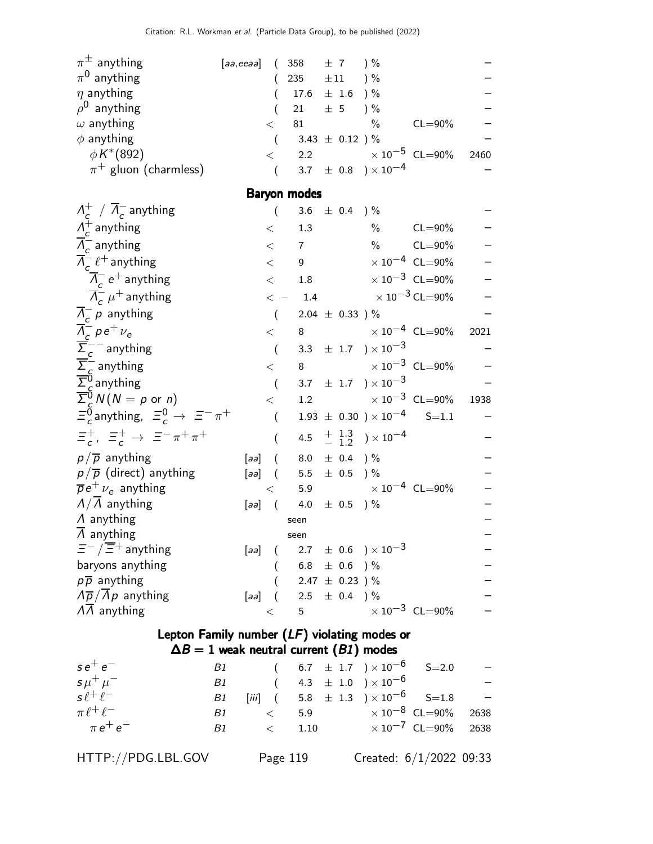| $\pi^{\pm}$ anything                              | [aa,eeaa] ( 358 $\pm$ 7 ) $\%$ |         |                     |                          |                                  |             |      |
|---------------------------------------------------|--------------------------------|---------|---------------------|--------------------------|----------------------------------|-------------|------|
| $\pi^0$ anything                                  |                                |         |                     | 235 $\pm 11$ ) %         |                                  |             |      |
| $\eta$ anything                                   |                                |         |                     | $17.6 \pm 1.6$ ) %       |                                  |             |      |
| $\rho^0$ anything                                 |                                |         |                     | 21 $\pm$ 5 $\frac{1}{6}$ |                                  |             |      |
| $\omega$ anything                                 |                                | $\,<\,$ | 81                  |                          | $\%$                             | $CL = 90\%$ |      |
| $\phi$ anything                                   |                                |         |                     | 3.43 $\pm$ 0.12 ) %      |                                  |             |      |
| $\phi K^{*}(892)$                                 |                                |         |                     |                          | $<$ 2.2 $\times 10^{-5}$ CL=90%  |             | 2460 |
| $\pi^+$ gluon (charmless)                         |                                |         |                     |                          | 3.7 $\pm$ 0.8 $) \times 10^{-4}$ |             |      |
|                                                   |                                |         | <b>Baryon modes</b> |                          |                                  |             |      |
| $\Lambda_c^+$ / $\overline{\Lambda}_c^-$ anything |                                |         |                     | 3.6 $\pm$ 0.4 ) %        |                                  |             |      |
| $\Lambda_c^+$ anything                            |                                | $\,<\,$ | 1.3                 |                          | $\%$                             | $CL = 90\%$ |      |
| $\overline{A}$ anything                           |                                |         | $\overline{z}$      |                          | $\mathbf{0}$                     | $C1 - 0.00$ |      |

| $\Lambda_c^-$ anything                                           | $\,<\,$                | $7\overline{ }$       |                                                      | $\%$ CL=90%                |      |
|------------------------------------------------------------------|------------------------|-----------------------|------------------------------------------------------|----------------------------|------|
| $\overline{\Lambda}_{c}^{-}$ $\ell^{+}$ anything                 | $\lt$                  | 9                     |                                                      | $\times 10^{-4}$ CL=90%    |      |
| $\overline{\Lambda}_{c}^{-}$ e <sup>+</sup> anything             | $\lt$                  | 1.8                   |                                                      | $\times 10^{-3}$ CL=90%    |      |
| $\overline{\Lambda}_{c}^{-}$ $\mu^{+}$ anything                  | $\lt$                  | 1.4                   | $\times$ 10 $^{-3}$ CL=90%                           |                            |      |
| $\Lambda_c^-$ p anything                                         | $\overline{(}$         | $2.04 \pm 0.33$ )%    |                                                      |                            |      |
| $\overline{\Lambda}_c^-$ p e <sup>+</sup> $\nu_e$                | $\lt$                  |                       | 8 $\times 10^{-4}$ CL=90%                            |                            | 2021 |
| $\sum_{c}^{c}$ anything                                          |                        |                       | 3.3 $\pm$ 1.7 $\right) \times 10^{-3}$               |                            |      |
| $\overline{\Sigma}_c^-$ anything                                 | $\langle$              | 8                     | $\times$ 10 <sup>-3</sup> CL=90%                     |                            |      |
| $\overline{\Sigma}_c^0$ anything                                 |                        |                       | 3.7 $\pm$ 1.7 $\right) \times 10^{-3}$               |                            |      |
| $\overline{\Sigma}_{c}^{\stackrel{\sim}{0}}N(N=p \text{ or } n)$ | $\lt$                  | 1.2                   |                                                      | $\times$ 10 $^{-3}$ CL=90% | 1938 |
| $\Xi_c^0$ anything, $\Xi_c^0 \to \Xi^- \pi^+$                    | $\left($               |                       | $1.93 \pm 0.30$ $) \times 10^{-4}$ S=1.1             |                            |      |
| $\Xi_c^+$ , $\Xi_c^+$ $\rightarrow$ $\Xi^- \pi^+ \pi^+$          |                        |                       | 4.5 $\frac{+}{-}$ $\frac{1.3}{1.2}$ $\times 10^{-4}$ |                            |      |
| $p/\overline{p}$ anything                                        | [aa] $(8.0 \pm 0.4)$ % |                       |                                                      |                            |      |
| $p/\overline{p}$ (direct) anything                               | [aa] $(5.5 \pm 0.5)$ % |                       |                                                      |                            |      |
| $\overline{p}e^+\nu_e$ anything                                  | $\lt$                  |                       | 5.9 $\times 10^{-4}$ CL=90%                          |                            |      |
| $\sqrt{\Lambda}$ anything                                        | $[aa]$ (               | $4.0$ $\pm$ 0.5 $)\%$ |                                                      |                            |      |
| $\Lambda$ anything                                               |                        | seen                  |                                                      |                            |      |
| $\Lambda$ anything                                               |                        | seen                  |                                                      |                            |      |
| $\Xi^-/\overline{\Xi}{}^+$ anything                              | [aa]<br>$\left($       |                       | $2.7$ $\pm$ 0.6 $)\times10^{-3}$                     |                            |      |
| baryons anything                                                 |                        | 6.8 $\pm$ 0.6 ) %     |                                                      |                            |      |
| $p\overline{p}$ anything                                         |                        | 2.47 $\pm$ 0.23 ) %   |                                                      |                            |      |
| $\sqrt{p}/\overline{\Lambda}p$ anything                          | [aa] $(2.5 \pm 0.4)$ % |                       |                                                      |                            |      |
| $\Lambda\Lambda$ anything                                        | $\lt$                  | $5\overline{)}$       |                                                      | $\times 10^{-3}$ CL=90%    |      |
|                                                                  |                        |                       |                                                      |                            |      |

## Lepton Family number (LF) violating modes or  $\Delta B = 1$  weak neutral current  $(B1)$  modes

| $se^+e^-$           |      |                | B1 ( $6.7 \pm 1.7$ ) $\times 10^{-6}$ S=2.0         |  |
|---------------------|------|----------------|-----------------------------------------------------|--|
| $5 \mu^+ \mu^-$     |      |                | B1 ( $4.3 \pm 1.0$ ) $\times 10^{-6}$               |  |
| $s\ell^+\ell^-$     |      |                | B1 [iii] $(5.8 \pm 1.3) \times 10^{-6}$ S=1.8 -     |  |
| $\pi \ell^+ \ell^-$ | B1 — |                | $\langle 5.9 \times 10^{-8} \text{ CL} = 90\%$ 2638 |  |
| $\pi e^+ e^-$       | B1 — | $\langle 1.10$ | $\times 10^{-7}$ CL=90% 2638                        |  |
|                     |      |                |                                                     |  |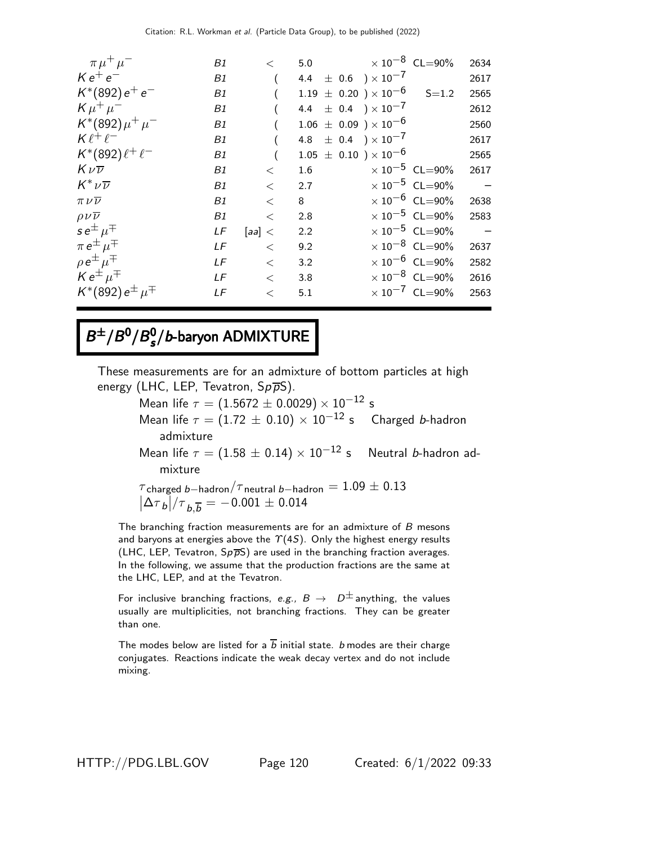| $\pi \mu^+ \mu^-$                                 | B1 | $\lt$   |         | 5.0 $\times 10^{-8}$ CL=90%            |                                  | 2634                     |
|---------------------------------------------------|----|---------|---------|----------------------------------------|----------------------------------|--------------------------|
| $Ke^+e^-$                                         | B1 |         |         | 4.4 $\pm$ 0.6 $\right) \times 10^{-7}$ |                                  | 2617                     |
| $K^*(892) e^+ e^-$                                | B1 |         |         | $1.19 \pm 0.20$ ) $\times 10^{-6}$     | $S = 1.2$                        | 2565                     |
| $K \mu^+ \mu^-$                                   | B1 |         |         | 4.4 $\pm$ 0.4 $) \times 10^{-7}$       |                                  | 2612                     |
| $K^*(892)\mu^+\mu^-$                              | B1 |         |         | $1.06 \pm 0.09$ ) $\times 10^{-6}$     |                                  | 2560                     |
| $K\ell^+\ell^-$                                   | B1 |         |         | 4.8 $\pm$ 0.4 $) \times 10^{-7}$       |                                  | 2617                     |
| $K^*(892)\ell^+\ell^-$                            | B1 |         |         | $1.05 \pm 0.10$ ) $\times 10^{-6}$     |                                  | 2565                     |
| $K\nu\overline{\nu}$                              | B1 | $\lt$   | $1.6\,$ |                                        | $\times$ 10 <sup>-5</sup> CL=90% | 2617                     |
| $K^* \nu \overline{\nu}$                          | B1 | $\,<\,$ | 2.7     |                                        | $\times 10^{-5}$ CL=90%          | $\overline{a}$           |
| $\pi\,\nu\overline{\nu}$                          | B1 | $\lt$   | 8       |                                        | $\times 10^{-6}$ CL=90%          | 2638                     |
| $\rho\nu\overline{\nu}$                           | B1 | $\lt$   | 2.8     |                                        | $\times 10^{-5}$ CL=90%          | 2583                     |
| $se^{\pm}$ $\mu^{\mp}$                            | LF | [aa] <  | 2.2     |                                        | $\times$ 10 <sup>-5</sup> CL=90% | $\overline{\phantom{0}}$ |
| $\pi e^{\pm} \mu^{\mp}$                           | LF | $\lt$   | 9.2     |                                        | $\times 10^{-8}$ CL=90%          | 2637                     |
| $\rho e^{\pm} \mu^{\mp}$<br>K $e^{\pm} \mu^{\mp}$ | LF | $\lt$   | 3.2     |                                        | $\times$ 10 <sup>-6</sup> CL=90% | 2582                     |
|                                                   | LF | $\,<$   | 3.8     |                                        | $\times$ 10 <sup>-8</sup> CL=90% | 2616                     |
| $K^*(892) e^{\pm} \mu^{\mp}$                      | LF | $\,<$   | 5.1     |                                        | $\times 10^{-7}$ CL=90%          | 2563                     |
|                                                   |    |         |         |                                        |                                  |                          |

#### $B^{\pm}/B^0/B_s^0$  $B^{\pm}/B^0/B_s^0/b$ -baryon ADMIXTURE

These measurements are for an admixture of bottom particles at high energy (LHC, LEP, Tevatron,  $Sp\overline{p}S$ ).

Mean life  $\tau = (1.5672 \pm 0.0029) \times 10^{-12}$  s Mean life  $\tau = (1.72 \pm 0.10) \times 10^{-12}$  s Charged b-hadron admixture

Mean life  $\tau = (1.58 \pm 0.14) \times 10^{-12}$  s Neutral b-hadron admixture

$$
\tau_{\text{charged }b-\text{hadron}}/\tau_{\text{neutral }b-\text{hadron}} = 1.09 \pm 0.13
$$
\n
$$
|\Delta \tau_b|/\tau_{b,\overline{b}} = -0.001 \pm 0.014
$$

The branching fraction measurements are for an admixture of B mesons and baryons at energies above the  $\Upsilon(4S)$ . Only the highest energy results (LHC, LEP, Tevatron,  $Sp\overline{p}S$ ) are used in the branching fraction averages. In the following, we assume that the production fractions are the same at the LHC, LEP, and at the Tevatron.

For inclusive branching fractions, e.g.,  $B \to D^{\pm}$  anything, the values usually are multiplicities, not branching fractions. They can be greater than one.

The modes below are listed for a  $\overline{b}$  initial state. *b* modes are their charge conjugates. Reactions indicate the weak decay vertex and do not include mixing.

HTTP://PDG.LBL.GOV Page 120 Created: 6/1/2022 09:33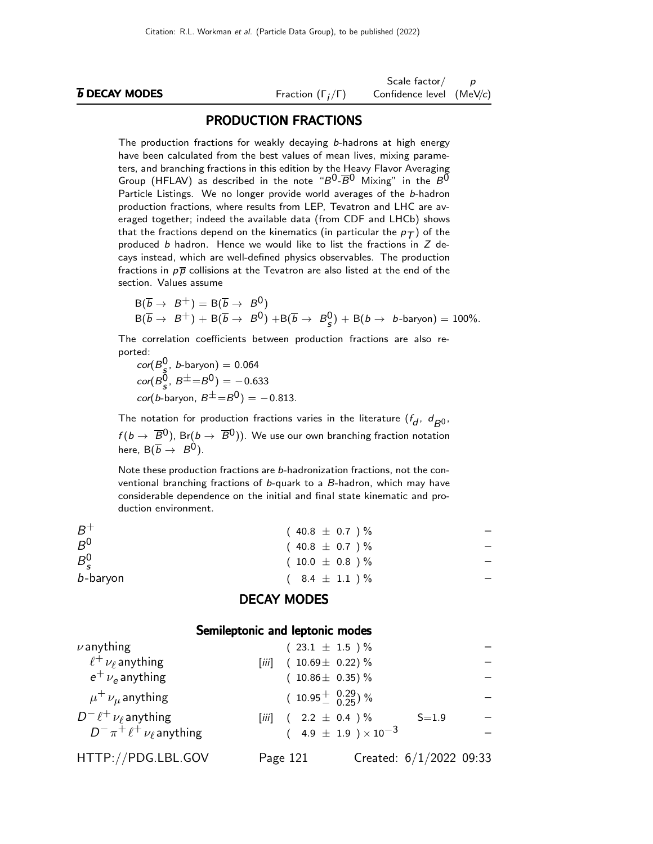|                             |                              | Scale factor $/$ p       |  |
|-----------------------------|------------------------------|--------------------------|--|
| <b><i>b</i></b> DECAY MODES | Fraction $(\Gamma_i/\Gamma)$ | Confidence level (MeV/c) |  |

#### PRODUCTION FRACTIONS

The production fractions for weakly decaying b-hadrons at high energy have been calculated from the best values of mean lives, mixing parameters, and branching fractions in this edition by the Heavy Flavor Averaging Group (HFLAV) as described in the note " $B^{0}$ - $\overline{B}^{0}$  Mixing" in the  $B^{0}$ Particle Listings. We no longer provide world averages of the b-hadron production fractions, where results from LEP, Tevatron and LHC are averaged together; indeed the available data (from CDF and LHCb) shows that the fractions depend on the kinematics (in particular the  $p_T$ ) of the produced  $b$  hadron. Hence we would like to list the fractions in  $Z$  decays instead, which are well-defined physics observables. The production fractions in  $p\bar{p}$  collisions at the Tevatron are also listed at the end of the section. Values assume

$$
B(\overline{b} \rightarrow B^+) = B(\overline{b} \rightarrow B^0)
$$
  
\n
$$
B(\overline{b} \rightarrow B^+) + B(\overline{b} \rightarrow B^0) + B(\overline{b} \rightarrow B^0_s) + B(b \rightarrow b\text{-baryon}) = 100\%.
$$

The correlation coefficients between production fractions are also reported:

 $\textit{cor}(B_{\frac{5}{2}}^0, \textit{ b}$ -baryon) = 0.064  $\text{cor}(B^0_{\bf s}, B^{\pm} = B^0) = -0.633$  $\cot(b$ -baryon,  $B^{\pm} = B^0$ ) = -0.813.

The notation for production fractions varies in the literature  $(f_d, d_{B^0},$  $f(b \to \overline{B}0)$ , Br $(b \to \overline{B}0)$ ). We use our own branching fraction notation here,  $B(\overline{b} \rightarrow B^0)$ .

Note these production fractions are b-hadronization fractions, not the conventional branching fractions of b-quark to a B-hadron, which may have considerable dependence on the initial and final state kinematic and production environment.

| $B^+$         | $(40.8 \pm 0.7)$ %  |  |
|---------------|---------------------|--|
| $B^0$         | $(40.8 \pm 0.7)$ %  |  |
| $B_{\rm c}^0$ | $(10.0 \pm 0.8) \%$ |  |
| b-baryon      | $(8.4 \pm 1.1) \%$  |  |

#### DECAY MODES

#### Semileptonic and leptonic modes

| $\nu$ anything                       |       | $(23.1 \pm 1.5) \%$            |                         |  |
|--------------------------------------|-------|--------------------------------|-------------------------|--|
| $\ell^+ \nu_\ell$ anything           | [jjj] | $(10.69 \pm 0.22)\%$           |                         |  |
| $e^{\pm}$ $\nu_e$ anything           |       | $(10.86 \pm 0.35)\%$           |                         |  |
| $\mu^+ \nu_\mu$ anything             |       | $(10.95 \frac{+}{0} 0.29)$ %   |                         |  |
| $D^- \ell^+ \nu_\ell$ anything       |       | [iii] $(2.2 \pm 0.4) \%$       | $S = 1.9$               |  |
| $D^- \pi^+ \ell^+ \nu_\ell$ anything |       | $(4.9 \pm 1.9) \times 10^{-3}$ |                         |  |
| HTTP://PDG.LBL.GOV                   |       | Page 121                       | Created: 6/1/2022 09:33 |  |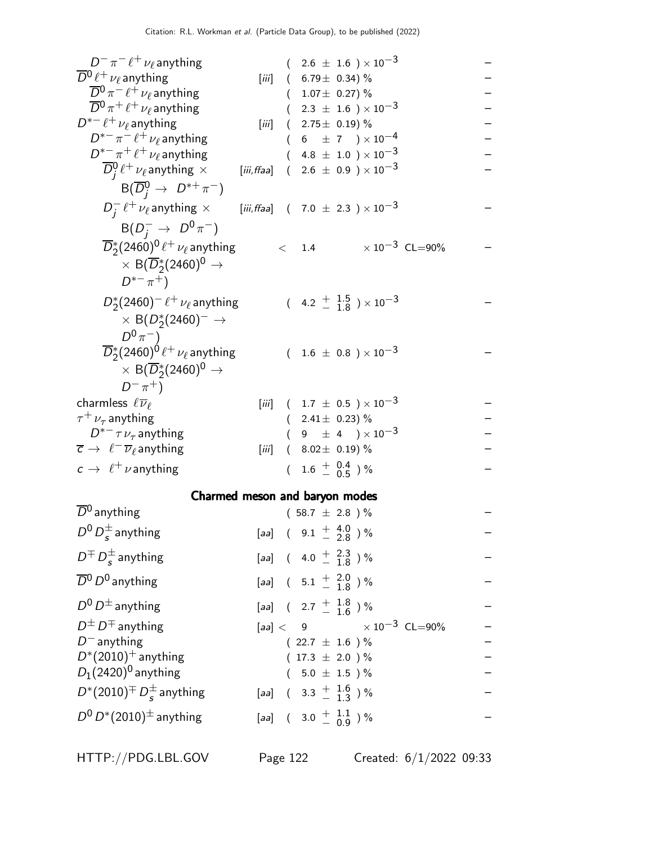| $D^- \pi^- \ell^+ \nu_\ell$ anything                                                                      |             |                                                        | $(2.6 \pm 1.6) \times 10^{-3}$                                     |  |
|-----------------------------------------------------------------------------------------------------------|-------------|--------------------------------------------------------|--------------------------------------------------------------------|--|
| $\overline{D}{}^0\ell^+\nu_\ell$ anything                                                                 | [iii]       | $(6.79 \pm 0.34)\%$                                    |                                                                    |  |
| $\overline{D}{}^0 \pi^- \ell^+ \nu_\ell$ anything                                                         |             | $(1.07 \pm 0.27)\%$                                    |                                                                    |  |
| $\overline{D}{}^0\pi^+\ell^+\nu_\ell$ anything                                                            |             |                                                        | $(2.3 \pm 1.6) \times 10^{-3}$                                     |  |
| $D^{*-}\ell^+\nu_\ell$ anything                                                                           | [iii]       | $(2.75\pm 0.19)\%$                                     |                                                                    |  |
| $D^{\ast -} \pi^- \, \ell^+ \, \nu_\ell$ anything                                                         |             |                                                        | $(6 \pm 7) \times 10^{-4}$                                         |  |
| $D^{*-}\pi^+\ell^+\nu_\ell$ anything<br>$\overline{D}_i^0 \ell^+ \nu_\ell$ anything $\times$              | [iii, ffaa] |                                                        | $4.8 \pm 1.0$ ) $\times 10^{-3}$<br>$(2.6 \pm 0.9) \times 10^{-3}$ |  |
| $B(\overline{D}_{i}^{0} \rightarrow D^{*+}\pi^{-})$                                                       |             |                                                        |                                                                    |  |
| $D_i^-\ell^+\nu_\ell$ anything $\times$ [iii, ffaa] (7.0 $\pm$ 2.3 ) $\times$ 10 <sup>-3</sup>            |             |                                                        |                                                                    |  |
| $B(D_{i}^{-} \to D^{0}\pi^{-})$                                                                           |             |                                                        |                                                                    |  |
| $\overline{D}_2^*(2460)^0 \ell^+ \nu_\ell$ anything<br>$\times$ B( $\overline{D}_2^*(2460)^0 \rightarrow$ |             | $\langle$ 1.4                                          | $\times$ 10 $^{-3}$ CL=90%                                         |  |
| $D^{*-}\pi^+$                                                                                             |             |                                                        |                                                                    |  |
| $D_{2}^{*}(2460)^{-}$ $\ell^{+}$ $\nu_{\ell}$ anything                                                    |             |                                                        | $(4.2 \frac{+}{-} \frac{1.5}{1.8}) \times 10^{-3}$                 |  |
| $\times$ B(D <sub>2</sub> <sup>*</sup> (2460) <sup>-</sup> $\rightarrow$                                  |             |                                                        |                                                                    |  |
| $D^{0}\pi^{-}$ )                                                                                          |             |                                                        |                                                                    |  |
| $\overline{D}_2^*(2460)^0 \ell^+ \nu_\ell$ anything                                                       |             |                                                        | $(1.6 \pm 0.8) \times 10^{-3}$                                     |  |
| $\times$ B( $\overline{D}_2^*(2460)^0 \rightarrow$                                                        |             |                                                        |                                                                    |  |
| $D^{-} \pi^{+}$ )                                                                                         |             |                                                        |                                                                    |  |
| charmless $\ell \overline{\nu}_{\ell}$                                                                    |             |                                                        | [iii] $(1.7 \pm 0.5) \times 10^{-3}$                               |  |
| $\tau^+ \nu_\tau$ anything<br>$D^{*-} \tau \nu_{\tau}$ anything                                           |             | $(2.41 \pm 0.23)\%$                                    | $(9 \pm 4) \times 10^{-3}$                                         |  |
| $\overline{c} \rightarrow \ell^- \overline{\nu}_{\ell}$ anything                                          | [iii]       | $(8.02 \pm 0.19)\%$                                    |                                                                    |  |
| $c \rightarrow \ell^+ \nu$ anything                                                                       |             | $(1.6 \pm \begin{array}{c} 0.4 \\ -0.5 \end{array})$ % |                                                                    |  |
|                                                                                                           |             |                                                        |                                                                    |  |
| Charmed meson and baryon modes                                                                            |             |                                                        |                                                                    |  |
| $\overline{D}{}^0$ anything                                                                               |             | $(58.7 \pm 2.8) \%$                                    |                                                                    |  |
| $D^0 D_s^{\pm}$ anything                                                                                  |             | $[aa]$ ( $9.1 + 4.0$ ) %                               |                                                                    |  |
| $D^{\pm} D_s^{\pm}$ anything                                                                              |             | [aa] $(4.0 \frac{+}{-} \frac{2.3}{1.8})\%$             |                                                                    |  |
| $\overline{D}{}^0$ $D^0$ anything                                                                         |             | [aa] $(5.1 \frac{+}{-} 1.8)$ %                         |                                                                    |  |
| $D^0 D^{\pm}$ anything                                                                                    |             | [aa] $(2.7 \frac{+}{-} 1.8)$ %                         |                                                                    |  |
| $D^{\pm} D^{\mp}$ anything                                                                                |             |                                                        | $[aa] < 9$ $\times 10^{-3}$ CL=90%                                 |  |
| $D^-$ anything                                                                                            |             | $(22.7 \pm 1.6) \%$                                    |                                                                    |  |
| $D^*(2010)^+$ anything                                                                                    |             | $(17.3 \pm 2.0) \%$                                    |                                                                    |  |
| $D_1(2420)^0$ anything                                                                                    |             | $(5.0 \pm 1.5)$ %                                      |                                                                    |  |
| $D^*(2010)^\mp\,D_S^\pm$ anything                                                                         |             | [aa] $(3.3 \frac{+}{-} 1.6)^{9/6}$                     |                                                                    |  |
| $D^0 D^*(2010)^{\pm}$ anything                                                                            |             | [aa] $(3.0 \frac{+}{-} 1.1 \over 0.9)$ %               |                                                                    |  |
|                                                                                                           |             |                                                        |                                                                    |  |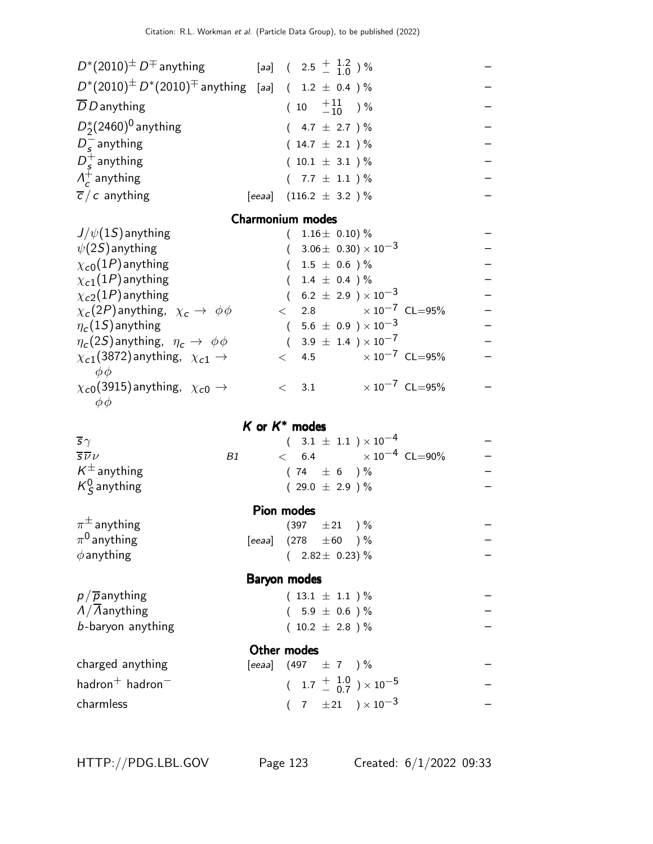| $D^*(2010)^{\pm} D^{\mp}$ anything [aa] ( 2.5 $^+$ 1.2 ) %          |                            |                           |  |                                      |                                          |                   |
|---------------------------------------------------------------------|----------------------------|---------------------------|--|--------------------------------------|------------------------------------------|-------------------|
| $D^*(2010)^{\pm} D^*(2010)^{\mp}$ anything [aa] ( 1.2 $\pm$ 0.4 ) % |                            |                           |  |                                      |                                          |                   |
| $\overline{D}$ D anything                                           |                            | $(10 \tfrac{+11}{-10})\%$ |  |                                      |                                          | — — — — — — —     |
| $D_2^*(2460)^0$ anything                                            |                            | $(4.7 \pm 2.7) \%$        |  |                                      |                                          |                   |
| $D_s^-$ anything                                                    |                            | $(14.7 \pm 2.1) \%$       |  |                                      |                                          |                   |
| $D_{\epsilon}^{+}$ anything                                         |                            | $(10.1 \pm 3.1) \%$       |  |                                      |                                          |                   |
| $\Lambda_c^+$ anything                                              |                            | $(7.7 \pm 1.1) \%$        |  |                                      |                                          |                   |
| $\overline{c}/c$ anything                                           | [eeaa] $(116.2 \pm 3.2)$ % |                           |  |                                      |                                          |                   |
|                                                                     | <b>Charmonium modes</b>    |                           |  |                                      |                                          |                   |
| $J/\psi(1S)$ anything                                               |                            | $(1.16 \pm 0.10)\%$       |  |                                      |                                          |                   |
| $\psi(2S)$ anything                                                 |                            |                           |  | $(3.06 \pm 0.30) \times 10^{-3}$     |                                          | — — — — — — — — — |
| $\chi_{c0}(1P)$ anything                                            |                            | $(1.5 \pm 0.6) \%$        |  |                                      |                                          |                   |
| $\chi_{c1}(1P)$ anything                                            |                            | $(1.4 \pm 0.4) \%$        |  |                                      |                                          |                   |
| $\chi_{c2}(1P)$ anything                                            |                            |                           |  | $(6.2 \pm 2.9) \times 10^{-3}$       |                                          |                   |
| $\chi_c(2P)$ anything, $\chi_c \to \phi \phi$                       |                            |                           |  |                                      | $< 2.8 \times 10^{-7} \text{ CL} = 95\%$ |                   |
| $\eta_c(1S)$ anything                                               |                            |                           |  | $(5.6 \pm 0.9) \times 10^{-3}$       |                                          |                   |
| $\eta_c(2S)$ anything, $\eta_c \to \phi \phi$                       |                            |                           |  | $(3.9 \pm 1.4) \times 10^{-7}$       |                                          |                   |
| $\chi_{c1}(3872)$ anything, $\chi_{c1} \rightarrow$<br>$\phi\phi$   |                            |                           |  |                                      | $< 4.5 \times 10^{-7}$ CL=95%            |                   |
| $\chi_{c0}(3915)$ anything, $\chi_{c0} \rightarrow$<br>$\phi\phi$   |                            |                           |  |                                      | $< 3.1 \times 10^{-7}$ CL=95%            |                   |
|                                                                     | $K$ or $K^*$ modes         |                           |  |                                      |                                          |                   |
| $\overline{s}\gamma$                                                |                            |                           |  | $(3.1 \pm 1.1) \times 10^{-4}$       |                                          |                   |
| $\overline{s}\overline{\nu}\nu$<br>B1                               |                            |                           |  |                                      | $< 6.4 \times 10^{-4} \text{ CL} = 90\%$ |                   |
| $K^{\pm}$ anything                                                  |                            | $(74 \pm 6) \%$           |  |                                      |                                          |                   |
| $K^0_S$ anything                                                    |                            | $(29.0 \pm 2.9) \%$       |  |                                      |                                          |                   |
|                                                                     | Pion modes                 |                           |  |                                      |                                          |                   |
| $\pi^{\pm}$ anything                                                |                            | $(397 \pm 21)$ %          |  |                                      |                                          |                   |
| $\pi^0$ anything                                                    | [eeaa] $(278 \pm 60)$ %    |                           |  |                                      |                                          |                   |
| $\phi$ anything                                                     |                            | $(2.82 \pm 0.23)\%$       |  |                                      |                                          |                   |
|                                                                     | Baryon modes               |                           |  |                                      |                                          |                   |
| $p/\overline{p}$ anything                                           |                            | $(13.1 \pm 1.1)$ %        |  |                                      |                                          |                   |
| $\Lambda/\Lambda$ anything                                          |                            | $(5.9 \pm 0.6)$ %         |  |                                      |                                          |                   |
| b-baryon anything                                                   |                            | $(10.2 \pm 2.8)$ %        |  |                                      |                                          |                   |
|                                                                     | Other modes                |                           |  |                                      |                                          |                   |
| charged anything                                                    | [eeaa] $(497 \pm 7)$ %     |                           |  |                                      |                                          |                   |
| hadron $^+$ hadron $^-$                                             |                            |                           |  | $(1.7 \frac{+}{0.7}) \times 10^{-5}$ |                                          |                   |
| charmless                                                           |                            |                           |  | $(7 \pm 21) \times 10^{-3}$          |                                          |                   |
|                                                                     |                            |                           |  |                                      |                                          |                   |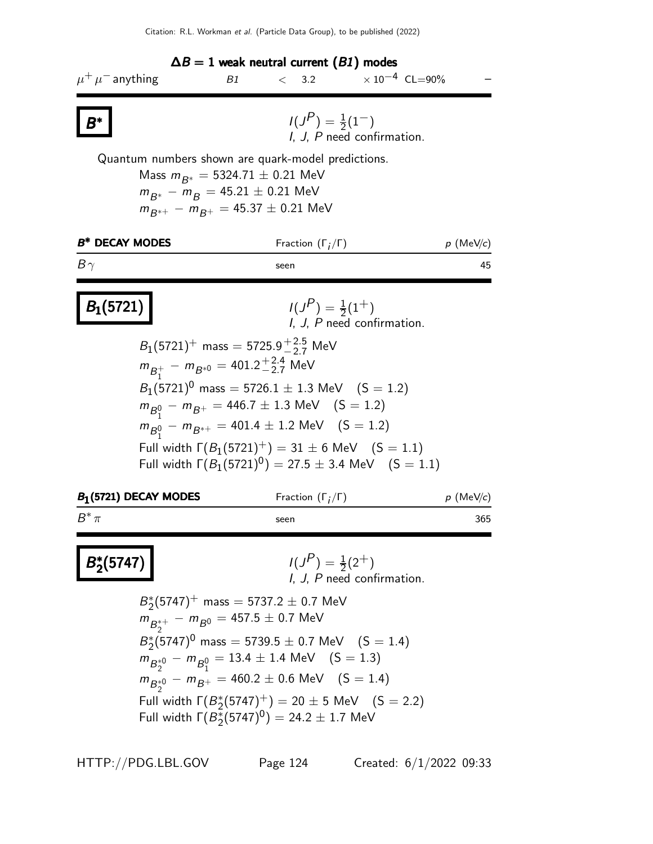

Full width  $\Gamma(B_2^{\frac{1}{2}}(5747)^{0}) = 24.2 \pm 1.7$  MeV

HTTP://PDG.LBL.GOV Page 124 Created: 6/1/2022 09:33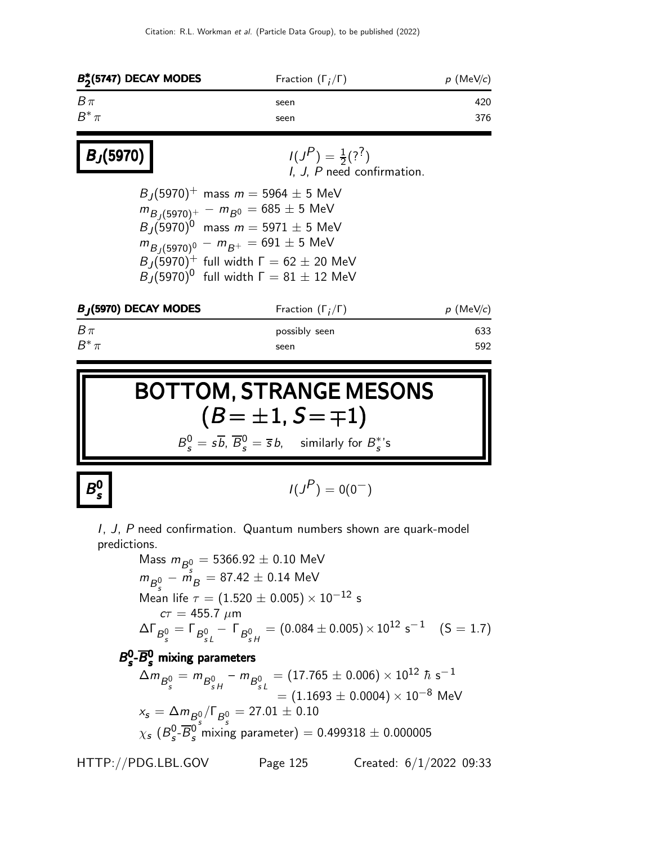| $B_2^*(5747)$ DECAY MODES | Fraction $(\Gamma_i/\Gamma)$    | $p$ (MeV/c) |  |
|---------------------------|---------------------------------|-------------|--|
| $B\pi$<br>$B^*\pi$        | seen<br>seen                    | 420<br>376  |  |
| $B_J(5970)$               | $I(J^{P}) = \frac{1}{2}(?^{?})$ |             |  |

| ן (5970) [ | $I(J^{\prime}) = \frac{1}{2}(?^{T})$<br>I. J. P need confirmation.                                                                                                                                                                                                                         |
|------------|--------------------------------------------------------------------------------------------------------------------------------------------------------------------------------------------------------------------------------------------------------------------------------------------|
|            | $B_1(5970)^+$ mass $m = 5964 \pm 5$ MeV<br>$m_{B_1(5970)^+} - m_{B^0} = 685 \pm 5$ MeV<br>$B_1(5970)^0$ mass $m = 5971 \pm 5$ MeV<br>$m_{B_1(5970)^0} - m_{B^+} = 691 \pm 5$ MeV<br>$B_1(5970)^+$ full width $\Gamma = 62 \pm 20$ MeV<br>$B_J(5970)^0$ full width $\Gamma = 81 \pm 12$ MeV |
|            |                                                                                                                                                                                                                                                                                            |

| $B_J(5970)$ DECAY MODES | Fraction $(\Gamma_i/\Gamma)$ | $p$ (MeV/c) |  |
|-------------------------|------------------------------|-------------|--|
| $B\pi$                  | possibly seen                | 633         |  |
| $B^*\pi$                | seen                         | 592         |  |

BOTTOM, STRANGE MESONS  $(B = \pm 1, S = \mp 1)$  $B_s^0 = s\overline{b}$ ,  $\overline{B}_s^0 = \overline{s}b$ , similarly for  $B_s^*$ 's

B 0 s

$$
I(J^P) = 0(0^-)
$$

I, J, P need confirmation. Quantum numbers shown are quark-model predictions.

Mass  $m_{B^0_s} = 5366.92 \pm 0.10$  MeV  $m_{B^0_c}-\tilde{m_B}=87.42\pm0.14$  MeV Mean life  $\tau = (1.520 \pm 0.005) \times 10^{-12}$  s  $c\tau = 455.7 \; \mu m$  $\Delta\Gamma_{\mathcal{B}^0_{S}}=\Gamma_{\mathcal{B}^0_{S L}}-\Gamma_{\mathcal{B}^0_{S H}}=(0.084\pm 0.005)\times 10^{12} \;\mathsf{s}^{-1} \quad \ \ \mathrm{(S=1.7)}$  $B_{s}^{0}$  $\overline{s}^0$ - $\overline{B}{}^0_s$  mixing parameters  $\Delta m_{B^0_{_S}}=m_{B^0_{_S\,H}}-m_{B^0_{_S\,L}}=(17.765\pm 0.006)\times 10^{12}\,\,\hbar\,\,\text{s}^{-1}$  $=(1.1693\pm 0.0004)\times 10^{-8}$  MeV  $x_s = \Delta m_{B^0_s}/\Gamma_{B^0_s} = 27.01 \pm 0.10$  $\chi_{\bm{s}}$  ( $B_{\bm{s}}^{\bm{0}}$  $\overline{S}_s^0$ – $\overline{B}_s^0$  mixing parameter)  $= 0.499318 \pm 0.000005$ 

HTTP://PDG.LBL.GOV Page 125 Created: 6/1/2022 09:33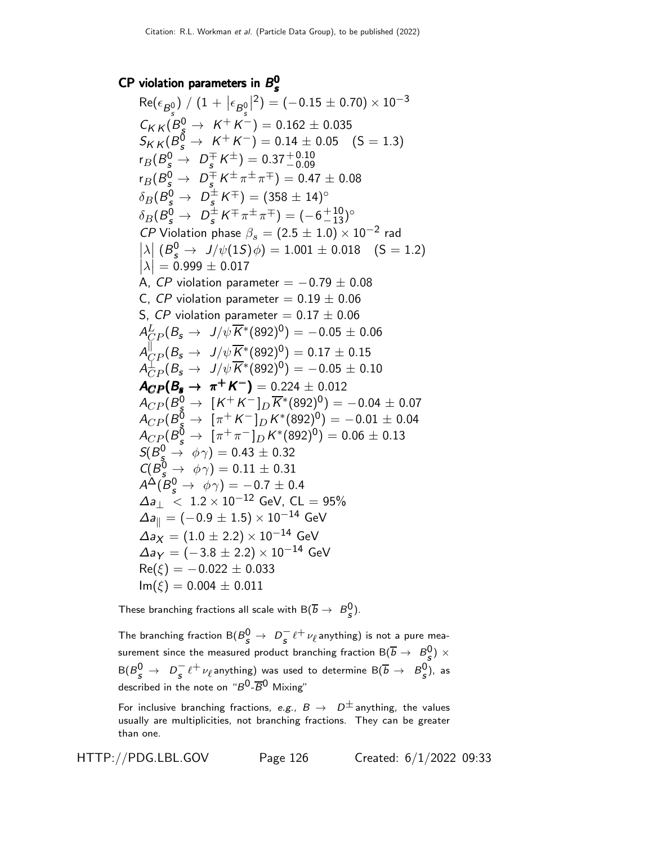#### CP violation parameters in  $B_s^0$ s

 ${\sf Re}(\epsilon_{B_s^0}$ ) /  $(1 + \big| \epsilon_{B_s^0})$  $\begin{array}{c} \hline \end{array}$  $^2) = (-0.15 \pm 0.70) \times 10^{-3}$  $C_{K K} (B_s^0 \rightarrow K^+ K^-) = 0.162 \pm 0.035$  $S_{K K} (B_s^0 \rightarrow K^+ K^-) = 0.14 \pm 0.05 \quad (S = 1.3)$  $r_B(B_s^0 \rightarrow D_s^\mp K^\pm) = 0.37^{+0.10}_{-0.09}$  ${\sf r}_{B}(B_{\sf s}^0\to~D_{\sf s}^\mp\,K^\pm\pi^\pm\pi^\mp)=0.47\pm0.08$  $\delta_B(B_{\mathcal{S}}^0 \rightarrow \ D_{\mathcal{S}}^{\pm} \mathcal{K}^{\mp}) = (358 \pm 14)^{\circ}$  $\delta_B(B_s^0 \to D_s^{\pm} K^{\mp} \pi^{\pm} \pi^{\mp}) = (-6^{+10}_{-13})^{\circ}$ CP Violation phase  $\beta_s = (2.5 \pm 1.0) \times 10^{-2}$  rad  $\left|\lambda\right|$   $\left(B_{s}^{0} \rightarrow J/\psi(15)\phi\right) = 1.001 \pm 0.018$   $\left(S = 1.2\right)$  $|\lambda| = 0.999 \pm 0.017$ A, CP violation parameter =  $-0.79 \pm 0.08$ C, CP violation parameter =  $0.19 \pm 0.06$ S, CP violation parameter =  $0.17 \pm 0.06$  $A^L_{CP} (B_s \to~J/\psi \overline{K}{}^*(892)^0) = -\,0.05 \pm 0.06$  $A_{CP}^{\parallel}(B_s \to \frac{J/\psi \overline{K}^*(892)^0)}{20} = 0.17 \pm 0.15$  $\mathcal{A}_{CP}^{\mathbb{1}}(\mathcal{B}_{\bm{s}} \rightarrow \frac{J/\psi}{K^{*}}(892)^{0}) = -0.05 \pm 0.10$  $A_{CP}(B_5 \to \pi^+ K^-) = 0.224 \pm 0.012$  $A_{CP}(B_{\AA}^0 \rightarrow\ \llbracket K^+K^-\rrbracket_D \overline{K}^*(892)^0) = -0.04\pm0.07$  $A_{CP} (B_{\AA}^{\bar{0}} \to~[ \pi^+ K^-]_D K^{*}(892)^0) = -0.01 \pm 0.04$  $A_{CP} (B_{\cal S}^{\overline{0}} \rightarrow \ [\pi^+ \pi^-]_D K^{*}(892)^0) = 0.06 \pm 0.13$  $S(B_{\rm s}^0\rightarrow~\phi\gamma)=0.43\pm0.32$  $C(B^0_s \rightarrow \phi \gamma) = 0.11 \pm 0.31$  $A^\Delta(\bar B^0_s\to\ \phi\gamma) = -0.7\pm0.4$  $\Delta a_{\perp} \times 1.2 \times 10^{-12}$  GeV, CL = 95%  $\Delta a_{\parallel} = (-0.9 \pm 1.5) \times 10^{-14}$  GeV  $\Delta a_X = (1.0 \pm 2.2) \times 10^{-14}$  GeV  $\Delta$ a $\gamma = (-3.8 \pm 2.2) \times 10^{-14}$  GeV  $Re(\xi) = -0.022 \pm 0.033$  $Im(\xi) = 0.004 \pm 0.011$ 

These branching fractions all scale with  $\mathsf{B}(\overline{b}\rightarrow\ B^0_S).$ 

The branching fraction  $\mathsf{B}(B_{S}^{0} \to D_{S}^{-}\ell^{+}\nu_{\ell}$ anything) is not a pure measurement since the measured product branching fraction  ${\sf B}(\overline{b}\to~B_{\cal S}^0)\times$  ${\sf B}(B_{\cal S}^0\to~D_{\cal S}^- \ell^+\nu_\ell$ anything) was used to determine  ${\sf B}(\overline{b}\to~B_{\cal S}^0)$ , as described in the note on " $B^0$ - $\overline{B}^0$  Mixing"

For inclusive branching fractions, e.g.,  $B \to D^{\pm}$  anything, the values usually are multiplicities, not branching fractions. They can be greater than one.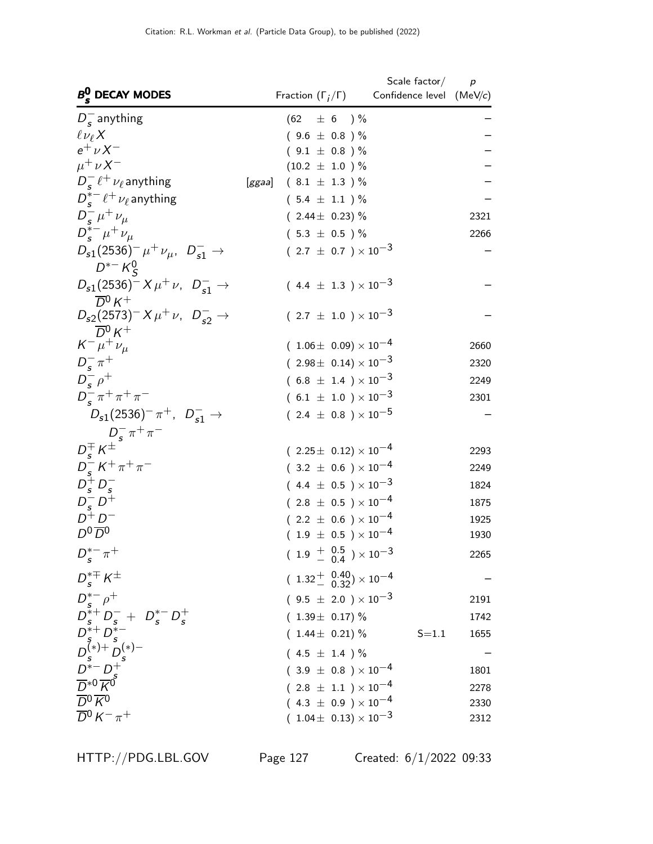|                                                                                                                                                                                                                                                                                                                                                  |                                        | Scale factor $\hspace{0.1mm}/\hspace{0.1mm}$ | $\boldsymbol{p}$ |
|--------------------------------------------------------------------------------------------------------------------------------------------------------------------------------------------------------------------------------------------------------------------------------------------------------------------------------------------------|----------------------------------------|----------------------------------------------|------------------|
| $B_s^0$ DECAY MODES                                                                                                                                                                                                                                                                                                                              | Fraction $(\Gamma_i/\Gamma)$           | Confidence level (MeV/c)                     |                  |
| $D_s^-$ anything                                                                                                                                                                                                                                                                                                                                 | $(62 \pm 6) \%$                        |                                              |                  |
| $\ell \nu_{\ell} X$                                                                                                                                                                                                                                                                                                                              | $(9.6 \pm 0.8)$ %                      |                                              |                  |
| $e^+ \nu X^-$                                                                                                                                                                                                                                                                                                                                    | $(9.1 \pm 0.8) \%$                     |                                              |                  |
| $\mu^+\nu X^-$                                                                                                                                                                                                                                                                                                                                   | $(10.2 \pm 1.0) \%$                    |                                              |                  |
| $D_{\rm c}^{-}$ $\ell^{+}$ $\nu_{\ell}$ anything                                                                                                                                                                                                                                                                                                 | $(8.1 \pm 1.3)$ %<br>[ggaa]            |                                              |                  |
| $D_{\rm c}^{*-}$ $\ell^+$ $\nu_{\ell}$ anything                                                                                                                                                                                                                                                                                                  | $(5.4 \pm 1.1) \%$                     |                                              |                  |
| $D_{s}^{-} \mu^{+} \nu_{\mu}$                                                                                                                                                                                                                                                                                                                    | $(2.44 \pm 0.23)\%$                    |                                              | 2321             |
| $D_{s}^{*-}\mu^{+}\nu_{\mu}$                                                                                                                                                                                                                                                                                                                     | $(5.3 \pm 0.5) \%$                     |                                              | 2266             |
| $D_{s1}(2536)^{-} \mu^{+} \nu_{\mu}$ , $D_{s1}^{-} \rightarrow$<br>$D^{*-}K_S^0$                                                                                                                                                                                                                                                                 | $(2.7 \pm 0.7) \times 10^{-3}$         |                                              |                  |
| $D_{s1}(2536)^{-} X \mu^{+} \nu$ , $D_{s1}^{-} \rightarrow$<br>$\overline{D}{}^0 K^+$                                                                                                                                                                                                                                                            | $(4.4 \pm 1.3) \times 10^{-3}$         |                                              |                  |
| $D_{s2}(2573)^{-} X \mu^{+} \nu$ , $D_{s2}^{-} \rightarrow$                                                                                                                                                                                                                                                                                      | $(2.7 \pm 1.0) \times 10^{-3}$         |                                              |                  |
| $\overline{D}{}^0 K^+$<br>$K^- \mu^+ \nu_\mu$                                                                                                                                                                                                                                                                                                    | $(1.06\pm 0.09)\times 10^{-4}$         |                                              | 2660             |
| $D_{s}^{-} \pi^{+}$                                                                                                                                                                                                                                                                                                                              | $(2.98\pm 0.14)\times 10^{-3}$         |                                              | 2320             |
| $D_{\epsilon}^ \rho^+$                                                                                                                                                                                                                                                                                                                           | $(6.8 \pm 1.4) \times 10^{-3}$         |                                              | 2249             |
| $D_{s}^{-} \pi^{+} \pi^{+} \pi^{-}$                                                                                                                                                                                                                                                                                                              | $(6.1 \pm 1.0) \times 10^{-3}$         |                                              | 2301             |
| $D_{s1}(2536)^{-} \pi^{+}$ , $D_{s1}^{-}$ $\rightarrow$                                                                                                                                                                                                                                                                                          | $(2.4 \pm 0.8) \times 10^{-5}$         |                                              |                  |
|                                                                                                                                                                                                                                                                                                                                                  |                                        |                                              |                  |
| $\stackrel{\textstyle\mathop{D^-\tau}\limits^-\pi^+\pi^-}{D^+_s\kappa^\pm}$                                                                                                                                                                                                                                                                      | $(2.25 \pm 0.12) \times 10^{-4}$       |                                              | 2293             |
| $D_s^- K^+ \pi^+ \pi^-$                                                                                                                                                                                                                                                                                                                          | $(3.2 \pm 0.6) \times 10^{-4}$         |                                              | 2249             |
| $D_s^+ D_s^-$                                                                                                                                                                                                                                                                                                                                    | $(4.4 \pm 0.5) \times 10^{-3}$         |                                              | 1824             |
| $D_{\rm s}^- D^+$                                                                                                                                                                                                                                                                                                                                | $(2.8 \pm 0.5) \times 10^{-4}$         |                                              | 1875             |
| $D^+D^-$                                                                                                                                                                                                                                                                                                                                         | $(2.2 \pm 0.6) \times 10^{-4}$         |                                              | 1925             |
| $D^0\overline{D}{}^0$                                                                                                                                                                                                                                                                                                                            | $(1.9 \pm 0.5) \times 10^{-4}$         |                                              | 1930             |
| $D_s^{*-}\pi^+$                                                                                                                                                                                                                                                                                                                                  | $(1.9 + 0.5 \n- 0.4) \times 10^{-3}$   |                                              | 2265             |
| $D_{s}^{*\mp}K^{\pm}$                                                                                                                                                                                                                                                                                                                            | $(1.32^{+0.40}_{-0.32})\times 10^{-4}$ |                                              |                  |
|                                                                                                                                                                                                                                                                                                                                                  | $(9.5 \pm 2.0) \times 10^{-3}$         |                                              | 2191             |
|                                                                                                                                                                                                                                                                                                                                                  | $(1.39 \pm 0.17)\%$                    |                                              | 1742             |
|                                                                                                                                                                                                                                                                                                                                                  | $(1.44 \pm 0.21)\%$                    | $S = 1.1$                                    | 1655             |
|                                                                                                                                                                                                                                                                                                                                                  | $(4.5 \pm 1.4) \%$                     |                                              |                  |
| $\begin{array}{l} \stackrel{\rightarrow}{D_s^*-\rho^+} \\ D_s^*+D_s^- + D_s^*-D_s^+ \\ D_s^{*+}D_s^{*-} \\ D_s^{(*)+}D_s^{(*)-} \\ D^{*-}D_s^+ \\ \stackrel{\rightarrow}{D^*0} \stackrel{\rightarrow}{K^0} \\ \stackrel{\rightarrow}{D^0} \stackrel{\rightarrow}{K^0} \\ \stackrel{\rightarrow}{D^0} \stackrel{\rightarrow}{K^0} \\ \end{array}$ | $(3.9 \pm 0.8) \times 10^{-4}$         |                                              | 1801             |
|                                                                                                                                                                                                                                                                                                                                                  | $(2.8 \pm 1.1) \times 10^{-4}$         |                                              | 2278             |
|                                                                                                                                                                                                                                                                                                                                                  | $(4.3 \pm 0.9) \times 10^{-4}$         |                                              | 2330             |
| $\overline{D}{}^0 K^- \pi^+$                                                                                                                                                                                                                                                                                                                     | $(1.04\pm 0.13)\times 10^{-3}$         |                                              | 2312             |

HTTP://PDG.LBL.GOV Page 127 Created: 6/1/2022 09:33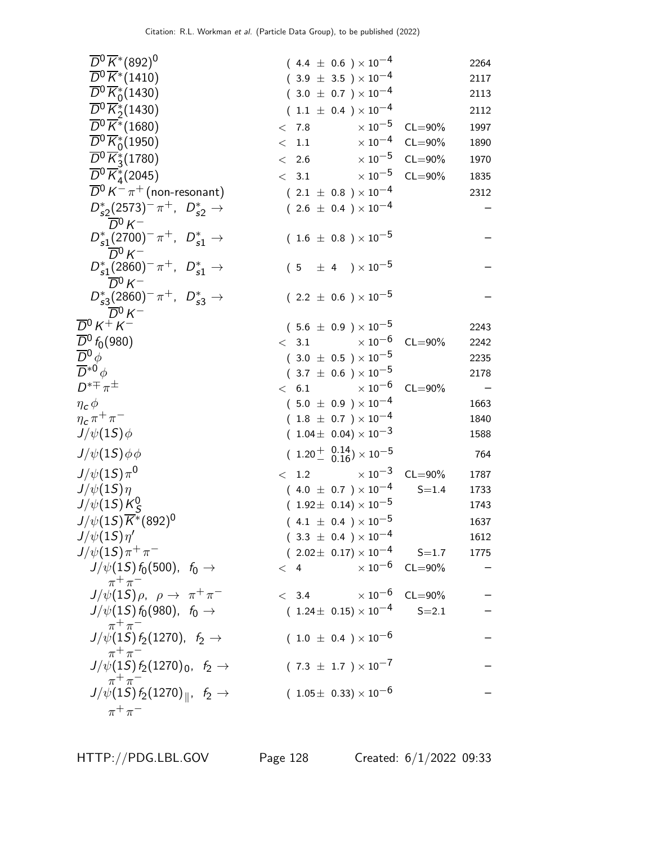| $\overline{D}{}^0 \overline{K}{}^*(892)^0$                                                   | $(4.4 \pm 0.6) \times 10^{-4}$         |                         | 2264                     |
|----------------------------------------------------------------------------------------------|----------------------------------------|-------------------------|--------------------------|
| $\overline{D}{}^0 \overline{K}{}^*(1410)$                                                    | $(3.9 \pm 3.5) \times 10^{-4}$         |                         | 2117                     |
| $\overline{D}{}^0 \overline{K}_0^*(1430)$                                                    | $(3.0 \pm 0.7) \times 10^{-4}$         |                         | 2113                     |
| $\overline{D}{}^0 \overline{K}{}^*_2(1430)$                                                  | $(1.1 \pm 0.4) \times 10^{-4}$         |                         | 2112                     |
| $\overline{D^0}\overline{K^*}$ (1680)                                                        | $\times\,10^{-5}$<br>< 7.8             | $CL = 90\%$             | 1997                     |
| $\overline{D}{}^0\overline{K}_0^*(1950)$                                                     | $\times$ 10 $^{-4}$<br>< 1.1           | $CL = 90\%$             | 1890                     |
| $\overline{D}^0 \overline{K}^*_3$ (1780)                                                     | $\times\,10^{-5}$<br>< 2.6             | $CL = 90\%$             | 1970                     |
| $\overline{D}{}^0 \overline{K}_4^*(2045)$                                                    | $\times$ 10 $^{-5}$<br>< 3.1           | $CL = 90\%$             | 1835                     |
| $\overline{D}{}^0 K^- \pi^+$ (non-resonant)                                                  | $(2.1 \pm 0.8) \times 10^{-4}$         |                         | 2312                     |
| $D_{s2}^*(2573)^-\pi^+$ , $D_{s2}^*\to$<br>$\overline{D}{}^0 K^-$                            | $(2.6 \pm 0.4) \times 10^{-4}$         |                         |                          |
| $D_{s1}^*(2700)^-\pi^+$ , $D_{s1}^*\to$<br>$\overline{D}{}^0 K^-$                            | $(1.6 \pm 0.8) \times 10^{-5}$         |                         |                          |
| $D_{s1}^*(2860)^{-} \pi^+$ , $D_{s1}^* \to$<br>$\overline{D}{}^0 K^-$                        | $(5 \pm 4) \times 10^{-5}$             |                         |                          |
| $D_{s3}^*(2860)^-\pi^+$ , $D_{s3}^*\to$<br>$\overline{D}{}^0 K^-$                            | $(2.2 \pm 0.6) \times 10^{-5}$         |                         |                          |
| $\overline{D}{}^0$ K $^+$ K $^-$                                                             | $(5.6 \pm 0.9) \times 10^{-5}$         |                         | 2243                     |
| $\frac{\overline{D}^0}{\overline{D}^0}\mathit{f}_0(980) \over \overline{D}{}^0\mathit{\phi}$ | $\times$ 10 $^{-6}$<br>< 3.1           | $CL = 90\%$             | 2242                     |
|                                                                                              | $(3.0 \pm 0.5) \times 10^{-5}$         |                         | 2235                     |
| $\overline{D}^{*0}\phi$                                                                      | $(3.7 \pm 0.6) \times 10^{-5}$         |                         | 2178                     |
| $D^{*\mp}\pi^{\pm}$                                                                          | $\times$ 10 <sup>-6</sup><br>< 6.1     | $CL = 90\%$             | $\overline{\phantom{0}}$ |
| $\eta_{\bm{c}}\phi$                                                                          | $(5.0 \pm 0.9) \times 10^{-4}$         |                         | 1663                     |
| $\eta_c \pi^+ \pi^-$                                                                         | $(1.8 \pm 0.7) \times 10^{-4}$         |                         | 1840                     |
| $J/\psi(1S)\phi$                                                                             | $(1.04 \pm 0.04) \times 10^{-3}$       |                         | 1588                     |
| $J/\psi(1S)\phi\phi$                                                                         | $(1.20 \frac{+}{0.16}) \times 10^{-5}$ |                         | 764                      |
| $J/\psi(1S)\pi^0$                                                                            | $< 1.2 \times 10^{-3}$                 | $CL = 90\%$             | 1787                     |
| $J/\psi(1S)\eta$                                                                             | $(4.0 \pm 0.7) \times 10^{-4}$         | $S = 1.4$               | 1733                     |
| $J/\psi(1S)K_S^0$                                                                            | $(1.92 \pm 0.14) \times 10^{-5}$       |                         | 1743                     |
| $J/\psi(1S)\overline{K^*}(892)^0$                                                            | $(4.1 \pm 0.4) \times 10^{-5}$         |                         | 1637                     |
| $J/\psi(1S)\eta'$                                                                            | $(3.3 \pm 0.4) \times 10^{-4}$         |                         | 1612                     |
| $J/\psi(1S)\pi^{+}\pi^{-}$                                                                   | $(2.02 \pm 0.17) \times 10^{-4}$ S=1.7 |                         | 1775                     |
| $J/\psi(1S) f_0(500)$ , $f_0 \to$<br>$\pi^+\pi^-$                                            | < 4                                    | $\times 10^{-6}$ CL=90% |                          |
| $J/\psi(1S)\rho$ , $\rho \rightarrow \pi^+\pi^-$                                             | < 3.4                                  | $\times 10^{-6}$ CL=90% |                          |
| $J/\psi(1S) f_0(980)$ , $f_0 \to$<br>$\pi^+\pi^-$                                            | $(1.24 \pm 0.15) \times 10^{-4}$       | $S = 2.1$               |                          |
| $J/\psi(1S) f_2(1270)$ , $f_2 \rightarrow$<br>$\pi^+\pi^-$                                   | $(1.0 \pm 0.4) \times 10^{-6}$         |                         |                          |
| $J/\psi(1S) f_2(1270)_0, f_2 \rightarrow$<br>$\pi^+\pi^-$                                    | $(7.3 \pm 1.7) \times 10^{-7}$         |                         |                          |
| $J/\psi(1S) f_2(1270)_{\parallel}$ , $f_2 \rightarrow$<br>$\pi^+\pi^-$                       | $(1.05 \pm 0.33) \times 10^{-6}$       |                         |                          |
|                                                                                              |                                        |                         |                          |

HTTP://PDG.LBL.GOV Page 128 Created: 6/1/2022 09:33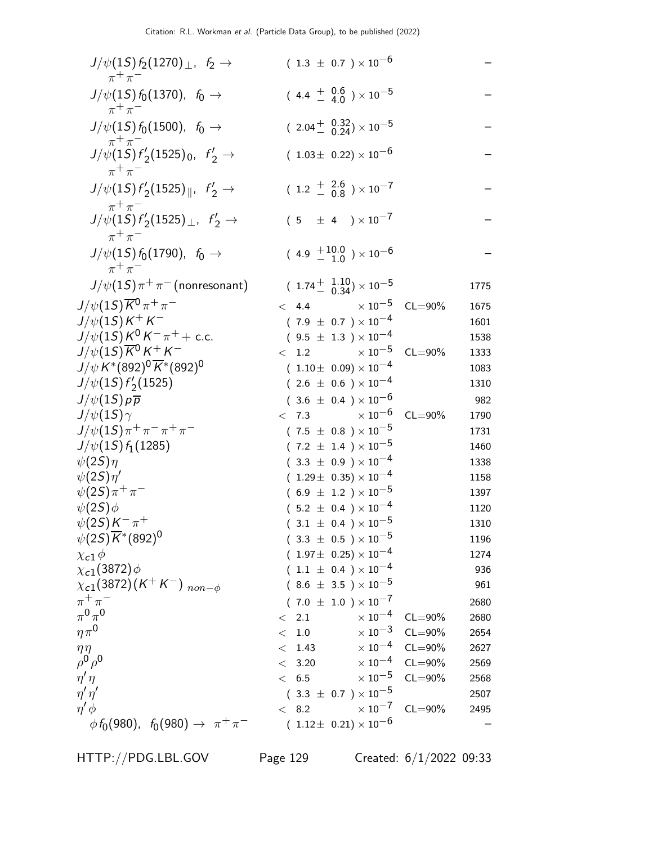| $J/\psi(1S) f_2(1270)$ , $f_2 \to$<br>$\pi^+\pi^-$                             | $(1.3 \pm 0.7) \times 10^{-6}$                     |             |      |
|--------------------------------------------------------------------------------|----------------------------------------------------|-------------|------|
| $J/\psi(1S) f_0(1370)$ , $f_0 \to$<br>$\pi^+\pi^-$                             | $(4.4 \frac{+}{-} \frac{0.6}{4.0}) \times 10^{-5}$ |             |      |
| $J/\psi(1S) f_0(1500)$ , $f_0 \rightarrow$                                     | $(2.04 \frac{+}{0.24}) \times 10^{-5}$             |             |      |
| $\pi^+\pi^-$<br>$J/\psi(1S) f'_2(1525)_0$ , $f'_2 \rightarrow$<br>$\pi^+\pi^-$ | $(1.03\pm 0.22)\times 10^{-6}$                     |             |      |
| $J/\psi(1S) f'_2(1525)_{\parallel}$ , $f'_2 \rightarrow$                       | $(1.2 \frac{+}{0.8}) \times 10^{-7}$               |             |      |
| $\pi^+\pi^-$<br>$J/\psi(1S) f'_2(1525)_{\perp}$ , $f'_2 \rightarrow$           | $(5 \pm 4) \times 10^{-7}$                         |             |      |
| $\pi^+\pi^-$<br>$J/\psi(1S) f_0(1790)$ , $f_0 \to$<br>$\pi^+\pi^-$             | $(4.9 +10.0) \times 10^{-6}$                       |             |      |
| $J/\psi(1S)\pi^+\pi^-$ (nonresonant)                                           | $(1.74 + \frac{1.10}{0.34}) \times 10^{-5}$        |             | 1775 |
| $J/\psi(1S)\overline{K}^0\pi^+\pi^-$                                           | $< 4.4$ $\times 10^{-5}$                           | $CL = 90\%$ | 1675 |
| $J/\psi(1S)K^+K^-$                                                             | $(7.9 \pm 0.7) \times 10^{-4}$                     |             | 1601 |
| $J/\psi(15)K^0K^-\pi^+ +$ c.c.                                                 | $(9.5 \pm 1.3) \times 10^{-4}$                     |             | 1538 |
| $J/\psi(1S) \overline{K}{}^0 K^+ K^-$                                          | $< 1.2 \times 10^{-5}$                             | $CL = 90\%$ | 1333 |
| $J/\psi K^{*}(892)^{0}\overline{K}^{*}(892)^{0}$                               | $(1.10\pm 0.09)\times 10^{-4}$                     |             | 1083 |
| $J/\psi(1S) f'_{2}(1525)$                                                      | $(2.6 \pm 0.6) \times 10^{-4}$                     |             | 1310 |
| $J/\psi(1S) p\overline{p}$                                                     | $(3.6 \pm 0.4) \times 10^{-6}$                     |             | 982  |
| $J/\psi(1S)\gamma$                                                             | $< 7.3 \times 10^{-6}$                             | $CL = 90%$  | 1790 |
| $J/\psi(1S)\pi^+\pi^-\pi^+\pi^-$                                               | $(7.5 \pm 0.8) \times 10^{-5}$                     |             | 1731 |
| $J/\psi(1S) f_1(1285)$                                                         | $(7.2 \pm 1.4) \times 10^{-5}$                     |             | 1460 |
| $\psi(2S)\eta$                                                                 | $(3.3 \pm 0.9) \times 10^{-4}$                     |             | 1338 |
| $\psi(2S)\eta'$                                                                | $(1.29 \pm 0.35) \times 10^{-4}$                   |             | 1158 |
| $\psi(2S)\pi^{+}\pi^{-}$                                                       | $(6.9 \pm 1.2) \times 10^{-5}$                     |             | 1397 |
| $\psi(2S)\phi$                                                                 | $(5.2 \pm 0.4) \times 10^{-4}$                     |             | 1120 |
| $\psi(2S)K^{-}\pi^{+}$                                                         | $(3.1 \pm 0.4) \times 10^{-5}$                     |             | 1310 |
| $\psi(2S)\overline{K}^*(892)^0$                                                | $(3.3 \pm 0.5) \times 10^{-5}$                     |             | 1196 |
| $\chi$ c1 $\phi$                                                               | $(1.97\pm 0.25)\times 10^{-4}$                     |             | 1274 |
| $\chi_{c1}(3872)\phi$                                                          | $(1.1 \pm 0.4) \times 10^{-4}$                     |             | 936  |
| $\chi_{c1}(3872)(K^+K^-)$ non- $\phi$                                          | $(8.6 \pm 3.5) \times 10^{-5}$                     |             | 961  |
| $\pi^+\pi^-$                                                                   | $(7.0 \pm 1.0) \times 10^{-7}$                     |             | 2680 |
| $\pi^0\pi^0$                                                                   | $\times$ 10 <sup>-4</sup><br>< 2.1                 | $CL = 90\%$ | 2680 |
| $\eta \pi^0$                                                                   | $\times$ 10 $^{-3}$<br>< 1.0                       | $CL = 90\%$ | 2654 |
| $\eta\eta$                                                                     | $\times$ 10 <sup>-4</sup><br>1.43<br>$\lt$         | $CL = 90\%$ | 2627 |
| $\rho^0 \rho^0$                                                                | $\times$ 10 <sup>-4</sup><br>< 3.20                | $CL = 90\%$ | 2569 |
| $\eta'\eta$                                                                    | $\times$ 10 $^{-5}$<br>< 6.5                       | $CL = 90\%$ | 2568 |
| $\eta'\eta'$                                                                   | $(3.3 \pm 0.7) \times 10^{-5}$                     |             | 2507 |
| $\eta' \phi$                                                                   | $\times$ 10 <sup>-7</sup><br>< 8.2                 | $CL = 90\%$ | 2495 |
| $\phi f_0(980)$ , $f_0(980) \to \pi^+ \pi^-$                                   | $(1.12 \pm 0.21) \times 10^{-6}$                   |             |      |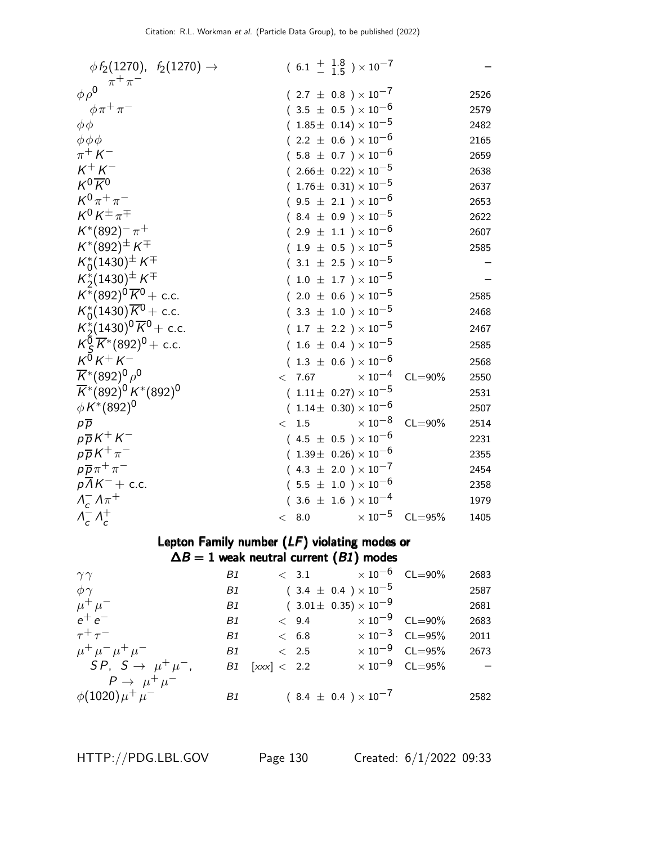| $\phi f_2(1270), f_2(1270) \rightarrow$                                 | $(6.1 + \frac{1.8}{1.5}) \times 10^{-7}$  |                     |
|-------------------------------------------------------------------------|-------------------------------------------|---------------------|
| $\pi^+\pi^-$<br>$\phi \rho^0$                                           | $(2.7 \pm 0.8) \times 10^{-7}$            | 2526                |
| $\phi \pi^+ \pi^-$                                                      | $(3.5 \pm 0.5) \times 10^{-6}$            | 2579                |
| $\phi \phi$                                                             | $(1.85\pm 0.14)\times 10^{-5}$            | 2482                |
| $\phi \phi \phi$                                                        | $(2.2 \pm 0.6) \times 10^{-6}$            | 2165                |
| $\pi^+ K^-$                                                             | $(5.8 \pm 0.7) \times 10^{-6}$            | 2659                |
| $K^+ K^-$                                                               | $(2.66\pm 0.22)\times 10^{-5}$            | 2638                |
| $K^0\overline{K}{}^0$                                                   | $(1.76\pm 0.31)\times 10^{-5}$            | 2637                |
| $K^{0}\pi^{+}\pi^{-}$                                                   | $(9.5 \pm 2.1) \times 10^{-6}$            | 2653                |
| $K^0 K^{\pm} \pi^{\mp}$                                                 | $(8.4 \pm 0.9) \times 10^{-5}$            | 2622                |
| $K^*(892)^- \pi^+$                                                      | $(2.9 \pm 1.1) \times 10^{-6}$            | 2607                |
| $K^*(892)^\pm K^\mp$                                                    | $(1.9 \pm 0.5) \times 10^{-5}$            | 2585                |
| $K_0^*(1430)^{\pm} K^{\mp}$                                             | $(3.1 \pm 2.5) \times 10^{-5}$            |                     |
| $K_2^*(1430)^{\pm} K^{\mp}$                                             | $(1.0 \pm 1.7) \times 10^{-5}$            |                     |
| $K^*(892)^0 \overline{K}{}^0$ + c.c.                                    | $(2.0 \pm 0.6) \times 10^{-5}$            | 2585                |
| $K_0^*(1430)\overline{K}^0$ + c.c.                                      | $(3.3 \pm 1.0) \times 10^{-5}$            | 2468                |
| $K_2^*(1430)^0 \overline{K}^0$ + c.c.                                   | $(1.7 \pm 2.2) \times 10^{-5}$            | 2467                |
| $K_S^{\overline{0}}\overline{K}$ <sup>*</sup> (892) <sup>0</sup> + c.c. | $(1.6 \pm 0.4) \times 10^{-5}$            | 2585                |
| $K^{\bar{0}}K^+K^-$                                                     | $(1.3 \pm 0.6) \times 10^{-6}$            | 2568                |
| $\overline{K}$ *(892) <sup>0</sup> $\rho$ <sup>0</sup>                  | $\times\,10^{-4}$<br>< 7.67               | $CL = 90\%$<br>2550 |
| $\overline{K}$ *(892) <sup>0</sup> K*(892) <sup>0</sup>                 | $(1.11 \pm 0.27) \times 10^{-5}$          | 2531                |
| $\phi K^{*}(892)^{0}$                                                   | $(1.14\pm 0.30)\times 10^{-6}$            | 2507                |
| $p\overline{p}$                                                         | $\times$ 10 <sup>-8</sup><br>1.5<br>$\lt$ | $CL = 90\%$<br>2514 |
| $p\overline{p}K^+K^-$                                                   | $(4.5 \pm 0.5) \times 10^{-6}$            | 2231                |
| $p\overline{p}K^{+}\pi^{-}$                                             | $(1.39\pm 0.26)\times 10^{-6}$            | 2355                |
| $p\overline{p}\pi^+\pi^-$                                               | $(4.3 \pm 2.0) \times 10^{-7}$            | 2454                |
| $p\overline{\Lambda}K^-$ + c.c.                                         | $(5.5 \pm 1.0) \times 10^{-6}$            | 2358                |
| $\Lambda_c^- \Lambda \pi^+$                                             | $(3.6 \pm 1.6) \times 10^{-4}$            | 1979                |
| $\Lambda_c^- \Lambda_c^+$                                               | $\times$ 10 $^{-5}$<br>< 8.0              | $CL = 95%$<br>1405  |

## Lepton Family number (LF) violating modes or  $\Delta B = 1$  weak neutral current ( $B1$ ) modes

| $\gamma\gamma$                   | B1        |               | $< 3.1 \times 10^{-6}$ CL=90%       |                                  | 2683       |
|----------------------------------|-----------|---------------|-------------------------------------|----------------------------------|------------|
| $\phi \gamma$                    | B1        |               | $(3.4 \pm 0.4) \times 10^{-5}$      |                                  | 2587       |
| $\mu^+ \mu^-$                    | B1        |               | $(3.01 \pm 0.35) \times 10^{-9}$    |                                  | 2681       |
| $e^+e^-$                         | B1        | < 9.4         | $\times$ 10 $^{-9}$ $\,$ CL $=$ 90% |                                  | 2683       |
| $\tau^+\tau^-$                   | <b>B1</b> | < 6.8         |                                     | $\times$ 10 <sup>-3</sup> CL=95% | 2011       |
| $\mu^+ \mu^- \mu^+ \mu^-$        | B1        | $\langle$ 2.5 |                                     | $\times$ 10 $^{-9}$ CL=95%       | 2673       |
| $SP, S \rightarrow \mu^+ \mu^-,$ | B1        | [xxx] < 2.2   |                                     | $\times 10^{-9}$ CL=95%          | $\sim$ $-$ |
| $P \rightarrow \mu^+ \mu^-$      |           |               |                                     |                                  |            |
| $\phi(1020)\mu^{+}\mu^{-}$       | B1        |               | $(8.4 \pm 0.4) \times 10^{-7}$      |                                  | 2582       |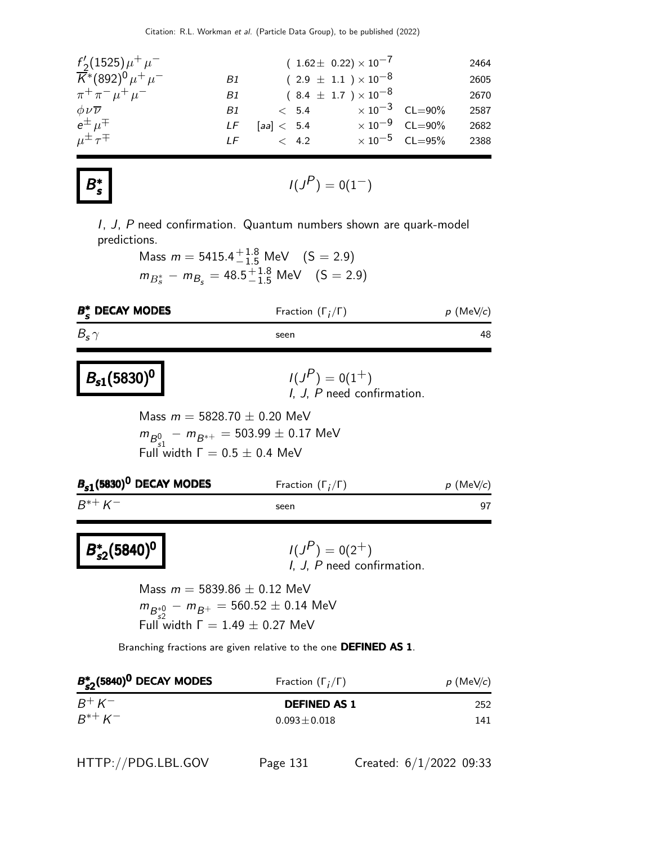| $f'_{2}(1525)\mu^{+}\mu^{-}$                                             |      | $(1.62 \pm 0.22) \times 10^{-7}$ |                                  | 2464 |
|--------------------------------------------------------------------------|------|----------------------------------|----------------------------------|------|
| $\overline{K}$ *(892) <sup>0</sup> $\mu$ <sup>+</sup> $\mu$ <sup>-</sup> | Β1   | $(2.9 \pm 1.1) \times 10^{-8}$   |                                  | 2605 |
| $\pi^+ \pi^- \mu^+ \mu^-$                                                | B1 - | $(8.4 \pm 1.7) \times 10^{-8}$   |                                  | 2670 |
| $\phi \nu \overline{\nu}$                                                | B1   | $< 5.4 \times 10^{-3}$ CL=90%    |                                  | 2587 |
| $e^{\pm}$ $\mu^{\mp}$                                                    | LF   | [aa] $< 5.4$                     | $\times 10^{-9}$ CL=90%          | 2682 |
| $\mu^{\pm} \tau^{\mp}$                                                   | IF   | $\lt$ 4.2                        | $\times$ 10 <sup>-5</sup> CL=95% | 2388 |

#### B ∗ s

$$
I(J^P) = 0(1^-)
$$

I, J, P need confirmation. Quantum numbers shown are quark-model predictions.

> Mass  $m = 5415.4^{+1.8}_{-1.5}$  MeV  $(S = 2.9)$  $m_{B_s^*} - m_{B_s} = 48.5^{+1.8}_{-1.5}$  MeV  $(S = 2.9)$

| $B_{\epsilon}^*$ DECAY MODES | Fraction $(\Gamma_i/\Gamma)$ | $p$ (MeV/c) |
|------------------------------|------------------------------|-------------|
| $B_{\rm s}$ $\gamma$         | seen                         | 48          |

# $B_{s1}(5830)^{0}$

## $P$ ) = 0(1<sup>+</sup>) I, J, P need confirmation.

Mass  $m = 5828.70 \pm 0.20$  MeV  $m_{B_{\rm s1}^{0}} - m_{B^{*+}} = 503.99 \pm 0.17$  MeV Full width  $\Gamma = 0.5 \pm 0.4$  MeV

| $p$ (MeV/c)                          |
|--------------------------------------|
|                                      |
| Fraction $(\Gamma_i/\Gamma)$<br>seen |

 $B^*$  $B_{s2}^*(5840)^0$ 

 $I(J^P) = 0(2^+)$  $I, J, P$  need confirmation.

Mass  $m = 5839.86 \pm 0.12$  MeV  $m_{B^{*0}_{52}} - m_{B^{+}} = 560.52 \pm 0.14$  MeV Full width  $Γ = 1.49 \pm 0.27$  MeV

Branching fractions are given relative to the one DEFINED AS 1.

| $B_{s2}^*(5840)^0$ DECAY MODES | Fraction $(\Gamma_i/\Gamma)$ | $p$ (MeV/c) |
|--------------------------------|------------------------------|-------------|
| $B^+ K^-$                      | <b>DEFINED AS 1</b>          | 252         |
| $R^{*+} K^-$                   | $0.093 \pm 0.018$            | 141         |

|  | HTTP://PDG.LBL.GOV |  |
|--|--------------------|--|
|--|--------------------|--|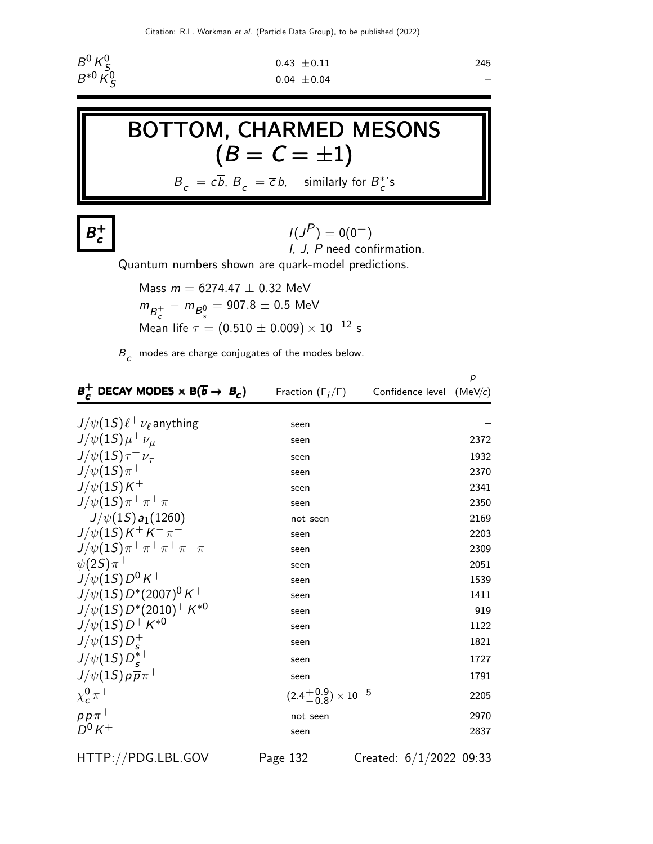

$$
0.43 \pm 0.11
$$
  
245  
0.04 \pm 0.04

**BOTTOM, CHARMED MESONS**

\n
$$
(B = C = \pm 1)
$$
\n
$$
B_c^+ = c\overline{b}, B_c^- = \overline{c}b, \text{ similarly for } B_c^* \text{'s}
$$

 $B^+$ c

 $I(J^P) = 0(0^-)$ I, J, P need confirmation.

Quantum numbers shown are quark-model predictions.

Mass  $m = 6274.47 \pm 0.32$  MeV  $m_{B_c^+} - m_{B_s^0} = 907.8 \pm 0.5$  MeV Mean life  $\tau = (0.510 \pm 0.009) \times 10^{-12}$  s

 $B_{\cal C}^-$  modes are charge conjugates of the modes below.

| $B_{c}^{+}$ DECAY MODES $\times$ B( $\overline{b}$ $\rightarrow$ $B_{c}$ ) | Fraction $(\Gamma_i/\Gamma)$ Confidence level (MeV/c) | p    |
|----------------------------------------------------------------------------|-------------------------------------------------------|------|
| $J/\psi(1S)\ell^+\nu_\ell$ anything                                        | seen                                                  |      |
| $J/\psi(1S)\mu^+\nu_\mu$                                                   | seen                                                  | 2372 |
| $J/\psi(1S)\tau^+\nu_\tau$                                                 | seen                                                  | 1932 |
| $J/\psi(1S)\pi^+$                                                          | seen                                                  | 2370 |
| $J/\psi(1S)K^+$                                                            | seen                                                  | 2341 |
| $J/\psi(1S)\pi^+\pi^+\pi^-$                                                | seen                                                  | 2350 |
| $J/\psi(1S) a_1(1260)$                                                     | not seen                                              | 2169 |
| $J/\psi(1S)K^+K^-\pi^+$                                                    | seen                                                  | 2203 |
| $J/\psi(1S)\pi^+\pi^+\pi^+\pi^-\pi^-$                                      | seen                                                  | 2309 |
| $\psi(2S)\pi^+$                                                            | seen                                                  | 2051 |
| $J/\psi(1S)D^0K^+$                                                         | seen                                                  | 1539 |
| $J/\psi(1S) D^*(2007)^0 K^+$                                               | seen                                                  | 1411 |
| $J/\psi(1S) D^*(2010)^+ K^{*0}$                                            | seen                                                  | 919  |
| $J/\psi(1S) D^{+} K^{*0}$                                                  | seen                                                  | 1122 |
| $J/\psi(1S)D_c^+$                                                          | seen                                                  | 1821 |
| $J/\psi(15)D_{c}^{*+}$                                                     | seen                                                  | 1727 |
| $J/\psi(1S) p \overline{p} \pi^+$                                          | seen                                                  | 1791 |
| $\chi^0_c \pi^+$                                                           | $(2.4\frac{+0.9}{0.8}) \times 10^{-5}$                | 2205 |
| $p\overline{p}\pi^+$                                                       | not seen                                              | 2970 |
| $D^0 K^+$                                                                  | seen                                                  | 2837 |

HTTP://PDG.LBL.GOV Page 132 Created: 6/1/2022 09:33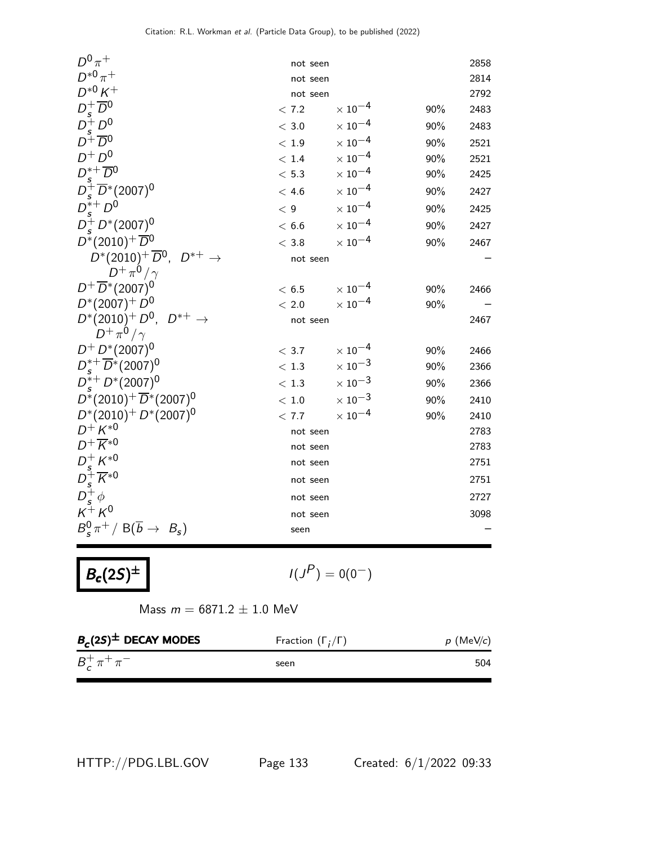| $D^0\pi^+$                                                                                 | not seen |                           |     | 2858 |
|--------------------------------------------------------------------------------------------|----------|---------------------------|-----|------|
| $D^{*0}\pi^+$                                                                              | not seen |                           |     | 2814 |
| $D^{*0} K^+$                                                                               | not seen |                           |     | 2792 |
|                                                                                            | < 7.2    | $\times$ 10 <sup>-4</sup> | 90% | 2483 |
| $D_s^+ \overline{D}^0$<br>$D_s^+ D^0$                                                      | $<$ 3.0  | $\times$ 10 <sup>-4</sup> | 90% | 2483 |
| $D^{\mp} \overline{D}{}^0$                                                                 | < 1.9    | $\times$ $10^{-4}$        | 90% | 2521 |
| $D^+D^0$                                                                                   | < 1.4    | $\times$ 10 $^{-4}$       | 90% | 2521 |
|                                                                                            | < 5.3    | $\times$ $10^{-4}$        | 90% | 2425 |
| $D_s^* + \overline{D^0}$<br>$D_s^+ \overline{D}^*$ (2007) <sup>0</sup><br>$D_s^{*+}$ $D^0$ | < 4.6    | $\times$ $10^{-4}$        | 90% | 2427 |
|                                                                                            | < 9      | $\times$ $10^{-4}$        | 90% | 2425 |
| $D_s^+ D^*(2007)^0$                                                                        | < 6.6    | $\times$ 10 <sup>-4</sup> | 90% | 2427 |
| $D^*(2010)^+\overline{D}{}^0$                                                              | $<$ 3.8  | $\times$ 10 $^{-4}$       | 90% | 2467 |
| $D^*(2010)^+\overline{D}^0$ , $D^{*+} \rightarrow$                                         | not seen |                           |     |      |
| $D^+\pi^0/\gamma$                                                                          |          |                           |     |      |
| $D^+ \overline{D}^*(2007)^0$                                                               | < 6.5    | $\times$ 10 $^{-4}$       | 90% | 2466 |
| $D^*(2007)^+ D^0$                                                                          | < 2.0    | $\times$ 10 <sup>-4</sup> | 90% |      |
| $D^*(2010)^+ D^0$ , $D^{*+} \rightarrow$                                                   | not seen |                           |     | 2467 |
| $D^+\pi^0/\gamma$                                                                          |          |                           |     |      |
| $D^+ D^*(2007)^0$                                                                          | < 3.7    | $\times$ 10 <sup>-4</sup> | 90% | 2466 |
| $D_s^{*+}\overline{D}{}^*(2007)^0$                                                         | $<\,1.3$ | $\times\,10^{-3}$         | 90% | 2366 |
| $D_s^{*+}D^{*}(2007)^0$                                                                    | < 1.3    | $\times$ 10 <sup>-3</sup> | 90% | 2366 |
| $D^*(2010)^+ \overline{D}^*(2007)^0$                                                       | < 1.0    | $\times$ 10 $^{-3}$       | 90% | 2410 |
| $D^*(2010)^+ D^*(2007)^0$                                                                  | < 7.7    | $\times$ 10 <sup>-4</sup> | 90% | 2410 |
| $D^{+} K^{*0}$                                                                             | not seen |                           |     | 2783 |
| $D^+\overline{K}{}^{*0}$                                                                   | not seen |                           |     | 2783 |
|                                                                                            | not seen |                           |     | 2751 |
| $D_s^+ K^{*0}$<br>$D_s^+ K^{*0}$<br>$D_s^+ \phi$<br>$K^+ K^0$                              | not seen |                           |     | 2751 |
|                                                                                            | not seen |                           |     | 2727 |
|                                                                                            | not seen |                           |     | 3098 |
| $B_s^0 \pi^+ / B(\overline{b} \rightarrow B_s)$                                            | seen     |                           |     |      |
|                                                                                            |          |                           |     |      |

Citation: R.L. Workman et al. (Particle Data Group), to be published (2022)

$$
B_c(2S)^{\pm} \qquad \qquad I(J^P) = 0(0^-)
$$

Mass  $m = 6871.2 \pm 1.0$  MeV

| $B_c(2S)$ <sup><math>\pm</math></sup> DECAY MODES | Fraction $(\Gamma_i/\Gamma)$ | $p$ (MeV/c) |
|---------------------------------------------------|------------------------------|-------------|
| $B_{c}^{+}\pi^{+}\pi^{-}$                         | seen                         | 504         |

HTTP://PDG.LBL.GOV Page 133 Created: 6/1/2022 09:33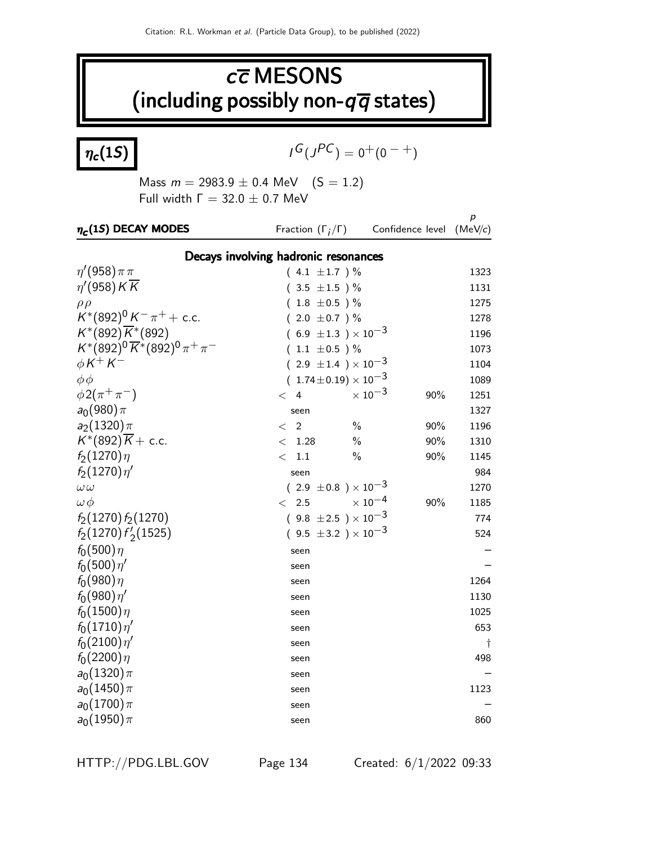## $c\overline{c}$  MESONS (including possibly non- $q\overline{q}$  states)

 $\eta_c(1S)$ 

$$
I^G(J^{PC}) = 0^+(0^{-+})
$$

Mass  $m = 2983.9 \pm 0.4$  MeV  $(S = 1.2)$ Full width  $Γ = 32.0 ± 0.7$  MeV

| $\eta_c(1S)$ DECAY MODES                       | Fraction $(\Gamma_i/\Gamma)$         | Confidence level          |     | p<br>(MeV/c) |
|------------------------------------------------|--------------------------------------|---------------------------|-----|--------------|
|                                                | Decays involving hadronic resonances |                           |     |              |
| $\eta'(958)\pi\pi$                             | $(4.1 \pm 1.7) \%$                   |                           |     | 1323         |
| $\eta'(958)K\overline{K}$                      | $(3.5 \pm 1.5)$ %                    |                           |     | 1131         |
| $\rho \rho$                                    | $(1.8 \pm 0.5)$ %                    |                           |     | 1275         |
| $K^*(892)^0 K^- \pi^+ +$ c.c.                  | $(2.0 \pm 0.7)$ %                    |                           |     | 1278         |
| $K^*(892)\overline{K}^*(892)$                  | $(6.9 \pm 1.3) \times 10^{-3}$       |                           |     | 1196         |
| $K^*(892)^0 \overline{K}^*(892)^0 \pi^+ \pi^-$ | $(1.1 \pm 0.5) \%$                   |                           |     | 1073         |
| $\phi K^+ K^-$                                 | $(2.9 \pm 1.4) \times 10^{-3}$       |                           |     | 1104         |
| $\phi \phi$                                    | $(.1.74\!\pm\!0.19)\times 10^{-3}$   |                           |     | 1089         |
| $\phi 2(\pi^+\pi^-)$                           | $<$ 4                                | $\times$ 10 <sup>-3</sup> | 90% | 1251         |
| $a_0(980)\pi$                                  | seen                                 |                           |     | 1327         |
| $a_2(1320)\pi$                                 | $\overline{2}$<br>$\,<\,$            | $\frac{0}{0}$             | 90% | 1196         |
| $K^*(892)\overline{K}$ + c.c.                  | 1.28<br>$\lt$                        | $\%$                      | 90% | 1310         |
| $f_2(1270)\eta$                                | 1.1<br>$\lt$                         | $\%$                      | 90% | 1145         |
| $f_2(1270)\eta'$                               | seen                                 |                           |     | 984          |
| $\omega \omega$                                | $(2.9 \pm 0.8) \times 10^{-3}$       |                           |     | 1270         |
| $\omega \phi$                                  | 2.5<br>$\lt$                         | $\times$ 10 $^{-4}$       | 90% | 1185         |
| $f_2(1270) f_2(1270)$                          | $(9.8 \pm 2.5) \times 10^{-3}$       |                           |     | 774          |
| $f_2(1270) f'_2(1525)$                         | $(9.5 \pm 3.2) \times 10^{-3}$       |                           |     | 524          |
| $f_0(500)\eta$                                 | seen                                 |                           |     |              |
| $f_0(500)\eta'$                                | seen                                 |                           |     |              |
| $f_0(980)\eta$                                 | seen                                 |                           |     | 1264         |
| $f_0(980)\eta'$                                | seen                                 |                           |     | 1130         |
| $f_0(1500)\eta$                                | seen                                 |                           |     | 1025         |
| $f_0(1710)\eta'$                               | seen                                 |                           |     | 653          |
| $f_0(2100)\eta'$                               | seen                                 |                           |     | $\dagger$    |
| $f_0(2200)\eta$                                | seen                                 |                           |     | 498          |
| $a_0(1320)\pi$                                 | seen                                 |                           |     |              |
| $a_0(1450)\pi$                                 | seen                                 |                           |     | 1123         |
| $a_0(1700)\pi$                                 | seen                                 |                           |     |              |
| $a_0(1950)\pi$                                 | seen                                 |                           |     | 860          |

HTTP://PDG.LBL.GOV Page 134 Created: 6/1/2022 09:33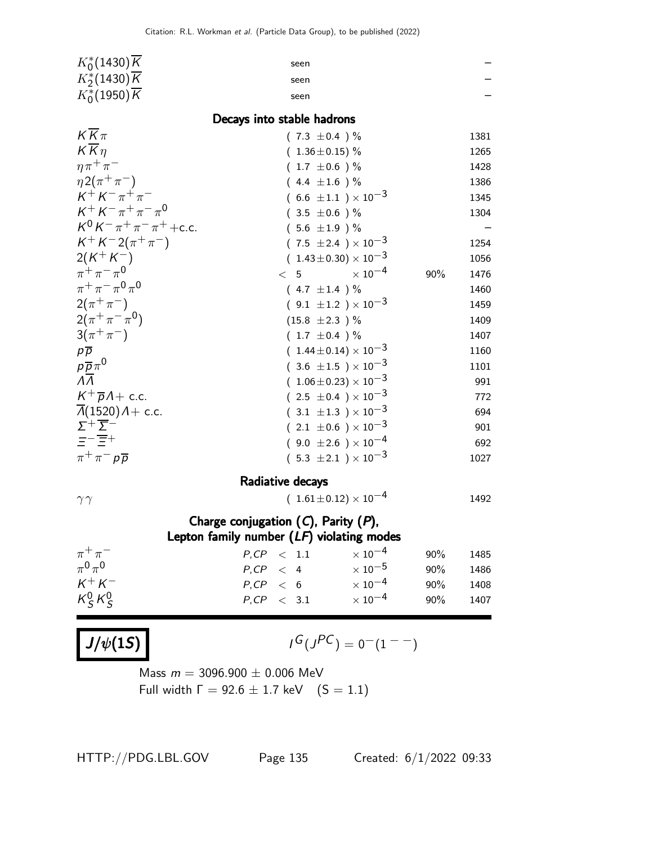| $K_0^*(1430)\overline{K}$                                    | seen                                 |                           |     |      |
|--------------------------------------------------------------|--------------------------------------|---------------------------|-----|------|
| $K_2^*(1430)\overline{K}$                                    | seen                                 |                           |     |      |
| $K_0^*(1950)\overline{K}$                                    | seen                                 |                           |     |      |
|                                                              | Decays into stable hadrons           |                           |     |      |
| $K\overline{K}\pi$                                           | $(7.3 \pm 0.4)$ %                    |                           |     | 1381 |
| $K\overline{K}\eta$                                          | $(1.36 \pm 0.15)\%$                  |                           |     | 1265 |
| $\eta \pi^+ \pi^-$                                           | $(1.7 \pm 0.6)$ %                    |                           |     | 1428 |
| $\eta 2(\pi^+\pi^-)$                                         | $(4.4 \pm 1.6)$ %                    |                           |     | 1386 |
| $K^+ K^- \pi^+ \pi^-$                                        | (6.6 $\pm 1.1$ ) $\times$ 10 $^{-3}$ |                           |     | 1345 |
| $K^+ K^- \pi^+ \pi^- \pi^0$                                  | $(3.5 \pm 0.6)$ %                    |                           |     | 1304 |
| $K^0 K^- \pi^+ \pi^- \pi^+ + c.c.$                           | $(5.6 \pm 1.9)$ %                    |                           |     |      |
| $K^+ K^- 2(\pi^+ \pi^-)$                                     | $(7.5 \pm 2.4) \times 10^{-3}$       |                           |     | 1254 |
| $2(K^+K^-)$                                                  | $(1.43 \pm 0.30) \times 10^{-3}$     |                           |     | 1056 |
| $\pi^{+}\pi^{-}\pi^{0}$                                      | < 5                                  | $\times$ 10 <sup>-4</sup> | 90% | 1476 |
| $\pi^{+}\pi^{-}\pi^{0}\pi^{0}$                               | $(4.7 \pm 1.4)$ %                    |                           |     | 1460 |
| $2(\pi^{+}\pi^{-})$                                          | $(9.1 \pm 1.2) \times 10^{-3}$       |                           |     | 1459 |
| $2(\pi^+\pi^-\pi^0)$                                         | $(15.8 \pm 2.3)$ %                   |                           |     | 1409 |
| $3(\pi^{+}\pi^{-})$                                          | $(1.7 \pm 0.4)$ %                    |                           |     | 1407 |
| $p\overline{p}$                                              | $(1.44 \pm 0.14) \times 10^{-3}$     |                           |     | 1160 |
| $\frac{\rho\overline{\rho}\pi^0}{\Lambda\overline{\Lambda}}$ | $(3.6 \pm 1.5) \times 10^{-3}$       |                           |     | 1101 |
|                                                              | $(1.06\pm0.23)\times10^{-3}$         |                           |     | 991  |
| $K^+\overline{p}A+$ c.c.                                     | $(2.5 \pm 0.4) \times 10^{-3}$       |                           |     | 772  |
| $\overline{\Lambda}(1520)$ $\Lambda$ + c.c.                  | $(3.1 \pm 1.3) \times 10^{-3}$       |                           |     | 694  |
| $\Sigma^+\overline{\Sigma}^-$                                | $(2.1\ \pm0.6\ )\times10^{-3}$       |                           |     | 901  |
| $=-\overline{\Xi}+$                                          | $(9.0 \pm 2.6) \times 10^{-4}$       |                           |     | 692  |
| $\pi^+\pi^-p\overline{p}$                                    | $(5.3 \pm 2.1) \times 10^{-3}$       |                           |     | 1027 |
|                                                              | Radiative decays                     |                           |     |      |
| $\gamma\gamma$                                               | $(1.61 \pm 0.12) \times 10^{-4}$     |                           |     | 1492 |
| Charge conjugation $(C)$ , Parity $(P)$ ,                    |                                      |                           |     |      |
| Lepton family number $(LF)$ violating modes                  |                                      |                           |     |      |
| $\pi^+\pi^-$                                                 | $P, CP \leq 1.1$                     | $\times$ 10 <sup>-4</sup> | 90% | 1485 |
| $\pi^0\pi^0$                                                 | $P, CP \leq 4$                       | $\times$ $10^{-5}$        | 90% | 1486 |
| $K^+ K^-$                                                    | $P, CP \leq 6$                       | $\times$ 10 <sup>-4</sup> | 90% | 1408 |
| $K_S^0 K_S^0$                                                | $P, CP \leq 3.1$                     | $\times$ 10 $^{-4}$       | 90% | 1407 |
|                                                              |                                      |                           |     |      |
|                                                              |                                      |                           |     |      |
| $J/\psi(1S)$                                                 | $I^G(J^{PC})=0^-(1^{--})$            |                           |     |      |
| 2006.000 $\pm$ 0.006 $\mu$ $\lambda$                         |                                      |                           |     |      |

Mass  $m = 3096.900 \pm 0.006$  MeV Full width  $\Gamma = 92.6 \pm 1.7$  keV  $(S = 1.1)$ 

HTTP://PDG.LBL.GOV Page 135 Created: 6/1/2022 09:33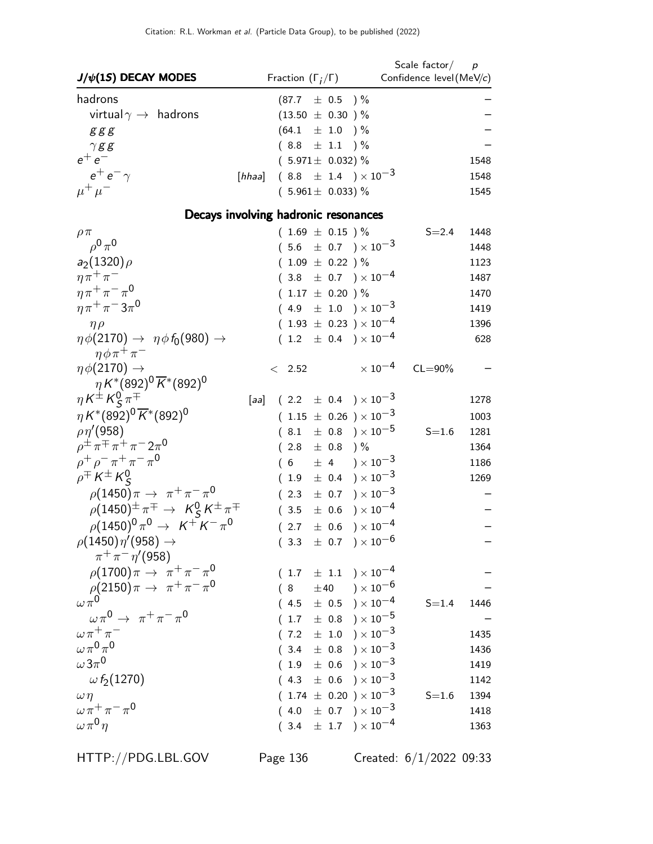| $J/\psi(1S)$ DECAY MODES                                         | Fraction $(\Gamma_i/\Gamma)$         | Scale factor $/$ p<br>Confidence level (MeV/c) |
|------------------------------------------------------------------|--------------------------------------|------------------------------------------------|
| hadrons                                                          | $(87.7 \pm 0.5)$ %                   |                                                |
| virtual $\gamma \rightarrow$ hadrons                             | $(13.50 \pm 0.30)$ %                 |                                                |
| ggg                                                              | $(64.1 \pm 1.0)$ %                   |                                                |
| $\gamma$ gg                                                      | $(8.8 \pm 1.1) \%$                   |                                                |
| $e^+e^-$                                                         | $(5.971 \pm 0.032)$ %                | 1548                                           |
| $e^+e^-\gamma$<br>[hhaa]                                         | $(8.8 \pm 1.4) \times 10^{-3}$       | 1548                                           |
| $\mu^+ \mu^-$                                                    | $(5.961 \pm 0.033)$ %                | 1545                                           |
|                                                                  | Decays involving hadronic resonances |                                                |
| $\rho \pi$                                                       | $(1.69 \pm 0.15) \%$                 | $S = 2.4$<br>1448                              |
| $\rho^0 \pi^0$                                                   | $(5.6 \pm 0.7) \times 10^{-3}$       | 1448                                           |
| $a_2(1320)\rho$                                                  | $(1.09 \pm 0.22)$ %                  | 1123                                           |
| $\eta \pi^+ \pi^-$                                               | $(3.8 \pm 0.7) \times 10^{-4}$       | 1487                                           |
| $\eta \pi^+ \pi^- \pi^0$                                         | $(1.17 \pm 0.20)$ %                  | 1470                                           |
| $\eta \pi^+ \pi^- 3 \pi^0$                                       | $(4.9 \pm 1.0) \times 10^{-3}$       | 1419                                           |
| $\eta \rho$                                                      | $(1.93 \pm 0.23) \times 10^{-4}$     | 1396                                           |
| $\eta \phi(2170) \rightarrow \eta \phi f_0(980) \rightarrow$     | $(1.2 \pm 0.4) \times 10^{-4}$       | 628                                            |
| $\eta \phi \pi^+ \pi^-$                                          |                                      |                                                |
| $\eta \phi(2170) \rightarrow$                                    | $< 2.52$                             | $\times$ 10 $^{-4}$<br>$CL = 90\%$             |
| $\eta K^{*}(892)^{0} \overline{K}^{*}(892)^{0}$                  |                                      |                                                |
| $\eta K^{\pm} K_S^0 \pi^{\mp}$                                   | [aa] $(2.2 \pm 0.4) \times 10^{-3}$  | 1278                                           |
| $\eta K^*(892)^0 \overline{K}^*(892)^0$                          | $(1.15 \pm 0.26) \times 10^{-3}$     | 1003                                           |
| $\rho\eta^{\prime}(958)$                                         | $(8.1 \pm 0.8) \times 10^{-5}$       | $S = 1.6$<br>1281                              |
| $\rho^{\pm} \pi^{\mp} \pi^+ \pi^- 2\pi^0$                        | $(2.8 \pm 0.8)$ %                    | 1364                                           |
| $\rho^+ \rho^- \pi^+ \pi^- \pi^0$                                | $(6 \pm 4) \times 10^{-3}$           | 1186                                           |
| $\rho^{\mp} K^{\pm} K^0_S$                                       | $(1.9 \pm 0.4) \times 10^{-3}$       | 1269                                           |
| $\rho(1450)\pi \to \pi^+\pi^-\pi^0$                              | $(2.3 \pm 0.7) \times 10^{-3}$       |                                                |
| $\rho(1450)^{\pm} \pi^{\mp} \rightarrow K^0_S K^{\pm} \pi^{\mp}$ | $(3.5 \pm 0.6) \times 10^{-4}$       |                                                |
| $\rho (1450)^0 \pi^0 \to K^+ K^- \pi^0$                          | $(2.7 \pm 0.6) \times 10^{-4}$       |                                                |
| $\rho(1450)\eta'(958)\to$                                        | $(3.3 \pm 0.7) \times 10^{-6}$       |                                                |
| $\pi^{+}\pi^{-}\eta'$ (958)                                      |                                      |                                                |
| $\rho(1700)\pi \to \pi^+\pi^-\pi^0$                              | $(1.7 \pm 1.1) \times 10^{-4}$       |                                                |
| $\rho(2150)\pi \to \pi^+\pi^-\pi^0$                              | $(8 + 40) \times 10^{-6}$            |                                                |
| $\omega \pi^0$                                                   | $(4.5 \pm 0.5) \times 10^{-4}$       | $S = 1.4$<br>1446                              |
| $\omega \pi^0 \rightarrow \pi^+ \pi^- \pi^0$                     | $(1.7 \pm 0.8) \times 10^{-5}$       |                                                |
| $\omega \pi^+ \pi^-$                                             | $(7.2 \pm 1.0) \times 10^{-3}$       | 1435                                           |
| $\omega\pi^{0}\pi^{0}$                                           | $(3.4 \pm 0.8) \times 10^{-3}$       | 1436                                           |
| $\omega\,3\pi^0$                                                 | $(1.9 \pm 0.6) \times 10^{-3}$       | 1419                                           |
| $\omega f_2(1270)$                                               | $(4.3 \pm 0.6) \times 10^{-3}$       | 1142                                           |
| $\omega \eta$                                                    | $(1.74 \pm 0.20) \times 10^{-3}$     | $S = 1.6$<br>1394                              |
| $\omega \pi^+ \pi^- \pi^0$                                       | $(4.0 \pm 0.7) \times 10^{-3}$       | 1418                                           |
| $\omega \pi^0 \eta$                                              | $(3.4 \pm 1.7) \times 10^{-4}$       | 1363                                           |

HTTP://PDG.LBL.GOV Page 136 Created: 6/1/2022 09:33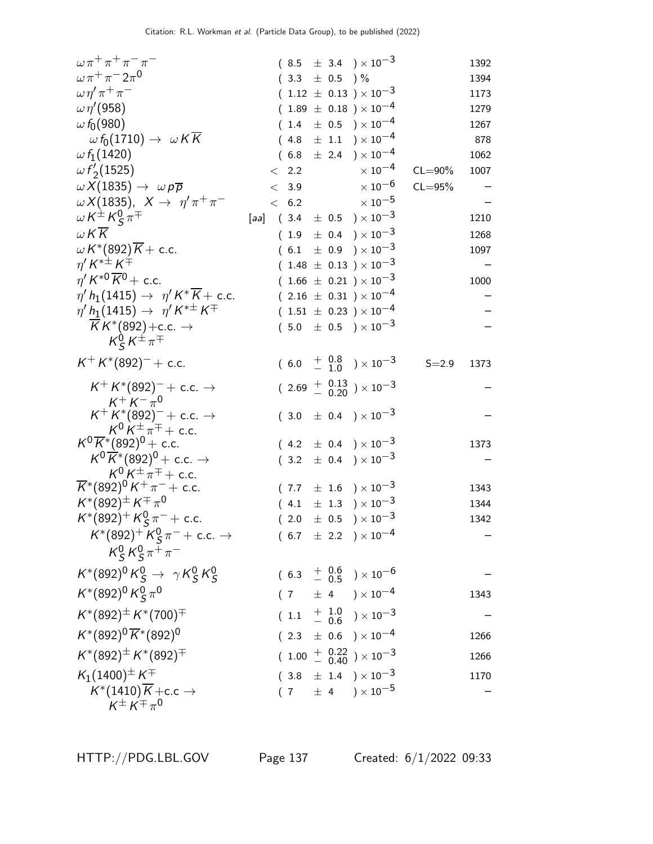| $\omega \pi^+ \pi^+ \pi^- \pi^-$                                                     |      |                   |  | $(8.5 \pm 3.4) \times 10^{-3}$                                        |             | 1392 |
|--------------------------------------------------------------------------------------|------|-------------------|--|-----------------------------------------------------------------------|-------------|------|
| $\omega \pi^+ \pi^- 2 \pi^0$                                                         |      | $(3.3 \pm 0.5)$ % |  |                                                                       |             | 1394 |
| $\omega \eta' \pi^+ \pi^-$                                                           |      |                   |  | $(1.12 \pm 0.13) \times 10^{-3}$                                      |             | 1173 |
| $\omega \eta^{\prime}(958)$                                                          |      |                   |  | $(1.89 \pm 0.18) \times 10^{-4}$                                      |             | 1279 |
| $\omega f_0(980)$                                                                    |      |                   |  | $(1.4 \pm 0.5) \times 10^{-4}$                                        |             | 1267 |
| $\omega f_0(1710) \rightarrow \omega K K$                                            |      |                   |  | $(4.8 \pm 1.1) \times 10^{-4}$                                        |             | 878  |
| $\omega f_1(1420)$                                                                   |      |                   |  | $(6.8 \pm 2.4) \times 10^{-4}$                                        |             | 1062 |
| $\omega f_2(1525)$                                                                   |      | $\langle$ 2.2     |  | $\times$ 10 $^{-4}$                                                   | $CL = 90\%$ | 1007 |
| $\omega X(1835) \rightarrow \omega p \overline{p}$                                   |      | < 3.9             |  | $\times$ 10 $^{-6}$                                                   | $CL = 95%$  |      |
| $\omega X(1835), X \rightarrow \eta' \pi^+ \pi^-$                                    |      |                   |  | $< 6.2 \times 10^{-5}$                                                |             |      |
| $\omega K^{\pm} K^0_S \pi^{\mp}$                                                     | [aa] |                   |  | $(3.4 \pm 0.5) \times 10^{-3}$                                        |             | 1210 |
| W K K                                                                                |      |                   |  | $(1.9 \pm 0.4) \times 10^{-3}$                                        |             | 1268 |
| $\omega K^{*}(892)K +$ c.c.<br>$\eta' K^{*\pm} K^{\mp}$                              |      |                   |  | $(6.1 \pm 0.9) \times 10^{-3}$                                        |             | 1097 |
| $\eta' K^{*0} \overline{K}{}^0$ + c.c.                                               |      |                   |  | $(1.48 \pm 0.13) \times 10^{-3}$<br>$(1.66 \pm 0.21) \times 10^{-3}$  |             | 1000 |
| $\eta' h_1(1415) \rightarrow \eta' K^* \overline{K}$ + c.c.                          |      |                   |  | $(2.16 \pm 0.31) \times 10^{-4}$                                      |             |      |
| $\eta' h_1(1415) \rightarrow \eta' K^{*\pm} K^{\mp}$                                 |      |                   |  | $(1.51 \pm 0.23) \times 10^{-4}$                                      |             |      |
|                                                                                      |      |                   |  | $(5.0 \pm 0.5) \times 10^{-3}$                                        |             |      |
| $\frac{\overline{K}K^*(892)+c.c. \rightarrow}{K^0_S K^{\pm}\pi^{\mp}}$               |      |                   |  |                                                                       |             |      |
| $K^+ K^*(892)^-$ + c.c.                                                              |      |                   |  | $(6.0 + \frac{0.8}{1.0}) \times 10^{-3}$                              | $S = 2.9$   | 1373 |
| $K^+ K^*(892)^-$ + c.c. $\rightarrow$                                                |      |                   |  | $(2.69 + \begin{array}{c} 0.13 \\ - 0.20 \end{array}) \times 10^{-3}$ |             |      |
| $K^+ K^- \pi^0$<br>$K^+ K^*(892)^- +$ c.c. $\rightarrow$                             |      |                   |  | $(3.0 \pm 0.4) \times 10^{-3}$                                        |             |      |
| $K^0 K^{\pm} \pi^{\mp} +$ c.c.                                                       |      |                   |  |                                                                       |             |      |
| $K^0 \overline{K}{}^* (892)^0$ + c.c.                                                |      |                   |  | $(4.2 \pm 0.4) \times 10^{-3}$                                        |             | 1373 |
| $K^0 \overline{K}{}^*(892)^0$ + c.c. $\rightarrow$<br>$K^0 K^{\pm} \pi^{\mp} +$ c.c. |      |                   |  | $(3.2 \pm 0.4) \times 10^{-3}$                                        |             |      |
| $\overline{K}$ *(892) <sup>0</sup> K <sup>+</sup> $\pi^-$ + c.c.                     |      |                   |  | $(7.7 \pm 1.6) \times 10^{-3}$                                        |             | 1343 |
| $K^{*}(892)^{\pm} K^{\mp} \pi^{0}$                                                   |      |                   |  | $(4.1 \pm 1.3) \times 10^{-3}$                                        |             | 1344 |
| $K^*(892)^+ K^0_S \pi^-$ + c.c.                                                      |      |                   |  | $(2.0 \pm 0.5) \times 10^{-3}$                                        |             | 1342 |
| $K^*(892)^+$ $K^0_S \pi^-$ + c.c. $\rightarrow$                                      |      |                   |  | $(6.7 \pm 2.2) \times 10^{-4}$                                        |             |      |
| $K_S^0 K_S^0 \pi^+ \pi^-$                                                            |      |                   |  |                                                                       |             |      |
| $K^*(892)^0 K^0_S \to \gamma K^0_S K^0_S$                                            |      |                   |  | $(6.3 + \frac{0.6}{0.5}) \times 10^{-6}$                              |             |      |
| $K^*(892)^0 K_S^0 \pi^0$                                                             |      |                   |  | $(7 \pm 4) \times 10^{-4}$                                            |             | 1343 |
| $K^*(892)^\pm K^*(700)^\mp$                                                          |      |                   |  | $(1.1 + \frac{1.0}{0.6}) \times 10^{-3}$                              |             |      |
| $K^*(892)^0 \overline{K}^*(892)^0$                                                   |      |                   |  | $(2.3 \pm 0.6) \times 10^{-4}$                                        |             | 1266 |
| $K^*(892)^\pm K^*(892)^\mp$                                                          |      |                   |  | $(1.00 + \begin{array}{c} 0.22 \\ - 0.40 \end{array}) \times 10^{-3}$ |             | 1266 |
| $K_1(1400)^{\pm} K^{\mp}$                                                            |      |                   |  | $(3.8 \pm 1.4) \times 10^{-3}$                                        |             | 1170 |
| $K^*(1410)\overline{K}$ + c.c $\rightarrow$<br>$K^{\pm} K^{\mp} \pi^0$               |      |                   |  | $(7 \pm 4) \times 10^{-5}$                                            |             |      |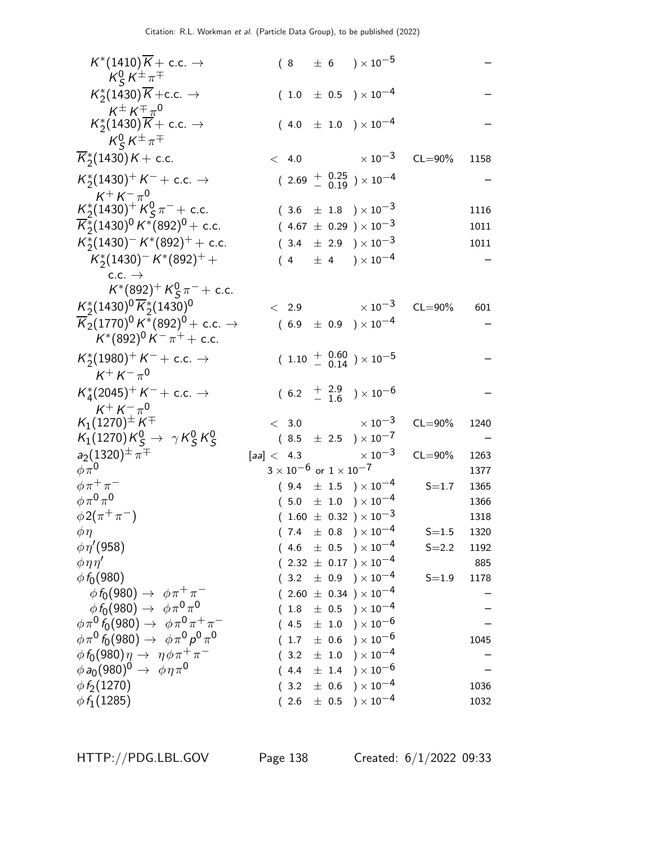| $K^*(1410)\overline{K}$ + c.c. $\rightarrow$<br>$K_S^0 K^{\pm} \pi^{\mp}$                                 |            |                                      |           | $(8 \pm 6) \times 10^{-5}$                                                 |             |             |
|-----------------------------------------------------------------------------------------------------------|------------|--------------------------------------|-----------|----------------------------------------------------------------------------|-------------|-------------|
| $K_2^*(1430)\overline{K}$ + c.c. $\rightarrow$                                                            |            |                                      |           | $(1.0 \pm 0.5) \times 10^{-4}$                                             |             |             |
| $K^{\pm} K^{\mp} \pi^0$<br>$K_{2}^{*}(1430)\overline{K}+$ c.c. $\rightarrow$<br>$K_S^0 K^{\pm} \pi^{\mp}$ |            |                                      |           | $(4.0 \pm 1.0) \times 10^{-4}$                                             |             |             |
| $\overline{K}_{2}^{*}(1430)K+$ c.c.                                                                       |            | < 4.0                                |           | $\times$ 10 $^{-3}$                                                        | $CL = 90\%$ | 1158        |
| $K_2^*(1430)^+ K^- +$ c.c. $\rightarrow$<br>$K^+ K^- \pi^0$                                               |            |                                      |           | $(2.69 + \begin{array}{c} 0.25 \\ 0.19 \end{array}) \times 10^{-4}$        |             |             |
| $K_2^*(1430)^+ K_S^0 \pi^- +$ c.c.                                                                        |            |                                      |           | $(3.6 \pm 1.8) \times 10^{-3}$                                             |             | 1116        |
| $\overline{K}_2^*(1430)^0 K^*(892)^0$ + c.c.                                                              |            |                                      |           | $(4.67 \pm 0.29) \times 10^{-3}$                                           |             | 1011        |
| $K_2^*(1430)^- K^*(892)^+ +$ c.c.                                                                         |            |                                      |           | $(3.4 \pm 2.9) \times 10^{-3}$                                             |             | 1011        |
| $K_2^*(1430)^- K^*(892)^+ +$                                                                              |            |                                      |           | $(4 \pm 4) \times 10^{-4}$                                                 |             |             |
| $c.c. \rightarrow$                                                                                        |            |                                      |           |                                                                            |             |             |
| $K^*(892)^+ K^0_S \pi^-$ + c.c.                                                                           |            |                                      |           |                                                                            |             |             |
| $K_2^*(1430)^0\overline{K}_2^*(1430)^0$                                                                   |            | < 2.9                                |           | $\times$ 10 $^{-3}$                                                        | $CL = 90\%$ | 601         |
| $\overline{\mathsf{K}}_2(1770)^0\,\mathsf{K}^*(892)^0\!+$ c.c. $\rightarrow$                              |            |                                      |           | $(6.9 \pm 0.9) \times 10^{-4}$                                             |             |             |
| $K^*(892)^0 K^- \pi^+ +$ c.c.                                                                             |            |                                      |           |                                                                            |             |             |
| $K_2^*(1980)^+ K^- +$ c.c. $\rightarrow$<br>$K^+ K^- \pi^0$                                               |            |                                      |           | $(1.10 + \begin{array}{c} 0.60 \\ - 0.14 \end{array}) \times 10^{-5}$      |             |             |
| $K_4^*(2045)^+ K^- +$ c.c. $\rightarrow$<br>$K^+ K^- \pi^0$                                               |            |                                      |           | $(6.2 + \frac{2.9}{1.6}) \times 10^{-6}$                                   |             |             |
| $K_1(1270)^{\pm} K^{\mp}$                                                                                 |            |                                      |           | $< 3.0 \times 10^{-3}$                                                     | $CL = 90\%$ | 1240        |
| $K_1(1270)K_S^0\rightarrow \gamma K_S^0K_S^0$                                                             |            |                                      |           | $(8.5 \pm 2.5) \times 10^{-7}$                                             |             |             |
| $a_2(1320)^{\pm} \pi^{\mp}$                                                                               | [aa] < 4.3 |                                      |           | $\times$ 10 $^{-3}$                                                        | $CL = 90\%$ | 1263        |
| $\phi\pi^0$                                                                                               |            | $3\times10^{-6}$ or $1\times10^{-7}$ |           |                                                                            |             | 1377        |
| $\phi \pi^+ \pi^-$                                                                                        |            |                                      |           | $(9.4 \pm 1.5) \times 10^{-4}$                                             | $S = 1.7$   | 1365        |
| $\phi \pi^0 \pi^0$                                                                                        |            |                                      |           | $(5.0 \pm 1.0) \times 10^{-4}$                                             |             | 1366        |
| $\phi 2(\pi^+\pi^-)$                                                                                      |            |                                      |           | $(1.60 \pm 0.32) \times 10^{-3}$                                           |             | 1318        |
| $\phi\eta$                                                                                                |            |                                      |           | $(7.4 \pm 0.8) \times 10^{-4}$                                             | $S = 1.5$   | 1320        |
| $\phi \eta' (958)$                                                                                        |            |                                      |           | $(4.6 \pm 0.5) \times 10^{-4}$                                             | $S = 2.2$   | 1192        |
| $\phi \eta \eta'$<br>$\phi f_0(980)$                                                                      |            |                                      |           | $(2.32 \pm 0.17) \times 10^{-4}$<br>$(3.2 \pm 0.9) \times 10^{-4}$         | $S = 1.9$   | 885<br>1178 |
| $\phi f_0(980) \rightarrow \phi \pi^+ \pi^-$                                                              |            |                                      |           | $(2.60 \pm 0.34) \times 10^{-4}$                                           |             |             |
| $\phi f_0(980) \to \phi \pi^0 \pi^0$                                                                      |            |                                      |           | $(1.8\pm 0.5)\times 10^{-4}$                                               |             |             |
| $\phi \pi^0 f_0(980) \rightarrow \phi \pi^0 \pi^+ \pi^-$                                                  |            |                                      |           | $(4.5 \pm 1.0) \times 10^{-6}$                                             |             |             |
| $\phi \pi^0 f_0(980) \rightarrow \phi \pi^0 \rho^0 \pi^0$                                                 |            |                                      |           | $(\begin{array}{cc} 1.7 & \pm \end{array} 0.6 \end{array} )\times 10^{-6}$ |             | 1045        |
| $\phi f_0(980)\eta \rightarrow \eta \phi \pi^+ \pi^-$                                                     |            | (3.2)                                | $\pm$ 1.0 | ) $\times$ 10 $^{-4}$                                                      |             |             |
| $\phi a_0(980)^0 \rightarrow \phi \eta \pi^0$                                                             |            |                                      |           | $(4.4 \pm 1.4) \times 10^{-6}$                                             |             |             |
| $\phi f_2(1270)$                                                                                          |            | (3.2)                                |           |                                                                            |             |             |
| $\phi f_1(1285)$                                                                                          |            |                                      | $\pm$ 0.6 | $)\times10^{-4}$<br>$) \times 10^{-4}$                                     |             | 1036        |

HTTP://PDG.LBL.GOV Page 138 Created: 6/1/2022 09:33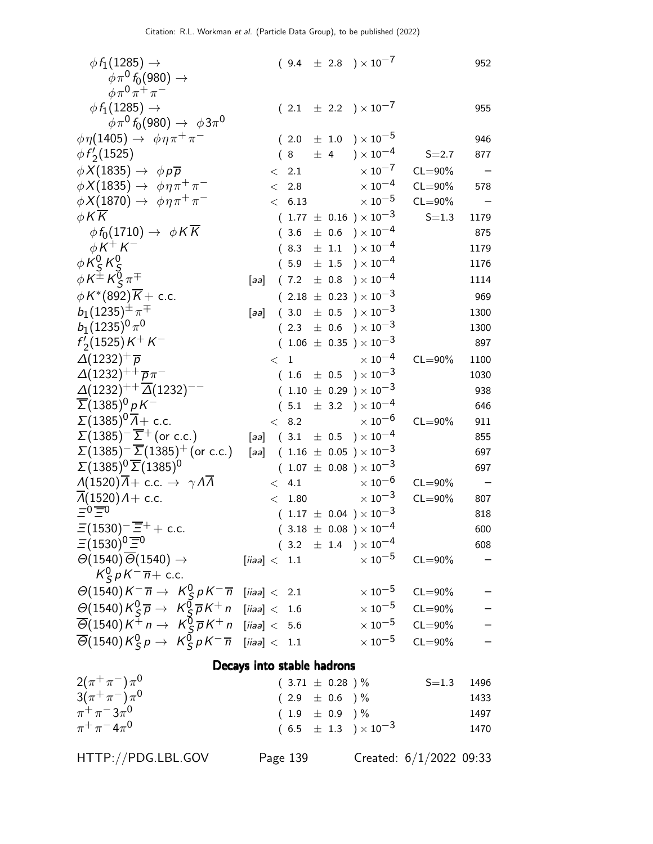| $\phi f_1(1285) \rightarrow$<br>$\phi \pi^0 f_0(980) \rightarrow$                                                               |                            |                     |  | $(9.4 \pm 2.8) \times 10^{-7}$                    |                         | 952                                                  |
|---------------------------------------------------------------------------------------------------------------------------------|----------------------------|---------------------|--|---------------------------------------------------|-------------------------|------------------------------------------------------|
| $\phi \pi^0 \pi^+ \pi^-$                                                                                                        |                            |                     |  |                                                   |                         |                                                      |
| $\phi f_1(1285) \rightarrow$                                                                                                    |                            |                     |  | $(2.1 \pm 2.2) \times 10^{-7}$                    |                         | 955                                                  |
| $\phi\pi^0 f_0(980) \rightarrow \phi 3\pi^0$                                                                                    |                            |                     |  |                                                   |                         |                                                      |
| $\phi \eta(1405) \rightarrow \phi \eta \pi^+ \pi^-$                                                                             |                            | (2.0)               |  | $\pm$ 1.0 $\$ $\times$ 10 <sup>-5</sup>           |                         | 946                                                  |
| $\phi f_2(1525)$                                                                                                                |                            | (8)                 |  | $\pm$ 4 ) $\times$ 10 <sup>-4</sup>               | $S = 2.7$               | 877                                                  |
| $\phi X(1835) \rightarrow \phi p \overline{p}$                                                                                  |                            | 2.1<br>$\lt$        |  | $\times$ 10 <sup>-7</sup>                         | $CL = 90\%$             | $\overline{\phantom{m}}$                             |
| $\phi X(1835) \rightarrow \phi \eta \pi^+ \pi^-$                                                                                |                            | 2.8<br>$\lt$        |  | $\times$ $10^{-4}$                                | $CL = 90\%$             | 578                                                  |
| $\phi X(1870) \rightarrow \phi \eta \pi^+ \pi^-$                                                                                |                            | < 6.13              |  | $\times$ 10 $^{-5}$                               | $CL = 90\%$             |                                                      |
| $\phi$ KK                                                                                                                       |                            |                     |  | $(1.77 \pm 0.16) \times 10^{-3}$                  | $S = 1.3$               | 1179                                                 |
| $\phi f_0(1710) \rightarrow \phi K K$                                                                                           |                            | (3.6)               |  | $\pm$ 0.6 $\mathrm{)}\times10^{-4}$               |                         | 875                                                  |
| $\phi K^+ K^-$                                                                                                                  |                            | (8.3)               |  | $\pm$ 1.1 $\rightarrow$ $\times$ 10 <sup>-4</sup> |                         | 1179                                                 |
| $\phi K_S^0 K_S^0$                                                                                                              |                            | (5.9)               |  | $\pm$ 1.5 $)\times10^{-4}$                        |                         | 1176                                                 |
| $\phi K^{\pm} K^0_S \pi^{\mp}$                                                                                                  | [aa]                       |                     |  | $(7.2 \pm 0.8) \times 10^{-4}$                    |                         | 1114                                                 |
| $\phi K^*(892)\overline{K}$ + c.c.                                                                                              |                            |                     |  | $(2.18 \pm 0.23) \times 10^{-3}$                  |                         | 969                                                  |
| $b_1(1235)^{\pm} \pi^{\mp}$                                                                                                     | [aa]                       |                     |  | $(3.0 \pm 0.5) \times 10^{-3}$                    |                         | 1300                                                 |
| $b_1(1235)^0 \pi^0$                                                                                                             |                            | (2.3)               |  | $\pm$ 0.6 ) $\times$ 10 $^{-3}$                   |                         | 1300                                                 |
| $f'_{2}(1525)K^{+}K^{-}$                                                                                                        |                            |                     |  | $(1.06 \pm 0.35) \times 10^{-3}$                  |                         | 897                                                  |
| $\Delta(1232)^{+}\overline{p}$                                                                                                  |                            | < 1                 |  | $\times$ 10 <sup>-4</sup>                         | $CL = 90\%$             | 1100                                                 |
| $\Delta(1232)^{++}$ $\overline{p}\pi^-$                                                                                         |                            |                     |  | $(1.6 \pm 0.5) \times 10^{-3}$                    |                         | 1030                                                 |
| $\Delta(1232)^{++} \overline{\Delta}(1232)^{--}$                                                                                |                            |                     |  | $(1.10 \pm 0.29) \times 10^{-3}$                  |                         | 938                                                  |
| $\overline{\Sigma}$ (1385) <sup>0</sup> pK <sup>-1</sup>                                                                        |                            |                     |  | $(5.1 \pm 3.2) \times 10^{-4}$                    |                         | 646                                                  |
| $\Sigma(1385)^{0}\overline{A}$ + c.c.                                                                                           |                            | < 8.2               |  | $\times$ 10 $^{-6}$                               | $CL = 90\%$             | 911                                                  |
| $\Sigma(1385)^{-} \overline{\Sigma}^{+}$ (or c.c.)                                                                              | [aa]                       |                     |  | $(3.1 \pm 0.5) \times 10^{-4}$                    |                         | 855                                                  |
| $\Sigma(1385)^{-} \Sigma(1385)^{+}$ (or c.c.)                                                                                   | [aa]                       |                     |  | $(1.16 \pm 0.05) \times 10^{-3}$                  |                         | 697                                                  |
| $\Sigma(1385)^{0}\overline{\Sigma}(1385)^{0}$                                                                                   |                            |                     |  | $(1.07 \pm 0.08) \times 10^{-3}$                  |                         | 697                                                  |
| $\Lambda(1520)\Lambda + \text{c.c.} \rightarrow \gamma \Lambda \Lambda$                                                         |                            | 4.1<br>$\lt$        |  | $\times$ 10 <sup>-6</sup>                         | $CL = 90\%$             | $\overline{\phantom{a}}$                             |
| $\overline{\Lambda}$ (1520) $\Lambda$ + c.c.<br>$\overline{z}$ <sup>0</sup> $\overline{\overline{z}}$ <sup>0</sup>              |                            | < 1.80              |  | $\times$ 10 <sup>-3</sup>                         | $CL = 90\%$             | 807                                                  |
|                                                                                                                                 |                            |                     |  | $(1.17 \pm 0.04) \times 10^{-3}$                  |                         | 818                                                  |
| $\Xi(1530)^-\overline{\Xi}{}^+{}+$ c.c.                                                                                         |                            |                     |  | $(3.18 \pm 0.08) \times 10^{-4}$                  |                         | 600                                                  |
| $\Xi(1530)^{0}\overline{\Xi}{}^{0}$                                                                                             |                            |                     |  | $(3.2 \pm 1.4) \times 10^{-4}$                    |                         | 608                                                  |
| $\Theta(1540)\overline{\Theta}(1540)\rightarrow$<br>$K_S^0 p K^- \overline{n}$ + c.c.                                           | [iiaa] < 1.1               |                     |  | $\times$ 10 <sup>-5</sup>                         | $CL = 90\%$             |                                                      |
| $\Theta(1540) K^- \overline{n} \rightarrow K_S^0 p K^- \overline{n}$ [iiaa] < 2.1                                               |                            |                     |  | $\times$ 10 $^{-5}$                               | $CL = 90\%$             |                                                      |
| $\mathcal{O}(1540)K_S^0\overline{p} \rightarrow K_S^0\overline{p}K^+n$ [iiaa] < 1.6                                             |                            |                     |  | $\times$ 10 $^{-5}$                               | $CL = 90\%$             |                                                      |
| $\overline{\Theta}$ (1540) $K^+ n \rightarrow K_S^0 \overline{p} K^+ n$ [iiaa] < 5.6                                            |                            |                     |  | $\times$ 10 $^{-5}$                               | $CL = 90\%$             | $\begin{array}{ccccccccc} 1 & 1 & 1 & 1 \end{array}$ |
| $\overline{\Theta}$ (1540) K $^0$ <sub>S</sub> p $\rightarrow$ K $^0$ <sub>S</sub> p K <sup>-</sup> $\overline{n}$ [iiaa] < 1.1 |                            |                     |  |                                                   | $\times 10^{-5}$ CL=90% |                                                      |
|                                                                                                                                 | Decays into stable hadrons |                     |  |                                                   |                         |                                                      |
| $2(\pi^+\pi^-)\pi^0$                                                                                                            |                            | $(3.71 \pm 0.28)$ % |  |                                                   | $S = 1.3$               | 1496                                                 |
| $3(\pi^{+}\pi^{-})\pi^{0}$                                                                                                      |                            | $(2.9 \pm 0.6) \%$  |  |                                                   |                         | 1433                                                 |
| $\pi^{+}\pi^{-}3\pi^{0}$                                                                                                        |                            | $(1.9 \pm 0.9)$ %   |  |                                                   |                         | 1497                                                 |
| $\pi^{+}\pi^{-}4\pi^{0}$                                                                                                        |                            |                     |  | $(6.5~\pm~1.3~)\times10^{-3}$                     |                         | 1470                                                 |

HTTP://PDG.LBL.GOV Page 139 Created: 6/1/2022 09:33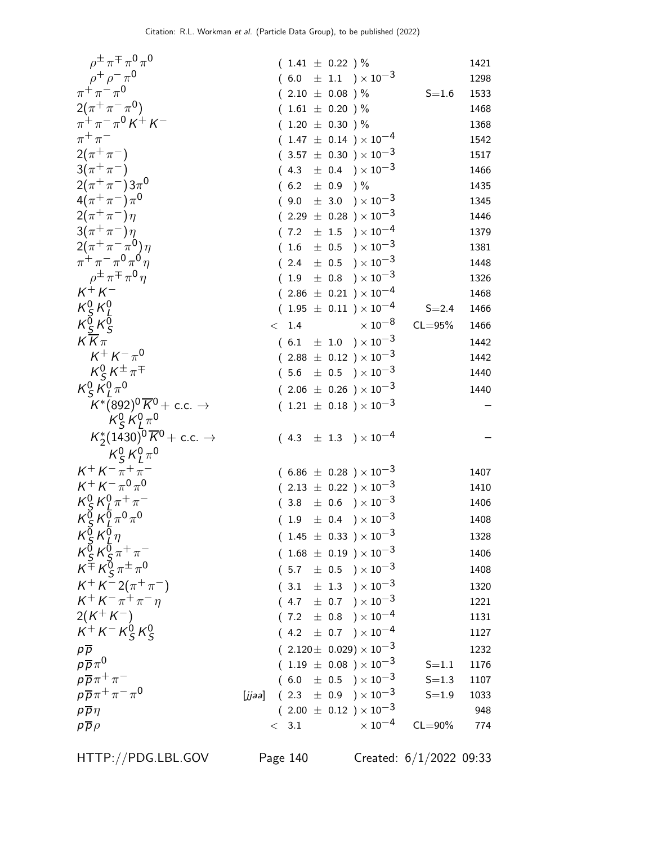| $\rho^{\pm} \pi^{\mp} \pi^0 \pi^0$                                     |        | $(1.41 \pm 0.22)$ %  |  |                                    |             | 1421 |
|------------------------------------------------------------------------|--------|----------------------|--|------------------------------------|-------------|------|
| $\rho^+ \rho^- \pi^0$                                                  |        |                      |  | $(6.0 \pm 1.1) \times 10^{-3}$     |             | 1298 |
| $\pi^{+}\pi^{-}\pi^{0}$                                                |        | $(2.10 \pm 0.08) \%$ |  |                                    | $S = 1.6$   | 1533 |
| $2(\pi^+\pi^-\pi^0)$                                                   |        | $(1.61 \pm 0.20)$ %  |  |                                    |             | 1468 |
| $\pi^+ \pi^- \pi^0 K^+ K^-$                                            |        | $(1.20 \pm 0.30)$ %  |  |                                    |             | 1368 |
| $\pi^+\pi^-$                                                           |        |                      |  | $(1.47 \pm 0.14) \times 10^{-4}$   |             | 1542 |
| $2(\pi^{+}\pi^{-})$                                                    |        |                      |  | $(3.57 \pm 0.30) \times 10^{-3}$   |             | 1517 |
| $3(\pi^{+}\pi^{-})$                                                    |        |                      |  | $(4.3 \pm 0.4) \times 10^{-3}$     |             | 1466 |
| $2(\pi^+\pi^-)3\pi^0$                                                  |        | $(6.2 \pm 0.9)$ %    |  |                                    |             | 1435 |
| $4(\pi^{+}\pi^{-})\pi^{0}$                                             |        |                      |  | $(9.0 \pm 3.0) \times 10^{-3}$     |             | 1345 |
| $2(\pi^{+}\pi^{-})\eta$                                                |        |                      |  | $(2.29 \pm 0.28) \times 10^{-3}$   |             | 1446 |
| $3(\pi^{+}\pi^{-})\eta$                                                |        |                      |  | $(7.2 \pm 1.5) \times 10^{-4}$     |             | 1379 |
| $2(\pi^+\pi^-\pi^0)\eta$                                               |        |                      |  | $(1.6 \pm 0.5) \times 10^{-3}$     |             | 1381 |
| $\pi^+ \pi^- \pi^0 \pi^0 n$                                            |        |                      |  | $(2.4 \pm 0.5) \times 10^{-3}$     |             | 1448 |
| $\rho^{\pm} \pi^{\mp} \pi^{\prime \prime} \eta$                        |        |                      |  | $(1.9 \pm 0.8) \times 10^{-3}$     |             | 1326 |
| $K^+ K^-$                                                              |        |                      |  | $(2.86 \pm 0.21) \times 10^{-4}$   |             | 1468 |
|                                                                        |        |                      |  | $(1.95 \pm 0.11) \times 10^{-4}$   | $S = 2.4$   | 1466 |
| $\begin{array}{c} K_S^0 \, K_L^0 \\ K_S^0 \, K_S^0 \end{array}$        |        | < 1.4                |  | $\times$ 10 <sup>-8</sup>          | $CL = 95%$  | 1466 |
| $K\overline{K}\pi$                                                     |        |                      |  | $(6.1 \pm 1.0) \times 10^{-3}$     |             | 1442 |
| $K^+ K^- \pi^0$                                                        |        |                      |  | $(2.88 \pm 0.12) \times 10^{-3}$   |             | 1442 |
| $K_S^0 K^{\pm} \pi^{\mp}$                                              |        |                      |  | $(5.6 \pm 0.5) \times 10^{-3}$     |             | 1440 |
| $K_S^0 K_I^0 \pi^0$                                                    |        |                      |  | $(2.06 \pm 0.26) \times 10^{-3}$   |             | 1440 |
| $K^*(892)^0\overline{K}^0$ + c.c. $\rightarrow$<br>$K_S^0 K_I^0 \pi^0$ |        |                      |  | $(1.21 \pm 0.18) \times 10^{-3}$   |             |      |
| $K_2^*(1430)^0\overline{K}^0$ + c.c. $\rightarrow$                     |        |                      |  | $(4.3 \pm 1.3) \times 10^{-4}$     |             |      |
| $K_S^0 K_I^0 \pi^0$                                                    |        |                      |  |                                    |             |      |
| $K^+ K^- \pi^+ \pi^-$                                                  |        |                      |  | $(6.86 \pm 0.28) \times 10^{-3}$   |             | 1407 |
| $K^+ K^- \pi^0 \pi^0$                                                  |        |                      |  | $(2.13 \pm 0.22) \times 10^{-3}$   |             | 1410 |
| $K_S^0 K_I^0 \pi^+ \pi^-$                                              |        |                      |  | $(3.8 \pm 0.6) \times 10^{-3}$     |             | 1406 |
| $K_S^{\bar{0}} K_I^{\bar{0}} \pi^0 \pi^0$                              |        |                      |  | $(1.9 \pm 0.4) \times 10^{-3}$     |             | 1408 |
| $K^{\overline{0}}_S K^{\overline{0}}_I \eta$                           |        |                      |  | $(1.45 \pm 0.33) \times 10^{-3}$   |             | 1328 |
| $K_S^0 K_S^0 \pi^+ \pi^-$                                              |        |                      |  | $(1.68 \pm 0.19) \times 10^{-3}$   |             | 1406 |
| $K^{\pm} K^0_S \pi^{\pm} \pi^0$                                        |        |                      |  | $(5.7 \pm 0.5) \times 10^{-3}$     |             | 1408 |
| $K^+ K^- 2(\pi^+ \pi^-)$                                               |        |                      |  | $(3.1 \pm 1.3) \times 10^{-3}$     |             | 1320 |
| $K^+ K^- \pi^+ \pi^- \eta$                                             |        |                      |  | $(4.7 \pm 0.7) \times 10^{-3}$     |             | 1221 |
| $2(K^+K^-)$                                                            |        |                      |  | $(7.2 \pm 0.8) \times 10^{-4}$     |             | 1131 |
| $K^+ K^- K^0_S K^0_S$                                                  |        |                      |  | $(4.2 \pm 0.7) \times 10^{-4}$     |             | 1127 |
| $p\overline{p}$                                                        |        |                      |  | $(2.120 \pm 0.029) \times 10^{-3}$ |             | 1232 |
| $p\overline{p}\pi^0$                                                   |        |                      |  | $(1.19 \pm 0.08) \times 10^{-3}$   | $S = 1.1$   | 1176 |
| $p\overline{p}\pi^+\pi^-$                                              |        |                      |  | $(6.0 \pm 0.5) \times 10^{-3}$     | $S = 1.3$   | 1107 |
| $p\overline{p}\pi^+\pi^-\pi^0$                                         | [jjaa] |                      |  | $(2.3 \pm 0.9) \times 10^{-3}$     | $S = 1.9$   | 1033 |
| $p\overline{p}\eta$                                                    |        |                      |  | $(2.00 \pm 0.12) \times 10^{-3}$   |             | 948  |
| $p\overline{p}\rho$                                                    |        | < 3.1                |  | $\times$ 10 <sup>-4</sup>          | $CL = 90\%$ | 774  |

HTTP://PDG.LBL.GOV Page 140 Created: 6/1/2022 09:33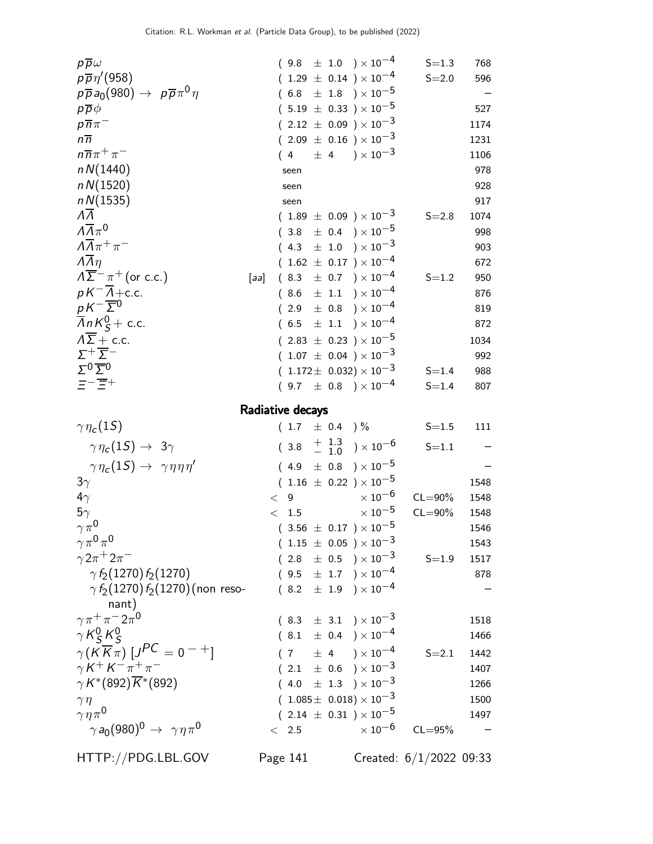| $p\overline{p}\omega$                                                     |                  |                     |      |                   | $(9.8 \pm 1.0) \times 10^{-4}$                        | $S = 1.3$   | 768  |
|---------------------------------------------------------------------------|------------------|---------------------|------|-------------------|-------------------------------------------------------|-------------|------|
| $p\overline{p}\eta'(958)$                                                 |                  |                     |      |                   | $(1.29 \pm 0.14) \times 10^{-4}$                      | $S = 2.0$   | 596  |
| $p\overline{p}a_0(980) \rightarrow p\overline{p}\pi^0\eta$                |                  |                     |      |                   | $(6.8 \pm 1.8) \times 10^{-5}$                        |             |      |
| $p\overline{p}\phi$                                                       |                  |                     |      |                   | $(5.19 \pm 0.33) \times 10^{-5}$                      |             | 527  |
| $p\overline{n}\pi^-$                                                      |                  |                     |      |                   | $(2.12 \pm 0.09) \times 10^{-3}$                      |             | 1174 |
| $n\overline{n}$                                                           |                  |                     |      |                   | $(2.09 \pm 0.16) \times 10^{-3}$                      |             | 1231 |
| $n\overline{n}\pi^+\pi^-$                                                 |                  |                     |      |                   | $(4 \pm 4) \times 10^{-3}$                            |             | 1106 |
| nN(1440)                                                                  |                  |                     | seen |                   |                                                       |             | 978  |
| nN(1520)                                                                  |                  |                     | seen |                   |                                                       |             | 928  |
| nN(1535)                                                                  |                  |                     | seen |                   |                                                       |             | 917  |
| $\Lambda\Lambda$                                                          |                  |                     |      |                   | $(1.89 \pm 0.09) \times 10^{-3}$                      | $S = 2.8$   | 1074 |
| $\Lambda \overline{\Lambda} \pi^0$                                        |                  |                     |      |                   | $(3.8 \pm 0.4) \times 10^{-5}$                        |             | 998  |
| $\Lambda \overline{\Lambda} \pi^+ \pi^-$                                  |                  |                     |      |                   | $(4.3 \pm 1.0) \times 10^{-3}$                        |             | 903  |
| $\overline{\Lambda} \overline{\Lambda} \eta$                              |                  |                     |      |                   | $(1.62 \pm 0.17) \times 10^{-4}$                      |             | 672  |
| $\Lambda \overline{\Sigma}^- \pi^+$ (or c.c.)                             | [aa]             |                     |      |                   | $(8.3 \pm 0.7) \times 10^{-4}$                        | $S = 1.2$   | 950  |
| $pK^{-1}\overline{\Lambda}+c.c.$                                          |                  | (8.6)               |      |                   | $\pm$ 1.1 $)\times10^{-4}$                            |             | 876  |
| $pK^{-}\overline{\Sigma}{}^{0}$                                           |                  | (                   |      |                   | $2.9 \pm 0.8$ ) $\times 10^{-4}$                      |             | 819  |
| $\overline{A}nK_S^0$ + c.c.                                               |                  |                     |      |                   | $(6.5 \pm 1.1) \times 10^{-4}$                        |             | 872  |
| $\Lambda \overline{\Sigma}$ + c.c.                                        |                  |                     |      |                   | $(2.83 \pm 0.23) \times 10^{-5}$                      |             | 1034 |
| $\Sigma^+\overline{\Sigma}^-$                                             |                  |                     |      |                   | $(1.07 \pm 0.04) \times 10^{-3}$                      |             | 992  |
| $\Sigma^0 \overline{\Sigma}{}^0$                                          |                  |                     |      |                   | $(1.172 \pm 0.032) \times 10^{-3}$                    | $S = 1.4$   | 988  |
| $\Xi^-\overline{\Xi}{}^+$                                                 |                  |                     |      |                   | $(9.7 \pm 0.8) \times 10^{-4}$                        | $S = 1.4$   | 807  |
|                                                                           | Radiative decays |                     |      |                   |                                                       |             |      |
| $\gamma\eta_c(1S)$                                                        |                  |                     |      | $(1.7 \pm 0.4)$ % |                                                       | $S = 1.5$   | 111  |
| $\gamma \, \eta_{\mathsf{c}}(1S) \rightarrow \, 3\gamma$                  |                  |                     |      |                   | $(3.8 + \frac{1.3}{-1.0}) \times 10^{-6}$             | $S = 1.1$   |      |
| $\gamma \eta_c(1S) \rightarrow \gamma \eta \eta \eta'$                    |                  | (4.9)               |      |                   | $\pm$ 0.8 ) $\times\,10^{-5}$                         |             |      |
| $3\gamma$                                                                 |                  |                     |      |                   | $(1.16 \pm 0.22) \times 10^{-5}$                      |             | 1548 |
| $4\gamma$                                                                 |                  | $\,<\,$ $\,$ 9 $\,$ |      |                   | $\times$ 10 $^{-6}$                                   | $CL = 90\%$ | 1548 |
| $5\gamma$                                                                 |                  | < 1.5               |      |                   | $\times$ 10 <sup>-5</sup>                             | $CL = 90\%$ | 1548 |
| $\gamma \pi^0$                                                            |                  |                     |      |                   | $(3.56 \pm 0.17) \times 10^{-5}$                      |             | 1546 |
| $\gamma \pi^0 \pi^0$                                                      |                  |                     |      |                   | $(1.15 \pm 0.05) \times 10^{-3}$                      |             | 1543 |
| $\gamma 2\pi^{+} 2\pi^{-}$                                                |                  |                     |      |                   | $(2.8 \pm 0.5) \times 10^{-3}$                        | $S = 1.9$   | 1517 |
| $\gamma f_2(1270) f_2(1270)$                                              |                  |                     |      |                   | $(9.5 \pm 1.7) \times 10^{-4}$                        |             | 878  |
| $\gamma f_2(1270) f_2(1270)$ (non reso-                                   |                  |                     |      |                   | $(8.2 \pm 1.9) \times 10^{-4}$                        |             |      |
| nant)                                                                     |                  |                     |      |                   |                                                       |             |      |
| $\gamma \pi^+ \pi^- 2 \pi^0$                                              |                  |                     |      |                   |                                                       |             |      |
|                                                                           |                  |                     |      |                   |                                                       |             | 1518 |
|                                                                           |                  |                     |      |                   | $(8.3 \pm 3.1) \times 10^{-3}$                        |             | 1466 |
| $\gamma K_S^0 K_S^0$                                                      |                  |                     |      |                   | $(8.1 \pm 0.4) \times 10^{-4}$                        |             |      |
| $\gamma(K\overline{K}\pi)[J^{PC}=0^{-+}]$<br>$\gamma K^+ K^- \pi^+ \pi^-$ |                  |                     |      |                   | $(7 \pm 4) \times 10^{-4}$                            | $S = 2.1$   | 1442 |
|                                                                           |                  |                     |      |                   | $(2.1 \pm 0.6) \times 10^{-3}$                        |             | 1407 |
| $\gamma K^*(892)\overline{K}^*(892)$                                      |                  |                     |      |                   | $(4.0 \pm 1.3) \times 10^{-3}$                        |             | 1266 |
| $\gamma\eta$                                                              |                  |                     |      |                   | $(1.085 \pm 0.018) \times 10^{-3}$                    |             | 1500 |
| $\gamma \eta \pi^0$<br>$\gamma a_0(980)^0 \rightarrow \gamma \eta \pi^0$  |                  | $\lt$ 2.5           |      |                   | $(2.14 \pm 0.31)\times 10^{-5}$<br>$\times$ $10^{-6}$ | $CL = 95%$  | 1497 |

HTTP://PDG.LBL.GOV Page 141 Created: 6/1/2022 09:33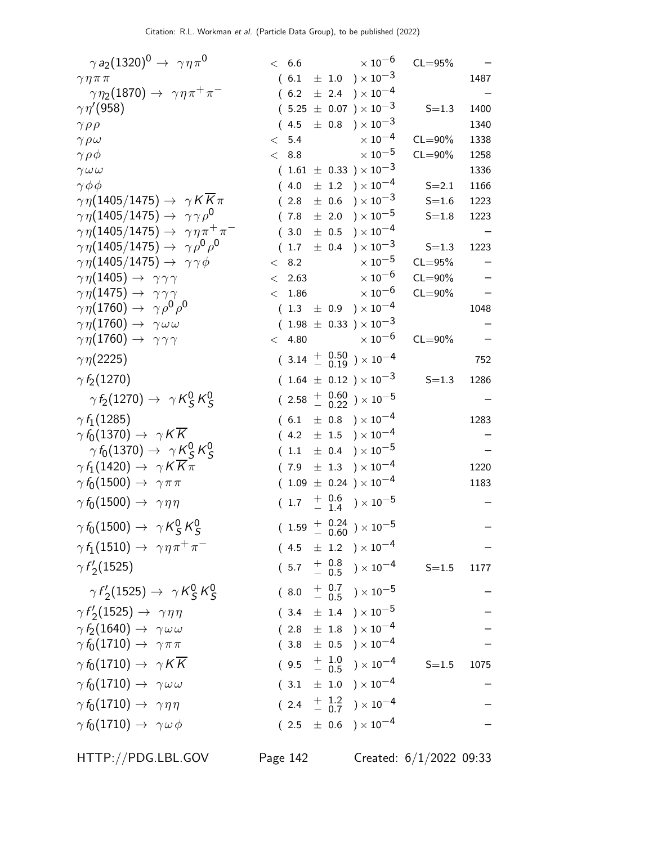| $\gamma a_2(1320)^0 \rightarrow \gamma \eta \pi^0$            | < 6.6  |          | $\times$ 10 <sup>-6</sup>                                                  | $CL = 95%$  |      |
|---------------------------------------------------------------|--------|----------|----------------------------------------------------------------------------|-------------|------|
| $\gamma \eta \pi \pi$                                         |        |          | $(6.1 \pm 1.0) \times 10^{-3}$                                             |             | 1487 |
| $\gamma \eta_2(1870) \rightarrow \gamma \eta \pi^+ \pi^-$     |        | (6.2)    | $\pm$ 2.4 ) $\times$ $10^{-4}$                                             |             |      |
| $\gamma\eta^{\prime}(958)$                                    |        |          | $(5.25 \pm 0.07) \times 10^{-3}$                                           | $S = 1.3$   | 1400 |
| $\gamma \rho \rho$                                            |        |          | $(4.5 \pm 0.8) \times 10^{-3}$                                             |             | 1340 |
| $\gamma \rho \omega$                                          | $\lt$  | 5.4      | $\times$ 10 <sup>-4</sup>                                                  | $CL = 90\%$ | 1338 |
| $\gamma \rho \phi$                                            |        | < 8.8    | $\times$ 10 $^{-5}$                                                        | $CL = 90\%$ | 1258 |
| $\gamma \omega \omega$                                        |        |          | $(1.61 \pm 0.33) \times 10^{-3}$                                           |             | 1336 |
| $\gamma \phi \phi$                                            |        |          | $(4.0 \pm 1.2) \times 10^{-4}$                                             | $S = 2.1$   | 1166 |
| $\gamma \eta (1405/1475) \rightarrow \gamma K K \pi$          |        | (2.8)    | $\pm$ 0.6 $)\times 10^{-3}$                                                | $S = 1.6$   | 1223 |
| $\gamma \eta (1405/1475) \rightarrow \gamma \gamma \rho^0$    |        | (7.8)    | $\pm$ 2.0 ) $\times$ 10 $^{-5}$                                            | $S = 1.8$   | 1223 |
| $\gamma \eta (1405/1475) \rightarrow \gamma \eta \pi^+ \pi^-$ |        |          | $(3.0 \pm 0.5) \times 10^{-4}$                                             |             |      |
| $\gamma \eta(1405/1475) \rightarrow \gamma \rho^0 \rho^0$     |        | 1.7      | $\pm$ 0.4 ) $\times$ $10^{-3}$                                             | $S = 1.3$   | 1223 |
| $\gamma \eta (1405/1475) \rightarrow \gamma \gamma \phi$      | $\lt$  | 8.2      | $\times$ 10 $^{-5}$                                                        | $CL = 95%$  |      |
| $\gamma \eta(1405) \rightarrow \gamma \gamma \gamma$          |        | < 2.63   | $\times$ 10 <sup>-6</sup>                                                  | $CL = 90\%$ |      |
| $\gamma\eta(1475) \rightarrow \gamma\gamma\gamma$             |        | $<$ 1.86 | $\times$ 10 $^{-6}$                                                        | $CL = 90\%$ |      |
| $\gamma \eta(1760) \rightarrow \gamma \rho^0 \rho^0$          |        |          | $(1.3 \pm 0.9) \times 10^{-4}$                                             |             | 1048 |
| $\gamma\eta(1760) \rightarrow \gamma\omega\omega$             |        |          | $(1.98 \pm 0.33) \times 10^{-3}$                                           |             |      |
| $\gamma\eta(1760) \rightarrow \gamma\gamma\gamma$             | < 4.80 |          | $\times$ 10 $^{-6}$                                                        | $CL = 90\%$ |      |
| $\gamma\eta(2225)$                                            |        |          | $(3.14 \frac{+}{-0.19}) \times 10^{-4}$                                    |             | 752  |
| $\gamma f_2(1270)$                                            |        |          | $(1.64 \pm 0.12) \times 10^{-3}$                                           | $S = 1.3$   | 1286 |
| $\gamma f_2(1270) \rightarrow \gamma K_S^0 K_S^0$             |        |          | $(2.58 \frac{+}{-0.22}) \times 10^{-5}$                                    |             |      |
| $\gamma f_1(1285)$                                            |        |          | $(6.1 \pm 0.8) \times 10^{-4}$                                             |             | 1283 |
| $\gamma f_0(1370) \rightarrow \gamma K \overline{K}$          |        |          | $(4.2 \pm 1.5) \times 10^{-4}$                                             |             |      |
| $\gamma f_0(1370) \rightarrow \gamma K_S^0 K_S^0$             |        |          | $(1.1 \pm 0.4) \times 10^{-5}$                                             |             |      |
| $\gamma f_1(1420) \rightarrow \gamma K K \pi$                 |        |          | $(7.9 \pm 1.3) \times 10^{-4}$                                             |             | 1220 |
| $\gamma f_0(1500) \rightarrow \gamma \pi \pi$                 |        |          | $(1.09 \pm 0.24) \times 10^{-4}$                                           |             | 1183 |
| $\gamma f_0(1500) \rightarrow \gamma \eta \eta$               |        |          | $(1.7 \t + 0.6 \t) \times 10^{-5}$                                         |             |      |
| $\gamma f_0(1500) \rightarrow \gamma K_S^0 K_S^0$             |        |          | $(1.59 \begin{array}{cc} + & 0.24 \\ - & 0.60 \end{array}) \times 10^{-5}$ |             |      |
| $\gamma f_1(1510) \rightarrow \gamma \eta \pi^+ \pi^-$        |        |          | $(4.5 \pm 1.2) \times 10^{-4}$                                             |             |      |
| $\gamma f'_{2}(1525)$                                         |        |          | $(5.7 \frac{+}{-} 0.8 \over 0.5) \times 10^{-4}$                           | $S=1.5$     | 1177 |
| $\gamma f_2(1525) \rightarrow \gamma K_S^0 K_S^0$             |        | (8.0)    | $^{+~}_{-~~0.5}$ $^{+~0.7}_{-~0.5}$ $^{+~0.7}_{-~0.5}$                     |             |      |
|                                                               |        |          |                                                                            |             |      |
| $\gamma f_2'(1525) \rightarrow \gamma \eta \eta$              |        |          | $(3.4 \pm 1.4) \times 10^{-5}$                                             |             |      |
| $\gamma f_2(1640) \rightarrow \gamma \omega \omega$           |        |          | $(2.8 \pm 1.8) \times 10^{-4}$                                             |             |      |
| $\gamma f_0(1710) \rightarrow \gamma \pi \pi$                 |        | (3.8)    | $\pm$ 0.5 $)\times10^{-4}$                                                 |             |      |
| $\gamma f_0(1710) \rightarrow \gamma K \overline{K}$          |        | (9.5)    | $^{+\hspace{+0.4em}1.0}_{-\hspace{+0.4em}0.5}$ ) $\times$ 10 $^{-4}$       | $S = 1.5$   | 1075 |
| $\gamma f_0(1710) \rightarrow \gamma \omega \omega$           |        |          | $(3.1 \pm 1.0) \times 10^{-4}$                                             |             |      |
| $\gamma f_0(1710) \rightarrow \gamma \eta \eta$               |        |          | $(2.4 + \frac{1.2}{0.7}) \times 10^{-4}$                                   |             |      |
| $\gamma f_0(1710) \rightarrow \gamma \omega \phi$             |        |          | $(2.5 \pm 0.6) \times 10^{-4}$                                             |             |      |
|                                                               |        |          |                                                                            |             |      |

HTTP://PDG.LBL.GOV Page 142 Created: 6/1/2022 09:33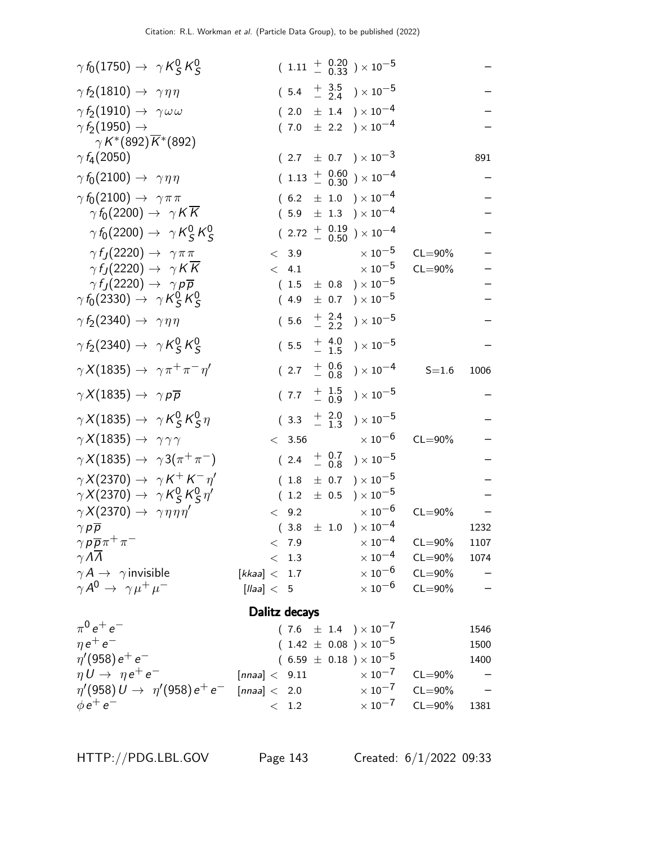| $\gamma f_0(1750) \rightarrow \gamma K_S^0 K_S^0$     |                    |       |  | $(1.11 + \begin{array}{c} 0.20 \\ - 0.33 \end{array}) \times 10^{-5}$ |             |      |
|-------------------------------------------------------|--------------------|-------|--|-----------------------------------------------------------------------|-------------|------|
| $\gamma f_2(1810) \rightarrow \gamma \eta \eta$       |                    |       |  | $(5.4 + \frac{3.5}{2.4}) \times 10^{-5}$                              |             |      |
| $\gamma f_2(1910) \rightarrow \gamma \omega \omega$   |                    |       |  | $(2.0 \pm 1.4) \times 10^{-4}$                                        |             |      |
| $\gamma f_2(1950) \rightarrow$                        |                    |       |  | $(7.0 \pm 2.2) \times 10^{-4}$                                        |             |      |
| $\gamma K^*(892)\overline{K}^*(892)$                  |                    |       |  |                                                                       |             |      |
| $\gamma f_4(2050)$                                    |                    |       |  | $(2.7 \pm 0.7) \times 10^{-3}$                                        |             | 891  |
| $\gamma f_0(2100) \rightarrow \gamma \eta \eta$       |                    |       |  | $(1.13 + 0.60) \times 10^{-4}$                                        |             |      |
| $\gamma f_0(2100) \rightarrow \gamma \pi \pi$         |                    |       |  | $(6.2 \pm 1.0) \times 10^{-4}$                                        |             |      |
| $\gamma f_0(2200) \rightarrow \gamma K K$             |                    |       |  | $(5.9 \pm 1.3) \times 10^{-4}$                                        |             |      |
| $\gamma f_0(2200) \rightarrow \gamma K_S^0 K_S^0$     |                    |       |  | $(2.72 + 0.19 + 0.50) \times 10^{-4}$                                 |             |      |
| $\gamma f_J(2220) \rightarrow \gamma \pi \pi$         |                    | < 3.9 |  | $\times$ 10 $^{-5}$                                                   | $CL = 90\%$ |      |
| $\gamma f_J(2220) \rightarrow \gamma K \overline{K}$  |                    | < 4.1 |  | $\times$ 10 $^{-5}$                                                   | $CL = 90\%$ |      |
| $\gamma f_I(2220) \rightarrow \gamma p \overline{p}$  |                    |       |  | $(1.5 \pm 0.8) \times 10^{-5}$                                        |             |      |
| $\gamma f_0(2330) \rightarrow \gamma K_S^0 K_S^0$     |                    |       |  | $(4.9 \pm 0.7) \times 10^{-5}$                                        |             |      |
| $\gamma f_2(2340) \rightarrow \gamma \eta \eta$       |                    |       |  | $(5.6 \tfrac{+}{-} \tfrac{2.4}{2.2}) \times 10^{-5}$                  |             |      |
| $\gamma f_2(2340) \rightarrow \gamma K_S^0 K_S^0$     |                    |       |  | $(5.5 \tfrac{+4.0}{-1.5}) \times 10^{-5}$                             |             |      |
| $\gamma X(1835) \rightarrow \gamma \pi^+ \pi^- \eta'$ |                    |       |  | $(2.7 + 0.6 \n- 0.8) \times 10^{-4}$                                  | $S = 1.6$   | 1006 |
| $\gamma X(1835) \rightarrow \gamma p \overline{p}$    |                    |       |  | $(7.7 \tfrac{+1.5}{-0.9}) \times 10^{-5}$                             |             |      |
| $\gamma X(1835) \rightarrow \gamma K_S^0 K_S^0 \eta$  |                    |       |  | $(3.3 + 2.0 + 1.3) \times 10^{-5}$                                    |             |      |
| $\gamma X(1835) \rightarrow \gamma \gamma \gamma$     |                    |       |  | $< 3.56$ $\times 10^{-6}$                                             | $CL = 90\%$ |      |
| $\gamma X(1835) \rightarrow \gamma 3(\pi^+\pi^-)$     |                    |       |  | $(2.4 + \frac{0.7}{0.8}) \times 10^{-5}$                              |             |      |
| $\gamma X(2370) \rightarrow \gamma K^+ K^- \eta'$     |                    | (1.8) |  | $\pm$ 0.7 ) $\times\,10^{-5}$                                         |             |      |
| $\gamma X(2370) \rightarrow \gamma K_S^0 K_S^0 \eta'$ |                    |       |  | $(1.2 \pm 0.5) \times 10^{-5}$                                        |             |      |
| $\gamma X(2370) \rightarrow \gamma \eta \eta \eta'$   | $\lt$              | 9.2   |  | $\times$ 10 <sup>-6</sup>                                             | $CL = 90\%$ |      |
| $\gamma p \overline{p}$                               |                    |       |  | $(3.8 \pm 1.0) \times 10^{-4}$                                        |             | 1232 |
| $\gamma p \overline{p} \pi^+ \pi^-$                   |                    | < 7.9 |  | $\times$ $10^{-4}$                                                    | $CL = 90\%$ | 1107 |
| $\gamma \Lambda \overline{\Lambda}$                   |                    | < 1.3 |  | $\times$ 10 <sup>-4</sup>                                             | $CL = 90\%$ | 1074 |
| $\gamma A \rightarrow \gamma$ invisible               | [kkaa] < 1.7       |       |  | $\times$ 10 $^{-6}$                                                   | $CL = 90\%$ |      |
| $\gamma A^0 \rightarrow \gamma \mu^+ \mu^-$           | [llaa] < 5         |       |  | $\times$ 10 $^{-6}$                                                   | $CL = 90\%$ |      |
|                                                       | Dalitz decays      |       |  |                                                                       |             |      |
| $\pi^{0} e^{+} e^{-}$                                 |                    |       |  | $(7.6 \pm 1.4) \times 10^{-7}$                                        |             | 1546 |
| $\eta e^+ e^-$                                        |                    |       |  | $(1.42 \pm 0.08) \times 10^{-5}$                                      |             | 1500 |
| $\eta'(958) e^+ e^-$                                  |                    |       |  | $(6.59 \pm 0.18) \times 10^{-5}$                                      |             | 1400 |
| $\eta U \rightarrow \eta e^+ e^-$                     | [nnaa] < 9.11      |       |  | $\times$ 10 $^{-7}$                                                   | $CL = 90\%$ |      |
| $\eta'(958) U \to \eta'(958) e^+ e^-$                 | [ $nnaa$ ] $<$ 2.0 |       |  | $\times$ 10 <sup>-7</sup>                                             | $CL = 90\%$ |      |
| $\phi e^+ e^-$                                        |                    | < 1.2 |  | $\times$ 10 $^{-7}$                                                   | $CL = 90\%$ | 1381 |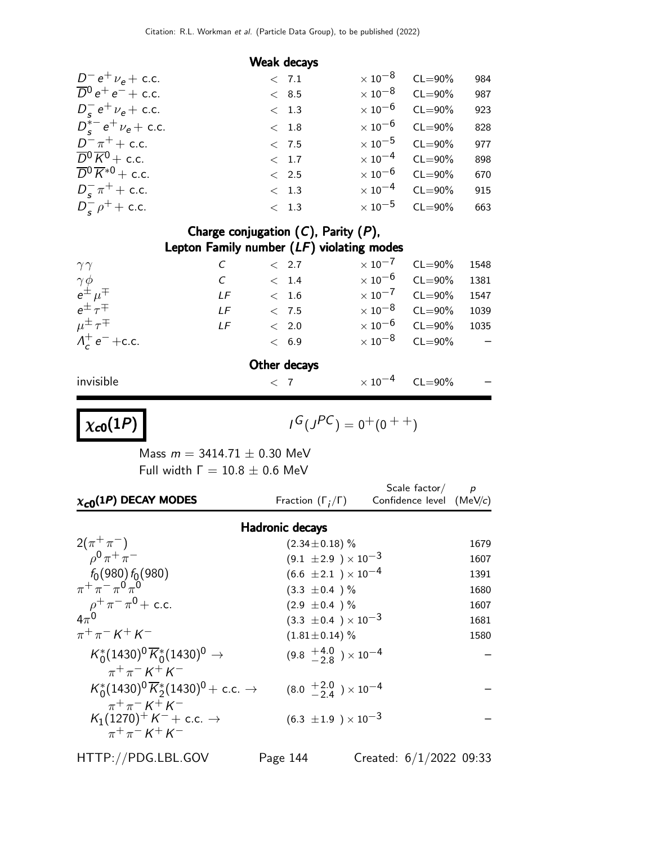### Weak decays

| $D^- e^+ \nu_e + c.c.$                        | < 7.1         | $\times 10^{-8}$ CL=90%          | 984 |
|-----------------------------------------------|---------------|----------------------------------|-----|
| $\overline{D}^0 e^+ e^- +$ c.c.               | < 8.5         | $\times$ 10 <sup>-8</sup> CL=90% | 987 |
| $D_{s}^{-} e^{+} \nu_{e} +$ c.c.              | < 1.3         | $\times 10^{-6}$ CL=90%          | 923 |
| $D_{c}^{*-}e^{+}\nu_{e}$ + c.c.               | < 1.8         | $\times 10^{-6}$ CL=90%          | 828 |
| $D^{-} \pi^{+} +$ c.c.                        | < 7.5         | $\times 10^{-5}$ CL=90%          | 977 |
| $\overline{D}{}^0 \overline{K}{}^0 +$ c.c.    | < 1.7         | $\times$ 10 <sup>-4</sup> CL=90% | 898 |
| $\overline{D}{}^0 \overline{K}{}^{*0}$ + c.c. | $\langle$ 2.5 | $\times 10^{-6}$ CL=90%          | 670 |
| $D_{\rm s}^{-} \pi^{+}$ + c.c.                | < 1.3         | $\times 10^{-4}$ CL=90%          | 915 |
| $D_{s}^{-} \rho^{+} +$ c.c.                   | $\langle$ 1.3 | $\times$ 10 <sup>-5</sup> CL=90% | 663 |

### Charge conjugation  $(C)$ , Parity  $(P)$ , Lepton Family number (LF) violating modes

| $\gamma\gamma$                                                                |            |             | < 2.7        |                     | $\times$ 10 <sup>-7</sup> CL=90% | 1548 |
|-------------------------------------------------------------------------------|------------|-------------|--------------|---------------------|----------------------------------|------|
|                                                                               | $\epsilon$ |             | < 1.4        | $\times$ 10 $^{-6}$ | $CL = 90\%$                      | 1381 |
| $\begin{array}{l} \gamma \phi \\ e^\pm \mu^\mp \\ e^\pm \tau^\mp \end{array}$ | LF         |             | < 1.6        |                     | $\times 10^{-7}$ CL=90%          | 1547 |
|                                                                               | IF         |             | < 7.5        |                     | $\times$ 10 <sup>-8</sup> CL=90% | 1039 |
| $\mu^{\pm} \tau^{\mp}$                                                        | LF         |             | $\rm <$ 2.0  |                     | $\times$ 10 <sup>-6</sup> CL=90% | 1035 |
| $\Lambda_c^+ e^- + c.c.$                                                      |            |             | < 6.9        |                     | $\times$ 10 <sup>-8</sup> CL=90% |      |
|                                                                               |            |             | Other decays |                     |                                  |      |
| invisible                                                                     |            | $\langle 7$ |              | $\times$ 10 $^{-4}$ | $CL = 90\%$                      |      |

 $\chi_{c0}(1P)$ 

$$
\iota^G(\jmath^{PC})=0^+(0^{++})
$$

Mass  $m = 3414.71 \pm 0.30$  MeV Full width  $Γ = 10.8 ± 0.6$  MeV

| $\chi_{c0}(1P)$ DECAY MODES                                                                                     | Fraction $(\Gamma_i/\Gamma)$              | Scale factor/ $p$<br>Confidence level (MeV/c) |      |
|-----------------------------------------------------------------------------------------------------------------|-------------------------------------------|-----------------------------------------------|------|
| <b>Hadronic decays</b>                                                                                          |                                           |                                               |      |
| $2(\pi^+\pi^-)$                                                                                                 | $(2.34 \pm 0.18)$ %                       |                                               | 1679 |
| $\rho^{0} \pi^{+} \pi^{-}$                                                                                      | $(9.1 \pm 2.9) \times 10^{-3}$            |                                               | 1607 |
| $f_0(980) f_0(980)$                                                                                             | $(6.6 \pm 2.1) \times 10^{-4}$            |                                               | 1391 |
| $\pi^+ \pi^- \pi^0 \pi^0$                                                                                       | $(3.3 \pm 0.4)$ %                         |                                               | 1680 |
| $\rho^+ \pi^- \pi^0 + \text{c.c.}$<br>4 $\pi^0$                                                                 | $(2.9 \pm 0.4)$ %                         |                                               | 1607 |
|                                                                                                                 | $(3.3 \pm 0.4) \times 10^{-3}$            |                                               | 1681 |
| $\pi^{+}\pi^{-} K^{+} K^{-}$                                                                                    | $(1.81 \pm 0.14)$ %                       |                                               | 1580 |
| $K_0^*(1430)^0 \overline{K}_0^*(1430)^0 \rightarrow$<br>$\pi^{+}\pi^{-}$ K <sup>+</sup> K <sup>-</sup>          | $(9.8 \tfrac{+4.0}{2.8}) \times 10^{-4}$  |                                               |      |
| $K_0^*(1430)^0 \overline{K}_2^*(1430)^0$ + c.c. $\rightarrow$<br>$\pi^{+}\pi^{-}$ K <sup>+</sup> K <sup>-</sup> | $(8.0 \tfrac{+2.0}{-2.4}) \times 10^{-4}$ |                                               |      |
| $K_1(1270)^+ K^- +$ c.c. $\rightarrow$<br>$\pi^{+}\pi^{-}$ K <sup>+</sup> K <sup>-</sup>                        | $(6.3 \pm 1.9) \times 10^{-3}$            |                                               |      |

HTTP://PDG.LBL.GOV Page 144 Created: 6/1/2022 09:33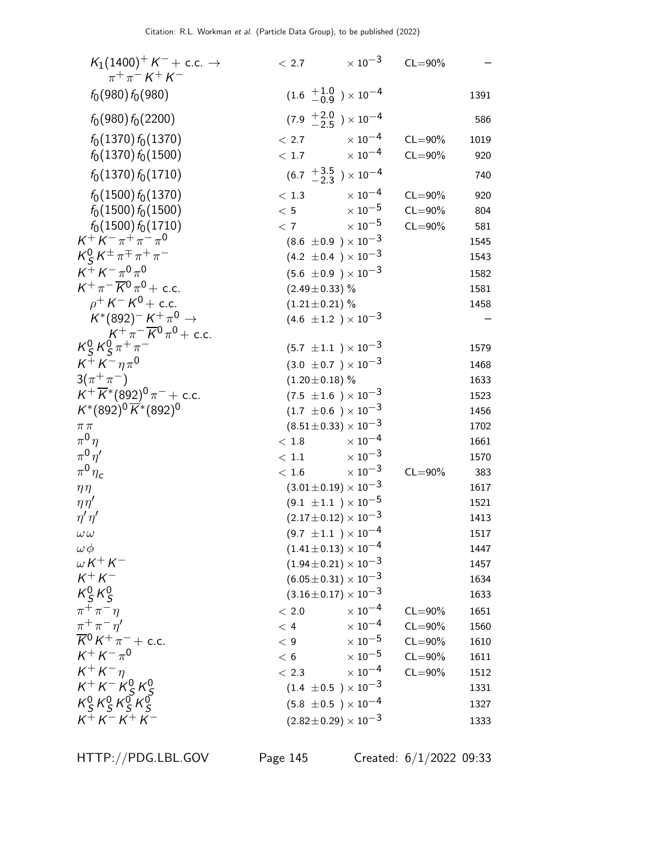| $K_1(1400)^+ K^- +$ c.c. $\rightarrow$<br>$\pi^{+}\pi^{-} K^{+} K^{-}$       | < 2.7               | $\times$ 10 <sup>-3</sup>                 | $CL = 90\%$ |      |
|------------------------------------------------------------------------------|---------------------|-------------------------------------------|-------------|------|
| $f_0(980) f_0(980)$                                                          |                     | $(1.6 \tfrac{+1.0}{-0.9}) \times 10^{-4}$ |             | 1391 |
| $f_0(980) f_0(2200)$                                                         |                     | $(7.9 \tfrac{+2.0}{-2.5}) \times 10^{-4}$ |             | 586  |
| $f_0(1370) f_0(1370)$                                                        | < 2.7               | $\times$ 10 $^{-4}$                       | $CL = 90\%$ | 1019 |
| $f_0(1370) f_0(1500)$                                                        | < 1.7               | $\times$ 10 $^{-4}$                       | $CL = 90\%$ | 920  |
| $f_0(1370) f_0(1710)$                                                        |                     | $(6.7 \frac{+3.5}{-2.3}) \times 10^{-4}$  |             | 740  |
| $f_0(1500) f_0(1370)$                                                        | < 1.3               | $\times$ 10 $^{-4}$                       | $CL = 90\%$ | 920  |
| $f_0(1500) f_0(1500)$                                                        | < 5                 | $\times$ $10^{-5}$                        | $CL = 90\%$ | 804  |
| $f_0(1500) f_0(1710)$                                                        | < 7                 | $\times$ 10 $^{-5}$                       | $CL = 90\%$ | 581  |
| $K^+ K^- \pi^+ \pi^- \pi^0$                                                  |                     | $(8.6 \pm 0.9) \times 10^{-3}$            |             | 1545 |
| $K_S^0 K^{\pm} \pi^{\mp} \pi^+ \pi^-$                                        |                     | $(4.2 \pm 0.4) \times 10^{-3}$            |             | 1543 |
| $K^+ K^- \pi^0 \pi^0$                                                        |                     | $(5.6 \pm 0.9) \times 10^{-3}$            |             | 1582 |
| $K^+\pi^-\overline{K}{}^0\pi^0$ + c.c.                                       | $(2.49 \pm 0.33)$ % |                                           |             | 1581 |
| $\rho^+ K^- K^0 + c.c.$                                                      | $(1.21 \pm 0.21)$ % |                                           |             | 1458 |
| $K^*(892)^- K^+ \pi^0 \rightarrow$<br>$K^+\pi^-\overline{K}{}^0\pi^0$ + c.c. |                     | $(4.6 \pm 1.2) \times 10^{-3}$            |             |      |
| $K_S^0 K_S^0 \pi^+ \pi^-$                                                    |                     | $(5.7 \pm 1.1) \times 10^{-3}$            |             | 1579 |
| $K^+ K^- \eta \pi^0$                                                         |                     | $(3.0 \pm 0.7) \times 10^{-3}$            |             | 1468 |
| $3(\pi^{+}\pi^{-})$                                                          | $(1.20 \pm 0.18)$ % |                                           |             | 1633 |
| $\overrightarrow{K}$ + $\overline{K}$ * (892) <sup>0</sup> $\pi$ – + c.c.    |                     | $(7.5 \pm 1.6) \times 10^{-3}$            |             | 1523 |
| $K^*(892)^0 \overline{K}^*(892)^0$                                           |                     | $(1.7 \pm 0.6) \times 10^{-3}$            |             | 1456 |
| $\pi\,\pi$                                                                   |                     | $(8.51 \pm 0.33) \times 10^{-3}$          |             | 1702 |
| $\pi^0\eta$                                                                  | < 1.8               | $\times$ 10 $^{-4}$                       |             | 1661 |
| $\pi^0\eta'$                                                                 | < 1.1               | $\times$ 10 $^{-3}$                       |             | 1570 |
| $\pi^0 \eta_c$                                                               | < 1.6               | $\times$ 10 $^{-3}$                       | $CL = 90\%$ | 383  |
| $\eta\eta$                                                                   |                     | $(3.01 \pm 0.19) \times 10^{-3}$          |             | 1617 |
| $\eta\eta'$                                                                  |                     | $(9.1 \pm 1.1) \times 10^{-5}$            |             | 1521 |
| $\eta' \eta'$                                                                |                     | $(2.17\pm0.12)\times10^{-3}$              |             | 1413 |
| $\omega\,\omega$                                                             |                     | $(9.7 \pm 1.1) \times 10^{-4}$            |             | 1517 |
| $\omega\,\phi$                                                               |                     | $(1.41 \pm 0.13) \times 10^{-4}$          |             | 1447 |
| $\omega K^+ K^-$                                                             |                     | $(1.94 \pm 0.21) \times 10^{-3}$          |             | 1457 |
| $K^+ K^-$                                                                    |                     | $(6.05 \pm 0.31) \times 10^{-3}$          |             | 1634 |
| $K_S^0 K_S^0$                                                                |                     | $(3.16 \pm 0.17) \times 10^{-3}$          |             | 1633 |
| $\pi^+\pi^-\eta$                                                             | < 2.0               | $\times$ $10^{-4}$                        | $CL = 90\%$ | 1651 |
| $\pi^+\pi^-\eta^{\prime}$                                                    | < 4                 | $\times$ $10^{-4}$                        | $CL = 90\%$ | 1560 |
| $\overline{K}{}^0 K^+ \pi^-$ + c.c.                                          | < 9                 | $\times$ 10 $^{-5}$                       | $CL = 90\%$ | 1610 |
| $K^+ K^- \pi^0$                                                              | < 6                 | $\times$ 10 $^{-5}$                       | $CL = 90\%$ | 1611 |
| $K^+ K^- \eta$                                                               | < 2.3               | $\times$ $10^{-4}$                        | $CL = 90\%$ | 1512 |
| $K^+ K^- K^0_S K^0_S$                                                        |                     | $(1.4 \pm 0.5) \times 10^{-3}$            |             | 1331 |
| $K_S^0 K_S^0 K_S^0 K_S^0$                                                    |                     | $(5.8 \pm 0.5) \times 10^{-4}$            |             | 1327 |
| $K^{+}K^{-}K^{+}K^{-}$                                                       |                     | $(2.82 \pm 0.29) \times 10^{-3}$          |             | 1333 |

HTTP://PDG.LBL.GOV Page 145 Created: 6/1/2022 09:33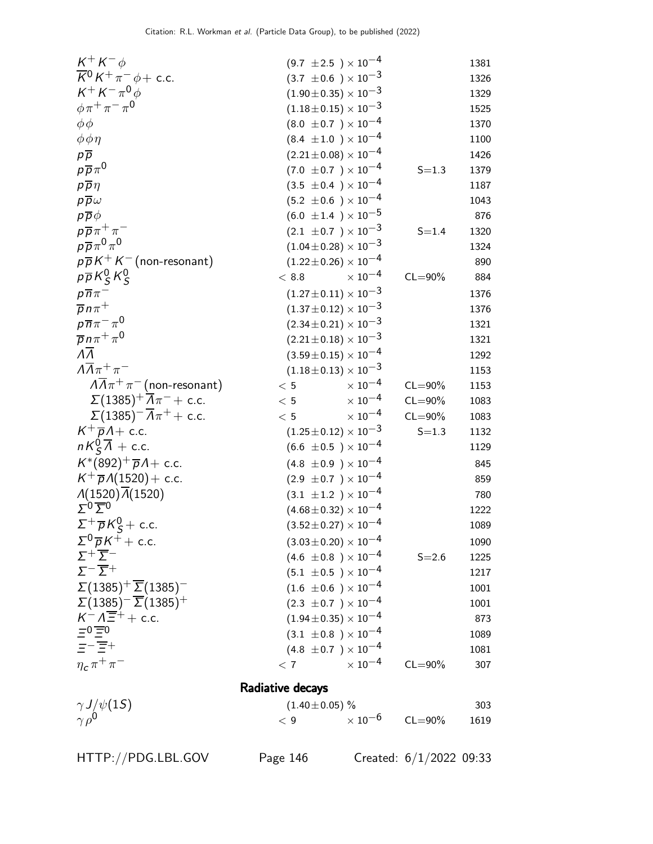| $K^+ K^- \phi$                                                                     | $(9.7 \pm 2.5) \times 10^{-4}$       |             | 1381 |
|------------------------------------------------------------------------------------|--------------------------------------|-------------|------|
| $\overline{K}{}^0 K^+ \pi^- \phi + \text{c.c.}$                                    | $(3.7 \pm 0.6) \times 10^{-3}$       |             | 1326 |
| $K^+ K^- \pi^0 \phi$                                                               | $(1.90\pm0.35)\times10^{-3}$         |             | 1329 |
| $\phi \pi^+ \pi^- \pi^0$                                                           | $(1.18\!\pm\!0.15)\times10^{-3}$     |             | 1525 |
| $\phi \phi$                                                                        | $(8.0 \pm 0.7) \times 10^{-4}$       |             | 1370 |
| $\phi \phi \eta$                                                                   | $(8.4 \pm 1.0) \times 10^{-4}$       |             | 1100 |
| $p\overline{p}$                                                                    | $(2.21 \pm 0.08) \times 10^{-4}$     |             | 1426 |
| $p\overline{p}\pi^0$                                                               | $(7.0 \pm 0.7) \times 10^{-4}$       | $S = 1.3$   | 1379 |
| $p\overline{p}\eta$                                                                | $(3.5 \pm 0.4) \times 10^{-4}$       |             | 1187 |
| $p\overline{p}\omega$                                                              | $(5.2 \pm 0.6) \times 10^{-4}$       |             | 1043 |
| $p\overline{p}\phi$                                                                | $(6.0 \pm 1.4) \times 10^{-5}$       |             | 876  |
| $p\overline{p}\pi^+\pi^-$                                                          | $(2.1 \pm 0.7) \times 10^{-3}$       | $S = 1.4$   | 1320 |
| $p\overline{p}\pi^0\pi^0$                                                          | $(1.04\pm0.28)\times10^{-3}$         |             | 1324 |
| $p\overline{p}K^+K^-$ (non-resonant)                                               | $(1.22 \!\pm\! 0.26) \times 10^{-4}$ |             | 890  |
| $p\overline{p}K_S^0K_S^0$                                                          | $\times$ 10 $^{-4}$<br>< 8.8         | $CL = 90\%$ | 884  |
| $p\overline{n}\pi^-$                                                               | $(1.27 \pm 0.11) \times 10^{-3}$     |             | 1376 |
| $\overline{p}n\pi^+$                                                               | $(1.37 \pm 0.12) \times 10^{-3}$     |             | 1376 |
| $p\overline{n}\pi^{-}\pi^{0}$                                                      | $(2.34\pm0.21)\times10^{-3}$         |             | 1321 |
| $\overline{p}n\pi^+\pi^0$                                                          | $(2.21 \pm 0.18) \times 10^{-3}$     |             | 1321 |
| $\overline{\Lambda}$                                                               | $(3.59\!\pm\!0.15)\times10^{-4}$     |             | 1292 |
| $\Lambda \overline{\Lambda} \pi^+ \pi^-$                                           | $(1.18\!\pm\!0.13)\times10^{-3}$     |             | 1153 |
| $\sqrt{\Lambda}\pi^+\pi^-$ (non-resonant)                                          | $\times$ 10 <sup>-4</sup><br>< 5     | $CL = 90\%$ | 1153 |
| $\Sigma(1385)^{+} \overline{\Lambda}\pi^{-}$ + c.c.                                | $\times$ 10 <sup>-4</sup><br>< 5     | $CL = 90\%$ | 1083 |
| $\Sigma(1385)^{-}\overline{A}\pi^{+} + \text{c.c.}$                                | $\times$ 10 <sup>-4</sup><br>< 5     | $CL = 90\%$ | 1083 |
| $K^+\overline{p}A$ + c.c.                                                          | $(1.25 \pm 0.12) \times 10^{-3}$     | $S = 1.3$   | 1132 |
| $nK_{\mathsf{S}}^0\overline{\Lambda}$ + c.c.                                       | $(6.6 \pm 0.5) \times 10^{-4}$       |             | 1129 |
| $K^*(892)^+\overline{p}A + c.c.$                                                   | $(4.8 \pm 0.9) \times 10^{-4}$       |             | 845  |
| $K^+\overline{p}A(1520) + c.c.$                                                    | $(2.9 \pm 0.7) \times 10^{-4}$       |             | 859  |
| $\Lambda(1520)\overline{\Lambda}(1520)$                                            | $(3.1 \pm 1.2) \times 10^{-4}$       |             | 780  |
| $\sum 0 \overline{\sum} 0$                                                         | $(4.68\!\pm\!0.32)\times10^{-4}$     |             | 1222 |
| $\label{eq:2.1} \Sigma^+ \overline{\rho} \, \mathit{K}^0_S + \text{ c.c.}$         | $(3.52 \pm 0.27) \times 10^{-4}$     |             | 1089 |
| $\Sigma^0 \overline{\rho} K^+ +$ c.c.                                              | $(3.03\!\pm\!0.20)\times10^{-4}$     |             | 1090 |
| $\Sigma^+ \overline{\Sigma}^-$                                                     | $(4.6 \pm 0.8) \times 10^{-4}$       | $S = 2.6$   | 1225 |
| $\Sigma^{-}$ $\overline{\Sigma}$ <sup>+</sup>                                      | $(5.1 \pm 0.5) \times 10^{-4}$       |             | 1217 |
| $\Sigma(1385)^{+}\overline{\Sigma}(1385)^{-}$                                      | $(1.6 \pm 0.6) \times 10^{-4}$       |             | 1001 |
| $\Sigma(1385)^{-}$ $\overline{\Sigma}(1385)^{+}$                                   | $(2.3 \pm 0.7) \times 10^{-4}$       |             | 1001 |
| $K^-\Lambda \overline{\Xi^+} + \text{c.c.}$<br>$\overline{\Xi^0 \overline{\Xi^0}}$ | $(1.94\!\pm\!0.35)\times10^{-4}$     |             | 873  |
|                                                                                    | $(3.1 \pm 0.8) \times 10^{-4}$       |             | 1089 |
| $=-\overline{\Xi}+$                                                                | $(4.8 \pm 0.7) \times 10^{-4}$       |             | 1081 |
| $\eta_c \pi^+ \pi^-$                                                               | $\times$ 10 <sup>-4</sup><br>< 7     | $CL = 90\%$ | 307  |
|                                                                                    | Radiative decays                     |             |      |
|                                                                                    |                                      |             |      |
| $\gamma J/\psi(1S)$                                                                | $(1.40 \pm 0.05)$ %                  |             | 303  |
| $\gamma \rho^0$                                                                    | $\times$ 10 $^{-6}$<br>< 9           | $CL = 90\%$ | 1619 |

HTTP://PDG.LBL.GOV Page 146 Created: 6/1/2022 09:33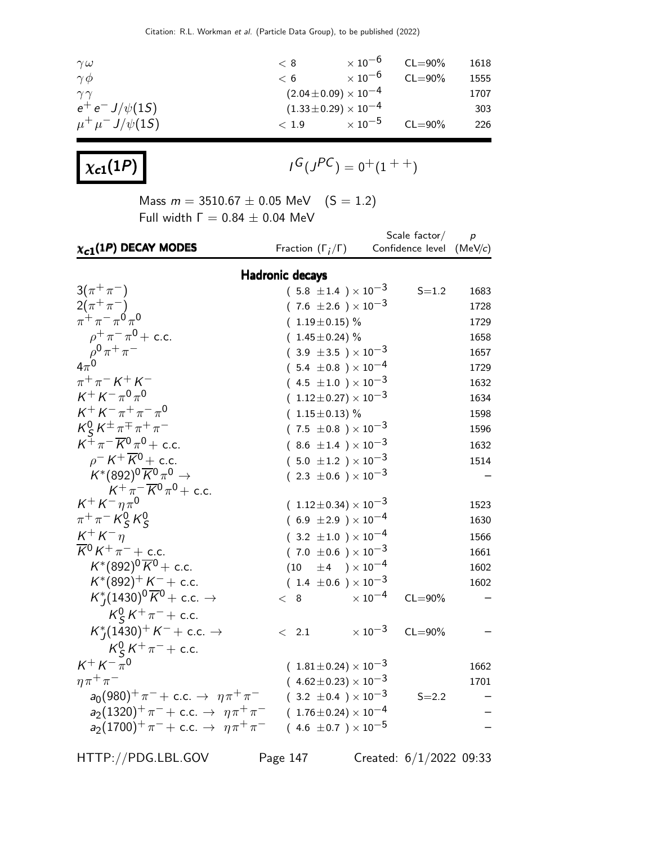| $\gamma \omega$          | $\rm < 8$ | $\times$ 10 $^{-6}$          | $CL = 90\%$ | 1618 |
|--------------------------|-----------|------------------------------|-------------|------|
| $\gamma \phi$            | $\lt 6$   | $\times$ 10 $^{-6}$          | $CL = 90\%$ | 1555 |
| $\gamma\gamma$           |           | $(2.04\pm0.09)\times10^{-4}$ |             | 1707 |
| $e^+ e^- J/\psi(1S)$     |           | $(1.33\pm0.29)\times10^{-4}$ |             | 303  |
| $\mu^+ \mu^- J/\psi(15)$ | < 1.9     | $\times$ 10 $^{-5}$          | $CL = 90\%$ | 226  |

 $\chi_{c1}(1P)$ 

$$
\mathit{I}^G(\mathit{J}^{PC})=0^+(1^{++})
$$

Mass  $m = 3510.67 \pm 0.05$  MeV  $(S = 1.2)$ Full width  $Γ = 0.84 ± 0.04$  MeV

| $\chi_{c1}(1P)$ DECAY MODES                                           | Fraction $(\Gamma_i/\Gamma)$         | Scale $factor/$<br>Confidence level (MeV/c) | $\boldsymbol{p}$ |  |  |  |
|-----------------------------------------------------------------------|--------------------------------------|---------------------------------------------|------------------|--|--|--|
| <b>Hadronic decays</b>                                                |                                      |                                             |                  |  |  |  |
| $3(\pi^{+}\pi^{-})$                                                   | $(5.8 \pm 1.4) \times 10^{-3}$       | $S = 1.2$                                   | 1683             |  |  |  |
| $\frac{2(\pi^{+}\pi^{-})}{\pi^{+}\pi^{-}\pi^{0}\pi^{0}}$              | $(7.6 \pm 2.6) \times 10^{-3}$       |                                             | 1728             |  |  |  |
|                                                                       | $(1.19 \pm 0.15)\%$                  |                                             | 1729             |  |  |  |
| $\rho^+ \pi^- \pi^0$ + c.c.                                           | $(1.45 \pm 0.24)$ %                  |                                             | 1658             |  |  |  |
|                                                                       | $(3.9 \pm 3.5) \times 10^{-3}$       |                                             | 1657             |  |  |  |
|                                                                       | $(.5.4 \pm 0.8) \times 10^{-4}$      |                                             | 1729             |  |  |  |
| $\pi^{+}\pi^{-} K^{+} K^{-}$                                          | $(.4.5 \pm 1.0) \times 10^{-3}$      |                                             | 1632             |  |  |  |
| $K^+ K^- \pi^0 \pi^0$                                                 | $(1.12\pm0.27)\times10^{-3}$         |                                             | 1634             |  |  |  |
| $K^+ K^- \pi^+ \pi^- \pi^0$                                           | $(1.15 \pm 0.13)$ %                  |                                             | 1598             |  |  |  |
| $K_S^0 K^{\pm} \pi^{\mp} \pi^+ \pi^-$                                 | $(7.5 \pm 0.8) \times 10^{-3}$       |                                             | 1596             |  |  |  |
| $K^+\pi^-\overline{K^0}\pi^0 + c.c.$                                  | $(8.6 \pm 1.4) \times 10^{-3}$       |                                             | 1632             |  |  |  |
| $\rho$ <sup>-</sup> K <sup>+</sup> $\overline{K}$ <sup>0</sup> + c.c. | $(.5.0 \pm 1.2) \times 10^{-3}$      |                                             | 1514             |  |  |  |
| $K^*(892)^0\overline{K}^0\pi^0\to$                                    | $(2.3 \pm 0.6) \times 10^{-3}$       |                                             |                  |  |  |  |
| $K^+ \pi^- \overline{K}{}^0 \pi^0 +$ c.c.                             |                                      |                                             |                  |  |  |  |
| $K^+ K^- \eta \pi^0$                                                  | $(1.12\pm0.34)\times10^{-3}$         |                                             | 1523             |  |  |  |
| $\pi^{+}\pi^{-}K_{S}^{0}K_{S}^{0}$                                    | $(6.9 \pm 2.9) \times 10^{-4}$       |                                             | 1630             |  |  |  |
| $K^+ K^- \eta$                                                        | $(3.2 \pm 1.0) \times 10^{-4}$       |                                             | 1566             |  |  |  |
| $\overline{K}{}^0 K^+ \pi^-$ + c.c.                                   | (7.0 $\pm$ 0.6 ) $\times$ 10 $^{-3}$ |                                             | 1661             |  |  |  |
| $K^*(892)^0 \overline{K}{}^0$ + c.c.                                  | $(10 \pm 4) \times 10^{-4}$          |                                             | 1602             |  |  |  |
| $K^*(892)^+ K^- +$ c.c.                                               | $(1.4 \pm 0.6) \times 10^{-3}$       |                                             | 1602             |  |  |  |
| $K_I^*(1430)^0\overline{K}^0$ + c.c. $\rightarrow$                    | < 8                                  | $\times$ $10^{-4}$<br>$CL = 90\%$           |                  |  |  |  |
| $K_S^0 K^+ \pi^-$ + c.c.                                              |                                      |                                             |                  |  |  |  |
| $K_I^*(1430)^+ K^- +$ c.c. $\rightarrow$                              | $\langle$ 2.1                        | $\times$ 10 $^{-3}$<br>$CL = 90\%$          |                  |  |  |  |
| $K_S^0 K^+ \pi^-$ + c.c.                                              |                                      |                                             |                  |  |  |  |
| $K^+ K^- \tilde{\pi}^0$                                               | $(1.81 \pm 0.24) \times 10^{-3}$     |                                             | 1662             |  |  |  |
| $\eta \pi^+ \pi^-$                                                    | $(.4.62 \pm 0.23) \times 10^{-3}$    |                                             | 1701             |  |  |  |
| $a_0(980)^+ \pi^- +$ c.c. $\rightarrow \eta \pi^+ \pi^-$              | $(3.2 \pm 0.4) \times 10^{-3}$       | $S = 2.2$                                   |                  |  |  |  |
| $a_2(1320)^+ \pi^- +$ c.c. $\rightarrow \eta \pi^+ \pi^-$             | $(1.76 \pm 0.24) \times 10^{-4}$     |                                             |                  |  |  |  |
| $a_2(1700)^+ \pi^- +$ c.c. $\rightarrow \eta \pi^+ \pi^-$             | $(4.6 \pm 0.7) \times 10^{-5}$       |                                             |                  |  |  |  |

HTTP://PDG.LBL.GOV Page 147 Created: 6/1/2022 09:33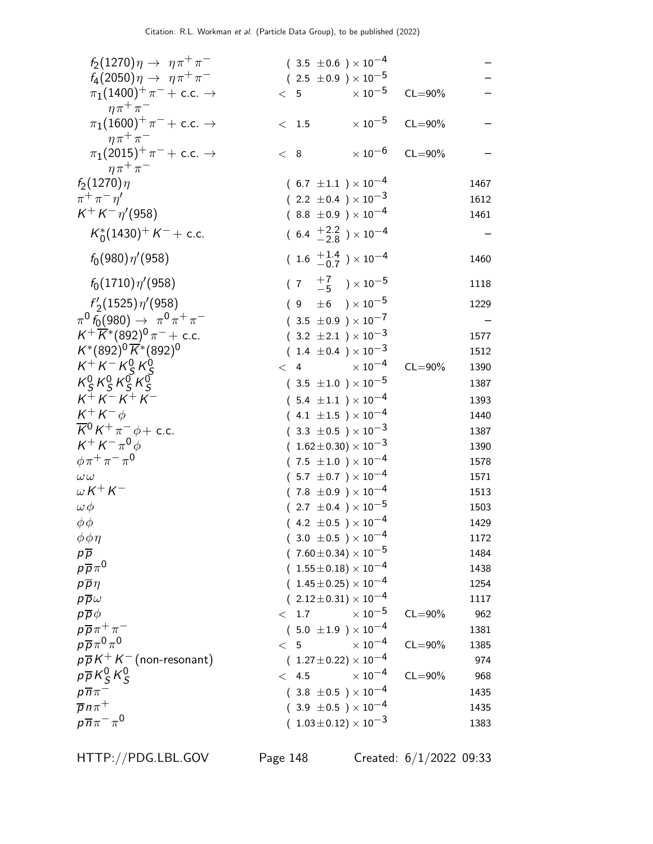| $f_2(1270)\eta \to \eta \pi^+ \pi^-$                                                 | $(3.5 \pm 0.6) \times 10^{-4}$            |                         |      |
|--------------------------------------------------------------------------------------|-------------------------------------------|-------------------------|------|
| $f_4(2050)\eta \to \eta \pi^+ \pi^-$                                                 | $(2.5 \pm 0.9) \times 10^{-5}$            |                         |      |
| $\pi_1(1400)^+ \pi^- + \text{c.c.} \rightarrow$<br>$\eta \pi^+ \pi^-$                | $\times$ 10 $^{-5}$<br>< 5                | $CL = 90\%$             |      |
| $\pi_1(1600)^+ \pi^- + \text{ c.c.} \rightarrow$                                     | $\times$ 10 $^{-5}$<br>< 1.5              | $CL = 90\%$             |      |
| $\eta \pi^+ \pi^-$<br>$\pi_1(2015)^+\pi^-+$ c.c. $\rightarrow$<br>$\eta \pi^+ \pi^-$ | < 8                                       | $\times 10^{-6}$ CL=90% |      |
| $f_2(1270)\eta$                                                                      | $(6.7 \pm 1.1) \times 10^{-4}$            |                         | 1467 |
| $\pi^+\pi^-\eta^{\prime}$                                                            | $(2.2 \pm 0.4) \times 10^{-3}$            |                         | 1612 |
| $K^+ K^- \eta' (958)$                                                                | $(8.8 \pm 0.9) \times 10^{-4}$            |                         | 1461 |
| $K_0^*(1430)^+ K^- +$ c.c.                                                           | $(6.4 \frac{+2.2}{-2.8}) \times 10^{-4}$  |                         |      |
| $f_0(980)\eta'(958)$                                                                 | $(1.6 \tfrac{+1.4}{-0.7}) \times 10^{-4}$ |                         | 1460 |
| $f_0(1710)\eta'(958)$                                                                | $(7 \tfrac{+7}{-5}) \times 10^{-5}$       |                         | 1118 |
| $f'_{2}(1525)\eta'(958)$                                                             | $(9 \pm 6) \times 10^{-5}$                |                         | 1229 |
| $\pi^0 f_0(980) \rightarrow \pi^0 \pi^+ \pi^-$                                       | $(3.5 \pm 0.9) \times 10^{-7}$            |                         |      |
| $K^+ \overline{K}^* (892)^0 \pi^- +$ c.c.                                            | $(3.2 \pm 2.1) \times 10^{-3}$            |                         | 1577 |
| $K^*(892)^0 \overline{K}^*(892)^0$                                                   | $(1.4 \pm 0.4) \times 10^{-3}$            |                         | 1512 |
| $K^+ K^- K^0_S K^0_S$                                                                | $< 4 \times 10^{-4}$                      | $CL = 90\%$             | 1390 |
| $K_S^0 K_S^0 K_S^0 K_S^0$                                                            | $(.3.5 \pm 1.0) \times 10^{-5}$           |                         | 1387 |
| $K^{+} K^{-} K^{+} K^{-}$                                                            | $(5.4 \pm 1.1) \times 10^{-4}$            |                         | 1393 |
| $K^+ K^- \phi$                                                                       | $(4.1 \pm 1.5) \times 10^{-4}$            |                         | 1440 |
| $\overline{K}{}^0 K^+ \pi^- \phi + \text{c.c.}$                                      | $(3.3 \pm 0.5) \times 10^{-3}$            |                         | 1387 |
| $K^+ K^- \pi^0 \phi$                                                                 | $(1.62 \pm 0.30) \times 10^{-3}$          |                         | 1390 |
| $\phi \pi^+ \pi^- \pi^0$                                                             | $(7.5 \pm 1.0) \times 10^{-4}$            |                         | 1578 |
| $\omega \omega$                                                                      | $(.5.7 \pm 0.7) \times 10^{-4}$           |                         | 1571 |
| $\omega K^+ K^-$                                                                     | $(7.8 \pm 0.9) \times 10^{-4}$            |                         | 1513 |
| $\omega \phi$                                                                        | $(2.7 \pm 0.4) \times 10^{-5}$            |                         | 1503 |
| $\phi\phi$                                                                           | $(4.2 \pm 0.5) \times 10^{-4}$            |                         | 1429 |
| $\phi \phi \eta$                                                                     | $(.3.0 \pm 0.5) \times 10^{-4}$           |                         | 1172 |
| $p\overline{p}$                                                                      | $(7.60 \pm 0.34) \times 10^{-5}$          |                         | 1484 |
| $p\overline{p}\pi^0$                                                                 | $1.55\!\pm\!0.18) \times 10^{-4}$         |                         | 1438 |
| $p\overline{p}\eta$                                                                  | $(1.45\pm0.25)\times10^{-4}$              |                         | 1254 |
| $p\overline{p}\omega$                                                                | $(2.12 \pm 0.31) \times 10^{-4}$          |                         | 1117 |
| $p\overline{p}\phi$                                                                  | $\times$ $10^{-5}$<br>< 1.7               | $CL = 90\%$             | 962  |
| $p\overline{p}\pi^+\pi^-$                                                            | $(5.0 \pm 1.9) \times 10^{-4}$            |                         | 1381 |
| $p\overline{p}\pi^0\pi^0$                                                            | $\times$ 10 <sup>-4</sup><br>< 5          | $CL = 90\%$             | 1385 |
| $p\overline{p}K^{+}K^{-}$ (non-resonant)                                             | $(1.27 \pm 0.22) \times 10^{-4}$          |                         | 974  |
| $p\overline{p}K_S^0K_S^0$                                                            | $\times$ 10 <sup>-4</sup><br>< 4.5        | $CL = 90\%$             | 968  |
| $p\overline{n}\pi^-$                                                                 | $(3.8 \pm 0.5) \times 10^{-4}$            |                         | 1435 |
| $\overline{p}n\pi^+$                                                                 | $(3.9 \pm 0.5) \times 10^{-4}$            |                         | 1435 |
| $p\overline{n}\pi^{-}\pi^{0}$                                                        | $(1.03\!\pm\!0.12)\times10^{-3}$          |                         | 1383 |

HTTP://PDG.LBL.GOV Page 148 Created: 6/1/2022 09:33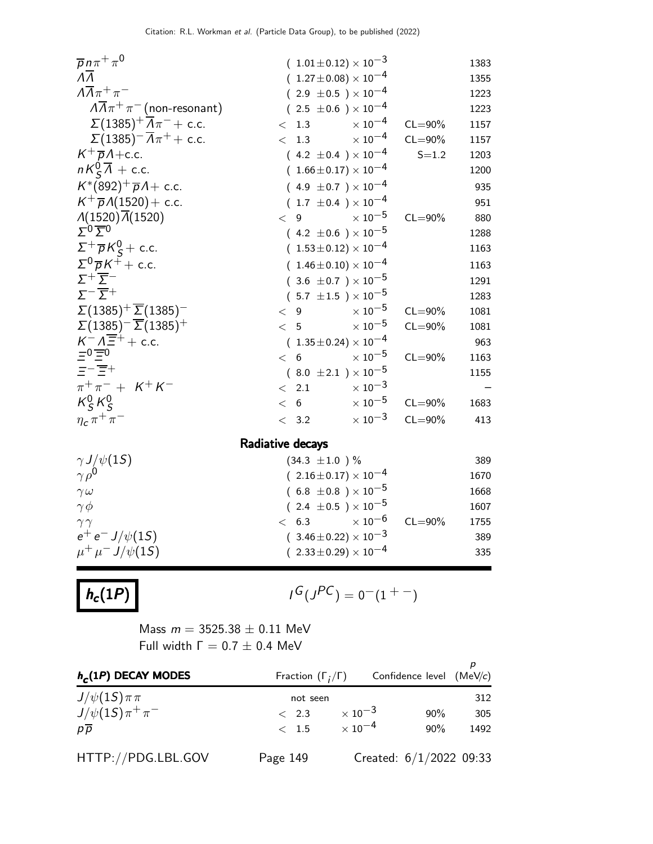| $\overline{p}n\pi^+\pi^0$                                                                                       | $(1.01 \pm 0.12) \times 10^{-3}$ |                           |             | 1383 |
|-----------------------------------------------------------------------------------------------------------------|----------------------------------|---------------------------|-------------|------|
| $\overline{\Lambda}$                                                                                            | $(1.27 \pm 0.08) \times 10^{-4}$ |                           |             | 1355 |
| $\Lambda \overline{\Lambda} \pi^+ \pi^-$                                                                        | $(2.9 \pm 0.5) \times 10^{-4}$   |                           |             | 1223 |
| $A\overline{A}\pi^+\pi^-$ (non-resonant)                                                                        | $(2.5 \pm 0.6) \times 10^{-4}$   |                           |             | 1223 |
| $\Sigma(1385)^{+} \overline{\Lambda}\pi^{-}$ + c.c.                                                             | < 1.3                            | $\times$ $10^{-4}$        | $CL = 90\%$ | 1157 |
| $\sum (1385)^{-} \overline{A} \pi^{+} + \text{c.c.}$                                                            | < 1.3                            | $\times$ 10 $^{-4}$       | $CL = 90\%$ | 1157 |
| $K^+\overline{p}A + c.c.$                                                                                       | $(4.2 \pm 0.4) \times 10^{-4}$   |                           | $S = 1.2$   | 1203 |
| $nK_{\mathsf{S}}^0\overline{\Lambda}$ + c.c.                                                                    | $(1.66 \pm 0.17) \times 10^{-4}$ |                           |             | 1200 |
| $K^*(892)^+\overline{p}A + c.c.$                                                                                | $(4.9 \pm 0.7) \times 10^{-4}$   |                           |             | 935  |
| $K^+\overline{p}A(1520) + c.c.$                                                                                 | $(1.7 \pm 0.4) \times 10^{-4}$   |                           |             | 951  |
| $\Lambda(1520)\overline{\Lambda}(1520)$                                                                         | < 9                              | $\times$ 10 $^{-5}$       | $CL = 90\%$ | 880  |
| $\Sigma^0 \overline{\Sigma}{}^0$                                                                                | $(4.2 \pm 0.6) \times 10^{-5}$   |                           |             | 1288 |
| $\Sigma^+ \overline{\rho} K^0_S + \text{c.c.}$                                                                  | $(1.53 \pm 0.12) \times 10^{-4}$ |                           |             | 1163 |
| $\Sigma^0 \overline{p} K^+ +$ c.c.                                                                              | $(1.46 \pm 0.10) \times 10^{-4}$ |                           |             | 1163 |
| $\Sigma^+\overline{\Sigma}^-$                                                                                   | $(3.6 \pm 0.7) \times 10^{-5}$   |                           |             | 1291 |
| $\Sigma^{-}$ $\overline{\Sigma}$ +                                                                              | $(.5.7 \pm 1.5) \times 10^{-5}$  |                           |             | 1283 |
| $\Sigma(1385)^{+}\overline{\Sigma}(1385)^{-}$                                                                   | $\lt$ 9                          | $\times$ $10^{-5}$        | $CL = 90\%$ | 1081 |
| $\Sigma(1385)^{-}$ $\overline{\Sigma}(1385)^{+}$                                                                | < 5                              | $\times$ 10 $^{-5}$       | $CL = 90\%$ | 1081 |
| $K^ \overline{A}$ $\overline{E}$ <sup>+</sup> + c.c.<br>$\overline{E}$ <sup>0</sup> $\overline{E}$ <sup>0</sup> | $(1.35 \pm 0.24) \times 10^{-4}$ |                           |             | 963  |
|                                                                                                                 | < 6                              | $\times$ 10 $^{-5}$       | $CL = 90\%$ | 1163 |
| $\equiv -\equiv +$                                                                                              | $(8.0 \pm 2.1) \times 10^{-5}$   |                           |             | 1155 |
| $\pi^+\pi^- + K^+K^-$                                                                                           | < 2.1                            | $\times$ 10 <sup>-3</sup> |             |      |
| $K_S^0 K_S^0$                                                                                                   | < 6                              | $\times$ 10 $^{-5}$       | $CL = 90\%$ | 1683 |
| $\eta_c \pi^+ \pi^-$                                                                                            | < 3.2                            | $\times$ 10 <sup>-3</sup> | $CL = 90\%$ | 413  |
|                                                                                                                 | Radiative decays                 |                           |             |      |
| $\gamma J/\psi(15)$                                                                                             | $(34.3 \pm 1.0)$ %               |                           |             | 389  |
| $\gamma \rho^0$                                                                                                 | $(2.16\pm0.17)\times10^{-4}$     |                           |             | 1670 |
| $\gamma \omega$                                                                                                 | $(6.8 \pm 0.8) \times 10^{-5}$   |                           |             | 1668 |
| $\gamma \phi$                                                                                                   | $(2.4 \pm 0.5) \times 10^{-5}$   |                           |             | 1607 |
| $\gamma\gamma$                                                                                                  | 6.3<br>$\lt$                     | $\times$ $10^{-6}$        | $CL = 90\%$ | 1755 |
| $e^+e^- J/\psi(1S)$                                                                                             | $(3.46 \pm 0.22) \times 10^{-3}$ |                           |             | 389  |
| $\mu^+ \mu^- J/\psi(15)$                                                                                        | $(2.33 \pm 0.29) \times 10^{-4}$ |                           |             | 335  |
|                                                                                                                 |                                  |                           |             |      |

 $h_c(1P)$   $\qquad \qquad$ 

$$
G\bigl(J^{PC}\bigr)=0^-(1^{+-})
$$

Mass  $m = 3525.38 \pm 0.11$  MeV Full width  $Γ = 0.7 ± 0.4$  MeV

| $h_c(1P)$ DECAY MODES      | Fraction $(\Gamma_i/\Gamma)$ |                           | Confidence level (MeV/c)  |      |
|----------------------------|------------------------------|---------------------------|---------------------------|------|
| $J/\psi(1S)\pi\pi$         | not seen                     |                           |                           | 312  |
| $J/\psi(1S)\pi^{+}\pi^{-}$ | $\langle 2.3 \rangle$        | $\times$ 10 <sup>-3</sup> | $90\%$                    | 305  |
| $p\overline{p}$            | $\langle 1.5 \rangle$        | $\times$ 10 <sup>-4</sup> | $90\%$                    | 1492 |
| HTTP://PDG.LBL.GOV         | Page 149                     |                           | Created: $6/1/2022$ 09:33 |      |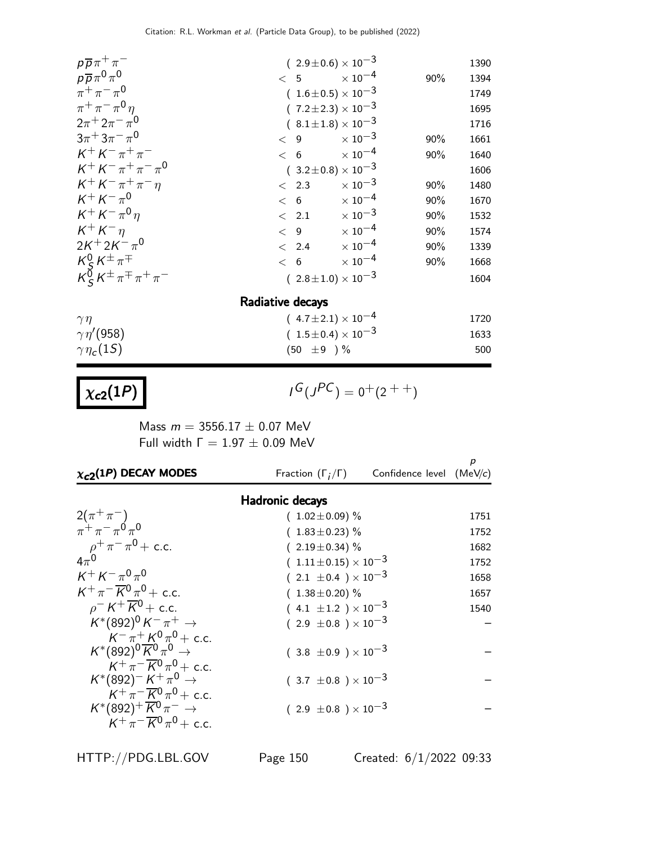| $p\overline{p}\pi^+\pi^-$                                             |                        | $(2.9\pm0.6)\times10^{-3}$     |     | 1390 |
|-----------------------------------------------------------------------|------------------------|--------------------------------|-----|------|
| $p\overline{p}\pi^0\pi^0$                                             | $< 5$ $\times 10^{-4}$ |                                | 90% | 1394 |
| $\pi^{+}\pi^{-}\pi^{0}$                                               |                        | $(1.6 \pm 0.5) \times 10^{-3}$ |     | 1749 |
| $\pi^{+}\pi^{-}\pi^{0}\eta$                                           |                        | $(7.2 \pm 2.3) \times 10^{-3}$ |     | 1695 |
| $2\pi + 2\pi - \pi^0$                                                 |                        | $(8.1 \pm 1.8) \times 10^{-3}$ |     | 1716 |
| $3\pi + 3\pi - \pi^0$                                                 | < 9                    | $\times$ 10 $^{-3}$            | 90% | 1661 |
| $K^+ K^- \pi^+ \pi^-$                                                 | $< 6$ $\times 10^{-4}$ |                                | 90% | 1640 |
| $K^+ K^- \pi^+ \pi^- \pi^0$                                           |                        | $(3.2 \pm 0.8) \times 10^{-3}$ |     | 1606 |
| $K^+ K^- \pi^+ \pi^- \eta$                                            | $\langle$ 2.3          | $\times$ 10 <sup>-3</sup>      | 90% | 1480 |
| $K^+ K^- \pi^0$                                                       | < 6                    | $\times$ 10 $^{-4}$            | 90% | 1670 |
| $K^+ K^- \pi^0 \eta$                                                  | $\langle$ 2.1          | $\times$ 10 <sup>-3</sup>      | 90% | 1532 |
| $K^+ K^-$                                                             | $\langle 9 \rangle$    | $\times$ 10 <sup>-4</sup>      | 90% | 1574 |
| $2K^{+}2K^{-}\pi^{0}$                                                 | $\langle$ 2.4          | $\times$ 10 <sup>-4</sup>      | 90% | 1339 |
|                                                                       | < 6                    | $\times$ 10 <sup>-4</sup>      | 90% | 1668 |
| $\frac{K^0_S K^{\pm} \pi^{\mp}}{K^0_S K^{\pm} \pi^{\mp} \pi^+ \pi^-}$ |                        | $(2.8 \pm 1.0) \times 10^{-3}$ |     | 1604 |
|                                                                       | Radiative decays       |                                |     |      |

| $\gamma \eta$              | $(4.7 \pm 2.1) \times 10^{-4}$ | 1720 |
|----------------------------|--------------------------------|------|
| $\gamma\eta^{\prime}(958)$ | $(1.5 \pm 0.4) \times 10^{-3}$ | 1633 |
| $\gamma \eta_c(1S)$        | $(50 \pm 9)$ %                 | 500  |

# $\chi_{c2}(1P)$

$$
I^G(J^{PC}) = 0^+(2^{++})
$$

Mass  $m = 3556.17 \pm 0.07$  MeV Full width  $Γ = 1.97 ± 0.09$  MeV

| $\chi_{c2}(1P)$ DECAY MODES                                                                                 | Fraction $(\Gamma_i/\Gamma)$     | Confidence level $(MeV/c)$ | р    |
|-------------------------------------------------------------------------------------------------------------|----------------------------------|----------------------------|------|
|                                                                                                             | <b>Hadronic decays</b>           |                            |      |
| $2(\pi^{+}\pi^{-})$                                                                                         | $(1.02 \pm 0.09)$ %              |                            | 1751 |
| $\pi^+ \pi^- \pi^0 \pi^0$                                                                                   | $(1.83 \pm 0.23)$ %              |                            | 1752 |
| $\rho^+ \pi^- \pi^0$ + c.c.                                                                                 | $(2.19 \pm 0.34)$ %              |                            | 1682 |
| $4\pi^0$                                                                                                    | $(1.11 \pm 0.15) \times 10^{-3}$ |                            | 1752 |
| $K^+ K^- \pi^0 \pi^0$                                                                                       | $(2.1 \pm 0.4) \times 10^{-3}$   |                            | 1658 |
| $K^+\pi^-\overline{K^0}\pi^0$ + c.c.                                                                        | $(1.38 \pm 0.20)\%$              |                            | 1657 |
| $\rho$ <sup>-</sup> K <sup>+</sup> $\overline{K}$ <sup>0</sup> + c.c.                                       | $(4.1 \pm 1.2) \times 10^{-3}$   |                            | 1540 |
| $K^*(892)^0 K^- \pi^+ \to$                                                                                  | $(2.9 \pm 0.8) \times 10^{-3}$   |                            |      |
| $K^-\pi^+ K^0 \pi^0$ + c.c.<br>$K^*(892)^0\overline{K}^0\pi^0\to$<br>$K^+\pi^-\overline{K}{}^0\pi^0$ + c.c. | $(3.8 \pm 0.9) \times 10^{-3}$   |                            |      |
| $K^*(892)^- K^+\pi^0 \to$<br>$K^+\pi^-\overline{K^0}\pi^0 + c.c.$                                           | $(3.7 \pm 0.8) \times 10^{-3}$   |                            |      |
| $K^*(892)^+\overline{K}{}^0\pi^- \rightarrow$<br>$K^+\pi^-\overline{K}{}^0\pi^0$ + c.c.                     | $(2.9 \pm 0.8) \times 10^{-3}$   |                            |      |
|                                                                                                             |                                  |                            |      |

HTTP://PDG.LBL.GOV Page 150 Created: 6/1/2022 09:33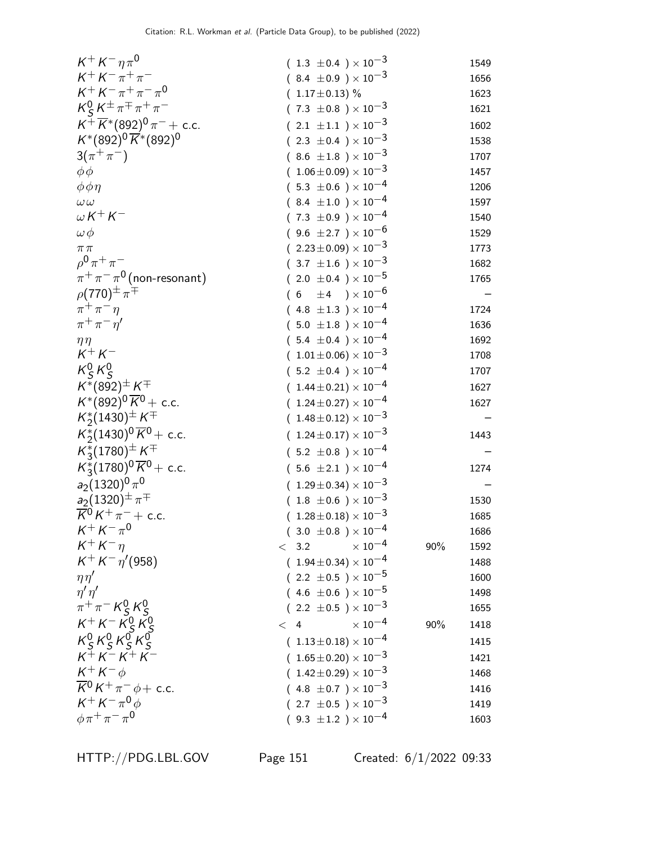| $K^+ K^- \eta \pi^0$                                                                               | $(1.3 \pm 0.4) \times 10^{-3}$        |     | 1549 |
|----------------------------------------------------------------------------------------------------|---------------------------------------|-----|------|
| $K^+ K^- \pi^+ \pi^-$                                                                              | $(8.4 \pm 0.9) \times 10^{-3}$        |     | 1656 |
| $K^+ K^- \pi^+ \pi^- \pi^0$                                                                        | $(1.17 \pm 0.13)$ %                   |     | 1623 |
| $K_S^0 K^{\pm} \pi^{\mp} \pi^+ \pi^-$                                                              | $(7.3 \pm 0.8) \times 10^{-3}$        |     | 1621 |
| $K^+ \overline{K}^* (892)^0 \pi^- +$ c.c.                                                          | $(2.1 \pm 1.1) \times 10^{-3}$        |     | 1602 |
| $K^*(892)^0\overline{K}^*(892)^0$                                                                  | $(2.3 \pm 0.4) \times 10^{-3}$        |     | 1538 |
| $3(\pi^{+}\pi^{-})$                                                                                | $(8.6 \pm 1.8) \times 10^{-3}$        |     | 1707 |
| $\phi \phi$                                                                                        | $(1.06\pm0.09)\times10^{-3}$          |     | 1457 |
| $\phi \phi \eta$                                                                                   | $(5.3 \pm 0.6) \times 10^{-4}$        |     | 1206 |
| $\omega\,\omega$                                                                                   | $(8.4 \pm 1.0) \times 10^{-4}$        |     | 1597 |
| $\omega K^+ K^-$                                                                                   | $(7.3 \pm 0.9) \times 10^{-4}$        |     | 1540 |
| $\omega \phi$                                                                                      | $(9.6 \pm 2.7) \times 10^{-6}$        |     | 1529 |
| $\pi\pi$                                                                                           | $(2.23 \pm 0.09) \times 10^{-3}$      |     | 1773 |
| $\rho^{0} \pi^{+} \pi^{-}$                                                                         | $(3.7 \pm 1.6) \times 10^{-3}$        |     | 1682 |
| $\pi^+\pi^-\pi^0$ (non-resonant)                                                                   | $(2.0 \pm 0.4) \times 10^{-5}$        |     | 1765 |
| $\rho(770)^{\pm} \pi^{\mp}$                                                                        | $(6 \pm 4) \times 10^{-6}$            |     |      |
| $\pi^+\pi^-\eta$                                                                                   | $(4.8 \pm 1.3) \times 10^{-4}$        |     | 1724 |
| $\pi^+\pi^-\eta^{\prime}$                                                                          | $(5.0 \pm 1.8) \times 10^{-4}$        |     | 1636 |
| $\eta\eta$                                                                                         | $(5.4 \pm 0.4) \times 10^{-4}$        |     | 1692 |
| $K^+ K^-$                                                                                          | $(1.01 \pm 0.06) \times 10^{-3}$      |     | 1708 |
| $K_S^0 K_S^0$                                                                                      | $(5.2 \pm 0.4) \times 10^{-4}$        |     | 1707 |
| $K^{*}(892)^{\pm} K^{\mp}$                                                                         | $(1.44 \pm 0.21) \times 10^{-4}$      |     | 1627 |
| $K^*(892)^0 \overline{K}^0$ + c.c.                                                                 | $(1.24 \pm 0.27) \times 10^{-4}$      |     | 1627 |
| $K_2^*(1430)^{\pm} K^{\mp}$                                                                        | $(1.48 \pm 0.12) \times 10^{-3}$      |     |      |
| $K_2^*(1430)^0 \overline{K}^0$ + c.c.                                                              | $(1.24 \pm 0.17) \times 10^{-3}$      |     | 1443 |
| $K_3^*(1780)^\pm K^\mp$                                                                            | $(5.2 \pm 0.8) \times 10^{-4}$        |     |      |
| $K_3^*(1780)^0 \overline{K}^0$ + c.c.                                                              | $(5.6 \pm 2.1) \times 10^{-4}$        |     | 1274 |
| $a_2(1320)^0\pi^0$                                                                                 | $(1.29 \pm 0.34) \times 10^{-3}$      |     |      |
|                                                                                                    | $(1.8 \pm 0.6) \times 10^{-3}$        |     | 1530 |
| $\frac{a_2}{K^0}$ (1320) <sup>±</sup> $\pi^{\mp}$<br>$\frac{1}{K^0}$ K <sup>+</sup> $\pi^-$ + c.c. | $(1.28 \pm 0.18) \times 10^{-3}$      |     | 1685 |
| $K^+ K^- \pi^0$                                                                                    | $(3.0 \pm 0.8) \times 10^{-4}$        |     | 1686 |
| $K^+ K^- \eta$                                                                                     | $\times$ $10^{-4}$<br>< 3.2           | 90% | 1592 |
| $K^+ K^- \eta' (958)$                                                                              | $(1.94 \pm 0.34) \times 10^{-4}$      |     | 1488 |
| $\eta\eta'$                                                                                        | $(2.2 \pm 0.5) \times 10^{-5}$        |     | 1600 |
| $\eta' \eta'$                                                                                      | $(4.6 \pm 0.6) \times 10^{-5}$        |     | 1498 |
| $\pi^{+}\pi^{-}$ K <sub>S</sub> K <sub>S</sub>                                                     | $(2.2 \pm 0.5) \times 10^{-3}$        |     | 1655 |
|                                                                                                    | $\times$ $10^{-4}$<br>$<\phantom{1}4$ | 90% | 1418 |
| $K^{+} K^{-} K^{0}_{S} K^{0}_{S}$<br>$K^{0}_{S} K^{0}_{S} K^{0}_{S} K^{0}_{S}$                     | $(1.13\pm0.18)\times10^{-4}$          |     | 1415 |
| $K^{+} K^{-} K^{+} K^{-}$                                                                          | $(1.65 \pm 0.20) \times 10^{-3}$      |     | 1421 |
| $K^+ K^- \phi$                                                                                     | $(1.42 \pm 0.29) \times 10^{-3}$      |     | 1468 |
| $\overline{K}{}^0 K^+ \pi^- \phi + \text{c.c.}$                                                    | $(4.8 \pm 0.7) \times 10^{-3}$        |     | 1416 |
| $K^+ K^- \pi^0 \phi$                                                                               | $(2.7 \pm 0.5) \times 10^{-3}$        |     | 1419 |
| $\phi \pi^+ \pi^- \pi^0$                                                                           | $(9.3 \pm 1.2) \times 10^{-4}$        |     | 1603 |
|                                                                                                    |                                       |     |      |

HTTP://PDG.LBL.GOV Page 151 Created: 6/1/2022 09:33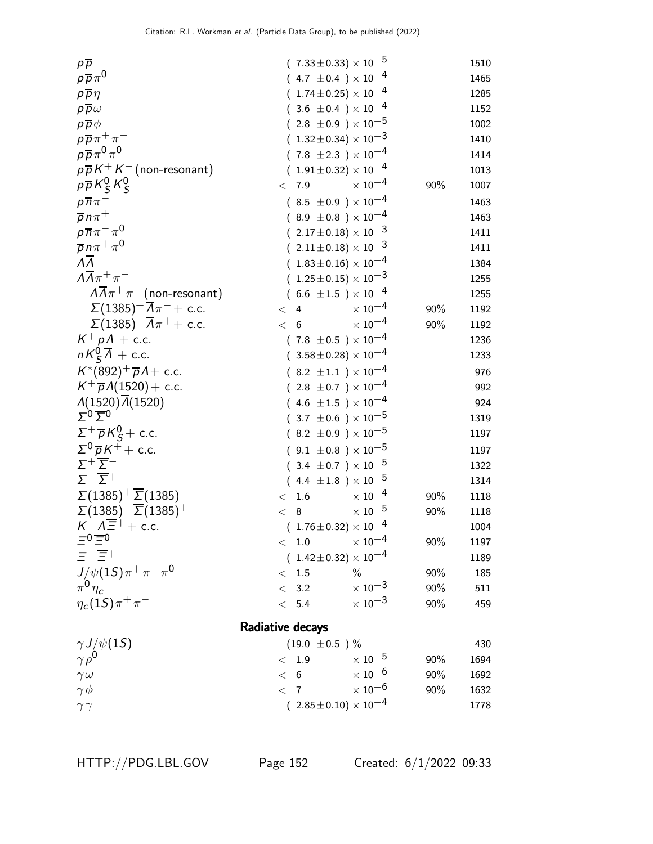| $p\overline{p}$                                   |                    | $(7.33 \pm 0.33) \times 10^{-5}$ |     | 1510 |
|---------------------------------------------------|--------------------|----------------------------------|-----|------|
| $p\overline{p}\pi^0$                              |                    | $(4.7 \pm 0.4) \times 10^{-4}$   |     | 1465 |
| $p\overline{p}\eta$                               |                    | $(1.74 \pm 0.25) \times 10^{-4}$ |     | 1285 |
| $p\overline{p}\omega$                             |                    | $(3.6 \pm 0.4) \times 10^{-4}$   |     | 1152 |
| $p\overline{p}\phi$                               |                    | $(2.8 \pm 0.9) \times 10^{-5}$   |     | 1002 |
| $p\overline{p}\pi^+\pi^-$                         |                    | $(1.32 \pm 0.34) \times 10^{-3}$ |     | 1410 |
| $p\overline{p}\pi^0\pi^0$                         |                    | $(7.8 \pm 2.3) \times 10^{-4}$   |     | 1414 |
| $p\overline{p}K^{+}K^{-}$ (non-resonant)          |                    | $(1.91 \pm 0.32) \times 10^{-4}$ |     | 1013 |
| $p\overline{p}K_S^0K_S^0$                         | < 7.9              | $\times$ 10 <sup>-4</sup>        | 90% | 1007 |
| $p\overline{n}\pi^-$                              |                    | $(8.5 \pm 0.9) \times 10^{-4}$   |     | 1463 |
| $\overline{p} n \pi^+$                            |                    | $(8.9 \pm 0.8) \times 10^{-4}$   |     | 1463 |
| $p\overline{n}\pi^{-}\pi^{0}$                     |                    | $(2.17 \pm 0.18) \times 10^{-3}$ |     | 1411 |
| $\overline{p} n \pi^+ \pi^0$                      |                    | $(2.11 \pm 0.18) \times 10^{-3}$ |     | 1411 |
| $\overline{\Lambda}$                              |                    | $(1.83\pm0.16)\times10^{-4}$     |     | 1384 |
| $\Lambda \overline{\Lambda} \pi^+ \pi^-$          |                    | $(1.25 \pm 0.15) \times 10^{-3}$ |     | 1255 |
| $\sqrt{\Lambda}\pi^+\pi^-$ (non-resonant)         |                    | $(6.6 \pm 1.5) \times 10^{-4}$   |     | 1255 |
| $\Sigma(1385)^{+} \overline{A} \pi^{-}$ + c.c.    | < 4                | $\times$ $10^{-4}$               | 90% | 1192 |
| $\Sigma(1385)^{-}\overline{\Lambda}\pi^{+}+$ c.c. | 6<br>$\lt$         | $\times$ $10^{-4}$               | 90% | 1192 |
| $K^+\overline{p}A$ + c.c.                         |                    | $(7.8 \pm 0.5) \times 10^{-4}$   |     | 1236 |
| $nK_{\mathsf{S}}^0\overline{\Lambda}$ + c.c.      |                    | $(3.58 \pm 0.28) \times 10^{-4}$ |     | 1233 |
| $K^*(892)^+\overline{p}A + c.c.$                  |                    | $(8.2 \pm 1.1) \times 10^{-4}$   |     | 976  |
| $K^{+} \overline{p} \Lambda(1520) + \text{c.c.}$  |                    | $(2.8 \pm 0.7) \times 10^{-4}$   |     | 992  |
| $\Lambda(1520)\overline{\Lambda}(1520)$           |                    | $(4.6 \pm 1.5) \times 10^{-4}$   |     | 924  |
| $\Sigma_0 \overline{\Sigma}_0$                    |                    | $(.3.7 \pm 0.6) \times 10^{-5}$  |     | 1319 |
| $\Sigma^+ \overline{p} K^0_S$ + c.c.              |                    | $(8.2 \pm 0.9) \times 10^{-5}$   |     | 1197 |
| $\Sigma^0 \overline{p} K^+ +$ c.c.                |                    | $(9.1 \pm 0.8) \times 10^{-5}$   |     | 1197 |
| $\Sigma^+\overline{\Sigma}^-$                     |                    | $(.3.4 \pm 0.7) \times 10^{-5}$  |     | 1322 |
| $\Sigma^{-} \overline{\Sigma}{}^{+}$              |                    | $(4.4 \pm 1.8) \times 10^{-5}$   |     | 1314 |
| $\Sigma(1385)^{+}\overline{\Sigma}(1385)^{-}$     | 1.6<br>$\lt$       | $\times$ $10^{-4}$               | 90% | 1118 |
| $\Sigma(1385)^{-}$ $\overline{\Sigma}(1385)^{+}$  | 8<br>$\lt$         | $\times$ $10^{-5}$               | 90% | 1118 |
| $K^- \Lambda \overline{\Xi}^+$ + c.c.             |                    | $(1.76 \pm 0.32) \times 10^{-4}$ |     | 1004 |
| $=0$ $\equiv$ 0                                   | < 1.0              | $\times$ $10^{-4}$               | 90% | 1197 |
| $\equiv -\equiv +$                                |                    | $(1.42 \pm 0.32) \times 10^{-4}$ |     | 1189 |
| $J/\psi(1S)\pi^+\pi^-\pi^0$                       | < 1.5              | $\%$                             | 90% | 185  |
| $\pi^0 \eta_c$                                    | < 3.2              | $\times$ 10 $^{-3}$              | 90% | 511  |
| $\eta_c(1S)\pi^+\pi^-$                            | < 5.4              | $\times$ 10 <sup>-3</sup>        | 90% | 459  |
|                                                   | Radiative decays   |                                  |     |      |
| $\gamma J/\psi(15)$                               | $(19.0 \pm 0.5)$ % |                                  |     | 430  |
| $\gamma \rho^0$                                   | $\rm <$ $1.9$      | $\times$ 10 <sup>-5</sup>        | 90% | 1694 |
| $\gamma\,\omega$                                  | < 6                | $\times$ 10 $^{-6}$              | 90% | 1692 |
| $\gamma\,\phi$                                    | < 7                | $\times$ $10^{-6}$               | 90% | 1632 |
|                                                   |                    | $(2.85 \pm 0.10) \times 10^{-4}$ |     | 1778 |
| $\gamma\gamma$                                    |                    |                                  |     |      |

HTTP://PDG.LBL.GOV Page 152 Created: 6/1/2022 09:33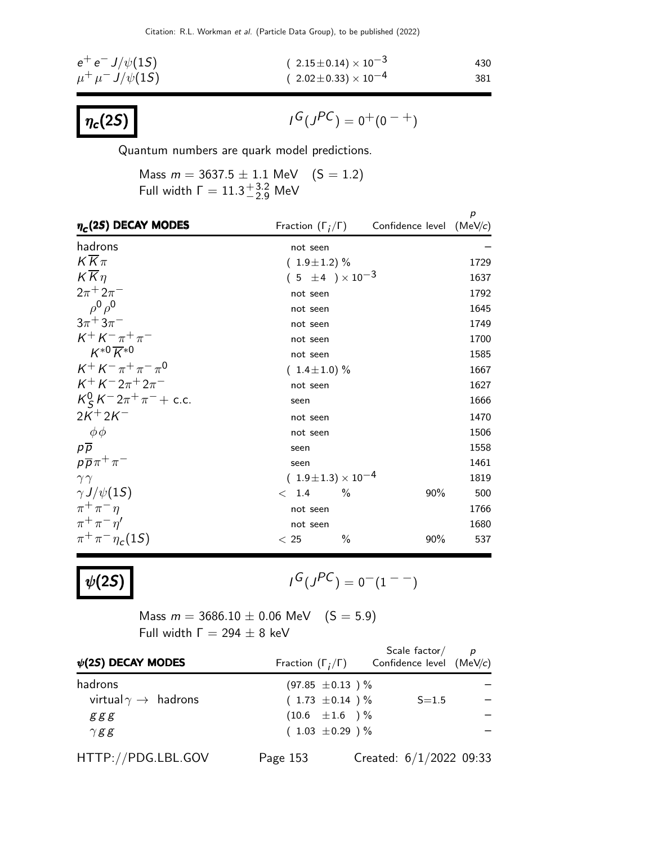$$
e^{+}e^{-} J/\psi(1S) \qquad (2.15 \pm 0.14) \times 10^{-3} \qquad 430
$$
  

$$
\mu^{+} \mu^{-} J/\psi(1S) \qquad (2.02 \pm 0.33) \times 10^{-4} \qquad 381
$$



 $G(J^{PC}) = 0^+(0^{-+})$ 

Quantum numbers are quark model predictions.

Mass  $m = 3637.5 \pm 1.1$  MeV  $(S = 1.2)$ Full width  $\Gamma = 11.3^{+3.2}_{-2.9}$  MeV

| $\eta_c(2S)$ DECAY MODES        |                                |               | Fraction $(\Gamma_i/\Gamma)$ Confidence level (MeV/c) | p    |
|---------------------------------|--------------------------------|---------------|-------------------------------------------------------|------|
| hadrons                         | not seen                       |               |                                                       |      |
| $K\overline{K}\pi$              | $(1.9 \pm 1.2)$ %              |               |                                                       | 1729 |
| $K\overline{K}\eta$             | $(5 \pm 4) \times 10^{-3}$     |               |                                                       | 1637 |
| $2\pi + 2\pi^-$                 | not seen                       |               |                                                       | 1792 |
| $\rho^0 \rho^0$                 | not seen                       |               |                                                       | 1645 |
| $3\pi + 3\pi$                   | not seen                       |               |                                                       | 1749 |
| $K^+ K^- \pi^+ \pi^-$           | not seen                       |               |                                                       | 1700 |
| $K^{*0}\overline{K}^{*0}$       | not seen                       |               |                                                       | 1585 |
| $K^+ K^- \pi^+ \pi^- \pi^0$     | $(1.4 \pm 1.0) \%$             |               |                                                       | 1667 |
| $K^{+} K^{-} 2\pi^{+} 2\pi^{-}$ | not seen                       |               |                                                       | 1627 |
| $K_S^0 K^- 2\pi^+\pi^-$ + c.c.  | seen                           |               |                                                       | 1666 |
| $2K^{+}2K^{-}$                  | not seen                       |               |                                                       | 1470 |
| $\phi\phi$                      | not seen                       |               |                                                       | 1506 |
| $p\overline{p}$                 | seen                           |               |                                                       | 1558 |
| $p\overline{p}\pi^+\pi^-$       | seen                           |               |                                                       | 1461 |
| $\gamma\gamma$                  | $(1.9 \pm 1.3) \times 10^{-4}$ |               |                                                       | 1819 |
| $\gamma J/\psi(15)$             | < 1.4                          | $\frac{0}{0}$ | 90%                                                   | 500  |
| $\pi^+\pi^-\eta$                | not seen                       |               |                                                       | 1766 |
| $\pi^+\pi^-\eta^{\prime}$       | not seen                       |               |                                                       | 1680 |
| $\pi^{+}\pi^{-}\eta_{c}(1S)$    | < 25                           | $\%$          | 90%                                                   | 537  |

 $\psi$ (2S)

$$
I^G(J^{PC})=0^-(1^{--})
$$

Mass  $m = 3686.10 \pm 0.06 \text{ MeV}$  (S = 5.9) Full width  $Γ = 294 ± 8$  keV

| $\psi$ (2S) DECAY MODES              | Fraction $(\Gamma_i/\Gamma)$ | Scale $factor/$<br>Confidence level (MeV/c) | $\overline{p}$ |
|--------------------------------------|------------------------------|---------------------------------------------|----------------|
| hadrons                              | $(97.85 \pm 0.13)$ %         |                                             |                |
| virtual $\gamma \rightarrow$ hadrons | $(1.73 \pm 0.14)$ %          | $S = 1.5$                                   |                |
| ggg                                  | $(10.6 \pm 1.6)$ %           |                                             |                |
| $\gamma$ gg                          | $(1.03 \pm 0.29)$ %          |                                             |                |
| HTTP://PDG.LBL.GOV                   | Page 153                     | Created: $6/1/2022$ 09:33                   |                |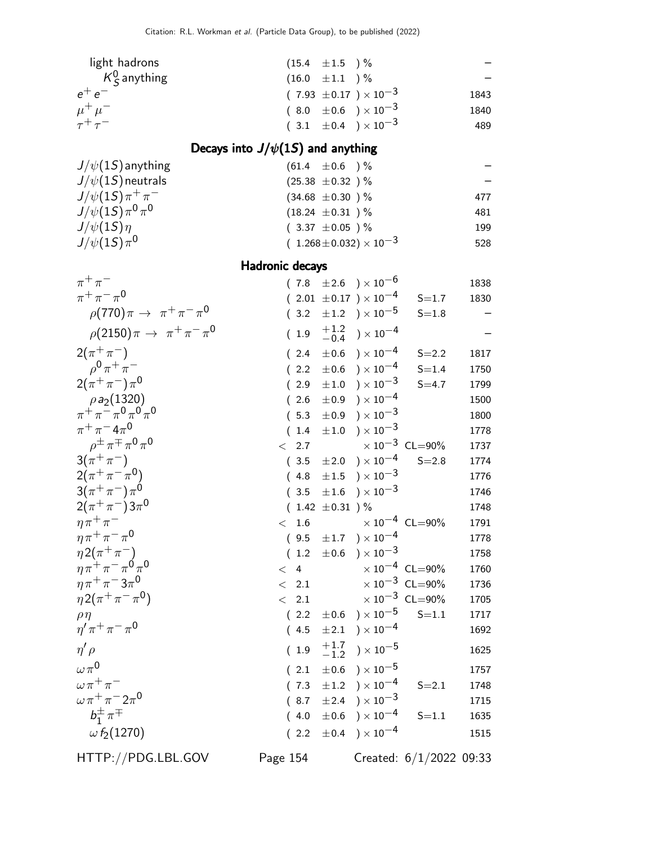| light hadrons            | $(15.4 \pm 1.5)$ %               |      |
|--------------------------|----------------------------------|------|
| $K^0_\varsigma$ anything | $(16.0 \pm 1.1) \%$              |      |
| $e^+e^-$                 | $(7.93 \pm 0.17) \times 10^{-3}$ | 1843 |
| $\mu^+ \mu^-$            | $(8.0 \pm 0.6) \times 10^{-3}$   | 1840 |
| $\tau^+\tau^-$           | $(3.1 \pm 0.4) \times 10^{-3}$   | 489  |
|                          |                                  |      |

### Decays into  $J/\psi(1S)$  and anything

| $(61.4 \pm 0.6)$ %                 |     |
|------------------------------------|-----|
| $(25.38 \pm 0.32)$ %               |     |
| $(34.68 \pm 0.30)$ %               | 477 |
| $(18.24 \pm 0.31)$ %               | 481 |
| $(3.37 \pm 0.05)$ %                | 199 |
| $(1.268 \pm 0.032) \times 10^{-3}$ | 528 |
|                                    |     |

Hadronic decays

| $\pi^+\pi^-$                                                             |              |                     | $(7.8 \pm 2.6) \times 10^{-6}$           |                                | 1838 |
|--------------------------------------------------------------------------|--------------|---------------------|------------------------------------------|--------------------------------|------|
| $\pi^{+}\pi^{-}\pi^{0}$                                                  |              |                     | $(2.01 \pm 0.17) \times 10^{-4}$         | $S = 1.7$                      | 1830 |
| $\rho(770)\pi \to \pi^+\pi^-\pi^0$                                       | (3.2)        |                     | $\pm 1.2$ ) $\times 10^{-5}$             | $S = 1.8$                      |      |
| $\rho(2150)\pi \to \pi^+\pi^-\pi^0$                                      | (1.9)        |                     | $^{+1.2}_{-0.4}$ ) $\times 10^{-4}$      |                                |      |
| $2(\pi^{+}\pi^{-})$                                                      | (2.4)        |                     | $\pm 0.6$ ) $\times 10^{-4}$             | $S = 2.2$                      | 1817 |
| $\rho^{0} \pi^{+} \pi^{-}$                                               | (2.2)        |                     | $\pm 0.6$ ) $\times 10^{-4}$             | $S = 1.4$                      | 1750 |
| $2(\pi^{+}\pi^{-})\pi^{0}$                                               | (2.9)        |                     | $\pm 1.0$ $\phantom{0}$ $\times 10^{-3}$ | $S = 4.7$                      | 1799 |
| $\rho a_2(1320)$<br>$\pi^+ \pi^- \pi^0 \pi^0 \pi^0$                      | (2.6)        |                     | $\pm 0.9$ ) $\times 10^{-4}$             |                                | 1500 |
|                                                                          | (5.3)        |                     | $\pm 0.9$ ) $\times 10^{-3}$             |                                | 1800 |
| $\pi^{+}\pi^{-}4\pi^{0}$                                                 | (1.4)        |                     | $\pm 1.0$ ) $\times 10^{-3}$             |                                | 1778 |
| $\rho^{\pm} \pi^{\mp} \pi^0 \pi^0$                                       | 2.7<br>$\lt$ |                     |                                          | $\times 10^{-3}$ CL=90%        | 1737 |
| $3(\pi^{+}\pi^{-})$                                                      | (3.5)        |                     | $\pm 2.0$ ) $\times 10^{-4}$             | $S = 2.8$                      | 1774 |
| $2(\pi^{+}\pi^{-}\pi^{0})$                                               | (4.8)        |                     | $\pm 1.5$ $\rightarrow$ $\times 10^{-3}$ |                                | 1776 |
| $3(\pi^{+}\pi^{-})\pi^{0}$                                               | (3.5)        | $\pm 1.6$           | $\chi \times 10^{-3}$                    |                                | 1746 |
| $2(\pi^{+}\pi^{-})3\pi^{0}$                                              |              | $(1.42 \pm 0.31)$ % |                                          |                                | 1748 |
| $\eta \pi^+ \pi^-$                                                       | 1.6<br>$\lt$ |                     |                                          | $\times$ $10^{-4}$ $\,$ CL=90% | 1791 |
| $\eta \pi^+ \pi^- \pi^0$                                                 | (9.5)        |                     | $\pm 1.7$ ) $\times 10^{-4}$             |                                | 1778 |
| $\substack{\eta \, 2\left(\pi^+\pi^-\right)\\ \eta\pi^+\pi^-\pi^0\pi^0}$ | (1.2)        |                     | $\pm 0.6$ ) $\times 10^{-3}$             |                                | 1758 |
|                                                                          | < 4          |                     |                                          | $\times 10^{-4}$ CL=90%        | 1760 |
| $\eta \pi^+ \pi^- 3 \pi^0$                                               | $\lt$<br>2.1 |                     |                                          | $\times 10^{-3}$ CL=90%        | 1736 |
| $\eta 2(\pi^+\pi^-\pi^0)$                                                | 2.1<br>$\lt$ |                     |                                          | $\times$ $10^{-3}$ $\,$ CL=90% | 1705 |
| $\rho\eta$                                                               | (2.2)        |                     | $\pm 0.6$ ) $\times 10^{-5}$             | $S = 1.1$                      | 1717 |
| $\eta' \pi^+ \pi^- \pi^0$                                                | (4.5)        |                     | $\pm 2.1$ ) $\times 10^{-4}$             |                                | 1692 |
| $\eta' \rho$                                                             | (1.9)        |                     | $^{+1.7}_{-1.2}$ ) $\times 10^{-5}$      |                                | 1625 |
| $\omega \pi^0$                                                           | (2.1)        | $\pm 0.6$           | ) $\times$ 10 $^{-5}$                    |                                | 1757 |
| $\omega \pi^+ \pi^-$                                                     | (7.3)        |                     | $\pm 1.2$ ) $\times 10^{-4}$             | $S = 2.1$                      | 1748 |
| $\omega\pi^+\pi^-2\pi^0$                                                 | (8.7)        |                     | $\pm 2.4$ ) $\times 10^{-3}$             |                                | 1715 |
| $b_1^{\pm} \pi^{\mp}$                                                    | (4.0)        | $\pm 0.6$           | ) $\times$ 10 <sup>-4</sup>              | $S = 1.1$                      | 1635 |
| $\omega f_2(1270)$                                                       | (2.2)        |                     | $\pm 0.4$ ) $\times 10^{-4}$             |                                | 1515 |
| HTTP://PDG.LBL.GOV                                                       | Page 154     |                     |                                          | Created: $6/1/2022$ 09:33      |      |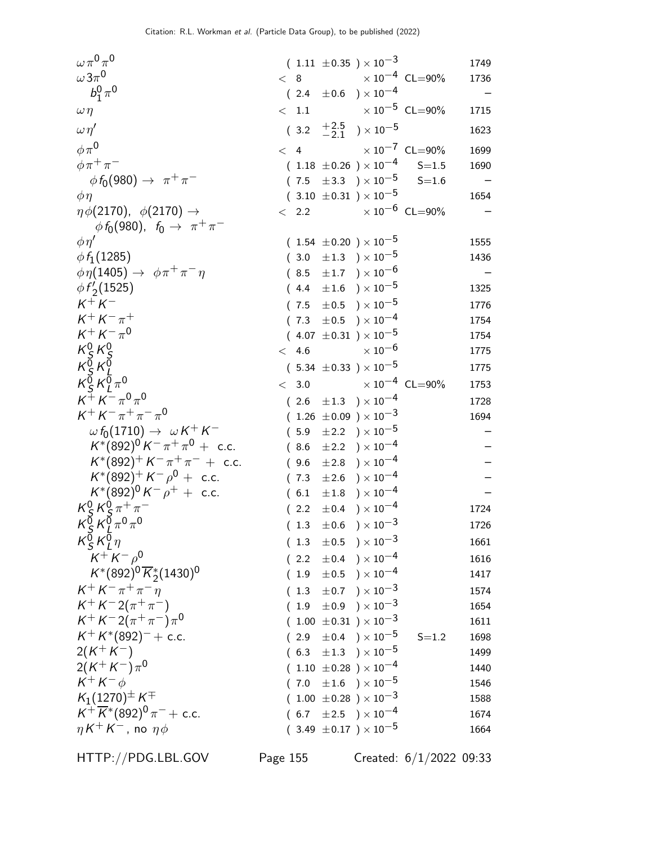$\omega\,\pi^{\mathsf{0}}\,\pi^{\mathsf{0}}$  $\begin{array}{l} ( \ \, 1.11 \ \pm 0.35 \ \, ) \times 10^{-3} \ \, 3.1749 \ \times \ \, 8 \qquad \quad \times 10^{-4} \ \, {\sf CL}{=}90\% \qquad \, 1736 \end{array}$ ω3π  $\times 10^{-4}$  CL=90% 1736<br> $\times 10^{-4}$  –  $b_1^0$  $^0_1\pi^0$  $(2.4 \pm 0.6) \times 10^{-4}$  $\omega \, \eta \qquad \qquad < \; 1.1 \qquad \qquad \times 10^{-5}$  CL=90% 1715  $\omega \eta'$  $(3.2 \tfrac{+2.5}{-2.1})$  $^{+2.5}_{-2.1}$  ) × 10<sup>-5</sup> 1623  $\phi \pi^0$  < 4  $\times 10^{-7}$  CL=90% 1699  $\phi \pi^+ \pi^ ( \hspace{.1cm} 1.18 \hspace{.1cm} \pm 0.26 \hspace{.1cm} ) \times 10^{-4} \hspace{.6cm} \hspace{.3cm} \hspace{.3cm} \mathrm{S=}1.5 \hspace{.6cm} 1690$  $\phi f_0(980) \rightarrow \pi^+ \pi$  $(7.5 \pm 3.3) \times 10^{-5}$  S=1.6  $\phi \eta$  (3.10 ±0.31 ) × 10<sup>-5</sup> 1654<br>  $\eta \phi(2170)$ ,  $\phi(2170)$   $\rightarrow$  (2.2  $\times 10^{-6}$  CL=90% - $\eta \phi(2170), \phi(2170) \rightarrow$  $\phi f_0(980)$ ,  $f_0 \to \pi^+ \pi^ \times$  10<sup>-6</sup> CL=90%  $\phi$ η' ( 1.54  $\pm$  0.20 )  $\times$  10<sup>-5</sup> 1555  $\phi f_1(1285)$  ( 3.0  $\pm 1.3$  ) × 10<sup>-5</sup> 1436  $\phi \eta(1405) \rightarrow \phi \pi^+ \pi^- \eta$  $(8.5 \pm 1.7) \times 10^{-6}$  –  $\phi f_2'$ ( $4.4 \pm 1.6$  )  $\times 10^{-5}$  1325  $K^+ K$  $(7.5 \pm 0.5) \times 10^{-5}$  1776  $K^+ K^- \pi$  $( 7.3 \pm 0.5 ) \times 10^{-4}$  1754  $K^+ K^- \pi^0$  $\begin{array}{l} ( \ \, 4.07 \ \, \pm 0.31 \ \, ) \times 10^{-5} \ \, \times \ \, 10^{-6} \qquad \qquad \quad \quad \ \, 1754 \ \, \times \ \, 10^{-6} \qquad \qquad \quad \ \, 1775 \end{array}$  $K^0_S$  $^0_\varsigma$ K $^0_\varsigma$ S  $\times$  10 $^{-6}$  $K^{\bar{0}}_{\cal S} K^{\bar{0}}_{I}$ S L  $(5.34 \pm 0.33) \times 10^{-5}$  1775  $\kappa_{\varsigma}^{\v{0}}$  $\frac{\bar{0}}{\bar{S}}K^{\bar{0}}_L$  $\frac{0}{L}\pi$  $0 < 3.0$   $\times 10^{-4}$  CL=90% 1753  $K^+ K^- \pi^0 \pi^0$  $(2.6 \pm 1.3) \times 10^{-4}$  1728  $K^+ K^- \pi^+ \pi^- \pi^0$  $( 1.26 \pm 0.09 ) \times 10^{-3}$  1694  $\omega f_0(1710) \rightarrow \omega K^+ K$  $(5.9 \pm 2.2) \times 10^{-5}$  $K^*(892)^0 K^- \pi^+ \pi^ (8.6 \pm 2.2) \times 10^{-4}$  –  $K^*(892)^+ K^- \pi^+ \pi$  $(9.6 \pm 2.8) \times 10^{-4}$  $K^*(892)^+ K^- \rho$  $(7.3 \pm 2.6) \times 10^{-4}$  –  $K^*(892)^0 K^- \rho$  $(6.1 \pm 1.8) \times 10^{-4}$  –  $K^0_S$  $^0_\varsigma$ K $^0_\varsigma$  $\frac{0}{5} \pi^+ \pi$  $(2.2 \pm 0.4) \times 10^{-4}$  1724  $\kappa_{\varsigma}^{\v{0}}$  $\frac{1}{2}$  K $\frac{1}{2}$  $\int\limits_{\mathcal{L}}^{\mathcal{D}}\pi^{0}\pi^{0}$  $(1.3 \pm 0.6) \times 10^{-3}$  1726  $K^{\bar{0}}_{\varsigma}$  $\frac{\bar{0}}{S}K^{\overline{0}}_L$ L  $(1.3 \pm 0.5) \times 10^{-3}$  1661  $K^+ K^- \rho^0$  $(2.2 \pm 0.4) \times 10^{-4}$  1616  $K^*(892)^0\overline{K}_2^*(1430)^0$  $(1.9 \pm 0.5) \times 10^{-4}$  1417  $K^{+} K^{-} \pi^{+} \pi$  $(1.3 \pm 0.7) \times 10^{-3}$  1574  $K^+ K^- 2(\pi^+ \pi^ (\begin{array}{ccc} 1.9 & \pm 0.9 \end{array}) \times 10^{-3}$  1654  $K^+ K^- 2(\pi^+ \pi^-) \pi^0$  $( 1.00 \ \pm 0.31 \ ) \times 10^{-3}$  1611  $K^+ K^*$  $(2.9 \pm 0.4) \times 10^{-5}$  S=1.2 1698  $2(K^+K)$  $(6.3 \pm 1.3) \times 10^{-5}$  1499  $2(K^+K^-)\pi^0$  $(1.10 \pm 0.28) \times 10^{-4}$  1440  $K^+ K$  $(7.0 \pm 1.6) \times 10^{-5}$  1546  $K_1(1270)^{\pm} K^{\mp}$  $( \hspace{.1cm} 1.00 \hspace{.1cm} \pm 0.28 \hspace{.1cm} ) \times 10^{-3} \hspace{3cm} 1588$  $K^+\overline{K}{}^*(892)^0\pi$  $(6.7 \pm 2.5) \times 10^{-4}$  1674  $\eta$  K  $^+$  K  $(3.49 \pm 0.17) \times 10^{-5}$  1664

HTTP://PDG.LBL.GOV Page 155 Created: 6/1/2022 09:33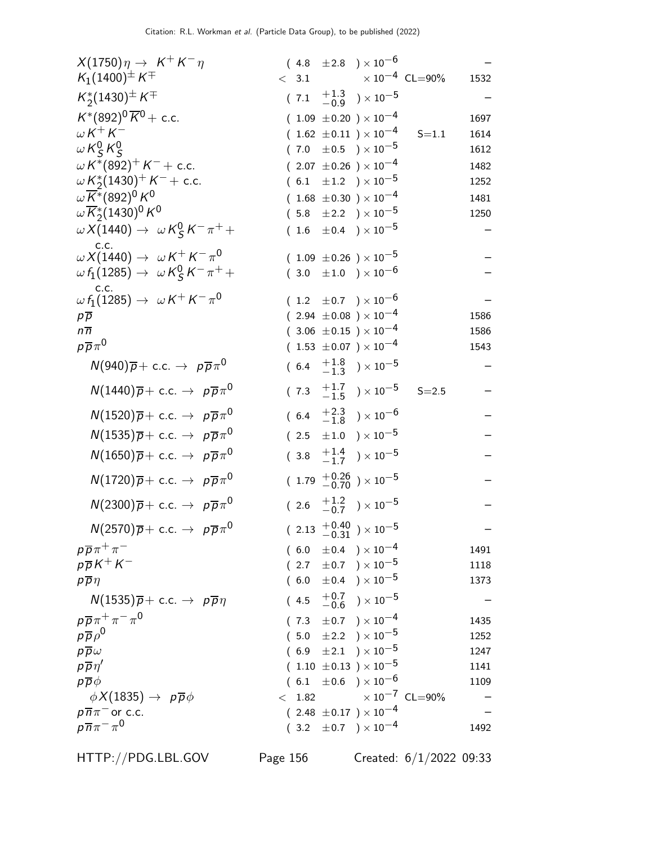| $X(1750)\eta \rightarrow K^+K^-\eta$                                 | $(4.8 \pm 2.8) \times 10^{-6}$                                      |      |
|----------------------------------------------------------------------|---------------------------------------------------------------------|------|
| $K_1(1400)^{\pm} K^{\mp}$                                            | $\times$ 10 $^{-4}$ CL=90%<br>< 3.1                                 | 1532 |
| $K_2^*(1430)^{\pm} K^{\mp}$                                          | $(7.1 \t +1.3 \t -0.9) \times 10^{-5}$                              |      |
| $K^*(892)^0 \overline{K}{}^0$ + c.c.                                 | $(1.09 \pm 0.20) \times 10^{-4}$                                    | 1697 |
| $\omega K^+ K^-$                                                     | $(1.62 \pm 0.11) \times 10^{-4}$<br>$S = 1.1$                       | 1614 |
| $\omega K_S^0 K_S^0$                                                 | $(7.0 \pm 0.5) \times 10^{-5}$                                      | 1612 |
| $\omega K^*(892)^+ K^- +$ c.c.                                       | $(2.07 \pm 0.26) \times 10^{-4}$                                    | 1482 |
| $\omega K_2^*(1430)^+ K^- +$ c.c.                                    | $(6.1 \pm 1.2) \times 10^{-5}$                                      | 1252 |
| $\omega\overline{K}^*(892)^0$ K <sup>0</sup>                         | $(1.68 \pm 0.30) \times 10^{-4}$                                    | 1481 |
| $\omega \overline{K}_2^*(1430)^0 K^0$                                | $(5.8 \pm 2.2) \times 10^{-5}$                                      | 1250 |
| $\omega X(1440) \rightarrow \omega K_S^0 K^- \pi^+ +$                | $(1.6 \pm 0.4) \times 10^{-5}$                                      |      |
| c.c.<br>$\omega X(1440) \rightarrow \omega K^+ K^- \pi^0$            | $(1.09 \pm 0.26) \times 10^{-5}$                                    |      |
| $\omega f_1(1285) \rightarrow \omega K_S^0 K^- \pi^+ +$              | $(3.0 \pm 1.0) \times 10^{-6}$                                      |      |
| C.C.<br>$\omega f_1(1285) \rightarrow \omega K^+ K^- \pi^0$          |                                                                     |      |
|                                                                      | $(1.2 \pm 0.7) \times 10^{-6}$<br>$(2.94 \pm 0.08) \times 10^{-4}$  | 1586 |
| $p\overline{p}$<br>$n\overline{n}$                                   | $(3.06 \pm 0.15) \times 10^{-4}$                                    | 1586 |
| $p\overline{p}\pi^0$                                                 | $(1.53 \pm 0.07) \times 10^{-4}$                                    | 1543 |
| $N(940)\overline{p} + \text{c.c.} \rightarrow p\overline{p}\pi^0$    | $(6.4 \tfrac{+1.8}{-1.3}) \times 10^{-5}$                           |      |
|                                                                      |                                                                     |      |
| $N(1440)\overline{p} + \text{c.c.} \rightarrow p\overline{p}\pi^0$   | $(7.3 \tfrac{+1.7}{-1.5}) \times 10^{-5}$<br>$S = 2.5$              |      |
| $N(1520)\overline{p} + \text{c.c.} \rightarrow p\overline{p}\pi^{0}$ | $(6.4 \tfrac{+2.3}{-1.8}) \times 10^{-6}$                           |      |
| $N(1535)\overline{p} + \text{c.c.} \rightarrow p\overline{p}\pi^0$   | $(2.5 \pm 1.0) \times 10^{-5}$                                      |      |
| $N(1650)\overline{p} + \text{c.c.} \rightarrow p\overline{p}\pi^0$   | $(3.8 \tfrac{+1.4}{-1.7}) \times 10^{-5}$                           |      |
| $N(1720)\overline{p} + \text{c.c.} \rightarrow p\overline{p}\pi^0$   | $(1.79 + 0.26 / 0.70) \times 10^{-5}$                               |      |
| $N(2300)\overline{p} + \text{c.c.} \rightarrow p\overline{p}\pi^{0}$ | $(2.6 \tfrac{+1.2}{-0.7}) \times 10^{-5}$                           |      |
| $N(2570)\overline{p} + \text{c.c.} \rightarrow p\overline{p}\pi^0$   | $(2.13 \begin{array}{l} +0.40 \\ -0.31 \end{array}) \times 10^{-5}$ |      |
| $p\overline{p}\pi^+\pi^-$                                            | $(6.0 \pm 0.4) \times 10^{-4}$                                      | 1491 |
| $p\overline{p}K^+K^-$                                                | $(2.7 \pm 0.7) \times 10^{-5}$                                      | 1118 |
| $p\overline{p}\eta$                                                  | $(6.0 \pm 0.4) \times 10^{-5}$                                      | 1373 |
| $N(1535)\overline{p} + c.c. \rightarrow p\overline{p}\eta$           | $^{+0.7}_{-0.6}$ ) $\times 10^{-5}$<br>(4.5)                        |      |
| $p\overline{p}\pi^+\pi^-\pi^0$                                       | $(7.3 \pm 0.7) \times 10^{-4}$                                      | 1435 |
| $p\overline{p}\rho^0$                                                | $(5.0 \pm 2.2) \times 10^{-5}$                                      | 1252 |
| $p\overline{p}\omega$                                                | $(6.9 \pm 2.1) \times 10^{-5}$                                      | 1247 |
| $p\overline{p}\eta'$                                                 | $(1.10 \pm 0.13) \times 10^{-5}$                                    | 1141 |
| $p\overline{p}\phi$                                                  | $(6.1 \pm 0.6) \times 10^{-6}$                                      | 1109 |
| $\phi X(1835) \rightarrow p\overline{p}\phi$                         | $\times$ $10^{-7}$ $\,$ CL=90%<br>$<$ 1.82                          |      |
| $p\overline{n}\pi$ <sup>-</sup> or c.c.                              | $(2.48 \pm 0.17) \times 10^{-4}$                                    |      |
| $p\overline{n}\pi^{-}\pi^{0}$                                        | $(3.2 \pm 0.7) \times 10^{-4}$                                      | 1492 |

HTTP://PDG.LBL.GOV Page 156 Created: 6/1/2022 09:33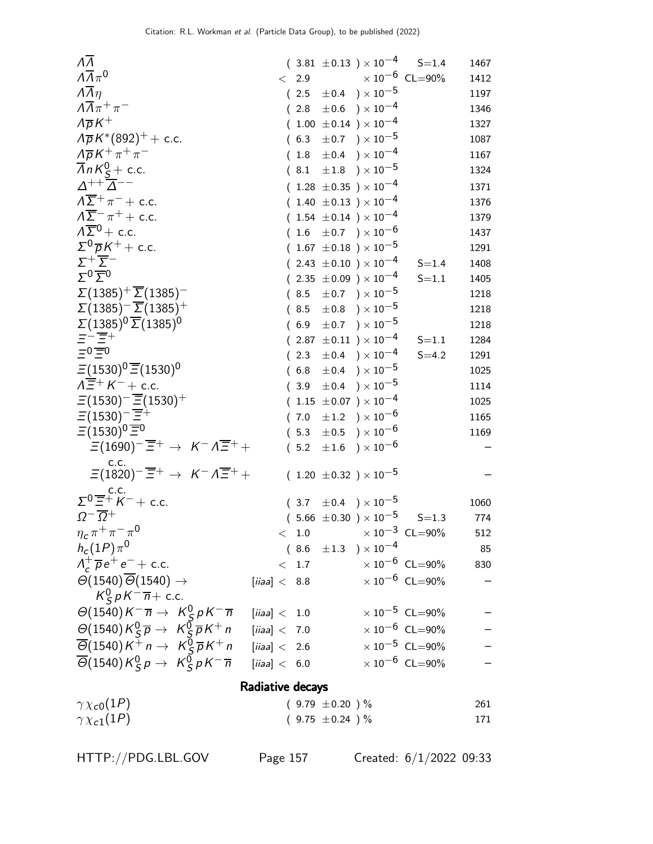| ΛΛ                                                                                                                    |                  |       |                     | $(3.81 \pm 0.13) \times 10^{-4}$ S=1.4 |                             | 1467 |
|-----------------------------------------------------------------------------------------------------------------------|------------------|-------|---------------------|----------------------------------------|-----------------------------|------|
| $\Lambda \overline{\Lambda} \pi^0$                                                                                    |                  | < 2.9 |                     |                                        | $\times$ $10^{-6}\,$ CL=90% | 1412 |
| $\overline{\Lambda} \overline{\Lambda} \eta$                                                                          |                  |       |                     | $(2.5 \pm 0.4) \times 10^{-5}$         |                             | 1197 |
| $\Lambda \overline{\Lambda} \pi^+ \pi^-$                                                                              |                  |       |                     | $(2.8 \pm 0.6) \times 10^{-4}$         |                             | 1346 |
| $\Lambda \overline{p} K^+$                                                                                            |                  |       |                     | $(1.00 \pm 0.14) \times 10^{-4}$       |                             | 1327 |
| $\lambda \overline{p} K^{*}(892)^{+}$ + c.c.                                                                          |                  |       |                     | $(6.3 \pm 0.7) \times 10^{-5}$         |                             | 1087 |
| $\Lambda \overline{\rho} K^+ \pi^+ \pi^-$                                                                             |                  |       |                     | $(1.8 \pm 0.4) \times 10^{-4}$         |                             | 1167 |
| $\overline{\Lambda}$ n K <sup>0</sup> <sub>S</sub> + c.c.                                                             |                  |       |                     | $(8.1 \pm 1.8) \times 10^{-5}$         |                             | 1324 |
| $\Delta^{++}$ $\overline{\Delta}^{--}$                                                                                |                  |       |                     | $(1.28 \pm 0.35) \times 10^{-4}$       |                             | 1371 |
| $\Lambda \overline{\Sigma}^+ \pi^-$ + c.c.                                                                            |                  |       |                     | $(1.40 \pm 0.13) \times 10^{-4}$       |                             | 1376 |
| $\Lambda \overline{\Sigma}^- \pi^+ +$ c.c.                                                                            |                  |       |                     | $(1.54 \pm 0.14) \times 10^{-4}$       |                             | 1379 |
| $\Lambda \overline{\Sigma}{}^0$ + c.c.                                                                                |                  |       |                     | $(1.6 \pm 0.7) \times 10^{-6}$         |                             | 1437 |
| $\Sigma^0 \overline{p} K^+ +$ c.c.                                                                                    |                  |       |                     | $(1.67 \pm 0.18) \times 10^{-5}$       |                             | 1291 |
| $\Sigma^+\overline{\Sigma}^-$                                                                                         |                  |       |                     | $(2.43 \pm 0.10) \times 10^{-4}$       | $S = 1.4$                   | 1408 |
| $\Sigma^0 \overline{\Sigma}{}^0$                                                                                      |                  |       |                     | $(2.35 \pm 0.09) \times 10^{-4}$       | $S = 1.1$                   | 1405 |
| $\Sigma(1385)^{+}\overline{\Sigma}(1385)^{-}$                                                                         |                  |       |                     | $(8.5 \pm 0.7) \times 10^{-5}$         |                             | 1218 |
| $\Sigma(1385)^{-}$ $\overline{\Sigma}(1385)^{+}$                                                                      |                  |       |                     | $(8.5 \pm 0.8) \times 10^{-5}$         |                             | 1218 |
| $\Sigma(1385)^{0}\overline{\Sigma(1385)}^{0}$                                                                         |                  |       |                     | $(6.9 \pm 0.7) \times 10^{-5}$         |                             | 1218 |
| $\Xi^{-} \overline{\Xi^{+}}$<br>$\Xi^{0} \overline{\Xi^{0}}$                                                          |                  |       |                     | $(2.87 \pm 0.11) \times 10^{-4}$       | $S = 1.1$                   | 1284 |
|                                                                                                                       |                  |       |                     | $(2.3 \pm 0.4) \times 10^{-4}$         | $S = 4.2$                   | 1291 |
| $\Xi(1530)^{0}\overline{\Xi}(1530)^{0}$                                                                               |                  |       |                     | $(6.8 \pm 0.4) \times 10^{-5}$         |                             | 1025 |
| $\Lambda \overline{\Xi}^+ K^-$ + c.c.                                                                                 |                  |       |                     | $(3.9 \pm 0.4) \times 10^{-5}$         |                             | 1114 |
| $\Xi(1530)^{-} \overline{\Xi}(1530)^{+}$                                                                              |                  |       |                     | $(1.15 \pm 0.07) \times 10^{-4}$       |                             | 1025 |
| $\Xi(1530)^{-}$ $\overline{\Xi}^{+}$                                                                                  |                  |       |                     | $(7.0 \pm 1.2) \times 10^{-6}$         |                             | 1165 |
| $\Xi(1530)^{0}\overline{\Xi}{}^{0}$                                                                                   |                  |       |                     | $(5.3 \pm 0.5) \times 10^{-6}$         |                             | 1169 |
| $\Xi(1690)^{-} \overline{\Xi}^{+} \rightarrow K^{-} \Lambda \overline{\Xi}^{+} +$                                     |                  |       |                     | $(5.2 \pm 1.6) \times 10^{-6}$         |                             |      |
| C.C.<br>$\Xi(1820)^{-} \overline{\Xi}^{+} \rightarrow K^{-} \Lambda \overline{\Xi}^{+} +$                             |                  |       |                     | $(1.20 \pm 0.32) \times 10^{-5}$       |                             |      |
| $\Sigma^0 \overline{\Xi}^+ K^-$ + c.c.                                                                                |                  |       |                     | $(3.7 \pm 0.4) \times 10^{-5}$         |                             | 1060 |
| $\Omega^{-} \overline{\Omega}{}^{+}$                                                                                  |                  |       |                     | $(5.66 \pm 0.30) \times 10^{-5}$ S=1.3 |                             | 774  |
| $\eta_c \pi^+ \pi^- \pi^0$                                                                                            |                  |       |                     | $< 1.0$ $\times 10^{-3}$ CL=90%        |                             | 512  |
| $h_c(1P)\pi^0$                                                                                                        |                  |       |                     | $(8.6 \pm 1.3) \times 10^{-4}$         |                             | 85   |
| $\Lambda_c^+ \overline{\rho} e^+ e^- +$ c.c.                                                                          |                  | < 1.7 |                     | $\times$ 10 $^{-6}$ CL=90%             |                             | 830  |
| $\Theta(1540)\overline{\Theta}(1540)\rightarrow$                                                                      | [iiaa] < 8.8     |       |                     |                                        | $\times 10^{-6}$ CL=90%     |      |
| $K_S^0 p K^- \overline{n}$ + c.c.                                                                                     |                  |       |                     |                                        |                             |      |
| $\Theta(1540) K^- \overline{n} \rightarrow K_S^0 p K^- \overline{n}$                                                  | [iiaa] $<$ 1.0   |       |                     |                                        | $\times 10^{-5}$ CL=90%     |      |
| $\Theta(1540)K_S^0\overline{p}\rightarrow K_S^0\overline{p}K^+n$                                                      | [iiaa] $<$ 7.0   |       |                     |                                        | $\times 10^{-6}$ CL=90%     |      |
| $\overline{\Theta}$ (1540) K <sup>+</sup> n $\rightarrow$ K <sup>0</sup> <sub>S</sub> $\overline{p}$ K <sup>+</sup> n | [iiaa] $<$ 2.6   |       |                     |                                        | $\times$ $10^{-5}\,$ CL=90% |      |
| $\overline{\Theta}$ (1540) $K_S^0 p \rightarrow K_S^0 p K^- \overline{n}$                                             | [iiaa] < 6.0     |       |                     |                                        | $\times 10^{-6}$ CL=90%     |      |
|                                                                                                                       | Radiative decays |       |                     |                                        |                             |      |
| $\gamma \chi_{c0}(1P)$                                                                                                |                  |       | $(9.79 \pm 0.20)$ % |                                        |                             | 261  |
| $\gamma \chi_{c1}(1P)$                                                                                                |                  |       | $(9.75 \pm 0.24)$ % |                                        |                             | 171  |
|                                                                                                                       |                  |       |                     |                                        |                             |      |

HTTP://PDG.LBL.GOV Page 157 Created: 6/1/2022 09:33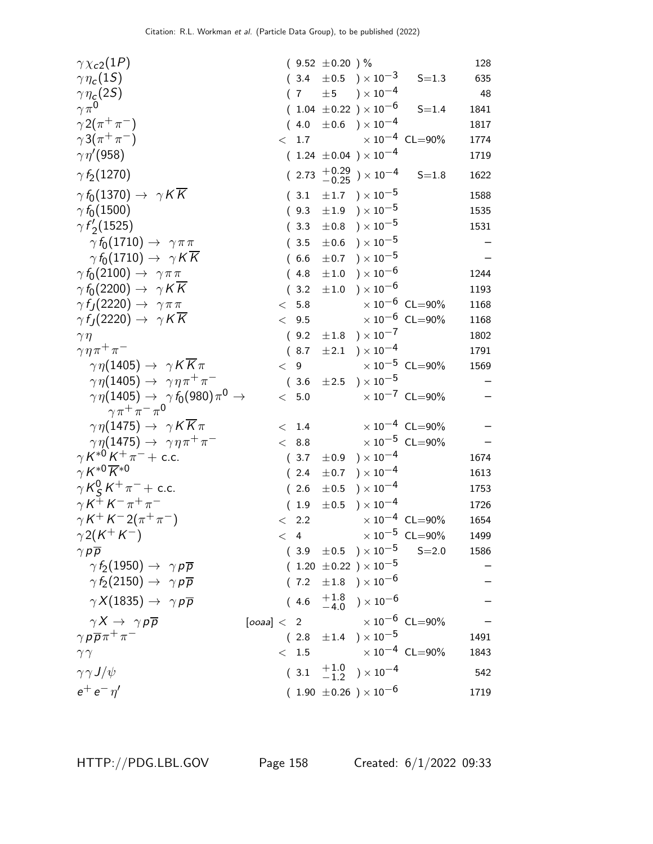| $\gamma \chi_{c2}(1P)$                                                                           |  |               | $(9.52 \pm 0.20)$ % |                                              |                                  | 128  |
|--------------------------------------------------------------------------------------------------|--|---------------|---------------------|----------------------------------------------|----------------------------------|------|
| $\gamma\eta_c(1S)$                                                                               |  |               |                     | $(3.4 \pm 0.5) \times 10^{-3}$               | $S = 1.3$                        | 635  |
| $\gamma\eta_{\varsigma}(2S)$                                                                     |  |               |                     | $(7 \pm 5) \times 10^{-4}$                   |                                  | 48   |
| $\gamma \pi^0$                                                                                   |  |               |                     | $(1.04 \pm 0.22) \times 10^{-6}$             | $S = 1.4$                        | 1841 |
| $\gamma 2(\pi^+\pi^-)$                                                                           |  |               |                     | $(4.0 \pm 0.6) \times 10^{-4}$               |                                  | 1817 |
| $\gamma 3(\pi^+\pi^-)$                                                                           |  |               |                     | $<$ 1.7 $\times 10^{-4}$ CL=90%              |                                  | 1774 |
| $\gamma\eta^{\prime}(958)$                                                                       |  |               |                     | $(1.24 \pm 0.04) \times 10^{-4}$             |                                  | 1719 |
| $\gamma f_2(1270)$                                                                               |  |               |                     | $(2.73 \t + 0.29 \t - 0.25) \times 10^{-4}$  | $S = 1.8$                        | 1622 |
| $\gamma f_0(1370) \rightarrow \gamma K \overline{K}$                                             |  |               |                     | $(3.1 \pm 1.7) \times 10^{-5}$               |                                  | 1588 |
| $\gamma f_0(1500)$                                                                               |  |               |                     | $(9.3 \pm 1.9) \times 10^{-5}$               |                                  | 1535 |
| $\gamma f_2(1525)$                                                                               |  | (3.3)         |                     | $\pm 0.8$ ) $\times 10^{-5}$                 |                                  | 1531 |
| $\gamma f_0(1710) \rightarrow \gamma \pi \pi$                                                    |  | (3.5)         |                     | $\pm 0.6$ ) $\times 10^{-5}$                 |                                  |      |
| $\gamma f_0(1710) \rightarrow \gamma K \overline{K}$                                             |  | (6.6)         |                     | $\pm 0.7$ ) $\times 10^{-5}$                 |                                  |      |
| $\gamma f_0(2100) \rightarrow \gamma \pi \pi$                                                    |  | (4.8)         |                     | $\pm 1.0$ ) $\times 10^{-6}$                 |                                  | 1244 |
| $\gamma f_0(2200) \rightarrow \gamma K \overline{K}$                                             |  | (3.2)         |                     | $\pm 1.0$ $\phantom{0}$ ) $\times$ $10^{-6}$ |                                  | 1193 |
| $\gamma f_J(2220) \rightarrow \gamma \pi \pi$                                                    |  | < 5.8         |                     |                                              | $\times 10^{-6}$ CL=90%          | 1168 |
| $\gamma f_J(2220) \rightarrow \gamma K K$                                                        |  |               | < 9.5               |                                              | $\times$ 10 <sup>-6</sup> CL=90% | 1168 |
| $\gamma\eta$                                                                                     |  |               |                     | $(9.2 \pm 1.8) \times 10^{-7}$               |                                  | 1802 |
| $\gamma \eta \pi^+ \pi^-$                                                                        |  |               |                     | $(8.7 \pm 2.1) \times 10^{-4}$               |                                  | 1791 |
| $\gamma \eta(1405) \rightarrow \gamma K K \pi$                                                   |  |               | < 9                 |                                              | $\times\,10^{-5}$ CL=90%         | 1569 |
| $\gamma \eta(1405) \rightarrow \gamma \eta \pi^+ \pi^-$                                          |  |               |                     | $(3.6 \pm 2.5) \times 10^{-5}$               |                                  |      |
| $\gamma\,\eta(1405) \rightarrow \gamma\,f_0(980)\pi^0 \rightarrow$<br>$\gamma \pi^+ \pi^- \pi^0$ |  | $<$ 5.0       |                     |                                              | $\times 10^{-7}$ CL=90%          |      |
| $\gamma \eta(1475) \rightarrow \gamma K \overline{K} \pi$                                        |  | < 1.4         |                     |                                              | $\times$ 10 <sup>-4</sup> CL=90% |      |
| $\gamma \eta(1475) \rightarrow \gamma \eta \pi^+ \pi^-$                                          |  |               | < 8.8               |                                              | $\times$ $10^{-5}\,$ CL=90%      |      |
| $\gamma K^{*0} K^+ \pi^- +$ c.c.                                                                 |  | (3.7)         |                     | $\pm 0.9$ ) $\times 10^{-4}$                 |                                  | 1674 |
| $\gamma K^{*0} \overline{K}^{*0}$                                                                |  | (2.4)         |                     | $\pm 0.7$ ) $\times 10^{-4}$                 |                                  | 1613 |
| $\gamma K_S^0 K^+ \pi^- +$ c.c.                                                                  |  | (2.6)         | $\pm 0.5$           | $)\times10^{-4}$                             |                                  | 1753 |
| $\gamma K^+ K^- \pi^+ \pi^-$                                                                     |  | (1.9)         |                     | $\pm 0.5$ ) $\times 10^{-4}$                 |                                  | 1726 |
| $\gamma K^+ K^- 2(\pi^+ \pi^-)$                                                                  |  | $\langle$ 2.2 |                     |                                              | $\times 10^{-4}$ CL=90%          | 1654 |
| $\gamma 2(K^+K^-)$                                                                               |  |               |                     | $< 4$ $\times 10^{-5}$ CL=90%                |                                  | 1499 |
| $\gamma p \overline{p}$                                                                          |  |               |                     | $(3.9 \pm 0.5) \times 10^{-5}$ S=2.0         |                                  | 1586 |
| $\gamma f_2(1950) \rightarrow \gamma p \overline{p}$                                             |  |               |                     | $(1.20 \pm 0.22) \times 10^{-5}$             |                                  |      |
| $\gamma f_2(2150) \rightarrow \gamma p \overline{p}$                                             |  |               |                     | $(7.2 \pm 1.8) \times 10^{-6}$               |                                  |      |
| $\gamma X(1835) \rightarrow \gamma p \overline{p}$                                               |  |               |                     | $(4.6 \tfrac{+1.8}{-4.0}) \times 10^{-6}$    |                                  |      |
| $\gamma X \rightarrow \gamma p \overline{p}$                                                     |  |               |                     | $[ooaa] < 2$ $\times 10^{-6}$ CL=90%         |                                  |      |
| $\gamma p \overline{p} \pi^+ \pi^-$                                                              |  |               |                     | $(2.8 \pm 1.4) \times 10^{-5}$               |                                  | 1491 |
| $\gamma\gamma$                                                                                   |  |               |                     | $< 1.5$ $\times 10^{-4}$ CL=90%              |                                  | 1843 |
| $\gamma \gamma J/\psi$                                                                           |  |               |                     | $(3.1 \t +1.0 \t -1.2) \times 10^{-4}$       |                                  | 542  |
| $e^+e^-\eta'$                                                                                    |  |               |                     | $(1.90 \pm 0.26) \times 10^{-6}$             |                                  | 1719 |
|                                                                                                  |  |               |                     |                                              |                                  |      |

HTTP://PDG.LBL.GOV Page 158 Created: 6/1/2022 09:33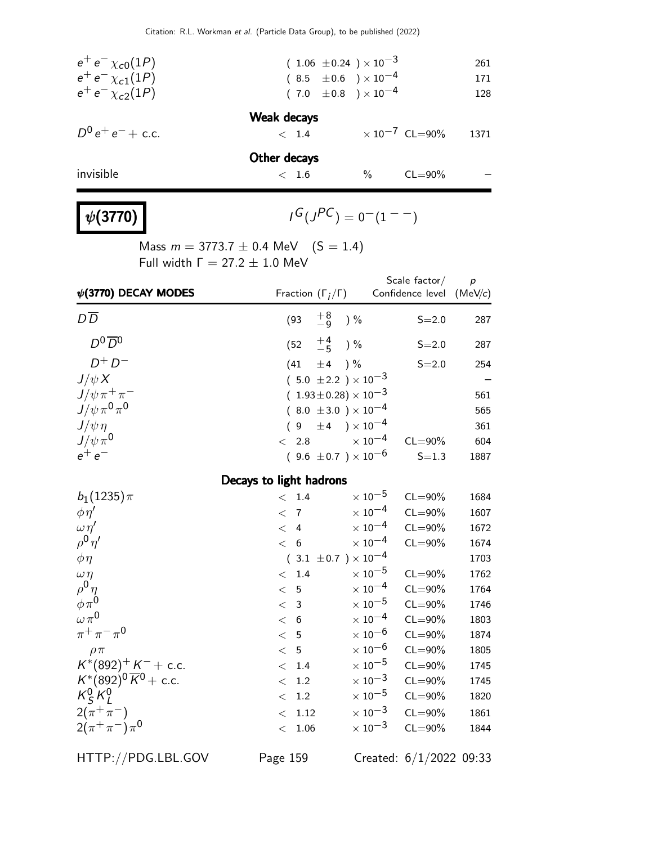| $e^+e^- \chi_{c0}(1P)$ | $(1.06 \pm 0.24) \times 10^{-3}$ |      |                         | 261  |
|------------------------|----------------------------------|------|-------------------------|------|
| $e^+e^- \chi_{c1}(1P)$ | $(8.5 \pm 0.6) \times 10^{-4}$   |      |                         | 171  |
| $e^+e^- \chi_{c2}(1P)$ | $(7.0 \pm 0.8) \times 10^{-4}$   |      |                         | 128  |
|                        | <b>Weak decays</b>               |      |                         |      |
| $D^0 e^+ e^- +$ c.c.   | < 1.4                            |      | $\times 10^{-7}$ CL=90% | 1371 |
|                        | Other decays                     |      |                         |      |
| invisible              | < 1.6                            | $\%$ | $CL = 90\%$             |      |
|                        |                                  |      |                         |      |

### $\psi(3770)$

 $G(J^{PC}) = 0(1^{--})$ 

Mass  $m = 3773.7 \pm 0.4$  MeV  $(S = 1.4)$ Full width  $Γ = 27.2 ± 1.0$  MeV

| $\psi$ (3770) DECAY MODES            | Fraction $(\Gamma_i/\Gamma)$   |                           | Scale factor/<br>Confidence level | $\boldsymbol{p}$<br>(MeV/c) |
|--------------------------------------|--------------------------------|---------------------------|-----------------------------------|-----------------------------|
| $D\overline{D}$                      | $^{+8}_{-9}$<br>(93)           | $)$ %                     | $S = 2.0$                         | 287                         |
| $D^0\overline{D}{}^0$                | $^{+4}_{-5}$<br>(52)           | ) %                       | $S = 2.0$                         | 287                         |
| $D^+D^-$                             | ±4<br>(41)                     | $) \%$                    | $S = 2.0$                         | 254                         |
| $J/\psi X$                           | $(5.0 \pm 2.2) \times 10^{-3}$ |                           |                                   |                             |
| $J/\psi \pi^+ \pi^-$                 | $(1.93\pm0.28)\times10^{-3}$   |                           |                                   | 561                         |
| $J/\psi \pi^0 \pi^0$                 | $(8.0 \pm 3.0) \times 10^{-4}$ |                           |                                   | 565                         |
| $J/\psi \eta$                        | ±4<br>9                        | $)\times10^{-4}$          |                                   | 361                         |
| $J/\psi \pi^0$                       | 2.8<br>$\lt$                   | $\times$ 10 $^{-4}$       | $CL = 90\%$                       | 604                         |
| $e^+e^-$                             | $(9.6 \pm 0.7) \times 10^{-6}$ |                           | $S = 1.3$                         | 1887                        |
|                                      | Decays to light hadrons        |                           |                                   |                             |
| $b_1(1235)\pi$                       | 1.4<br>$\lt$                   | $\times$ 10 $^{-5}$       | $CL = 90\%$                       | 1684                        |
| $\phi \eta'$                         | $\overline{7}$<br>$\lt$        | $\times$ 10 <sup>-4</sup> | $CL = 90\%$                       | 1607                        |
| $\omega \eta'$                       | $\overline{4}$<br>$\lt$        | $\times$ 10 <sup>-4</sup> | $CL = 90\%$                       | 1672                        |
| $\rho^0\eta^{\prime}$                | 6<br>$\lt$                     | $\times$ 10 <sup>-4</sup> | $CL = 90\%$                       | 1674                        |
| $\phi \eta$                          | $(3.1 \pm 0.7) \times 10^{-4}$ |                           |                                   | 1703                        |
| $\omega \eta$                        | 1.4<br>$\lt$                   | $\times$ 10 $^{-5}$       | $CL = 90\%$                       | 1762                        |
| $\rho^0 \eta$                        | 5<br>$\lt$                     | $\times$ 10 <sup>-4</sup> | $CL = 90\%$                       | 1764                        |
| $\phi \pi^0$                         | $\mathbf{3}$<br>$\lt$          | $\times$ 10 $^{-5}$       | $CL = 90\%$                       | 1746                        |
| $\omega \pi^0$                       | 6<br>$\lt$                     | $\times$ 10 <sup>-4</sup> | $CL = 90\%$                       | 1803                        |
| $\pi^{+}\pi^{-}\pi^{0}$              | 5<br>$\lt$                     | $\times$ $10^{-6}$        | $CL = 90\%$                       | 1874                        |
| $\rho \pi$                           | 5<br>$\lt$                     | $\times$ $10^{-6}$        | $CL = 90\%$                       | 1805                        |
| $K^*(892)^+ K^- +$ c.c.              | 1.4<br>$\lt$                   | $\times$ 10 $^{-5}$       | $CL = 90\%$                       | 1745                        |
| $K^*(892)^0 \overline{K}{}^0$ + c.c. | 1.2<br>$\lt$                   | $\times$ $10^{-3}$        | $CL = 90\%$                       | 1745                        |
| $K_S^0 K_l^0$                        | 1.2<br>$\lt$                   | $\times$ $10^{-5}$        | $CL = 90\%$                       | 1820                        |
| $2(\pi^{+}\pi^{-})$                  | 1.12<br>$\lt$                  | $\times$ $10^{-3}$        | $CL = 90\%$                       | 1861                        |
| $2(\pi^+\pi^-)\pi^0$                 | 1.06<br>$\lt$                  | $\times$ 10 <sup>-3</sup> | $CL = 90\%$                       | 1844                        |

HTTP://PDG.LBL.GOV Page 159 Created: 6/1/2022 09:33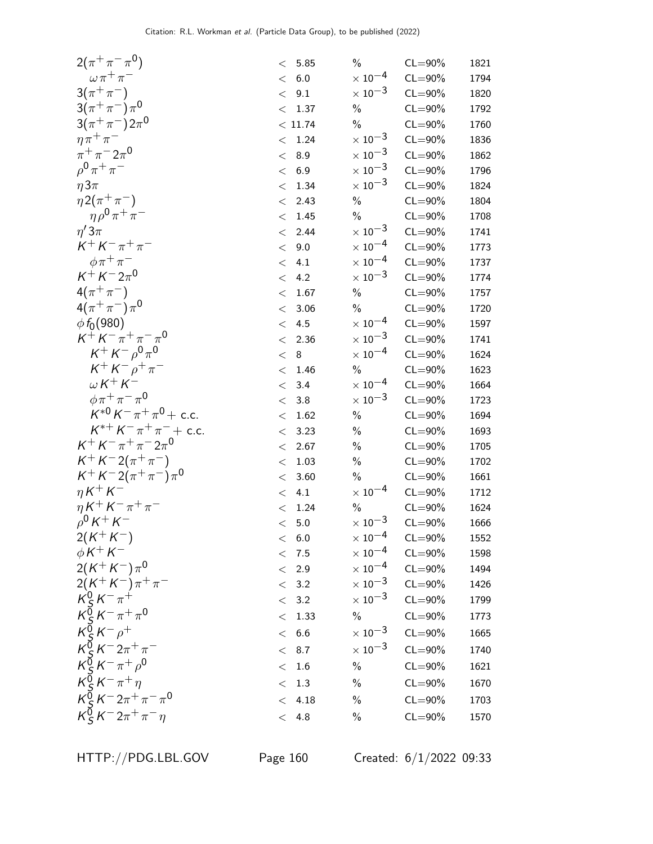| $2(\pi^+\pi^-\pi^0)$                                                                                             |         | $<\;$ 5.85 $\;$ | $\%$                                     | $CL = 90\%$                | 1821 |
|------------------------------------------------------------------------------------------------------------------|---------|-----------------|------------------------------------------|----------------------------|------|
| $\omega \pi^+ \pi^-$                                                                                             | $\lt$   | 6.0             | $\times$ 10 $^{-4}$                      | $CL = 90\%$                | 1794 |
| $3(\pi^{+}\pi^{-})$                                                                                              | $\lt$   | 9.1             | $\times$ 10 <sup>-3</sup>                | $CL = 90\%$                | 1820 |
| $3(\pi^{+}\pi^{-})\pi^{0}$                                                                                       | $\lt$   | 1.37            | $\%$                                     | $CL = 90\%$                | 1792 |
| $3(\pi^{+}\pi^{-})2\pi^{0}$                                                                                      |         | < 11.74         | $\%$                                     | $CL = 90\%$                | 1760 |
| $\eta \pi^+ \pi^-$                                                                                               | $\,<\,$ | 1.24            | $\times$ $10^{-3}$                       | $CL = 90\%$                | 1836 |
| $\pi^{+}\pi^{-}2\pi^{0}$                                                                                         | $\lt$   | 8.9             | $\times$ 10 <sup>-3</sup>                | $CL = 90\%$                | 1862 |
| $\rho^{0} \pi^{+} \pi^{-}$                                                                                       | $\lt$   | 6.9             | $\times$ 10 <sup>-3</sup>                | $CL = 90\%$                | 1796 |
| $\eta 3\pi$                                                                                                      | $\lt$   | 1.34            | $\times$ 10 <sup>-3</sup>                | $CL = 90\%$                | 1824 |
| $\eta 2(\pi^+\pi^-)$                                                                                             | $\lt$   | 2.43            | $\%$                                     | $CL = 90\%$                | 1804 |
| $\eta \rho^0 \pi^+ \pi^-$                                                                                        | $\lt$   | 1.45            | $\frac{0}{0}$                            | $CL = 90\%$                | 1708 |
| $\eta'3\pi$                                                                                                      | $\lt$   | 2.44            | $\times$ 10 $^{-3}$                      | $CL = 90\%$                | 1741 |
| $K^+ K^- \pi^+ \pi^-$                                                                                            | $\lt$   | 9.0             | $\times$ $10^{-4}$                       | $CL = 90\%$                | 1773 |
| $\phi \pi^+ \pi^-$                                                                                               | $\lt$   | 4.1             | $\times$ 10 <sup>-4</sup>                | $CL = 90\%$                | 1737 |
| $K^+ K^- 2\pi^0$                                                                                                 | $\lt$   | 4.2             | $\times$ 10 <sup>-3</sup>                | $CL = 90\%$                | 1774 |
| $4(\pi^{+}\pi^{-})$                                                                                              | $\,<\,$ | 1.67            | $\%$                                     | $CL = 90\%$                | 1757 |
| $4(\pi^{+}\pi^{-})\pi^{0}$                                                                                       | $\lt$   | 3.06            | $\%$                                     | $CL = 90\%$                | 1720 |
| $\phi f_0(980)$                                                                                                  | $\,<\,$ | 4.5             | $\times$ $10^{-4}$                       | $CL = 90\%$                | 1597 |
| $K^+ K^- \pi^+ \pi^- \pi^0$                                                                                      | $\lt$   | 2.36            | $\times$ 10 <sup>-3</sup>                | $CL = 90\%$                | 1741 |
| $K^+ K^- \rho^0 \pi^0$                                                                                           | $\lt$   | $\, 8$          | $\times$ 10 <sup>-4</sup>                | $CL = 90\%$                | 1624 |
| $K^+ K^- \rho^+ \pi^-$                                                                                           | $\lt$   | 1.46            | $\%$                                     | $CL = 90\%$                | 1623 |
| $W K^+ K^-$                                                                                                      | $\lt$   | 3.4             | $\times$ 10 <sup>-4</sup>                | $CL = 90\%$                | 1664 |
| $\phi \pi^+ \pi^- \pi^0$                                                                                         | $\lt$   | $3.8\,$         | $\times$ 10 <sup>-3</sup>                | $CL = 90\%$                | 1723 |
| $K^{*0} K^- \pi^+ \pi^0$ + c.c.                                                                                  | $\lt$   | 1.62            | $\%$                                     | $CL = 90\%$                | 1694 |
| $K^{*+} K^- \pi^+ \pi^-$ + c.c.                                                                                  | $\,<\,$ | 3.23            | $\%$                                     | $CL = 90\%$                | 1693 |
| $K^+ K^- \pi^+ \pi^- 2 \pi^0$                                                                                    | $\,<\,$ | 2.67            | $\%$                                     | $CL = 90\%$                | 1705 |
| $K^+ K^- 2(\pi^+ \pi^-)$                                                                                         | $\,<\,$ | 1.03            | $\%$                                     | $CL = 90\%$                | 1702 |
| $K^+ K^- 2(\pi^+\pi^-)\pi^0$                                                                                     | $\,<\,$ | 3.60            | $\%$                                     | $CL = 90\%$                | 1661 |
| $\eta K^+ K^-$                                                                                                   | $\lt$   | 4.1             | $\times$ 10 <sup>-4</sup>                | $CL = 90\%$                | 1712 |
| $\eta K^+ K^- \pi^+ \pi^-$                                                                                       | $\lt$   | 1.24            | $\%$                                     | $CL = 90\%$                | 1624 |
| $\rho^0 K^+ K^-$                                                                                                 |         | $<$ 5.0         | $\times$ $10^{-3}$                       | $CL = 90\%$                | 1666 |
| $2(K^+K^-)$<br>$\phi K^+ K^-$                                                                                    |         | < 6.0           | $\times$ $10^{-4}$<br>$\times$ $10^{-4}$ | $CL = 90\%$                | 1552 |
| $2(K^+K^-)\pi^0$                                                                                                 |         | < 7.5           | $\times$ 10 <sup>-4</sup>                | $CL = 90\%$<br>$CL = 90\%$ | 1598 |
|                                                                                                                  | $\lt$   | 2.9             | $\times$ $10^{-3}$                       |                            | 1494 |
| $2(K^+K^-)\pi^+\pi^-$<br>$K^0_S K^-\pi^+$                                                                        | $\lt$   | 3.2<br>3.2      | $\times$ 10 <sup>-3</sup>                | $CL = 90\%$<br>$CL = 90\%$ | 1426 |
| $K_S^{\bar{0}} K^- \pi^+ \pi^0$                                                                                  | $\lt$   |                 |                                          |                            | 1799 |
| $K_S^{\delta} K^- \rho^+$                                                                                        | $\lt$   | 1.33            | $\%$                                     | $CL = 90\%$                | 1773 |
|                                                                                                                  | $\lt$   | 6.6             | $\times$ 10 <sup>-3</sup>                | $CL = 90\%$                | 1665 |
|                                                                                                                  | $\,<\,$ | 8.7             | $\times$ 10 <sup>-3</sup>                | $CL = 90\%$                | 1740 |
|                                                                                                                  | $\lt$   | $1.6\,$         | $\%$                                     | $CL = 90\%$                | 1621 |
|                                                                                                                  | $\lt$   | $1.3\,$         | $\%$                                     | $CL = 90\%$                | 1670 |
| $K_S^0 K^- 2\pi^+ \pi^-$<br>$K_S^0 K^- \pi^+ \rho^0$<br>$K_S^0 K^- \pi^+ \eta$<br>$K_S^0 K^- 2\pi^+ \pi^- \pi^0$ | $\lt$   | 4.18            | $\frac{0}{0}$                            | $CL = 90\%$                | 1703 |
| $K_S^{\vec{0}} K^- 2\pi^+ \pi^- \eta$                                                                            |         | < 4.8           | $\%$                                     | $CL = 90\%$                | 1570 |
|                                                                                                                  |         |                 |                                          |                            |      |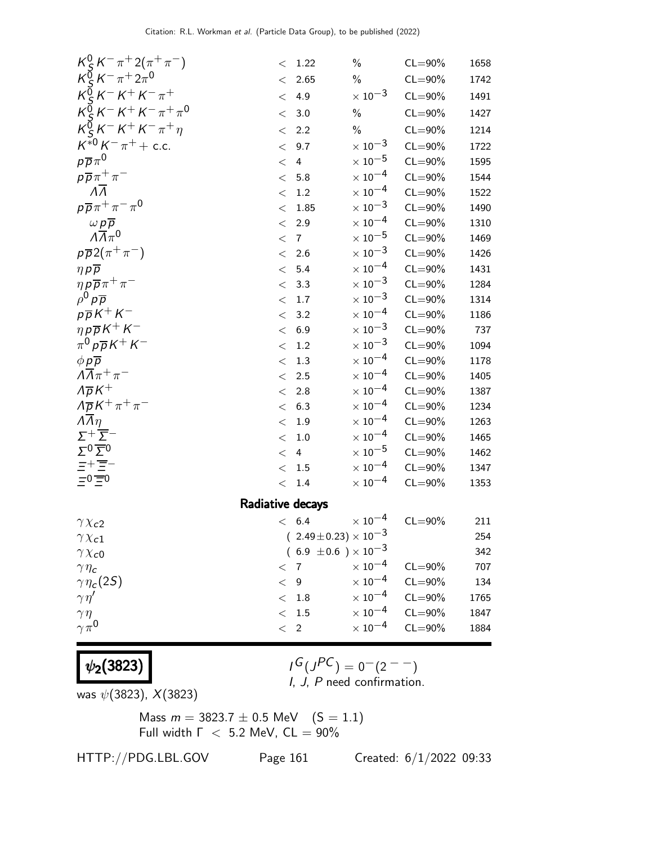| $K_S^0 K^- \pi^+ 2(\pi^+ \pi^-)$                                                                                                                                                                                | $\lt$   | 1.22                             | $\%$                      | $CL = 90\%$ | 1658 |  |  |  |
|-----------------------------------------------------------------------------------------------------------------------------------------------------------------------------------------------------------------|---------|----------------------------------|---------------------------|-------------|------|--|--|--|
| $K_S^{\bar{0}} K^- \pi^+ 2\pi^0$                                                                                                                                                                                | $\lt$   | 2.65                             | $\%$                      | $CL = 90\%$ | 1742 |  |  |  |
| $K_{c}^{\sigma} K^{-} K^{+} K^{-} \pi^{+}$                                                                                                                                                                      | $\,<\,$ | 4.9                              | $\times$ 10 <sup>-3</sup> | $CL = 90\%$ | 1491 |  |  |  |
| $K_S^{\bar{0}} K^- K^+ K^- \pi^+ \pi^0$                                                                                                                                                                         | $\lt$   | 3.0                              | $\%$                      | $CL = 90\%$ | 1427 |  |  |  |
| $K_S^{\bar{0}} K^- K^+ K^- \pi^+ \eta$                                                                                                                                                                          | $\lt$   | 2.2                              | $\%$                      | $CL = 90\%$ | 1214 |  |  |  |
| $K^{*0} K^- \pi^+ +$ c.c.                                                                                                                                                                                       | $\lt$   | 9.7                              | $\times$ 10 <sup>-3</sup> | $CL = 90\%$ | 1722 |  |  |  |
| $p\overline{p}\pi^0$                                                                                                                                                                                            | $\lt$   | $\overline{4}$                   | $\times$ 10 $^{-5}$       | $CL = 90\%$ | 1595 |  |  |  |
| $p\overline{p}\pi^+\pi^-$                                                                                                                                                                                       | $\lt$   | 5.8                              | $\times$ $10^{-4}$        | $CL = 90\%$ | 1544 |  |  |  |
| $\overline{\Lambda}$                                                                                                                                                                                            | $<\,$   | $1.2\,$                          | $\times$ 10 <sup>-4</sup> | $CL = 90\%$ | 1522 |  |  |  |
| $p\overline{p}\pi^+\pi^-\pi^0$                                                                                                                                                                                  | $\lt$   | 1.85                             | $\times$ 10 <sup>-3</sup> | $CL = 90\%$ | 1490 |  |  |  |
| $\frac{\omega p\overline{p}}{\Lambda\overline{\Lambda}\pi^0}$                                                                                                                                                   | $\lt$   | 2.9                              | $\times$ 10 <sup>-4</sup> | $CL = 90\%$ | 1310 |  |  |  |
|                                                                                                                                                                                                                 | $\lt$   | $\overline{7}$                   | $\times$ $10^{-5}$        | $CL = 90\%$ | 1469 |  |  |  |
| $p\overline{p}2(\pi^+\pi^-)$                                                                                                                                                                                    | $\lt$   | 2.6                              | $\times$ 10 <sup>-3</sup> | $CL = 90\%$ | 1426 |  |  |  |
| $\eta p \overline{p}$                                                                                                                                                                                           | $\lt$   | 5.4                              | $\times$ $10^{-4}$        | $CL = 90\%$ | 1431 |  |  |  |
| $\eta \rho \overline{\rho} \pi^+ \pi^-$                                                                                                                                                                         | $\lt$   | 3.3                              | $\times$ 10 <sup>-3</sup> | $CL = 90\%$ | 1284 |  |  |  |
| $\rho^0 p \overline{p}$                                                                                                                                                                                         | $<\,$   | 1.7                              | $\times$ 10 <sup>-3</sup> | $CL = 90\%$ | 1314 |  |  |  |
| $p\overline{p}K^+K^-$                                                                                                                                                                                           | $\lt$   | 3.2                              | $\times$ 10 <sup>-4</sup> | $CL = 90\%$ | 1186 |  |  |  |
| $\eta\,p\overline{p}\,K^+\,K^-$                                                                                                                                                                                 | $\lt$   | 6.9                              | $\times$ $10^{-3}$        | $CL = 90\%$ | 737  |  |  |  |
| $\pi^0 p \overline{p} K^+ K^-$                                                                                                                                                                                  | $<\,$   | $1.2\,$                          | $\times$ 10 <sup>-3</sup> | $CL = 90\%$ | 1094 |  |  |  |
| $\phi p \overline{p}$                                                                                                                                                                                           | $\lt$   | 1.3                              | $\times$ 10 <sup>-4</sup> | $CL = 90\%$ | 1178 |  |  |  |
| $\Lambda \overline{\Lambda} \pi^+ \pi^-$                                                                                                                                                                        | $\,<$   | 2.5                              | $\times$ 10 <sup>-4</sup> | $CL = 90\%$ | 1405 |  |  |  |
| $\Lambda \overline{\rho} K^+$                                                                                                                                                                                   | $\lt$   | 2.8                              | $\times$ 10 <sup>-4</sup> | $CL = 90\%$ | 1387 |  |  |  |
| $\Lambda \overline{\rho} K^+ \pi^+ \pi^-$                                                                                                                                                                       | $\,<\,$ | 6.3                              | $\times$ 10 <sup>-4</sup> | $CL = 90\%$ | 1234 |  |  |  |
| $\overline{\Lambda} \overline{\Lambda} \eta$                                                                                                                                                                    | $\,<$   | 1.9                              | $\times$ 10 <sup>-4</sup> | $CL = 90\%$ | 1263 |  |  |  |
|                                                                                                                                                                                                                 | $\lt$   | $1.0\,$                          | $\times$ 10 <sup>-4</sup> | $CL = 90\%$ | 1465 |  |  |  |
| $\Sigma^+\overline{\Sigma^-}^- \overline{\Sigma^0} \overline{\Sigma^0} \overline{\Xi^0} \overline{\Xi^+ \overline{\Xi^-}} \overline{\Xi^-} \overline{\Xi^-} \overline{\Xi^-} \overline{\Xi^-} \overline{\Xi^-}$ | $\,<\,$ | 4                                | $\times$ 10 $^{-5}$       | $CL = 90\%$ | 1462 |  |  |  |
|                                                                                                                                                                                                                 | $<\,$   | 1.5                              | $\times$ 10 <sup>-4</sup> | $CL = 90\%$ | 1347 |  |  |  |
|                                                                                                                                                                                                                 | $\lt$   | 1.4                              | $\times$ $10^{-4}$        | $CL = 90\%$ | 1353 |  |  |  |
| Radiative decays                                                                                                                                                                                                |         |                                  |                           |             |      |  |  |  |
| $\gamma \chi_{c2}$                                                                                                                                                                                              |         | < 6.4                            | $\times$ 10 $^{-4}$       | $CL = 90\%$ | 211  |  |  |  |
| $\gamma \chi_{c1}$                                                                                                                                                                                              |         | $(2.49 \pm 0.23) \times 10^{-3}$ |                           |             | 254  |  |  |  |
| $\gamma \chi_{c0}$                                                                                                                                                                                              |         | $(6.9 \pm 0.6) \times 10^{-3}$   |                           |             | 342  |  |  |  |
| $\gamma \eta_c$                                                                                                                                                                                                 | $\,<\,$ | $\overline{7}$                   | $\times$ 10 <sup>-4</sup> | $CL = 90\%$ | 707  |  |  |  |
| $\gamma\eta_c(2S)$                                                                                                                                                                                              | $\,<\,$ | 9                                | $\times$ $10^{-4}$        | $CL = 90\%$ | 134  |  |  |  |
| $\gamma\eta'$                                                                                                                                                                                                   | $\lt$   | $1.8\,$                          | $\times$ 10 <sup>-4</sup> | $CL = 90\%$ | 1765 |  |  |  |
| $\gamma \eta$                                                                                                                                                                                                   | $\lt$   | $1.5\,$                          | $\times$ 10 <sup>-4</sup> | $CL = 90\%$ | 1847 |  |  |  |
| $\gamma \pi^0$                                                                                                                                                                                                  | $\lt$   | $\overline{2}$                   | $\times$ 10 $^{-4}$       | $CL = 90\%$ | 1884 |  |  |  |
|                                                                                                                                                                                                                 |         |                                  |                           |             |      |  |  |  |

 $G(J^{PC}) = 0(2^{--})$ I, J, P need confirmation.

was  $\psi(3823)$ ,  $X(3823)$ 

 $|\psi_2(3823)|$ 

Mass  $m = 3823.7 \pm 0.5$  MeV  $(S = 1.1)$ Full width  $\Gamma$  < 5.2 MeV,  $CL = 90\%$ 

HTTP://PDG.LBL.GOV Page 161 Created: 6/1/2022 09:33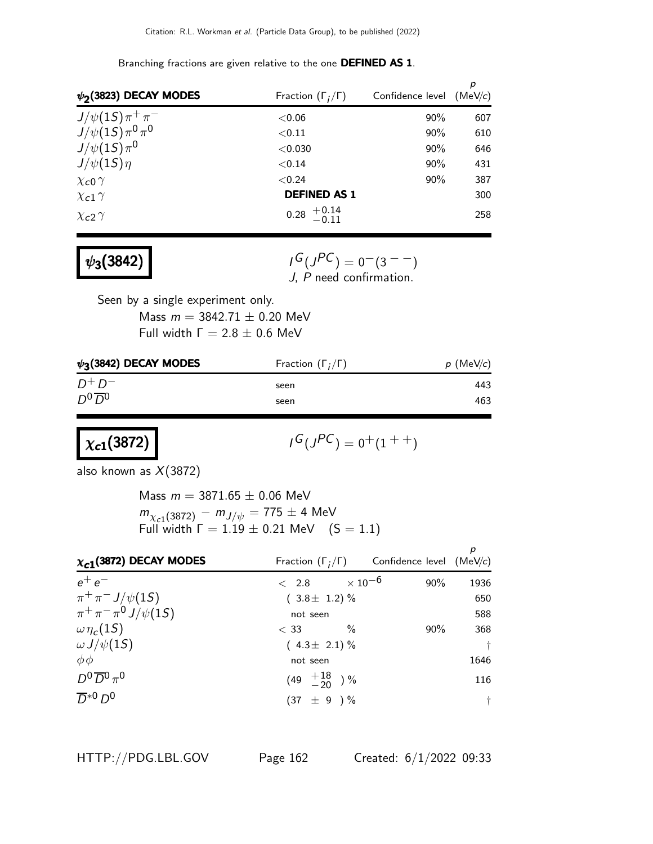p  $\boldsymbol{\psi_2}$ (3823) DECAY MODES Fraction (Γ<sub>i</sub> Fraction  $(\Gamma_i/\Gamma)$  Confidence level (MeV/c)  $J/\psi(1S)\,\pi^+\,\pi$  $<$  0.06 90% 607  $J/\psi(1S)\,\pi^{\mathsf{0}}\,\pi$ 0  $< 0.11$  90% 610  $J/\psi(1S)\pi^0$ 0  $<$  0.030  $>$  90% 646  $J/\psi(1S)\eta$   $< 0.14$  90% 431  $\chi_{c0} \gamma$  387  $\chi_{c1} \gamma$  **DEFINED AS 1** 300  $\chi_{c2} \gamma$  0.28  $^{+0.14}_{-0.11}$  258

Branching fractions are given relative to the one DEFINED AS 1.

| $\psi_3(3842)$ |  |  |
|----------------|--|--|
|----------------|--|--|

 $G(J^{PC}) = 0(3^{--})$ J, P need confirmation.

Seen by a single experiment only. Mass  $m = 3842.71 \pm 0.20$  MeV Full width  $Γ = 2.8 ± 0.6$  MeV

 $\psi_3$ (3842) DECAY MODES Fraction (Γ<sub>i</sub> Fraction  $(\Gamma_i/\Gamma)$  p (MeV/c)  $D^+ D$  $-$  seen 443  $D^0\overline{D}{}^0$ seen 463

 $\chi_{c1}(3872)$ 

$$
\iota^G(\jmath^{PC})=0^+(1^{++})
$$

also known as  $X(3872)$ 

Mass  $m = 3871.65 \pm 0.06$  MeV  $m_{\chi_{c1}(3872)} - m_{J/\psi} = 775 \pm 4$  MeV Full width  $\Gamma = 1.19 \pm 0.21$  MeV  $(S = 1.1)$ 

| $\chi_{c1}$ (3872) DECAY MODES | Fraction $(\Gamma_i/\Gamma)$ Confidence level (MeV/c) |        |            |
|--------------------------------|-------------------------------------------------------|--------|------------|
| $e^+e^-$                       | $< 2.8 \times 10^{-6}$                                | $90\%$ | 1936       |
| $\pi^{+}\pi^{-}J/\psi(1S)$     | $(3.8 \pm 1.2)\%$                                     |        | 650        |
| $\pi^+ \pi^- \pi^0 J/\psi(15)$ | not seen                                              |        | 588        |
| $\omega \eta_c(15)$            | $\frac{0}{2}$<br>$<$ 33                               | $90\%$ | 368        |
| $\omega J/\psi(15)$            | $(4.3 \pm 2.1)\%$                                     |        | $\ddagger$ |
| $\phi\phi$                     | not seen                                              |        | 1646       |
| $D^0\overline{D}^0\pi^0$       | $(49 \tfrac{+18}{-20})\%$                             |        | 116        |
| $\overline{D}^{*0}D^0$         | $(37 \pm 9) \%$                                       |        | $\dagger$  |

HTTP://PDG.LBL.GOV Page 162 Created: 6/1/2022 09:33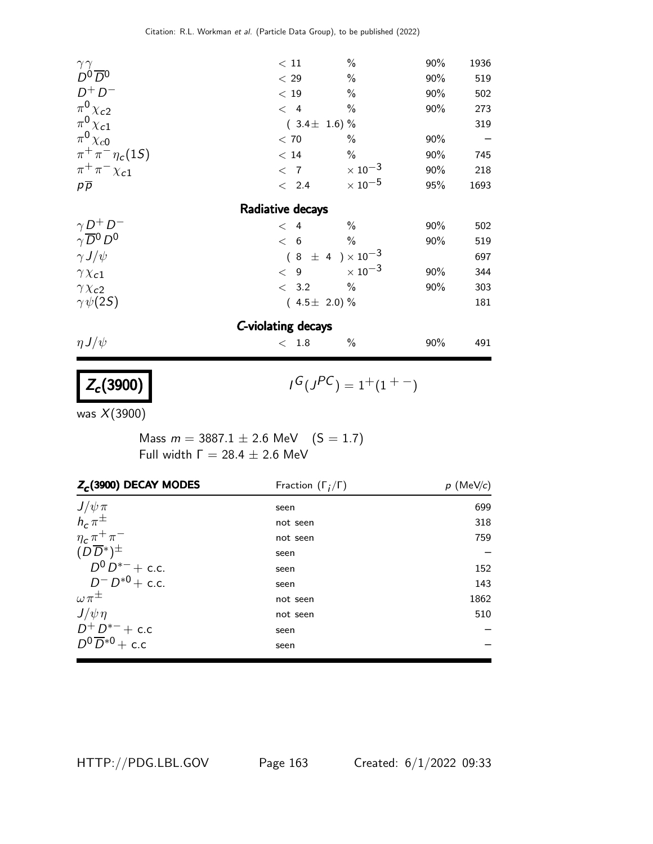| $\gamma \gamma D^0 \overline{D}{}^0$      | $<\,11$            | $\%$                       | 90% | 1936 |
|-------------------------------------------|--------------------|----------------------------|-----|------|
|                                           | < 29               | $\%$                       | 90% | 519  |
| $D^+D^-$                                  | < 19               | $\%$                       | 90% | 502  |
| $\pi^0 \chi_{c2}$                         | $\langle 4$        | $\%$                       | 90% | 273  |
| $\pi^0\chi_{c1}$                          | $(3.4 \pm 1.6)\%$  |                            |     | 319  |
| $\pi^0 \chi_{c0}$                         | < 70               | $\%$                       | 90% |      |
| $\pi^{+}\pi^{-}\eta_{c}(1S)$              | < 14               | $\%$                       | 90% | 745  |
| $\pi^+\pi^-\chi_{c1}$                     | $\langle 7$        | $\times$ 10 <sup>-3</sup>  | 90% | 218  |
| $p\overline{p}$                           | $\langle$ 2.4      | $\times$ 10 $^{-5}$        | 95% | 1693 |
|                                           | Radiative decays   |                            |     |      |
|                                           | $\lt$ 4            | $\frac{0}{0}$              | 90% | 502  |
| $\frac{\gamma}{\gamma}\frac{D^+}{D^0}D^-$ | < 6                | $\frac{0}{0}$              | 90% | 519  |
| $\gamma J/\psi$                           |                    | $(8 \pm 4) \times 10^{-3}$ |     | 697  |
| $\gamma \chi_{c1}$                        | < 9                | $\times$ 10 $^{-3}$        | 90% | 344  |
| $\gamma \chi_{c2}$                        | < 3.2              | $\%$                       | 90% | 303  |
| $\gamma\psi(2S)$                          | $(4.5 \pm 2.0)\%$  |                            |     | 181  |
|                                           | C-violating decays |                            |     |      |
| $\eta J/\psi$                             | < 1.8              | $\%$                       | 90% | 491  |
|                                           |                    |                            |     |      |
| $Z_c(3900)$                               |                    | $I^G(J^{PC}) = 1^+(1^+)$   |     |      |
|                                           |                    |                            |     |      |

was X(3900)

Mass  $m = 3887.1 \pm 2.6$  MeV  $(S = 1.7)$ Full width  $Γ = 28.4 ± 2.6$  MeV

| $Z_c$ (3900) DECAY MODES        | Fraction $(\Gamma_i/\Gamma)$ | $p$ (MeV/c) |
|---------------------------------|------------------------------|-------------|
| $J/\psi \pi$<br>$h_c \pi^{\pm}$ | seen                         | 699         |
|                                 | not seen                     | 318         |
| $\eta_c \pi^+ \pi^-$            | not seen                     | 759         |
| $(D\overline{D}^*)^{\pm}$       | seen                         |             |
| $D^0 D^{*-}$ + c.c.             | seen                         | 152         |
| $D^{-}D^{*0}$ + c.c.            | seen                         | 143         |
| $\omega \pi^{\pm}$              | not seen                     | 1862        |
| $J/\psi \eta$                   | not seen                     | 510         |
| $D^+D^{*-}+c.c$                 | seen                         |             |
| $D^0\overline{D}^{*0}$ + c.c    | seen                         |             |

HTTP://PDG.LBL.GOV Page 163 Created: 6/1/2022 09:33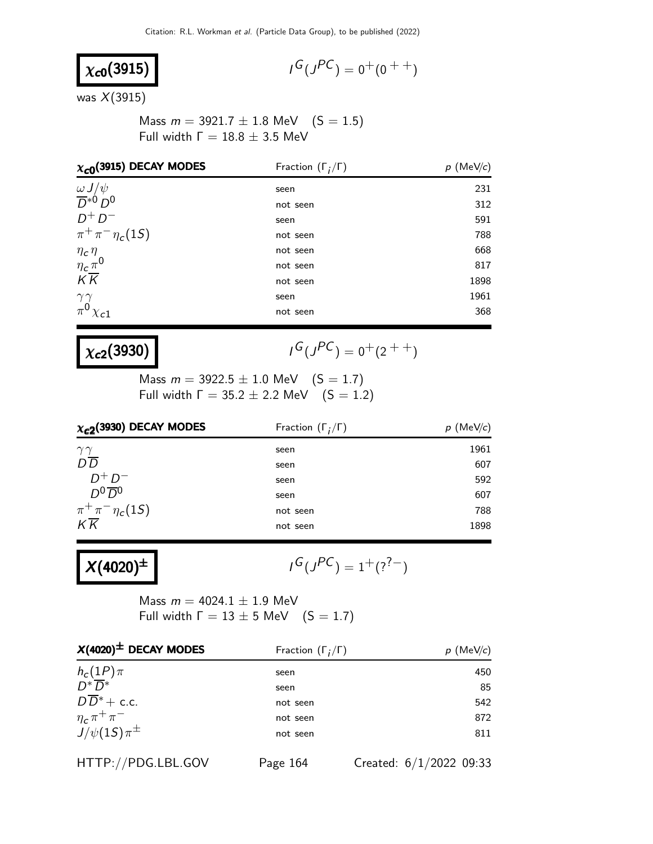$$
\chi_{c0}(3915)
$$

$$
I^G(J^{PC}) = 0^+(0^{++})
$$

was  $X(3915)$ 

Mass  $m = 3921.7 \pm 1.8$  MeV  $(S = 1.5)$ Full width  $Γ = 18.8 ± 3.5$  MeV

| $\chi_{c0}$ (3915) DECAY MODES                                            | Fraction $(\Gamma_i/\Gamma)$ | $p$ (MeV/c) |
|---------------------------------------------------------------------------|------------------------------|-------------|
| $\frac{\omega J/\psi}{D^*0}$                                              | seen                         | 231         |
|                                                                           | not seen                     | 312         |
| $D^+D^-$                                                                  | seen                         | 591         |
| $\pi^{+}\pi^{-}\eta_{c}(1S)$                                              | not seen                     | 788         |
|                                                                           | not seen                     | 668         |
| $\begin{array}{l} \eta_c\eta \\ \eta_c\pi^0 \\ K\overline{K} \end{array}$ | not seen                     | 817         |
|                                                                           | not seen                     | 1898        |
|                                                                           | seen                         | 1961        |
| $\begin{array}{c}\gamma\gamma\\pi^0\chi_{c1}\end{array}$                  | not seen                     | 368         |

### $\chi_{c2}(3930)$

 $G(J^{PC}) = 0^+(2^{++})$ 

Mass  $m = 3922.5 \pm 1.0$  MeV  $(S = 1.7)$ Full width  $\Gamma = 35.2 \pm 2.2$  MeV  $(S = 1.2)$ 

| $\chi_{c2}$ (3930) DECAY MODES | Fraction $(\Gamma_i/\Gamma)$ | $p$ (MeV/c) |  |
|--------------------------------|------------------------------|-------------|--|
| $\gamma\gamma$                 | seen                         | 1961        |  |
| $D\overline{D}$                | seen                         | 607         |  |
| $D^+D^-$                       | seen                         | 592         |  |
| $D^0\overline{D}{}^0$          | seen                         | 607         |  |
| $\pi^+\pi^-\eta_c(1S)$         | not seen                     | 788         |  |
| $K\overline{K}$                | not seen                     | 1898        |  |

$$
X(4020)^{\pm}
$$

$$
\iota^G(\jmath^{PC})=1^+(\wr^?^-)
$$

Mass  $m = 4024.1 \pm 1.9$  MeV Full width  $\Gamma = 13 \pm 5$  MeV  $(S = 1.7)$ 

| $X(4020)^{\pm}$ DECAY MODES    | Fraction $(\Gamma_i/\Gamma)$ | $p$ (MeV/c)               |
|--------------------------------|------------------------------|---------------------------|
| $h_c(1P)\pi$                   | seen                         | 450                       |
| $\overline{D^*}\overline{D^*}$ | seen                         | 85                        |
| $D\overline{D}^*$ + c.c.       | not seen                     | 542                       |
| $\eta_c \pi^+ \pi^-$           | not seen                     | 872                       |
| $J/\psi(1S)\pi^{\pm}$          | not seen                     | 811                       |
| HTTP://PDG.LBL.GOV             | Page 164                     | Created: $6/1/2022$ 09:33 |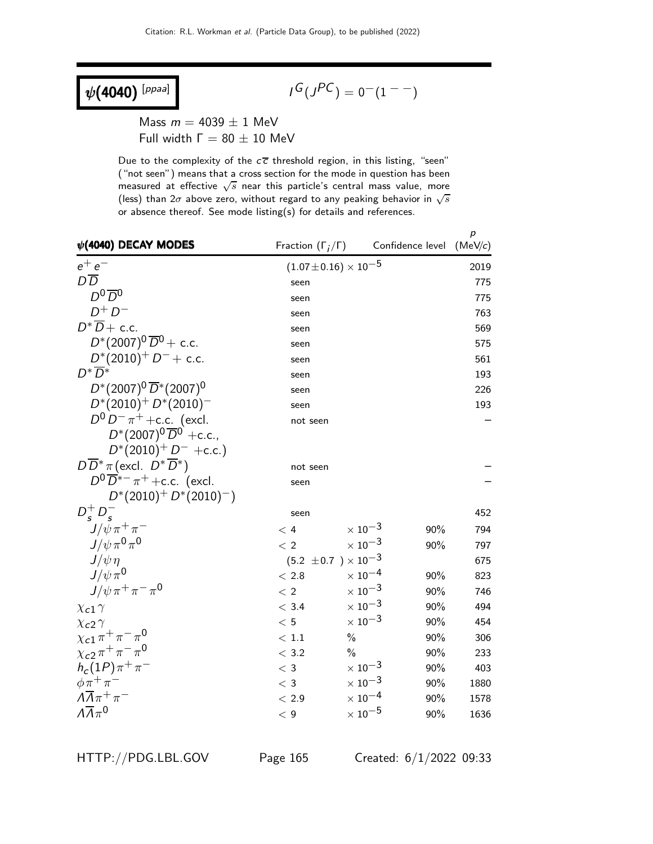## $\psi(4040)$ <sup>[ppaa]</sup>

$$
I^G(J^{PC})=\mathbf{0}^{-}(1^{--})
$$

Mass  $m = 4039 \pm 1$  MeV Full width  $Γ = 80 ± 10$  MeV

Due to the complexity of the  $c\overline{c}$  threshold region, in this listing, "seen" ("not seen") means that a cross section for the mode in question has been measured at effective  $\sqrt{s}$  near this particle's central mass value, more (less) than  $2\sigma$  above zero, without regard to any peaking behavior in  $\sqrt{s}$ or absence thereof. See mode listing(s) for details and references.

| $\psi$ (4040) DECAY MODES                         | Fraction $(\Gamma_i/\Gamma)$     |                           | Confidence level | p<br>(MeV/c) |
|---------------------------------------------------|----------------------------------|---------------------------|------------------|--------------|
| $e^+e^-$                                          | $(1.07\!\pm\!0.16)\times10^{-5}$ |                           |                  | 2019         |
| $D\overline{D}$                                   | seen                             |                           |                  | 775          |
| $D^0\overline{D}{}^0$                             | seen                             |                           |                  | 775          |
| $D^+D^-$                                          | seen                             |                           |                  | 763          |
| $D^*\overline{D}$ + c.c.                          | seen                             |                           |                  | 569          |
| $D^*(2007)^0 \overline{D}^0$ + c.c.               | seen                             |                           |                  | 575          |
| $D^*(2010)^+$ $D^-$ + c.c.                        | seen                             |                           |                  | 561          |
| $D^*\overline{D}{}^*$                             | seen                             |                           |                  | 193          |
| $D^*(2007)^0 \overline{D}^*(2007)^0$              | seen                             |                           |                  | 226          |
| $D^*(2010)^+ D^*(2010)^-$                         | seen                             |                           |                  | 193          |
| $D^0 D^- \pi^+$ + c.c. (excl.                     | not seen                         |                           |                  |              |
| $D^*(2007)^0 \overline{D}^0$ +c.c.,               |                                  |                           |                  |              |
| $D^*(2010)^+ D^-$ +c.c.)                          |                                  |                           |                  |              |
| $D\overline{D}^*\pi$ (excl. $D^*\overline{D}^*$ ) | not seen                         |                           |                  |              |
| $D^0\overline{D}^{*-}\pi^+$ + c.c. (excl.         | seen                             |                           |                  |              |
| $D^*(2010)^+ D^*(2010)^-)$                        |                                  |                           |                  |              |
| $D_s^+ D_s^-$                                     | seen                             |                           |                  | 452          |
| $J/\psi \pi^+ \pi^-$                              | < 4                              | $\times$ 10 $^{-3}$       | 90%              | 794          |
| $J/\psi \pi^0 \pi^0$                              | < 2                              | $\times$ 10 $^{-3}$       | 90%              | 797          |
| $J/\psi \eta$                                     | $(5.2 \pm 0.7) \times 10^{-3}$   |                           |                  | 675          |
| $J/\psi \pi^0$                                    | < 2.8                            | $\times$ $10^{-4}$        | 90%              | 823          |
| $J/\psi \pi^+ \pi^- \pi^0$                        | $\langle 2$                      | $\times$ $10^{-3}$        | 90%              | 746          |
| $\chi_{c1} \gamma$                                | < 3.4                            | $\times$ 10 $^{-3}$       | 90%              | 494          |
| $\chi$ <sub>c</sub> 2 $\gamma$                    | < 5                              | $\times$ 10 $^{-3}$       | 90%              | 454          |
| $\chi_{c1} \pi^+ \pi^- \pi^0$                     | $\,<\,1.1$                       | $\frac{0}{0}$             | 90%              | 306          |
| $\chi_{c2} \pi^+ \pi^- \pi^0$                     | < 3.2                            | $\%$                      | 90%              | 233          |
| $h_c(1P)\pi^+\pi^-$                               | $<$ 3                            | $\times$ 10 <sup>-3</sup> | 90%              | 403          |
| $\phi \pi^+ \pi^-$                                | $<$ 3                            | $\times$ $10^{-3}$        | 90%              | 1880         |
| $\Lambda \overline{\Lambda} \pi^+ \pi^-$          | < 2.9                            | $\times$ 10 <sup>-4</sup> | 90%              | 1578         |
| $\Lambda \overline{\Lambda} \pi^0$                | $<\,9$                           | $\times$ 10 $^{-5}$       | 90%              | 1636         |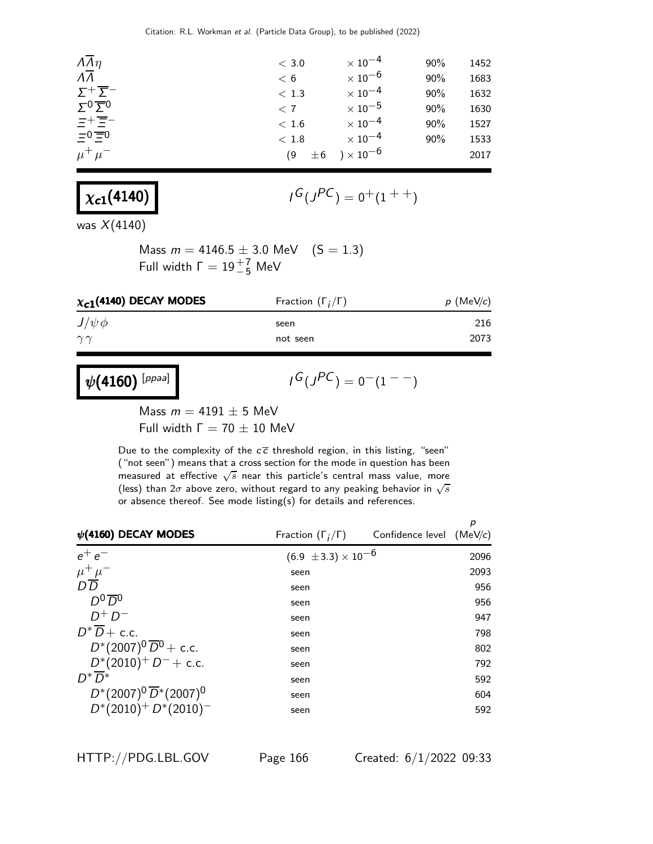| $\overline{\Lambda}$<br>$\times$ 10 $^{-6}$<br>90%<br>1683<br>< 6<br>$\Sigma^+ \overline{\Sigma}^-$<br>$\times$ 10 $^{-4}$<br>90%<br>1632<br>< 1.3<br>$\Sigma_0 \underline{\Sigma}_0$<br>$\times$ 10 $^{-5}$<br>90%<br>1630<br>< 7<br>ニ+ 三一<br>$\times$ 10 <sup>-4</sup><br>90%<br>1527<br>< 1.6<br>$=0$ $\equiv$ 0<br>$\times$ 10 <sup>-4</sup><br>90%<br>1533<br>< 1.8<br>$)\times10^{-6}$<br>$\mu^+ \mu^-$<br>$\pm 6$<br>2017<br>(9) | $\Lambda \overline{\Lambda} \eta$ | < 3.0 | $\times$ 10 $^{-4}$ | 90% | 1452 |
|-----------------------------------------------------------------------------------------------------------------------------------------------------------------------------------------------------------------------------------------------------------------------------------------------------------------------------------------------------------------------------------------------------------------------------------------|-----------------------------------|-------|---------------------|-----|------|
|                                                                                                                                                                                                                                                                                                                                                                                                                                         |                                   |       |                     |     |      |
|                                                                                                                                                                                                                                                                                                                                                                                                                                         |                                   |       |                     |     |      |
|                                                                                                                                                                                                                                                                                                                                                                                                                                         |                                   |       |                     |     |      |
|                                                                                                                                                                                                                                                                                                                                                                                                                                         |                                   |       |                     |     |      |
|                                                                                                                                                                                                                                                                                                                                                                                                                                         |                                   |       |                     |     |      |
|                                                                                                                                                                                                                                                                                                                                                                                                                                         |                                   |       |                     |     |      |

$$
\chi_{c1}(4140)
$$

$$
\digamma^{G}(J^{PC})=0^{+}(1^{++})
$$

was  $X(4140)$ 

Mass  $m = 4146.5 \pm 3.0$  MeV  $(S = 1.3)$ Full width  $\Gamma = 19 \frac{+ 7}{- 5}$  MeV

| $\chi_{c1}$ (4140) DECAY MODES | Fraction $(\Gamma_i/\Gamma)$ | $p$ (MeV/c) |
|--------------------------------|------------------------------|-------------|
| $J/\psi \phi$                  | seen                         | 216         |
| $\gamma\gamma$                 | not seen                     | 2073        |
|                                |                              |             |

$$
\psi(4160) [^{ppaa}]
$$

 $I^G(J^{PC}) = 0^-(1^{--})$ 

Mass  $m = 4191 \pm 5$  MeV Full width  $Γ = 70 ± 10$  MeV

Due to the complexity of the  $c\overline{c}$  threshold region, in this listing, "seen" ("not seen") means that a cross section for the mode in question has been measured at effective  $\sqrt{s}$  near this particle's central mass value, more (less) than  $2\sigma$  above zero, without regard to any peaking behavior in  $\sqrt{s}$ or absence thereof. See mode listing(s) for details and references.

| $\psi$ (4160) DECAY MODES             | Fraction $(\Gamma_i/\Gamma)$   | Confidence level $(MeV/c)$ | р    |
|---------------------------------------|--------------------------------|----------------------------|------|
| $e^+e^-$                              | $(6.9 \pm 3.3) \times 10^{-6}$ |                            | 2096 |
| $\frac{\mu^+ \mu^-}{D\, \overline D}$ | seen                           |                            | 2093 |
|                                       | seen                           |                            | 956  |
| $D^0\overline{D}{}^0$                 | seen                           |                            | 956  |
| $D^+D^-$                              | seen                           |                            | 947  |
| $D^*\overline{D}$ + c.c.              | seen                           |                            | 798  |
| $D^*(2007)^0 \overline{D}^0$ + c.c.   | seen                           |                            | 802  |
| $D^*(2010)^+$ $D^-$ + c.c.            | seen                           |                            | 792  |
| $D^*\overline{D}{}^*$                 | seen                           |                            | 592  |
| $D^*(2007)^0 \overline{D}^*(2007)^0$  | seen                           |                            | 604  |
| $D^*(2010)^+ D^*(2010)^-$             | seen                           |                            | 592  |

HTTP://PDG.LBL.GOV Page 166 Created: 6/1/2022 09:33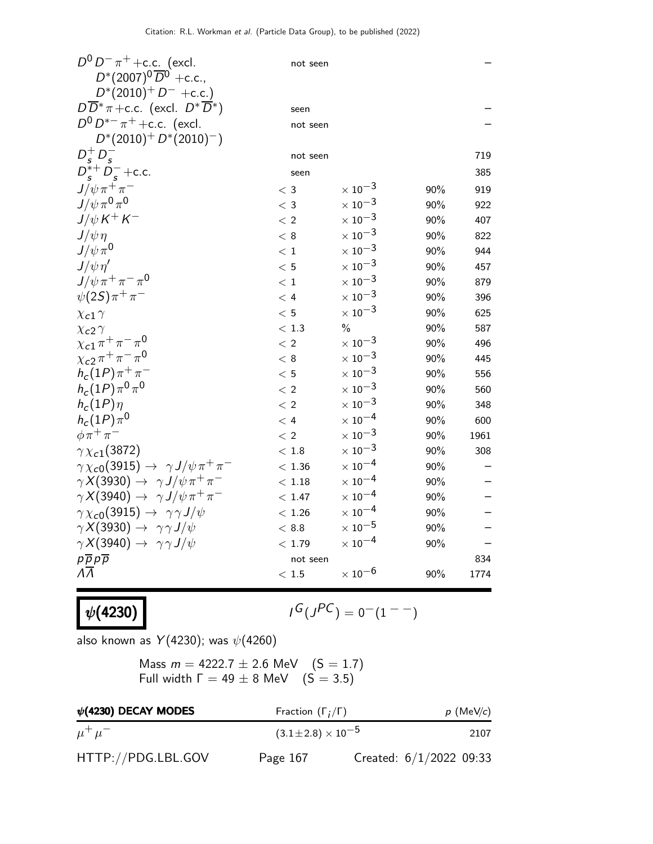| $D^0 D^- \pi^+$ + c.c. (excl.<br>$D^*(2007)^0 \overline{D}{}^0$ +c.c., | not seen    |                           |     |      |
|------------------------------------------------------------------------|-------------|---------------------------|-----|------|
| $D^*(2010)^+ D^-$ +c.c.)                                               |             |                           |     |      |
| $D\overline{D}^*\pi$ + c.c. (excl. $D^*\overline{D}^*$ )               | seen        |                           |     |      |
| $D^0 D^{*-} \pi^+$ + c.c. (excl.                                       | not seen    |                           |     |      |
| $D^*(2010)^+ D^*(2010)^-)$                                             |             |                           |     |      |
|                                                                        | not seen    |                           |     | 719  |
| $D_s^+ D_s^-$<br>$D_s^{*+} D_s^-$ +c.c.                                | seen        |                           |     | 385  |
| $J/\psi \pi^+ \pi^-$                                                   | $\rm <~3$   | $\times$ 10 <sup>-3</sup> | 90% | 919  |
| $J/\psi \pi^0 \pi^0$                                                   | $<$ 3       | $\times$ 10 <sup>-3</sup> | 90% | 922  |
| $J/\psi K^+ K^-$                                                       | < 2         | $\times$ 10 $^{-3}$       | 90% | 407  |
| $J/\psi \eta$                                                          | < 8         | $\times$ 10 <sup>-3</sup> | 90% | 822  |
| $J/\psi \pi^0$                                                         | < 1         | $\times$ 10 <sup>-3</sup> | 90% | 944  |
| $J/\psi \eta'$                                                         | < 5         | $\times$ 10 <sup>-3</sup> | 90% | 457  |
| $J/\psi \pi^+ \pi^- \pi^0$                                             | < 1         | $\times$ 10 <sup>-3</sup> | 90% | 879  |
| $\psi(2S)\pi^{+}\pi^{-}$                                               | < 4         | $\times$ 10 $^{-3}$       | 90% | 396  |
| $\chi$ c1 $\gamma$                                                     | < 5         | $\times$ 10 <sup>-3</sup> | 90% | 625  |
| $\chi$ <sub>c</sub> 2 $\gamma$                                         | $<\,1.3$    | $\frac{0}{0}$             | 90% | 587  |
| $\chi_{c1} \pi^+ \pi^- \pi^0$                                          | $\langle 2$ | $\times$ 10 <sup>-3</sup> | 90% | 496  |
| $\chi_{c2} \pi^+ \pi^- \pi^0$                                          | < 8         | $\times$ 10 <sup>-3</sup> | 90% | 445  |
| $h_c(1P)\pi^+\pi^-$                                                    | < 5         | $\times$ 10 $^{-3}$       | 90% | 556  |
| $h_c(1P)\pi^0\pi^0$                                                    | < 2         | $\times$ 10 <sup>-3</sup> | 90% | 560  |
| $h_c(1P)\eta$                                                          | < 2         | $\times$ 10 <sup>-3</sup> | 90% | 348  |
| $h_c(1P)\pi^0$                                                         | < 4         | $\times$ 10 <sup>-4</sup> | 90% | 600  |
| $\phi \pi^+ \pi^-$                                                     | < 2         | $\times$ 10 <sup>-3</sup> | 90% | 1961 |
| $\gamma \chi_{c1}(3872)$                                               | < 1.8       | $\times$ 10 <sup>-3</sup> | 90% | 308  |
| $\gamma \chi_{c0}(3915) \rightarrow \gamma J/\psi \pi^+ \pi^-$         | < 1.36      | $\times$ 10 <sup>-4</sup> | 90% |      |
| $\gamma X(3930) \rightarrow \gamma J/\psi \pi^+ \pi^-$                 | < 1.18      | $\times$ 10 $^{-4}$       | 90% |      |
| $\gamma X(3940) \rightarrow \gamma J/\psi \pi^+ \pi^-$                 | < 1.47      | $\times$ 10 $^{-4}$       | 90% |      |
| $\gamma \chi_{c0}(3915) \rightarrow \gamma \gamma J/\psi$              | < 1.26      | $\times$ 10 <sup>-4</sup> | 90% |      |
| $\gamma X(3930) \rightarrow \gamma \gamma J/\psi$                      | < 8.8       | $\times$ 10 $^{-5}$       | 90% |      |
| $\gamma X(3940) \rightarrow \gamma \gamma J/\psi$                      | < 1.79      | $\times$ 10 $^{-4}$       | 90% |      |
| $p\overline{p}p\overline{p}$                                           | not seen    |                           |     | 834  |
| $\Lambda\Lambda$                                                       | < 1.5       | $\times$ 10 $^{-6}$       | 90% | 1774 |

 $\psi(4230)$ 

$$
I^G(J^{PC}) = 0^-(1^{--})
$$

also known as  $Y(4230)$ ; was  $\psi(4260)$ 

Mass  $m = 4222.7 \pm 2.6$  MeV  $(S = 1.7)$ Full width  $\Gamma = 49 \pm 8$  MeV  $(S = 3.5)$ 

| $\psi$ (4230) DECAY MODES | Fraction $(\Gamma_i/\Gamma)$   |                           | $p$ (MeV/c) |
|---------------------------|--------------------------------|---------------------------|-------------|
| $\mu^+ \mu^-$             | $(3.1 \pm 2.8) \times 10^{-5}$ |                           | 2107        |
| HTTP://PDG.LBL.GOV        | Page 167                       | Created: $6/1/2022$ 09:33 |             |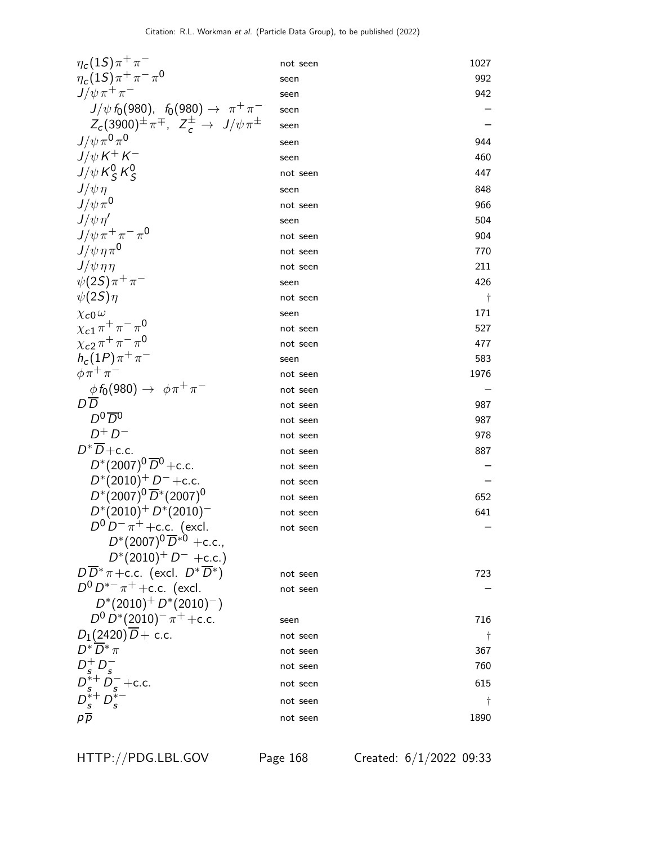| $\eta_c(1S)\pi^+\pi^-$                                         | not seen | 1027 |
|----------------------------------------------------------------|----------|------|
| $\eta_c(1S)\pi^+\pi^-\pi^0$                                    | seen     | 992  |
| $J/\psi \pi^+ \pi^-$                                           | seen     | 942  |
| $J/\psi f_0(980)$ , $f_0(980) \rightarrow \pi^+\pi^-$          | seen     |      |
| $Z_c(3900)^{\pm} \pi^{\mp}$ , $Z_c^{\pm} \to J/\psi \pi^{\pm}$ | seen     |      |
| $J/\psi \pi^0 \pi^0$                                           | seen     | 944  |
| $J/\psi\,K^+\,K^-$                                             | seen     | 460  |
| $J/\psi K_S^0 K_S^0$                                           | not seen | 447  |
| $J/\psi \eta$                                                  | seen     | 848  |
| $J/\psi \pi^0$                                                 | not seen | 966  |
| $J/\psi \eta'$                                                 | seen     | 504  |
| $J/\psi \pi^+ \pi^- \pi^0$                                     | not seen | 904  |
| $J/\psi \eta \pi^0$                                            | not seen | 770  |
| $J/\psi \eta \eta$                                             | not seen | 211  |
| $\psi(2S)\pi^{+}\pi^{-}$                                       | seen     | 426  |
| $\psi(2S)\eta$                                                 | not seen | t    |
| $\chi_{c0}\omega$                                              | seen     | 171  |
| $\chi_{c1} \pi^+ \pi^- \pi^0$                                  | not seen | 527  |
| $\chi_{c2} \pi^+ \pi^- \pi^0$                                  | not seen | 477  |
| $h_c(1P)\pi^+\pi^-$                                            | seen     | 583  |
| $\phi \pi^+ \pi^-$                                             | not seen | 1976 |
| $\frac{\phi f_0(980)}{D D} \rightarrow \phi \pi^+ \pi^-$       | not seen |      |
|                                                                | not seen | 987  |
| $D^0\overline{D}{}^0$                                          | not seen | 987  |
| $D^+D^-$                                                       | not seen | 978  |
| $D^* \overline{D}$ + c.c.                                      | not seen | 887  |
| $D^*(2007)^0 \overline{D}^0$ + c.c.                            | not seen |      |
| $D^*(2010)^+$ D <sup>-</sup> + c.c.                            | not seen |      |
| $D^*(2007)^0 \overline{D}^*(2007)^0$                           | not seen | 652  |
| $D^*(2010)^+ D^*(2010)^-$                                      | not seen | 641  |
| $D^0 D^- \pi^+$ + c.c. (excl.                                  | not seen |      |
| $D^*(2007)^0 \overline{D}^{*0}$ +c.c.,                         |          |      |
| $D^*(2010)^+ D^-$ +c.c.)                                       |          |      |
| $D\overline{D}^*\pi$ +c.c. (excl. $D^*\overline{D}^*$ )        | not seen | 723  |
| $D^0 D^{*-} \pi^+$ + c.c. (excl.                               | not seen |      |
| $D^*(2010)^+ D^*(2010)^-)$                                     |          |      |
| $D^0 D^*(2010)^- \pi^+$ + c.c.                                 | seen     | 716  |
| $D_1(2420)D + c.c.$<br>$D^* \overline{D}{}^* \pi$              | not seen | Ť    |
|                                                                | not seen | 367  |
| $D_s^+ D_s^-$                                                  | not seen | 760  |
|                                                                | not seen | 615  |
| $D_s^{*+} D_s^-$ +c.c.<br>$D_s^{*+} D_s^{*-}$                  | not seen | Ť    |
|                                                                | not seen | 1890 |

HTTP://PDG.LBL.GOV Page 168 Created: 6/1/2022 09:33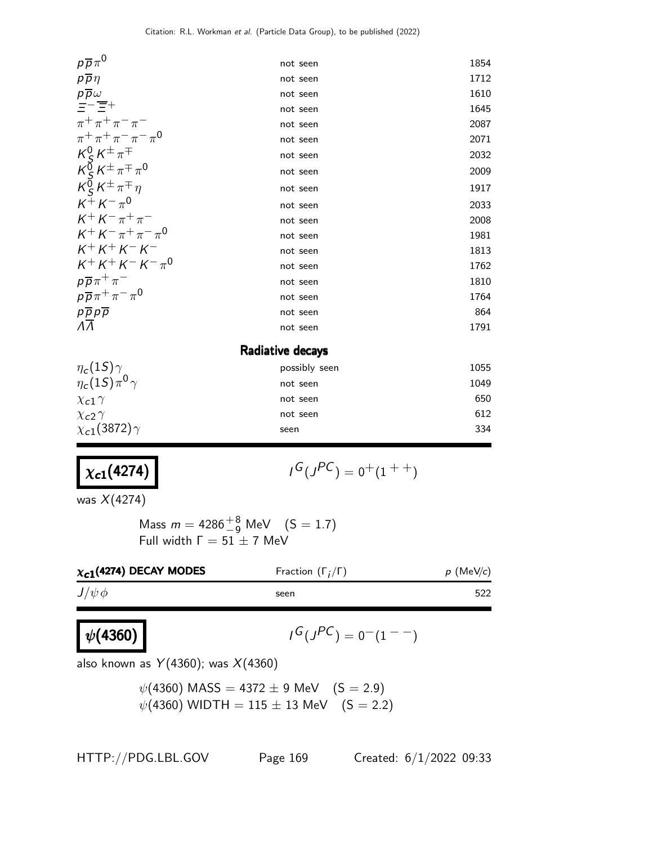| $p\overline{p}\pi^0$                                                                                              | not seen         | 1854 |
|-------------------------------------------------------------------------------------------------------------------|------------------|------|
| $p\overline{p}\eta$                                                                                               | not seen         | 1712 |
| $p\overline{p}\omega$<br>$\overline{=}-\overline{\overline{=}}+$                                                  | not seen         | 1610 |
|                                                                                                                   | not seen         | 1645 |
| $\pi^+ \pi^+ \pi^- \pi^-$                                                                                         | not seen         | 2087 |
| $\pi^+ \pi^+ \pi^- \pi^- \pi^0$                                                                                   | not seen         | 2071 |
|                                                                                                                   | not seen         | 2032 |
| $\begin{array}{l} K^0_S\,K^\pm\,\pi^\mp\\ K^0_S\,K^\pm\,\pi^\mp\,\pi^0\\ K^0_S\,K^\pm\,\pi^\mp\,\eta \end{array}$ | not seen         | 2009 |
|                                                                                                                   | not seen         | 1917 |
| $K^{\pm} K^{-} \pi^{0}$                                                                                           | not seen         | 2033 |
| $K^+ K^- \pi^+ \pi^-$                                                                                             | not seen         | 2008 |
| $K^+ K^- \pi^+ \pi^- \pi^0$                                                                                       | not seen         | 1981 |
| $K^{+}K^{+}K^{-}K^{-}$                                                                                            | not seen         | 1813 |
| $K^+ K^+ K^- K^- \pi^0$                                                                                           | not seen         | 1762 |
| $p\overline{p}\pi^+\pi^-$                                                                                         | not seen         | 1810 |
| $p\overline{p}\pi^+\pi^-\pi^0$                                                                                    | not seen         | 1764 |
| $\rho \overline{\rho} \rho \overline{\rho}$<br>$\overline{\Lambda} \overline{\Lambda}$                            | not seen         | 864  |
|                                                                                                                   | not seen         | 1791 |
|                                                                                                                   | Radiative decays |      |
| $\eta_c(1S)\gamma$                                                                                                | possibly seen    | 1055 |
| $\eta_c(1S)\pi^0\gamma$                                                                                           | not seen         | 1049 |
| $\chi$ <sub>c</sub> 1 $\gamma$                                                                                    | not seen         | 650  |
| $\chi$ <sub>c</sub> 2 $\gamma$                                                                                    | not seen         | 612  |
| $\chi_{c1}(3872)\gamma$                                                                                           | seen             | 334  |
|                                                                                                                   |                  |      |

## $\chi_{c1}(4274)$  |  $\qquad \qquad$

$$
G(J^{PC})=0^+(1^{++})
$$

was X(4274)

 $\psi(4360)$ 

Mass  $m = 4286^{+8}_{-9}$  MeV  $(S = 1.7)$ Full width  $\Gamma = 51 \pm 7$  MeV

| $\chi_{c1}$ (4274) DECAY MODES | Fraction $(\Gamma_i/\Gamma)$ | $p$ (MeV/c) |
|--------------------------------|------------------------------|-------------|
| $J/\psi \phi$                  | seen                         | 522         |

$$
I^G(J^{PC})=0^-(1^{--})
$$

also known as  $Y(4360)$ ; was  $X(4360)$ 

$$
\psi(4360) \text{ MASS} = 4372 \pm 9 \text{ MeV} \quad (S = 2.9) \n\psi(4360) \text{ WIDTH} = 115 \pm 13 \text{ MeV} \quad (S = 2.2)
$$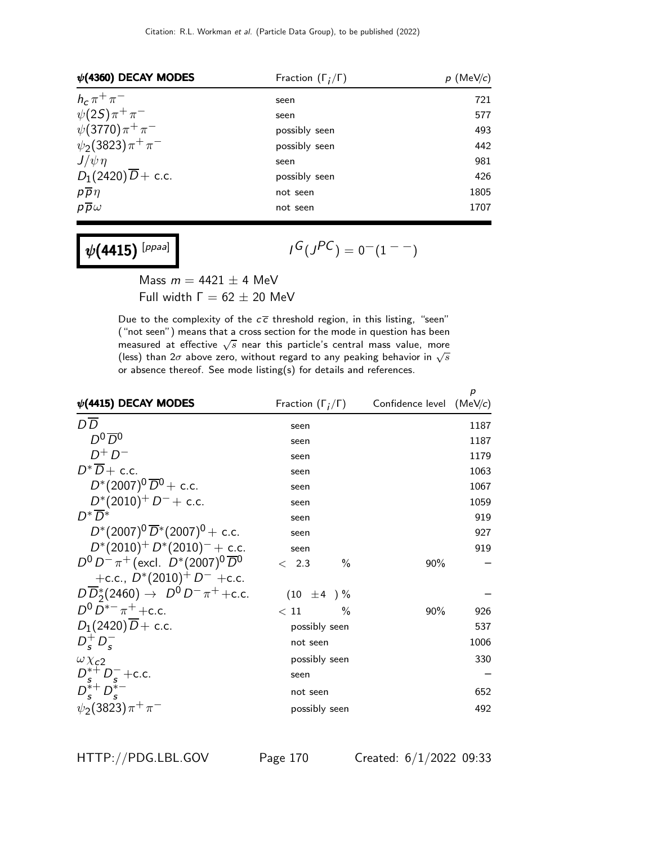| $\psi$ (4360) DECAY MODES      | Fraction $(\Gamma_i/\Gamma)$ | $p$ (MeV/c) |
|--------------------------------|------------------------------|-------------|
| $h_c \pi^+ \pi^-$              | seen                         | 721         |
| $\psi(2S)\pi^{+}\pi^{-}$       | seen                         | 577         |
| $\psi(3770)\pi^{+}\pi^{-}$     | possibly seen                | 493         |
| $\psi_2(3823)\pi^+\pi^-$       | possibly seen                | 442         |
| $J/\psi \eta$                  | seen                         | 981         |
| $D_1(2420)\overline{D}$ + c.c. | possibly seen                | 426         |
| $p\overline{p}\eta$            | not seen                     | 1805        |
| $p\overline{p}\omega$          | not seen                     | 1707        |

 $\psi(4415)^{[ppaa]}$ 

 $I^G(J^{PC}) = 0^-(1^{--})$ 

Mass  $m = 4421 \pm 4$  MeV Full width  $Γ = 62 ± 20$  MeV

Due to the complexity of the  $c\bar{c}$  threshold region, in this listing, "seen" ("not seen") means that a cross section for the mode in question has been measured at effective  $\sqrt{s}$  near this particle's central mass value, more (less) than  $2\sigma$  above zero, without regard to any peaking behavior in  $\sqrt{s}$ or absence thereof. See mode listing(s) for details and references.

| $\psi$ (4415) DECAY MODES                             | Fraction $(\Gamma_i/\Gamma)$ | Confidence level | р<br>(MeV/c) |
|-------------------------------------------------------|------------------------------|------------------|--------------|
| $D\overline{D}$                                       | seen                         |                  | 1187         |
| $D^0\overline{D}{}^0$                                 | seen                         |                  | 1187         |
| $D^+D^-$                                              | seen                         |                  | 1179         |
| $D^*\overline{D}$ + c.c.                              | seen                         |                  | 1063         |
| $D^*(2007)^0 \overline{D}^0$ + c.c.                   | seen                         |                  | 1067         |
| $D^*(2010)^+$ $D^-$ + c.c.                            | seen                         |                  | 1059         |
| $D^*\overline{D}^*$                                   | seen                         |                  | 919          |
| $D^*(2007)^0 \overline{D}^*(2007)^0$ + c.c.           | seen                         |                  | 927          |
| $D^*(2010)^+ D^*(2010)^- +$ c.c.                      | seen                         |                  | 919          |
| $D^0 D^- \pi^+$ (excl. $D^*(2007)^0 \overline{D}{}^0$ | $\%$<br>< 2.3                | 90%              |              |
| +c.c., $D^*(2010)^+$ D <sup>-</sup> +c.c.             |                              |                  |              |
| $D\overline{D}_2^*(2460) \to D^0 D^- \pi^+ + c.c.$    | $(10 \pm 4) \%$              |                  |              |
| $D^0 D^{*-} \pi^+ + c.c.$                             | $\frac{0}{0}$<br>$<\,11$     | $90\%$           | 926          |
| $D_1(2420)$ $\overline{D}$ + c.c.                     | possibly seen                |                  | 537          |
| $D_{\rm s}^+ D_{\rm s}^-$                             | not seen                     |                  | 1006         |
| $\omega \chi_{c2}$                                    | possibly seen                |                  | 330          |
| $D_s^{*+} D_s^-$ +c.c.                                | seen                         |                  |              |
| $D_{s}^{*+}D_{s}^{*-}$                                | not seen                     |                  | 652          |
| $\psi_2(3823)\pi^+\pi^-$                              | possibly seen                |                  | 492          |

HTTP://PDG.LBL.GOV Page 170 Created: 6/1/2022 09:33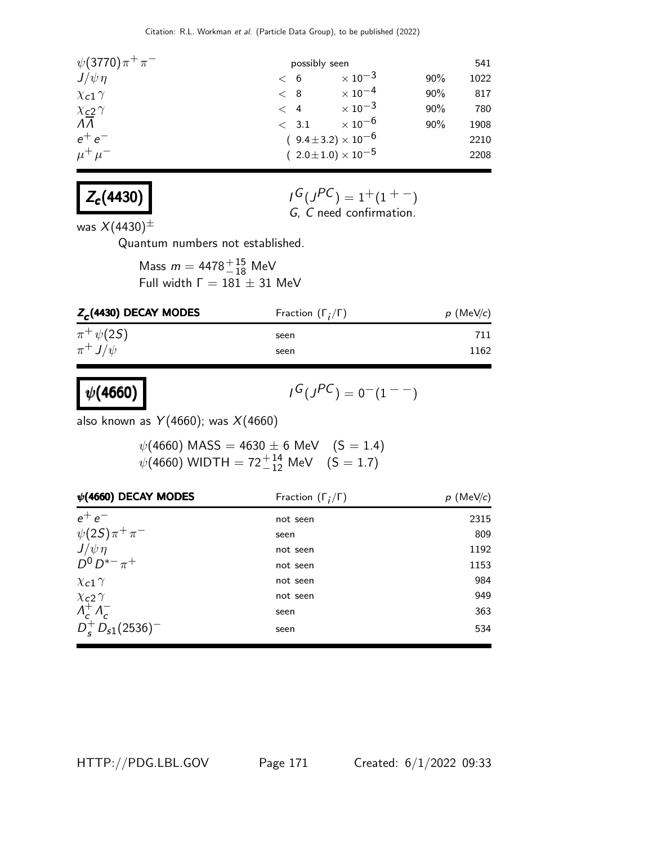| $\psi(3770)\pi^{+}\pi^{-}$                    | possibly seen                  |                           |     | 541  |
|-----------------------------------------------|--------------------------------|---------------------------|-----|------|
| $J/\psi \eta$                                 | < 6                            | $\times$ 10 <sup>-3</sup> | 90% | 1022 |
| $\chi$ <sub>c</sub> 1 $\gamma$                | < 8                            | $\times$ 10 $^{-4}$       | 90% | 817  |
| $\frac{\chi_{c2}}{\Lambda\overline{\Lambda}}$ | $\lt$ 4                        | $\times$ 10 <sup>-3</sup> | 90% | 780  |
|                                               | $\langle$ 3.1                  | $\times$ 10 <sup>-6</sup> | 90% | 1908 |
| $e^+e^-$                                      | $(9.4 \pm 3.2) \times 10^{-6}$ |                           |     | 2210 |
| $\mu^+ \mu^-$                                 | $(2.0 \pm 1.0) \times 10^{-5}$ |                           |     | 2208 |



$$
I^G(J^{PC}) = 1^+(1^{+-})
$$
  
G, C need confirmation.

was  $X(4430)^{\pm}$ 

 $\psi(4660)$ 

Quantum numbers not established.

Mass  $m = 4478^{+15}_{-18}$  MeV Full width  $\Gamma = 181 \pm 31$  MeV

| $Z_c$ (4430) DECAY MODES | Fraction $(\Gamma_i/\Gamma)$ | $p$ (MeV/c) |
|--------------------------|------------------------------|-------------|
| $\pi^+ \psi(2S)$         | seen                         | 711         |
| $\pi^+ J/\psi$           | seen                         | 1162        |

$$
I^G(J^{PC})=0^-(1^{--})
$$

also known as  $Y(4660)$ ; was  $X(4660)$ 

 $\psi($ 4660) MASS  $=$  4630  $\pm$  6 MeV  $\quad$   $(S=1.4)$  $\psi(4660)$  WIDTH = 72 $^{+14}_{-12}$  MeV  $(S = 1.7)$ 

| $\psi$ (4660) DECAY MODES                                               | Fraction $(\Gamma_i/\Gamma)$ | $p$ (MeV/c) |
|-------------------------------------------------------------------------|------------------------------|-------------|
| $e^+e^-$                                                                | not seen                     | 2315        |
| $\psi(2S)\pi^+\pi^-$                                                    | seen                         | 809         |
| $J/\psi \eta$                                                           | not seen                     | 1192        |
| $D^{0} D^{*-} \pi^{+}$                                                  | not seen                     | 1153        |
| $\chi$ <sub>c</sub> 1 $\gamma$                                          | not seen                     | 984         |
| $\chi$ <sub>c</sub> 2 $\gamma$                                          | not seen                     | 949         |
|                                                                         | seen                         | 363         |
| $A_c^+ A_c^-$<br>D <sub>s</sub> $D_s$ <sub>51</sub> (2536) <sup>-</sup> | seen                         | 534         |

HTTP://PDG.LBL.GOV Page 171 Created: 6/1/2022 09:33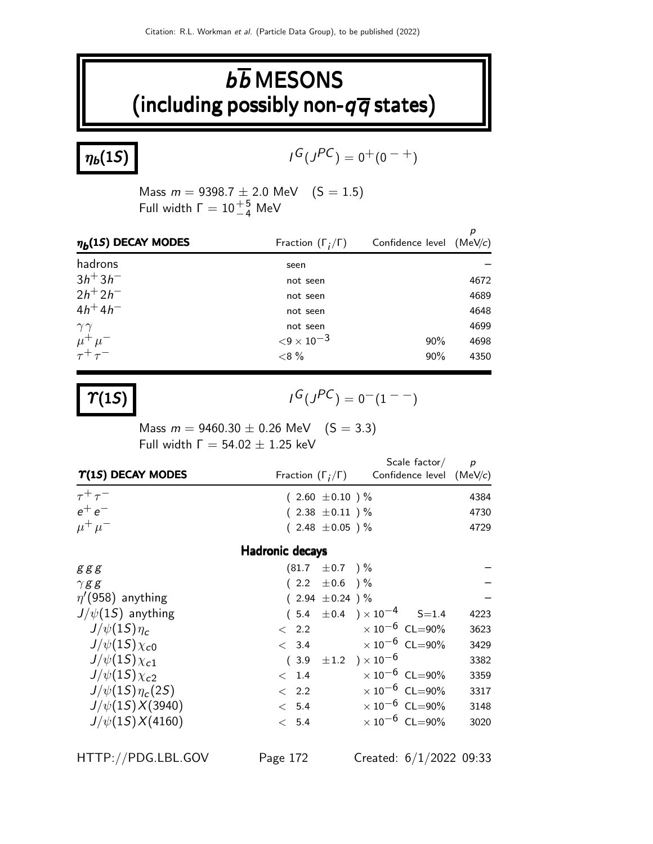## $b\overline{b}$  MESONS (including possibly non- $q\overline{q}$  states)

 $\eta_b(1S)$ 

 $G(J^{PC}) = 0^+(0^{-+})$ 

Mass  $m = 9398.7 \pm 2.0 \text{ MeV}$  (S = 1.5) Full width  $\Gamma = 10^{+5}_{-4}$  MeV

| $\eta_b(1S)$ DECAY MODES         | Fraction $(\Gamma_i/\Gamma)$ | Confidence level $(MeV/c)$ |      |
|----------------------------------|------------------------------|----------------------------|------|
| hadrons                          | seen                         |                            |      |
| $3h^{+}3h^{-}$                   | not seen                     |                            | 4672 |
| $2h^{+}2h^{-}$                   | not seen                     |                            | 4689 |
| $4h^{+}4h^{-}$                   | not seen                     |                            | 4648 |
| $\gamma\gamma$                   | not seen                     |                            | 4699 |
| $\mu^+ \mu^-$<br>$\tau^+ \tau^-$ | ${<}9 \times 10^{-3}$        | 90%                        | 4698 |
|                                  | ${<}8%$                      | 90%                        | 4350 |

 $\Upsilon(1S)$ 

 $G(J^{PC}) = 0^{-}(1^{--})$ 

Mass  $m = 9460.30 \pm 0.26$  MeV  $(S = 3.3)$ Full width  $\Gamma = 54.02 \pm 1.25$  keV

| $\Upsilon(1S)$ DECAY MODES | Scale factor/<br>Confidence level (MeV/c)<br>Fraction $(\Gamma_i/\Gamma)$ | D    |
|----------------------------|---------------------------------------------------------------------------|------|
| $\tau^+\tau^-$             | $(2.60 \pm 0.10)$ %                                                       | 4384 |
| $e^+e^-$                   | $(2.38 \pm 0.11)$ %                                                       | 4730 |
| $\mu^+ \mu^-$              | $(2.48 \pm 0.05)$ %                                                       | 4729 |

#### Hadronic decays

| ggg                    | $(81.7 \pm 0.7)$ %                    |                                  |      |
|------------------------|---------------------------------------|----------------------------------|------|
| $\gamma$ gg            | $(2.2 \pm 0.6)$ %                     |                                  |      |
| $\eta$ '(958) anything | $(2.94 \pm 0.24)$ %                   |                                  |      |
| $J/\psi(15)$ anything  | $(5.4 \pm 0.4) \times 10^{-4}$ S=1.4  |                                  | 4223 |
| $J/\psi(1S)\eta_c$     | $\langle$ 2.2                         | $\times$ 10 $^{-6}$ CL=90%       | 3623 |
| $J/\psi(15)\chi_{c0}$  | $\times$ 10 $^{-6}$ CL=90%<br>< 3.4   |                                  | 3429 |
| $J/\psi(15)\chi_{c1}$  | $\pm 1.2$ ) $\times 10^{-6}$<br>(3.9) |                                  | 3382 |
| $J/\psi(15)\chi_{c2}$  | < 1.4                                 | $\times$ 10 <sup>-6</sup> CL=90% | 3359 |
| $J/\psi(15)\eta_c(25)$ | < 2.2                                 | $\times$ 10 <sup>-6</sup> CL=90% | 3317 |
| $J/\psi(1S)X(3940)$    | < 5.4                                 | $\times 10^{-6}$ CL=90%          | 3148 |
| $J/\psi(15)X(4160)$    | < 5.4                                 | $\times$ 10 <sup>-6</sup> CL=90% | 3020 |
|                        |                                       |                                  |      |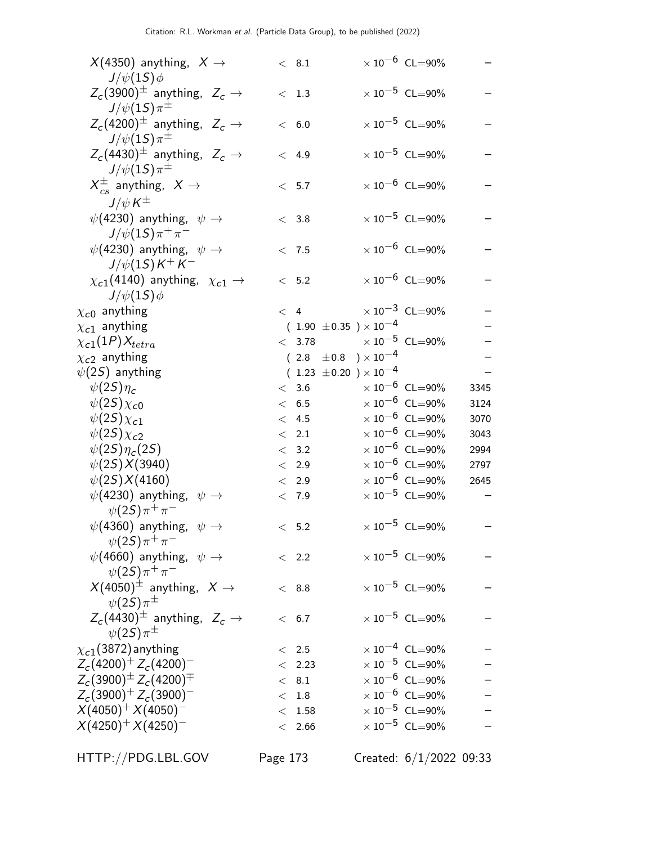| $X(4350)$ anything, $X \rightarrow$<br>$J/\psi(1S)\phi$                 | < 8.1                            | $\times$ 10 <sup>-6</sup> CL=90% |      |
|-------------------------------------------------------------------------|----------------------------------|----------------------------------|------|
| $Z_c(3900)^{\pm}$ anything, $Z_c \rightarrow$                           | < 1.3                            | $\times$ 10 $^{-5}$ CL=90%       |      |
| $J/\psi(1S)\pi^{\pm}$<br>$Z_c(4200)^{\pm}$ anything, $Z_c \rightarrow$  | < 6.0                            | $\times$ 10 <sup>-5</sup> CL=90% |      |
| $J/\psi(1S)\pi^{\pm}$<br>$Z_c(4430)^{\pm}$ anything, $Z_c \rightarrow$  | < 4.9                            | $\times$ 10 <sup>-5</sup> CL=90% |      |
| $J/\psi(1S)\pi^{\pm}$<br>$X_{cs}^{\pm}$ anything, $X \rightarrow$       | < 5.7                            | $\times$ 10 $^{-6}$ CL=90%       |      |
| $J/\psi K^{\pm}$<br>$\psi$ (4230) anything, $\psi \rightarrow$          | < 3.8                            | $\times$ 10 <sup>-5</sup> CL=90% |      |
| $J/\psi(1S)\pi^{+}\pi^{-}$                                              |                                  | $\times 10^{-6}$ CL=90%          |      |
| $\psi$ (4230) anything, $\psi \rightarrow$<br>$J/\psi(1S)K^{+}K^{-}$    | < 7.5                            |                                  |      |
| $\chi_{c1}(4140)$ anything, $\chi_{c1} \rightarrow$<br>$J/\psi(1S)\phi$ | < 5.2                            | $\times 10^{-6}$ CL=90%          |      |
| $\chi_{\textsf{\scriptsize{c}}0}$ anything                              | < 4                              | $\times 10^{-3}$ CL=90%          |      |
| $\chi_{c1}$ anything                                                    | $(1.90 \pm 0.35) \times 10^{-4}$ |                                  |      |
| $\chi_{c1}(1P)X_{tetra}$                                                | < 3.78                           | $\times$ 10 <sup>-5</sup> CL=90% |      |
| $\chi_{c2}$ anything                                                    | $(2.8 \pm 0.8) \times 10^{-4}$   |                                  |      |
| $\psi(2\mathcal{S})$ anything                                           | $(1.23 \pm 0.20) \times 10^{-4}$ |                                  |      |
| $\psi(2S)\eta_c$                                                        | < 3.6                            | $\times$ 10 <sup>-6</sup> CL=90% | 3345 |
| $\psi(2S)\chi_{c0}$                                                     | < 6.5                            | $\times$ 10 $^{-6}$ CL=90%       | 3124 |
| $\psi(2S)\chi_{c1}$                                                     | < 4.5                            | $\times$ 10 $^{-6}$ CL=90%       | 3070 |
| $\psi(2S)\chi_{c2}$                                                     | $\langle$ 2.1                    | $\times$ 10 $^{-6}$ CL=90%       | 3043 |
|                                                                         |                                  | $\times$ 10 $^{-6}$ CL=90%       |      |
| $\psi(2S)\eta_c(2S)$                                                    | < 3.2                            | $\times$ $10^{-6}\,$ CL=90%      | 2994 |
| $\psi(2S)X(3940)$                                                       | $\lt$ 2.9                        | $\times$ 10 $^{-6}$ CL=90%       | 2797 |
| $\psi(2S)X(4160)$                                                       | < 2.9                            |                                  | 2645 |
| $\psi$ (4230) anything, $\psi \rightarrow$<br>$\psi(2S)\pi^{+}\pi^{-}$  | < 7.9                            | $\times$ 10 <sup>-5</sup> CL=90% |      |
| $\psi(4360)$ anything, $\psi \rightarrow$<br>$\psi(2S)\pi^{+}\pi^{-}$   | < 5.2                            | $\times$ 10 <sup>-5</sup> CL=90% |      |
| $\psi(4660)$ anything, $\psi \rightarrow$<br>$\psi(2S)\pi^{+}\pi^{-}$   | < 2.2                            | $\times$ 10 <sup>-5</sup> CL=90% |      |
| $X(4050)^{\pm}$ anything, $X \rightarrow$<br>$\psi(2S)\pi^{\pm}$        | < 8.8                            | $\times$ 10 <sup>-5</sup> CL=90% |      |
| $Z_c(4430)^{\pm}$ anything, $Z_c \rightarrow$<br>$\psi(25)\pi^{\pm}$    | < 6.7                            | $\times 10^{-5}$ CL=90%          |      |
| $\chi_{c1}(3872)$ anything                                              | < 2.5                            | $\times 10^{-4}$ CL=90%          |      |
| $Z_c(4200)^+ Z_c(4200)^-$                                               | < 2.23                           | $\times$ 10 <sup>-5</sup> CL=90% |      |
| $Z_c(3900)^{\pm} Z_c(4200)^{\mp}$                                       | < 8.1                            | $\times$ 10 $^{-6}$ CL=90%       |      |
| $Z_c(3900)^+ Z_c(3900)^-$                                               | < 1.8                            | $\times$ $10^{-6}\,$ CL=90%      |      |
| $X(4050)^{+} X(4050)^{-}$                                               | $<$ 1.58                         | $\times$ 10 <sup>-5</sup> CL=90% |      |
| $X(4250)^{+} X(4250)^{-}$                                               | < 2.66                           | $\times$ 10 <sup>-5</sup> CL=90% |      |
|                                                                         |                                  |                                  |      |
|                                                                         |                                  |                                  |      |

HTTP://PDG.LBL.GOV Page 173 Created: 6/1/2022 09:33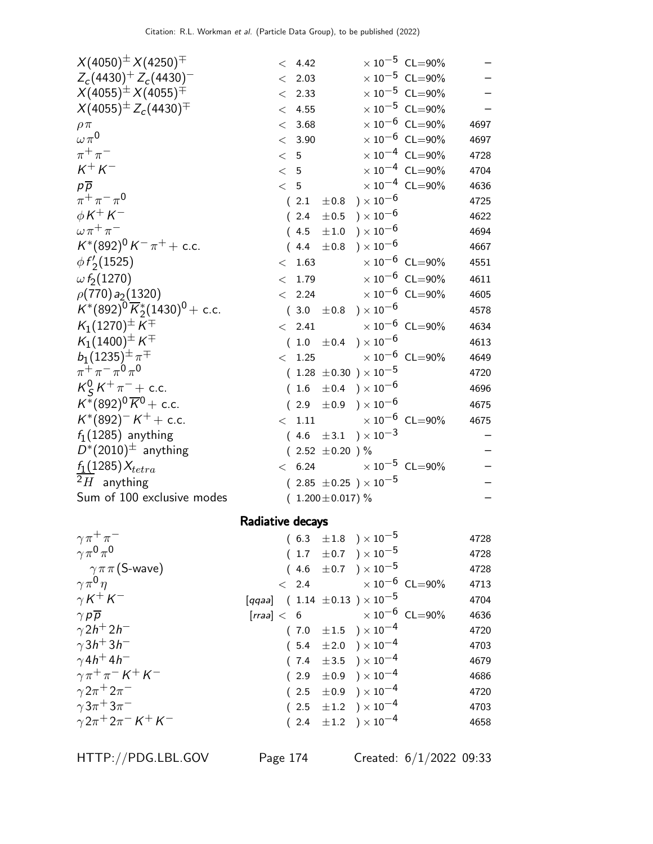| $X(4050)^{\pm} X(4250)^{\mp}$                | $\times 10^{-5}$ CL=90%<br>< 4.42                 |      |
|----------------------------------------------|---------------------------------------------------|------|
| $Z_c(4430)^+ Z_c(4430)^-$                    | $\times$ $10^{-5}\,$ CL=90%<br>2.03<br>$\lt$      |      |
| $X(4055)^{\pm} X(4055)^{\mp}$                | $\times$ 10 <sup>-5</sup> CL=90%<br>2.33<br>$\lt$ |      |
| $X(4055)^{\pm} Z_c(4430)^{\mp}$              | $\times$ $10^{-5}\,$ CL=90%<br>4.55<br>$\lt$      |      |
| $\rho \pi$                                   | $\times$ 10 <sup>-6</sup> CL=90%<br>3.68<br>$\lt$ | 4697 |
| $\omega \pi^0$                               | $\times$ 10 <sup>-6</sup> CL=90%<br>< 3.90        | 4697 |
| $\pi^+\pi^-$                                 | $\times$ 10 <sup>-4</sup> CL=90%<br>< 5           | 4728 |
| $K^+K^-$                                     | $\times$ $10^{-4}$ $\,$ CL=90%<br>< 5             | 4704 |
| $p\overline{p}$                              | $\times$ 10 <sup>-4</sup> CL=90%<br>< 5           | 4636 |
| $\pi^{+}\pi^{-}\pi^{0}$                      | $(2.1 \pm 0.8) \times 10^{-6}$                    | 4725 |
| $\phi K^+ K^-$                               | ) $\times$ 10 $^{-6}$<br>(2.4)<br>$\pm 0.5$       | 4622 |
| $\omega \pi^+ \pi^-$                         | $(4.5 \pm 1.0) \times 10^{-6}$                    | 4694 |
| $K^*(892)^0 K^- \pi^+ +$ c.c.                | $\pm 0.8$ ) $\times 10^{-6}$<br>(4.4)             | 4667 |
| $\phi f'_2(1525)$                            | $\times 10^{-6}$ CL=90%<br>< 1.63                 | 4551 |
| $\omega f_2(1270)$                           | 1.79 $\times 10^{-6}$ CL=90%<br>$\lt$             | 4611 |
| $\rho(770) a_2(1320)$                        | $\times$ 10 <sup>-6</sup> CL=90%<br>< 2.24        | 4605 |
| $K^*(892)^0 \overline{K}_2^*(1430)^0$ + c.c. | $(3.0 \pm 0.8) \times 10^{-6}$                    | 4578 |
| $K_1(1270)^{\pm} K^{\mp}$                    | $< 2.41 \times 10^{-6} \text{ CL} = 90\%$         | 4634 |
| $K_1(1400)^{\pm} K^{\mp}$                    | $(1.0 \pm 0.4) \times 10^{-6}$                    | 4613 |
| $b_1(1235)^{\pm} \pi^{\mp}$                  | $<$ 1.25 $\times$ 10 $^{-6}$ CL=90%               | 4649 |
| $\pi^{+}\pi^{-}\pi^{0}\pi^{0}$               | $(1.28 \pm 0.30) \times 10^{-5}$                  | 4720 |
| $K_S^0 K^+ \pi^-$ + c.c.                     | $(1.6 \pm 0.4) \times 10^{-6}$                    | 4696 |
| $K^*(892)^0 \overline{K}^0$ + c.c.           | $(2.9 \pm 0.9) \times 10^{-6}$                    | 4675 |
| $K^*(892)^-K^+ +$ c.c.                       | $<$ 1.11 $\times 10^{-6}$ CL=90%                  | 4675 |
| $f_1(1285)$ anything                         | $(4.6 \pm 3.1) \times 10^{-3}$                    |      |
| $D^*(2010)^{\pm}$ anything                   | $(2.52 \pm 0.20)$ %                               |      |
| $f_1(1285)X_{tetra}$                         | $\times 10^{-5}$ CL=90%<br>< 6.24                 |      |
| $2H$ anything                                | $(2.85 \pm 0.25) \times 10^{-5}$                  |      |
| Sum of 100 exclusive modes                   | $(1.200 \pm 0.017)\%$                             |      |
|                                              | Radiative decays                                  |      |
|                                              |                                                   |      |

| $\gamma \pi^+ \pi^-$                      |  | $(6.3 \pm 1.8) \times 10^{-5}$              | 4728 |
|-------------------------------------------|--|---------------------------------------------|------|
| $\gamma \pi^0 \pi^0$                      |  | $(1.7 \pm 0.7) \times 10^{-5}$              | 4728 |
| $\gamma \pi \pi$ (S-wave)                 |  | $(4.6 \pm 0.7) \times 10^{-5}$              | 4728 |
| $\gamma \pi^0 \eta$                       |  | $< 2.4 \times 10^{-6}$ CL=90%               | 4713 |
| $\gamma K^+ K^-$                          |  | [qqaa] $(1.14 \pm 0.13) \times 10^{-5}$     | 4704 |
| $\gamma p \overline{p}$                   |  | [ <i>rraa</i> ] < 6 $\times 10^{-6}$ CL=90% | 4636 |
| $\gamma 2h^+ 2h^-$                        |  | $(7.0 \pm 1.5) \times 10^{-4}$              | 4720 |
| $\gamma$ 3h <sup>+</sup> 3h <sup>-1</sup> |  | $(5.4 \pm 2.0) \times 10^{-4}$              | 4703 |
| $\gamma$ 4h <sup>+</sup> 4h <sup>-</sup>  |  | $(7.4 \pm 3.5) \times 10^{-4}$              | 4679 |
| $\gamma \pi^+ \pi^- K^+ K^-$              |  | $(2.9 \pm 0.9) \times 10^{-4}$              | 4686 |
| $\gamma 2\pi^+ 2\pi^-$                    |  | $(2.5 \pm 0.9) \times 10^{-4}$              | 4720 |
| $\gamma 3\pi^+ 3\pi^-$                    |  | $(2.5 \pm 1.2) \times 10^{-4}$              | 4703 |
| $\gamma 2\pi^+ 2\pi^- K^+ K^-$            |  | $(2.4 \pm 1.2) \times 10^{-4}$              | 4658 |
|                                           |  |                                             |      |

HTTP://PDG.LBL.GOV Page 174 Created: 6/1/2022 09:33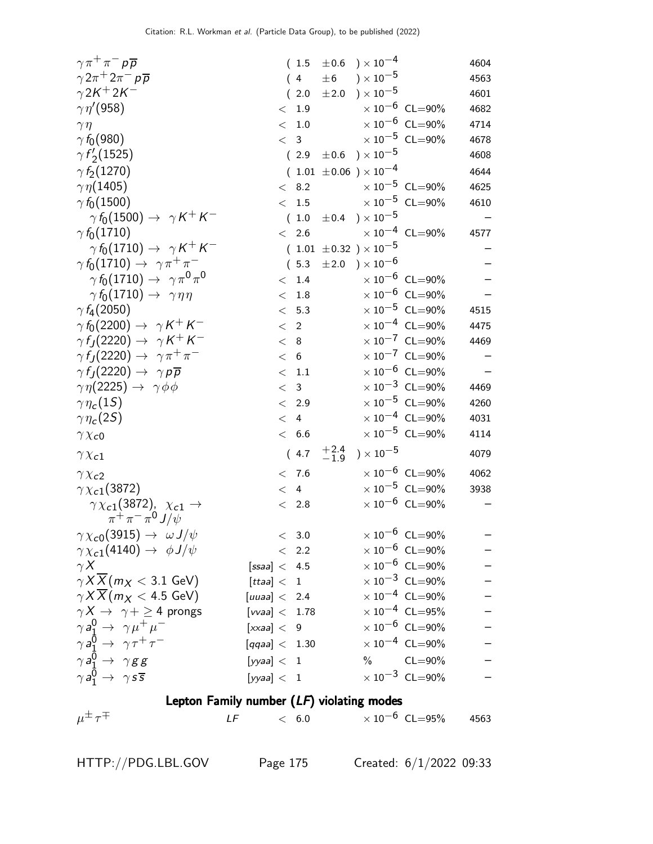| $\gamma \pi^+ \pi^- p \overline{p}$                                    |                 |             | (1.5)          | $\pm 0.6$ ) $\times 10^{-4}$     |                       |                                  | 4604              |
|------------------------------------------------------------------------|-----------------|-------------|----------------|----------------------------------|-----------------------|----------------------------------|-------------------|
| $\gamma 2\pi^+ 2\pi^- p\overline{p}$                                   |                 |             | (4)            | $\pm 6$ ) $\times 10^{-5}$       |                       |                                  | 4563              |
| $\gamma 2K^+ 2K^-$                                                     |                 |             | (2.0)          | ±2.0                             | $)\times10^{-5}$      |                                  | 4601              |
| $\gamma\eta^{\prime}(958)$                                             |                 |             | < 1.9          |                                  |                       | $\times 10^{-6}$ CL=90%          | 4682              |
| $\gamma \eta$                                                          |                 | $\lt$       | $1.0\,$        |                                  |                       | $\times 10^{-6}$ CL=90%          | 4714              |
| $\gamma f_0(980)$                                                      |                 |             | < 3            |                                  |                       | $\times$ $10^{-5}\,$ CL=90%      | 4678              |
| $\gamma f_2(1525)$                                                     |                 |             | (2.9)          | $\pm 0.6$ ) $\times 10^{-5}$     |                       |                                  | 4608              |
| $\gamma f_2(1270)$                                                     |                 |             |                | $(1.01 \pm 0.06) \times 10^{-4}$ |                       |                                  | 4644              |
| $\gamma\eta(1405)$                                                     |                 | $\lt$       | 8.2            |                                  |                       | $\times 10^{-5}$ CL=90%          | 4625              |
| $\gamma f_0(1500)$                                                     |                 | $\lt$       | 1.5            |                                  |                       | $\times$ 10 <sup>-5</sup> CL=90% | 4610              |
| $\gamma f_0(1500) \rightarrow \gamma K^+ K^-$                          |                 |             |                | $(1.0 \pm 0.4) \times 10^{-5}$   |                       |                                  |                   |
| $\gamma f_0(1710)$                                                     |                 | $\lt$       | 2.6            |                                  |                       | $\times 10^{-4}$ CL=90%          | 4577              |
| $\gamma f_0(1710) \rightarrow \gamma K^+ K^-$                          |                 |             |                | $(1.01 \pm 0.32) \times 10^{-5}$ |                       |                                  |                   |
| $\gamma f_0(1710) \rightarrow \gamma \pi^+ \pi^-$                      |                 |             |                | $(5.3 \pm 2.0) \times 10^{-6}$   |                       |                                  |                   |
| $\gamma f_0(1710) \rightarrow \gamma \pi^0 \pi^0$                      |                 | $\lt$       | 1.4            |                                  |                       | $\times$ 10 <sup>-6</sup> CL=90% |                   |
| $\gamma f_0(1710) \rightarrow \gamma \eta \eta$                        |                 | $\lt$       | 1.8            |                                  |                       | $\times$ 10 <sup>-6</sup> CL=90% |                   |
| $\gamma f_4(2050)$                                                     |                 |             | < 5.3          |                                  |                       | $\times$ 10 <sup>-5</sup> CL=90% | 4515              |
| $\gamma f_0(2200) \rightarrow \gamma K^+ K^-$                          |                 | $\langle$ 2 |                |                                  |                       | $\times$ 10 <sup>-4</sup> CL=90% | 4475              |
| $\gamma f_J(2220) \rightarrow \gamma K^+ K^-$                          |                 | < 8         |                |                                  |                       | $\times$ 10 <sup>-7</sup> CL=90% | 4469              |
| $\gamma f_J(2220) \rightarrow \gamma \pi^+ \pi^-$                      |                 | < 6         |                |                                  |                       | $\times 10^{-7}$ CL=90%          |                   |
| $\gamma f_J(2220) \rightarrow \gamma p \overline{p}$                   |                 |             | $\rm <~1.1$    |                                  |                       | $\times$ 10 <sup>-6</sup> CL=90% |                   |
| $\gamma \eta(2225) \rightarrow \gamma \phi \phi$                       |                 | $\lt$       | $\mathbf{3}$   |                                  |                       | $\times$ 10 <sup>-3</sup> CL=90% | 4469              |
| $\gamma\eta_c(1S)$                                                     |                 |             | $< 2.9$        |                                  |                       | $\times$ 10 <sup>-5</sup> CL=90% | 4260              |
| $\gamma\eta_c(2S)$                                                     |                 | $\lt$       | $\overline{4}$ |                                  |                       | $\times 10^{-4}$ CL=90%          | 4031              |
| $\gamma \chi_{c0}$                                                     |                 |             | < 6.6          |                                  |                       | $\times$ $10^{-5}\,$ CL=90%      | 4114              |
| $\gamma \chi_{c1}$                                                     |                 |             | (4.7)          | $^{+2.4}_{-1.9}$                 | ) $\times$ 10 $^{-5}$ |                                  | 4079              |
| $\gamma \chi_{c2}$                                                     |                 |             | < 7.6          |                                  |                       | $\times$ 10 <sup>-6</sup> CL=90% | 4062              |
| $\gamma \chi_{c1}(3872)$                                               |                 |             | < 4            |                                  |                       | $\times$ 10 <sup>-5</sup> CL=90% | 3938              |
| $\gamma \chi_{c1}(3872)$ , $\chi_{c1} \to$<br>$\pi^+\pi^-\pi^0 J/\psi$ |                 |             | < 2.8          |                                  |                       | $\times$ 10 <sup>-6</sup> CL=90% |                   |
| $\gamma \chi_{c0}(3915) \rightarrow \omega J/\psi$                     |                 |             | < 3.0          |                                  |                       | $\times$ 10 <sup>-6</sup> CL=90% | —                 |
| $\gamma \chi_{c1}(4140) \rightarrow \phi J/\psi$                       |                 |             | $\langle$ 2.2  |                                  |                       | $\times$ 10 <sup>-6</sup> CL=90% |                   |
| $\gamma X$                                                             | [ssaa] < 4.5    |             |                |                                  |                       | $\times$ 10 $^{-6}$ CL=90%       |                   |
| $\gamma X \overline{X}$ ( <i>m</i> <sub>X</sub> < 3.1 GeV)             | [ttaa] < 1      |             |                |                                  |                       | $\times$ 10 <sup>-3</sup> CL=90% |                   |
| $\gamma X \overline{X}$ ( <i>m</i> $_X$ < 4.5 GeV)                     | [uuaa] < 2.4    |             |                |                                  |                       | $\times$ 10 <sup>-4</sup> CL=90% |                   |
| $\gamma X \rightarrow \gamma + \geq 4$ prongs                          | [vvaa] $<$ 1.78 |             |                |                                  |                       | $\times 10^{-4}$ CL=95%          | $\qquad \qquad -$ |
| $\gamma a_1^0 \rightarrow \gamma \mu^+ \mu^-$                          | [xxa] < 9       |             |                |                                  |                       | $\times$ 10 <sup>-6</sup> CL=90% |                   |
| $\gamma a_1^0 \rightarrow \gamma \tau^+ \tau^-$                        | [qqaa] < 1.30   |             |                |                                  |                       | $\times 10^{-4}$ CL=90%          |                   |
| $\gamma a_1^0 \rightarrow \gamma g g$                                  | [yyaa] < 1      |             |                |                                  |                       | $\%$ CL=90%                      |                   |
|                                                                        |                 |             |                |                                  |                       | $\times$ $10^{-3}$ $\,$ CL=90%   |                   |
| $\gamma a_1^0 \rightarrow \gamma s \overline{s}$                       | [yyaa] < 1      |             |                |                                  |                       |                                  |                   |

#### Lepton Family number (LF) violating modes

 $\mu^\pm\,\tau$  $\mp$  LF  $< 6.0$   $\times 10^{-6}$  CL=95% 4563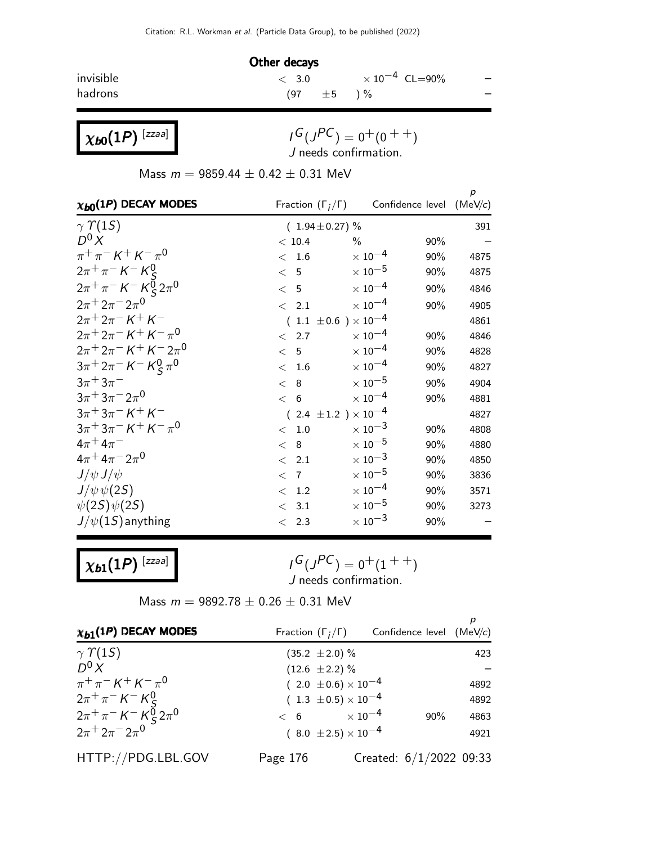|           | Other decays    |                                  |     |
|-----------|-----------------|----------------------------------|-----|
| invisible | $\langle$ 3.0   | $\times$ 10 <sup>-4</sup> CL=90% | $-$ |
| hadrons   | $(97 \pm 5) \%$ |                                  |     |

 $\chi_{\bm{b} \bm{0}}(1P)$  [zzaa]

 $\chi_{\bm{b} \bm{1}}(1P)$  [zzaa]

 $I^G(J^{PC}) = 0^+(0^{++})$ J needs confirmation.

Mass  $m = 9859.44 \pm 0.42 \pm 0.31$  MeV

|                                                              |                                  |                           |                  | p       |
|--------------------------------------------------------------|----------------------------------|---------------------------|------------------|---------|
| $\chi_{b0}(1P)$ DECAY MODES                                  | Fraction $(\Gamma_i/\Gamma)$     |                           | Confidence level | (MeV/c) |
| $\gamma \Upsilon(15)$                                        | $(1.94 \pm 0.27)\%$              |                           |                  | 391     |
| $D^0 X$                                                      | < 10.4                           | $\frac{0}{0}$             | 90%              |         |
| $\pi^+ \pi^- K^+ K^- \pi^0$                                  | 1.6<br>$\lt$                     | $\times$ 10 <sup>-4</sup> | 90%              | 4875    |
| $2\pi^{+}\pi^{-}$ K <sup>-</sup> K <sup>0</sup> <sub>S</sub> | < 5                              | $\times$ 10 $^{-5}$       | 90%              | 4875    |
| $2\pi^{+}\pi^{-} K^{-} K_{S}^{\sigma} 2\pi^{0}$              | < 5                              | $\times$ 10 <sup>-4</sup> | 90%              | 4846    |
| $2\pi^+ 2\pi^- 2\pi^0$                                       | < 2.1                            | $\times$ 10 <sup>-4</sup> | 90%              | 4905    |
| $2\pi + 2\pi - K + K$                                        | 1.1 $\pm 0.6$ ) $\times 10^{-4}$ |                           |                  | 4861    |
| $2\pi + 2\pi - K + K - \pi^0$                                | < 2.7                            | $\times$ 10 <sup>-4</sup> | 90%              | 4846    |
| $2\pi + 2\pi - K + K - 2\pi$ <sup>0</sup>                    | 5<br>$\lt$                       | $\times$ 10 <sup>-4</sup> | 90%              | 4828    |
| $3\pi^+ 2\pi^- K^- K^0_S \pi^0$                              | 1.6<br>$\lt$                     | $\times$ 10 $^{-4}$       | 90%              | 4827    |
| $3\pi + 3\pi^-$                                              | $\mathbf{8}$<br>$\lt$            | $\times$ 10 $^{-5}$       | 90%              | 4904    |
| $3\pi + 3\pi - 2\pi^0$                                       | < 6                              | $\times$ 10 $^{-4}$       | 90%              | 4881    |
| $3\pi + 3\pi - K + K$                                        | 2.4 $\pm 1.2$ ) $\times 10^{-4}$ |                           |                  | 4827    |
| $3\pi + 3\pi - K + K - \pi^0$                                | 1.0<br>$\lt$                     | $\times$ 10 $^{-3}$       | 90%              | 4808    |
| $4\pi^{+}4\pi^{-}$                                           | 8<br>$\lt$                       | $\times$ 10 $^{-5}$       | 90%              | 4880    |
| $4\pi^+ 4\pi^- 2\pi^0$                                       | 2.1<br>$\lt$                     | $\times$ 10 $^{-3}$       | 90%              | 4850    |
| $J/\psi J/\psi$                                              | $\langle$ 7                      | $\times$ 10 $^{-5}$       | 90%              | 3836    |
| $J/\psi \psi(2S)$                                            | 1.2<br>$\lt$                     | $\times$ 10 <sup>-4</sup> | 90%              | 3571    |
| $\psi(2S)\psi(2S)$                                           | 3.1<br>$\lt$                     | $\times$ 10 $^{-5}$       | 90%              | 3273    |
| $J/\psi(1S)$ anything                                        | 2.3<br>$\lt$                     | $\times$ 10 $^{-3}$       | 90%              |         |

| $I^G(J^{PC}) = 0^+(1^{++})$ |  |
|-----------------------------|--|
| J needs confirmation.       |  |

Mass  $m = 9892.78 \pm 0.26 \pm 0.31$  MeV

| $\chi_{b1}(1P)$ DECAY MODES                                             | Fraction $(\Gamma_i/\Gamma)$   | Confidence level $(MeV/c)$ | р    |
|-------------------------------------------------------------------------|--------------------------------|----------------------------|------|
| $\gamma$ $\gamma$ (15)                                                  | $(35.2 \pm 2.0)\%$             |                            | 423  |
| $D^0 X$                                                                 | $(12.6 \pm 2.2)\%$             |                            |      |
| $\pi^{+}\pi^{-} K^{+} K^{-}\pi^{0}$                                     | $(2.0 \pm 0.6) \times 10^{-4}$ |                            | 4892 |
| $2\pi^{+}\pi^{-}$ K <sup>-</sup> K <sup>0</sup> <sub>S</sub>            | $(1.3 \pm 0.5) \times 10^{-4}$ |                            | 4892 |
| $2\pi^{+}\pi^{-}$ K <sup>-</sup> K <sup>0</sup> <sub>S</sub> $2\pi^{0}$ | $< 6$ $\times 10^{-4}$         | $90\%$                     | 4863 |
| $2\pi + 2\pi - 2\pi$ <sup>0</sup>                                       | $(8.0 \pm 2.5) \times 10^{-4}$ |                            | 4921 |
| HTTP://PDG.LBL.GOV                                                      | Page 176                       | Created: $6/1/2022$ 09:33  |      |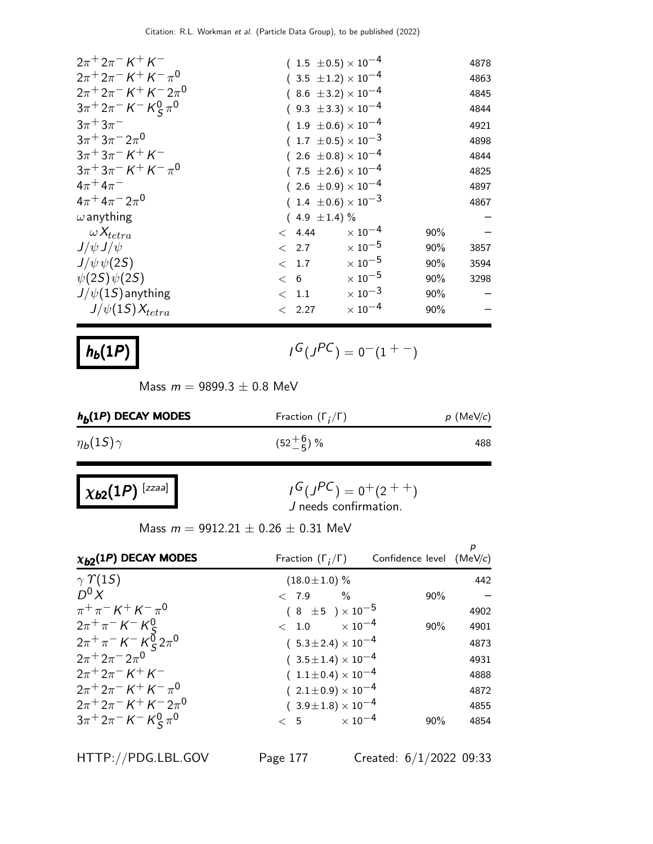| $2\pi + 2\pi - K + K$                                                                        |                       | $(1.5 \pm 0.5) \times 10^{-4}$ |     | 4878 |
|----------------------------------------------------------------------------------------------|-----------------------|--------------------------------|-----|------|
| $2\pi + 2\pi - K + K - \pi^0$                                                                |                       | $(3.5 \pm 1.2) \times 10^{-4}$ |     | 4863 |
| $2\pi + 2\pi - K + K - 2\pi$ <sup>0</sup>                                                    |                       | $(8.6 \pm 3.2) \times 10^{-4}$ |     | 4845 |
| $3\pi^+ 2\pi^- K^- K^0_S \pi^0$                                                              |                       | $(9.3 \pm 3.3) \times 10^{-4}$ |     | 4844 |
| $3\pi + 3\pi^-$                                                                              |                       | $(1.9 \pm 0.6) \times 10^{-4}$ |     | 4921 |
| $3\pi + 3\pi - 2\pi^0$                                                                       |                       | $(1.7 \pm 0.5) \times 10^{-3}$ |     | 4898 |
| $3\pi + 3\pi - K + K$                                                                        |                       | $(2.6 \pm 0.8) \times 10^{-4}$ |     | 4844 |
| $3\pi$ <sup>+</sup> $3\pi$ <sup>-</sup> $K$ <sup>+</sup> $K$ <sup>-</sup> $\pi$ <sup>0</sup> |                       | $(7.5 \pm 2.6) \times 10^{-4}$ |     | 4825 |
| $4\pi + 4\pi^-$                                                                              |                       | $(2.6 \pm 0.9) \times 10^{-4}$ |     | 4897 |
| $4\pi + 4\pi - 2\pi$ <sup>0</sup>                                                            |                       | $(1.4 \pm 0.6) \times 10^{-3}$ |     | 4867 |
| $\omega$ anything                                                                            | $(4.9 \pm 1.4)\%$     |                                |     |      |
| $\omega X_{tetra}$                                                                           | < 4.44                | $\times$ 10 <sup>-4</sup>      | 90% |      |
| $J/\psi J/\psi$                                                                              | $\langle 2.7 \rangle$ | $\times$ 10 <sup>-5</sup>      | 90% | 3857 |
| $J/\psi \psi(2S)$                                                                            | $\langle 1.7$         | $\times$ 10 $^{-5}$            | 90% | 3594 |
| $\psi(2S)\psi(2S)$                                                                           | < 6                   | $\times$ 10 $^{-5}$            | 90% | 3298 |
| $J/\psi(1S)$ anything                                                                        | $<$ 1.1               | $\times$ 10 <sup>-3</sup>      | 90% |      |
| $J/\psi(1S)X_{tetra}$                                                                        | < 2.27                | $\times$ 10 $^{-4}$            | 90% |      |
|                                                                                              |                       |                                |     |      |

### $h_b(1P)$

 $G(J^{PC}) = 0(1 + 1)$ 

Mass  $m = 9899.3 \pm 0.8$  MeV

| $h_b(1P)$ DECAY MODES | Fraction $(\Gamma_i/\Gamma)$ | $p$ (MeV/c) |
|-----------------------|------------------------------|-------------|
| $\eta_b(1S)\gamma$    | $(52\frac{+6}{-5})$ %        | 488         |

| $\chi_{b2}(1P)^{[zzaa]}$ |  |
|--------------------------|--|
|                          |  |

$$
I^G(J^{PC}) = 0^+(2^{++})
$$
  
J needs confirmation.

Mass  $m = 9912.21 \pm 0.26 \pm 0.31$  MeV

| $\chi_{b2}(1P)$ DECAY MODES                                       | Fraction $(\Gamma_i/\Gamma)$   | Confidence level $(MeV/c)$ | р    |
|-------------------------------------------------------------------|--------------------------------|----------------------------|------|
| $\gamma$ $\gamma$ (15)                                            | $(18.0 \pm 1.0)$ %             |                            | 442  |
| $D^0 X$                                                           | $< 7.9$ %                      | $90\%$                     |      |
| $\pi^{+}\pi^{-} K^{+} K^{-}\pi^{0}$                               | $(8 \pm 5) \times 10^{-5}$     |                            | 4902 |
| $2\pi^{+}\pi^{-} K^{-} K^{0}_{c}$                                 | $< 1.0 \times 10^{-4}$         | 90%                        | 4901 |
| $2\pi^+\pi^-$ K <sup>-</sup> K <sup>0</sup> <sub>S</sub> $2\pi^0$ | $(5.3 \pm 2.4) \times 10^{-4}$ |                            | 4873 |
| $2\pi^+ 2\pi^- 2\pi^0$                                            | $(3.5 \pm 1.4) \times 10^{-4}$ |                            | 4931 |
| $2\pi + 2\pi - K + K$                                             | $(1.1 \pm 0.4) \times 10^{-4}$ |                            | 4888 |
| $2\pi + 2\pi - K + K - \pi^0$                                     | $(2.1 \pm 0.9) \times 10^{-4}$ |                            | 4872 |
| $2\pi^+ 2\pi^- K^+ K^- 2\pi^0$                                    | $(3.9 \pm 1.8) \times 10^{-4}$ |                            | 4855 |
| $3\pi^+ 2\pi^- K^- K^0_S \pi^0$                                   | $< 5$ $\times 10^{-4}$         | 90%                        | 4854 |

HTTP://PDG.LBL.GOV Page 177 Created: 6/1/2022 09:33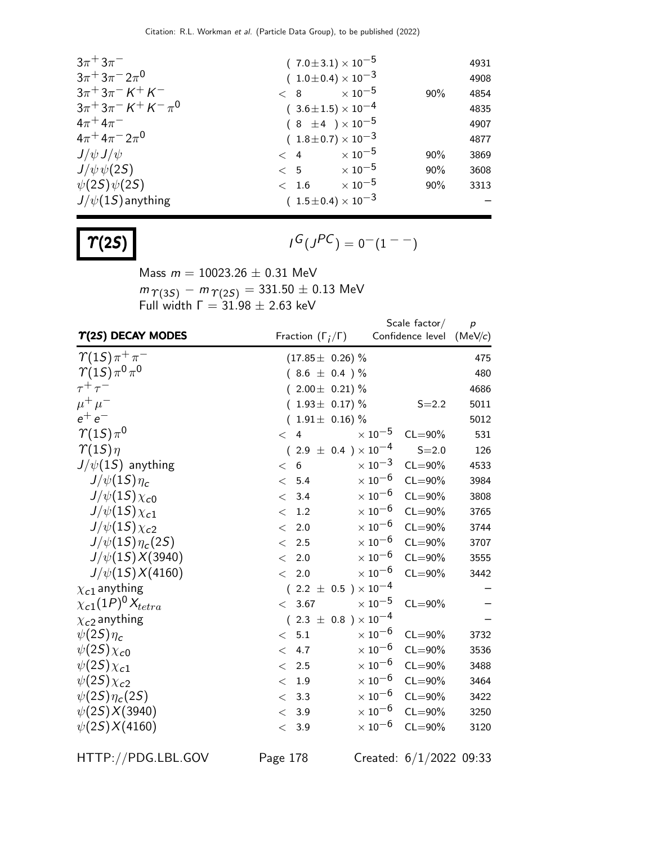| $3\pi + 3\pi^-$                                                                              |       | $(7.0 \pm 3.1) \times 10^{-5}$ |                     |     | 4931 |
|----------------------------------------------------------------------------------------------|-------|--------------------------------|---------------------|-----|------|
| $3\pi + 3\pi - 2\pi^0$                                                                       |       | $(1.0 \pm 0.4) \times 10^{-3}$ |                     |     | 4908 |
| $3\pi + 3\pi - K + K$                                                                        |       | $< 8$ $\times 10^{-5}$         |                     | 90% | 4854 |
| $3\pi$ <sup>+</sup> $3\pi$ <sup>-</sup> $K$ <sup>+</sup> $K$ <sup>-</sup> $\pi$ <sup>0</sup> |       | $(3.6 \pm 1.5) \times 10^{-4}$ |                     |     | 4835 |
| $4\pi^{+}4\pi^{-}$                                                                           |       | $(8 \pm 4) \times 10^{-5}$     |                     |     | 4907 |
| $4\pi + 4\pi - 2\pi$ <sup>0</sup>                                                            |       | $(1.8 \pm 0.7) \times 10^{-3}$ |                     |     | 4877 |
| $J/\psi J/\psi$                                                                              |       | $< 4 \times 10^{-5}$           |                     | 90% | 3869 |
| $J/\psi \psi(2S)$                                                                            |       | $< 5$ $\times 10^{-5}$         |                     | 90% | 3608 |
| $\psi(2S)\psi(2S)$                                                                           | < 1.6 |                                | $\times$ 10 $^{-5}$ | 90% | 3313 |
| $J/\psi(1S)$ anything                                                                        |       | $(1.5\pm0.4)\times10^{-3}$     |                     |     |      |

$$
\Upsilon(2S)
$$

 $G(J^{PC}) = 0(1 - 1)$ 

Mass  $m = 10023.26 \pm 0.31$  MeV  $m_{\, \varUpsilon (3S)} \,-\, m_{\, \varUpsilon (2S)} = 331.50 \pm 0.13 \; \textrm{MeV}$ Full width  $\Gamma = 31.98 \pm 2.63$  keV

|                                 |                                | Scale factor/                            | $\boldsymbol{p}$ |
|---------------------------------|--------------------------------|------------------------------------------|------------------|
| $\Upsilon(2S)$ DECAY MODES      | Fraction $(\Gamma_i/\Gamma)$   | Confidence level (MeV/c)                 |                  |
| $\gamma(1S)\pi^+\pi^-$          | $(17.85 \pm 0.26)$ %           |                                          | 475              |
| $\gamma(1S)\pi^{0}\pi^{0}$      | $(8.6 \pm 0.4) \%$             |                                          | 480              |
| $\tau^+\tau^-$                  | $(2.00 \pm 0.21)$ %            |                                          | 4686             |
| $\mu^+ \mu^-$                   | $(1.93 \pm 0.17)\%$            | $S = 2.2$                                | 5011             |
| $e^+e^-$                        | $(1.91 \pm 0.16)$ %            |                                          | 5012             |
| $\gamma(1S)\pi^0$               | $\overline{4}$<br>$\lt$        | $\times$ 10 <sup>-5</sup><br>$CL = 90\%$ | 531              |
| $\gamma(1S)\eta$                | $(2.9 \pm 0.4) \times 10^{-4}$ | $S = 2.0$                                | 126              |
| $J/\psi(1S)$ anything           | 6<br>$\lt$                     | $\times$ 10 <sup>-3</sup><br>$CL = 90\%$ | 4533             |
| $J/\psi(1S)\eta_c$              | 5.4<br>$\lt$                   | $\times$ 10 <sup>-6</sup><br>$CL = 90\%$ | 3984             |
| $J/\psi(15)\chi_{c0}$           | 3.4<br>$\lt$                   | $\times$ 10 <sup>-6</sup><br>$CL = 90\%$ | 3808             |
| $J/\psi(15)\chi_{c1}$           | 1.2<br>$\lt$                   | $\times$ 10 <sup>-6</sup><br>$CL = 90\%$ | 3765             |
| $J/\psi(15)\chi_{c2}$           | 2.0<br>$\lt$                   | $\times$ 10 $^{-6}$<br>$CL = 90\%$       | 3744             |
| $J/\psi(1S)\eta_c(2S)$          | 2.5<br>$\lt$                   | $\times$ 10 <sup>-6</sup><br>$CL = 90\%$ | 3707             |
| $J/\psi(1S)X(3940)$             | 2.0<br>$\lt$                   | $\times$ 10 <sup>-6</sup><br>$CL = 90\%$ | 3555             |
| $J/\psi(1S)X(4160)$             | 2.0<br>$\lt$                   | $\times$ 10 <sup>-6</sup><br>$CL = 90\%$ | 3442             |
| $\chi_{c1}$ anything            | $(2.2 \pm 0.5) \times 10^{-4}$ |                                          |                  |
| $\chi_{c1}(1P)^{0}\chi_{tetra}$ | 3.67<br>$\lt$                  | $\times$ 10 $^{-5}$<br>$CL = 90\%$       |                  |
| $\chi_{c2}$ anything            | $(2.3 \pm 0.8) \times 10^{-4}$ |                                          |                  |
| $\psi(2S)\eta_c$                | 5.1<br>$\lt$                   | $\times$ 10 <sup>-6</sup><br>$CL = 90\%$ | 3732             |
| $\psi(2S)\chi_{c0}$             | 4.7<br>$\lt$                   | $\times$ 10 $^{-6}$<br>$CL = 90\%$       | 3536             |
| $\psi(2S)\chi_{c1}$             | 2.5<br>$\lt$                   | $\times$ 10 $^{-6}$<br>$CL = 90\%$       | 3488             |
| $\psi(2S)\chi_{c2}$             | 1.9<br>$\lt$                   | $\times$ 10 <sup>-6</sup><br>$CL = 90\%$ | 3464             |
| $\psi(2S)\eta_c(2S)$            | 3.3<br>$\lt$                   | $\times\,10^{-6}$<br>$CL = 90\%$         | 3422             |
| $\psi(2S)X(3940)$               | 3.9<br>$\lt$                   | $\times$ 10 $^{-6}$<br>$CL = 90\%$       | 3250             |
| $\psi(2S)X(4160)$               | 3.9<br>$\lt$                   | $\times$ 10 $^{-6}$<br>$CL = 90\%$       | 3120             |
|                                 |                                |                                          |                  |

HTTP://PDG.LBL.GOV Page 178 Created: 6/1/2022 09:33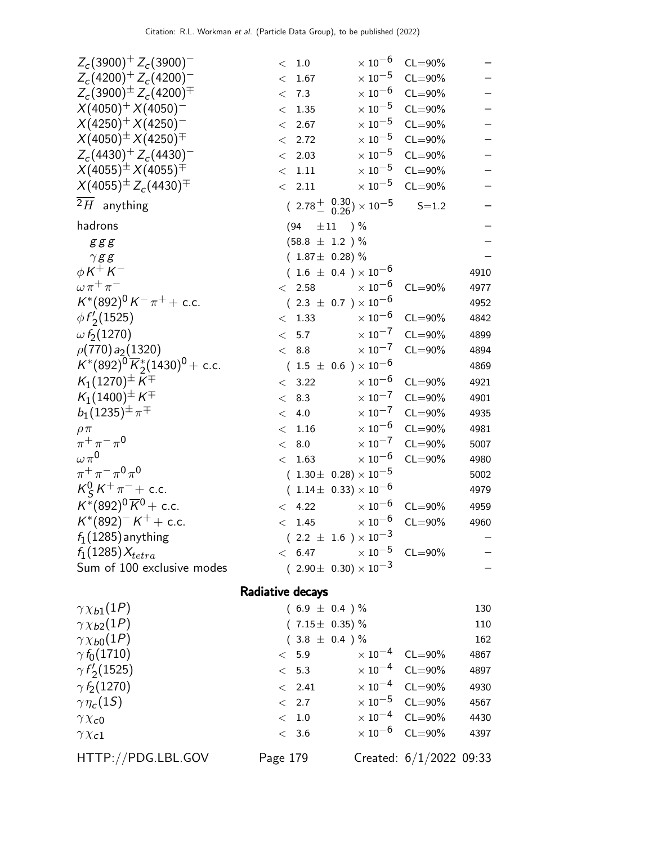|                                              | Radiative decays                                                    |                           |             |          |
|----------------------------------------------|---------------------------------------------------------------------|---------------------------|-------------|----------|
| Sum of 100 exclusive modes                   | $(2.90 \pm 0.30) \times 10^{-3}$                                    |                           |             |          |
| $f_1(1285)X_{tetra}$                         | < 6.47                                                              | $\times$ 10 <sup>-5</sup> | $CL = 90\%$ |          |
| $f_1(1285)$ anything                         | $(2.2 \pm 1.6) \times 10^{-3}$                                      |                           |             |          |
| $K^*(892)^{-}K^+ +$ c.c.                     | < 1.45                                                              | $\times$ 10 $^{-6}$       | $CL = 90\%$ | 4960     |
| $K^*(892)^0 \overline{K}{}^0$ + c.c.         | 4.22<br>$\lt$                                                       | $\times$ 10 <sup>-6</sup> | $CL = 90\%$ | 4959     |
| $K_S^0 K^+ \pi^-$ + c.c.                     | $(1.14\pm 0.33)\times 10^{-6}$                                      |                           |             | 4979     |
| $\pi^{+}\pi^{-}\pi^{0}\pi^{0}$               | $(1.30 \pm 0.28) \times 10^{-5}$                                    |                           |             | 5002     |
| $\omega \pi^0$                               | < 1.63                                                              | $\times\,10^{-6}$         | $CL = 90\%$ | 4980     |
| $\pi^{+}\pi^{-}\pi^{0}$                      | 8.0<br>$\lt$                                                        | $\times\,10^{-7}$         | $CL = 90\%$ | 5007     |
| $\rho \pi$                                   | 1.16<br>$\lt$                                                       | $\times\,10^{-6}$         | $CL = 90\%$ | 4981     |
| $b_1(1235)^{\pm} \pi^{\mp}$                  | 4.0<br>$\lt$                                                        | $\times$ $10^{-7}$        | $CL = 90\%$ | 4935     |
| $K_1(1400)^\pm K^\mp$                        | 8.3<br>$\lt$                                                        | $\times$ 10 <sup>-7</sup> | $CL = 90\%$ | 4901     |
| $K_1(1270)^{\pm} K^{\mp}$                    | 3.22<br>$\lt$                                                       | $\times$ 10 $^{-6}$       | $CL = 90\%$ | 4921     |
| $K^*(892)^0 \overline{K}_2^*(1430)^0$ + c.c. | $(1.5 \pm 0.6) \times 10^{-6}$                                      |                           |             | 4869     |
| $\rho(770) a_2(1320)$                        | < 8.8                                                               | $\times$ 10 <sup>-7</sup> | $CL = 90\%$ | 4894     |
| $\omega f_2(1270)$                           | < 5.7                                                               | $\times$ 10 <sup>-7</sup> | $CL = 90\%$ | 4899     |
| $\phi f'_2(1525)$                            | < 1.33                                                              | $\times$ 10 <sup>-6</sup> | $CL = 90\%$ | 4842     |
| $K^*(892)^0 K^- \pi^+ +$ c.c.                | $(2.3 \pm 0.7) \times 10^{-6}$                                      |                           |             | 4952     |
| $\omega \pi^+ \pi^-$                         | < 2.58                                                              | $\times$ 10 <sup>-6</sup> | $CL = 90\%$ | 4977     |
| $\phi K^+ K^-$                               | $(1.6 \pm 0.4) \times 10^{-6}$                                      |                           |             | 4910     |
| $\gamma$ gg                                  | $(1.87 \pm 0.28)\%$                                                 |                           |             |          |
| g g g                                        | $(58.8 \pm 1.2) \%$                                                 |                           |             |          |
| hadrons                                      | $\pm 11$ ) %<br>(94)                                                |                           |             |          |
| $\overline{^2H}$ anything                    | $(2.78 + \begin{array}{c} 0.30 \\ 0.26 \end{array}) \times 10^{-5}$ |                           | $S = 1.2$   |          |
| $X(4055)^{\pm} Z_c(4430)^{\mp}$              | 2.11<br>$\leq$                                                      | $\times$ 10 $^{-5}$       | $CL = 90\%$ |          |
| $X(4055)^{\pm}X(4055)^{\mp}$                 | 1.11<br>$\lt$                                                       | $\times\,10^{-5}$         | $CL = 90\%$ |          |
| $Z_c(4430)^+ Z_c(4430)^-$                    | < 2.03                                                              | $\times$ 10 $^{-5}$       | $CL = 90\%$ |          |
| $X(4050)^{\pm}X(4250)^{\mp}$                 | < 2.72                                                              | $\times$ 10 $^{-5}$       | $CL = 90\%$ | $     -$ |
| $X(4250)^{+} X(4250)^{-}$                    | < 2.67                                                              | $\times$ 10 $^{-5}$       | $CL = 90\%$ |          |
| $X(4050)^{+} X(4050)^{-}$                    | 1.35<br>$\lt$                                                       | $\times$ 10 $^{-5}$       | $CL = 90\%$ |          |
| $Z_c(3900)^{\pm} Z_c(4200)^{\mp}$            | 7.3<br>$\lt$                                                        | $\times$ 10 <sup>-6</sup> | $CL = 90\%$ |          |
| $Z_c(4200)^+ Z_c(4200)^-$                    | 1.67<br>$\lt$                                                       | $\times$ 10 $^{-5}$       | $CL = 90\%$ |          |
| $Z_c(3900)^+ Z_c(3900)^-$                    | $\rm <~1.0$                                                         | $\times$ 10 $^{-6}$       | $CL = 90\%$ |          |

| $\gamma \chi_{b1}(1P)$ | $(6.9 \pm 0.4) \%$  |                                  |                         | 130  |
|------------------------|---------------------|----------------------------------|-------------------------|------|
| $\gamma \chi_{b2}(1P)$ | $(7.15 \pm 0.35)\%$ |                                  |                         | 110  |
| $\gamma \chi_{b0}(1P)$ | $(3.8 \pm 0.4) \%$  |                                  |                         | 162  |
| $\gamma f_0(1710)$     | < 5.9               | $\times$ 10 $^{-4}$ CL=90%       |                         | 4867 |
| $\gamma f_2(1525)$     | < 5.3               | $\times$ 10 <sup>-4</sup> CL=90% |                         | 4897 |
| $\gamma f_2(1270)$     | < 2.41              | $\times$ 10 <sup>-4</sup> CL=90% |                         | 4930 |
| $\gamma \eta_c(1S)$    | < 2.7               |                                  | $\times 10^{-5}$ CL=90% | 4567 |
| $\gamma \chi_{c0}$     | < 1.0               |                                  | $\times 10^{-4}$ CL=90% | 4430 |
| $\gamma \chi_{c1}$     | < 3.6               |                                  | $\times 10^{-6}$ CL=90% | 4397 |
| HTTP://PDG.LBL.GOV     | Page 179            |                                  | Created: 6/1/2022 09:33 |      |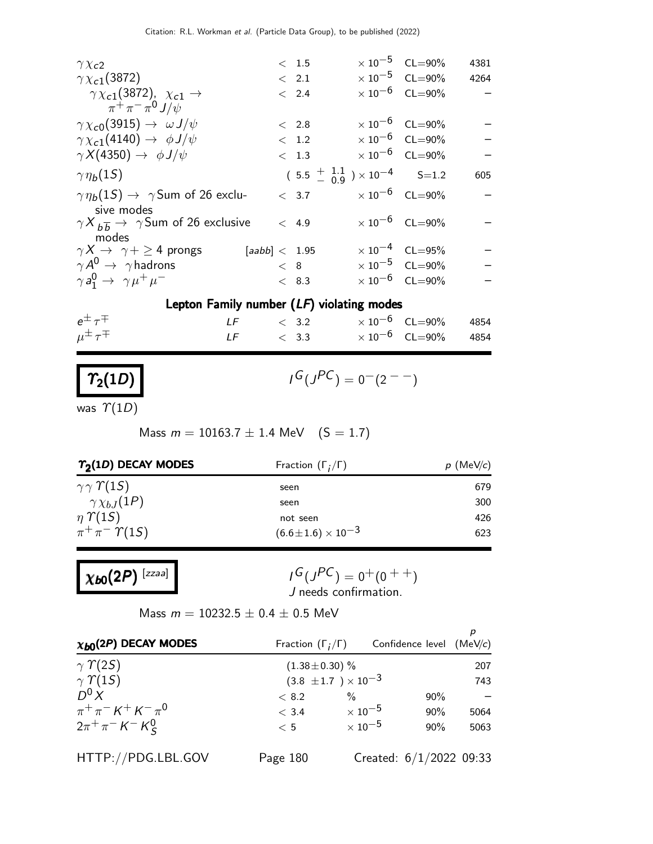|  |                                                                                                      | 4381                                                                                                                                                                                                                                                                                                                                                                              |
|--|------------------------------------------------------------------------------------------------------|-----------------------------------------------------------------------------------------------------------------------------------------------------------------------------------------------------------------------------------------------------------------------------------------------------------------------------------------------------------------------------------|
|  |                                                                                                      | 4264                                                                                                                                                                                                                                                                                                                                                                              |
|  |                                                                                                      |                                                                                                                                                                                                                                                                                                                                                                                   |
|  |                                                                                                      |                                                                                                                                                                                                                                                                                                                                                                                   |
|  |                                                                                                      |                                                                                                                                                                                                                                                                                                                                                                                   |
|  |                                                                                                      | $\overline{\phantom{0}}$                                                                                                                                                                                                                                                                                                                                                          |
|  |                                                                                                      |                                                                                                                                                                                                                                                                                                                                                                                   |
|  |                                                                                                      | 605                                                                                                                                                                                                                                                                                                                                                                               |
|  |                                                                                                      |                                                                                                                                                                                                                                                                                                                                                                                   |
|  |                                                                                                      |                                                                                                                                                                                                                                                                                                                                                                                   |
|  |                                                                                                      |                                                                                                                                                                                                                                                                                                                                                                                   |
|  |                                                                                                      |                                                                                                                                                                                                                                                                                                                                                                                   |
|  |                                                                                                      |                                                                                                                                                                                                                                                                                                                                                                                   |
|  | < 1.5<br>$\langle$ 2.1<br>< 2.4<br>< 2.8<br>< 1.2<br>< 1.3<br>< 4.9<br>[aabb] < 1.95<br>< 8<br>< 8.3 | $\times 10^{-5}$ CL=90%<br>$\times$ 10 <sup>-5</sup> CL=90%<br>$\times 10^{-6}$ CL=90%<br>$\times 10^{-6}$ CL=90%<br>$\times 10^{-6}$ CL=90%<br>$\times$ 10 <sup>-6</sup> CL=90%<br>$(5.5 \frac{+1.1}{-0.9}) \times 10^{-4}$ S=1.2<br>$< 3.7$ $\times 10^{-6}$ CL=90%<br>$\times 10^{-6}$ CL=90%<br>$\times 10^{-4}$ CL=95%<br>$\times 10^{-5}$ CL=90%<br>$\times 10^{-6}$ CL=90% |

#### Lepton Family number (LF) violating modes

| $e^{\pm} \tau^{\mp}$   | $LF \t 3.2$  |  | $\times$ 10 $^{-6}$ $\,$ CL $=$ 90 $\%$ $\,$ 4854 |  |
|------------------------|--------------|--|---------------------------------------------------|--|
| $\mu^{\pm} \tau^{\mp}$ | $LF \t< 3.3$ |  | $\times\,10^{-6}$ CL $=$ 90% 4854                 |  |

## $\mathcal{T}_2(1D)$

$$
I^G(J^{PC}) = 0^-(2^{--})
$$

was  $\Upsilon(1D)$ 

Mass  $m = 10163.7 \pm 1.4$  MeV  $(S = 1.7)$ 

| $\gamma_2(1D)$ DECAY MODES         |                              |
|------------------------------------|------------------------------|
| seen                               | 679                          |
| seen                               | 300                          |
| not seen                           | 426                          |
| $(6.6 \!\pm\! 1.6) \times 10^{-3}$ | 623                          |
|                                    | Fraction $(\Gamma_i/\Gamma)$ |

 $\chi_{b0}(2P)$  [zzaa]

$$
I^G(J^{PC}) = 0^+(0^{++})
$$
  
J needs confirmation.

Mass  $m = 10232.5 \pm 0.4 \pm 0.5$  MeV

| $\chi_{b0}(2P)$ DECAY MODES                                  | Fraction $(\Gamma_i/\Gamma)$   |                     | Confidence level $(MeV/c)$ |      |
|--------------------------------------------------------------|--------------------------------|---------------------|----------------------------|------|
| $\gamma$ $\gamma$ (2S)                                       | $(1.38 \pm 0.30)$ %            |                     |                            | 207  |
| $\gamma$ $\gamma$ (15)                                       | $(3.8 \pm 1.7) \times 10^{-3}$ |                     |                            | 743  |
| D <sup>0</sup> X                                             | < 8.2                          | $\%$                | $90\%$                     |      |
| $\pi^{+}\pi^{-} K^{+} K^{-}\pi^{0}$                          | < 3.4                          | $\times$ 10 $^{-5}$ | $90\%$                     | 5064 |
| $2\pi^{+}\pi^{-}$ K <sup>-</sup> K <sup>0</sup> <sub>S</sub> | < 5                            | $\times$ 10 $^{-5}$ | $90\%$                     | 5063 |
| HTTP://PDG.LBL.GOV                                           | Page 180                       |                     | Created: $6/1/2022$ 09:33  |      |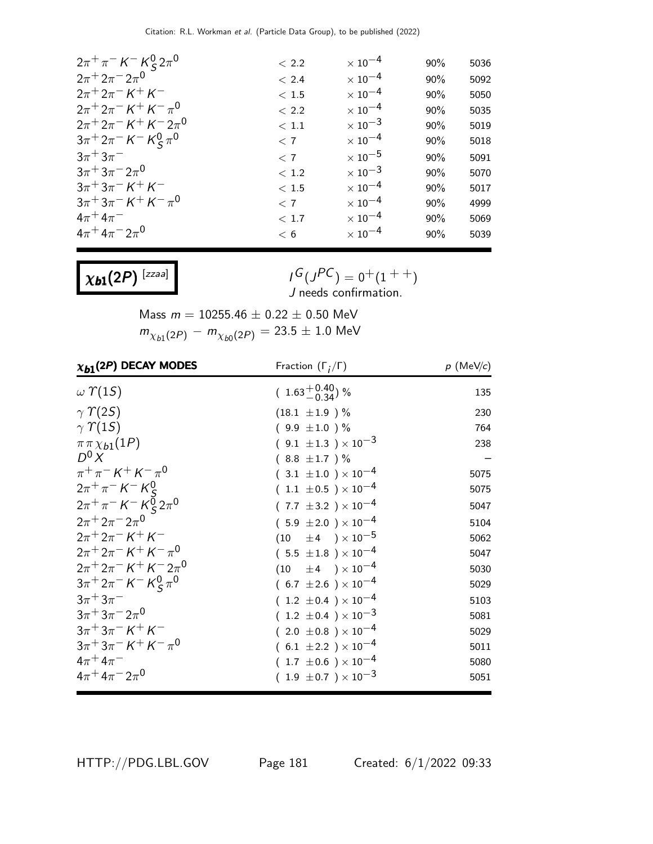| $2\pi^{+}\pi^{-}$ K <sup>-</sup> K <sup>0</sup> <sub>S</sub> $2\pi^{0}$                      | < 2.2    | $\times$ 10 $^{-4}$       | 90% | 5036 |
|----------------------------------------------------------------------------------------------|----------|---------------------------|-----|------|
| $2\pi^+ 2\pi^- 2\pi^0$                                                                       | < 2.4    | $\times$ 10 <sup>-4</sup> | 90% | 5092 |
| $2\pi + 2\pi - K + K$                                                                        | < 1.5    | $\times$ 10 <sup>-4</sup> | 90% | 5050 |
| $2\pi + 2\pi - K + K - \pi^0$                                                                | < 2.2    | $\times$ 10 <sup>-4</sup> | 90% | 5035 |
| $2\pi^+ 2\pi^- K^+ K^- 2\pi^0$                                                               | < 1.1    | $\times$ 10 <sup>-3</sup> | 90% | 5019 |
| $3\pi^+ 2\pi^- K^- K^0_S \pi^0$                                                              | < 7      | $\times$ 10 $^{-4}$       | 90% | 5018 |
| $3\pi^+3\pi^-$                                                                               | < 7      | $\times$ 10 $^{-5}$       | 90% | 5091 |
| $3\pi + 3\pi - 2\pi$ <sup>0</sup>                                                            | $<\,1.2$ | $\times$ 10 <sup>-3</sup> | 90% | 5070 |
| $3\pi + 3\pi - K + K$                                                                        | < 1.5    | $\times$ 10 <sup>-4</sup> | 90% | 5017 |
| $3\pi$ <sup>+</sup> $3\pi$ <sup>-</sup> $K$ <sup>+</sup> $K$ <sup>-</sup> $\pi$ <sup>0</sup> | < 7      | $\times$ 10 $^{-4}$       | 90% | 4999 |
| $4\pi^+ 4\pi^-$                                                                              | < 1.7    | $\times$ 10 $^{-4}$       | 90% | 5069 |
| $4\pi + 4\pi - 2\pi$ <sup>0</sup>                                                            | < 6      | $\times$ 10 $^{-4}$       | 90% | 5039 |
|                                                                                              |          |                           |     |      |

 $\chi_{b1}(2P)$  [zzaa]

 $I^G(J^{PC}) = 0^+(1^{++})$ J needs confirmation.

Mass  $m = 10255.46 \pm 0.22 \pm 0.50$  MeV  $m_{\chi_{b1}(2P)}^{} - m_{\chi_{b0}(2P)}^{} = 23.5 \pm 1.0~\rm{MeV}$ 

| $\chi_{b1}(2P)$ DECAY MODES                     | Fraction $(\Gamma_i/\Gamma)$   | $p$ (MeV/c) |
|-------------------------------------------------|--------------------------------|-------------|
| $\omega$ $\Upsilon(15)$                         | $(1.63 + 0.40)$ %              | 135         |
| $\gamma \Upsilon(25)$                           | $(18.1 \pm 1.9) \%$            | 230         |
| $\gamma \Upsilon(15)$                           | $(9.9 \pm 1.0) \%$             | 764         |
| $\pi \pi \chi_{b1}(1P)$                         | $(9.1 \pm 1.3) \times 10^{-3}$ | 238         |
| $D^0 X$                                         | $(8.8 \pm 1.7)$ %              |             |
| $\pi^{+}\pi^{-} K^{+} K^{-}\pi^{0}$             | $(3.1 \pm 1.0) \times 10^{-4}$ | 5075        |
| $2\pi^{+}\pi^{-} K^{-} K^{0}_{c}$               | $(1.1 \pm 0.5) \times 10^{-4}$ | 5075        |
| $2\pi^{+}\pi^{-} K^{-} K \overline{Q} 2\pi^{0}$ | $(7.7 \pm 3.2) \times 10^{-4}$ | 5047        |
| $2\pi + 2\pi - 2\pi^0$                          | $(5.9 \pm 2.0) \times 10^{-4}$ | 5104        |
| $2\pi + 2\pi - K + K$                           | $(10 \pm 4) \times 10^{-5}$    | 5062        |
| $2\pi + 2\pi - K + K - \pi^0$                   | $(5.5 \pm 1.8) \times 10^{-4}$ | 5047        |
| $2\pi + 2\pi - K + K - 2\pi$ <sup>0</sup>       | $(10 \pm 4) \times 10^{-4}$    | 5030        |
| $3\pi^+ 2\pi^- K^- K^0_S \pi^0$                 | $(6.7 \pm 2.6) \times 10^{-4}$ | 5029        |
| $3\pi + 3\pi^-$                                 | $(1.2 \pm 0.4) \times 10^{-4}$ | 5103        |
| $3\pi + 3\pi - 2\pi$ <sup>0</sup>               | $(1.2 \pm 0.4) \times 10^{-3}$ | 5081        |
| $3\pi + 3\pi - K + K$                           | $(2.0 \pm 0.8) \times 10^{-4}$ | 5029        |
| $3\pi + 3\pi - K + K - \pi^0$                   | $(6.1 \pm 2.2) \times 10^{-4}$ | 5011        |
| $4\pi + 4\pi^-$                                 | $(1.7 \pm 0.6) \times 10^{-4}$ | 5080        |
| $4\pi + 4\pi - 2\pi$ <sup>0</sup>               | $(1.9 \pm 0.7) \times 10^{-3}$ | 5051        |

HTTP://PDG.LBL.GOV Page 181 Created: 6/1/2022 09:33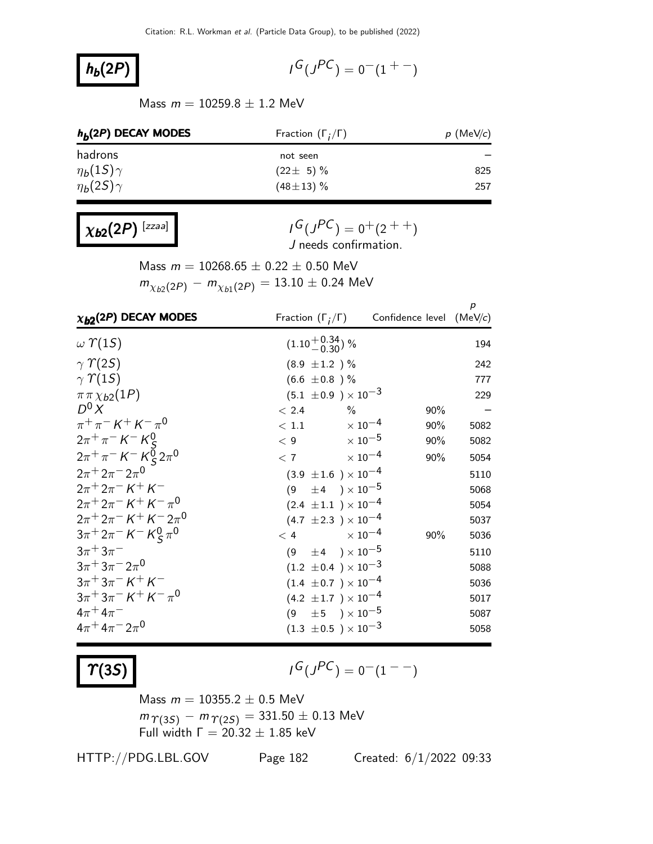#### $h_b(2P)$

 $G(J^{PC}) = 0(1 + 1)$ 

Mass  $m = 10259.8 \pm 1.2$  MeV

| $h_h(2P)$ DECAY MODES | Fraction $(\Gamma_i/\Gamma)$ | $p$ (MeV/c) |  |
|-----------------------|------------------------------|-------------|--|
| hadrons               | not seen                     |             |  |
| $\eta_b(1S)\gamma$    | $(22 \pm 5)\%$               | 825         |  |
| $\eta_b(2S)\gamma$    | $(48 \pm 13)$ %              | 257         |  |

 $\chi_{b2}(2P)$  [zzaa]

 $I^G(J^{PC}) = 0^+(2^{++})$ J needs confirmation.

Mass  $m = 10268.65 \pm 0.22 \pm 0.50$  MeV  $m_{\chi_{b2}(2P)}^{} - m_{\chi_{b1}(2P)}^{} = 13.10 \pm 0.24$  MeV

| $\chi_{b2}(2P)$ DECAY MODES                                             |                                |                               | Fraction $(\Gamma_i/\Gamma)$ Confidence level (MeV/c) | $\boldsymbol{p}$ |
|-------------------------------------------------------------------------|--------------------------------|-------------------------------|-------------------------------------------------------|------------------|
| $\omega$ $\Upsilon(1S)$                                                 | $(1.10^{+0.34}_{-0.30})$ %     |                               |                                                       | 194              |
| $\gamma$ $\gamma$ (2S)                                                  | $(8.9 \pm 1.2) \%$             |                               |                                                       | 242              |
| $\gamma \Upsilon(15)$                                                   | $(6.6 \pm 0.8)$ %              |                               |                                                       | 777              |
| $\pi \pi \chi_{b2}(1P)$                                                 | $(5.1 \pm 0.9) \times 10^{-3}$ |                               |                                                       | 229              |
| $D^0 X$                                                                 | < 2.4                          | $\%$                          | 90%                                                   |                  |
| $\pi^{+}\pi^{-} K^{+} K^{-}\pi^{0}$                                     | $< 1.1$ $\times 10^{-4}$       |                               | 90%                                                   | 5082             |
| $2\pi^{+}\pi^{-}K^{-}K_{S}^{0}$                                         | $< 9$ $\times 10^{-5}$         |                               | 90%                                                   | 5082             |
| $2\pi^{+}\pi^{-}$ K <sup>-</sup> K <sup>o</sup> <sub>S</sub> $2\pi^{0}$ | $< 7$ $\times 10^{-4}$         |                               | 90%                                                   | 5054             |
| $2\pi + 2\pi - 2\pi$ <sup>0</sup>                                       | $(3.9 \pm 1.6) \times 10^{-4}$ |                               |                                                       | 5110             |
| $2\pi + 2\pi - K + K$                                                   | (9)                            | $\pm$ 4 ) $\times$ 10 $^{-5}$ |                                                       | 5068             |
| $2\pi + 2\pi - K + K - \pi^0$                                           | $(2.4 \pm 1.1) \times 10^{-4}$ |                               |                                                       | 5054             |
| $2\pi + 2\pi - K + K - 2\pi$ <sup>0</sup>                               | $(4.7 \pm 2.3) \times 10^{-4}$ |                               |                                                       | 5037             |
| $3\pi^+ 2\pi^- K^- K^0_S \pi^0$                                         | $< 4$ $\times 10^{-4}$         |                               | 90%                                                   | 5036             |
| $3\pi + 3\pi^-$                                                         | $(9 \pm 4) \times 10^{-5}$     |                               |                                                       | 5110             |
| $3\pi + 3\pi - 2\pi^0$                                                  | $(1.2 \pm 0.4) \times 10^{-3}$ |                               |                                                       | 5088             |
| $3\pi + 3\pi - K + K$                                                   | $(1.4 \pm 0.7) \times 10^{-4}$ |                               |                                                       | 5036             |
| $3\pi + 3\pi - K + K - \pi^0$                                           | $(4.2 \pm 1.7) \times 10^{-4}$ |                               |                                                       | 5017             |
| $4\pi + 4\pi^-$                                                         | $(9 \pm 5) \times 10^{-5}$     |                               |                                                       | 5087             |
| $4\pi + 4\pi - 2\pi$ <sup>0</sup>                                       | $(1.3 \pm 0.5) \times 10^{-3}$ |                               |                                                       | 5058             |

 $\Upsilon(35)$ 

$$
I^G(J^{PC})=0^-(1^{--})
$$

Mass  $m = 10355.2 \pm 0.5$  MeV  $m_{\Upsilon(3S)} - m_{\Upsilon(2S)} = 331.50 \pm 0.13$  MeV Full width  $Γ = 20.32 ± 1.85$  keV

HTTP://PDG.LBL.GOV Page 182 Created: 6/1/2022 09:33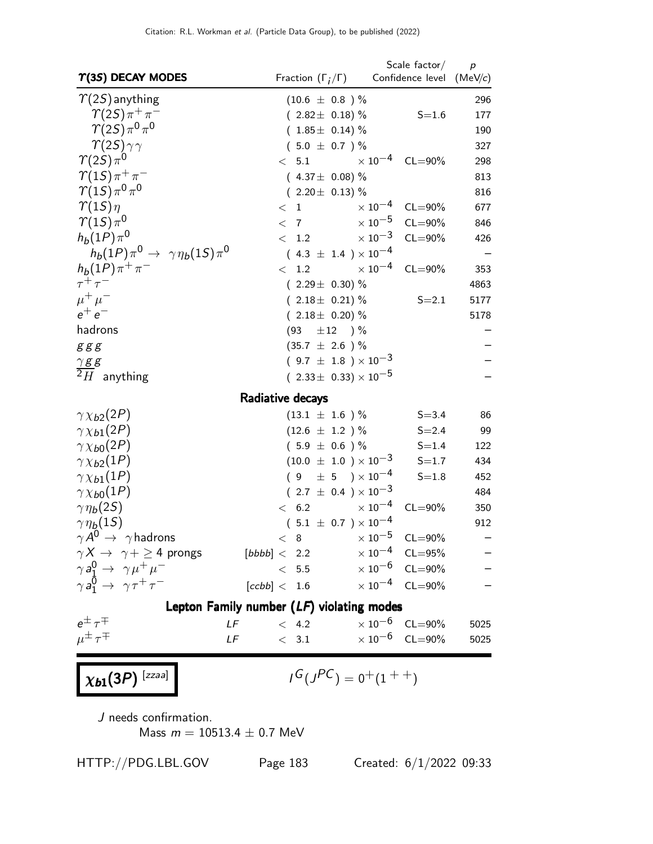| $\Upsilon(35)$ DECAY MODES                              | Fraction $(\Gamma_i/\Gamma)$                | Scale $factor/$<br>Confidence level (MeV/c) | p                        |
|---------------------------------------------------------|---------------------------------------------|---------------------------------------------|--------------------------|
| $\gamma(2S)$ anything                                   | $(10.6 \pm 0.8)$ %                          |                                             | 296                      |
| $\gamma(2S)\pi^+\pi^-$                                  | $(2.82 \pm 0.18)\%$                         | $S = 1.6$                                   | 177                      |
| $\gamma(2S)\pi^{0}\pi^{0}$                              | $(1.85 \pm 0.14)$ %                         |                                             | 190                      |
| $\gamma(2S)\gamma\gamma$                                | $(5.0 \pm 0.7)$ %                           |                                             | 327                      |
| $\gamma(2S)\pi^{0}$                                     | < 5.1                                       | $\times 10^{-4}$ CL=90%                     | 298                      |
| $\gamma(1S)\pi^+\pi^-$                                  | $(4.37 \pm 0.08)\%$                         |                                             | 813                      |
| $\gamma(1S)\pi^{0}\pi^{0}$                              | $(2.20 \pm 0.13)\%$                         |                                             | 816                      |
| $\gamma(1S)\eta$                                        | < 1                                         | $\times 10^{-4}$ CL=90%                     | 677                      |
| $\gamma(1S)\pi^0$                                       | $<$ 7                                       | $\times$ 10 <sup>-5</sup><br>$CL = 90\%$    | 846                      |
| $h_b(1P)\pi^0$                                          | $< 1.2 \times 10^{-3}$                      | $CL = 90\%$                                 | 426                      |
| $h_b(1P)\pi^0 \rightarrow \gamma \eta_b(1S)\pi^0$       | $(4.3 \pm 1.4) \times 10^{-4}$              |                                             |                          |
| $h_b(1P)\pi^+\pi^-$                                     | $< 1.2 \times 10^{-4} \text{ CL} = 90\%$    |                                             | 353                      |
| $\tau^+\tau^-$                                          | $(2.29 \pm 0.30)\%$                         |                                             | 4863                     |
| $\mu^+ \mu^-$                                           | $(2.18 \pm 0.21)\%$                         | $S = 2.1$                                   | 5177                     |
| $e^+e^-$                                                | $(2.18 \pm 0.20)\%$                         |                                             | 5178                     |
| hadrons                                                 | (93)<br>$\pm 12$ ) %                        |                                             |                          |
| g g g                                                   | $(35.7 \pm 2.6) \%$                         |                                             |                          |
| $18.8$                                                  | $(9.7 \pm 1.8) \times 10^{-3}$              |                                             |                          |
| $2H$ anything                                           | $(2.33\pm 0.33)\times 10^{-5}$              |                                             |                          |
|                                                         | Radiative decays                            |                                             |                          |
| $\gamma \chi_{b2}(2P)$                                  | $(13.1 \pm 1.6) \%$                         | $S = 3.4$                                   | 86                       |
| $\gamma \chi_{b1}(2P)$                                  | $(12.6 \pm 1.2) \%$                         | $S = 2.4$                                   | 99                       |
| $\gamma \chi_{b0}(2P)$                                  | $(5.9 \pm 0.6) \%$                          | $S = 1.4$                                   | 122                      |
| $\gamma \chi_{b2}(1P)$                                  | $(10.0 \pm 1.0) \times 10^{-3}$             | $S = 1.7$                                   | 434                      |
| $\gamma \chi_{b1}(1P)$                                  | $(9 \pm 5) \times 10^{-4}$                  | $S = 1.8$                                   | 452                      |
| $\gamma \chi_{b0}(1P)$                                  | $(2.7 \pm 0.4) \times 10^{-3}$              |                                             | 484                      |
| $\gamma\eta_b(2S)$                                      | $\times$ 10 $^{-4}$<br>< 6.2                | $CL = 90\%$                                 | 350                      |
| $\gamma \eta_b(1S)$                                     | $(5.1 \pm 0.7) \times 10^{-4}$              |                                             | 912                      |
| $\gamma A^0 \rightarrow \gamma$ hadrons                 | $< 8$ $\times 10^{-5}$ CL=90%               |                                             | $\overline{\phantom{0}}$ |
| $\gamma X \rightarrow \gamma + \geq 4$ prongs           | [bbbb] < 2.2                                | $\times 10^{-4}$ CL=95%                     |                          |
| $\gamma a_1^0 \rightarrow \gamma \mu^+ \mu^-$           | < 5.5                                       | $\times 10^{-6}$ CL=90%                     |                          |
| $\gamma a_1^{\bar{0}} \rightarrow \gamma \tau^+ \tau^-$ | [ccbb] < 1.6                                | $\times 10^{-4}$ CL=90%                     |                          |
|                                                         | Lepton Family number $(LF)$ violating modes |                                             |                          |
| $e^{\pm} \tau^{\mp}$<br>LF                              | < 4.2                                       | $\times 10^{-6}$ CL=90%                     | 5025                     |
| $\mu^{\pm} \tau^{\mp}$<br>LF                            | < 3.1                                       | $\times$ 10 <sup>-6</sup> CL=90%            | 5025                     |
|                                                         |                                             |                                             |                          |
| $\chi_{b1}(3P)$ <sup>[zzaa]</sup>                       | $I^G(J^{PC}) = 0^+(1^{++})$                 |                                             |                          |
|                                                         |                                             |                                             |                          |

J needs confirmation. Mass  $m = 10513.4 \pm 0.7$  MeV

HTTP://PDG.LBL.GOV Page 183 Created: 6/1/2022 09:33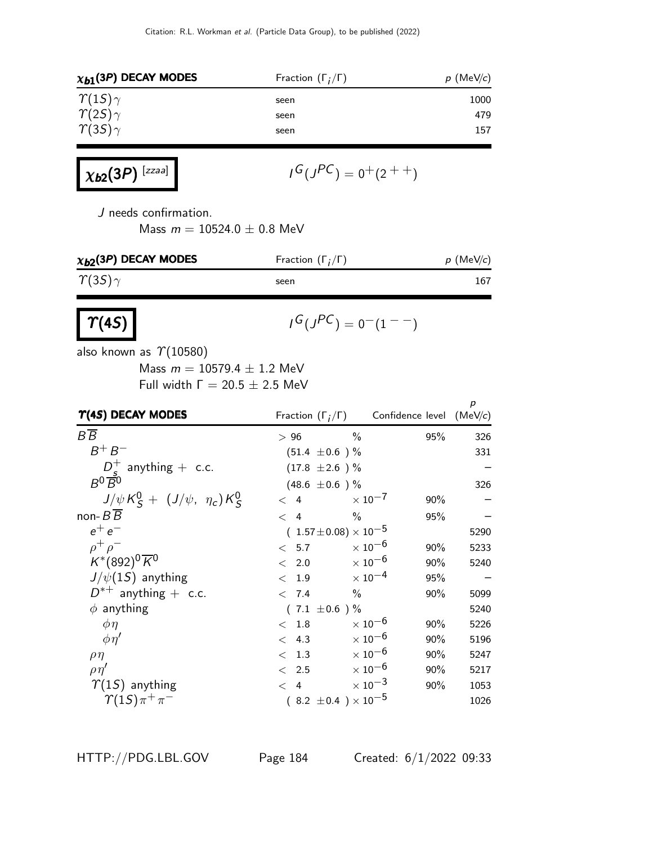| $\chi_{b1}(3P)$ DECAY MODES | Fraction $(\Gamma_i/\Gamma)$ | $p$ (MeV/c) |  |
|-----------------------------|------------------------------|-------------|--|
| $\gamma(15)\gamma$          | seen                         | 1000        |  |
| $\gamma(2S)\gamma$          | seen                         | 479         |  |
| $\gamma(35)\gamma$          | seen                         | 157         |  |

$$
\chi_{b2}(3P)^{[zzaa]}
$$
  $I^G(J^{PC}) = 0^+(2^{++})$ 

J needs confirmation.

Mass  $m = 10524.0 \pm 0.8$  MeV

| $\chi_{b2}$ (3P) DECAY MODES | Fraction $(\Gamma_i/\Gamma)$ | $p$ (MeV/c) |
|------------------------------|------------------------------|-------------|
| $\gamma(35)\gamma$           | seen                         | 167         |
| $\boxed{\tau(4S)}$           | $I^G(J^{PC}) = 0^-(1^{--})$  |             |

also known as  $\Upsilon(10580)$ 

Mass  $m = 10579.4 \pm 1.2$  MeV Full width  $Γ = 20.5 ± 2.5$  MeV

| $\Upsilon(4S)$ DECAY MODES              |                    |                                  | Fraction $(\Gamma_i/\Gamma)$ Confidence level (MeV/c) | p    |
|-----------------------------------------|--------------------|----------------------------------|-------------------------------------------------------|------|
| $B\overline{B}$                         | >96                | $\frac{0}{0}$                    | 95%                                                   | 326  |
| $B^+B^-$                                | $(51.4 \pm 0.6)$ % |                                  |                                                       | 331  |
| $D_{s}^{+}$ anything + c.c.             | $(17.8 \pm 2.6)$ % |                                  |                                                       |      |
| $B^0\overline{B}{}^0$                   | $(48.6 \pm 0.6)$ % |                                  |                                                       | 326  |
| $J/\psi K_S^0 + (J/\psi, \eta_c) K_S^0$ | < 4                | $\times$ 10 $^{-7}$              | 90%                                                   |      |
| non- $B\overline{B}$                    | $\lt$ 4            | $\frac{0}{0}$                    | 95%                                                   |      |
| $e^+e^-$                                |                    | $(1.57 \pm 0.08) \times 10^{-5}$ |                                                       | 5290 |
| $\rho^+ \rho^-$                         | < 5.7              | $\times$ 10 $^{-6}$              | $90\%$                                                | 5233 |
| $K^{*}(892)^{0} \overline{K}^{0}$       | 2.0<br>$\lt$       | $\times$ 10 <sup>-6</sup>        | 90%                                                   | 5240 |
| $J/\psi(15)$ anything                   | 1.9<br>$\lt$       | $\times$ 10 <sup>-4</sup>        | 95%                                                   |      |
| $D^{*+}$ anything + c.c.                | < 7.4              | $\%$                             | 90%                                                   | 5099 |
| $\phi$ anything                         | $(7.1 \pm 0.6)$ %  |                                  |                                                       | 5240 |
| $\phi\eta$                              | $<$ 1.8            | $\times$ 10 $^{-6}$              | 90%                                                   | 5226 |
| $\phi \eta'$                            | < 4.3              | $\times$ 10 $^{-6}$              | 90%                                                   | 5196 |
| $\rho\eta$                              | 1.3<br>$\lt$       | $\times$ 10 $^{-6}$              | 90%                                                   | 5247 |
| $\rho\eta'$                             | $\langle$ 2.5      | $\times$ 10 $^{-6}$              | $90\%$                                                | 5217 |
| $\Upsilon(1S)$ anything                 | $\langle 4$        | $\times$ 10 <sup>-3</sup>        | 90%                                                   | 1053 |
| $\gamma(15)\pi^{+}\pi^{-}$              |                    | $(8.2 \pm 0.4) \times 10^{-5}$   |                                                       | 1026 |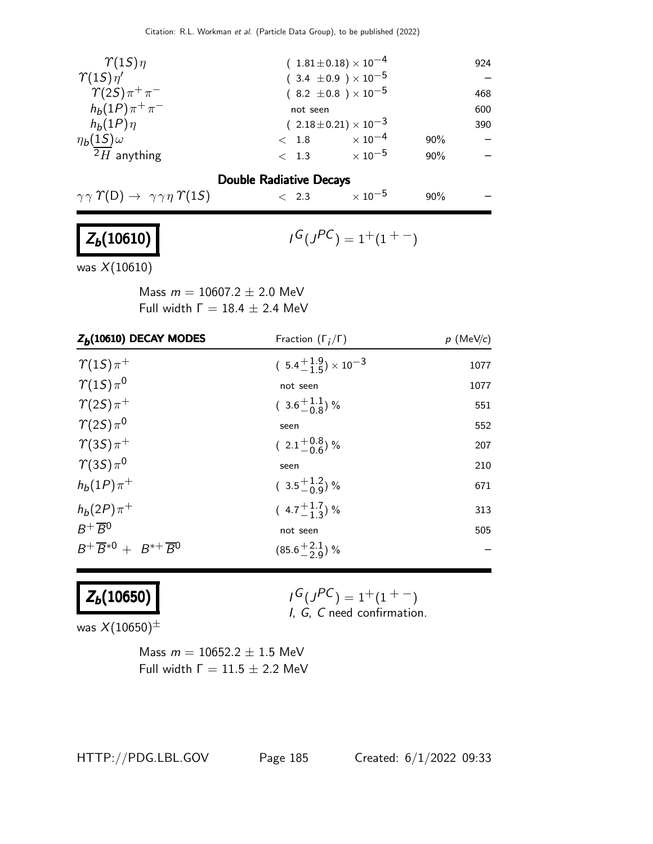| $\gamma(1S)\eta$               | $(1.81 \pm 0.18) \times 10^{-4}$ |                     |     | 924 |
|--------------------------------|----------------------------------|---------------------|-----|-----|
| $\gamma(1S)\eta'$              | $(3.4 \pm 0.9) \times 10^{-5}$   |                     |     |     |
| $\gamma(2S)\pi^+\pi^-$         | $(8.2 \pm 0.8) \times 10^{-5}$   |                     |     | 468 |
| $h_b(1P)\pi^+\pi^-$            | not seen                         |                     |     | 600 |
| $h_b(1P)\eta$                  | $(2.18\pm0.21)\times10^{-3}$     |                     |     | 390 |
| $\eta_b(1S)\omega$             | $<$ 1.8                          | $\times$ 10 $^{-4}$ | 90% |     |
| $2H$ anything                  | < 1.3                            | $\times$ 10 $^{-5}$ | 90% |     |
| <b>Double Radiative Decays</b> |                                  |                     |     |     |

### $\gamma \gamma \Upsilon(D) \rightarrow \gamma \gamma \eta \Upsilon(15)$  < 2.3  $\times 10^{-5}$  90%

## $Z_b(10610)$  /

$$
{}^{\mathsf{I}}\mathsf{G}({}^{\mathsf{P}}\mathsf{C}) = 1^+(1^{++})
$$

was X(10610)

Mass  $m = 10607.2 \pm 2.0$  MeV Full width  $Γ = 18.4 ± 2.4$  MeV

| $Z_b(10610)$ DECAY MODES                    | Fraction $(\Gamma_i/\Gamma)$         | $p \,$ (MeV/c) |
|---------------------------------------------|--------------------------------------|----------------|
| $\gamma(15)\pi^+$                           | $(5.4^{+1.9}_{-1.5}) \times 10^{-3}$ | 1077           |
| $\gamma(1S)\pi^0$                           | not seen                             | 1077           |
| $\gamma(2S)\pi^+$                           | $(3.6\frac{+1.1}{-0.8})\%$           | 551            |
| $\gamma(2S)\pi^{0}$                         | seen                                 | 552            |
| $\gamma(35)\pi^+$                           | $(2.1\frac{+0.8}{-0.6})$ %           | 207            |
| $\gamma(35)\pi^{0}$                         | seen                                 | 210            |
| $h_b(1P)\pi^+$                              | $(3.5\frac{+1.2}{-0.9})%$            | 671            |
| $h_b(2P)\pi^+$                              | $(4.7+1.7-1.3)$ %                    | 313            |
| $B^+\overline{B}{}^0$                       | not seen                             | 505            |
| $B^+\overline{B}^{*0}+B^{*+}\overline{B}^0$ | $(85.6 \frac{+2.1}{2.9})$ %          |                |

## $Z_b(10650)$

 $G(J^{PC}) = 1+(1^{+}-)$ I, G, C need confirmation.

was  $X(10650)^{\pm}$ 

Mass  $m = 10652.2 \pm 1.5$  MeV Full width  $Γ = 11.5 ± 2.2$  MeV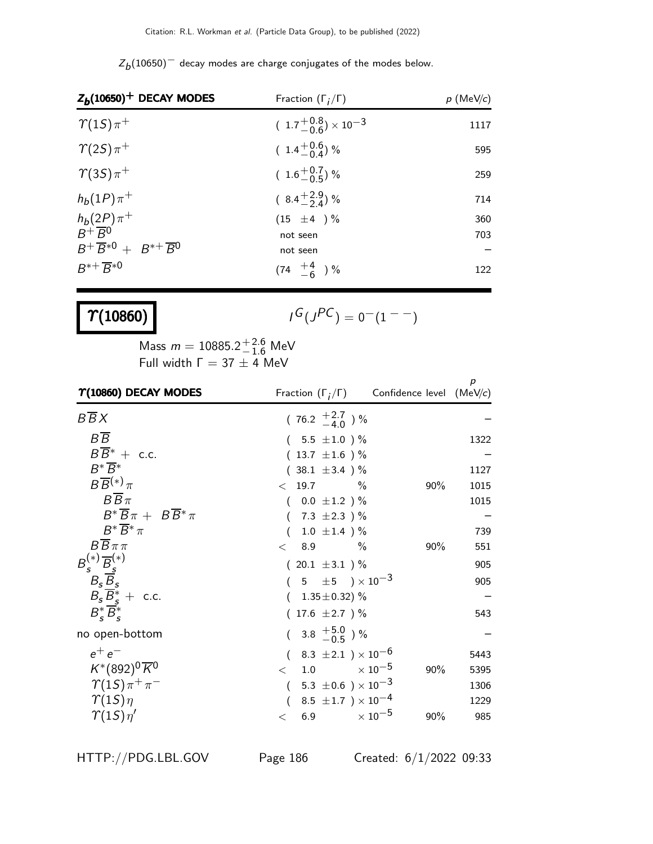| $Z_h(10650)^-$ decay modes are charge conjugates of the modes below. |  |
|----------------------------------------------------------------------|--|
|----------------------------------------------------------------------|--|

| $Z_b(10650)^+$ DECAY MODES                      | Fraction $(\Gamma_i/\Gamma)$            | $p$ (MeV/c)              |
|-------------------------------------------------|-----------------------------------------|--------------------------|
| $\gamma(1S)\pi^+$                               | $(1.7\frac{+0.8}{-0.6}) \times 10^{-3}$ | 1117                     |
| $\gamma(2S)\pi^+$                               | $(1.4\frac{+0.6}{-0.4})\%$              | 595                      |
| $\gamma(3S)\pi^+$                               | $(1.6 \frac{+0.7}{-0.5})$ %             | 259                      |
| $h_b(1P)\pi^+$                                  | $(8.4\frac{+2.9}{2.4})\%$               | 714                      |
| $h_b(2P)\pi^+$<br>B <sup>+</sup> B <sup>0</sup> | $(15 \pm 4) \%$                         | 360                      |
|                                                 | not seen                                | 703                      |
| $B^+\overline{B}^{*0}+B^{*+}\overline{B}^0$     | not seen                                | $\overline{\phantom{0}}$ |
| $B^{*+} \overline{B}^{*0}$                      | $(74 \tfrac{+4}{-6})\%$                 | 122                      |

# $\Upsilon(10860)$

$$
\iota^G(\jmath^{PC})=0^-(1^{--})
$$

Mass  $m = 10885.2^{+2.6}_{-1.6}$  MeV Full width  $\Gamma = 37 \pm 4$  MeV

| $\Upsilon(10860)$ DECAY MODES                               | Fraction $(\Gamma_i/\Gamma)$ Confidence level (MeV/c) |     | р    |
|-------------------------------------------------------------|-------------------------------------------------------|-----|------|
| $B\overline{B}X$                                            | $(76.2 \pm 2.7)$ %                                    |     |      |
| $B\overline{B}$                                             | $(5.5 \pm 1.0) \%$                                    |     | 1322 |
| $B\overline{B}^* +$ c.c.                                    | $(13.7 \pm 1.6)$ %                                    |     |      |
| $B^*\overline{B^*}$                                         | $(38.1 \pm 3.4)$ %                                    |     | 1127 |
| $B\overline{B}^{(*)}\pi$                                    | $< 19.7$ %                                            | 90% | 1015 |
| $B\overline{B}\pi$                                          | $(0.0 \pm 1.2) \%$                                    |     | 1015 |
| $B^* \overline{B} \pi + B \overline{B}^* \pi$               | 7.3 $\pm 2.3$ ) %                                     |     |      |
| $B^* \overline{B}^* \pi$                                    | $1.0 \pm 1.4$ )%                                      |     | 739  |
| $BB\pi\pi$                                                  | 8.9<br>$\%$<br>$\lt$                                  | 90% | 551  |
| $B_{s}^{(*)}\overline{B}_{s}^{(*)}$ $B_{s}\overline{B}_{s}$ | $(20.1 \pm 3.1)$ %                                    |     | 905  |
|                                                             | $(5 \pm 5) \times 10^{-3}$                            |     | 905  |
| $B_s \overline{B}_s^*$ + c.c.                               | $1.35\!\pm\!0.32)~\%$                                 |     |      |
| $B_{\epsilon}^* B_{\epsilon}^*$                             | $(17.6 \pm 2.7)$ %                                    |     | 543  |
| no open-bottom                                              | $(3.8 \tfrac{+5.0}{-0.5})\%$                          |     |      |
| $e^+e^-$                                                    | $(8.3 \pm 2.1) \times 10^{-6}$                        |     | 5443 |
| $K^{*}(892)^{0} \overline{K}{}^{0}$                         | $<$ 1.0 $\times 10^{-5}$                              | 90% | 5395 |
| $\gamma(1S)\pi^+\pi^-$                                      | $5.3\ \pm0.6$ $)\times10^{-3}$<br>$\overline{(\ }$    |     | 1306 |
| $\gamma(1S)\eta$                                            | 8.5 $\pm$ 1.7 ) $\times$ 10 <sup>-4</sup>             |     | 1229 |
| $\gamma(1S)\eta'$                                           | 6.9 $\times 10^{-5}$<br>$\lt$                         | 90% | 985  |

HTTP://PDG.LBL.GOV Page 186 Created: 6/1/2022 09:33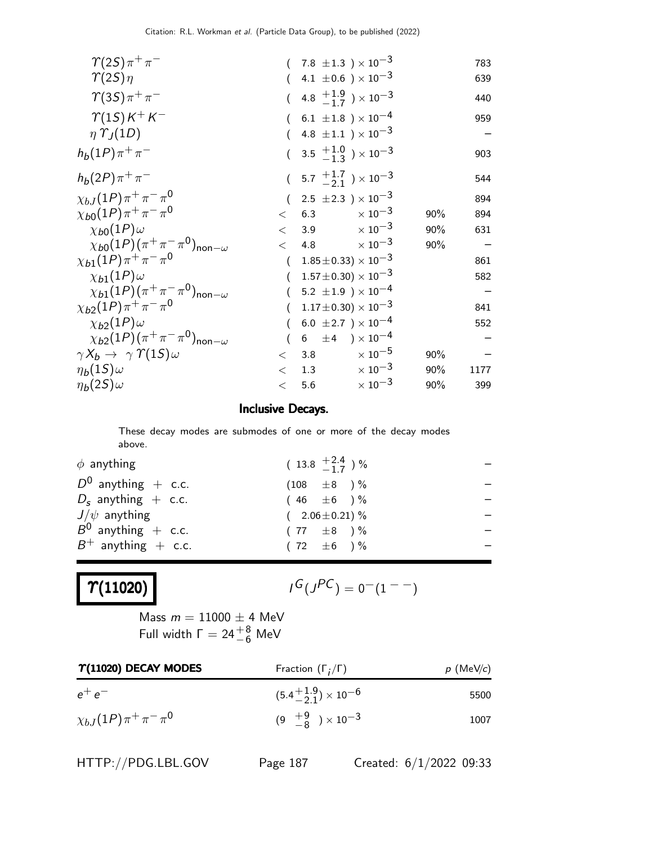| $\gamma(2S)\pi^+\pi^-$                                     |       | $7.8\ \pm1.3\ \mathrm{)}\times10^{-3}$      |                           |     | 783  |
|------------------------------------------------------------|-------|---------------------------------------------|---------------------------|-----|------|
| $\gamma(2S)\eta$                                           |       | 4.1 $\pm$ 0.6 ) $\times$ 10 <sup>-3</sup>   |                           |     | 639  |
| $\gamma(35)\pi^{+}\pi^{-}$                                 |       | 4.8 $\frac{+1.9}{-1.7}$ ) $\times 10^{-3}$  |                           |     | 440  |
| $\gamma(1S)K^+K^-$                                         |       | 6.1 $\pm 1.8$ ) $\times$ 10 <sup>-4</sup>   |                           |     | 959  |
| $\eta \Upsilon_I(1D)$                                      |       | 4.8 $\pm 1.1$ $\times 10^{-3}$              |                           |     |      |
| $h_b(1P)\pi^+\pi^-$                                        |       | $(3.5 \tfrac{+1.0}{-1.3}) \times 10^{-3}$   |                           |     | 903  |
| $h_b(2P)\pi^+\pi^-$                                        |       | $(5.7 \frac{+1.7}{2.1}) \times 10^{-3}$     |                           |     | 544  |
| $\chi_{bJ}(1P)\pi^+\pi^-\pi^0$                             |       | 2.5 $\pm$ 2.3 $\,\mathrm{)} \times 10^{-3}$ |                           |     | 894  |
| $\chi_{b0}(1P)\pi^+\pi^-\pi^0$                             | $\lt$ | 6.3                                         | $\times$ 10 $^{-3}$       | 90% | 894  |
| $\chi_{b0}(1P)\omega$                                      | $\lt$ | 3.9                                         | $\times$ 10 <sup>-3</sup> | 90% | 631  |
| $\chi_{b0}(1P)(\pi^+\pi^-\pi^0)_{\text{non}-\omega}$       | $\lt$ | 4.8                                         | $\times$ 10 $^{-3}$       | 90% |      |
| $\chi_{b1}(1P)\pi^+\pi^-\pi^0$                             |       | $1.85 \pm 0.33 \times 10^{-3}$              |                           |     | 861  |
| $\chi_{b1}(1P)\omega$                                      |       | $1.57 \pm 0.30 \times 10^{-3}$              |                           |     | 582  |
| $\chi_{b1}(1P)(\pi^{+}\pi^{-}\pi^{0})_{\text{non}-\omega}$ |       | 5.2 $\pm 1.9$ ) $\times 10^{-4}$            |                           |     |      |
| $\chi_{b2}(1P)\pi^+\pi^-\pi^0$                             |       | $1.17 \pm 0.30 \times 10^{-3}$              |                           |     | 841  |
| $\chi_{b2}(1P)\omega$                                      |       | 6.0 $\pm 2.7$ ) $\times 10^{-4}$            |                           |     | 552  |
| $\chi_{b2}(1P)(\pi^+\pi^-\pi^0)_{\text{non}-\omega}$       |       | 6 $\pm 4$ ) $\times 10^{-4}$                |                           |     |      |
| $\gamma X_b \rightarrow \gamma \Upsilon(15) \omega$        | $\lt$ | 3.8                                         | $\times$ 10 $^{-5}$       | 90% |      |
| $\eta_b(1S)\omega$                                         | $\lt$ | 1.3                                         | $\times$ 10 <sup>-3</sup> | 90% | 1177 |
| $\eta_b(2S)\omega$                                         | $\,<$ | 5.6                                         | $\times$ 10 <sup>-3</sup> | 90% | 399  |

#### Inclusive Decays.

These decay modes are submodes of one or more of the decay modes above.

| $\phi$ anything       | $(13.8 \tfrac{+2.4}{-1.7})\%$ |  |
|-----------------------|-------------------------------|--|
| $D^0$ anything + c.c. | $(108 \pm 8) \%$              |  |
| $D_s$ anything + c.c. | $(46 \pm 6)$ %                |  |
| $J/\psi$ anything     | $(2.06 \pm 0.21)\%$           |  |
| $B^0$ anything + c.c. | $(77 \pm 8)$ %                |  |
| $B^+$ anything + c.c. | $(72 \pm 6) \%$               |  |
|                       |                               |  |

## $\lvert \Upsilon (11020) \rvert$

$$
I^G(J^{PC}) = 0^-(1^{--})
$$

Mass  $m = 11000 \pm 4$  MeV Full width  $\Gamma = 24\frac{+8}{-6}$  MeV

| $\Upsilon(11020)$ DECAY MODES  | Fraction $(\Gamma_i/\Gamma)$        | $p$ (MeV/c) |
|--------------------------------|-------------------------------------|-------------|
| $e^+e^-$                       | $(5.4^{+1.9}_{-2.1})\times 10^{-6}$ | 5500        |
| $\chi_{bJ}(1P)\pi^+\pi^-\pi^0$ | $(9 \tfrac{+9}{-8}) \times 10^{-3}$ | 1007        |

HTTP://PDG.LBL.GOV Page 187 Created: 6/1/2022 09:33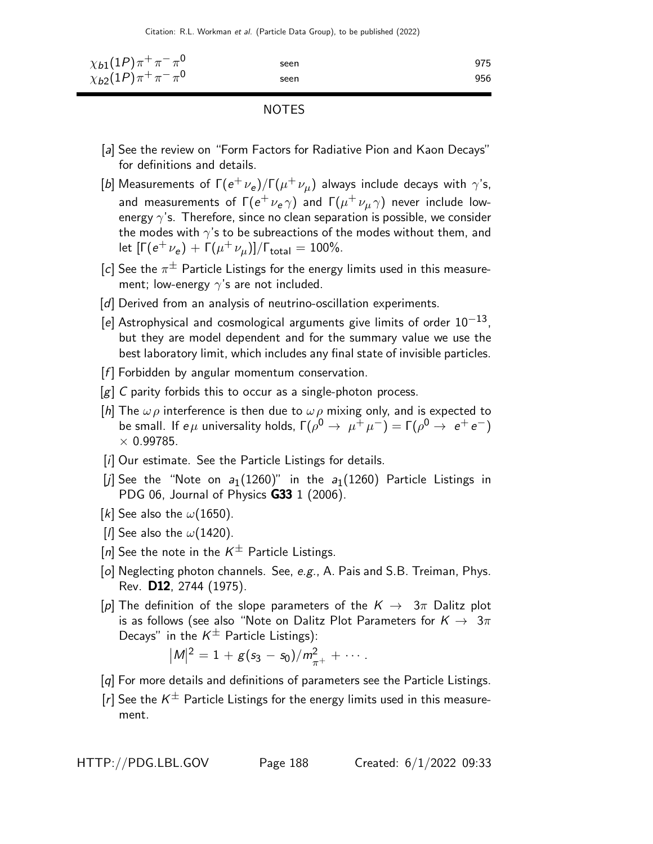Citation: R.L. Workman et al. (Particle Data Group), to be published (2022)

| $\chi_{b1}(1P)\pi^{+}\pi^{-}\pi^{0}$ | seen | 975 |
|--------------------------------------|------|-----|
| $\chi_{b2}(1P)\pi^+\pi^-\pi^0$       | seen | 956 |

NOTES

- [a] See the review on "Form Factors for Radiative Pion and Kaon Decays" for definitions and details.
- [b] Measurements of  $\Gamma(e^+\nu_e)/\Gamma(\mu^+\nu_\mu)$  always include decays with  $\gamma$ 's, and measurements of  $\mathsf{\Gamma}(e^+\nu_{\rm e}\gamma)$  and  $\mathsf{\Gamma}(\mu^+\nu_{\mu}\gamma)$  never include lowenergy  $\gamma$ 's. Therefore, since no clean separation is possible, we consider the modes with  $\gamma$ 's to be subreactions of the modes without them, and let  $[\Gamma(e^+ \nu_e) + \Gamma(\mu^+ \nu_\mu)]/\Gamma_{\rm total} = 100\%.$
- [c] See the  $\pi^{\pm}$  Particle Listings for the energy limits used in this measurement; low-energy  $\gamma$ 's are not included.
- [d] Derived from an analysis of neutrino-oscillation experiments.
- [e] Astrophysical and cosmological arguments give limits of order  $10^{-13}$ , but they are model dependent and for the summary value we use the best laboratory limit, which includes any final state of invisible particles.
- $[f]$  Forbidden by angular momentum conservation.
- $[g]$  C parity forbids this to occur as a single-photon process.
- [h] The  $\omega \rho$  interference is then due to  $\omega \rho$  mixing only, and is expected to be small. If  $e\mu$  universality holds,  $\Gamma(\rho^0 \to \mu^+ \mu^-) = \Gamma(\rho^0 \to e^+ e^-)$  $\times$  0.99785.
- [i] Our estimate. See the Particle Listings for details.
- [j] See the "Note on  $a_1(1260)$ " in the  $a_1(1260)$  Particle Listings in PDG 06, Journal of Physics **G33** 1 (2006).
- [k] See also the  $\omega(1650)$ .
- [*I*] See also the  $\omega(1420)$ .
- [n] See the note in the  $K^{\pm}$  Particle Listings.
- [o] Neglecting photon channels. See, e.g., A. Pais and S.B. Treiman, Phys. Rev. D12, 2744 (1975).
- [p] The definition of the slope parameters of the  $K \to 3\pi$  Dalitz plot is as follows (see also "Note on Dalitz Plot Parameters for  $K \to 3\pi$ Decays" in the  $K^{\pm}$  Particle Listings):

$$
|M|^2 = 1 + g(s_3 - s_0)/m_{\pi^+}^2 + \cdots.
$$

- [q] For more details and definitions of parameters see the Particle Listings.
- $[r]$  See the  $K^{\pm}$  Particle Listings for the energy limits used in this measurement.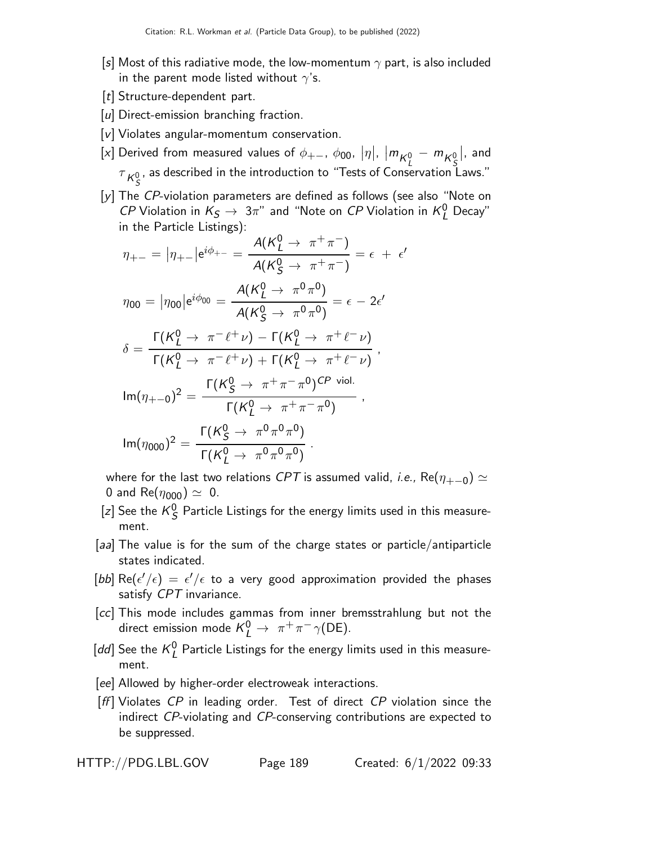- [s] Most of this radiative mode, the low-momentum  $\gamma$  part, is also included in the parent mode listed without  $\gamma$ 's.
- [t] Structure-dependent part.
- [u] Direct-emission branching fraction.
- [v] Violates angular-momentum conservation.
- [x] Derived from measured values of  $\phi_{+-}$ ,  $\phi_{00}$ ,  $|\eta|$ ,  $|m_{K^0_L} m_{K^0_S}$  $\vert$ , and  $\tau_{\kappa_{\mathcal{S}}^{0}}$ , as described in the introduction to "Tests of Conservation Laws."
- [y] The CP-violation parameters are defined as follows (see also "Note on *CP* Violation in  $K_S \to 3\pi$ " and "Note on *CP* Violation in  $K_L^0$  Decay" in the Particle Listings):

$$
\eta_{+-} = |\eta_{+-}| e^{i\phi_{+-}} = \frac{A(K_L^0 \to \pi^+ \pi^-)}{A(K_S^0 \to \pi^+ \pi^-)} = \epsilon + \epsilon'
$$
  
\n
$$
\eta_{00} = |\eta_{00}| e^{i\phi_{00}} = \frac{A(K_L^0 \to \pi^0 \pi^0)}{A(K_S^0 \to \pi^0 \pi^0)} = \epsilon - 2\epsilon'
$$
  
\n
$$
\delta = \frac{\Gamma(K_L^0 \to \pi^- \ell^+ \nu) - \Gamma(K_L^0 \to \pi^+ \ell^- \nu)}{\Gamma(K_L^0 \to \pi^- \ell^+ \nu) + \Gamma(K_L^0 \to \pi^+ \ell^- \nu)},
$$
  
\n
$$
\text{Im}(\eta_{+-0})^2 = \frac{\Gamma(K_S^0 \to \pi^+ \pi^- \pi^0) \text{CP void.}}{\Gamma(K_L^0 \to \pi^+ \pi^- \pi^0)},
$$
  
\n
$$
\text{Im}(\eta_{000})^2 = \frac{\Gamma(K_S^0 \to \pi^0 \pi^0 \pi^0)}{\Gamma(K_L^0 \to \pi^0 \pi^0 \pi^0)}.
$$

where for the last two relations CPT is assumed valid, *i.e.*, Re( $\eta_{+-0}$ )  $\simeq$ 0 and Re( $\eta_{000}$ )  $\simeq$  0.

- [z] See the  $K^0_S$  $S<sub>S</sub>$  Particle Listings for the energy limits used in this measurement.
- [aa] The value is for the sum of the charge states or particle/antiparticle states indicated.
- $[bb]$   $\mathsf{Re}(\epsilon'/\epsilon) \, = \, \epsilon'/\epsilon$  to a very good approximation provided the phases satisfy CPT invariance.
- [cc] This mode includes gammas from inner bremsstrahlung but not the direct emission mode  $K^0_L \rightarrow \pi^+ \pi^- \gamma(\text{DE}).$
- [dd] See the  $K_I^0$  $_{L}^{0}$  Particle Listings for the energy limits used in this measurement.
- [ee] Allowed by higher-order electroweak interactions.
- $[ff]$  Violates CP in leading order. Test of direct CP violation since the indirect CP-violating and CP-conserving contributions are expected to be suppressed.

|  | HTTP://PDG.LBL.GOV |
|--|--------------------|
|--|--------------------|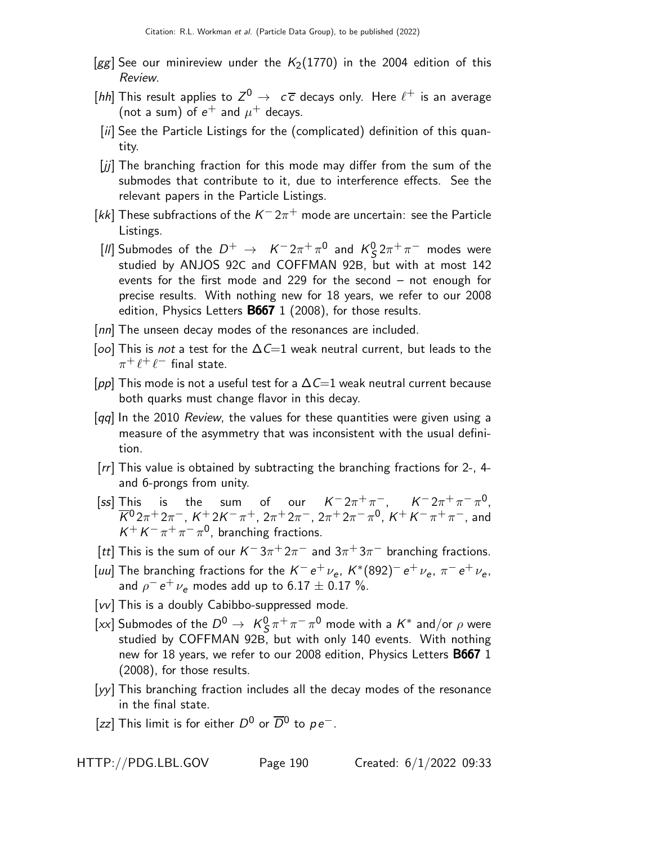- [gg] See our minireview under the  $K_2(1770)$  in the 2004 edition of this Review.
- [hh] This result applies to  $Z^0 \rightarrow c\overline{c}$  decays only. Here  $\ell^+$  is an average (not a sum) of  $e^+$  and  $\mu^+$  decays.
- [ii] See the Particle Listings for the (complicated) definition of this quantity.
- [jj] The branching fraction for this mode may differ from the sum of the submodes that contribute to it, due to interference effects. See the relevant papers in the Particle Listings.
- [kk] These subfractions of the  $K^- 2\pi^+$  mode are uncertain: see the Particle Listings.
- [*II*] Submodes of the  $D^+ \rightarrow K^- 2\pi^+ \pi^0$  and  $K^0$ <sub>5</sub>  $\frac{0}{\mathcal{S}} 2\pi^+\pi^-$  modes were studied by ANJOS 92C and COFFMAN 92B, but with at most 142 events for the first mode and 229 for the second – not enough for precise results. With nothing new for 18 years, we refer to our 2008 edition, Physics Letters B667 1 (2008), for those results.
- [nn] The unseen decay modes of the resonances are included.
- [oo] This is not a test for the  $\Delta C=1$  weak neutral current, but leads to the  $\pi^+\ell^+\ell^-$  final state.
- [pp] This mode is not a useful test for a  $\Delta \mathsf{C}=1$  weak neutral current because both quarks must change flavor in this decay.
- $\lceil qq \rceil$  In the 2010 Review, the values for these quantities were given using a measure of the asymmetry that was inconsistent with the usual definition.
- [rr] This value is obtained by subtracting the branching fractions for 2-, 4 and 6-prongs from unity.
- [ss] This is the sum of our  $K^- 2\pi^+\pi^-, \quad K^- 2\pi^+\pi^-\pi^0,$  $\overline{K}{}^0\,2\pi^+\,2\pi^-$ ,  $K^+\,2K^-\,\pi^+$ ,  $2\pi^+\,2\pi^-$ ,  $2\pi^+\,2\pi^-\,\pi^0$ ,  $K^+\,K^-\,\pi^+\,\pi^-$ , and  $K^+ K^- \pi^+ \pi^- \pi^0$ , branching fractions.
- [tt] This is the sum of our  $K^-3\pi^+2\pi^-$  and  $3\pi^+3\pi^-$  branching fractions.
- [uu] The branching fractions for the  $K^-e^+\nu_e$ ,  $K^*(892)^-e^+\nu_e$ ,  $\pi^-e^+\nu_e$ , and  $\rho^ e^+$   $\nu_e$  modes add up to 6.17  $\pm$  0.17 %.
- [vv] This is a doubly Cabibbo-suppressed mode.
- [xx] Submodes of the  $D^0 \rightarrow K^0_S$  $\frac{0}{S} \pi^+ \pi^- \pi^0$  mode with a  $K^*$  and/or  $\rho$  were studied by COFFMAN 92B, but with only 140 events. With nothing new for 18 years, we refer to our 2008 edition, Physics Letters B667 1 (2008), for those results.
- [yy] This branching fraction includes all the decay modes of the resonance in the final state.
- [zz] This limit is for either  $D^0$  or  $\overline{D}{}^0$  to  $\rho e^-$ .

HTTP://PDG.LBL.GOV Page 190 Created: 6/1/2022 09:33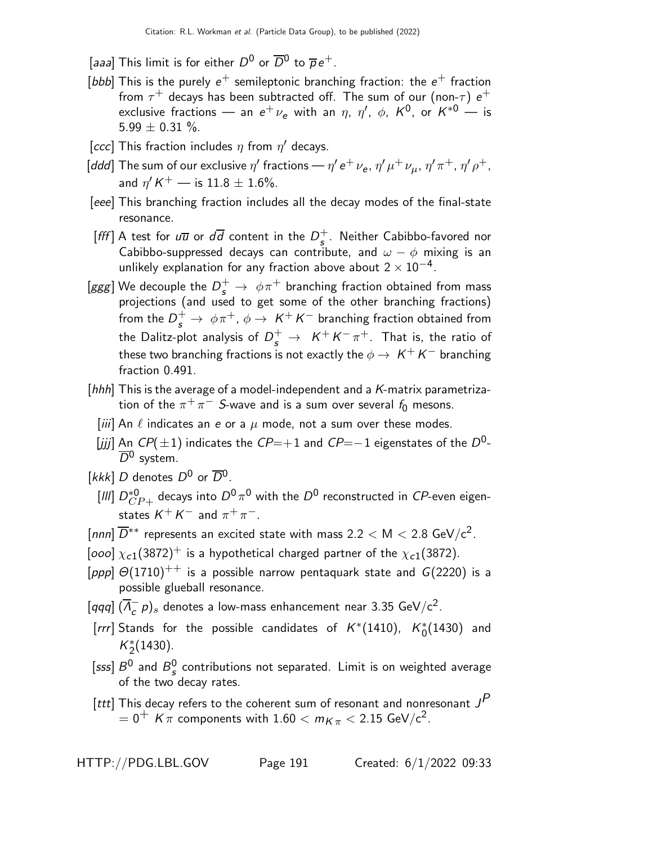- [aaa] This limit is for either  $D^0$  or  $\overline{D}{}^0$  to  $\overline{\rho}\, e^+$ .
- [bbb] This is the purely  $e^+$  semileptonic branching fraction: the  $e^+$  fraction from  $\tau^+$  decays has been subtracted off. The sum of our (non- $\tau)$   $e^+$ exclusive fractions — an  $e^+ \, \nu_e$  with an  $\eta$ ,  $\eta'$ ,  $\phi$ ,  $K^0$ , or  $K^{*0}$  — is  $5.99 \pm 0.31 \%$ .
- [ccc] This fraction includes  $\eta$  from  $\eta'$  decays.
- [ddd] The sum of our exclusive  $\eta'$  fractions  $\eta'$  e $^+$   $\nu_{\sf e}$ ,  $\eta'$   $\mu^+$   $\nu_{\mu}$ ,  $\eta'$   $\pi^+$ ,  $\eta'$   $\rho^+$ , and  $\eta'$  K  $^+$  — is  $11.8 \pm 1.6\%$ .
- [eee] This branching fraction includes all the decay modes of the final-state resonance.
- [fff] A test for  $u\overline{u}$  or  $d\overline{d}$  content in the  $D_s^+$  $\frac{+}{5}$ . Neither Cabibbo-favored nor Cabibbo-suppressed decays can contribute, and  $\omega - \phi$  mixing is an unlikely explanation for any fraction above about  $2\times 10^{-4}$ .
- [ggg] We decouple the  $D_s^+ \rightarrow \ \phi \pi^+$  branching fraction obtained from mass projections (and used to get some of the other branching fractions) from the  $D_s^+ \rightarrow \ \phi \pi^+, \, \phi \rightarrow \ K^+ \ K^-$  branching fraction obtained from the Dalitz-plot analysis of  $D_s^+ \,\rightarrow\,\, K^+K^-\pi^+.$  That is, the ratio of these two branching fractions is not exactly the  $\phi \to K^+K^-$  branching fraction 0.491.
- [hhh] This is the average of a model-independent and a  $K$ -matrix parametrization of the  $\pi^+\pi^-$  S-wave and is a sum over several  $f_0$  mesons.
	- [iii] An  $\ell$  indicates an e or a  $\mu$  mode, not a sum over these modes.
	- $[jjj]$  An CP(±1) indicates the CP=+1 and CP=−1 eigenstates of the D<sup>0</sup>- $\overline{D}{}^0$  system.
- [kkk] D denotes  $D^0$  or  $\overline{D}{}^0$ .
	- $[{\sf III}]\ D^{*0}_{CP+}$  decays into  $D^0 \, \pi^0$  with the  $D^0$  reconstructed in  $CP$ -even eigenstates  $\mathcal{K}^+ \, \mathcal{K}^-$  and  $\pi^+ \, \pi^-$ .
- [nnn]  $\overline{D}^{**}$  represents an excited state with mass 2.2  $<$  M  $<$  2.8 GeV/c<sup>2</sup>.
- [ooo]  $\chi_{c1}(3872)^+$  is a hypothetical charged partner of the  $\chi_{c1}(3872)$ .
- [ppp]  $\Theta(1710)^{++}$  is a possible narrow pentaquark state and  $G(2220)$  is a possible glueball resonance.
- $\left[ qqq\right] (\overline{A}_{c}^{-}\rho)_{s}$  denotes a low-mass enhancement near 3.35 GeV/c<sup>2</sup>.
- [rrr] Stands for the possible candidates of  $K^*(1410)$ ,  $K^*_0(1430)$  and  $K_2^*(1430)$ .
- [sss]  $B^0$  and  $B^0_s$  $\frac{0}{s}$  contributions not separated. Limit is on weighted average of the two decay rates.
- [ttt] This decay refers to the coherent sum of resonant and nonresonant  ${\it J}^{\it P}$  $= 0^+$  K  $\pi$  components with  $1.60 < m_{K\pi} < 2.15$  GeV/c<sup>2</sup>.

HTTP://PDG.LBL.GOV Page 191 Created: 6/1/2022 09:33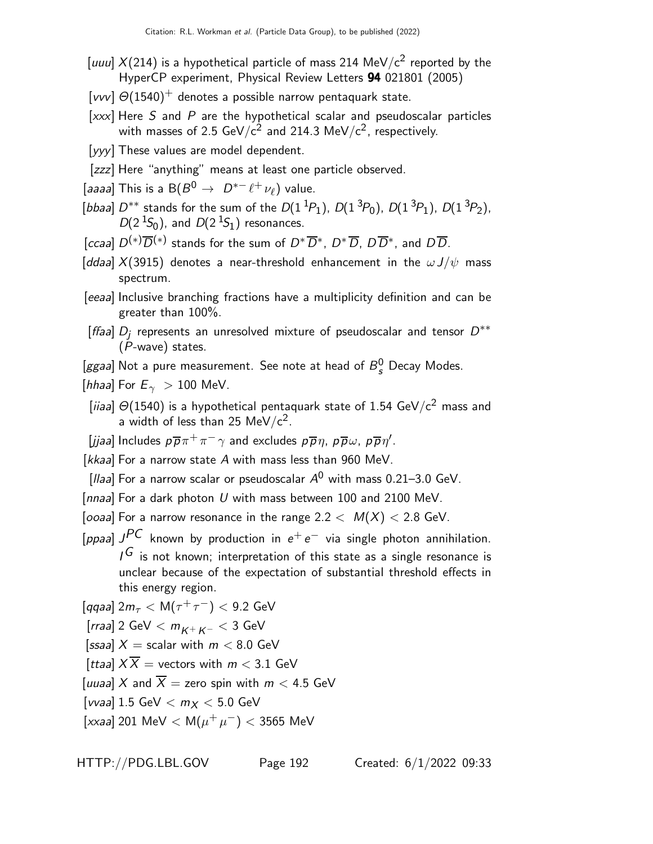- [uuu]  $X(214)$  is a hypothetical particle of mass 214 MeV/c<sup>2</sup> reported by the HyperCP experiment, Physical Review Letters 94 021801 (2005)
- [vvv]  $\Theta(1540)^+$  denotes a possible narrow pentaquark state.
- $[xxx]$  Here S and P are the hypothetical scalar and pseudoscalar particles with masses of 2.5 GeV/ $\rm c^2$  and 214.3 MeV/ $\rm c^2$ , respectively.
- [yyy] These values are model dependent.
- [zzz] Here "anything" means at least one particle observed.
- [aaaa] This is a  $B(B^0 \rightarrow D^{*-} \ell^+ \nu_{\ell})$  value.
- [bbaa]  $D^{**}$  stands for the sum of the  $D(1^{1}P_1)$ ,  $D(1^{3}P_0)$ ,  $D(1^{3}P_1)$ ,  $D(1^{3}P_2)$ ,  $D(2<sup>1</sup>S<sub>0</sub>)$ , and  $D(2<sup>1</sup>S<sub>1</sub>)$  resonances.
- [ccaa]  $D^{(*)}\overline{D}^{(*)}$  stands for the sum of  $D^*\overline{D}^*, D^*\overline{D}, D\overline{D}^*,$  and  $D\overline{D}$ .
- [ddaa]  $X(3915)$  denotes a near-threshold enhancement in the  $\omega J/\psi$  mass spectrum.
- [eeaa] Inclusive branching fractions have a multiplicity definition and can be greater than 100%.
- [ffaa]  $D_j$  represents an unresolved mixture of pseudoscalar and tensor  $D^{\ast\ast}$ (P-wave) states.
- [ggaa] Not a pure measurement. See note at head of  $B_{s}^{0}$  Decay Modes.
- [hhaa] For  $E_{\gamma} > 100$  MeV.
- [iiaa]  $\Theta(1540)$  is a hypothetical pentaquark state of 1.54 GeV/c<sup>2</sup> mass and a width of less than 25  $\mathsf{MeV}/\mathsf{c}^2$ .
- [jjaa] Includes  $p\overline{p}\pi^+\pi^-\gamma$  and excludes  $p\overline{p}\eta$ ,  $p\overline{p}\omega$ ,  $p\overline{p}\eta'$ .
- [ $kkaa$ ] For a narrow state  $A$  with mass less than 960 MeV.
- [*Ilaa*] For a narrow scalar or pseudoscalar  $A^0$  with mass 0.21–3.0 GeV.
- [ $nnaa$ ] For a dark photon U with mass between 100 and 2100 MeV.

[ooaa] For a narrow resonance in the range  $2.2 < M(X) < 2.8$  GeV.

[ppaa]  $J^{PC}$  known by production in  $e^+e^-$  via single photon annihilation.  $I^G$  is not known; interpretation of this state as a single resonance is unclear because of the expectation of substantial threshold effects in this energy region.

 $\left[ q$ qaa $\right] 2m_{\tau} < \mathsf{M}(\tau^+\tau^-) < 9.2 \; \mathsf{GeV}$ [rraa] 2 GeV  $< m<sub>K+</sub> <$   $<$  3 GeV [ssaa]  $X =$  scalar with  $m < 8.0$  GeV [ttaa]  $X\overline{X}$  = vectors with  $m < 3.1$  GeV [uuaa] X and  $\overline{X}$  = zero spin with  $m < 4.5$  GeV [vvaa]  $1.5 \text{ GeV} < m_X < 5.0 \text{ GeV}$ [xxaa] 201 MeV  $<$  M $(\mu^+ \mu^-)$   $<$  3565 MeV